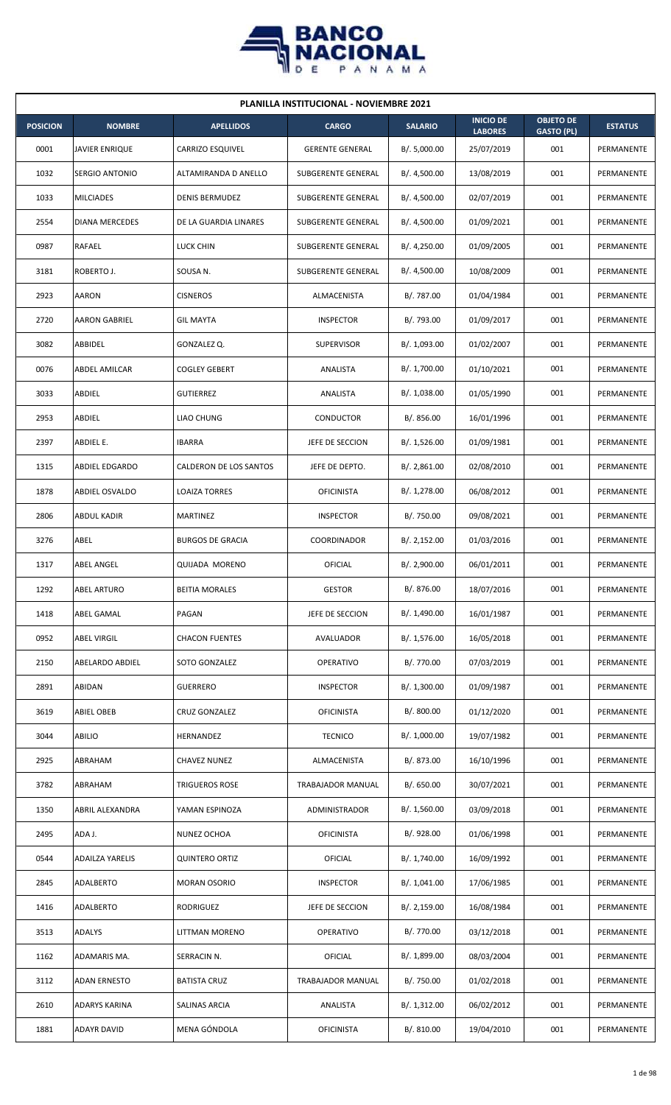

| <b>PLANILLA INSTITUCIONAL - NOVIEMBRE 2021</b> |                        |                         |                        |                |                                    |                                       |                |  |  |  |
|------------------------------------------------|------------------------|-------------------------|------------------------|----------------|------------------------------------|---------------------------------------|----------------|--|--|--|
| <b>POSICION</b>                                | <b>NOMBRE</b>          | <b>APELLIDOS</b>        | <b>CARGO</b>           | <b>SALARIO</b> | <b>INICIO DE</b><br><b>LABORES</b> | <b>OBJETO DE</b><br><b>GASTO (PL)</b> | <b>ESTATUS</b> |  |  |  |
| 0001                                           | JAVIER ENRIQUE         | CARRIZO ESQUIVEL        | <b>GERENTE GENERAL</b> | B/. 5,000.00   | 25/07/2019                         | 001                                   | PERMANENTE     |  |  |  |
| 1032                                           | <b>SERGIO ANTONIO</b>  | ALTAMIRANDA D ANELLO    | SUBGERENTE GENERAL     | B/. 4,500.00   | 13/08/2019                         | 001                                   | PERMANENTE     |  |  |  |
| 1033                                           | <b>MILCIADES</b>       | <b>DENIS BERMUDEZ</b>   | SUBGERENTE GENERAL     | B/. 4,500.00   | 02/07/2019                         | 001                                   | PERMANENTE     |  |  |  |
| 2554                                           | <b>DIANA MERCEDES</b>  | DE LA GUARDIA LINARES   | SUBGERENTE GENERAL     | B/. 4,500.00   | 01/09/2021                         | 001                                   | PERMANENTE     |  |  |  |
| 0987                                           | RAFAEL                 | <b>LUCK CHIN</b>        | SUBGERENTE GENERAL     | B/.4,250.00    | 01/09/2005                         | 001                                   | PERMANENTE     |  |  |  |
| 3181                                           | ROBERTO J.             | SOUSA N.                | SUBGERENTE GENERAL     | B/.4,500.00    | 10/08/2009                         | 001                                   | PERMANENTE     |  |  |  |
| 2923                                           | <b>AARON</b>           | <b>CISNEROS</b>         | ALMACENISTA            | B/. 787.00     | 01/04/1984                         | 001                                   | PERMANENTE     |  |  |  |
| 2720                                           | <b>AARON GABRIEL</b>   | <b>GIL MAYTA</b>        | <b>INSPECTOR</b>       | B/. 793.00     | 01/09/2017                         | 001                                   | PERMANENTE     |  |  |  |
| 3082                                           | ABBIDEL                | GONZALEZ Q.             | <b>SUPERVISOR</b>      | B/. 1,093.00   | 01/02/2007                         | 001                                   | PERMANENTE     |  |  |  |
| 0076                                           | ABDEL AMILCAR          | <b>COGLEY GEBERT</b>    | ANALISTA               | B/. 1,700.00   | 01/10/2021                         | 001                                   | PERMANENTE     |  |  |  |
| 3033                                           | ABDIEL                 | <b>GUTIERREZ</b>        | ANALISTA               | B/. 1,038.00   | 01/05/1990                         | 001                                   | PERMANENTE     |  |  |  |
| 2953                                           | ABDIEL                 | <b>LIAO CHUNG</b>       | CONDUCTOR              | B/. 856.00     | 16/01/1996                         | 001                                   | PERMANENTE     |  |  |  |
| 2397                                           | ABDIEL E.              | <b>IBARRA</b>           | JEFE DE SECCION        | B/. 1,526.00   | 01/09/1981                         | 001                                   | PERMANENTE     |  |  |  |
| 1315                                           | ABDIEL EDGARDO         | CALDERON DE LOS SANTOS  | JEFE DE DEPTO.         | B/.2,861.00    | 02/08/2010                         | 001                                   | PERMANENTE     |  |  |  |
| 1878                                           | ABDIEL OSVALDO         | <b>LOAIZA TORRES</b>    | <b>OFICINISTA</b>      | B/.1,278.00    | 06/08/2012                         | 001                                   | PERMANENTE     |  |  |  |
| 2806                                           | ABDUL KADIR            | MARTINEZ                | <b>INSPECTOR</b>       | B/. 750.00     | 09/08/2021                         | 001                                   | PERMANENTE     |  |  |  |
| 3276                                           | ABEL                   | <b>BURGOS DE GRACIA</b> | COORDINADOR            | B/.2,152.00    | 01/03/2016                         | 001                                   | PERMANENTE     |  |  |  |
| 1317                                           | <b>ABEL ANGEL</b>      | <b>QUIJADA MORENO</b>   | OFICIAL                | B/. 2,900.00   | 06/01/2011                         | 001                                   | PERMANENTE     |  |  |  |
| 1292                                           | <b>ABEL ARTURO</b>     | <b>BEITIA MORALES</b>   | <b>GESTOR</b>          | B/. 876.00     | 18/07/2016                         | 001                                   | PERMANENTE     |  |  |  |
| 1418                                           | ABEL GAMAL             | PAGAN                   | JEFE DE SECCION        | B/. 1,490.00   | 16/01/1987                         | 001                                   | PERMANENTE     |  |  |  |
| 0952                                           | <b>ABEL VIRGIL</b>     | <b>CHACON FUENTES</b>   | AVALUADOR              | B/. 1,576.00   | 16/05/2018                         | 001                                   | PERMANENTE     |  |  |  |
| 2150                                           | ABELARDO ABDIEL        | SOTO GONZALEZ           | OPERATIVO              | B/. 770.00     | 07/03/2019                         | 001                                   | PERMANENTE     |  |  |  |
| 2891                                           | ABIDAN                 | <b>GUERRERO</b>         | <b>INSPECTOR</b>       | B/. 1,300.00   | 01/09/1987                         | 001                                   | PERMANENTE     |  |  |  |
| 3619                                           | <b>ABIEL OBEB</b>      | CRUZ GONZALEZ           | <b>OFICINISTA</b>      | B/.800.00      | 01/12/2020                         | 001                                   | PERMANENTE     |  |  |  |
| 3044                                           | ABILIO                 | HERNANDEZ               | <b>TECNICO</b>         | B/. 1,000.00   | 19/07/1982                         | 001                                   | PERMANENTE     |  |  |  |
| 2925                                           | ABRAHAM                | <b>CHAVEZ NUNEZ</b>     | ALMACENISTA            | B/. 873.00     | 16/10/1996                         | 001                                   | PERMANENTE     |  |  |  |
| 3782                                           | ABRAHAM                | TRIGUEROS ROSE          | TRABAJADOR MANUAL      | B/0.650.00     | 30/07/2021                         | 001                                   | PERMANENTE     |  |  |  |
| 1350                                           | ABRIL ALEXANDRA        | YAMAN ESPINOZA          | ADMINISTRADOR          | B/. 1,560.00   | 03/09/2018                         | 001                                   | PERMANENTE     |  |  |  |
| 2495                                           | ADA J.                 | NUNEZ OCHOA             | <b>OFICINISTA</b>      | B/. 928.00     | 01/06/1998                         | 001                                   | PERMANENTE     |  |  |  |
| 0544                                           | <b>ADAILZA YARELIS</b> | <b>QUINTERO ORTIZ</b>   | <b>OFICIAL</b>         | B/. 1,740.00   | 16/09/1992                         | 001                                   | PERMANENTE     |  |  |  |
| 2845                                           | ADALBERTO              | <b>MORAN OSORIO</b>     | <b>INSPECTOR</b>       | B/. 1,041.00   | 17/06/1985                         | 001                                   | PERMANENTE     |  |  |  |
| 1416                                           | ADALBERTO              | RODRIGUEZ               | JEFE DE SECCION        | B/.2,159.00    | 16/08/1984                         | 001                                   | PERMANENTE     |  |  |  |
| 3513                                           | <b>ADALYS</b>          | LITTMAN MORENO          | OPERATIVO              | B/. 770.00     | 03/12/2018                         | 001                                   | PERMANENTE     |  |  |  |
| 1162                                           | ADAMARIS MA.           | SERRACIN N.             | OFICIAL                | B/. 1,899.00   | 08/03/2004                         | 001                                   | PERMANENTE     |  |  |  |
| 3112                                           | ADAN ERNESTO           | <b>BATISTA CRUZ</b>     | TRABAJADOR MANUAL      | B/. 750.00     | 01/02/2018                         | 001                                   | PERMANENTE     |  |  |  |
| 2610                                           | <b>ADARYS KARINA</b>   | SALINAS ARCIA           | ANALISTA               | B/.1,312.00    | 06/02/2012                         | 001                                   | PERMANENTE     |  |  |  |
| 1881                                           | <b>ADAYR DAVID</b>     | MENA GÓNDOLA            | <b>OFICINISTA</b>      | B/. 810.00     | 19/04/2010                         | 001                                   | PERMANENTE     |  |  |  |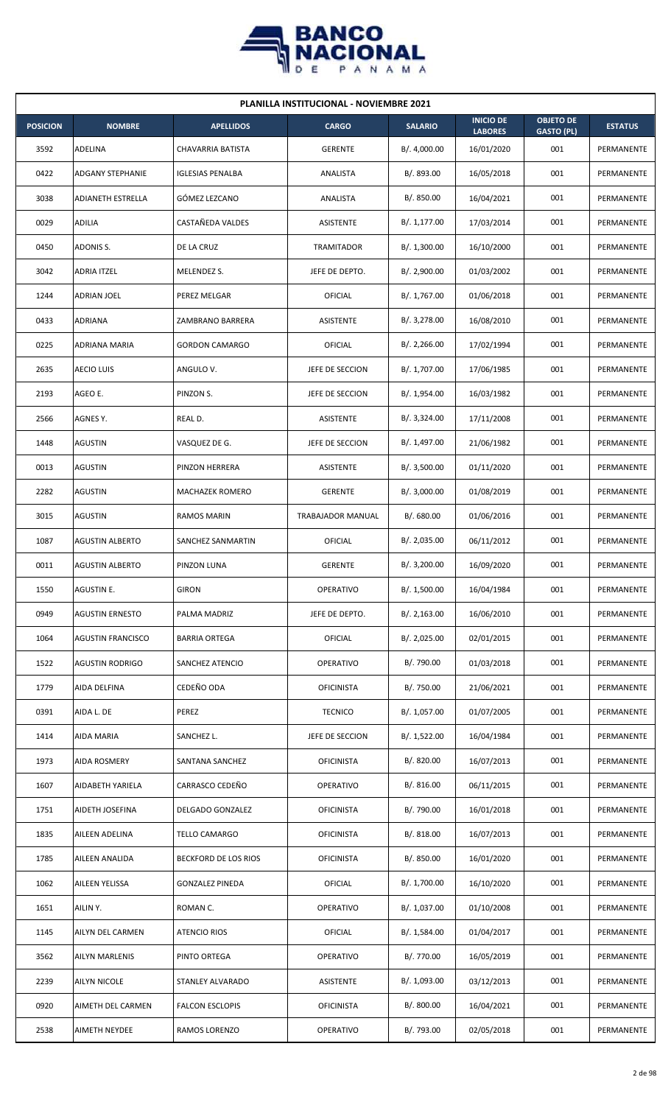

| <b>PLANILLA INSTITUCIONAL - NOVIEMBRE 2021</b> |                          |                         |                   |                |                                    |                                       |                |  |  |  |
|------------------------------------------------|--------------------------|-------------------------|-------------------|----------------|------------------------------------|---------------------------------------|----------------|--|--|--|
| <b>POSICION</b>                                | <b>NOMBRE</b>            | <b>APELLIDOS</b>        | <b>CARGO</b>      | <b>SALARIO</b> | <b>INICIO DE</b><br><b>LABORES</b> | <b>OBJETO DE</b><br><b>GASTO (PL)</b> | <b>ESTATUS</b> |  |  |  |
| 3592                                           | ADELINA                  | CHAVARRIA BATISTA       | <b>GERENTE</b>    | B/. 4,000.00   | 16/01/2020                         | 001                                   | PERMANENTE     |  |  |  |
| 0422                                           | <b>ADGANY STEPHANIE</b>  | <b>IGLESIAS PENALBA</b> | ANALISTA          | B/. 893.00     | 16/05/2018                         | 001                                   | PERMANENTE     |  |  |  |
| 3038                                           | <b>ADIANETH ESTRELLA</b> | GÓMEZ LEZCANO           | ANALISTA          | B/. 850.00     | 16/04/2021                         | 001                                   | PERMANENTE     |  |  |  |
| 0029                                           | ADILIA                   | CASTAÑEDA VALDES        | ASISTENTE         | B/.1,177.00    | 17/03/2014                         | 001                                   | PERMANENTE     |  |  |  |
| 0450                                           | ADONIS S.                | DE LA CRUZ              | TRAMITADOR        | B/.1,300.00    | 16/10/2000                         | 001                                   | PERMANENTE     |  |  |  |
| 3042                                           | <b>ADRIA ITZEL</b>       | MELENDEZ S.             | JEFE DE DEPTO.    | B/.2,900.00    | 01/03/2002                         | 001                                   | PERMANENTE     |  |  |  |
| 1244                                           | ADRIAN JOEL              | PEREZ MELGAR            | OFICIAL           | B/. 1,767.00   | 01/06/2018                         | 001                                   | PERMANENTE     |  |  |  |
| 0433                                           | ADRIANA                  | ZAMBRANO BARRERA        | ASISTENTE         | B/.3,278.00    | 16/08/2010                         | 001                                   | PERMANENTE     |  |  |  |
| 0225                                           | ADRIANA MARIA            | <b>GORDON CAMARGO</b>   | OFICIAL           | B/.2,266.00    | 17/02/1994                         | 001                                   | PERMANENTE     |  |  |  |
| 2635                                           | <b>AECIO LUIS</b>        | ANGULO V.               | JEFE DE SECCION   | B/. 1,707.00   | 17/06/1985                         | 001                                   | PERMANENTE     |  |  |  |
| 2193                                           | AGEO E.                  | PINZON S.               | JEFE DE SECCION   | B/. 1,954.00   | 16/03/1982                         | 001                                   | PERMANENTE     |  |  |  |
| 2566                                           | AGNES Y.                 | REAL D.                 | ASISTENTE         | B/. 3,324.00   | 17/11/2008                         | 001                                   | PERMANENTE     |  |  |  |
| 1448                                           | AGUSTIN                  | VASQUEZ DE G.           | JEFE DE SECCION   | B/. 1,497.00   | 21/06/1982                         | 001                                   | PERMANENTE     |  |  |  |
| 0013                                           | AGUSTIN                  | PINZON HERRERA          | ASISTENTE         | B/.3,500.00    | 01/11/2020                         | 001                                   | PERMANENTE     |  |  |  |
| 2282                                           | <b>AGUSTIN</b>           | <b>MACHAZEK ROMERO</b>  | <b>GERENTE</b>    | B/.3,000.00    | 01/08/2019                         | 001                                   | PERMANENTE     |  |  |  |
| 3015                                           | AGUSTIN                  | RAMOS MARIN             | TRABAJADOR MANUAL | B/. 680.00     | 01/06/2016                         | 001                                   | PERMANENTE     |  |  |  |
| 1087                                           | <b>AGUSTIN ALBERTO</b>   | SANCHEZ SANMARTIN       | OFICIAL           | B/.2,035.00    | 06/11/2012                         | 001                                   | PERMANENTE     |  |  |  |
| 0011                                           | <b>AGUSTIN ALBERTO</b>   | PINZON LUNA             | <b>GERENTE</b>    | B/. 3,200.00   | 16/09/2020                         | 001                                   | PERMANENTE     |  |  |  |
| 1550                                           | AGUSTIN E.               | <b>GIRON</b>            | OPERATIVO         | B/. 1,500.00   | 16/04/1984                         | 001                                   | PERMANENTE     |  |  |  |
| 0949                                           | <b>AGUSTIN ERNESTO</b>   | PALMA MADRIZ            | JEFE DE DEPTO.    | B/.2,163.00    | 16/06/2010                         | 001                                   | PERMANENTE     |  |  |  |
| 1064                                           | <b>AGUSTIN FRANCISCO</b> | <b>BARRIA ORTEGA</b>    | <b>OFICIAL</b>    | B/. 2,025.00   | 02/01/2015                         | 001                                   | PERMANENTE     |  |  |  |
| 1522                                           | <b>AGUSTIN RODRIGO</b>   | SANCHEZ ATENCIO         | OPERATIVO         | B/. 790.00     | 01/03/2018                         | 001                                   | PERMANENTE     |  |  |  |
| 1779                                           | AIDA DELFINA             | CEDEÑO ODA              | <b>OFICINISTA</b> | B/. 750.00     | 21/06/2021                         | 001                                   | PERMANENTE     |  |  |  |
| 0391                                           | AIDA L. DE               | PEREZ                   | <b>TECNICO</b>    | B/. 1,057.00   | 01/07/2005                         | 001                                   | PERMANENTE     |  |  |  |
| 1414                                           | AIDA MARIA               | SANCHEZ L.              | JEFE DE SECCION   | B/. 1,522.00   | 16/04/1984                         | 001                                   | PERMANENTE     |  |  |  |
| 1973                                           | <b>AIDA ROSMERY</b>      | SANTANA SANCHEZ         | <b>OFICINISTA</b> | B/. 820.00     | 16/07/2013                         | 001                                   | PERMANENTE     |  |  |  |
| 1607                                           | AIDABETH YARIELA         | CARRASCO CEDEÑO         | OPERATIVO         | B/.816.00      | 06/11/2015                         | 001                                   | PERMANENTE     |  |  |  |
| 1751                                           | AIDETH JOSEFINA          | DELGADO GONZALEZ        | <b>OFICINISTA</b> | B/. 790.00     | 16/01/2018                         | 001                                   | PERMANENTE     |  |  |  |
| 1835                                           | AILEEN ADELINA           | TELLO CAMARGO           | <b>OFICINISTA</b> | B/. 818.00     | 16/07/2013                         | 001                                   | PERMANENTE     |  |  |  |
| 1785                                           | AILEEN ANALIDA           | BECKFORD DE LOS RIOS    | <b>OFICINISTA</b> | B/. 850.00     | 16/01/2020                         | 001                                   | PERMANENTE     |  |  |  |
| 1062                                           | AILEEN YELISSA           | <b>GONZALEZ PINEDA</b>  | <b>OFICIAL</b>    | B/. 1,700.00   | 16/10/2020                         | 001                                   | PERMANENTE     |  |  |  |
| 1651                                           | AILIN Y.                 | ROMAN C.                | OPERATIVO         | B/. 1,037.00   | 01/10/2008                         | 001                                   | PERMANENTE     |  |  |  |
| 1145                                           | AILYN DEL CARMEN         | <b>ATENCIO RIOS</b>     | OFICIAL           | B/. 1,584.00   | 01/04/2017                         | 001                                   | PERMANENTE     |  |  |  |
| 3562                                           | AILYN MARLENIS           | PINTO ORTEGA            | OPERATIVO         | B/. 770.00     | 16/05/2019                         | 001                                   | PERMANENTE     |  |  |  |
| 2239                                           | AILYN NICOLE             | STANLEY ALVARADO        | ASISTENTE         | B/. 1,093.00   | 03/12/2013                         | 001                                   | PERMANENTE     |  |  |  |
| 0920                                           | AIMETH DEL CARMEN        | <b>FALCON ESCLOPIS</b>  | <b>OFICINISTA</b> | B/. 800.00     | 16/04/2021                         | 001                                   | PERMANENTE     |  |  |  |
| 2538                                           | AIMETH NEYDEE            | RAMOS LORENZO           | OPERATIVO         | B/. 793.00     | 02/05/2018                         | 001                                   | PERMANENTE     |  |  |  |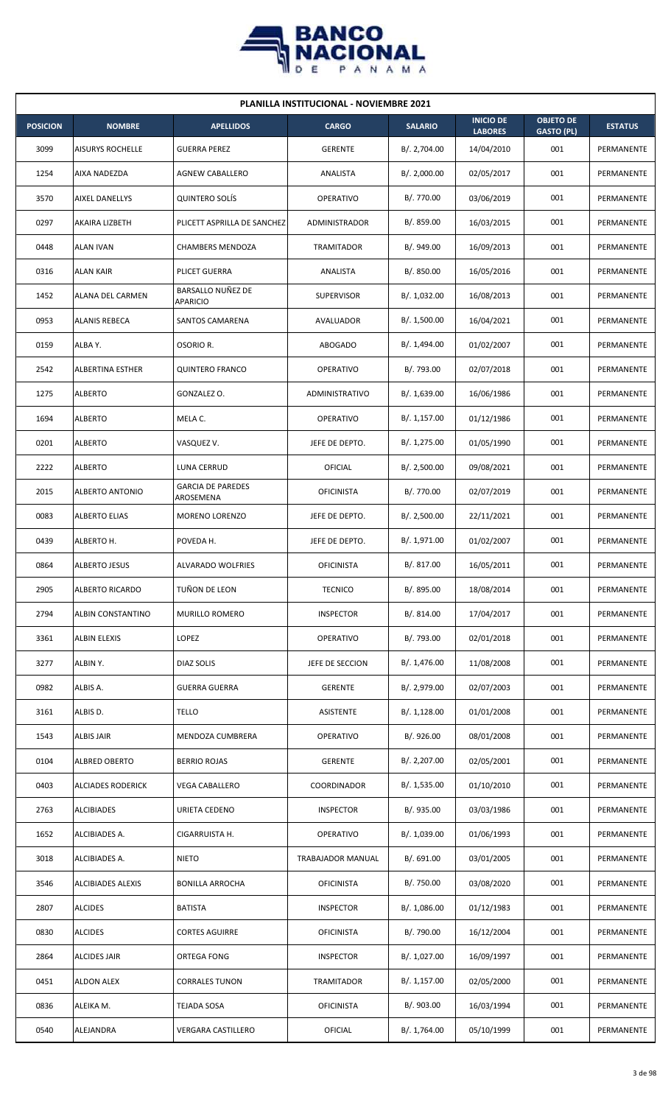

| <b>PLANILLA INSTITUCIONAL - NOVIEMBRE 2021</b> |                         |                                       |                   |                |                                    |                                       |                |  |  |  |
|------------------------------------------------|-------------------------|---------------------------------------|-------------------|----------------|------------------------------------|---------------------------------------|----------------|--|--|--|
| <b>POSICION</b>                                | <b>NOMBRE</b>           | <b>APELLIDOS</b>                      | <b>CARGO</b>      | <b>SALARIO</b> | <b>INICIO DE</b><br><b>LABORES</b> | <b>OBJETO DE</b><br><b>GASTO (PL)</b> | <b>ESTATUS</b> |  |  |  |
| 3099                                           | <b>AISURYS ROCHELLE</b> | <b>GUERRA PEREZ</b>                   | <b>GERENTE</b>    | B/. 2,704.00   | 14/04/2010                         | 001                                   | PERMANENTE     |  |  |  |
| 1254                                           | AIXA NADEZDA            | <b>AGNEW CABALLERO</b>                | ANALISTA          | B/. 2,000.00   | 02/05/2017                         | 001                                   | PERMANENTE     |  |  |  |
| 3570                                           | AIXEL DANELLYS          | <b>QUINTERO SOLÍS</b>                 | OPERATIVO         | B/. 770.00     | 03/06/2019                         | 001                                   | PERMANENTE     |  |  |  |
| 0297                                           | AKAIRA LIZBETH          | PLICETT ASPRILLA DE SANCHEZ           | ADMINISTRADOR     | B/. 859.00     | 16/03/2015                         | 001                                   | PERMANENTE     |  |  |  |
| 0448                                           | <b>ALAN IVAN</b>        | CHAMBERS MENDOZA                      | <b>TRAMITADOR</b> | B/. 949.00     | 16/09/2013                         | 001                                   | PERMANENTE     |  |  |  |
| 0316                                           | ALAN KAIR               | PLICET GUERRA                         | ANALISTA          | B/.850.00      | 16/05/2016                         | 001                                   | PERMANENTE     |  |  |  |
| 1452                                           | ALANA DEL CARMEN        | BARSALLO NUÑEZ DE<br>APARICIO         | <b>SUPERVISOR</b> | B/. 1,032.00   | 16/08/2013                         | 001                                   | PERMANENTE     |  |  |  |
| 0953                                           | <b>ALANIS REBECA</b>    | SANTOS CAMARENA                       | AVALUADOR         | B/. 1,500.00   | 16/04/2021                         | 001                                   | PERMANENTE     |  |  |  |
| 0159                                           | ALBA Y.                 | OSORIO R.                             | <b>ABOGADO</b>    | B/. 1,494.00   | 01/02/2007                         | 001                                   | PERMANENTE     |  |  |  |
| 2542                                           | ALBERTINA ESTHER        | <b>QUINTERO FRANCO</b>                | <b>OPERATIVO</b>  | B/. 793.00     | 02/07/2018                         | 001                                   | PERMANENTE     |  |  |  |
| 1275                                           | <b>ALBERTO</b>          | GONZALEZ O.                           | ADMINISTRATIVO    | B/. 1,639.00   | 16/06/1986                         | 001                                   | PERMANENTE     |  |  |  |
| 1694                                           | <b>ALBERTO</b>          | MELA C.                               | OPERATIVO         | B/. 1,157.00   | 01/12/1986                         | 001                                   | PERMANENTE     |  |  |  |
| 0201                                           | <b>ALBERTO</b>          | VASQUEZ V.                            | JEFE DE DEPTO.    | B/. 1,275.00   | 01/05/1990                         | 001                                   | PERMANENTE     |  |  |  |
| 2222                                           | <b>ALBERTO</b>          | LUNA CERRUD                           | OFICIAL           | B/.2,500.00    | 09/08/2021                         | 001                                   | PERMANENTE     |  |  |  |
| 2015                                           | ALBERTO ANTONIO         | <b>GARCIA DE PAREDES</b><br>AROSEMENA | <b>OFICINISTA</b> | B/. 770.00     | 02/07/2019                         | 001                                   | PERMANENTE     |  |  |  |
| 0083                                           | <b>ALBERTO ELIAS</b>    | MORENO LORENZO                        | JEFE DE DEPTO.    | B/.2,500.00    | 22/11/2021                         | 001                                   | PERMANENTE     |  |  |  |
| 0439                                           | ALBERTO H.              | POVEDA H.                             | JEFE DE DEPTO.    | B/. 1,971.00   | 01/02/2007                         | 001                                   | PERMANENTE     |  |  |  |
| 0864                                           | <b>ALBERTO JESUS</b>    | ALVARADO WOLFRIES                     | <b>OFICINISTA</b> | B/. 817.00     | 16/05/2011                         | 001                                   | PERMANENTE     |  |  |  |
| 2905                                           | <b>ALBERTO RICARDO</b>  | TUÑON DE LEON                         | <b>TECNICO</b>    | B/. 895.00     | 18/08/2014                         | 001                                   | PERMANENTE     |  |  |  |
| 2794                                           | ALBIN CONSTANTINO       | MURILLO ROMERO                        | <b>INSPECTOR</b>  | B/. 814.00     | 17/04/2017                         | 001                                   | PERMANENTE     |  |  |  |
| 3361                                           | ALBIN ELEXIS            | LOPEZ                                 | OPERATIVO         | B/. 793.00     | 02/01/2018                         | 001                                   | PERMANENTE     |  |  |  |
| 3277                                           | ALBIN Y.                | DIAZ SOLIS                            | JEFE DE SECCION   | B/. 1,476.00   | 11/08/2008                         | 001                                   | PERMANENTE     |  |  |  |
| 0982                                           | ALBIS A.                | <b>GUERRA GUERRA</b>                  | <b>GERENTE</b>    | B/. 2,979.00   | 02/07/2003                         | 001                                   | PERMANENTE     |  |  |  |
| 3161                                           | ALBIS D.                | <b>TELLO</b>                          | ASISTENTE         | B/. 1,128.00   | 01/01/2008                         | 001                                   | PERMANENTE     |  |  |  |
| 1543                                           | ALBIS JAIR              | MENDOZA CUMBRERA                      | OPERATIVO         | B/. 926.00     | 08/01/2008                         | 001                                   | PERMANENTE     |  |  |  |
| 0104                                           | ALBRED OBERTO           | <b>BERRIO ROJAS</b>                   | <b>GERENTE</b>    | B/. 2,207.00   | 02/05/2001                         | 001                                   | PERMANENTE     |  |  |  |
| 0403                                           | ALCIADES RODERICK       | <b>VEGA CABALLERO</b>                 | COORDINADOR       | B/. 1,535.00   | 01/10/2010                         | 001                                   | PERMANENTE     |  |  |  |
| 2763                                           | <b>ALCIBIADES</b>       | URIETA CEDENO                         | <b>INSPECTOR</b>  | B/. 935.00     | 03/03/1986                         | 001                                   | PERMANENTE     |  |  |  |
| 1652                                           | ALCIBIADES A.           | CIGARRUISTA H.                        | OPERATIVO         | B/. 1,039.00   | 01/06/1993                         | 001                                   | PERMANENTE     |  |  |  |
| 3018                                           | ALCIBIADES A.           | <b>NIETO</b>                          | TRABAJADOR MANUAL | B/. 691.00     | 03/01/2005                         | 001                                   | PERMANENTE     |  |  |  |
| 3546                                           | ALCIBIADES ALEXIS       | <b>BONILLA ARROCHA</b>                | <b>OFICINISTA</b> | B/. 750.00     | 03/08/2020                         | 001                                   | PERMANENTE     |  |  |  |
| 2807                                           | <b>ALCIDES</b>          | <b>BATISTA</b>                        | <b>INSPECTOR</b>  | B/.1,086.00    | 01/12/1983                         | 001                                   | PERMANENTE     |  |  |  |
| 0830                                           | <b>ALCIDES</b>          | <b>CORTES AGUIRRE</b>                 | <b>OFICINISTA</b> | B/. 790.00     | 16/12/2004                         | 001                                   | PERMANENTE     |  |  |  |
| 2864                                           | ALCIDES JAIR            | ORTEGA FONG                           | <b>INSPECTOR</b>  | B/. 1,027.00   | 16/09/1997                         | 001                                   | PERMANENTE     |  |  |  |
| 0451                                           | <b>ALDON ALEX</b>       | <b>CORRALES TUNON</b>                 | TRAMITADOR        | B/. 1,157.00   | 02/05/2000                         | 001                                   | PERMANENTE     |  |  |  |
| 0836                                           | ALEIKA M.               | TEJADA SOSA                           | <b>OFICINISTA</b> | B/. 903.00     | 16/03/1994                         | 001                                   | PERMANENTE     |  |  |  |
| 0540                                           | ALEJANDRA               | <b>VERGARA CASTILLERO</b>             | OFICIAL           | B/. 1,764.00   | 05/10/1999                         | 001                                   | PERMANENTE     |  |  |  |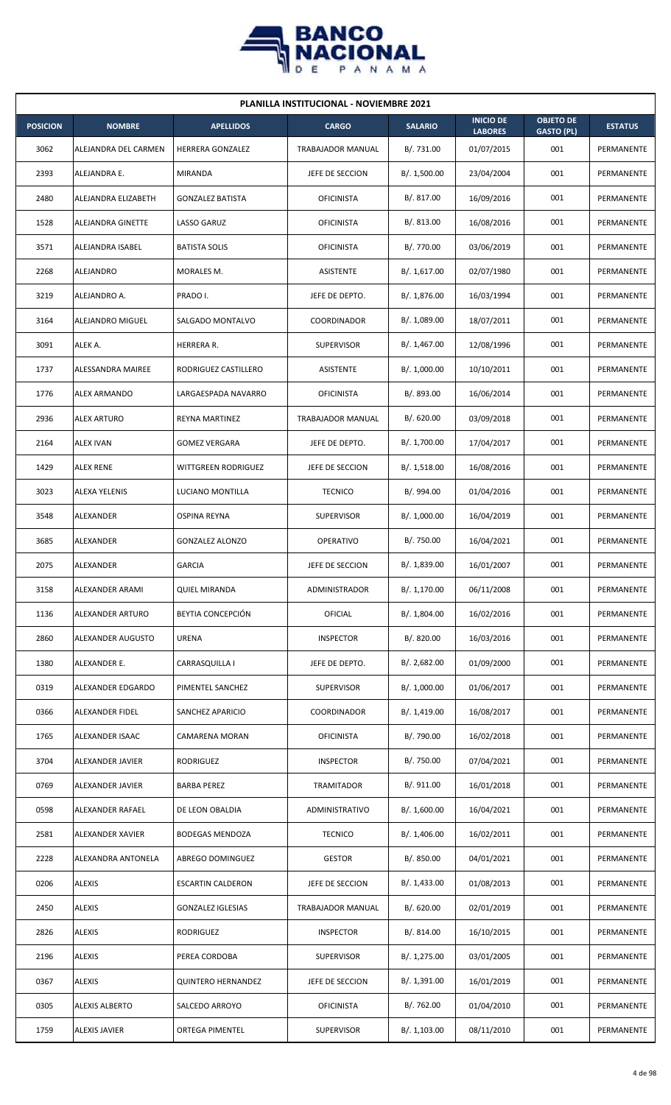

| <b>PLANILLA INSTITUCIONAL - NOVIEMBRE 2021</b> |                       |                           |                   |                |                                    |                                       |                |  |  |  |
|------------------------------------------------|-----------------------|---------------------------|-------------------|----------------|------------------------------------|---------------------------------------|----------------|--|--|--|
| <b>POSICION</b>                                | <b>NOMBRE</b>         | <b>APELLIDOS</b>          | <b>CARGO</b>      | <b>SALARIO</b> | <b>INICIO DE</b><br><b>LABORES</b> | <b>OBJETO DE</b><br><b>GASTO (PL)</b> | <b>ESTATUS</b> |  |  |  |
| 3062                                           | ALEJANDRA DEL CARMEN  | HERRERA GONZALEZ          | TRABAJADOR MANUAL | B/. 731.00     | 01/07/2015                         | 001                                   | PERMANENTE     |  |  |  |
| 2393                                           | ALEJANDRA E.          | MIRANDA                   | JEFE DE SECCION   | B/. 1,500.00   | 23/04/2004                         | 001                                   | PERMANENTE     |  |  |  |
| 2480                                           | ALEJANDRA ELIZABETH   | <b>GONZALEZ BATISTA</b>   | <b>OFICINISTA</b> | B/. 817.00     | 16/09/2016                         | 001                                   | PERMANENTE     |  |  |  |
| 1528                                           | ALEJANDRA GINETTE     | <b>LASSO GARUZ</b>        | <b>OFICINISTA</b> | B/. 813.00     | 16/08/2016                         | 001                                   | PERMANENTE     |  |  |  |
| 3571                                           | ALEJANDRA ISABEL      | <b>BATISTA SOLIS</b>      | <b>OFICINISTA</b> | B/. 770.00     | 03/06/2019                         | 001                                   | PERMANENTE     |  |  |  |
| 2268                                           | ALEJANDRO             | MORALES M.                | ASISTENTE         | B/. 1,617.00   | 02/07/1980                         | 001                                   | PERMANENTE     |  |  |  |
| 3219                                           | ALEJANDRO A.          | PRADO I.                  | JEFE DE DEPTO.    | B/. 1,876.00   | 16/03/1994                         | 001                                   | PERMANENTE     |  |  |  |
| 3164                                           | ALEJANDRO MIGUEL      | SALGADO MONTALVO          | COORDINADOR       | B/. 1,089.00   | 18/07/2011                         | 001                                   | PERMANENTE     |  |  |  |
| 3091                                           | ALEK A.               | HERRERA R.                | <b>SUPERVISOR</b> | B/. 1,467.00   | 12/08/1996                         | 001                                   | PERMANENTE     |  |  |  |
| 1737                                           | ALESSANDRA MAIREE     | RODRIGUEZ CASTILLERO      | <b>ASISTENTE</b>  | B/. 1,000.00   | 10/10/2011                         | 001                                   | PERMANENTE     |  |  |  |
| 1776                                           | <b>ALEX ARMANDO</b>   | LARGAESPADA NAVARRO       | <b>OFICINISTA</b> | B/. 893.00     | 16/06/2014                         | 001                                   | PERMANENTE     |  |  |  |
| 2936                                           | <b>ALEX ARTURO</b>    | REYNA MARTINEZ            | TRABAJADOR MANUAL | B/. 620.00     | 03/09/2018                         | 001                                   | PERMANENTE     |  |  |  |
| 2164                                           | <b>ALEX IVAN</b>      | <b>GOMEZ VERGARA</b>      | JEFE DE DEPTO.    | B/. 1,700.00   | 17/04/2017                         | 001                                   | PERMANENTE     |  |  |  |
| 1429                                           | <b>ALEX RENE</b>      | WITTGREEN RODRIGUEZ       | JEFE DE SECCION   | B/. 1,518.00   | 16/08/2016                         | 001                                   | PERMANENTE     |  |  |  |
| 3023                                           | ALEXA YELENIS         | LUCIANO MONTILLA          | <b>TECNICO</b>    | B/. 994.00     | 01/04/2016                         | 001                                   | PERMANENTE     |  |  |  |
| 3548                                           | ALEXANDER             | OSPINA REYNA              | <b>SUPERVISOR</b> | B/. 1,000.00   | 16/04/2019                         | 001                                   | PERMANENTE     |  |  |  |
| 3685                                           | ALEXANDER             | <b>GONZALEZ ALONZO</b>    | <b>OPERATIVO</b>  | B/. 750.00     | 16/04/2021                         | 001                                   | PERMANENTE     |  |  |  |
| 2075                                           | ALEXANDER             | <b>GARCIA</b>             | JEFE DE SECCION   | B/. 1,839.00   | 16/01/2007                         | 001                                   | PERMANENTE     |  |  |  |
| 3158                                           | ALEXANDER ARAMI       | <b>QUIEL MIRANDA</b>      | ADMINISTRADOR     | B/. 1,170.00   | 06/11/2008                         | 001                                   | PERMANENTE     |  |  |  |
| 1136                                           | ALEXANDER ARTURO      | BEYTIA CONCEPCIÓN         | <b>OFICIAL</b>    | B/. 1,804.00   | 16/02/2016                         | 001                                   | PERMANENTE     |  |  |  |
| 2860                                           | ALEXANDER AUGUSTO     | <b>URENA</b>              | <b>INSPECTOR</b>  | B/. 820.00     | 16/03/2016                         | 001                                   | PERMANENTE     |  |  |  |
| 1380                                           | ALEXANDER E.          | CARRASQUILLA I            | JEFE DE DEPTO.    | B/.2,682.00    | 01/09/2000                         | 001                                   | PERMANENTE     |  |  |  |
| 0319                                           | ALEXANDER EDGARDO     | PIMENTEL SANCHEZ          | <b>SUPERVISOR</b> | B/. 1,000.00   | 01/06/2017                         | 001                                   | PERMANENTE     |  |  |  |
| 0366                                           | ALEXANDER FIDEL       | SANCHEZ APARICIO          | COORDINADOR       | B/. 1,419.00   | 16/08/2017                         | 001                                   | PERMANENTE     |  |  |  |
| 1765                                           | ALEXANDER ISAAC       | CAMARENA MORAN            | <b>OFICINISTA</b> | B/. 790.00     | 16/02/2018                         | 001                                   | PERMANENTE     |  |  |  |
| 3704                                           | ALEXANDER JAVIER      | RODRIGUEZ                 | <b>INSPECTOR</b>  | B/. 750.00     | 07/04/2021                         | 001                                   | PERMANENTE     |  |  |  |
| 0769                                           | ALEXANDER JAVIER      | <b>BARBA PEREZ</b>        | TRAMITADOR        | B/. 911.00     | 16/01/2018                         | 001                                   | PERMANENTE     |  |  |  |
| 0598                                           | ALEXANDER RAFAEL      | DE LEON OBALDIA           | ADMINISTRATIVO    | B/. 1,600.00   | 16/04/2021                         | 001                                   | PERMANENTE     |  |  |  |
| 2581                                           | ALEXANDER XAVIER      | <b>BODEGAS MENDOZA</b>    | <b>TECNICO</b>    | B/. 1,406.00   | 16/02/2011                         | 001                                   | PERMANENTE     |  |  |  |
| 2228                                           | ALEXANDRA ANTONELA    | ABREGO DOMINGUEZ          | <b>GESTOR</b>     | B/. 850.00     | 04/01/2021                         | 001                                   | PERMANENTE     |  |  |  |
| 0206                                           | <b>ALEXIS</b>         | <b>ESCARTIN CALDERON</b>  | JEFE DE SECCION   | B/. 1,433.00   | 01/08/2013                         | 001                                   | PERMANENTE     |  |  |  |
| 2450                                           | <b>ALEXIS</b>         | <b>GONZALEZ IGLESIAS</b>  | TRABAJADOR MANUAL | B/. 620.00     | 02/01/2019                         | 001                                   | PERMANENTE     |  |  |  |
| 2826                                           | <b>ALEXIS</b>         | RODRIGUEZ                 | <b>INSPECTOR</b>  | B/. 814.00     | 16/10/2015                         | 001                                   | PERMANENTE     |  |  |  |
| 2196                                           | <b>ALEXIS</b>         | PEREA CORDOBA             | <b>SUPERVISOR</b> | B/. 1,275.00   | 03/01/2005                         | 001                                   | PERMANENTE     |  |  |  |
| 0367                                           | <b>ALEXIS</b>         | <b>QUINTERO HERNANDEZ</b> | JEFE DE SECCION   | B/. 1,391.00   | 16/01/2019                         | 001                                   | PERMANENTE     |  |  |  |
| 0305                                           | <b>ALEXIS ALBERTO</b> | SALCEDO ARROYO            | <b>OFICINISTA</b> | B/. 762.00     | 01/04/2010                         | 001                                   | PERMANENTE     |  |  |  |
| 1759                                           | <b>ALEXIS JAVIER</b>  | <b>ORTEGA PIMENTEL</b>    | <b>SUPERVISOR</b> | B/.1,103.00    | 08/11/2010                         | 001                                   | PERMANENTE     |  |  |  |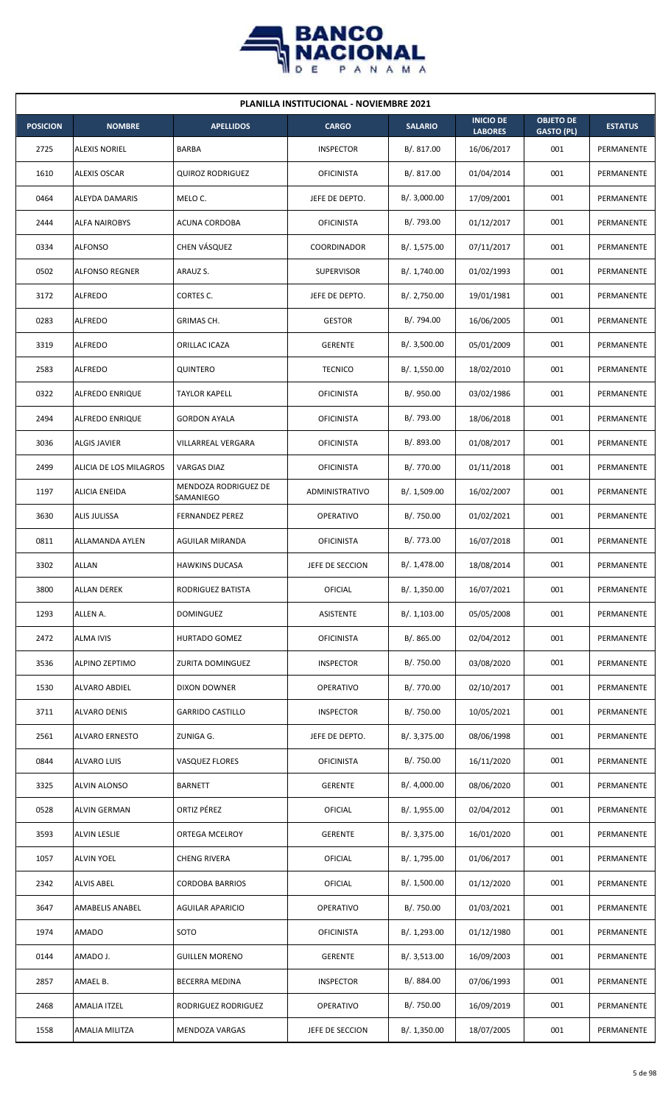

| <b>PLANILLA INSTITUCIONAL - NOVIEMBRE 2021</b> |                        |                                   |                   |                |                                    |                                       |                |  |  |  |
|------------------------------------------------|------------------------|-----------------------------------|-------------------|----------------|------------------------------------|---------------------------------------|----------------|--|--|--|
| <b>POSICION</b>                                | <b>NOMBRE</b>          | <b>APELLIDOS</b>                  | <b>CARGO</b>      | <b>SALARIO</b> | <b>INICIO DE</b><br><b>LABORES</b> | <b>OBJETO DE</b><br><b>GASTO (PL)</b> | <b>ESTATUS</b> |  |  |  |
| 2725                                           | <b>ALEXIS NORIEL</b>   | BARBA                             | <b>INSPECTOR</b>  | B/.817.00      | 16/06/2017                         | 001                                   | PERMANENTE     |  |  |  |
| 1610                                           | <b>ALEXIS OSCAR</b>    | <b>QUIROZ RODRIGUEZ</b>           | <b>OFICINISTA</b> | B/. 817.00     | 01/04/2014                         | 001                                   | PERMANENTE     |  |  |  |
| 0464                                           | ALEYDA DAMARIS         | MELO C.                           | JEFE DE DEPTO.    | B/. 3,000.00   | 17/09/2001                         | 001                                   | PERMANENTE     |  |  |  |
| 2444                                           | <b>ALFA NAIROBYS</b>   | <b>ACUNA CORDOBA</b>              | <b>OFICINISTA</b> | B/. 793.00     | 01/12/2017                         | 001                                   | PERMANENTE     |  |  |  |
| 0334                                           | <b>ALFONSO</b>         | CHEN VÁSQUEZ                      | COORDINADOR       | B/. 1,575.00   | 07/11/2017                         | 001                                   | PERMANENTE     |  |  |  |
| 0502                                           | <b>ALFONSO REGNER</b>  | ARAUZ S.                          | <b>SUPERVISOR</b> | B/. 1,740.00   | 01/02/1993                         | 001                                   | PERMANENTE     |  |  |  |
| 3172                                           | <b>ALFREDO</b>         | CORTES C.                         | JEFE DE DEPTO.    | B/. 2,750.00   | 19/01/1981                         | 001                                   | PERMANENTE     |  |  |  |
| 0283                                           | <b>ALFREDO</b>         | GRIMAS CH.                        | <b>GESTOR</b>     | B/. 794.00     | 16/06/2005                         | 001                                   | PERMANENTE     |  |  |  |
| 3319                                           | <b>ALFREDO</b>         | ORILLAC ICAZA                     | <b>GERENTE</b>    | B/.3,500.00    | 05/01/2009                         | 001                                   | PERMANENTE     |  |  |  |
| 2583                                           | <b>ALFREDO</b>         | QUINTERO                          | <b>TECNICO</b>    | B/. 1,550.00   | 18/02/2010                         | 001                                   | PERMANENTE     |  |  |  |
| 0322                                           | <b>ALFREDO ENRIQUE</b> | <b>TAYLOR KAPELL</b>              | <b>OFICINISTA</b> | B/. 950.00     | 03/02/1986                         | 001                                   | PERMANENTE     |  |  |  |
| 2494                                           | ALFREDO ENRIQUE        | <b>GORDON AYALA</b>               | <b>OFICINISTA</b> | B/. 793.00     | 18/06/2018                         | 001                                   | PERMANENTE     |  |  |  |
| 3036                                           | <b>ALGIS JAVIER</b>    | VILLARREAL VERGARA                | <b>OFICINISTA</b> | B/. 893.00     | 01/08/2017                         | 001                                   | PERMANENTE     |  |  |  |
| 2499                                           | ALICIA DE LOS MILAGROS | <b>VARGAS DIAZ</b>                | <b>OFICINISTA</b> | B/. 770.00     | 01/11/2018                         | 001                                   | PERMANENTE     |  |  |  |
| 1197                                           | <b>ALICIA ENEIDA</b>   | MENDOZA RODRIGUEZ DE<br>SAMANIEGO | ADMINISTRATIVO    | B/. 1,509.00   | 16/02/2007                         | 001                                   | PERMANENTE     |  |  |  |
| 3630                                           | ALIS JULISSA           | <b>FERNANDEZ PEREZ</b>            | <b>OPERATIVO</b>  | B/. 750.00     | 01/02/2021                         | 001                                   | PERMANENTE     |  |  |  |
| 0811                                           | ALLAMANDA AYLEN        | AGUILAR MIRANDA                   | <b>OFICINISTA</b> | B/. 773.00     | 16/07/2018                         | 001                                   | PERMANENTE     |  |  |  |
| 3302                                           | <b>ALLAN</b>           | <b>HAWKINS DUCASA</b>             | JEFE DE SECCION   | B/. 1,478.00   | 18/08/2014                         | 001                                   | PERMANENTE     |  |  |  |
| 3800                                           | <b>ALLAN DEREK</b>     | RODRIGUEZ BATISTA                 | OFICIAL           | B/. 1,350.00   | 16/07/2021                         | 001                                   | PERMANENTE     |  |  |  |
| 1293                                           | ALLEN A.               | <b>DOMINGUEZ</b>                  | ASISTENTE         | B/. 1,103.00   | 05/05/2008                         | 001                                   | PERMANENTE     |  |  |  |
| 2472                                           | ALMA IVIS              | HURTADO GOMEZ                     | <b>OFICINISTA</b> | B/. 865.00     | 02/04/2012                         | 001                                   | PERMANENTE     |  |  |  |
| 3536                                           | ALPINO ZEPTIMO         | ZURITA DOMINGUEZ                  | <b>INSPECTOR</b>  | B/. 750.00     | 03/08/2020                         | 001                                   | PERMANENTE     |  |  |  |
| 1530                                           | ALVARO ABDIEL          | DIXON DOWNER                      | <b>OPERATIVO</b>  | B/. 770.00     | 02/10/2017                         | 001                                   | PERMANENTE     |  |  |  |
| 3711                                           | ALVARO DENIS           | <b>GARRIDO CASTILLO</b>           | <b>INSPECTOR</b>  | B/. 750.00     | 10/05/2021                         | 001                                   | PERMANENTE     |  |  |  |
| 2561                                           | <b>ALVARO ERNESTO</b>  | ZUNIGA G.                         | JEFE DE DEPTO.    | B/. 3,375.00   | 08/06/1998                         | 001                                   | PERMANENTE     |  |  |  |
| 0844                                           | ALVARO LUIS            | <b>VASQUEZ FLORES</b>             | <b>OFICINISTA</b> | B/. 750.00     | 16/11/2020                         | 001                                   | PERMANENTE     |  |  |  |
| 3325                                           | <b>ALVIN ALONSO</b>    | <b>BARNETT</b>                    | <b>GERENTE</b>    | B/. 4,000.00   | 08/06/2020                         | 001                                   | PERMANENTE     |  |  |  |
| 0528                                           | <b>ALVIN GERMAN</b>    | ORTIZ PÉREZ                       | OFICIAL           | B/. 1,955.00   | 02/04/2012                         | 001                                   | PERMANENTE     |  |  |  |
| 3593                                           | ALVIN LESLIE           | ORTEGA MCELROY                    | <b>GERENTE</b>    | B/. 3,375.00   | 16/01/2020                         | 001                                   | PERMANENTE     |  |  |  |
| 1057                                           | <b>ALVIN YOEL</b>      | CHENG RIVERA                      | <b>OFICIAL</b>    | B/. 1,795.00   | 01/06/2017                         | 001                                   | PERMANENTE     |  |  |  |
| 2342                                           | <b>ALVIS ABEL</b>      | CORDOBA BARRIOS                   | <b>OFICIAL</b>    | B/. 1,500.00   | 01/12/2020                         | 001                                   | PERMANENTE     |  |  |  |
| 3647                                           | AMABELIS ANABEL        | <b>AGUILAR APARICIO</b>           | OPERATIVO         | B/. 750.00     | 01/03/2021                         | 001                                   | PERMANENTE     |  |  |  |
| 1974                                           | AMADO                  | SOTO                              | <b>OFICINISTA</b> | B/. 1,293.00   | 01/12/1980                         | 001                                   | PERMANENTE     |  |  |  |
| 0144                                           | AMADO J.               | <b>GUILLEN MORENO</b>             | <b>GERENTE</b>    | B/.3,513.00    | 16/09/2003                         | 001                                   | PERMANENTE     |  |  |  |
| 2857                                           | AMAEL B.               | BECERRA MEDINA                    | <b>INSPECTOR</b>  | B/. 884.00     | 07/06/1993                         | 001                                   | PERMANENTE     |  |  |  |
| 2468                                           | <b>AMALIA ITZEL</b>    | RODRIGUEZ RODRIGUEZ               | OPERATIVO         | B/. 750.00     | 16/09/2019                         | 001                                   | PERMANENTE     |  |  |  |
| 1558                                           | AMALIA MILITZA         | MENDOZA VARGAS                    | JEFE DE SECCION   | B/.1,350.00    | 18/07/2005                         | 001                                   | PERMANENTE     |  |  |  |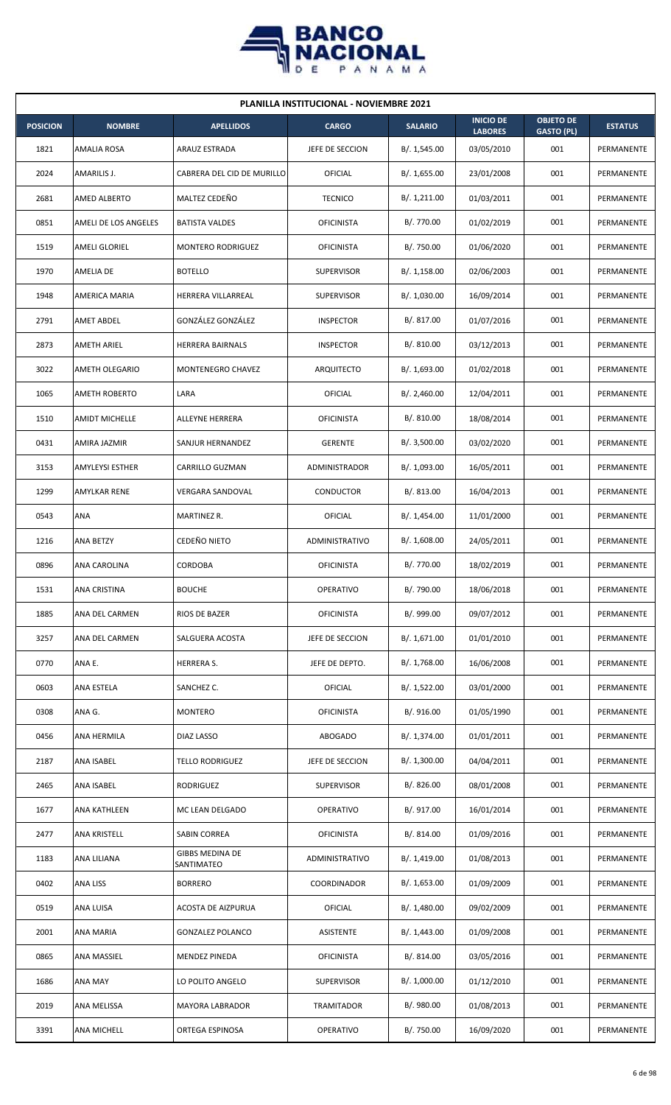

| <b>PLANILLA INSTITUCIONAL - NOVIEMBRE 2021</b> |                        |                                      |                   |                |                                    |                                       |                   |  |  |  |
|------------------------------------------------|------------------------|--------------------------------------|-------------------|----------------|------------------------------------|---------------------------------------|-------------------|--|--|--|
| <b>POSICION</b>                                | <b>NOMBRE</b>          | <b>APELLIDOS</b>                     | <b>CARGO</b>      | <b>SALARIO</b> | <b>INICIO DE</b><br><b>LABORES</b> | <b>OBJETO DE</b><br><b>GASTO (PL)</b> | <b>ESTATUS</b>    |  |  |  |
| 1821                                           | AMALIA ROSA            | ARAUZ ESTRADA                        | JEFE DE SECCION   | B/. 1,545.00   | 03/05/2010                         | 001                                   | PERMANENTE        |  |  |  |
| 2024                                           | AMARILIS J.            | CABRERA DEL CID DE MURILLO           | OFICIAL           | B/. 1,655.00   | 23/01/2008                         | 001                                   | PERMANENTE        |  |  |  |
| 2681                                           | AMED ALBERTO           | MALTEZ CEDEÑO                        | <b>TECNICO</b>    | B/. 1,211.00   | 01/03/2011                         | 001                                   | PERMANENTE        |  |  |  |
| 0851                                           | AMELI DE LOS ANGELES   | <b>BATISTA VALDES</b>                | <b>OFICINISTA</b> | B/. 770.00     | 01/02/2019                         | 001                                   | <b>PERMANENTE</b> |  |  |  |
| 1519                                           | AMELI GLORIEL          | MONTERO RODRIGUEZ                    | <b>OFICINISTA</b> | B/. 750.00     | 01/06/2020                         | 001                                   | PERMANENTE        |  |  |  |
| 1970                                           | AMELIA DE              | <b>BOTELLO</b>                       | <b>SUPERVISOR</b> | B/. 1,158.00   | 02/06/2003                         | 001                                   | PERMANENTE        |  |  |  |
| 1948                                           | AMERICA MARIA          | HERRERA VILLARREAL                   | <b>SUPERVISOR</b> | B/. 1,030.00   | 16/09/2014                         | 001                                   | PERMANENTE        |  |  |  |
| 2791                                           | AMET ABDEL             | GONZÁLEZ GONZÁLEZ                    | <b>INSPECTOR</b>  | B/.817.00      | 01/07/2016                         | 001                                   | PERMANENTE        |  |  |  |
| 2873                                           | <b>AMETH ARIEL</b>     | HERRERA BAIRNALS                     | <b>INSPECTOR</b>  | B/.810.00      | 03/12/2013                         | 001                                   | PERMANENTE        |  |  |  |
| 3022                                           | AMETH OLEGARIO         | MONTENEGRO CHAVEZ                    | ARQUITECTO        | B/. 1,693.00   | 01/02/2018                         | 001                                   | PERMANENTE        |  |  |  |
| 1065                                           | <b>AMETH ROBERTO</b>   | LARA                                 | OFICIAL           | B/.2,460.00    | 12/04/2011                         | 001                                   | PERMANENTE        |  |  |  |
| 1510                                           | <b>AMIDT MICHELLE</b>  | ALLEYNE HERRERA                      | <b>OFICINISTA</b> | B/. 810.00     | 18/08/2014                         | 001                                   | PERMANENTE        |  |  |  |
| 0431                                           | AMIRA JAZMIR           | SANJUR HERNANDEZ                     | <b>GERENTE</b>    | B/.3,500.00    | 03/02/2020                         | 001                                   | PERMANENTE        |  |  |  |
| 3153                                           | <b>AMYLEYSI ESTHER</b> | CARRILLO GUZMAN                      | ADMINISTRADOR     | B/. 1,093.00   | 16/05/2011                         | 001                                   | PERMANENTE        |  |  |  |
| 1299                                           | AMYLKAR RENE           | <b>VERGARA SANDOVAL</b>              | <b>CONDUCTOR</b>  | B/0.813.00     | 16/04/2013                         | 001                                   | PERMANENTE        |  |  |  |
| 0543                                           | ANA                    | MARTINEZ R.                          | OFICIAL           | B/.1,454.00    | 11/01/2000                         | 001                                   | PERMANENTE        |  |  |  |
| 1216                                           | ANA BETZY              | CEDEÑO NIETO                         | ADMINISTRATIVO    | B/.1,608.00    | 24/05/2011                         | 001                                   | PERMANENTE        |  |  |  |
| 0896                                           | ANA CAROLINA           | CORDOBA                              | <b>OFICINISTA</b> | B/. 770.00     | 18/02/2019                         | 001                                   | PERMANENTE        |  |  |  |
| 1531                                           | <b>ANA CRISTINA</b>    | <b>BOUCHE</b>                        | <b>OPERATIVO</b>  | B/. 790.00     | 18/06/2018                         | 001                                   | PERMANENTE        |  |  |  |
| 1885                                           | ANA DEL CARMEN         | RIOS DE BAZER                        | <b>OFICINISTA</b> | B/. 999.00     | 09/07/2012                         | 001                                   | PERMANENTE        |  |  |  |
| 3257                                           | ANA DEL CARMEN         | SALGUERA ACOSTA                      | JEFE DE SECCION   | B/. 1,671.00   | 01/01/2010                         | 001                                   | PERMANENTE        |  |  |  |
| 0770                                           | ANA E.                 | HERRERA S.                           | JEFE DE DEPTO.    | B/. 1,768.00   | 16/06/2008                         | 001                                   | PERMANENTE        |  |  |  |
| 0603                                           | <b>ANA ESTELA</b>      | SANCHEZ C.                           | <b>OFICIAL</b>    | B/. 1,522.00   | 03/01/2000                         | 001                                   | PERMANENTE        |  |  |  |
| 0308                                           | ANA G.                 | <b>MONTERO</b>                       | <b>OFICINISTA</b> | B/.916.00      | 01/05/1990                         | 001                                   | PERMANENTE        |  |  |  |
| 0456                                           | ANA HERMILA            | DIAZ LASSO                           | ABOGADO           | B/. 1,374.00   | 01/01/2011                         | 001                                   | PERMANENTE        |  |  |  |
| 2187                                           | ANA ISABEL             | <b>TELLO RODRIGUEZ</b>               | JEFE DE SECCION   | B/.1,300.00    | 04/04/2011                         | 001                                   | PERMANENTE        |  |  |  |
| 2465                                           | ANA ISABEL             | RODRIGUEZ                            | <b>SUPERVISOR</b> | B/. 826.00     | 08/01/2008                         | 001                                   | PERMANENTE        |  |  |  |
| 1677                                           | ANA KATHLEEN           | MC LEAN DELGADO                      | <b>OPERATIVO</b>  | B/. 917.00     | 16/01/2014                         | 001                                   | PERMANENTE        |  |  |  |
| 2477                                           | ANA KRISTELL           | SABIN CORREA                         | <b>OFICINISTA</b> | B/. 814.00     | 01/09/2016                         | 001                                   | PERMANENTE        |  |  |  |
| 1183                                           | ANA LILIANA            | <b>GIBBS MEDINA DE</b><br>SANTIMATEO | ADMINISTRATIVO    | B/. 1,419.00   | 01/08/2013                         | 001                                   | PERMANENTE        |  |  |  |
| 0402                                           | ANA LISS               | <b>BORRERO</b>                       | COORDINADOR       | B/. 1,653.00   | 01/09/2009                         | 001                                   | PERMANENTE        |  |  |  |
| 0519                                           | ANA LUISA              | <b>ACOSTA DE AIZPURUA</b>            | <b>OFICIAL</b>    | B/. 1,480.00   | 09/02/2009                         | 001                                   | PERMANENTE        |  |  |  |
| 2001                                           | ANA MARIA              | <b>GONZALEZ POLANCO</b>              | ASISTENTE         | B/.1,443.00    | 01/09/2008                         | 001                                   | PERMANENTE        |  |  |  |
| 0865                                           | ANA MASSIEL            | MENDEZ PINEDA                        | <b>OFICINISTA</b> | B/. 814.00     | 03/05/2016                         | 001                                   | PERMANENTE        |  |  |  |
| 1686                                           | ANA MAY                | LO POLITO ANGELO                     | <b>SUPERVISOR</b> | B/. 1,000.00   | 01/12/2010                         | 001                                   | PERMANENTE        |  |  |  |
| 2019                                           | ANA MELISSA            | MAYORA LABRADOR                      | TRAMITADOR        | B/. 980.00     | 01/08/2013                         | 001                                   | PERMANENTE        |  |  |  |
| 3391                                           | ANA MICHELL            | ORTEGA ESPINOSA                      | OPERATIVO         | B/. 750.00     | 16/09/2020                         | 001                                   | PERMANENTE        |  |  |  |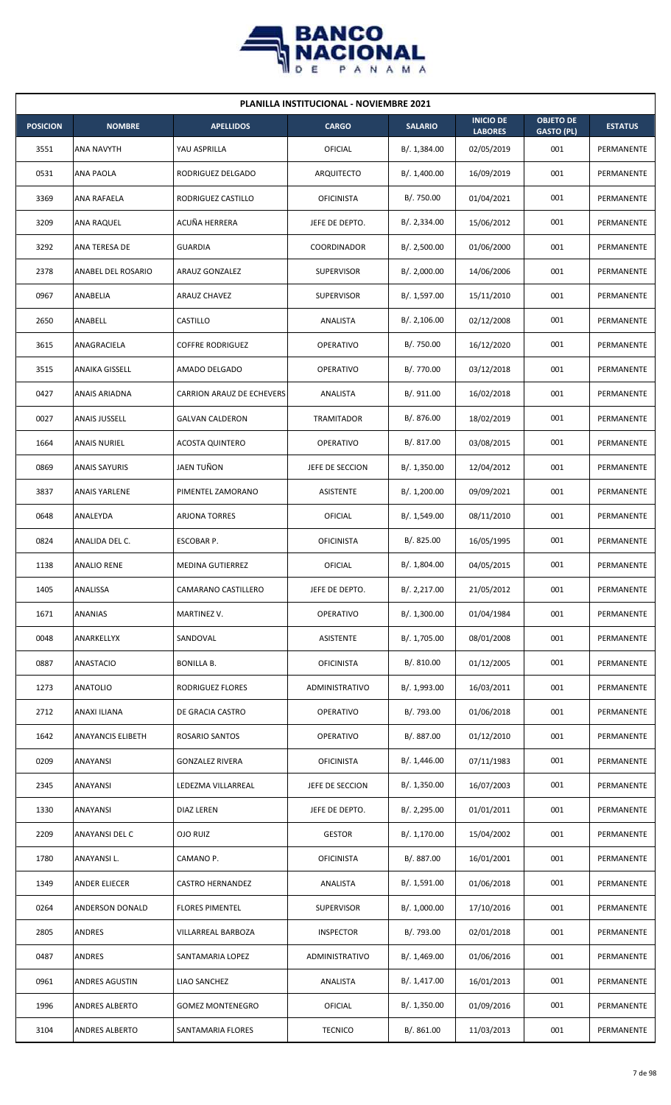

| <b>PLANILLA INSTITUCIONAL - NOVIEMBRE 2021</b> |                          |                           |                    |                |                                    |                                       |                |  |  |  |
|------------------------------------------------|--------------------------|---------------------------|--------------------|----------------|------------------------------------|---------------------------------------|----------------|--|--|--|
| <b>POSICION</b>                                | <b>NOMBRE</b>            | <b>APELLIDOS</b>          | <b>CARGO</b>       | <b>SALARIO</b> | <b>INICIO DE</b><br><b>LABORES</b> | <b>OBJETO DE</b><br><b>GASTO (PL)</b> | <b>ESTATUS</b> |  |  |  |
| 3551                                           | ANA NAVYTH               | YAU ASPRILLA              | OFICIAL            | B/.1,384.00    | 02/05/2019                         | 001                                   | PERMANENTE     |  |  |  |
| 0531                                           | ANA PAOLA                | RODRIGUEZ DELGADO         | ARQUITECTO         | B/. 1,400.00   | 16/09/2019                         | 001                                   | PERMANENTE     |  |  |  |
| 3369                                           | ANA RAFAELA              | RODRIGUEZ CASTILLO        | <b>OFICINISTA</b>  | B/. 750.00     | 01/04/2021                         | 001                                   | PERMANENTE     |  |  |  |
| 3209                                           | <b>ANA RAQUEL</b>        | ACUÑA HERRERA             | JEFE DE DEPTO.     | B/.2,334.00    | 15/06/2012                         | 001                                   | PERMANENTE     |  |  |  |
| 3292                                           | ANA TERESA DE            | <b>GUARDIA</b>            | <b>COORDINADOR</b> | B/.2,500.00    | 01/06/2000                         | 001                                   | PERMANENTE     |  |  |  |
| 2378                                           | ANABEL DEL ROSARIO       | ARAUZ GONZALEZ            | <b>SUPERVISOR</b>  | B/.2,000.00    | 14/06/2006                         | 001                                   | PERMANENTE     |  |  |  |
| 0967                                           | ANABELIA                 | <b>ARAUZ CHAVEZ</b>       | <b>SUPERVISOR</b>  | B/. 1,597.00   | 15/11/2010                         | 001                                   | PERMANENTE     |  |  |  |
| 2650                                           | ANABELL                  | CASTILLO                  | ANALISTA           | B/.2,106.00    | 02/12/2008                         | 001                                   | PERMANENTE     |  |  |  |
| 3615                                           | ANAGRACIELA              | <b>COFFRE RODRIGUEZ</b>   | <b>OPERATIVO</b>   | B/. 750.00     | 16/12/2020                         | 001                                   | PERMANENTE     |  |  |  |
| 3515                                           | <b>ANAIKA GISSELL</b>    | AMADO DELGADO             | <b>OPERATIVO</b>   | B/. 770.00     | 03/12/2018                         | 001                                   | PERMANENTE     |  |  |  |
| 0427                                           | <b>ANAIS ARIADNA</b>     | CARRION ARAUZ DE ECHEVERS | ANALISTA           | B/. 911.00     | 16/02/2018                         | 001                                   | PERMANENTE     |  |  |  |
| 0027                                           | <b>ANAIS JUSSELL</b>     | <b>GALVAN CALDERON</b>    | <b>TRAMITADOR</b>  | B/. 876.00     | 18/02/2019                         | 001                                   | PERMANENTE     |  |  |  |
| 1664                                           | <b>ANAIS NURIEL</b>      | <b>ACOSTA QUINTERO</b>    | OPERATIVO          | B/. 817.00     | 03/08/2015                         | 001                                   | PERMANENTE     |  |  |  |
| 0869                                           | <b>ANAIS SAYURIS</b>     | JAEN TUÑON                | JEFE DE SECCION    | B/.1,350.00    | 12/04/2012                         | 001                                   | PERMANENTE     |  |  |  |
| 3837                                           | <b>ANAIS YARLENE</b>     | PIMENTEL ZAMORANO         | <b>ASISTENTE</b>   | B/. 1,200.00   | 09/09/2021                         | 001                                   | PERMANENTE     |  |  |  |
| 0648                                           | ANALEYDA                 | <b>ARJONA TORRES</b>      | OFICIAL            | B/.1,549.00    | 08/11/2010                         | 001                                   | PERMANENTE     |  |  |  |
| 0824                                           | ANALIDA DEL C.           | ESCOBAR P.                | <b>OFICINISTA</b>  | B/0.825.00     | 16/05/1995                         | 001                                   | PERMANENTE     |  |  |  |
| 1138                                           | <b>ANALIO RENE</b>       | <b>MEDINA GUTIERREZ</b>   | OFICIAL            | B/. 1,804.00   | 04/05/2015                         | 001                                   | PERMANENTE     |  |  |  |
| 1405                                           | ANALISSA                 | CAMARANO CASTILLERO       | JEFE DE DEPTO.     | B/. 2,217.00   | 21/05/2012                         | 001                                   | PERMANENTE     |  |  |  |
| 1671                                           | ANANIAS                  | MARTINEZ V.               | OPERATIVO          | B/. 1,300.00   | 01/04/1984                         | 001                                   | PERMANENTE     |  |  |  |
| 0048                                           | ANARKELLYX               | SANDOVAL                  | ASISTENTE          | B/. 1,705.00   | 08/01/2008                         | 001                                   | PERMANENTE     |  |  |  |
| 0887                                           | <b>ANASTACIO</b>         | <b>BONILLA B.</b>         | <b>OFICINISTA</b>  | B/. 810.00     | 01/12/2005                         | 001                                   | PERMANENTE     |  |  |  |
| 1273                                           | <b>ANATOLIO</b>          | RODRIGUEZ FLORES          | ADMINISTRATIVO     | B/. 1,993.00   | 16/03/2011                         | 001                                   | PERMANENTE     |  |  |  |
| 2712                                           | ANAXI ILIANA             | DE GRACIA CASTRO          | <b>OPERATIVO</b>   | B/. 793.00     | 01/06/2018                         | 001                                   | PERMANENTE     |  |  |  |
| 1642                                           | <b>ANAYANCIS ELIBETH</b> | ROSARIO SANTOS            | <b>OPERATIVO</b>   | B/. 887.00     | 01/12/2010                         | 001                                   | PERMANENTE     |  |  |  |
| 0209                                           | ANAYANSI                 | <b>GONZALEZ RIVERA</b>    | <b>OFICINISTA</b>  | B/.1,446.00    | 07/11/1983                         | 001                                   | PERMANENTE     |  |  |  |
| 2345                                           | ANAYANSI                 | LEDEZMA VILLARREAL        | JEFE DE SECCION    | B/.1,350.00    | 16/07/2003                         | 001                                   | PERMANENTE     |  |  |  |
| 1330                                           | ANAYANSI                 | DIAZ LEREN                | JEFE DE DEPTO.     | B/.2,295.00    | 01/01/2011                         | 001                                   | PERMANENTE     |  |  |  |
| 2209                                           | ANAYANSI DEL C           | <b>OJO RUIZ</b>           | <b>GESTOR</b>      | B/. 1,170.00   | 15/04/2002                         | 001                                   | PERMANENTE     |  |  |  |
| 1780                                           | ANAYANSI L.              | CAMANO P.                 | <b>OFICINISTA</b>  | B/. 887.00     | 16/01/2001                         | 001                                   | PERMANENTE     |  |  |  |
| 1349                                           | ANDER ELIECER            | CASTRO HERNANDEZ          | ANALISTA           | B/. 1,591.00   | 01/06/2018                         | 001                                   | PERMANENTE     |  |  |  |
| 0264                                           | ANDERSON DONALD          | <b>FLORES PIMENTEL</b>    | <b>SUPERVISOR</b>  | B/. 1,000.00   | 17/10/2016                         | 001                                   | PERMANENTE     |  |  |  |
| 2805                                           | ANDRES                   | VILLARREAL BARBOZA        | <b>INSPECTOR</b>   | B/. 793.00     | 02/01/2018                         | 001                                   | PERMANENTE     |  |  |  |
| 0487                                           | ANDRES                   | SANTAMARIA LOPEZ          | ADMINISTRATIVO     | B/.1,469.00    | 01/06/2016                         | 001                                   | PERMANENTE     |  |  |  |
| 0961                                           | ANDRES AGUSTIN           | LIAO SANCHEZ              | ANALISTA           | B/.1,417.00    | 16/01/2013                         | 001                                   | PERMANENTE     |  |  |  |
| 1996                                           | <b>ANDRES ALBERTO</b>    | <b>GOMEZ MONTENEGRO</b>   | OFICIAL            | B/.1,350.00    | 01/09/2016                         | 001                                   | PERMANENTE     |  |  |  |
| 3104                                           | <b>ANDRES ALBERTO</b>    | SANTAMARIA FLORES         | <b>TECNICO</b>     | B/. 861.00     | 11/03/2013                         | 001                                   | PERMANENTE     |  |  |  |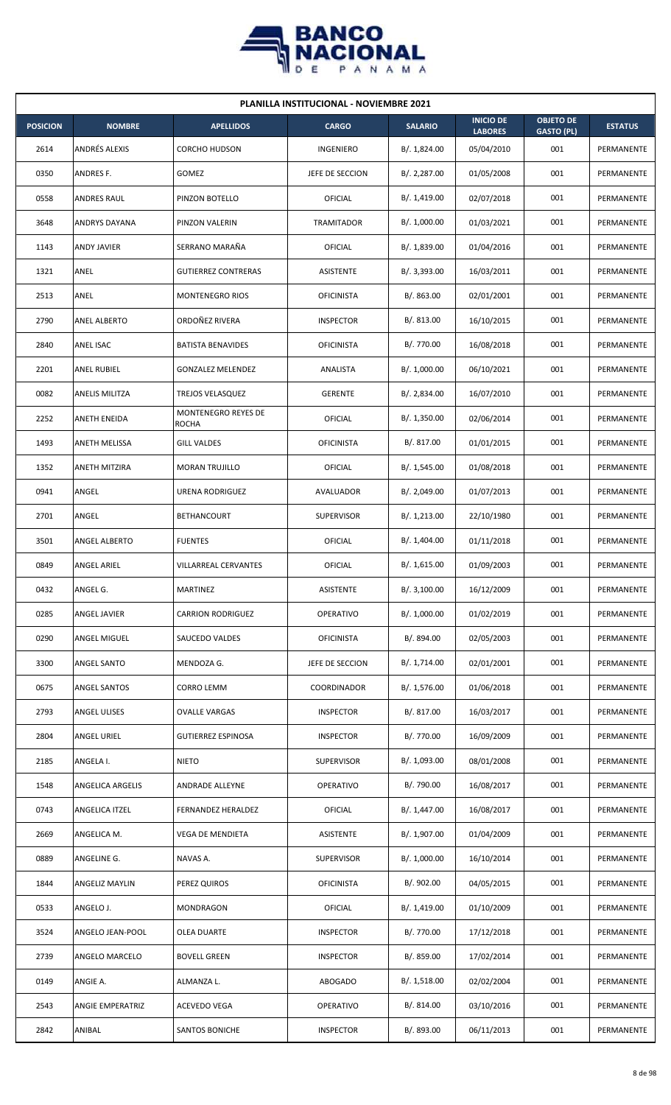

| <b>PLANILLA INSTITUCIONAL - NOVIEMBRE 2021</b> |                         |                                     |                   |                |                                    |                                       |                |  |  |  |
|------------------------------------------------|-------------------------|-------------------------------------|-------------------|----------------|------------------------------------|---------------------------------------|----------------|--|--|--|
| <b>POSICION</b>                                | <b>NOMBRE</b>           | <b>APELLIDOS</b>                    | <b>CARGO</b>      | <b>SALARIO</b> | <b>INICIO DE</b><br><b>LABORES</b> | <b>OBJETO DE</b><br><b>GASTO (PL)</b> | <b>ESTATUS</b> |  |  |  |
| 2614                                           | ANDRÉS ALEXIS           | CORCHO HUDSON                       | INGENIERO         | B/. 1,824.00   | 05/04/2010                         | 001                                   | PERMANENTE     |  |  |  |
| 0350                                           | ANDRES F.               | GOMEZ                               | JEFE DE SECCION   | B/.2,287.00    | 01/05/2008                         | 001                                   | PERMANENTE     |  |  |  |
| 0558                                           | <b>ANDRES RAUL</b>      | PINZON BOTELLO                      | <b>OFICIAL</b>    | B/. 1,419.00   | 02/07/2018                         | 001                                   | PERMANENTE     |  |  |  |
| 3648                                           | <b>ANDRYS DAYANA</b>    | PINZON VALERIN                      | TRAMITADOR        | B/. 1,000.00   | 01/03/2021                         | 001                                   | PERMANENTE     |  |  |  |
| 1143                                           | <b>ANDY JAVIER</b>      | SERRANO MARAÑA                      | <b>OFICIAL</b>    | B/. 1,839.00   | 01/04/2016                         | 001                                   | PERMANENTE     |  |  |  |
| 1321                                           | ANEL                    | <b>GUTIERREZ CONTRERAS</b>          | <b>ASISTENTE</b>  | B/.3,393.00    | 16/03/2011                         | 001                                   | PERMANENTE     |  |  |  |
| 2513                                           | ANEL                    | MONTENEGRO RIOS                     | <b>OFICINISTA</b> | B/. 863.00     | 02/01/2001                         | 001                                   | PERMANENTE     |  |  |  |
| 2790                                           | <b>ANEL ALBERTO</b>     | ORDOÑEZ RIVERA                      | <b>INSPECTOR</b>  | B/.813.00      | 16/10/2015                         | 001                                   | PERMANENTE     |  |  |  |
| 2840                                           | ANEL ISAC               | <b>BATISTA BENAVIDES</b>            | <b>OFICINISTA</b> | B/. 770.00     | 16/08/2018                         | 001                                   | PERMANENTE     |  |  |  |
| 2201                                           | <b>ANEL RUBIEL</b>      | <b>GONZALEZ MELENDEZ</b>            | ANALISTA          | B/. 1,000.00   | 06/10/2021                         | 001                                   | PERMANENTE     |  |  |  |
| 0082                                           | <b>ANELIS MILITZA</b>   | TREJOS VELASQUEZ                    | <b>GERENTE</b>    | B/. 2,834.00   | 16/07/2010                         | 001                                   | PERMANENTE     |  |  |  |
| 2252                                           | ANETH ENEIDA            | MONTENEGRO REYES DE<br><b>ROCHA</b> | <b>OFICIAL</b>    | B/. 1,350.00   | 02/06/2014                         | 001                                   | PERMANENTE     |  |  |  |
| 1493                                           | ANETH MELISSA           | <b>GILL VALDES</b>                  | <b>OFICINISTA</b> | B/. 817.00     | 01/01/2015                         | 001                                   | PERMANENTE     |  |  |  |
| 1352                                           | <b>ANETH MITZIRA</b>    | <b>MORAN TRUJILLO</b>               | OFICIAL           | B/.1,545.00    | 01/08/2018                         | 001                                   | PERMANENTE     |  |  |  |
| 0941                                           | ANGEL                   | URENA RODRIGUEZ                     | AVALUADOR         | B/.2,049.00    | 01/07/2013                         | 001                                   | PERMANENTE     |  |  |  |
| 2701                                           | ANGEL                   | <b>BETHANCOURT</b>                  | <b>SUPERVISOR</b> | B/. 1,213.00   | 22/10/1980                         | 001                                   | PERMANENTE     |  |  |  |
| 3501                                           | ANGEL ALBERTO           | <b>FUENTES</b>                      | <b>OFICIAL</b>    | B/. 1,404.00   | 01/11/2018                         | 001                                   | PERMANENTE     |  |  |  |
| 0849                                           | ANGEL ARIEL             | <b>VILLARREAL CERVANTES</b>         | OFICIAL           | B/.1,615.00    | 01/09/2003                         | 001                                   | PERMANENTE     |  |  |  |
| 0432                                           | ANGEL G.                | MARTINEZ                            | <b>ASISTENTE</b>  | B/. 3,100.00   | 16/12/2009                         | 001                                   | PERMANENTE     |  |  |  |
| 0285                                           | ANGEL JAVIER            | <b>CARRION RODRIGUEZ</b>            | OPERATIVO         | B/. 1,000.00   | 01/02/2019                         | 001                                   | PERMANENTE     |  |  |  |
| 0290                                           | <b>ANGEL MIGUEL</b>     | SAUCEDO VALDES                      | <b>OFICINISTA</b> | B/. 894.00     | 02/05/2003                         | 001                                   | PERMANENTE     |  |  |  |
| 3300                                           | ANGEL SANTO             | MENDOZA G.                          | JEFE DE SECCION   | B/. 1,714.00   | 02/01/2001                         | 001                                   | PERMANENTE     |  |  |  |
| 0675                                           | ANGEL SANTOS            | <b>CORRO LEMM</b>                   | COORDINADOR       | B/. 1,576.00   | 01/06/2018                         | 001                                   | PERMANENTE     |  |  |  |
| 2793                                           | <b>ANGEL ULISES</b>     | <b>OVALLE VARGAS</b>                | <b>INSPECTOR</b>  | B/. 817.00     | 16/03/2017                         | 001                                   | PERMANENTE     |  |  |  |
| 2804                                           | ANGEL URIEL             | <b>GUTIERREZ ESPINOSA</b>           | <b>INSPECTOR</b>  | B/. 770.00     | 16/09/2009                         | 001                                   | PERMANENTE     |  |  |  |
| 2185                                           | ANGELA I.               | <b>NIETO</b>                        | <b>SUPERVISOR</b> | B/. 1,093.00   | 08/01/2008                         | 001                                   | PERMANENTE     |  |  |  |
| 1548                                           | ANGELICA ARGELIS        | ANDRADE ALLEYNE                     | <b>OPERATIVO</b>  | B/. 790.00     | 16/08/2017                         | 001                                   | PERMANENTE     |  |  |  |
| 0743                                           | ANGELICA ITZEL          | FERNANDEZ HERALDEZ                  | OFICIAL           | B/. 1,447.00   | 16/08/2017                         | 001                                   | PERMANENTE     |  |  |  |
| 2669                                           | ANGELICA M.             | VEGA DE MENDIETA                    | ASISTENTE         | B/. 1,907.00   | 01/04/2009                         | 001                                   | PERMANENTE     |  |  |  |
| 0889                                           | ANGELINE G.             | NAVAS A.                            | <b>SUPERVISOR</b> | B/. 1,000.00   | 16/10/2014                         | 001                                   | PERMANENTE     |  |  |  |
| 1844                                           | ANGELIZ MAYLIN          | PEREZ QUIROS                        | <b>OFICINISTA</b> | B/. 902.00     | 04/05/2015                         | 001                                   | PERMANENTE     |  |  |  |
| 0533                                           | ANGELO J.               | <b>MONDRAGON</b>                    | <b>OFICIAL</b>    | B/. 1,419.00   | 01/10/2009                         | 001                                   | PERMANENTE     |  |  |  |
| 3524                                           | ANGELO JEAN-POOL        | OLEA DUARTE                         | <b>INSPECTOR</b>  | B/. 770.00     | 17/12/2018                         | 001                                   | PERMANENTE     |  |  |  |
| 2739                                           | ANGELO MARCELO          | <b>BOVELL GREEN</b>                 | <b>INSPECTOR</b>  | B/. 859.00     | 17/02/2014                         | 001                                   | PERMANENTE     |  |  |  |
| 0149                                           | ANGIE A.                | ALMANZA L.                          | ABOGADO           | B/.1,518.00    | 02/02/2004                         | 001                                   | PERMANENTE     |  |  |  |
| 2543                                           | <b>ANGIE EMPERATRIZ</b> | ACEVEDO VEGA                        | <b>OPERATIVO</b>  | B/. 814.00     | 03/10/2016                         | 001                                   | PERMANENTE     |  |  |  |
| 2842                                           | ANIBAL                  | SANTOS BONICHE                      | <b>INSPECTOR</b>  | B/. 893.00     | 06/11/2013                         | 001                                   | PERMANENTE     |  |  |  |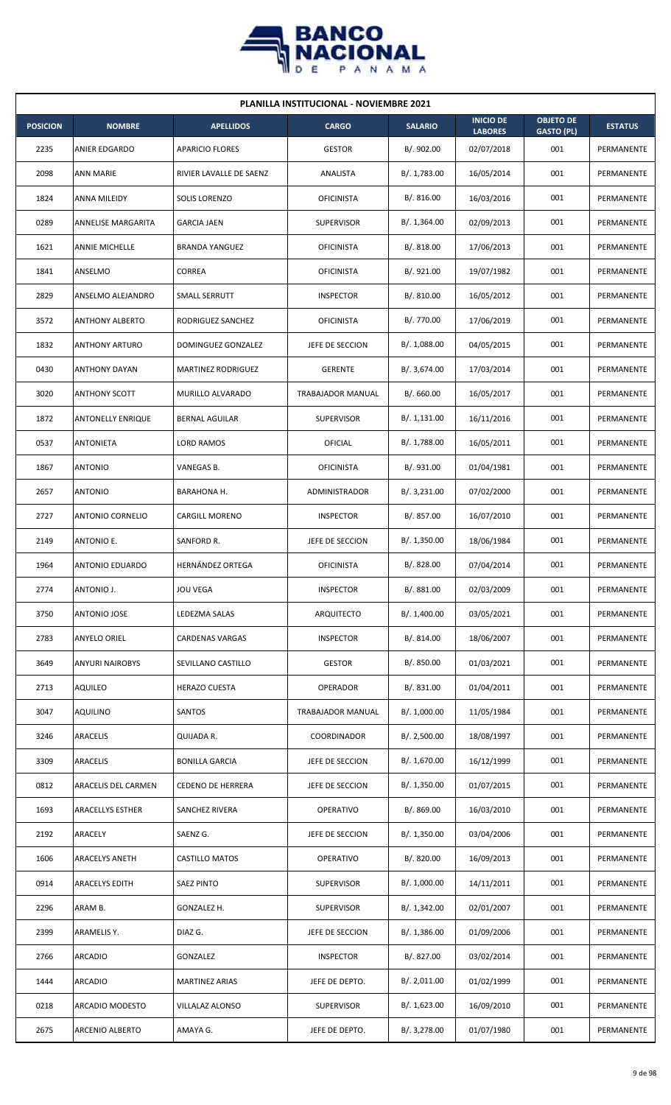

| <b>PLANILLA INSTITUCIONAL - NOVIEMBRE 2021</b> |                           |                           |                   |                |                                    |                                       |                |  |  |  |
|------------------------------------------------|---------------------------|---------------------------|-------------------|----------------|------------------------------------|---------------------------------------|----------------|--|--|--|
| <b>POSICION</b>                                | <b>NOMBRE</b>             | <b>APELLIDOS</b>          | <b>CARGO</b>      | <b>SALARIO</b> | <b>INICIO DE</b><br><b>LABORES</b> | <b>OBJETO DE</b><br><b>GASTO (PL)</b> | <b>ESTATUS</b> |  |  |  |
| 2235                                           | ANIER EDGARDO             | <b>APARICIO FLORES</b>    | <b>GESTOR</b>     | B/. 902.00     | 02/07/2018                         | 001                                   | PERMANENTE     |  |  |  |
| 2098                                           | <b>ANN MARIE</b>          | RIVIER LAVALLE DE SAENZ   | ANALISTA          | B/. 1,783.00   | 16/05/2014                         | 001                                   | PERMANENTE     |  |  |  |
| 1824                                           | ANNA MILEIDY              | SOLIS LORENZO             | <b>OFICINISTA</b> | B/.816.00      | 16/03/2016                         | 001                                   | PERMANENTE     |  |  |  |
| 0289                                           | <b>ANNELISE MARGARITA</b> | <b>GARCIA JAEN</b>        | <b>SUPERVISOR</b> | B/.1,364.00    | 02/09/2013                         | 001                                   | PERMANENTE     |  |  |  |
| 1621                                           | <b>ANNIE MICHELLE</b>     | <b>BRANDA YANGUEZ</b>     | <b>OFICINISTA</b> | B/. 818.00     | 17/06/2013                         | 001                                   | PERMANENTE     |  |  |  |
| 1841                                           | ANSELMO                   | CORREA                    | <b>OFICINISTA</b> | B/. 921.00     | 19/07/1982                         | 001                                   | PERMANENTE     |  |  |  |
| 2829                                           | ANSELMO ALEJANDRO         | SMALL SERRUTT             | <b>INSPECTOR</b>  | B/. 810.00     | 16/05/2012                         | 001                                   | PERMANENTE     |  |  |  |
| 3572                                           | <b>ANTHONY ALBERTO</b>    | RODRIGUEZ SANCHEZ         | <b>OFICINISTA</b> | B/. 770.00     | 17/06/2019                         | 001                                   | PERMANENTE     |  |  |  |
| 1832                                           | <b>ANTHONY ARTURO</b>     | DOMINGUEZ GONZALEZ        | JEFE DE SECCION   | B/. 1,088.00   | 04/05/2015                         | 001                                   | PERMANENTE     |  |  |  |
| 0430                                           | <b>ANTHONY DAYAN</b>      | <b>MARTINEZ RODRIGUEZ</b> | <b>GERENTE</b>    | B/.3,674.00    | 17/03/2014                         | 001                                   | PERMANENTE     |  |  |  |
| 3020                                           | <b>ANTHONY SCOTT</b>      | MURILLO ALVARADO          | TRABAJADOR MANUAL | B/. 660.00     | 16/05/2017                         | 001                                   | PERMANENTE     |  |  |  |
| 1872                                           | <b>ANTONELLY ENRIQUE</b>  | <b>BERNAL AGUILAR</b>     | <b>SUPERVISOR</b> | B/.1,131.00    | 16/11/2016                         | 001                                   | PERMANENTE     |  |  |  |
| 0537                                           | ANTONIETA                 | <b>LORD RAMOS</b>         | <b>OFICIAL</b>    | B/. 1,788.00   | 16/05/2011                         | 001                                   | PERMANENTE     |  |  |  |
| 1867                                           | <b>ANTONIO</b>            | VANEGAS B.                | <b>OFICINISTA</b> | B/. 931.00     | 01/04/1981                         | 001                                   | PERMANENTE     |  |  |  |
| 2657                                           | <b>ANTONIO</b>            | BARAHONA H.               | ADMINISTRADOR     | B/.3,231.00    | 07/02/2000                         | 001                                   | PERMANENTE     |  |  |  |
| 2727                                           | <b>ANTONIO CORNELIO</b>   | <b>CARGILL MORENO</b>     | <b>INSPECTOR</b>  | B/. 857.00     | 16/07/2010                         | 001                                   | PERMANENTE     |  |  |  |
| 2149                                           | ANTONIO E.                | SANFORD R.                | JEFE DE SECCION   | B/. 1,350.00   | 18/06/1984                         | 001                                   | PERMANENTE     |  |  |  |
| 1964                                           | ANTONIO EDUARDO           | <b>HERNÁNDEZ ORTEGA</b>   | <b>OFICINISTA</b> | B/. 828.00     | 07/04/2014                         | 001                                   | PERMANENTE     |  |  |  |
| 2774                                           | ANTONIO J.                | <b>JOU VEGA</b>           | <b>INSPECTOR</b>  | B/. 881.00     | 02/03/2009                         | 001                                   | PERMANENTE     |  |  |  |
| 3750                                           | ANTONIO JOSE              | LEDEZMA SALAS             | ARQUITECTO        | B/. 1,400.00   | 03/05/2021                         | 001                                   | PERMANENTE     |  |  |  |
| 2783                                           | <b>ANYELO ORIEL</b>       | <b>CARDENAS VARGAS</b>    | <b>INSPECTOR</b>  | B/.814.00      | 18/06/2007                         | 001                                   | PERMANENTE     |  |  |  |
| 3649                                           | <b>ANYURI NAIROBYS</b>    | SEVILLANO CASTILLO        | <b>GESTOR</b>     | B/. 850.00     | 01/03/2021                         | 001                                   | PERMANENTE     |  |  |  |
| 2713                                           | <b>AQUILEO</b>            | <b>HERAZO CUESTA</b>      | <b>OPERADOR</b>   | B/. 831.00     | 01/04/2011                         | 001                                   | PERMANENTE     |  |  |  |
| 3047                                           | <b>AQUILINO</b>           | SANTOS                    | TRABAJADOR MANUAL | B/. 1,000.00   | 11/05/1984                         | 001                                   | PERMANENTE     |  |  |  |
| 3246                                           | ARACELIS                  | QUIJADA R.                | COORDINADOR       | B/. 2,500.00   | 18/08/1997                         | 001                                   | PERMANENTE     |  |  |  |
| 3309                                           | <b>ARACELIS</b>           | <b>BONILLA GARCIA</b>     | JEFE DE SECCION   | B/. 1,670.00   | 16/12/1999                         | 001                                   | PERMANENTE     |  |  |  |
| 0812                                           | ARACELIS DEL CARMEN       | <b>CEDENO DE HERRERA</b>  | JEFE DE SECCION   | B/.1,350.00    | 01/07/2015                         | 001                                   | PERMANENTE     |  |  |  |
| 1693                                           | <b>ARACELLYS ESTHER</b>   | <b>SANCHEZ RIVERA</b>     | OPERATIVO         | B/0.869.00     | 16/03/2010                         | 001                                   | PERMANENTE     |  |  |  |
| 2192                                           | ARACELY                   | SAENZ G.                  | JEFE DE SECCION   | B/.1,350.00    | 03/04/2006                         | 001                                   | PERMANENTE     |  |  |  |
| 1606                                           | <b>ARACELYS ANETH</b>     | <b>CASTILLO MATOS</b>     | OPERATIVO         | B/. 820.00     | 16/09/2013                         | 001                                   | PERMANENTE     |  |  |  |
| 0914                                           | ARACELYS EDITH            | <b>SAEZ PINTO</b>         | <b>SUPERVISOR</b> | B/. 1,000.00   | 14/11/2011                         | 001                                   | PERMANENTE     |  |  |  |
| 2296                                           | ARAM B.                   | GONZALEZ H.               | <b>SUPERVISOR</b> | B/. 1,342.00   | 02/01/2007                         | 001                                   | PERMANENTE     |  |  |  |
| 2399                                           | ARAMELIS Y.               | DIAZ G.                   | JEFE DE SECCION   | B/.1,386.00    | 01/09/2006                         | 001                                   | PERMANENTE     |  |  |  |
| 2766                                           | <b>ARCADIO</b>            | GONZALEZ                  | <b>INSPECTOR</b>  | B/. 827.00     | 03/02/2014                         | 001                                   | PERMANENTE     |  |  |  |
| 1444                                           | <b>ARCADIO</b>            | <b>MARTINEZ ARIAS</b>     | JEFE DE DEPTO.    | B/. 2,011.00   | 01/02/1999                         | 001                                   | PERMANENTE     |  |  |  |
| 0218                                           | ARCADIO MODESTO           | VILLALAZ ALONSO           | SUPERVISOR        | B/. 1,623.00   | 16/09/2010                         | 001                                   | PERMANENTE     |  |  |  |
| 2675                                           | ARCENIO ALBERTO           | AMAYA G.                  | JEFE DE DEPTO.    | B/. 3,278.00   | 01/07/1980                         | 001                                   | PERMANENTE     |  |  |  |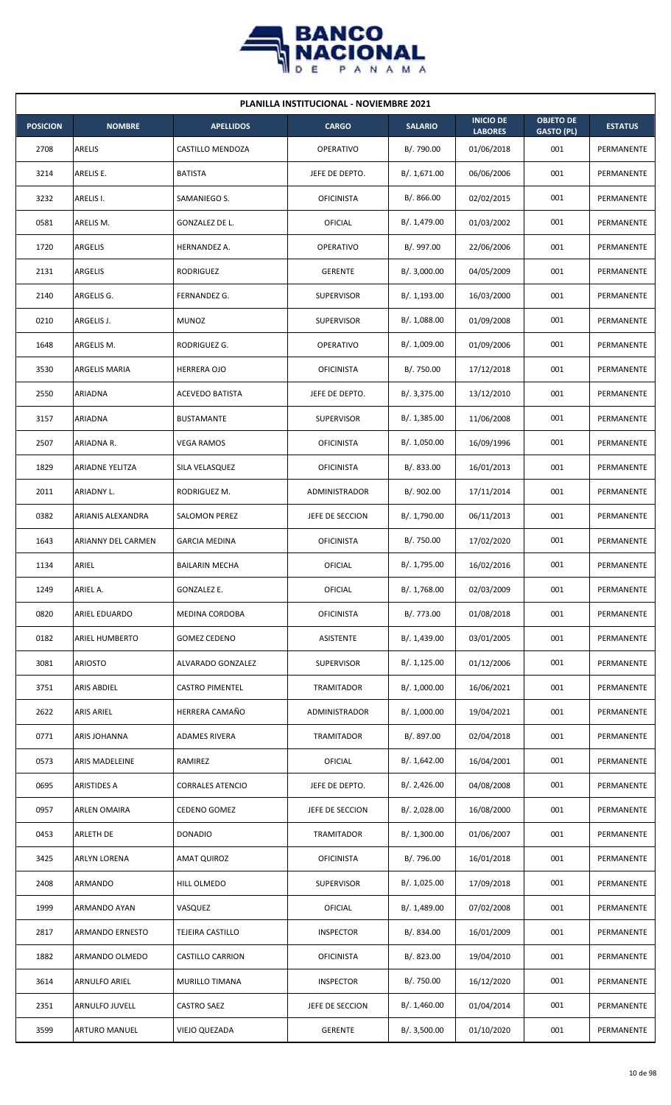

| <b>PLANILLA INSTITUCIONAL - NOVIEMBRE 2021</b> |                        |                         |                      |                |                                    |                                       |                |  |  |  |
|------------------------------------------------|------------------------|-------------------------|----------------------|----------------|------------------------------------|---------------------------------------|----------------|--|--|--|
| <b>POSICION</b>                                | <b>NOMBRE</b>          | <b>APELLIDOS</b>        | <b>CARGO</b>         | <b>SALARIO</b> | <b>INICIO DE</b><br><b>LABORES</b> | <b>OBJETO DE</b><br><b>GASTO (PL)</b> | <b>ESTATUS</b> |  |  |  |
| 2708                                           | ARELIS                 | CASTILLO MENDOZA        | <b>OPERATIVO</b>     | B/. 790.00     | 01/06/2018                         | 001                                   | PERMANENTE     |  |  |  |
| 3214                                           | ARELIS E.              | <b>BATISTA</b>          | JEFE DE DEPTO.       | B/. 1,671.00   | 06/06/2006                         | 001                                   | PERMANENTE     |  |  |  |
| 3232                                           | ARELIS I.              | SAMANIEGO S.            | <b>OFICINISTA</b>    | B/. 866.00     | 02/02/2015                         | 001                                   | PERMANENTE     |  |  |  |
| 0581                                           | ARELIS M.              | GONZALEZ DE L.          | OFICIAL              | B/. 1,479.00   | 01/03/2002                         | 001                                   | PERMANENTE     |  |  |  |
| 1720                                           | <b>ARGELIS</b>         | HERNANDEZ A.            | <b>OPERATIVO</b>     | B/. 997.00     | 22/06/2006                         | 001                                   | PERMANENTE     |  |  |  |
| 2131                                           | <b>ARGELIS</b>         | <b>RODRIGUEZ</b>        | <b>GERENTE</b>       | B/. 3,000.00   | 04/05/2009                         | 001                                   | PERMANENTE     |  |  |  |
| 2140                                           | ARGELIS G.             | FERNANDEZ G.            | <b>SUPERVISOR</b>    | B/. 1,193.00   | 16/03/2000                         | 001                                   | PERMANENTE     |  |  |  |
| 0210                                           | ARGELIS J.             | <b>MUNOZ</b>            | <b>SUPERVISOR</b>    | B/.1,088.00    | 01/09/2008                         | 001                                   | PERMANENTE     |  |  |  |
| 1648                                           | ARGELIS M.             | RODRIGUEZ G.            | <b>OPERATIVO</b>     | B/. 1,009.00   | 01/09/2006                         | 001                                   | PERMANENTE     |  |  |  |
| 3530                                           | ARGELIS MARIA          | <b>HERRERA OJO</b>      | <b>OFICINISTA</b>    | B/. 750.00     | 17/12/2018                         | 001                                   | PERMANENTE     |  |  |  |
| 2550                                           | ARIADNA                | <b>ACEVEDO BATISTA</b>  | JEFE DE DEPTO.       | B/. 3,375.00   | 13/12/2010                         | 001                                   | PERMANENTE     |  |  |  |
| 3157                                           | ARIADNA                | <b>BUSTAMANTE</b>       | <b>SUPERVISOR</b>    | B/. 1,385.00   | 11/06/2008                         | 001                                   | PERMANENTE     |  |  |  |
| 2507                                           | ARIADNA R.             | <b>VEGA RAMOS</b>       | <b>OFICINISTA</b>    | B/. 1,050.00   | 16/09/1996                         | 001                                   | PERMANENTE     |  |  |  |
| 1829                                           | <b>ARIADNE YELITZA</b> | SILA VELASQUEZ          | <b>OFICINISTA</b>    | B/. 833.00     | 16/01/2013                         | 001                                   | PERMANENTE     |  |  |  |
| 2011                                           | ARIADNY L.             | RODRIGUEZ M.            | <b>ADMINISTRADOR</b> | B/.902.00      | 17/11/2014                         | 001                                   | PERMANENTE     |  |  |  |
| 0382                                           | ARIANIS ALEXANDRA      | SALOMON PEREZ           | JEFE DE SECCION      | B/. 1,790.00   | 06/11/2013                         | 001                                   | PERMANENTE     |  |  |  |
| 1643                                           | ARIANNY DEL CARMEN     | <b>GARCIA MEDINA</b>    | <b>OFICINISTA</b>    | B/. 750.00     | 17/02/2020                         | 001                                   | PERMANENTE     |  |  |  |
| 1134                                           | ARIEL                  | <b>BAILARIN MECHA</b>   | OFICIAL              | B/. 1,795.00   | 16/02/2016                         | 001                                   | PERMANENTE     |  |  |  |
| 1249                                           | ARIEL A.               | GONZALEZ E.             | OFICIAL              | B/. 1,768.00   | 02/03/2009                         | 001                                   | PERMANENTE     |  |  |  |
| 0820                                           | ARIEL EDUARDO          | MEDINA CORDOBA          | <b>OFICINISTA</b>    | B/. 773.00     | 01/08/2018                         | 001                                   | PERMANENTE     |  |  |  |
| 0182                                           | ARIEL HUMBERTO         | <b>GOMEZ CEDENO</b>     | ASISTENTE            | B/. 1,439.00   | 03/01/2005                         | 001                                   | PERMANENTE     |  |  |  |
| 3081                                           | <b>ARIOSTO</b>         | ALVARADO GONZALEZ       | SUPERVISOR           | B/.1,125.00    | 01/12/2006                         | 001                                   | PERMANENTE     |  |  |  |
| 3751                                           | <b>ARIS ABDIEL</b>     | <b>CASTRO PIMENTEL</b>  | TRAMITADOR           | B/. 1,000.00   | 16/06/2021                         | 001                                   | PERMANENTE     |  |  |  |
| 2622                                           | ARIS ARIEL             | HERRERA CAMAÑO          | ADMINISTRADOR        | B/. 1,000.00   | 19/04/2021                         | 001                                   | PERMANENTE     |  |  |  |
| 0771                                           | <b>ARIS JOHANNA</b>    | ADAMES RIVERA           | TRAMITADOR           | B/. 897.00     | 02/04/2018                         | 001                                   | PERMANENTE     |  |  |  |
| 0573                                           | ARIS MADELEINE         | RAMIREZ                 | OFICIAL              | B/. 1,642.00   | 16/04/2001                         | 001                                   | PERMANENTE     |  |  |  |
| 0695                                           | ARISTIDES A            | <b>CORRALES ATENCIO</b> | JEFE DE DEPTO.       | B/.2,426.00    | 04/08/2008                         | 001                                   | PERMANENTE     |  |  |  |
| 0957                                           | <b>ARLEN OMAIRA</b>    | CEDENO GOMEZ            | JEFE DE SECCION      | B/. 2,028.00   | 16/08/2000                         | 001                                   | PERMANENTE     |  |  |  |
| 0453                                           | ARLETH DE              | <b>DONADIO</b>          | TRAMITADOR           | B/. 1,300.00   | 01/06/2007                         | 001                                   | PERMANENTE     |  |  |  |
| 3425                                           | ARLYN LORENA           | AMAT QUIROZ             | <b>OFICINISTA</b>    | B/. 796.00     | 16/01/2018                         | 001                                   | PERMANENTE     |  |  |  |
| 2408                                           | ARMANDO                | HILL OLMEDO             | <b>SUPERVISOR</b>    | B/. 1,025.00   | 17/09/2018                         | 001                                   | PERMANENTE     |  |  |  |
| 1999                                           | ARMANDO AYAN           | VASQUEZ                 | OFICIAL              | B/. 1,489.00   | 07/02/2008                         | 001                                   | PERMANENTE     |  |  |  |
| 2817                                           | ARMANDO ERNESTO        | TEJEIRA CASTILLO        | <b>INSPECTOR</b>     | B/. 834.00     | 16/01/2009                         | 001                                   | PERMANENTE     |  |  |  |
| 1882                                           | ARMANDO OLMEDO         | <b>CASTILLO CARRION</b> | <b>OFICINISTA</b>    | B/0.823.00     | 19/04/2010                         | 001                                   | PERMANENTE     |  |  |  |
| 3614                                           | ARNULFO ARIEL          | MURILLO TIMANA          | <b>INSPECTOR</b>     | B/. 750.00     | 16/12/2020                         | 001                                   | PERMANENTE     |  |  |  |
| 2351                                           | <b>ARNULFO JUVELL</b>  | CASTRO SAEZ             | JEFE DE SECCION      | B/.1,460.00    | 01/04/2014                         | 001                                   | PERMANENTE     |  |  |  |
| 3599                                           | <b>ARTURO MANUEL</b>   | VIEJO QUEZADA           | <b>GERENTE</b>       | B/. 3,500.00   | 01/10/2020                         | 001                                   | PERMANENTE     |  |  |  |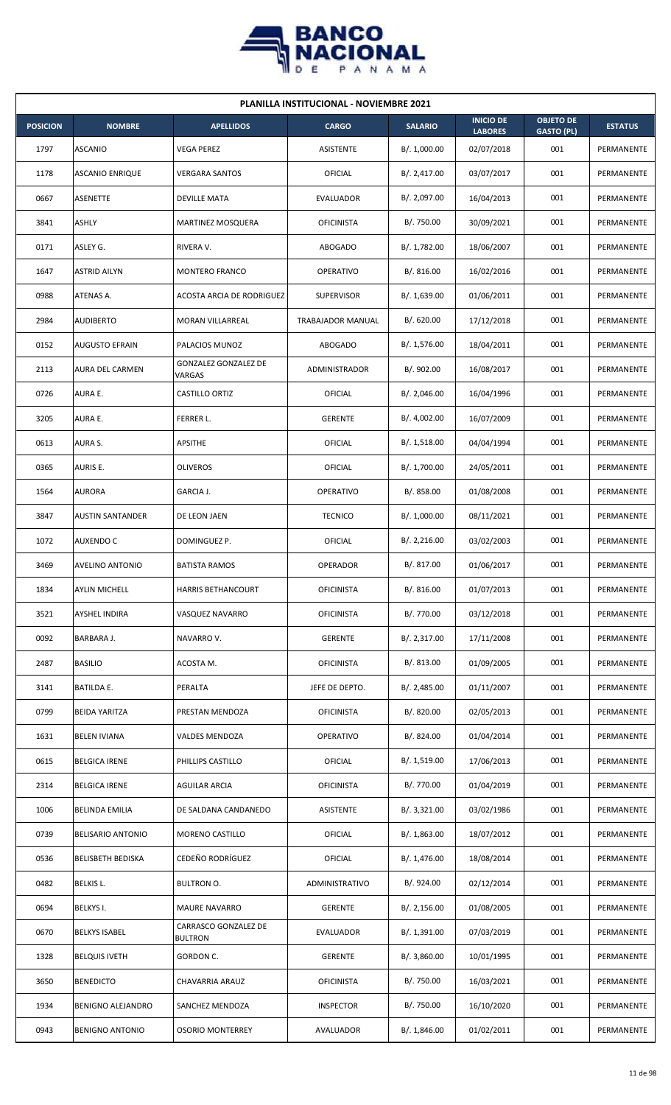

| <b>PLANILLA INSTITUCIONAL - NOVIEMBRE 2021</b> |                          |                                        |                          |                |                                    |                                       |                |  |  |  |
|------------------------------------------------|--------------------------|----------------------------------------|--------------------------|----------------|------------------------------------|---------------------------------------|----------------|--|--|--|
| <b>POSICION</b>                                | <b>NOMBRE</b>            | <b>APELLIDOS</b>                       | <b>CARGO</b>             | <b>SALARIO</b> | <b>INICIO DE</b><br><b>LABORES</b> | <b>OBJETO DE</b><br><b>GASTO (PL)</b> | <b>ESTATUS</b> |  |  |  |
| 1797                                           | <b>ASCANIO</b>           | VEGA PEREZ                             | <b>ASISTENTE</b>         | B/. 1,000.00   | 02/07/2018                         | 001                                   | PERMANENTE     |  |  |  |
| 1178                                           | <b>ASCANIO ENRIQUE</b>   | <b>VERGARA SANTOS</b>                  | OFICIAL                  | B/. 2,417.00   | 03/07/2017                         | 001                                   | PERMANENTE     |  |  |  |
| 0667                                           | ASENETTE                 | DEVILLE MATA                           | EVALUADOR                | B/. 2,097.00   | 16/04/2013                         | 001                                   | PERMANENTE     |  |  |  |
| 3841                                           | <b>ASHLY</b>             | <b>MARTINEZ MOSQUERA</b>               | <b>OFICINISTA</b>        | B/. 750.00     | 30/09/2021                         | 001                                   | PERMANENTE     |  |  |  |
| 0171                                           | ASLEY G.                 | RIVERA V.                              | <b>ABOGADO</b>           | B/. 1,782.00   | 18/06/2007                         | 001                                   | PERMANENTE     |  |  |  |
| 1647                                           | <b>ASTRID AILYN</b>      | MONTERO FRANCO                         | <b>OPERATIVO</b>         | B/.816.00      | 16/02/2016                         | 001                                   | PERMANENTE     |  |  |  |
| 0988                                           | ATENAS A.                | ACOSTA ARCIA DE RODRIGUEZ              | <b>SUPERVISOR</b>        | B/. 1,639.00   | 01/06/2011                         | 001                                   | PERMANENTE     |  |  |  |
| 2984                                           | <b>AUDIBERTO</b>         | <b>MORAN VILLARREAL</b>                | <b>TRABAJADOR MANUAL</b> | B/0.620.00     | 17/12/2018                         | 001                                   | PERMANENTE     |  |  |  |
| 0152                                           | <b>AUGUSTO EFRAIN</b>    | PALACIOS MUNOZ                         | ABOGADO                  | B/.1,576.00    | 18/04/2011                         | 001                                   | PERMANENTE     |  |  |  |
| 2113                                           | <b>AURA DEL CARMEN</b>   | GONZALEZ GONZALEZ DE<br>VARGAS         | ADMINISTRADOR            | B/.902.00      | 16/08/2017                         | 001                                   | PERMANENTE     |  |  |  |
| 0726                                           | AURA E.                  | CASTILLO ORTIZ                         | <b>OFICIAL</b>           | B/.2,046.00    | 16/04/1996                         | 001                                   | PERMANENTE     |  |  |  |
| 3205                                           | AURA E.                  | FERRER L.                              | <b>GERENTE</b>           | B/. 4,002.00   | 16/07/2009                         | 001                                   | PERMANENTE     |  |  |  |
| 0613                                           | AURA S.                  | APSITHE                                | <b>OFICIAL</b>           | B/.1,518.00    | 04/04/1994                         | 001                                   | PERMANENTE     |  |  |  |
| 0365                                           | <b>AURIS E.</b>          | <b>OLIVEROS</b>                        | OFICIAL                  | B/. 1,700.00   | 24/05/2011                         | 001                                   | PERMANENTE     |  |  |  |
| 1564                                           | <b>AURORA</b>            | GARCIA J.                              | <b>OPERATIVO</b>         | B/0.858.00     | 01/08/2008                         | 001                                   | PERMANENTE     |  |  |  |
| 3847                                           | <b>AUSTIN SANTANDER</b>  | DE LEON JAEN                           | <b>TECNICO</b>           | B/. 1,000.00   | 08/11/2021                         | 001                                   | PERMANENTE     |  |  |  |
| 1072                                           | <b>AUXENDO C</b>         | DOMINGUEZ P.                           | <b>OFICIAL</b>           | B/.2,216.00    | 03/02/2003                         | 001                                   | PERMANENTE     |  |  |  |
| 3469                                           | <b>AVELINO ANTONIO</b>   | <b>BATISTA RAMOS</b>                   | <b>OPERADOR</b>          | B/. 817.00     | 01/06/2017                         | 001                                   | PERMANENTE     |  |  |  |
| 1834                                           | <b>AYLIN MICHELL</b>     | <b>HARRIS BETHANCOURT</b>              | <b>OFICINISTA</b>        | B/. 816.00     | 01/07/2013                         | 001                                   | PERMANENTE     |  |  |  |
| 3521                                           | AYSHEL INDIRA            | VASQUEZ NAVARRO                        | <b>OFICINISTA</b>        | B/. 770.00     | 03/12/2018                         | 001                                   | PERMANENTE     |  |  |  |
| 0092                                           | BARBARA J.               | NAVARRO V.                             | <b>GERENTE</b>           | B/.2,317.00    | 17/11/2008                         | 001                                   | PERMANENTE     |  |  |  |
| 2487                                           | <b>BASILIO</b>           | ACOSTA M.                              | <b>OFICINISTA</b>        | B/. 813.00     | 01/09/2005                         | 001                                   | PERMANENTE     |  |  |  |
| 3141                                           | <b>BATILDA E.</b>        | PERALTA                                | JEFE DE DEPTO.           | B/. 2,485.00   | 01/11/2007                         | 001                                   | PERMANENTE     |  |  |  |
| 0799                                           | <b>BEIDA YARITZA</b>     | PRESTAN MENDOZA                        | <b>OFICINISTA</b>        | B/. 820.00     | 02/05/2013                         | 001                                   | PERMANENTE     |  |  |  |
| 1631                                           | <b>BELEN IVIANA</b>      | VALDES MENDOZA                         | <b>OPERATIVO</b>         | B/. 824.00     | 01/04/2014                         | 001                                   | PERMANENTE     |  |  |  |
| 0615                                           | <b>BELGICA IRENE</b>     | PHILLIPS CASTILLO                      | OFICIAL                  | B/.1,519.00    | 17/06/2013                         | 001                                   | PERMANENTE     |  |  |  |
| 2314                                           | <b>BELGICA IRENE</b>     | AGUILAR ARCIA                          | <b>OFICINISTA</b>        | B/. 770.00     | 01/04/2019                         | 001                                   | PERMANENTE     |  |  |  |
| 1006                                           | <b>BELINDA EMILIA</b>    | DE SALDANA CANDANEDO                   | ASISTENTE                | B/.3,321.00    | 03/02/1986                         | 001                                   | PERMANENTE     |  |  |  |
| 0739                                           | <b>BELISARIO ANTONIO</b> | MORENO CASTILLO                        | OFICIAL                  | B/. 1,863.00   | 18/07/2012                         | 001                                   | PERMANENTE     |  |  |  |
| 0536                                           | <b>BELISBETH BEDISKA</b> | CEDEÑO RODRÍGUEZ                       | OFICIAL                  | B/. 1,476.00   | 18/08/2014                         | 001                                   | PERMANENTE     |  |  |  |
| 0482                                           | <b>BELKIS L.</b>         | <b>BULTRON O.</b>                      | ADMINISTRATIVO           | B/. 924.00     | 02/12/2014                         | 001                                   | PERMANENTE     |  |  |  |
| 0694                                           | <b>BELKYSI.</b>          | <b>MAURE NAVARRO</b>                   | <b>GERENTE</b>           | B/.2,156.00    | 01/08/2005                         | 001                                   | PERMANENTE     |  |  |  |
| 0670                                           | <b>BELKYS ISABEL</b>     | CARRASCO GONZALEZ DE<br><b>BULTRON</b> | EVALUADOR                | B/.1,391.00    | 07/03/2019                         | 001                                   | PERMANENTE     |  |  |  |
| 1328                                           | <b>BELQUIS IVETH</b>     | GORDON C.                              | <b>GERENTE</b>           | B/. 3,860.00   | 10/01/1995                         | 001                                   | PERMANENTE     |  |  |  |
| 3650                                           | <b>BENEDICTO</b>         | CHAVARRIA ARAUZ                        | <b>OFICINISTA</b>        | B/. 750.00     | 16/03/2021                         | 001                                   | PERMANENTE     |  |  |  |
| 1934                                           | <b>BENIGNO ALEJANDRO</b> | SANCHEZ MENDOZA                        | <b>INSPECTOR</b>         | B/. 750.00     | 16/10/2020                         | 001                                   | PERMANENTE     |  |  |  |
| 0943                                           | <b>BENIGNO ANTONIO</b>   | <b>OSORIO MONTERREY</b>                | AVALUADOR                | B/. 1,846.00   | 01/02/2011                         | 001                                   | PERMANENTE     |  |  |  |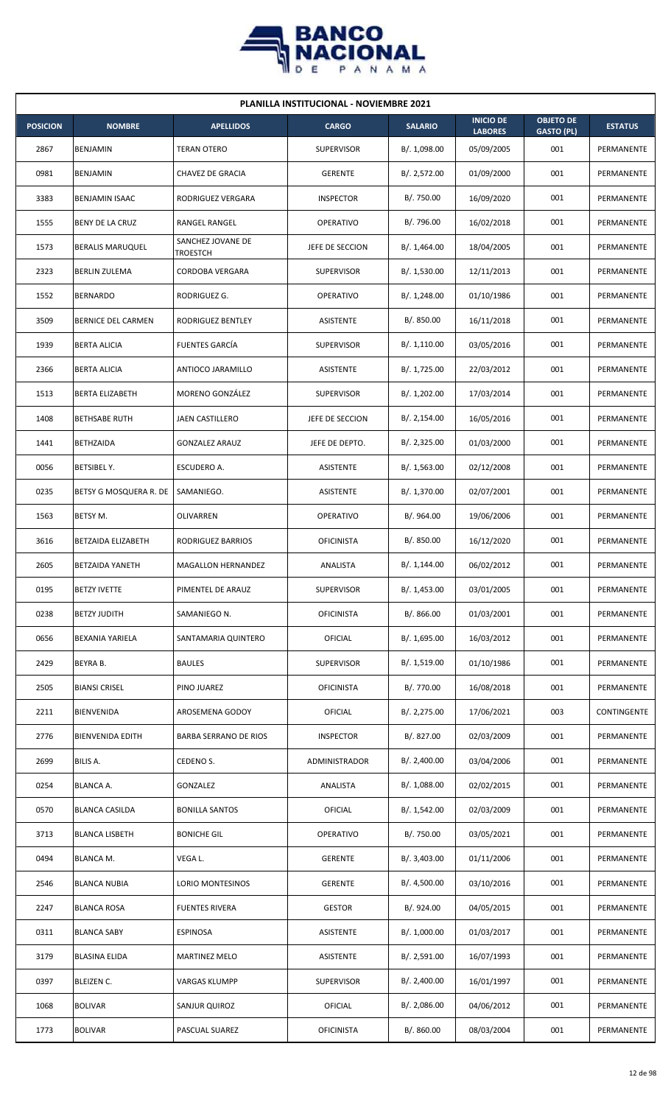

| <b>PLANILLA INSTITUCIONAL - NOVIEMBRE 2021</b> |                         |                               |                   |                |                                    |                                       |                |  |  |  |
|------------------------------------------------|-------------------------|-------------------------------|-------------------|----------------|------------------------------------|---------------------------------------|----------------|--|--|--|
| <b>POSICION</b>                                | <b>NOMBRE</b>           | <b>APELLIDOS</b>              | <b>CARGO</b>      | <b>SALARIO</b> | <b>INICIO DE</b><br><b>LABORES</b> | <b>OBJETO DE</b><br><b>GASTO (PL)</b> | <b>ESTATUS</b> |  |  |  |
| 2867                                           | BENJAMIN                | <b>TERAN OTERO</b>            | <b>SUPERVISOR</b> | B/. 1,098.00   | 05/09/2005                         | 001                                   | PERMANENTE     |  |  |  |
| 0981                                           | BENJAMIN                | CHAVEZ DE GRACIA              | <b>GERENTE</b>    | B/.2,572.00    | 01/09/2000                         | 001                                   | PERMANENTE     |  |  |  |
| 3383                                           | <b>BENJAMIN ISAAC</b>   | RODRIGUEZ VERGARA             | <b>INSPECTOR</b>  | B/. 750.00     | 16/09/2020                         | 001                                   | PERMANENTE     |  |  |  |
| 1555                                           | <b>BENY DE LA CRUZ</b>  | RANGEL RANGEL                 | <b>OPERATIVO</b>  | B/. 796.00     | 16/02/2018                         | 001                                   | PERMANENTE     |  |  |  |
| 1573                                           | <b>BERALIS MARUQUEL</b> | SANCHEZ JOVANE DE<br>TROESTCH | JEFE DE SECCION   | B/. 1,464.00   | 18/04/2005                         | 001                                   | PERMANENTE     |  |  |  |
| 2323                                           | <b>BERLIN ZULEMA</b>    | CORDOBA VERGARA               | <b>SUPERVISOR</b> | B/. 1,530.00   | 12/11/2013                         | 001                                   | PERMANENTE     |  |  |  |
| 1552                                           | <b>BERNARDO</b>         | RODRIGUEZ G.                  | <b>OPERATIVO</b>  | B/.1,248.00    | 01/10/1986                         | 001                                   | PERMANENTE     |  |  |  |
| 3509                                           | BERNICE DEL CARMEN      | RODRIGUEZ BENTLEY             | ASISTENTE         | B/.850.00      | 16/11/2018                         | 001                                   | PERMANENTE     |  |  |  |
| 1939                                           | <b>BERTA ALICIA</b>     | <b>FUENTES GARCIA</b>         | <b>SUPERVISOR</b> | B/.1,110.00    | 03/05/2016                         | 001                                   | PERMANENTE     |  |  |  |
| 2366                                           | <b>BERTA ALICIA</b>     | ANTIOCO JARAMILLO             | ASISTENTE         | B/. 1,725.00   | 22/03/2012                         | 001                                   | PERMANENTE     |  |  |  |
| 1513                                           | <b>BERTA ELIZABETH</b>  | MORENO GONZÁLEZ               | <b>SUPERVISOR</b> | B/. 1,202.00   | 17/03/2014                         | 001                                   | PERMANENTE     |  |  |  |
| 1408                                           | <b>BETHSABE RUTH</b>    | <b>JAEN CASTILLERO</b>        | JEFE DE SECCION   | B/.2,154.00    | 16/05/2016                         | 001                                   | PERMANENTE     |  |  |  |
| 1441                                           | <b>BETHZAIDA</b>        | <b>GONZALEZ ARAUZ</b>         | JEFE DE DEPTO.    | B/.2,325.00    | 01/03/2000                         | 001                                   | PERMANENTE     |  |  |  |
| 0056                                           | <b>BETSIBEL Y.</b>      | ESCUDERO A.                   | <b>ASISTENTE</b>  | B/. 1,563.00   | 02/12/2008                         | 001                                   | PERMANENTE     |  |  |  |
| 0235                                           | BETSY G MOSQUERA R. DE  | SAMANIEGO.                    | <b>ASISTENTE</b>  | B/. 1,370.00   | 02/07/2001                         | 001                                   | PERMANENTE     |  |  |  |
| 1563                                           | BETSY M.                | OLIVARREN                     | <b>OPERATIVO</b>  | B/. 964.00     | 19/06/2006                         | 001                                   | PERMANENTE     |  |  |  |
| 3616                                           | BETZAIDA ELIZABETH      | RODRIGUEZ BARRIOS             | <b>OFICINISTA</b> | B/. 850.00     | 16/12/2020                         | 001                                   | PERMANENTE     |  |  |  |
| 2605                                           | BETZAIDA YANETH         | MAGALLON HERNANDEZ            | ANALISTA          | B/.1,144.00    | 06/02/2012                         | 001                                   | PERMANENTE     |  |  |  |
| 0195                                           | <b>BETZY IVETTE</b>     | PIMENTEL DE ARAUZ             | SUPERVISOR        | B/. 1,453.00   | 03/01/2005                         | 001                                   | PERMANENTE     |  |  |  |
| 0238                                           | <b>BETZY JUDITH</b>     | SAMANIEGO N.                  | <b>OFICINISTA</b> | B/. 866.00     | 01/03/2001                         | 001                                   | PERMANENTE     |  |  |  |
| 0656                                           | <b>BEXANIA YARIELA</b>  | SANTAMARIA QUINTERO           | <b>OFICIAL</b>    | B/. 1,695.00   | 16/03/2012                         | 001                                   | PERMANENTE     |  |  |  |
| 2429                                           | BEYRA B.                | <b>BAULES</b>                 | <b>SUPERVISOR</b> | B/. 1,519.00   | 01/10/1986                         | 001                                   | PERMANENTE     |  |  |  |
| 2505                                           | <b>BIANSI CRISEL</b>    | PINO JUAREZ                   | <b>OFICINISTA</b> | B/. 770.00     | 16/08/2018                         | 001                                   | PERMANENTE     |  |  |  |
| 2211                                           | <b>BIENVENIDA</b>       | AROSEMENA GODOY               | OFICIAL           | B/.2,275.00    | 17/06/2021                         | 003                                   | CONTINGENTE    |  |  |  |
| 2776                                           | <b>BIENVENIDA EDITH</b> | <b>BARBA SERRANO DE RIOS</b>  | <b>INSPECTOR</b>  | B/. 827.00     | 02/03/2009                         | 001                                   | PERMANENTE     |  |  |  |
| 2699                                           | BILIS A.                | CEDENO S.                     | ADMINISTRADOR     | B/.2,400.00    | 03/04/2006                         | 001                                   | PERMANENTE     |  |  |  |
| 0254                                           | <b>BLANCA A.</b>        | GONZALEZ                      | ANALISTA          | B/. 1,088.00   | 02/02/2015                         | 001                                   | PERMANENTE     |  |  |  |
| 0570                                           | <b>BLANCA CASILDA</b>   | <b>BONILLA SANTOS</b>         | <b>OFICIAL</b>    | B/. 1,542.00   | 02/03/2009                         | 001                                   | PERMANENTE     |  |  |  |
| 3713                                           | <b>BLANCA LISBETH</b>   | <b>BONICHE GIL</b>            | OPERATIVO         | B/. 750.00     | 03/05/2021                         | 001                                   | PERMANENTE     |  |  |  |
| 0494                                           | <b>BLANCA M.</b>        | VEGA L.                       | <b>GERENTE</b>    | B/. 3,403.00   | 01/11/2006                         | 001                                   | PERMANENTE     |  |  |  |
| 2546                                           | <b>BLANCA NUBIA</b>     | LORIO MONTESINOS              | <b>GERENTE</b>    | B/.4,500.00    | 03/10/2016                         | 001                                   | PERMANENTE     |  |  |  |
| 2247                                           | <b>BLANCA ROSA</b>      | <b>FUENTES RIVERA</b>         | <b>GESTOR</b>     | B/. 924.00     | 04/05/2015                         | 001                                   | PERMANENTE     |  |  |  |
| 0311                                           | <b>BLANCA SABY</b>      | <b>ESPINOSA</b>               | ASISTENTE         | B/. 1,000.00   | 01/03/2017                         | 001                                   | PERMANENTE     |  |  |  |
| 3179                                           | <b>BLASINA ELIDA</b>    | <b>MARTINEZ MELO</b>          | ASISTENTE         | B/.2,591.00    | 16/07/1993                         | 001                                   | PERMANENTE     |  |  |  |
| 0397                                           | BLEIZEN C.              | VARGAS KLUMPP                 | <b>SUPERVISOR</b> | B/.2,400.00    | 16/01/1997                         | 001                                   | PERMANENTE     |  |  |  |
| 1068                                           | <b>BOLIVAR</b>          | SANJUR QUIROZ                 | <b>OFICIAL</b>    | B/.2,086.00    | 04/06/2012                         | 001                                   | PERMANENTE     |  |  |  |
| 1773                                           | <b>BOLIVAR</b>          | PASCUAL SUAREZ                | <b>OFICINISTA</b> | B/. 860.00     | 08/03/2004                         | 001                                   | PERMANENTE     |  |  |  |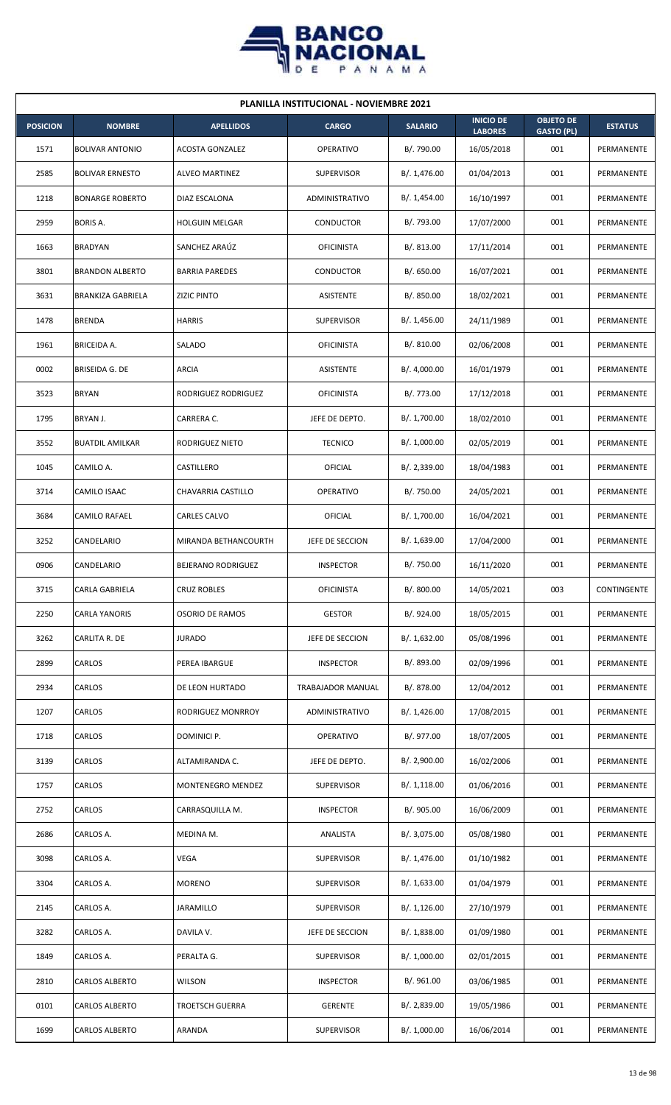

| <b>PLANILLA INSTITUCIONAL - NOVIEMBRE 2021</b> |                          |                           |                   |                |                                    |                                       |                |  |  |  |
|------------------------------------------------|--------------------------|---------------------------|-------------------|----------------|------------------------------------|---------------------------------------|----------------|--|--|--|
| <b>POSICION</b>                                | <b>NOMBRE</b>            | <b>APELLIDOS</b>          | <b>CARGO</b>      | <b>SALARIO</b> | <b>INICIO DE</b><br><b>LABORES</b> | <b>OBJETO DE</b><br><b>GASTO (PL)</b> | <b>ESTATUS</b> |  |  |  |
| 1571                                           | <b>BOLIVAR ANTONIO</b>   | <b>ACOSTA GONZALEZ</b>    | <b>OPERATIVO</b>  | B/. 790.00     | 16/05/2018                         | 001                                   | PERMANENTE     |  |  |  |
| 2585                                           | <b>BOLIVAR ERNESTO</b>   | <b>ALVEO MARTINEZ</b>     | <b>SUPERVISOR</b> | B/. 1,476.00   | 01/04/2013                         | 001                                   | PERMANENTE     |  |  |  |
| 1218                                           | <b>BONARGE ROBERTO</b>   | DIAZ ESCALONA             | ADMINISTRATIVO    | B/.1,454.00    | 16/10/1997                         | 001                                   | PERMANENTE     |  |  |  |
| 2959                                           | <b>BORIS A.</b>          | <b>HOLGUIN MELGAR</b>     | CONDUCTOR         | B/. 793.00     | 17/07/2000                         | 001                                   | PERMANENTE     |  |  |  |
| 1663                                           | <b>BRADYAN</b>           | SANCHEZ ARAÚZ             | <b>OFICINISTA</b> | B/0.813.00     | 17/11/2014                         | 001                                   | PERMANENTE     |  |  |  |
| 3801                                           | <b>BRANDON ALBERTO</b>   | <b>BARRIA PAREDES</b>     | CONDUCTOR         | B/0.650.00     | 16/07/2021                         | 001                                   | PERMANENTE     |  |  |  |
| 3631                                           | <b>BRANKIZA GABRIELA</b> | <b>ZIZIC PINTO</b>        | ASISTENTE         | B/. 850.00     | 18/02/2021                         | 001                                   | PERMANENTE     |  |  |  |
| 1478                                           | <b>BRENDA</b>            | <b>HARRIS</b>             | <b>SUPERVISOR</b> | B/. 1,456.00   | 24/11/1989                         | 001                                   | PERMANENTE     |  |  |  |
| 1961                                           | <b>BRICEIDA A.</b>       | SALADO                    | <b>OFICINISTA</b> | B/. 810.00     | 02/06/2008                         | 001                                   | PERMANENTE     |  |  |  |
| 0002                                           | <b>BRISEIDA G. DE</b>    | <b>ARCIA</b>              | ASISTENTE         | B/. 4,000.00   | 16/01/1979                         | 001                                   | PERMANENTE     |  |  |  |
| 3523                                           | <b>BRYAN</b>             | RODRIGUEZ RODRIGUEZ       | <b>OFICINISTA</b> | B/. 773.00     | 17/12/2018                         | 001                                   | PERMANENTE     |  |  |  |
| 1795                                           | BRYAN J.                 | CARRERA C.                | JEFE DE DEPTO.    | B/. 1,700.00   | 18/02/2010                         | 001                                   | PERMANENTE     |  |  |  |
| 3552                                           | <b>BUATDIL AMILKAR</b>   | RODRIGUEZ NIETO           | <b>TECNICO</b>    | B/. 1,000.00   | 02/05/2019                         | 001                                   | PERMANENTE     |  |  |  |
| 1045                                           | CAMILO A.                | CASTILLERO                | OFICIAL           | B/.2,339.00    | 18/04/1983                         | 001                                   | PERMANENTE     |  |  |  |
| 3714                                           | CAMILO ISAAC             | CHAVARRIA CASTILLO        | <b>OPERATIVO</b>  | B/. 750.00     | 24/05/2021                         | 001                                   | PERMANENTE     |  |  |  |
| 3684                                           | CAMILO RAFAEL            | CARLES CALVO              | OFICIAL           | B/. 1,700.00   | 16/04/2021                         | 001                                   | PERMANENTE     |  |  |  |
| 3252                                           | CANDELARIO               | MIRANDA BETHANCOURTH      | JEFE DE SECCION   | B/. 1,639.00   | 17/04/2000                         | 001                                   | PERMANENTE     |  |  |  |
| 0906                                           | CANDELARIO               | <b>BEJERANO RODRIGUEZ</b> | <b>INSPECTOR</b>  | B/. 750.00     | 16/11/2020                         | 001                                   | PERMANENTE     |  |  |  |
| 3715                                           | CARLA GABRIELA           | <b>CRUZ ROBLES</b>        | <b>OFICINISTA</b> | B/.800.00      | 14/05/2021                         | 003                                   | CONTINGENTE    |  |  |  |
| 2250                                           | CARLA YANORIS            | <b>OSORIO DE RAMOS</b>    | <b>GESTOR</b>     | B/. 924.00     | 18/05/2015                         | 001                                   | PERMANENTE     |  |  |  |
| 3262                                           | CARLITA R. DE            | <b>JURADO</b>             | JEFE DE SECCION   | B/. 1,632.00   | 05/08/1996                         | 001                                   | PERMANENTE     |  |  |  |
| 2899                                           | CARLOS                   | PEREA IBARGUE             | <b>INSPECTOR</b>  | B/. 893.00     | 02/09/1996                         | 001                                   | PERMANENTE     |  |  |  |
| 2934                                           | CARLOS                   | DE LEON HURTADO           | TRABAJADOR MANUAL | B/. 878.00     | 12/04/2012                         | 001                                   | PERMANENTE     |  |  |  |
| 1207                                           | CARLOS                   | RODRIGUEZ MONRROY         | ADMINISTRATIVO    | B/. 1,426.00   | 17/08/2015                         | 001                                   | PERMANENTE     |  |  |  |
| 1718                                           | CARLOS                   | DOMINICI P.               | <b>OPERATIVO</b>  | B/. 977.00     | 18/07/2005                         | 001                                   | PERMANENTE     |  |  |  |
| 3139                                           | CARLOS                   | ALTAMIRANDA C.            | JEFE DE DEPTO.    | B/. 2,900.00   | 16/02/2006                         | 001                                   | PERMANENTE     |  |  |  |
| 1757                                           | CARLOS                   | MONTENEGRO MENDEZ         | <b>SUPERVISOR</b> | B/.1,118.00    | 01/06/2016                         | 001                                   | PERMANENTE     |  |  |  |
| 2752                                           | CARLOS                   | CARRASQUILLA M.           | <b>INSPECTOR</b>  | B/. 905.00     | 16/06/2009                         | 001                                   | PERMANENTE     |  |  |  |
| 2686                                           | CARLOS A.                | MEDINA M.                 | ANALISTA          | B/. 3,075.00   | 05/08/1980                         | 001                                   | PERMANENTE     |  |  |  |
| 3098                                           | CARLOS A.                | VEGA                      | <b>SUPERVISOR</b> | B/. 1,476.00   | 01/10/1982                         | 001                                   | PERMANENTE     |  |  |  |
| 3304                                           | CARLOS A.                | <b>MORENO</b>             | <b>SUPERVISOR</b> | B/. 1,633.00   | 01/04/1979                         | 001                                   | PERMANENTE     |  |  |  |
| 2145                                           | CARLOS A.                | JARAMILLO                 | <b>SUPERVISOR</b> | B/. 1,126.00   | 27/10/1979                         | 001                                   | PERMANENTE     |  |  |  |
| 3282                                           | CARLOS A.                | DAVILA V.                 | JEFE DE SECCION   | B/.1,838.00    | 01/09/1980                         | 001                                   | PERMANENTE     |  |  |  |
| 1849                                           | CARLOS A.                | PERALTA G.                | <b>SUPERVISOR</b> | B/. 1,000.00   | 02/01/2015                         | 001                                   | PERMANENTE     |  |  |  |
| 2810                                           | CARLOS ALBERTO           | <b>WILSON</b>             | <b>INSPECTOR</b>  | B/. 961.00     | 03/06/1985                         | 001                                   | PERMANENTE     |  |  |  |
| 0101                                           | CARLOS ALBERTO           | <b>TROETSCH GUERRA</b>    | <b>GERENTE</b>    | B/. 2,839.00   | 19/05/1986                         | 001                                   | PERMANENTE     |  |  |  |
| 1699                                           | <b>CARLOS ALBERTO</b>    | ARANDA                    | <b>SUPERVISOR</b> | B/. 1,000.00   | 16/06/2014                         | 001                                   | PERMANENTE     |  |  |  |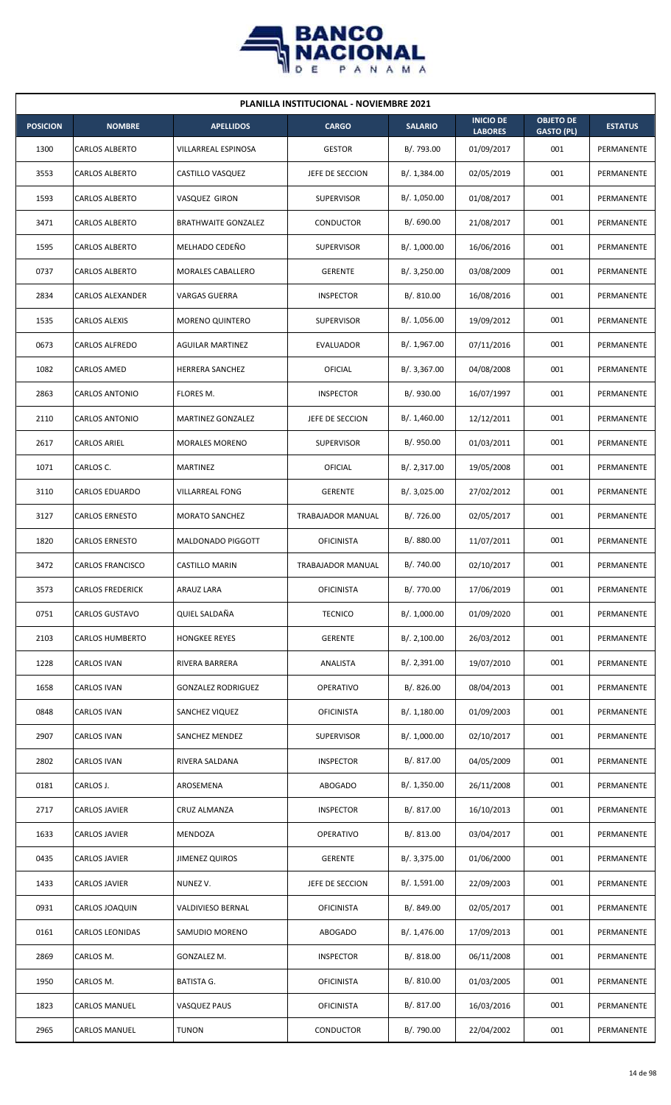

| <b>PLANILLA INSTITUCIONAL - NOVIEMBRE 2021</b> |                         |                            |                          |                |                                    |                                       |                |  |  |  |
|------------------------------------------------|-------------------------|----------------------------|--------------------------|----------------|------------------------------------|---------------------------------------|----------------|--|--|--|
| <b>POSICION</b>                                | <b>NOMBRE</b>           | <b>APELLIDOS</b>           | <b>CARGO</b>             | <b>SALARIO</b> | <b>INICIO DE</b><br><b>LABORES</b> | <b>OBJETO DE</b><br><b>GASTO (PL)</b> | <b>ESTATUS</b> |  |  |  |
| 1300                                           | <b>CARLOS ALBERTO</b>   | VILLARREAL ESPINOSA        | <b>GESTOR</b>            | B/. 793.00     | 01/09/2017                         | 001                                   | PERMANENTE     |  |  |  |
| 3553                                           | <b>CARLOS ALBERTO</b>   | CASTILLO VASQUEZ           | JEFE DE SECCION          | B/. 1,384.00   | 02/05/2019                         | 001                                   | PERMANENTE     |  |  |  |
| 1593                                           | CARLOS ALBERTO          | VASQUEZ GIRON              | <b>SUPERVISOR</b>        | B/. 1,050.00   | 01/08/2017                         | 001                                   | PERMANENTE     |  |  |  |
| 3471                                           | <b>CARLOS ALBERTO</b>   | <b>BRATHWAITE GONZALEZ</b> | <b>CONDUCTOR</b>         | B/. 690.00     | 21/08/2017                         | 001                                   | PERMANENTE     |  |  |  |
| 1595                                           | <b>CARLOS ALBERTO</b>   | MELHADO CEDEÑO             | <b>SUPERVISOR</b>        | B/. 1,000.00   | 16/06/2016                         | 001                                   | PERMANENTE     |  |  |  |
| 0737                                           | <b>CARLOS ALBERTO</b>   | MORALES CABALLERO          | <b>GERENTE</b>           | B/.3,250.00    | 03/08/2009                         | 001                                   | PERMANENTE     |  |  |  |
| 2834                                           | CARLOS ALEXANDER        | <b>VARGAS GUERRA</b>       | <b>INSPECTOR</b>         | B/.810.00      | 16/08/2016                         | 001                                   | PERMANENTE     |  |  |  |
| 1535                                           | <b>CARLOS ALEXIS</b>    | <b>MORENO QUINTERO</b>     | <b>SUPERVISOR</b>        | B/. 1,056.00   | 19/09/2012                         | 001                                   | PERMANENTE     |  |  |  |
| 0673                                           | CARLOS ALFREDO          | <b>AGUILAR MARTINEZ</b>    | <b>EVALUADOR</b>         | B/. 1,967.00   | 07/11/2016                         | 001                                   | PERMANENTE     |  |  |  |
| 1082                                           | CARLOS AMED             | <b>HERRERA SANCHEZ</b>     | <b>OFICIAL</b>           | B/.3,367.00    | 04/08/2008                         | 001                                   | PERMANENTE     |  |  |  |
| 2863                                           | <b>CARLOS ANTONIO</b>   | FLORES M.                  | <b>INSPECTOR</b>         | B/. 930.00     | 16/07/1997                         | 001                                   | PERMANENTE     |  |  |  |
| 2110                                           | <b>CARLOS ANTONIO</b>   | MARTINEZ GONZALEZ          | JEFE DE SECCION          | B/.1,460.00    | 12/12/2011                         | 001                                   | PERMANENTE     |  |  |  |
| 2617                                           | <b>CARLOS ARIEL</b>     | <b>MORALES MORENO</b>      | <b>SUPERVISOR</b>        | B/. 950.00     | 01/03/2011                         | 001                                   | PERMANENTE     |  |  |  |
| 1071                                           | CARLOS C.               | <b>MARTINEZ</b>            | OFICIAL                  | B/. 2,317.00   | 19/05/2008                         | 001                                   | PERMANENTE     |  |  |  |
| 3110                                           | CARLOS EDUARDO          | VILLARREAL FONG            | <b>GERENTE</b>           | B/.3,025.00    | 27/02/2012                         | 001                                   | PERMANENTE     |  |  |  |
| 3127                                           | <b>CARLOS ERNESTO</b>   | <b>MORATO SANCHEZ</b>      | <b>TRABAJADOR MANUAL</b> | B/. 726.00     | 02/05/2017                         | 001                                   | PERMANENTE     |  |  |  |
| 1820                                           | <b>CARLOS ERNESTO</b>   | MALDONADO PIGGOTT          | <b>OFICINISTA</b>        | B/. 880.00     | 11/07/2011                         | 001                                   | PERMANENTE     |  |  |  |
| 3472                                           | <b>CARLOS FRANCISCO</b> | <b>CASTILLO MARIN</b>      | <b>TRABAJADOR MANUAL</b> | B/. 740.00     | 02/10/2017                         | 001                                   | PERMANENTE     |  |  |  |
| 3573                                           | <b>CARLOS FREDERICK</b> | ARAUZ LARA                 | <b>OFICINISTA</b>        | B/. 770.00     | 17/06/2019                         | 001                                   | PERMANENTE     |  |  |  |
| 0751                                           | <b>CARLOS GUSTAVO</b>   | QUIEL SALDAÑA              | <b>TECNICO</b>           | B/. 1,000.00   | 01/09/2020                         | 001                                   | PERMANENTE     |  |  |  |
| 2103                                           | <b>CARLOS HUMBERTO</b>  | <b>HONGKEE REYES</b>       | <b>GERENTE</b>           | B/.2,100.00    | 26/03/2012                         | 001                                   | PERMANENTE     |  |  |  |
| 1228                                           | CARLOS IVAN             | RIVERA BARRERA             | ANALISTA                 | B/.2,391.00    | 19/07/2010                         | 001                                   | PERMANENTE     |  |  |  |
| 1658                                           | CARLOS IVAN             | <b>GONZALEZ RODRIGUEZ</b>  | OPERATIVO                | B/. 826.00     | 08/04/2013                         | 001                                   | PERMANENTE     |  |  |  |
| 0848                                           | CARLOS IVAN             | SANCHEZ VIQUEZ             | <b>OFICINISTA</b>        | B/.1,180.00    | 01/09/2003                         | 001                                   | PERMANENTE     |  |  |  |
| 2907                                           | CARLOS IVAN             | SANCHEZ MENDEZ             | <b>SUPERVISOR</b>        | B/. 1,000.00   | 02/10/2017                         | 001                                   | PERMANENTE     |  |  |  |
| 2802                                           | <b>CARLOS IVAN</b>      | RIVERA SALDANA             | <b>INSPECTOR</b>         | B/. 817.00     | 04/05/2009                         | 001                                   | PERMANENTE     |  |  |  |
| 0181                                           | CARLOS J.               | AROSEMENA                  | <b>ABOGADO</b>           | B/. 1,350.00   | 26/11/2008                         | 001                                   | PERMANENTE     |  |  |  |
| 2717                                           | CARLOS JAVIER           | CRUZ ALMANZA               | <b>INSPECTOR</b>         | B/. 817.00     | 16/10/2013                         | 001                                   | PERMANENTE     |  |  |  |
| 1633                                           | CARLOS JAVIER           | MENDOZA                    | OPERATIVO                | B/.813.00      | 03/04/2017                         | 001                                   | PERMANENTE     |  |  |  |
| 0435                                           | CARLOS JAVIER           | <b>JIMENEZ QUIROS</b>      | <b>GERENTE</b>           | B/.3,375.00    | 01/06/2000                         | 001                                   | PERMANENTE     |  |  |  |
| 1433                                           | CARLOS JAVIER           | NUNEZ V.                   | JEFE DE SECCION          | B/. 1,591.00   | 22/09/2003                         | 001                                   | PERMANENTE     |  |  |  |
| 0931                                           | CARLOS JOAQUIN          | VALDIVIESO BERNAL          | <b>OFICINISTA</b>        | B/. 849.00     | 02/05/2017                         | 001                                   | PERMANENTE     |  |  |  |
| 0161                                           | <b>CARLOS LEONIDAS</b>  | SAMUDIO MORENO             | <b>ABOGADO</b>           | B/.1,476.00    | 17/09/2013                         | 001                                   | PERMANENTE     |  |  |  |
| 2869                                           | CARLOS M.               | GONZALEZ M.                | <b>INSPECTOR</b>         | B/.818.00      | 06/11/2008                         | 001                                   | PERMANENTE     |  |  |  |
| 1950                                           | CARLOS M.               | BATISTA G.                 | <b>OFICINISTA</b>        | B/. 810.00     | 01/03/2005                         | 001                                   | PERMANENTE     |  |  |  |
| 1823                                           | <b>CARLOS MANUEL</b>    | <b>VASQUEZ PAUS</b>        | <b>OFICINISTA</b>        | B/. 817.00     | 16/03/2016                         | 001                                   | PERMANENTE     |  |  |  |
| 2965                                           | <b>CARLOS MANUEL</b>    | <b>TUNON</b>               | <b>CONDUCTOR</b>         | B/. 790.00     | 22/04/2002                         | 001                                   | PERMANENTE     |  |  |  |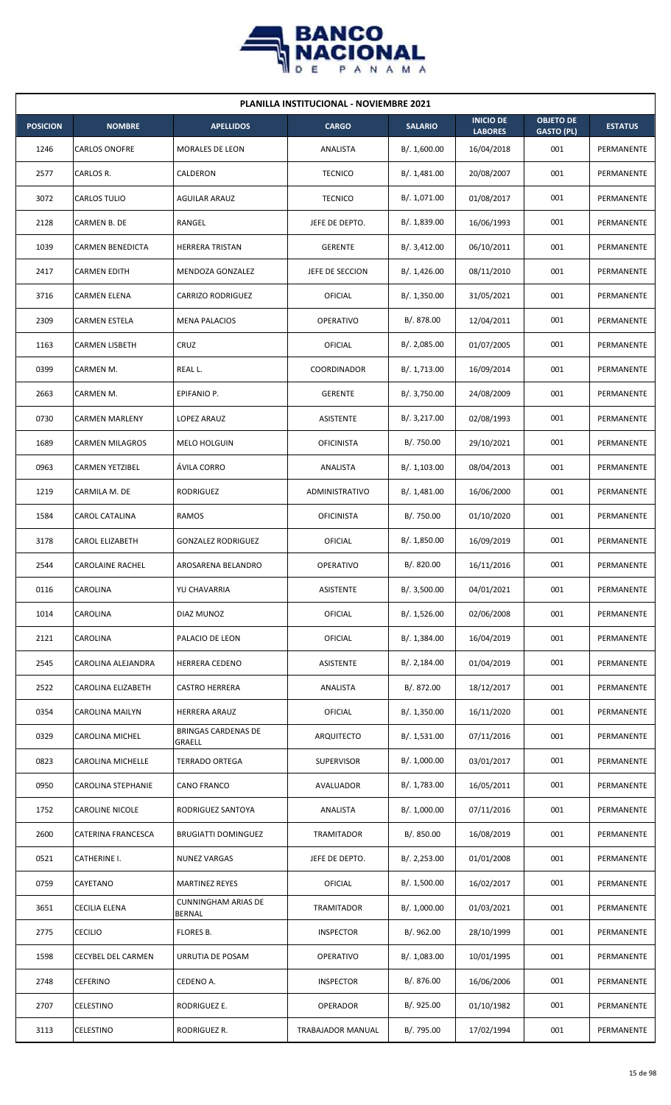

| <b>PLANILLA INSTITUCIONAL - NOVIEMBRE 2021</b> |                         |                                             |                   |                |                                    |                                       |                |  |  |  |
|------------------------------------------------|-------------------------|---------------------------------------------|-------------------|----------------|------------------------------------|---------------------------------------|----------------|--|--|--|
| <b>POSICION</b>                                | <b>NOMBRE</b>           | <b>APELLIDOS</b>                            | <b>CARGO</b>      | <b>SALARIO</b> | <b>INICIO DE</b><br><b>LABORES</b> | <b>OBJETO DE</b><br><b>GASTO (PL)</b> | <b>ESTATUS</b> |  |  |  |
| 1246                                           | <b>CARLOS ONOFRE</b>    | MORALES DE LEON                             | ANALISTA          | B/. 1,600.00   | 16/04/2018                         | 001                                   | PERMANENTE     |  |  |  |
| 2577                                           | CARLOS R.               | CALDERON                                    | <b>TECNICO</b>    | B/.1,481.00    | 20/08/2007                         | 001                                   | PERMANENTE     |  |  |  |
| 3072                                           | CARLOS TULIO            | <b>AGUILAR ARAUZ</b>                        | <b>TECNICO</b>    | B/. 1,071.00   | 01/08/2017                         | 001                                   | PERMANENTE     |  |  |  |
| 2128                                           | CARMEN B. DE            | RANGEL                                      | JEFE DE DEPTO.    | B/. 1,839.00   | 16/06/1993                         | 001                                   | PERMANENTE     |  |  |  |
| 1039                                           | <b>CARMEN BENEDICTA</b> | HERRERA TRISTAN                             | <b>GERENTE</b>    | B/.3,412.00    | 06/10/2011                         | 001                                   | PERMANENTE     |  |  |  |
| 2417                                           | <b>CARMEN EDITH</b>     | MENDOZA GONZALEZ                            | JEFE DE SECCION   | B/.1,426.00    | 08/11/2010                         | 001                                   | PERMANENTE     |  |  |  |
| 3716                                           | CARMEN ELENA            | CARRIZO RODRIGUEZ                           | OFICIAL           | B/.1,350.00    | 31/05/2021                         | 001                                   | PERMANENTE     |  |  |  |
| 2309                                           | CARMEN ESTELA           | <b>MENA PALACIOS</b>                        | <b>OPERATIVO</b>  | B/. 878.00     | 12/04/2011                         | 001                                   | PERMANENTE     |  |  |  |
| 1163                                           | CARMEN LISBETH          | CRUZ                                        | OFICIAL           | B/. 2,085.00   | 01/07/2005                         | 001                                   | PERMANENTE     |  |  |  |
| 0399                                           | CARMEN M.               | REAL L.                                     | COORDINADOR       | B/. 1,713.00   | 16/09/2014                         | 001                                   | PERMANENTE     |  |  |  |
| 2663                                           | CARMEN M.               | EPIFANIO P.                                 | <b>GERENTE</b>    | B/. 3,750.00   | 24/08/2009                         | 001                                   | PERMANENTE     |  |  |  |
| 0730                                           | <b>CARMEN MARLENY</b>   | LOPEZ ARAUZ                                 | ASISTENTE         | B/.3,217.00    | 02/08/1993                         | 001                                   | PERMANENTE     |  |  |  |
| 1689                                           | CARMEN MILAGROS         | MELO HOLGUIN                                | <b>OFICINISTA</b> | B/. 750.00     | 29/10/2021                         | 001                                   | PERMANENTE     |  |  |  |
| 0963                                           | <b>CARMEN YETZIBEL</b>  | ÁVILA CORRO                                 | ANALISTA          | B/.1,103.00    | 08/04/2013                         | 001                                   | PERMANENTE     |  |  |  |
| 1219                                           | CARMILA M. DE           | RODRIGUEZ                                   | ADMINISTRATIVO    | B/.1,481.00    | 16/06/2000                         | 001                                   | PERMANENTE     |  |  |  |
| 1584                                           | CAROL CATALINA          | RAMOS                                       | <b>OFICINISTA</b> | B/. 750.00     | 01/10/2020                         | 001                                   | PERMANENTE     |  |  |  |
| 3178                                           | CAROL ELIZABETH         | <b>GONZALEZ RODRIGUEZ</b>                   | OFICIAL           | B/. 1,850.00   | 16/09/2019                         | 001                                   | PERMANENTE     |  |  |  |
| 2544                                           | <b>CAROLAINE RACHEL</b> | AROSARENA BELANDRO                          | OPERATIVO         | B/. 820.00     | 16/11/2016                         | 001                                   | PERMANENTE     |  |  |  |
| 0116                                           | CAROLINA                | YU CHAVARRIA                                | ASISTENTE         | B/.3,500.00    | 04/01/2021                         | 001                                   | PERMANENTE     |  |  |  |
| 1014                                           | CAROLINA                | DIAZ MUNOZ                                  | <b>OFICIAL</b>    | B/. 1,526.00   | 02/06/2008                         | 001                                   | PERMANENTE     |  |  |  |
| 2121                                           | CAROLINA                | PALACIO DE LEON                             | <b>OFICIAL</b>    | B/. 1,384.00   | 16/04/2019                         | 001                                   | PERMANENTE     |  |  |  |
| 2545                                           | CAROLINA ALEJANDRA      | HERRERA CEDENO                              | ASISTENTE         | B/.2,184.00    | 01/04/2019                         | 001                                   | PERMANENTE     |  |  |  |
| 2522                                           | CAROLINA ELIZABETH      | <b>CASTRO HERRERA</b>                       | ANALISTA          | B/. 872.00     | 18/12/2017                         | 001                                   | PERMANENTE     |  |  |  |
| 0354                                           | CAROLINA MAILYN         | HERRERA ARAUZ                               | <b>OFICIAL</b>    | B/. 1,350.00   | 16/11/2020                         | 001                                   | PERMANENTE     |  |  |  |
| 0329                                           | CAROLINA MICHEL         | <b>BRINGAS CARDENAS DE</b><br>GRAELL        | ARQUITECTO        | B/. 1,531.00   | 07/11/2016                         | 001                                   | PERMANENTE     |  |  |  |
| 0823                                           | CAROLINA MICHELLE       | <b>TERRADO ORTEGA</b>                       | SUPERVISOR        | B/. 1,000.00   | 03/01/2017                         | 001                                   | PERMANENTE     |  |  |  |
| 0950                                           | CAROLINA STEPHANIE      | <b>CANO FRANCO</b>                          | AVALUADOR         | B/. 1,783.00   | 16/05/2011                         | 001                                   | PERMANENTE     |  |  |  |
| 1752                                           | <b>CAROLINE NICOLE</b>  | RODRIGUEZ SANTOYA                           | ANALISTA          | B/. 1,000.00   | 07/11/2016                         | 001                                   | PERMANENTE     |  |  |  |
| 2600                                           | CATERINA FRANCESCA      | <b>BRUGIATTI DOMINGUEZ</b>                  | TRAMITADOR        | B/. 850.00     | 16/08/2019                         | 001                                   | PERMANENTE     |  |  |  |
| 0521                                           | CATHERINE I.            | <b>NUNEZ VARGAS</b>                         | JEFE DE DEPTO.    | B/. 2,253.00   | 01/01/2008                         | 001                                   | PERMANENTE     |  |  |  |
| 0759                                           | CAYETANO                | <b>MARTINEZ REYES</b>                       | OFICIAL           | B/. 1,500.00   | 16/02/2017                         | 001                                   | PERMANENTE     |  |  |  |
| 3651                                           | CECILIA ELENA           | <b>CUNNINGHAM ARIAS DE</b><br><b>BERNAL</b> | TRAMITADOR        | B/. 1,000.00   | 01/03/2021                         | 001                                   | PERMANENTE     |  |  |  |
| 2775                                           | <b>CECILIO</b>          | FLORES B.                                   | <b>INSPECTOR</b>  | B/. 962.00     | 28/10/1999                         | 001                                   | PERMANENTE     |  |  |  |
| 1598                                           | CECYBEL DEL CARMEN      | URRUTIA DE POSAM                            | OPERATIVO         | B/. 1,083.00   | 10/01/1995                         | 001                                   | PERMANENTE     |  |  |  |
| 2748                                           | <b>CEFERINO</b>         | CEDENO A.                                   | <b>INSPECTOR</b>  | B/. 876.00     | 16/06/2006                         | 001                                   | PERMANENTE     |  |  |  |
| 2707                                           | <b>CELESTINO</b>        | RODRIGUEZ E.                                | OPERADOR          | B/. 925.00     | 01/10/1982                         | 001                                   | PERMANENTE     |  |  |  |
| 3113                                           | CELESTINO               | RODRIGUEZ R.                                | TRABAJADOR MANUAL | B/. 795.00     | 17/02/1994                         | 001                                   | PERMANENTE     |  |  |  |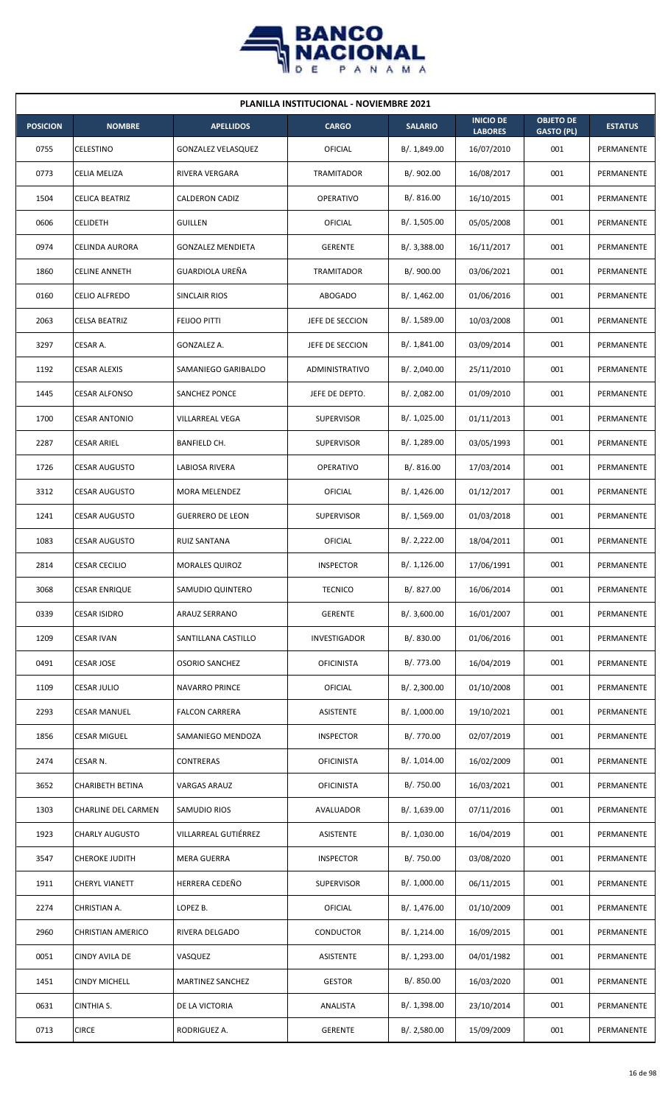

| <b>PLANILLA INSTITUCIONAL - NOVIEMBRE 2021</b> |                          |                           |                   |                |                                    |                                       |                |  |  |  |
|------------------------------------------------|--------------------------|---------------------------|-------------------|----------------|------------------------------------|---------------------------------------|----------------|--|--|--|
| <b>POSICION</b>                                | <b>NOMBRE</b>            | <b>APELLIDOS</b>          | <b>CARGO</b>      | <b>SALARIO</b> | <b>INICIO DE</b><br><b>LABORES</b> | <b>OBJETO DE</b><br><b>GASTO (PL)</b> | <b>ESTATUS</b> |  |  |  |
| 0755                                           | CELESTINO                | <b>GONZALEZ VELASQUEZ</b> | <b>OFICIAL</b>    | B/. 1,849.00   | 16/07/2010                         | 001                                   | PERMANENTE     |  |  |  |
| 0773                                           | CELIA MELIZA             | RIVERA VERGARA            | TRAMITADOR        | B/. 902.00     | 16/08/2017                         | 001                                   | PERMANENTE     |  |  |  |
| 1504                                           | CELICA BEATRIZ           | <b>CALDERON CADIZ</b>     | <b>OPERATIVO</b>  | B/. 816.00     | 16/10/2015                         | 001                                   | PERMANENTE     |  |  |  |
| 0606                                           | <b>CELIDETH</b>          | <b>GUILLEN</b>            | <b>OFICIAL</b>    | B/. 1,505.00   | 05/05/2008                         | 001                                   | PERMANENTE     |  |  |  |
| 0974                                           | CELINDA AURORA           | <b>GONZALEZ MENDIETA</b>  | <b>GERENTE</b>    | B/.3,388.00    | 16/11/2017                         | 001                                   | PERMANENTE     |  |  |  |
| 1860                                           | <b>CELINE ANNETH</b>     | GUARDIOLA UREÑA           | TRAMITADOR        | B/. 900.00     | 03/06/2021                         | 001                                   | PERMANENTE     |  |  |  |
| 0160                                           | CELIO ALFREDO            | SINCLAIR RIOS             | ABOGADO           | B/.1,462.00    | 01/06/2016                         | 001                                   | PERMANENTE     |  |  |  |
| 2063                                           | <b>CELSA BEATRIZ</b>     | FEIJOO PITTI              | JEFE DE SECCION   | B/. 1,589.00   | 10/03/2008                         | 001                                   | PERMANENTE     |  |  |  |
| 3297                                           | CESAR A.                 | GONZALEZ A.               | JEFE DE SECCION   | B/.1,841.00    | 03/09/2014                         | 001                                   | PERMANENTE     |  |  |  |
| 1192                                           | CESAR ALEXIS             | SAMANIEGO GARIBALDO       | ADMINISTRATIVO    | B/. 2,040.00   | 25/11/2010                         | 001                                   | PERMANENTE     |  |  |  |
| 1445                                           | <b>CESAR ALFONSO</b>     | <b>SANCHEZ PONCE</b>      | JEFE DE DEPTO.    | B/. 2,082.00   | 01/09/2010                         | 001                                   | PERMANENTE     |  |  |  |
| 1700                                           | <b>CESAR ANTONIO</b>     | VILLARREAL VEGA           | <b>SUPERVISOR</b> | B/. 1,025.00   | 01/11/2013                         | 001                                   | PERMANENTE     |  |  |  |
| 2287                                           | <b>CESAR ARIEL</b>       | BANFIELD CH.              | <b>SUPERVISOR</b> | B/. 1,289.00   | 03/05/1993                         | 001                                   | PERMANENTE     |  |  |  |
| 1726                                           | <b>CESAR AUGUSTO</b>     | LABIOSA RIVERA            | <b>OPERATIVO</b>  | B/.816.00      | 17/03/2014                         | 001                                   | PERMANENTE     |  |  |  |
| 3312                                           | <b>CESAR AUGUSTO</b>     | MORA MELENDEZ             | OFICIAL           | B/.1,426.00    | 01/12/2017                         | 001                                   | PERMANENTE     |  |  |  |
| 1241                                           | CESAR AUGUSTO            | <b>GUERRERO DE LEON</b>   | <b>SUPERVISOR</b> | B/.1,569.00    | 01/03/2018                         | 001                                   | PERMANENTE     |  |  |  |
| 1083                                           | <b>CESAR AUGUSTO</b>     | RUIZ SANTANA              | OFICIAL           | B/.2,222.00    | 18/04/2011                         | 001                                   | PERMANENTE     |  |  |  |
| 2814                                           | <b>CESAR CECILIO</b>     | <b>MORALES QUIROZ</b>     | <b>INSPECTOR</b>  | B/.1,126.00    | 17/06/1991                         | 001                                   | PERMANENTE     |  |  |  |
| 3068                                           | <b>CESAR ENRIQUE</b>     | SAMUDIO QUINTERO          | <b>TECNICO</b>    | B/. 827.00     | 16/06/2014                         | 001                                   | PERMANENTE     |  |  |  |
| 0339                                           | CESAR ISIDRO             | ARAUZ SERRANO             | <b>GERENTE</b>    | B/.3,600.00    | 16/01/2007                         | 001                                   | PERMANENTE     |  |  |  |
| 1209                                           | <b>CESAR IVAN</b>        | SANTILLANA CASTILLO       | INVESTIGADOR      | B/. 830.00     | 01/06/2016                         | 001                                   | PERMANENTE     |  |  |  |
| 0491                                           | CESAR JOSE               | <b>OSORIO SANCHEZ</b>     | <b>OFICINISTA</b> | B/. 773.00     | 16/04/2019                         | 001                                   | PERMANENTE     |  |  |  |
| 1109                                           | <b>CESAR JULIO</b>       | <b>NAVARRO PRINCE</b>     | <b>OFICIAL</b>    | B/.2,300.00    | 01/10/2008                         | 001                                   | PERMANENTE     |  |  |  |
| 2293                                           | CESAR MANUEL             | <b>FALCON CARRERA</b>     | ASISTENTE         | B/. 1,000.00   | 19/10/2021                         | 001                                   | PERMANENTE     |  |  |  |
| 1856                                           | <b>CESAR MIGUEL</b>      | SAMANIEGO MENDOZA         | <b>INSPECTOR</b>  | B/. 770.00     | 02/07/2019                         | 001                                   | PERMANENTE     |  |  |  |
| 2474                                           | CESAR N.                 | <b>CONTRERAS</b>          | <b>OFICINISTA</b> | B/. 1,014.00   | 16/02/2009                         | 001                                   | PERMANENTE     |  |  |  |
| 3652                                           | CHARIBETH BETINA         | VARGAS ARAUZ              | <b>OFICINISTA</b> | B/. 750.00     | 16/03/2021                         | 001                                   | PERMANENTE     |  |  |  |
| 1303                                           | CHARLINE DEL CARMEN      | SAMUDIO RIOS              | AVALUADOR         | B/. 1,639.00   | 07/11/2016                         | 001                                   | PERMANENTE     |  |  |  |
| 1923                                           | <b>CHARLY AUGUSTO</b>    | VILLARREAL GUTIÉRREZ      | ASISTENTE         | B/. 1,030.00   | 16/04/2019                         | 001                                   | PERMANENTE     |  |  |  |
| 3547                                           | <b>CHEROKE JUDITH</b>    | <b>MERA GUERRA</b>        | <b>INSPECTOR</b>  | B/. 750.00     | 03/08/2020                         | 001                                   | PERMANENTE     |  |  |  |
| 1911                                           | CHERYL VIANETT           | HERRERA CEDEÑO            | <b>SUPERVISOR</b> | B/. 1,000.00   | 06/11/2015                         | 001                                   | PERMANENTE     |  |  |  |
| 2274                                           | CHRISTIAN A.             | LOPEZ B.                  | <b>OFICIAL</b>    | B/. 1,476.00   | 01/10/2009                         | 001                                   | PERMANENTE     |  |  |  |
| 2960                                           | <b>CHRISTIAN AMERICO</b> | RIVERA DELGADO            | CONDUCTOR         | B/. 1,214.00   | 16/09/2015                         | 001                                   | PERMANENTE     |  |  |  |
| 0051                                           | CINDY AVILA DE           | VASQUEZ                   | <b>ASISTENTE</b>  | B/. 1,293.00   | 04/01/1982                         | 001                                   | PERMANENTE     |  |  |  |
| 1451                                           | CINDY MICHELL            | MARTINEZ SANCHEZ          | <b>GESTOR</b>     | B/. 850.00     | 16/03/2020                         | 001                                   | PERMANENTE     |  |  |  |
| 0631                                           | CINTHIA S.               | DE LA VICTORIA            | ANALISTA          | B/. 1,398.00   | 23/10/2014                         | 001                                   | PERMANENTE     |  |  |  |
| 0713                                           | <b>CIRCE</b>             | RODRIGUEZ A.              | <b>GERENTE</b>    | B/. 2,580.00   | 15/09/2009                         | 001                                   | PERMANENTE     |  |  |  |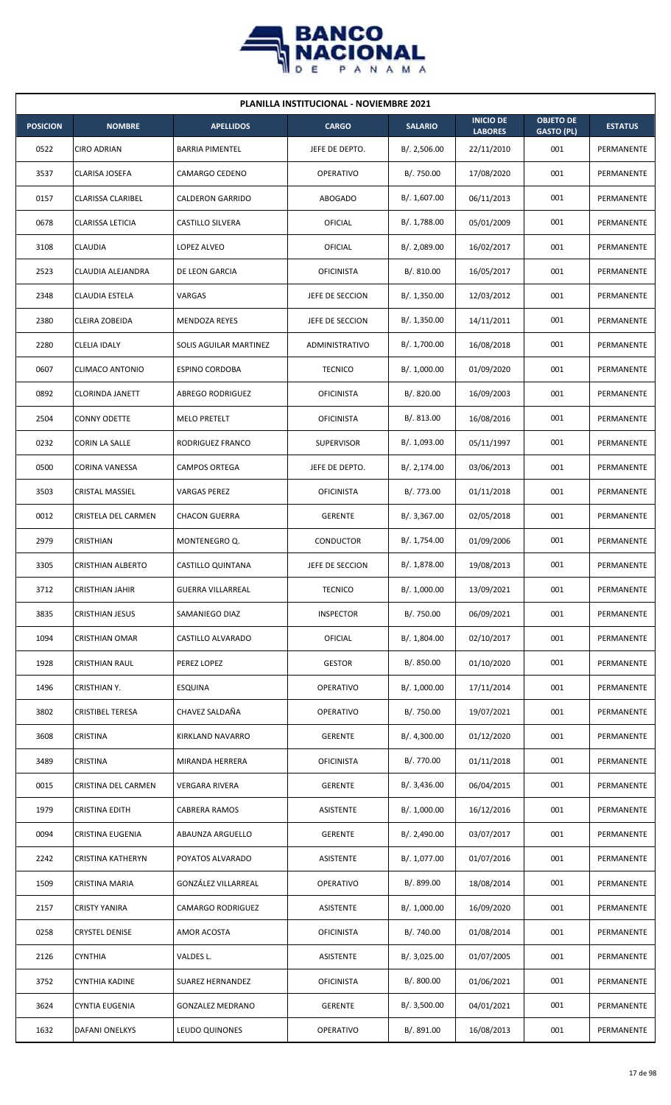

| <b>PLANILLA INSTITUCIONAL - NOVIEMBRE 2021</b> |                          |                          |                   |                |                                    |                                       |                |  |  |  |
|------------------------------------------------|--------------------------|--------------------------|-------------------|----------------|------------------------------------|---------------------------------------|----------------|--|--|--|
| <b>POSICION</b>                                | <b>NOMBRE</b>            | <b>APELLIDOS</b>         | <b>CARGO</b>      | <b>SALARIO</b> | <b>INICIO DE</b><br><b>LABORES</b> | <b>OBJETO DE</b><br><b>GASTO (PL)</b> | <b>ESTATUS</b> |  |  |  |
| 0522                                           | <b>CIRO ADRIAN</b>       | <b>BARRIA PIMENTEL</b>   | JEFE DE DEPTO.    | B/.2,506.00    | 22/11/2010                         | 001                                   | PERMANENTE     |  |  |  |
| 3537                                           | CLARISA JOSEFA           | CAMARGO CEDENO           | <b>OPERATIVO</b>  | B/. 750.00     | 17/08/2020                         | 001                                   | PERMANENTE     |  |  |  |
| 0157                                           | <b>CLARISSA CLARIBEL</b> | <b>CALDERON GARRIDO</b>  | <b>ABOGADO</b>    | B/. 1,607.00   | 06/11/2013                         | 001                                   | PERMANENTE     |  |  |  |
| 0678                                           | <b>CLARISSA LETICIA</b>  | <b>CASTILLO SILVERA</b>  | OFICIAL           | B/. 1,788.00   | 05/01/2009                         | 001                                   | PERMANENTE     |  |  |  |
| 3108                                           | <b>CLAUDIA</b>           | LOPEZ ALVEO              | OFICIAL           | B/. 2,089.00   | 16/02/2017                         | 001                                   | PERMANENTE     |  |  |  |
| 2523                                           | CLAUDIA ALEJANDRA        | DE LEON GARCIA           | <b>OFICINISTA</b> | B/.810.00      | 16/05/2017                         | 001                                   | PERMANENTE     |  |  |  |
| 2348                                           | CLAUDIA ESTELA           | VARGAS                   | JEFE DE SECCION   | B/.1,350.00    | 12/03/2012                         | 001                                   | PERMANENTE     |  |  |  |
| 2380                                           | CLEIRA ZOBEIDA           | <b>MENDOZA REYES</b>     | JEFE DE SECCION   | B/. 1,350.00   | 14/11/2011                         | 001                                   | PERMANENTE     |  |  |  |
| 2280                                           | CLELIA IDALY             | SOLIS AGUILAR MARTINEZ   | ADMINISTRATIVO    | B/. 1,700.00   | 16/08/2018                         | 001                                   | PERMANENTE     |  |  |  |
| 0607                                           | CLIMACO ANTONIO          | <b>ESPINO CORDOBA</b>    | <b>TECNICO</b>    | B/. 1,000.00   | 01/09/2020                         | 001                                   | PERMANENTE     |  |  |  |
| 0892                                           | <b>CLORINDA JANETT</b>   | <b>ABREGO RODRIGUEZ</b>  | <b>OFICINISTA</b> | B/. 820.00     | 16/09/2003                         | 001                                   | PERMANENTE     |  |  |  |
| 2504                                           | <b>CONNY ODETTE</b>      | <b>MELO PRETELT</b>      | <b>OFICINISTA</b> | B/. 813.00     | 16/08/2016                         | 001                                   | PERMANENTE     |  |  |  |
| 0232                                           | CORIN LA SALLE           | RODRIGUEZ FRANCO         | <b>SUPERVISOR</b> | B/. 1,093.00   | 05/11/1997                         | 001                                   | PERMANENTE     |  |  |  |
| 0500                                           | CORINA VANESSA           | <b>CAMPOS ORTEGA</b>     | JEFE DE DEPTO.    | B/.2,174.00    | 03/06/2013                         | 001                                   | PERMANENTE     |  |  |  |
| 3503                                           | <b>CRISTAL MASSIEL</b>   | <b>VARGAS PEREZ</b>      | <b>OFICINISTA</b> | B/. 773.00     | 01/11/2018                         | 001                                   | PERMANENTE     |  |  |  |
| 0012                                           | CRISTELA DEL CARMEN      | <b>CHACON GUERRA</b>     | <b>GERENTE</b>    | B/. 3,367.00   | 02/05/2018                         | 001                                   | PERMANENTE     |  |  |  |
| 2979                                           | CRISTHIAN                | MONTENEGRO Q.            | CONDUCTOR         | B/. 1,754.00   | 01/09/2006                         | 001                                   | PERMANENTE     |  |  |  |
| 3305                                           | <b>CRISTHIAN ALBERTO</b> | CASTILLO QUINTANA        | JEFE DE SECCION   | B/. 1,878.00   | 19/08/2013                         | 001                                   | PERMANENTE     |  |  |  |
| 3712                                           | <b>CRISTHIAN JAHIR</b>   | <b>GUERRA VILLARREAL</b> | <b>TECNICO</b>    | B/. 1,000.00   | 13/09/2021                         | 001                                   | PERMANENTE     |  |  |  |
| 3835                                           | CRISTHIAN JESUS          | SAMANIEGO DIAZ           | <b>INSPECTOR</b>  | B/. 750.00     | 06/09/2021                         | 001                                   | PERMANENTE     |  |  |  |
| 1094                                           | CRISTHIAN OMAR           | CASTILLO ALVARADO        | <b>OFICIAL</b>    | B/. 1,804.00   | 02/10/2017                         | 001                                   | PERMANENTE     |  |  |  |
| 1928                                           | <b>CRISTHIAN RAUL</b>    | PEREZ LOPEZ              | <b>GESTOR</b>     | B/. 850.00     | 01/10/2020                         | 001                                   | PERMANENTE     |  |  |  |
| 1496                                           | CRISTHIAN Y.             | <b>ESQUINA</b>           | OPERATIVO         | B/. 1,000.00   | 17/11/2014                         | 001                                   | PERMANENTE     |  |  |  |
| 3802                                           | CRISTIBEL TERESA         | CHAVEZ SALDAÑA           | OPERATIVO         | B/. 750.00     | 19/07/2021                         | 001                                   | PERMANENTE     |  |  |  |
| 3608                                           | CRISTINA                 | KIRKLAND NAVARRO         | <b>GERENTE</b>    | B/. 4,300.00   | 01/12/2020                         | 001                                   | PERMANENTE     |  |  |  |
| 3489                                           | CRISTINA                 | MIRANDA HERRERA          | <b>OFICINISTA</b> | B/. 770.00     | 01/11/2018                         | 001                                   | PERMANENTE     |  |  |  |
| 0015                                           | CRISTINA DEL CARMEN      | VERGARA RIVERA           | <b>GERENTE</b>    | B/.3,436.00    | 06/04/2015                         | 001                                   | PERMANENTE     |  |  |  |
| 1979                                           | <b>CRISTINA EDITH</b>    | <b>CABRERA RAMOS</b>     | ASISTENTE         | B/. 1,000.00   | 16/12/2016                         | 001                                   | PERMANENTE     |  |  |  |
| 0094                                           | CRISTINA EUGENIA         | ABAUNZA ARGUELLO         | <b>GERENTE</b>    | B/. 2,490.00   | 03/07/2017                         | 001                                   | PERMANENTE     |  |  |  |
| 2242                                           | CRISTINA KATHERYN        | POYATOS ALVARADO         | ASISTENTE         | B/. 1,077.00   | 01/07/2016                         | 001                                   | PERMANENTE     |  |  |  |
| 1509                                           | CRISTINA MARIA           | GONZÁLEZ VILLARREAL      | OPERATIVO         | B/. 899.00     | 18/08/2014                         | 001                                   | PERMANENTE     |  |  |  |
| 2157                                           | <b>CRISTY YANIRA</b>     | CAMARGO RODRIGUEZ        | ASISTENTE         | B/. 1,000.00   | 16/09/2020                         | 001                                   | PERMANENTE     |  |  |  |
| 0258                                           | <b>CRYSTEL DENISE</b>    | AMOR ACOSTA              | <b>OFICINISTA</b> | B/. 740.00     | 01/08/2014                         | 001                                   | PERMANENTE     |  |  |  |
| 2126                                           | CYNTHIA                  | VALDES L.                | ASISTENTE         | B/.3,025.00    | 01/07/2005                         | 001                                   | PERMANENTE     |  |  |  |
| 3752                                           | CYNTHIA KADINE           | SUAREZ HERNANDEZ         | <b>OFICINISTA</b> | B/. 800.00     | 01/06/2021                         | 001                                   | PERMANENTE     |  |  |  |
| 3624                                           | CYNTIA EUGENIA           | <b>GONZALEZ MEDRANO</b>  | <b>GERENTE</b>    | B/.3,500.00    | 04/01/2021                         | 001                                   | PERMANENTE     |  |  |  |
| 1632                                           | DAFANI ONELKYS           | LEUDO QUINONES           | <b>OPERATIVO</b>  | B/. 891.00     | 16/08/2013                         | 001                                   | PERMANENTE     |  |  |  |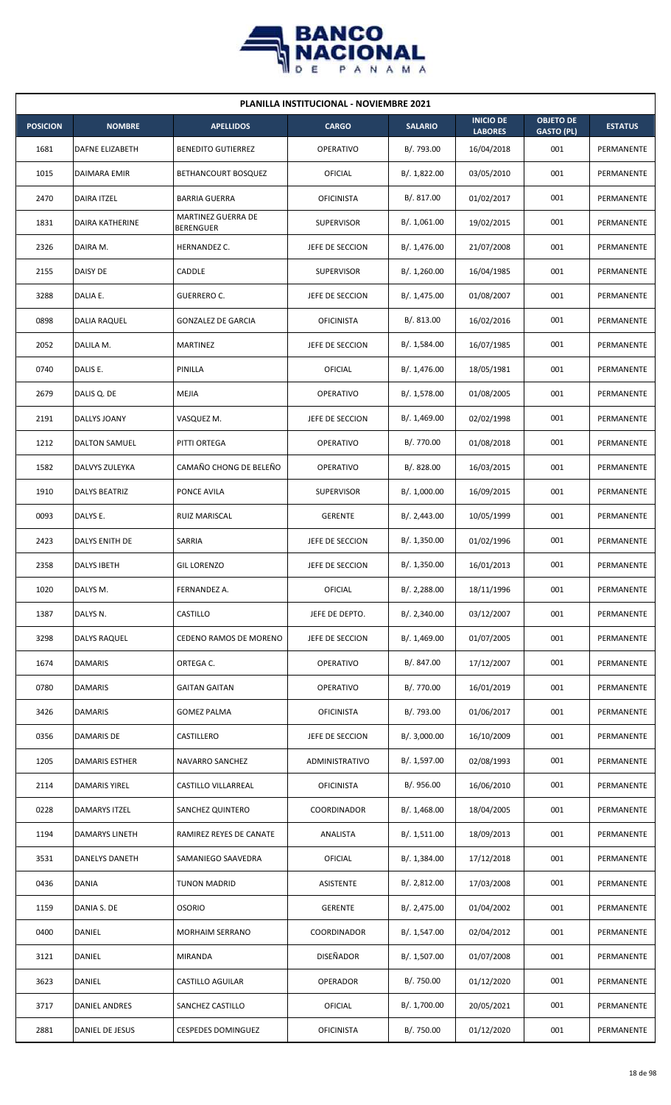

|                 | PLANILLA INSTITUCIONAL - NOVIEMBRE 2021 |                                        |                   |                |                                    |                                       |                |  |  |  |
|-----------------|-----------------------------------------|----------------------------------------|-------------------|----------------|------------------------------------|---------------------------------------|----------------|--|--|--|
| <b>POSICION</b> | <b>NOMBRE</b>                           | <b>APELLIDOS</b>                       | <b>CARGO</b>      | <b>SALARIO</b> | <b>INICIO DE</b><br><b>LABORES</b> | <b>OBJETO DE</b><br><b>GASTO (PL)</b> | <b>ESTATUS</b> |  |  |  |
| 1681            | <b>DAFNE ELIZABETH</b>                  | <b>BENEDITO GUTIERREZ</b>              | OPERATIVO         | B/. 793.00     | 16/04/2018                         | 001                                   | PERMANENTE     |  |  |  |
| 1015            | DAIMARA EMIR                            | BETHANCOURT BOSQUEZ                    | OFICIAL           | B/.1,822.00    | 03/05/2010                         | 001                                   | PERMANENTE     |  |  |  |
| 2470            | <b>DAIRA ITZEL</b>                      | <b>BARRIA GUERRA</b>                   | <b>OFICINISTA</b> | B/. 817.00     | 01/02/2017                         | 001                                   | PERMANENTE     |  |  |  |
| 1831            | DAIRA KATHERINE                         | MARTINEZ GUERRA DE<br><b>BERENGUER</b> | <b>SUPERVISOR</b> | B/. 1,061.00   | 19/02/2015                         | 001                                   | PERMANENTE     |  |  |  |
| 2326            | DAIRA M.                                | HERNANDEZ C.                           | JEFE DE SECCION   | B/. 1,476.00   | 21/07/2008                         | 001                                   | PERMANENTE     |  |  |  |
| 2155            | <b>DAISY DE</b>                         | CADDLE                                 | <b>SUPERVISOR</b> | B/. 1,260.00   | 16/04/1985                         | 001                                   | PERMANENTE     |  |  |  |
| 3288            | DALIA E.                                | GUERRERO C.                            | JEFE DE SECCION   | B/.1,475.00    | 01/08/2007                         | 001                                   | PERMANENTE     |  |  |  |
| 0898            | DALIA RAQUEL                            | <b>GONZALEZ DE GARCIA</b>              | <b>OFICINISTA</b> | B/. 813.00     | 16/02/2016                         | 001                                   | PERMANENTE     |  |  |  |
| 2052            | DALILA M.                               | MARTINEZ                               | JEFE DE SECCION   | B/. 1,584.00   | 16/07/1985                         | 001                                   | PERMANENTE     |  |  |  |
| 0740            | DALIS E.                                | PINILLA                                | OFICIAL           | B/. 1,476.00   | 18/05/1981                         | 001                                   | PERMANENTE     |  |  |  |
| 2679            | DALIS Q. DE                             | MEJIA                                  | OPERATIVO         | B/. 1,578.00   | 01/08/2005                         | 001                                   | PERMANENTE     |  |  |  |
| 2191            | DALLYS JOANY                            | VASQUEZ M.                             | JEFE DE SECCION   | B/. 1,469.00   | 02/02/1998                         | 001                                   | PERMANENTE     |  |  |  |
| 1212            | DALTON SAMUEL                           | PITTI ORTEGA                           | <b>OPERATIVO</b>  | B/. 770.00     | 01/08/2018                         | 001                                   | PERMANENTE     |  |  |  |
| 1582            | DALVYS ZULEYKA                          | CAMAÑO CHONG DE BELEÑO                 | OPERATIVO         | B/. 828.00     | 16/03/2015                         | 001                                   | PERMANENTE     |  |  |  |
| 1910            | <b>DALYS BEATRIZ</b>                    | PONCE AVILA                            | <b>SUPERVISOR</b> | B/. 1,000.00   | 16/09/2015                         | 001                                   | PERMANENTE     |  |  |  |
| 0093            | DALYS E.                                | RUIZ MARISCAL                          | <b>GERENTE</b>    | B/.2,443.00    | 10/05/1999                         | 001                                   | PERMANENTE     |  |  |  |
| 2423            | DALYS ENITH DE                          | SARRIA                                 | JEFE DE SECCION   | B/.1,350.00    | 01/02/1996                         | 001                                   | PERMANENTE     |  |  |  |
| 2358            | <b>DALYS IBETH</b>                      | <b>GIL LORENZO</b>                     | JEFE DE SECCION   | B/. 1,350.00   | 16/01/2013                         | 001                                   | PERMANENTE     |  |  |  |
| 1020            | DALYS M.                                | FERNANDEZ A.                           | OFICIAL           | B/.2,288.00    | 18/11/1996                         | 001                                   | PERMANENTE     |  |  |  |
| 1387            | DALYS N.                                | CASTILLO                               | JEFE DE DEPTO.    | B/.2,340.00    | 03/12/2007                         | 001                                   | PERMANENTE     |  |  |  |
| 3298            | DALYS RAQUEL                            | CEDENO RAMOS DE MORENO                 | JEFE DE SECCION   | B/. 1,469.00   | 01/07/2005                         | 001                                   | PERMANENTE     |  |  |  |
| 1674            | <b>DAMARIS</b>                          | ORTEGA C.                              | <b>OPERATIVO</b>  | B/. 847.00     | 17/12/2007                         | 001                                   | PERMANENTE     |  |  |  |
| 0780            | <b>DAMARIS</b>                          | GAITAN GAITAN                          | OPERATIVO         | B/. 770.00     | 16/01/2019                         | 001                                   | PERMANENTE     |  |  |  |
| 3426            | <b>DAMARIS</b>                          | GOMEZ PALMA                            | <b>OFICINISTA</b> | B/. 793.00     | 01/06/2017                         | 001                                   | PERMANENTE     |  |  |  |
| 0356            | DAMARIS DE                              | CASTILLERO                             | JEFE DE SECCION   | B/.3,000.00    | 16/10/2009                         | 001                                   | PERMANENTE     |  |  |  |
| 1205            | <b>DAMARIS ESTHER</b>                   | NAVARRO SANCHEZ                        | ADMINISTRATIVO    | B/. 1,597.00   | 02/08/1993                         | 001                                   | PERMANENTE     |  |  |  |
| 2114            | DAMARIS YIREL                           | CASTILLO VILLARREAL                    | <b>OFICINISTA</b> | B/. 956.00     | 16/06/2010                         | 001                                   | PERMANENTE     |  |  |  |
| 0228            | DAMARYS ITZEL                           | SANCHEZ QUINTERO                       | COORDINADOR       | B/.1,468.00    | 18/04/2005                         | 001                                   | PERMANENTE     |  |  |  |
| 1194            | DAMARYS LINETH                          | RAMIREZ REYES DE CANATE                | ANALISTA          | B/.1,511.00    | 18/09/2013                         | 001                                   | PERMANENTE     |  |  |  |
| 3531            | DANELYS DANETH                          | SAMANIEGO SAAVEDRA                     | OFICIAL           | B/. 1,384.00   | 17/12/2018                         | 001                                   | PERMANENTE     |  |  |  |
| 0436            | <b>DANIA</b>                            | <b>TUNON MADRID</b>                    | <b>ASISTENTE</b>  | B/. 2,812.00   | 17/03/2008                         | 001                                   | PERMANENTE     |  |  |  |
| 1159            | DANIA S. DE                             | <b>OSORIO</b>                          | <b>GERENTE</b>    | B/. 2,475.00   | 01/04/2002                         | 001                                   | PERMANENTE     |  |  |  |
| 0400            | DANIEL                                  | MORHAIM SERRANO                        | COORDINADOR       | B/. 1,547.00   | 02/04/2012                         | 001                                   | PERMANENTE     |  |  |  |
| 3121            | DANIEL                                  | <b>MIRANDA</b>                         | DISEÑADOR         | B/. 1,507.00   | 01/07/2008                         | 001                                   | PERMANENTE     |  |  |  |
| 3623            | DANIEL                                  | CASTILLO AGUILAR                       | OPERADOR          | B/. 750.00     | 01/12/2020                         | 001                                   | PERMANENTE     |  |  |  |
| 3717            | DANIEL ANDRES                           | SANCHEZ CASTILLO                       | OFICIAL           | B/. 1,700.00   | 20/05/2021                         | 001                                   | PERMANENTE     |  |  |  |
| 2881            | <b>DANIEL DE JESUS</b>                  | <b>CESPEDES DOMINGUEZ</b>              | <b>OFICINISTA</b> | B/. 750.00     | 01/12/2020                         | 001                                   | PERMANENTE     |  |  |  |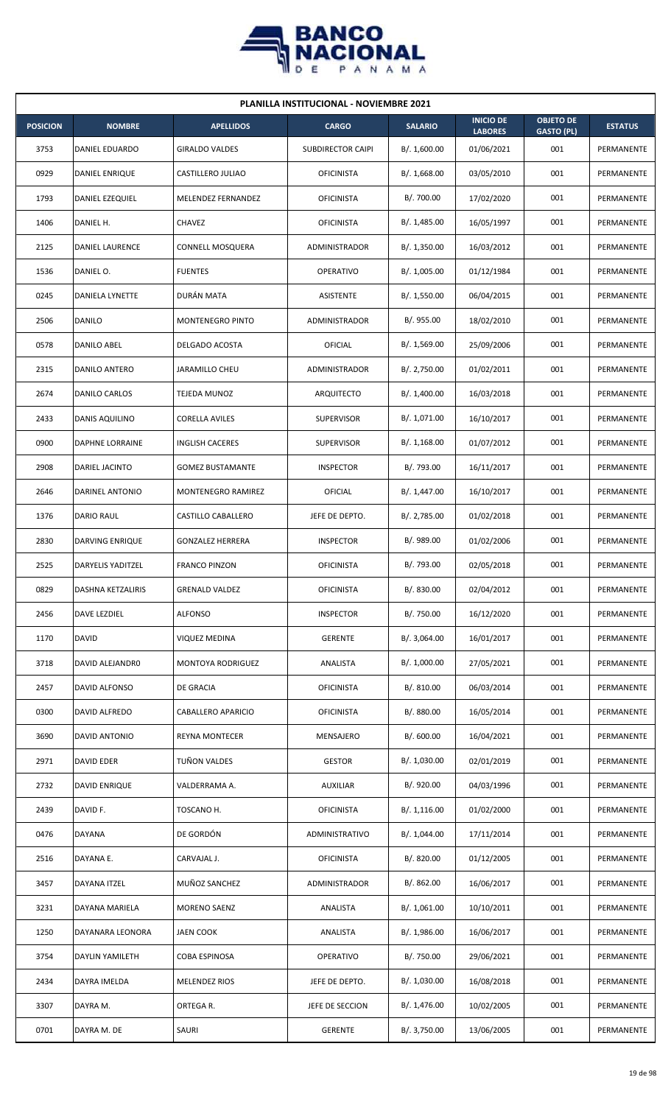

| PLANILLA INSTITUCIONAL - NOVIEMBRE 2021 |                          |                           |                          |                |                                    |                                       |                |  |  |  |
|-----------------------------------------|--------------------------|---------------------------|--------------------------|----------------|------------------------------------|---------------------------------------|----------------|--|--|--|
| <b>POSICION</b>                         | <b>NOMBRE</b>            | <b>APELLIDOS</b>          | <b>CARGO</b>             | <b>SALARIO</b> | <b>INICIO DE</b><br><b>LABORES</b> | <b>OBJETO DE</b><br><b>GASTO (PL)</b> | <b>ESTATUS</b> |  |  |  |
| 3753                                    | DANIEL EDUARDO           | <b>GIRALDO VALDES</b>     | <b>SUBDIRECTOR CAIPI</b> | B/. 1,600.00   | 01/06/2021                         | 001                                   | PERMANENTE     |  |  |  |
| 0929                                    | DANIEL ENRIQUE           | CASTILLERO JULIAO         | <b>OFICINISTA</b>        | B/.1,668.00    | 03/05/2010                         | 001                                   | PERMANENTE     |  |  |  |
| 1793                                    | DANIEL EZEQUIEL          | MELENDEZ FERNANDEZ        | <b>OFICINISTA</b>        | B/. 700.00     | 17/02/2020                         | 001                                   | PERMANENTE     |  |  |  |
| 1406                                    | DANIEL H.                | CHAVEZ                    | <b>OFICINISTA</b>        | B/. 1,485.00   | 16/05/1997                         | 001                                   | PERMANENTE     |  |  |  |
| 2125                                    | <b>DANIEL LAURENCE</b>   | CONNELL MOSQUERA          | ADMINISTRADOR            | B/. 1,350.00   | 16/03/2012                         | 001                                   | PERMANENTE     |  |  |  |
| 1536                                    | DANIEL O.                | <b>FUENTES</b>            | <b>OPERATIVO</b>         | B/. 1,005.00   | 01/12/1984                         | 001                                   | PERMANENTE     |  |  |  |
| 0245                                    | DANIELA LYNETTE          | DURÁN MATA                | ASISTENTE                | B/. 1,550.00   | 06/04/2015                         | 001                                   | PERMANENTE     |  |  |  |
| 2506                                    | <b>DANILO</b>            | MONTENEGRO PINTO          | <b>ADMINISTRADOR</b>     | B/. 955.00     | 18/02/2010                         | 001                                   | PERMANENTE     |  |  |  |
| 0578                                    | DANILO ABEL              | DELGADO ACOSTA            | OFICIAL                  | B/. 1,569.00   | 25/09/2006                         | 001                                   | PERMANENTE     |  |  |  |
| 2315                                    | DANILO ANTERO            | JARAMILLO CHEU            | ADMINISTRADOR            | B/.2,750.00    | 01/02/2011                         | 001                                   | PERMANENTE     |  |  |  |
| 2674                                    | DANILO CARLOS            | <b>TEJEDA MUNOZ</b>       | ARQUITECTO               | B/. 1,400.00   | 16/03/2018                         | 001                                   | PERMANENTE     |  |  |  |
| 2433                                    | DANIS AQUILINO           | <b>CORELLA AVILES</b>     | <b>SUPERVISOR</b>        | B/. 1,071.00   | 16/10/2017                         | 001                                   | PERMANENTE     |  |  |  |
| 0900                                    | DAPHNE LORRAINE          | <b>INGLISH CACERES</b>    | <b>SUPERVISOR</b>        | B/.1,168.00    | 01/07/2012                         | 001                                   | PERMANENTE     |  |  |  |
| 2908                                    | DARIEL JACINTO           | <b>GOMEZ BUSTAMANTE</b>   | <b>INSPECTOR</b>         | B/. 793.00     | 16/11/2017                         | 001                                   | PERMANENTE     |  |  |  |
| 2646                                    | DARINEL ANTONIO          | MONTENEGRO RAMIREZ        | OFICIAL                  | B/. 1,447.00   | 16/10/2017                         | 001                                   | PERMANENTE     |  |  |  |
| 1376                                    | <b>DARIO RAUL</b>        | <b>CASTILLO CABALLERO</b> | JEFE DE DEPTO.           | B/. 2,785.00   | 01/02/2018                         | 001                                   | PERMANENTE     |  |  |  |
| 2830                                    | DARVING ENRIQUE          | <b>GONZALEZ HERRERA</b>   | <b>INSPECTOR</b>         | B/. 989.00     | 01/02/2006                         | 001                                   | PERMANENTE     |  |  |  |
| 2525                                    | <b>DARYELIS YADITZEL</b> | <b>FRANCO PINZON</b>      | <b>OFICINISTA</b>        | B/. 793.00     | 02/05/2018                         | 001                                   | PERMANENTE     |  |  |  |
| 0829                                    | <b>DASHNA KETZALIRIS</b> | <b>GRENALD VALDEZ</b>     | <b>OFICINISTA</b>        | B/. 830.00     | 02/04/2012                         | 001                                   | PERMANENTE     |  |  |  |
| 2456                                    | DAVE LEZDIEL             | <b>ALFONSO</b>            | <b>INSPECTOR</b>         | B/. 750.00     | 16/12/2020                         | 001                                   | PERMANENTE     |  |  |  |
| 1170                                    | DAVID                    | VIQUEZ MEDINA             | <b>GERENTE</b>           | B/.3,064.00    | 16/01/2017                         | 001                                   | PERMANENTE     |  |  |  |
| 3718                                    | DAVID ALEJANDRO          | MONTOYA RODRIGUEZ         | ANALISTA                 | B/. 1,000.00   | 27/05/2021                         | 001                                   | PERMANENTE     |  |  |  |
| 2457                                    | DAVID ALFONSO            | DE GRACIA                 | <b>OFICINISTA</b>        | B/. 810.00     | 06/03/2014                         | 001                                   | PERMANENTE     |  |  |  |
| 0300                                    | DAVID ALFREDO            | CABALLERO APARICIO        | <b>OFICINISTA</b>        | B/. 880.00     | 16/05/2014                         | 001                                   | PERMANENTE     |  |  |  |
| 3690                                    | <b>DAVID ANTONIO</b>     | <b>REYNA MONTECER</b>     | MENSAJERO                | B/.600.00      | 16/04/2021                         | 001                                   | PERMANENTE     |  |  |  |
| 2971                                    | <b>DAVID EDER</b>        | TUÑON VALDES              | <b>GESTOR</b>            | B/. 1,030.00   | 02/01/2019                         | 001                                   | PERMANENTE     |  |  |  |
| 2732                                    | DAVID ENRIQUE            | VALDERRAMA A.             | AUXILIAR                 | B/. 920.00     | 04/03/1996                         | 001                                   | PERMANENTE     |  |  |  |
| 2439                                    | DAVID F.                 | TOSCANO H.                | <b>OFICINISTA</b>        | B/.1,116.00    | 01/02/2000                         | 001                                   | PERMANENTE     |  |  |  |
| 0476                                    | <b>DAYANA</b>            | DE GORDÓN                 | ADMINISTRATIVO           | B/. 1,044.00   | 17/11/2014                         | 001                                   | PERMANENTE     |  |  |  |
| 2516                                    | DAYANA E.                | CARVAJAL J.               | <b>OFICINISTA</b>        | B/. 820.00     | 01/12/2005                         | 001                                   | PERMANENTE     |  |  |  |
| 3457                                    | DAYANA ITZEL             | MUÑOZ SANCHEZ             | ADMINISTRADOR            | B/. 862.00     | 16/06/2017                         | 001                                   | PERMANENTE     |  |  |  |
| 3231                                    | DAYANA MARIELA           | <b>MORENO SAENZ</b>       | ANALISTA                 | B/. 1,061.00   | 10/10/2011                         | 001                                   | PERMANENTE     |  |  |  |
| 1250                                    | DAYANARA LEONORA         | <b>JAEN COOK</b>          | ANALISTA                 | B/. 1,986.00   | 16/06/2017                         | 001                                   | PERMANENTE     |  |  |  |
| 3754                                    | DAYLIN YAMILETH          | COBA ESPINOSA             | <b>OPERATIVO</b>         | B/. 750.00     | 29/06/2021                         | 001                                   | PERMANENTE     |  |  |  |
| 2434                                    | DAYRA IMELDA             | <b>MELENDEZ RIOS</b>      | JEFE DE DEPTO.           | B/. 1,030.00   | 16/08/2018                         | 001                                   | PERMANENTE     |  |  |  |
| 3307                                    | DAYRA M.                 | ORTEGA R.                 | JEFE DE SECCION          | B/. 1,476.00   | 10/02/2005                         | 001                                   | PERMANENTE     |  |  |  |
| 0701                                    | DAYRA M. DE              | SAURI                     | <b>GERENTE</b>           | B/. 3,750.00   | 13/06/2005                         | 001                                   | PERMANENTE     |  |  |  |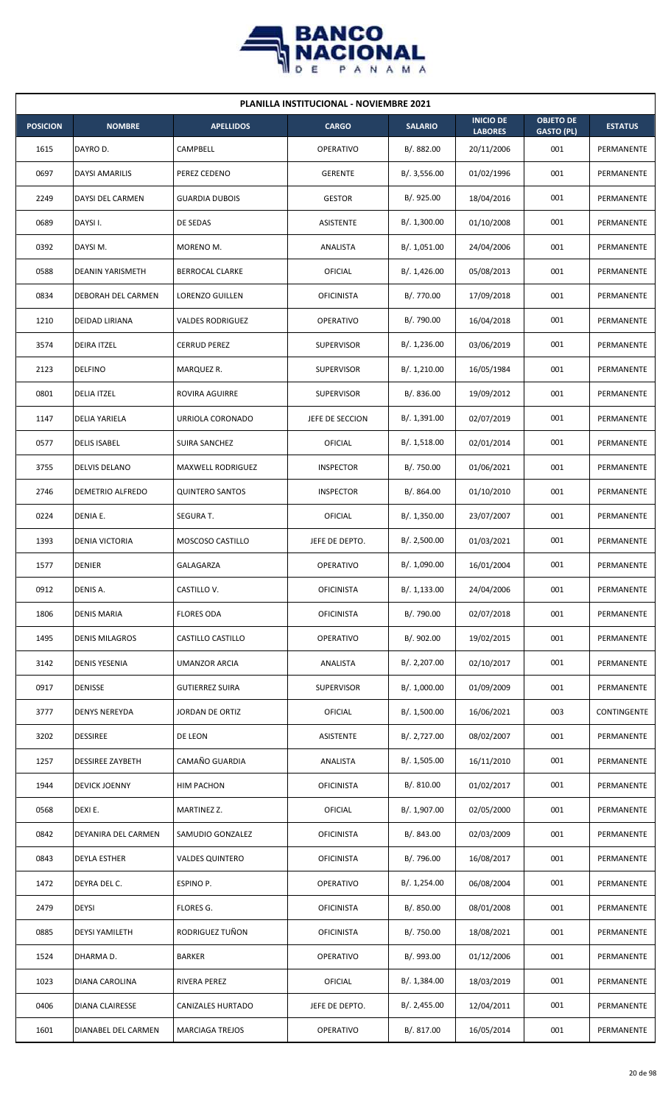

|                 | <b>PLANILLA INSTITUCIONAL - NOVIEMBRE 2021</b> |                          |                   |                |                                    |                                       |                |  |  |  |  |
|-----------------|------------------------------------------------|--------------------------|-------------------|----------------|------------------------------------|---------------------------------------|----------------|--|--|--|--|
| <b>POSICION</b> | <b>NOMBRE</b>                                  | <b>APELLIDOS</b>         | <b>CARGO</b>      | <b>SALARIO</b> | <b>INICIO DE</b><br><b>LABORES</b> | <b>OBJETO DE</b><br><b>GASTO (PL)</b> | <b>ESTATUS</b> |  |  |  |  |
| 1615            | DAYRO D.                                       | CAMPBELL                 | <b>OPERATIVO</b>  | B/. 882.00     | 20/11/2006                         | 001                                   | PERMANENTE     |  |  |  |  |
| 0697            | <b>DAYSI AMARILIS</b>                          | PEREZ CEDENO             | <b>GERENTE</b>    | B/.3,556.00    | 01/02/1996                         | 001                                   | PERMANENTE     |  |  |  |  |
| 2249            | DAYSI DEL CARMEN                               | <b>GUARDIA DUBOIS</b>    | <b>GESTOR</b>     | B/. 925.00     | 18/04/2016                         | 001                                   | PERMANENTE     |  |  |  |  |
| 0689            | DAYSI I.                                       | DE SEDAS                 | <b>ASISTENTE</b>  | B/. 1,300.00   | 01/10/2008                         | 001                                   | PERMANENTE     |  |  |  |  |
| 0392            | DAYSI M.                                       | MORENO M.                | ANALISTA          | B/. 1,051.00   | 24/04/2006                         | 001                                   | PERMANENTE     |  |  |  |  |
| 0588            | <b>DEANIN YARISMETH</b>                        | <b>BERROCAL CLARKE</b>   | OFICIAL           | B/.1,426.00    | 05/08/2013                         | 001                                   | PERMANENTE     |  |  |  |  |
| 0834            | <b>DEBORAH DEL CARMEN</b>                      | <b>LORENZO GUILLEN</b>   | <b>OFICINISTA</b> | B/. 770.00     | 17/09/2018                         | 001                                   | PERMANENTE     |  |  |  |  |
| 1210            | <b>DEIDAD LIRIANA</b>                          | <b>VALDES RODRIGUEZ</b>  | <b>OPERATIVO</b>  | B/. 790.00     | 16/04/2018                         | 001                                   | PERMANENTE     |  |  |  |  |
| 3574            | <b>DEIRA ITZEL</b>                             | CERRUD PEREZ             | <b>SUPERVISOR</b> | B/. 1,236.00   | 03/06/2019                         | 001                                   | PERMANENTE     |  |  |  |  |
| 2123            | <b>DELFINO</b>                                 | MARQUEZ R.               | <b>SUPERVISOR</b> | B/. 1,210.00   | 16/05/1984                         | 001                                   | PERMANENTE     |  |  |  |  |
| 0801            | <b>DELIA ITZEL</b>                             | ROVIRA AGUIRRE           | <b>SUPERVISOR</b> | B/. 836.00     | 19/09/2012                         | 001                                   | PERMANENTE     |  |  |  |  |
| 1147            | <b>DELIA YARIELA</b>                           | URRIOLA CORONADO         | JEFE DE SECCION   | B/. 1,391.00   | 02/07/2019                         | 001                                   | PERMANENTE     |  |  |  |  |
| 0577            | <b>DELIS ISABEL</b>                            | SUIRA SANCHEZ            | OFICIAL           | B/. 1,518.00   | 02/01/2014                         | 001                                   | PERMANENTE     |  |  |  |  |
| 3755            | <b>DELVIS DELANO</b>                           | <b>MAXWELL RODRIGUEZ</b> | <b>INSPECTOR</b>  | B/. 750.00     | 01/06/2021                         | 001                                   | PERMANENTE     |  |  |  |  |
| 2746            | <b>DEMETRIO ALFREDO</b>                        | <b>QUINTERO SANTOS</b>   | <b>INSPECTOR</b>  | B/.864.00      | 01/10/2010                         | 001                                   | PERMANENTE     |  |  |  |  |
| 0224            | DENIA E.                                       | SEGURA T.                | <b>OFICIAL</b>    | B/.1,350.00    | 23/07/2007                         | 001                                   | PERMANENTE     |  |  |  |  |
| 1393            | <b>DENIA VICTORIA</b>                          | MOSCOSO CASTILLO         | JEFE DE DEPTO.    | B/.2,500.00    | 01/03/2021                         | 001                                   | PERMANENTE     |  |  |  |  |
| 1577            | <b>DENIER</b>                                  | GALAGARZA                | <b>OPERATIVO</b>  | B/. 1,090.00   | 16/01/2004                         | 001                                   | PERMANENTE     |  |  |  |  |
| 0912            | DENIS A.                                       | CASTILLO V.              | <b>OFICINISTA</b> | B/. 1,133.00   | 24/04/2006                         | 001                                   | PERMANENTE     |  |  |  |  |
| 1806            | <b>DENIS MARIA</b>                             | <b>FLORES ODA</b>        | <b>OFICINISTA</b> | B/. 790.00     | 02/07/2018                         | 001                                   | PERMANENTE     |  |  |  |  |
| 1495            | <b>DENIS MILAGROS</b>                          | CASTILLO CASTILLO        | <b>OPERATIVO</b>  | B/. 902.00     | 19/02/2015                         | 001                                   | PERMANENTE     |  |  |  |  |
| 3142            | <b>DENIS YESENIA</b>                           | <b>UMANZOR ARCIA</b>     | ANALISTA          | B/. 2,207.00   | 02/10/2017                         | 001                                   | PERMANENTE     |  |  |  |  |
| 0917            | <b>DENISSE</b>                                 | <b>GUTIERREZ SUIRA</b>   | <b>SUPERVISOR</b> | B/. 1,000.00   | 01/09/2009                         | 001                                   | PERMANENTE     |  |  |  |  |
| 3777            | <b>DENYS NEREYDA</b>                           | JORDAN DE ORTIZ          | <b>OFICIAL</b>    | B/. 1,500.00   | 16/06/2021                         | 003                                   | CONTINGENTE    |  |  |  |  |
| 3202            | <b>DESSIREE</b>                                | DE LEON                  | ASISTENTE         | B/. 2,727.00   | 08/02/2007                         | 001                                   | PERMANENTE     |  |  |  |  |
| 1257            | <b>DESSIREE ZAYBETH</b>                        | CAMAÑO GUARDIA           | ANALISTA          | B/. 1,505.00   | 16/11/2010                         | 001                                   | PERMANENTE     |  |  |  |  |
| 1944            | <b>DEVICK JOENNY</b>                           | HIM PACHON               | <b>OFICINISTA</b> | B/. 810.00     | 01/02/2017                         | 001                                   | PERMANENTE     |  |  |  |  |
| 0568            | DEXI E.                                        | MARTINEZ Z.              | OFICIAL           | B/. 1,907.00   | 02/05/2000                         | 001                                   | PERMANENTE     |  |  |  |  |
| 0842            | DEYANIRA DEL CARMEN                            | SAMUDIO GONZALEZ         | <b>OFICINISTA</b> | B/. 843.00     | 02/03/2009                         | 001                                   | PERMANENTE     |  |  |  |  |
| 0843            | DEYLA ESTHER                                   | <b>VALDES QUINTERO</b>   | <b>OFICINISTA</b> | B/. 796.00     | 16/08/2017                         | 001                                   | PERMANENTE     |  |  |  |  |
| 1472            | DEYRA DEL C.                                   | ESPINO P.                | OPERATIVO         | B/. 1,254.00   | 06/08/2004                         | 001                                   | PERMANENTE     |  |  |  |  |
| 2479            | <b>DEYSI</b>                                   | <b>FLORES G.</b>         | <b>OFICINISTA</b> | B/. 850.00     | 08/01/2008                         | 001                                   | PERMANENTE     |  |  |  |  |
| 0885            | <b>DEYSI YAMILETH</b>                          | RODRIGUEZ TUÑON          | <b>OFICINISTA</b> | B/. 750.00     | 18/08/2021                         | 001                                   | PERMANENTE     |  |  |  |  |
| 1524            | DHARMA D.                                      | <b>BARKER</b>            | <b>OPERATIVO</b>  | B/. 993.00     | 01/12/2006                         | 001                                   | PERMANENTE     |  |  |  |  |
| 1023            | DIANA CAROLINA                                 | RIVERA PEREZ             | OFICIAL           | B/. 1,384.00   | 18/03/2019                         | 001                                   | PERMANENTE     |  |  |  |  |
| 0406            | <b>DIANA CLAIRESSE</b>                         | <b>CANIZALES HURTADO</b> | JEFE DE DEPTO.    | B/.2,455.00    | 12/04/2011                         | 001                                   | PERMANENTE     |  |  |  |  |
| 1601            | DIANABEL DEL CARMEN                            | <b>MARCIAGA TREJOS</b>   | OPERATIVO         | B/. 817.00     | 16/05/2014                         | 001                                   | PERMANENTE     |  |  |  |  |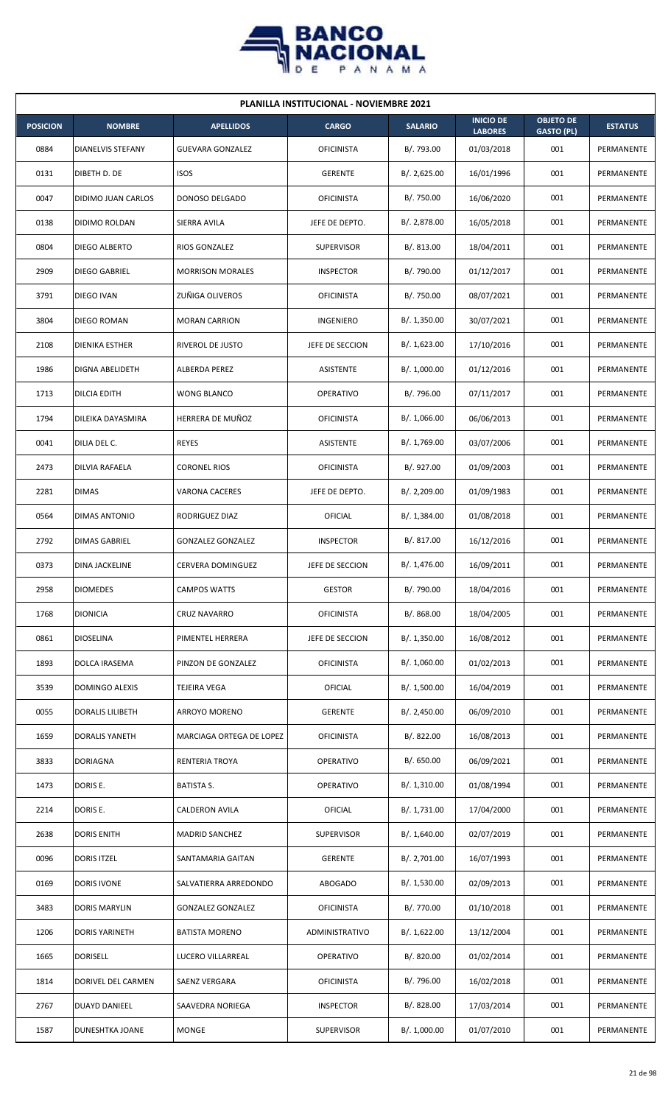

| <b>PLANILLA INSTITUCIONAL - NOVIEMBRE 2021</b> |                          |                          |                   |                |                                    |                                       |                |  |  |  |
|------------------------------------------------|--------------------------|--------------------------|-------------------|----------------|------------------------------------|---------------------------------------|----------------|--|--|--|
| <b>POSICION</b>                                | <b>NOMBRE</b>            | <b>APELLIDOS</b>         | <b>CARGO</b>      | <b>SALARIO</b> | <b>INICIO DE</b><br><b>LABORES</b> | <b>OBJETO DE</b><br><b>GASTO (PL)</b> | <b>ESTATUS</b> |  |  |  |
| 0884                                           | <b>DIANELVIS STEFANY</b> | <b>GUEVARA GONZALEZ</b>  | <b>OFICINISTA</b> | B/. 793.00     | 01/03/2018                         | 001                                   | PERMANENTE     |  |  |  |
| 0131                                           | DIBETH D. DE             | <b>ISOS</b>              | <b>GERENTE</b>    | B/.2,625.00    | 16/01/1996                         | 001                                   | PERMANENTE     |  |  |  |
| 0047                                           | DIDIMO JUAN CARLOS       | DONOSO DELGADO           | <b>OFICINISTA</b> | B/. 750.00     | 16/06/2020                         | 001                                   | PERMANENTE     |  |  |  |
| 0138                                           | DIDIMO ROLDAN            | SIERRA AVILA             | JEFE DE DEPTO.    | B/. 2,878.00   | 16/05/2018                         | 001                                   | PERMANENTE     |  |  |  |
| 0804                                           | DIEGO ALBERTO            | RIOS GONZALEZ            | <b>SUPERVISOR</b> | B/0.813.00     | 18/04/2011                         | 001                                   | PERMANENTE     |  |  |  |
| 2909                                           | DIEGO GABRIEL            | <b>MORRISON MORALES</b>  | <b>INSPECTOR</b>  | B/. 790.00     | 01/12/2017                         | 001                                   | PERMANENTE     |  |  |  |
| 3791                                           | DIEGO IVAN               | ZUÑIGA OLIVEROS          | <b>OFICINISTA</b> | B/. 750.00     | 08/07/2021                         | 001                                   | PERMANENTE     |  |  |  |
| 3804                                           | DIEGO ROMAN              | <b>MORAN CARRION</b>     | INGENIERO         | B/. 1,350.00   | 30/07/2021                         | 001                                   | PERMANENTE     |  |  |  |
| 2108                                           | DIENIKA ESTHER           | RIVEROL DE JUSTO         | JEFE DE SECCION   | B/. 1,623.00   | 17/10/2016                         | 001                                   | PERMANENTE     |  |  |  |
| 1986                                           | <b>DIGNA ABELIDETH</b>   | ALBERDA PEREZ            | <b>ASISTENTE</b>  | B/. 1,000.00   | 01/12/2016                         | 001                                   | PERMANENTE     |  |  |  |
| 1713                                           | <b>DILCIA EDITH</b>      | WONG BLANCO              | <b>OPERATIVO</b>  | B/. 796.00     | 07/11/2017                         | 001                                   | PERMANENTE     |  |  |  |
| 1794                                           | DILEIKA DAYASMIRA        | HERRERA DE MUÑOZ         | <b>OFICINISTA</b> | B/.1,066.00    | 06/06/2013                         | 001                                   | PERMANENTE     |  |  |  |
| 0041                                           | DILIA DEL C.             | <b>REYES</b>             | ASISTENTE         | B/. 1,769.00   | 03/07/2006                         | 001                                   | PERMANENTE     |  |  |  |
| 2473                                           | DILVIA RAFAELA           | <b>CORONEL RIOS</b>      | <b>OFICINISTA</b> | B/. 927.00     | 01/09/2003                         | 001                                   | PERMANENTE     |  |  |  |
| 2281                                           | <b>DIMAS</b>             | VARONA CACERES           | JEFE DE DEPTO.    | B/.2,209.00    | 01/09/1983                         | 001                                   | PERMANENTE     |  |  |  |
| 0564                                           | DIMAS ANTONIO            | RODRIGUEZ DIAZ           | OFICIAL           | B/.1,384.00    | 01/08/2018                         | 001                                   | PERMANENTE     |  |  |  |
| 2792                                           | DIMAS GABRIEL            | <b>GONZALEZ GONZALEZ</b> | <b>INSPECTOR</b>  | B/. 817.00     | 16/12/2016                         | 001                                   | PERMANENTE     |  |  |  |
| 0373                                           | DINA JACKELINE           | <b>CERVERA DOMINGUEZ</b> | JEFE DE SECCION   | B/. 1,476.00   | 16/09/2011                         | 001                                   | PERMANENTE     |  |  |  |
| 2958                                           | <b>DIOMEDES</b>          | <b>CAMPOS WATTS</b>      | <b>GESTOR</b>     | B/. 790.00     | 18/04/2016                         | 001                                   | PERMANENTE     |  |  |  |
| 1768                                           | <b>DIONICIA</b>          | <b>CRUZ NAVARRO</b>      | <b>OFICINISTA</b> | B/. 868.00     | 18/04/2005                         | 001                                   | PERMANENTE     |  |  |  |
| 0861                                           | <b>DIOSELINA</b>         | PIMENTEL HERRERA         | JEFE DE SECCION   | B/.1,350.00    | 16/08/2012                         | 001                                   | PERMANENTE     |  |  |  |
| 1893                                           | DOLCA IRASEMA            | PINZON DE GONZALEZ       | <b>OFICINISTA</b> | B/. 1,060.00   | 01/02/2013                         | 001                                   | PERMANENTE     |  |  |  |
| 3539                                           | DOMINGO ALEXIS           | TEJEIRA VEGA             | OFICIAL           | B/. 1,500.00   | 16/04/2019                         | 001                                   | PERMANENTE     |  |  |  |
| 0055                                           | DORALIS LILIBETH         | ARROYO MORENO            | <b>GERENTE</b>    | B/. 2,450.00   | 06/09/2010                         | 001                                   | PERMANENTE     |  |  |  |
| 1659                                           | DORALIS YANETH           | MARCIAGA ORTEGA DE LOPEZ | <b>OFICINISTA</b> | B/. 822.00     | 16/08/2013                         | 001                                   | PERMANENTE     |  |  |  |
| 3833                                           | <b>DORIAGNA</b>          | RENTERIA TROYA           | <b>OPERATIVO</b>  | B/. 650.00     | 06/09/2021                         | 001                                   | PERMANENTE     |  |  |  |
| 1473                                           | DORIS E.                 | <b>BATISTA S.</b>        | <b>OPERATIVO</b>  | B/.1,310.00    | 01/08/1994                         | 001                                   | PERMANENTE     |  |  |  |
| 2214                                           | DORIS E.                 | CALDERON AVILA           | OFICIAL           | B/. 1,731.00   | 17/04/2000                         | 001                                   | PERMANENTE     |  |  |  |
| 2638                                           | <b>DORIS ENITH</b>       | <b>MADRID SANCHEZ</b>    | <b>SUPERVISOR</b> | B/.1,640.00    | 02/07/2019                         | 001                                   | PERMANENTE     |  |  |  |
| 0096                                           | <b>DORIS ITZEL</b>       | SANTAMARIA GAITAN        | <b>GERENTE</b>    | B/. 2,701.00   | 16/07/1993                         | 001                                   | PERMANENTE     |  |  |  |
| 0169                                           | DORIS IVONE              | SALVATIERRA ARREDONDO    | <b>ABOGADO</b>    | B/. 1,530.00   | 02/09/2013                         | 001                                   | PERMANENTE     |  |  |  |
| 3483                                           | DORIS MARYLIN            | <b>GONZALEZ GONZALEZ</b> | <b>OFICINISTA</b> | B/. 770.00     | 01/10/2018                         | 001                                   | PERMANENTE     |  |  |  |
| 1206                                           | <b>DORIS YARINETH</b>    | <b>BATISTA MORENO</b>    | ADMINISTRATIVO    | B/.1,622.00    | 13/12/2004                         | 001                                   | PERMANENTE     |  |  |  |
| 1665                                           | <b>DORISELL</b>          | LUCERO VILLARREAL        | <b>OPERATIVO</b>  | B/. 820.00     | 01/02/2014                         | 001                                   | PERMANENTE     |  |  |  |
| 1814                                           | DORIVEL DEL CARMEN       | SAENZ VERGARA            | <b>OFICINISTA</b> | B/. 796.00     | 16/02/2018                         | 001                                   | PERMANENTE     |  |  |  |
| 2767                                           | <b>DUAYD DANIEEL</b>     | SAAVEDRA NORIEGA         | <b>INSPECTOR</b>  | B/. 828.00     | 17/03/2014                         | 001                                   | PERMANENTE     |  |  |  |
| 1587                                           | DUNESHTKA JOANE          | <b>MONGE</b>             | <b>SUPERVISOR</b> | B/. 1,000.00   | 01/07/2010                         | 001                                   | PERMANENTE     |  |  |  |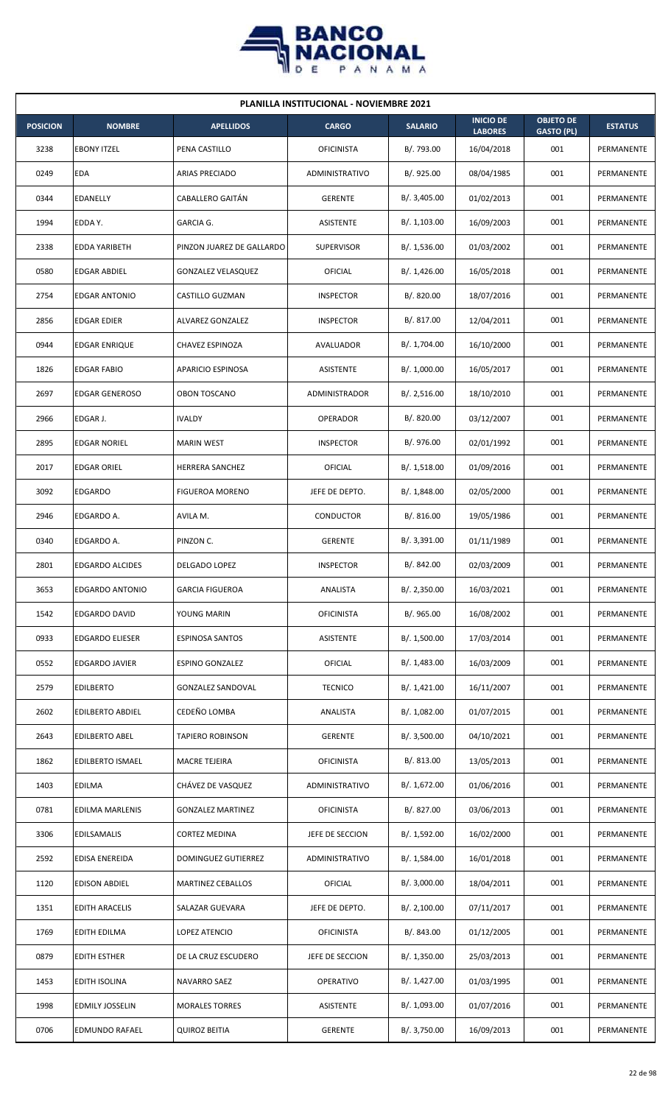

| <b>PLANILLA INSTITUCIONAL - NOVIEMBRE 2021</b> |                         |                           |                   |                |                                    |                                       |                |  |  |  |
|------------------------------------------------|-------------------------|---------------------------|-------------------|----------------|------------------------------------|---------------------------------------|----------------|--|--|--|
| <b>POSICION</b>                                | <b>NOMBRE</b>           | <b>APELLIDOS</b>          | <b>CARGO</b>      | <b>SALARIO</b> | <b>INICIO DE</b><br><b>LABORES</b> | <b>OBJETO DE</b><br><b>GASTO (PL)</b> | <b>ESTATUS</b> |  |  |  |
| 3238                                           | <b>EBONY ITZEL</b>      | PENA CASTILLO             | <b>OFICINISTA</b> | B/. 793.00     | 16/04/2018                         | 001                                   | PERMANENTE     |  |  |  |
| 0249                                           | EDA                     | <b>ARIAS PRECIADO</b>     | ADMINISTRATIVO    | B/.925.00      | 08/04/1985                         | 001                                   | PERMANENTE     |  |  |  |
| 0344                                           | EDANELLY                | CABALLERO GAITÁN          | <b>GERENTE</b>    | B/. 3,405.00   | 01/02/2013                         | 001                                   | PERMANENTE     |  |  |  |
| 1994                                           | EDDA Y.                 | GARCIA G.                 | ASISTENTE         | B/.1,103.00    | 16/09/2003                         | 001                                   | PERMANENTE     |  |  |  |
| 2338                                           | EDDA YARIBETH           | PINZON JUAREZ DE GALLARDO | <b>SUPERVISOR</b> | B/. 1,536.00   | 01/03/2002                         | 001                                   | PERMANENTE     |  |  |  |
| 0580                                           | <b>EDGAR ABDIEL</b>     | <b>GONZALEZ VELASQUEZ</b> | OFICIAL           | B/.1,426.00    | 16/05/2018                         | 001                                   | PERMANENTE     |  |  |  |
| 2754                                           | <b>EDGAR ANTONIO</b>    | CASTILLO GUZMAN           | <b>INSPECTOR</b>  | B/. 820.00     | 18/07/2016                         | 001                                   | PERMANENTE     |  |  |  |
| 2856                                           | <b>EDGAR EDIER</b>      | ALVAREZ GONZALEZ          | <b>INSPECTOR</b>  | B/. 817.00     | 12/04/2011                         | 001                                   | PERMANENTE     |  |  |  |
| 0944                                           | <b>EDGAR ENRIQUE</b>    | CHAVEZ ESPINOZA           | AVALUADOR         | B/. 1,704.00   | 16/10/2000                         | 001                                   | PERMANENTE     |  |  |  |
| 1826                                           | EDGAR FABIO             | <b>APARICIO ESPINOSA</b>  | ASISTENTE         | B/. 1,000.00   | 16/05/2017                         | 001                                   | PERMANENTE     |  |  |  |
| 2697                                           | <b>EDGAR GENEROSO</b>   | <b>OBON TOSCANO</b>       | ADMINISTRADOR     | B/. 2,516.00   | 18/10/2010                         | 001                                   | PERMANENTE     |  |  |  |
| 2966                                           | EDGAR J.                | <b>IVALDY</b>             | OPERADOR          | B/. 820.00     | 03/12/2007                         | 001                                   | PERMANENTE     |  |  |  |
| 2895                                           | <b>EDGAR NORIEL</b>     | <b>MARIN WEST</b>         | <b>INSPECTOR</b>  | B/. 976.00     | 02/01/1992                         | 001                                   | PERMANENTE     |  |  |  |
| 2017                                           | <b>EDGAR ORIEL</b>      | <b>HERRERA SANCHEZ</b>    | OFICIAL           | B/.1,518.00    | 01/09/2016                         | 001                                   | PERMANENTE     |  |  |  |
| 3092                                           | <b>EDGARDO</b>          | <b>FIGUEROA MORENO</b>    | JEFE DE DEPTO.    | B/.1,848.00    | 02/05/2000                         | 001                                   | PERMANENTE     |  |  |  |
| 2946                                           | EDGARDO A.              | AVILA M.                  | CONDUCTOR         | B/. 816.00     | 19/05/1986                         | 001                                   | PERMANENTE     |  |  |  |
| 0340                                           | EDGARDO A.              | PINZON C.                 | <b>GERENTE</b>    | B/. 3,391.00   | 01/11/1989                         | 001                                   | PERMANENTE     |  |  |  |
| 2801                                           | <b>EDGARDO ALCIDES</b>  | DELGADO LOPEZ             | <b>INSPECTOR</b>  | B/. 842.00     | 02/03/2009                         | 001                                   | PERMANENTE     |  |  |  |
| 3653                                           | <b>EDGARDO ANTONIO</b>  | <b>GARCIA FIGUEROA</b>    | ANALISTA          | B/. 2,350.00   | 16/03/2021                         | 001                                   | PERMANENTE     |  |  |  |
| 1542                                           | EDGARDO DAVID           | YOUNG MARIN               | <b>OFICINISTA</b> | B/. 965.00     | 16/08/2002                         | 001                                   | PERMANENTE     |  |  |  |
| 0933                                           | <b>EDGARDO ELIESER</b>  | <b>ESPINOSA SANTOS</b>    | ASISTENTE         | B/. 1,500.00   | 17/03/2014                         | 001                                   | PERMANENTE     |  |  |  |
| 0552                                           | EDGARDO JAVIER          | <b>ESPINO GONZALEZ</b>    | OFICIAL           | B/. 1,483.00   | 16/03/2009                         | 001                                   | PERMANENTE     |  |  |  |
| 2579                                           | <b>EDILBERTO</b>        | <b>GONZALEZ SANDOVAL</b>  | <b>TECNICO</b>    | B/. 1,421.00   | 16/11/2007                         | 001                                   | PERMANENTE     |  |  |  |
| 2602                                           | <b>EDILBERTO ABDIEL</b> | CEDEÑO LOMBA              | ANALISTA          | B/. 1,082.00   | 01/07/2015                         | 001                                   | PERMANENTE     |  |  |  |
| 2643                                           | <b>EDILBERTO ABEL</b>   | <b>TAPIERO ROBINSON</b>   | <b>GERENTE</b>    | B/.3,500.00    | 04/10/2021                         | 001                                   | PERMANENTE     |  |  |  |
| 1862                                           | <b>EDILBERTO ISMAEL</b> | MACRE TEJEIRA             | OFICINISTA        | B/. 813.00     | 13/05/2013                         | 001                                   | PERMANENTE     |  |  |  |
| 1403                                           | EDILMA                  | CHÁVEZ DE VASQUEZ         | ADMINISTRATIVO    | B/.1,672.00    | 01/06/2016                         | 001                                   | PERMANENTE     |  |  |  |
| 0781                                           | EDILMA MARLENIS         | <b>GONZALEZ MARTINEZ</b>  | <b>OFICINISTA</b> | B/. 827.00     | 03/06/2013                         | 001                                   | PERMANENTE     |  |  |  |
| 3306                                           | <b>EDILSAMALIS</b>      | <b>CORTEZ MEDINA</b>      | JEFE DE SECCION   | B/. 1,592.00   | 16/02/2000                         | 001                                   | PERMANENTE     |  |  |  |
| 2592                                           | EDISA ENEREIDA          | DOMINGUEZ GUTIERREZ       | ADMINISTRATIVO    | B/. 1,584.00   | 16/01/2018                         | 001                                   | PERMANENTE     |  |  |  |
| 1120                                           | <b>EDISON ABDIEL</b>    | <b>MARTINEZ CEBALLOS</b>  | <b>OFICIAL</b>    | B/. 3,000.00   | 18/04/2011                         | 001                                   | PERMANENTE     |  |  |  |
| 1351                                           | <b>EDITH ARACELIS</b>   | SALAZAR GUEVARA           | JEFE DE DEPTO.    | B/.2,100.00    | 07/11/2017                         | 001                                   | PERMANENTE     |  |  |  |
| 1769                                           | EDITH EDILMA            | LOPEZ ATENCIO             | <b>OFICINISTA</b> | B/. 843.00     | 01/12/2005                         | 001                                   | PERMANENTE     |  |  |  |
| 0879                                           | <b>EDITH ESTHER</b>     | DE LA CRUZ ESCUDERO       | JEFE DE SECCION   | B/.1,350.00    | 25/03/2013                         | 001                                   | PERMANENTE     |  |  |  |
| 1453                                           | <b>EDITH ISOLINA</b>    | NAVARRO SAEZ              | OPERATIVO         | B/. 1,427.00   | 01/03/1995                         | 001                                   | PERMANENTE     |  |  |  |
| 1998                                           | <b>EDMILY JOSSELIN</b>  | <b>MORALES TORRES</b>     | ASISTENTE         | B/. 1,093.00   | 01/07/2016                         | 001                                   | PERMANENTE     |  |  |  |
| 0706                                           | <b>EDMUNDO RAFAEL</b>   | <b>QUIROZ BEITIA</b>      | <b>GERENTE</b>    | B/. 3,750.00   | 16/09/2013                         | 001                                   | PERMANENTE     |  |  |  |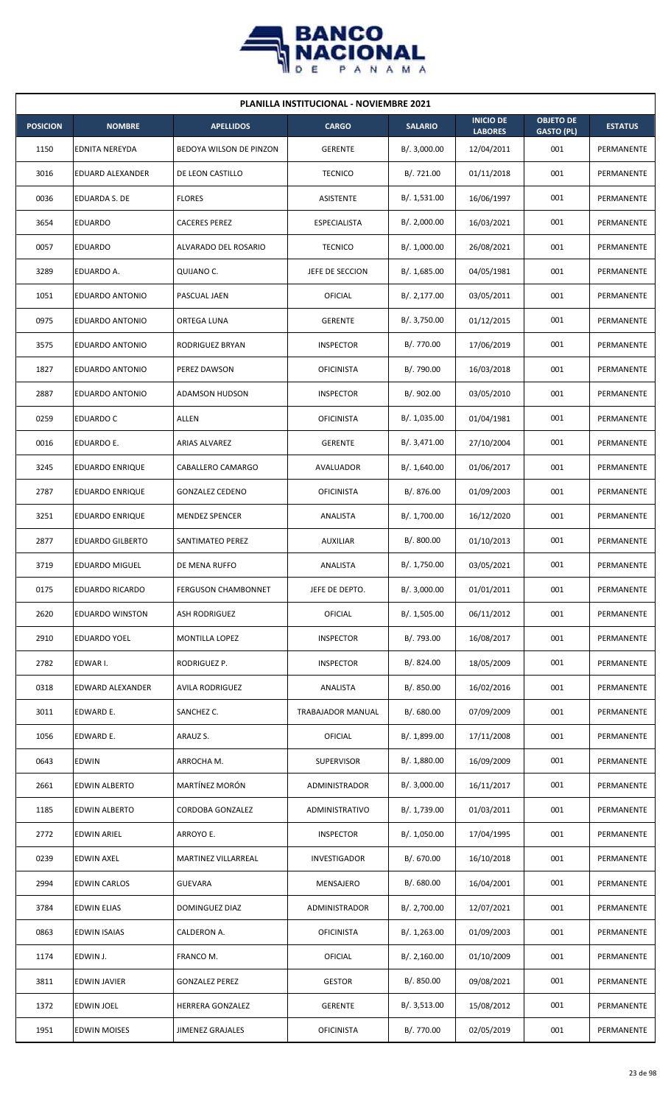

| <b>PLANILLA INSTITUCIONAL - NOVIEMBRE 2021</b> |                         |                            |                     |                |                                    |                                       |                   |  |  |  |
|------------------------------------------------|-------------------------|----------------------------|---------------------|----------------|------------------------------------|---------------------------------------|-------------------|--|--|--|
| <b>POSICION</b>                                | <b>NOMBRE</b>           | <b>APELLIDOS</b>           | <b>CARGO</b>        | <b>SALARIO</b> | <b>INICIO DE</b><br><b>LABORES</b> | <b>OBJETO DE</b><br><b>GASTO (PL)</b> | <b>ESTATUS</b>    |  |  |  |
| 1150                                           | <b>EDNITA NEREYDA</b>   | BEDOYA WILSON DE PINZON    | <b>GERENTE</b>      | B/.3,000.00    | 12/04/2011                         | 001                                   | PERMANENTE        |  |  |  |
| 3016                                           | EDUARD ALEXANDER        | DE LEON CASTILLO           | <b>TECNICO</b>      | B/.721.00      | 01/11/2018                         | 001                                   | PERMANENTE        |  |  |  |
| 0036                                           | EDUARDA S. DE           | <b>FLORES</b>              | ASISTENTE           | B/. 1,531.00   | 16/06/1997                         | 001                                   | PERMANENTE        |  |  |  |
| 3654                                           | <b>EDUARDO</b>          | <b>CACERES PEREZ</b>       | <b>ESPECIALISTA</b> | B/.2,000.00    | 16/03/2021                         | 001                                   | PERMANENTE        |  |  |  |
| 0057                                           | <b>EDUARDO</b>          | ALVARADO DEL ROSARIO       | <b>TECNICO</b>      | B/. 1,000.00   | 26/08/2021                         | 001                                   | PERMANENTE        |  |  |  |
| 3289                                           | EDUARDO A.              | QUIJANO C.                 | JEFE DE SECCION     | B/. 1,685.00   | 04/05/1981                         | 001                                   | PERMANENTE        |  |  |  |
| 1051                                           | EDUARDO ANTONIO         | PASCUAL JAEN               | OFICIAL             | B/.2,177.00    | 03/05/2011                         | 001                                   | PERMANENTE        |  |  |  |
| 0975                                           | EDUARDO ANTONIO         | ORTEGA LUNA                | <b>GERENTE</b>      | B/. 3,750.00   | 01/12/2015                         | 001                                   | PERMANENTE        |  |  |  |
| 3575                                           | EDUARDO ANTONIO         | <b>RODRIGUEZ BRYAN</b>     | <b>INSPECTOR</b>    | B/. 770.00     | 17/06/2019                         | 001                                   | PERMANENTE        |  |  |  |
| 1827                                           | EDUARDO ANTONIO         | PEREZ DAWSON               | <b>OFICINISTA</b>   | B/. 790.00     | 16/03/2018                         | 001                                   | PERMANENTE        |  |  |  |
| 2887                                           | EDUARDO ANTONIO         | ADAMSON HUDSON             | <b>INSPECTOR</b>    | B/. 902.00     | 03/05/2010                         | 001                                   | PERMANENTE        |  |  |  |
| 0259                                           | <b>EDUARDO C</b>        | <b>ALLEN</b>               | <b>OFICINISTA</b>   | B/. 1,035.00   | 01/04/1981                         | 001                                   | PERMANENTE        |  |  |  |
| 0016                                           | EDUARDO E.              | ARIAS ALVAREZ              | <b>GERENTE</b>      | B/. 3,471.00   | 27/10/2004                         | 001                                   | PERMANENTE        |  |  |  |
| 3245                                           | <b>EDUARDO ENRIQUE</b>  | CABALLERO CAMARGO          | AVALUADOR           | B/. 1,640.00   | 01/06/2017                         | 001                                   | PERMANENTE        |  |  |  |
| 2787                                           | <b>EDUARDO ENRIQUE</b>  | <b>GONZALEZ CEDENO</b>     | <b>OFICINISTA</b>   | B/. 876.00     | 01/09/2003                         | 001                                   | PERMANENTE        |  |  |  |
| 3251                                           | <b>EDUARDO ENRIQUE</b>  | <b>MENDEZ SPENCER</b>      | ANALISTA            | B/. 1,700.00   | 16/12/2020                         | 001                                   | PERMANENTE        |  |  |  |
| 2877                                           | <b>EDUARDO GILBERTO</b> | SANTIMATEO PEREZ           | <b>AUXILIAR</b>     | B/.800.00      | 01/10/2013                         | 001                                   | PERMANENTE        |  |  |  |
| 3719                                           | <b>EDUARDO MIGUEL</b>   | DE MENA RUFFO              | ANALISTA            | B/. 1,750.00   | 03/05/2021                         | 001                                   | PERMANENTE        |  |  |  |
| 0175                                           | EDUARDO RICARDO         | <b>FERGUSON CHAMBONNET</b> | JEFE DE DEPTO.      | B/.3,000.00    | 01/01/2011                         | 001                                   | PERMANENTE        |  |  |  |
| 2620                                           | <b>EDUARDO WINSTON</b>  | ASH RODRIGUEZ              | <b>OFICIAL</b>      | B/. 1,505.00   | 06/11/2012                         | 001                                   | PERMANENTE        |  |  |  |
| 2910                                           | EDUARDO YOEL            | MONTILLA LOPEZ             | <b>INSPECTOR</b>    | B/. 793.00     | 16/08/2017                         | 001                                   | PERMANENTE        |  |  |  |
| 2782                                           | EDWAR I.                | RODRIGUEZ P.               | <b>INSPECTOR</b>    | B/. 824.00     | 18/05/2009                         | 001                                   | PERMANENTE        |  |  |  |
| 0318                                           | EDWARD ALEXANDER        | <b>AVILA RODRIGUEZ</b>     | ANALISTA            | B/. 850.00     | 16/02/2016                         | 001                                   | PERMANENTE        |  |  |  |
| 3011                                           | EDWARD E.               | SANCHEZ C.                 | TRABAJADOR MANUAL   | B/. 680.00     | 07/09/2009                         | 001                                   | PERMANENTE        |  |  |  |
| 1056                                           | EDWARD E.               | ARAUZ S.                   | <b>OFICIAL</b>      | B/. 1,899.00   | 17/11/2008                         | 001                                   | PERMANENTE        |  |  |  |
| 0643                                           | EDWIN                   | ARROCHA M.                 | SUPERVISOR          | B/.1,880.00    | 16/09/2009                         | 001                                   | PERMANENTE        |  |  |  |
| 2661                                           | EDWIN ALBERTO           | MARTÍNEZ MORÓN             | ADMINISTRADOR       | B/.3,000.00    | 16/11/2017                         | 001                                   | PERMANENTE        |  |  |  |
| 1185                                           | EDWIN ALBERTO           | CORDOBA GONZALEZ           | ADMINISTRATIVO      | B/. 1,739.00   | 01/03/2011                         | 001                                   | PERMANENTE        |  |  |  |
| 2772                                           | EDWIN ARIEL             | ARROYO E.                  | <b>INSPECTOR</b>    | B/. 1,050.00   | 17/04/1995                         | 001                                   | PERMANENTE        |  |  |  |
| 0239                                           | <b>EDWIN AXEL</b>       | MARTINEZ VILLARREAL        | INVESTIGADOR        | B/. 670.00     | 16/10/2018                         | 001                                   | PERMANENTE        |  |  |  |
| 2994                                           | EDWIN CARLOS            | GUEVARA                    | MENSAJERO           | B/. 680.00     | 16/04/2001                         | 001                                   | PERMANENTE        |  |  |  |
| 3784                                           | EDWIN ELIAS             | DOMINGUEZ DIAZ             | ADMINISTRADOR       | B/. 2,700.00   | 12/07/2021                         | 001                                   | PERMANENTE        |  |  |  |
| 0863                                           | <b>EDWIN ISAIAS</b>     | CALDERON A.                | <b>OFICINISTA</b>   | B/. 1,263.00   | 01/09/2003                         | 001                                   | PERMANENTE        |  |  |  |
| 1174                                           | EDWIN J.                | FRANCO M.                  | OFICIAL             | B/.2,160.00    | 01/10/2009                         | 001                                   | PERMANENTE        |  |  |  |
| 3811                                           | <b>EDWIN JAVIER</b>     | GONZALEZ PEREZ             | <b>GESTOR</b>       | B/. 850.00     | 09/08/2021                         | 001                                   | PERMANENTE        |  |  |  |
| 1372                                           | EDWIN JOEL              | HERRERA GONZALEZ           | <b>GERENTE</b>      | B/. 3,513.00   | 15/08/2012                         | 001                                   | PERMANENTE        |  |  |  |
| 1951                                           | <b>EDWIN MOISES</b>     | <b>JIMENEZ GRAJALES</b>    | <b>OFICINISTA</b>   | B/. 770.00     | 02/05/2019                         | 001                                   | <b>PERMANENTE</b> |  |  |  |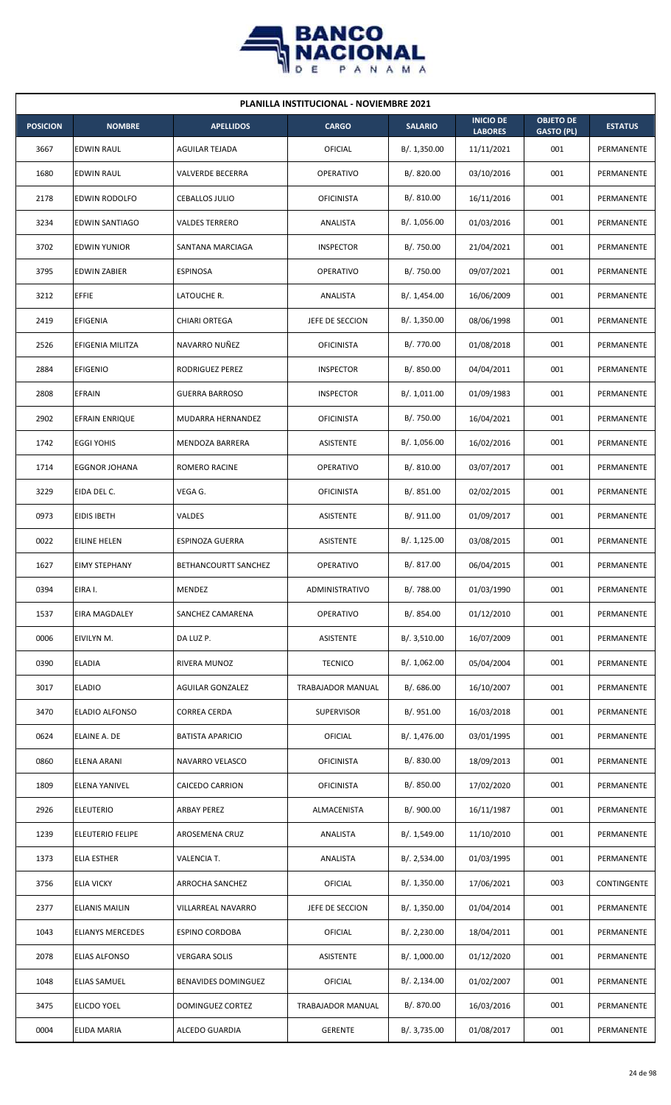

|                 | <b>PLANILLA INSTITUCIONAL - NOVIEMBRE 2021</b> |                            |                   |                |                                    |                                       |                |  |  |  |  |
|-----------------|------------------------------------------------|----------------------------|-------------------|----------------|------------------------------------|---------------------------------------|----------------|--|--|--|--|
| <b>POSICION</b> | <b>NOMBRE</b>                                  | <b>APELLIDOS</b>           | <b>CARGO</b>      | <b>SALARIO</b> | <b>INICIO DE</b><br><b>LABORES</b> | <b>OBJETO DE</b><br><b>GASTO (PL)</b> | <b>ESTATUS</b> |  |  |  |  |
| 3667            | <b>EDWIN RAUL</b>                              | AGUILAR TEJADA             | OFICIAL           | B/. 1,350.00   | 11/11/2021                         | 001                                   | PERMANENTE     |  |  |  |  |
| 1680            | EDWIN RAUL                                     | <b>VALVERDE BECERRA</b>    | OPERATIVO         | B/. 820.00     | 03/10/2016                         | 001                                   | PERMANENTE     |  |  |  |  |
| 2178            | EDWIN RODOLFO                                  | CEBALLOS JULIO             | <b>OFICINISTA</b> | B/. 810.00     | 16/11/2016                         | 001                                   | PERMANENTE     |  |  |  |  |
| 3234            | <b>EDWIN SANTIAGO</b>                          | <b>VALDES TERRERO</b>      | ANALISTA          | B/. 1,056.00   | 01/03/2016                         | 001                                   | PERMANENTE     |  |  |  |  |
| 3702            | <b>EDWIN YUNIOR</b>                            | SANTANA MARCIAGA           | <b>INSPECTOR</b>  | B/. 750.00     | 21/04/2021                         | 001                                   | PERMANENTE     |  |  |  |  |
| 3795            | <b>EDWIN ZABIER</b>                            | <b>ESPINOSA</b>            | OPERATIVO         | B/. 750.00     | 09/07/2021                         | 001                                   | PERMANENTE     |  |  |  |  |
| 3212            | <b>EFFIE</b>                                   | LATOUCHE R.                | ANALISTA          | B/.1,454.00    | 16/06/2009                         | 001                                   | PERMANENTE     |  |  |  |  |
| 2419            | EFIGENIA                                       | CHIARI ORTEGA              | JEFE DE SECCION   | B/. 1,350.00   | 08/06/1998                         | 001                                   | PERMANENTE     |  |  |  |  |
| 2526            | EFIGENIA MILITZA                               | NAVARRO NUÑEZ              | <b>OFICINISTA</b> | B/. 770.00     | 01/08/2018                         | 001                                   | PERMANENTE     |  |  |  |  |
| 2884            | <b>EFIGENIO</b>                                | RODRIGUEZ PEREZ            | <b>INSPECTOR</b>  | B/. 850.00     | 04/04/2011                         | 001                                   | PERMANENTE     |  |  |  |  |
| 2808            | <b>EFRAIN</b>                                  | <b>GUERRA BARROSO</b>      | <b>INSPECTOR</b>  | B/. 1,011.00   | 01/09/1983                         | 001                                   | PERMANENTE     |  |  |  |  |
| 2902            | EFRAIN ENRIQUE                                 | MUDARRA HERNANDEZ          | <b>OFICINISTA</b> | B/. 750.00     | 16/04/2021                         | 001                                   | PERMANENTE     |  |  |  |  |
| 1742            | <b>EGGI YOHIS</b>                              | MENDOZA BARRERA            | ASISTENTE         | B/. 1,056.00   | 16/02/2016                         | 001                                   | PERMANENTE     |  |  |  |  |
| 1714            | <b>EGGNOR JOHANA</b>                           | ROMERO RACINE              | OPERATIVO         | B/.810.00      | 03/07/2017                         | 001                                   | PERMANENTE     |  |  |  |  |
| 3229            | EIDA DEL C.                                    | VEGA G.                    | <b>OFICINISTA</b> | B/.851.00      | 02/02/2015                         | 001                                   | PERMANENTE     |  |  |  |  |
| 0973            | <b>EIDIS IBETH</b>                             | VALDES                     | ASISTENTE         | B/. 911.00     | 01/09/2017                         | 001                                   | PERMANENTE     |  |  |  |  |
| 0022            | <b>EILINE HELEN</b>                            | ESPINOZA GUERRA            | <b>ASISTENTE</b>  | B/.1,125.00    | 03/08/2015                         | 001                                   | PERMANENTE     |  |  |  |  |
| 1627            | <b>EIMY STEPHANY</b>                           | BETHANCOURTT SANCHEZ       | <b>OPERATIVO</b>  | B/. 817.00     | 06/04/2015                         | 001                                   | PERMANENTE     |  |  |  |  |
| 0394            | EIRA I.                                        | MENDEZ                     | ADMINISTRATIVO    | B/. 788.00     | 01/03/1990                         | 001                                   | PERMANENTE     |  |  |  |  |
| 1537            | <b>EIRA MAGDALEY</b>                           | SANCHEZ CAMARENA           | OPERATIVO         | B/. 854.00     | 01/12/2010                         | 001                                   | PERMANENTE     |  |  |  |  |
| 0006            | EIVILYN M.                                     | DA LUZ P.                  | ASISTENTE         | B/. 3,510.00   | 16/07/2009                         | 001                                   | PERMANENTE     |  |  |  |  |
| 0390            | <b>ELADIA</b>                                  | RIVERA MUNOZ               | <b>TECNICO</b>    | B/. 1,062.00   | 05/04/2004                         | 001                                   | PERMANENTE     |  |  |  |  |
| 3017            | <b>ELADIO</b>                                  | <b>AGUILAR GONZALEZ</b>    | TRABAJADOR MANUAL | B/. 686.00     | 16/10/2007                         | 001                                   | PERMANENTE     |  |  |  |  |
| 3470            | ELADIO ALFONSO                                 | <b>CORREA CERDA</b>        | <b>SUPERVISOR</b> | B/. 951.00     | 16/03/2018                         | 001                                   | PERMANENTE     |  |  |  |  |
| 0624            | ELAINE A. DE                                   | <b>BATISTA APARICIO</b>    | OFICIAL           | B/. 1,476.00   | 03/01/1995                         | 001                                   | PERMANENTE     |  |  |  |  |
| 0860            | ELENA ARANI                                    | NAVARRO VELASCO            | <b>OFICINISTA</b> | B/. 830.00     | 18/09/2013                         | 001                                   | PERMANENTE     |  |  |  |  |
| 1809            | ELENA YANIVEL                                  | CAICEDO CARRION            | <b>OFICINISTA</b> | B/. 850.00     | 17/02/2020                         | 001                                   | PERMANENTE     |  |  |  |  |
| 2926            | <b>ELEUTERIO</b>                               | ARBAY PEREZ                | ALMACENISTA       | B/. 900.00     | 16/11/1987                         | 001                                   | PERMANENTE     |  |  |  |  |
| 1239            | <b>ELEUTERIO FELIPE</b>                        | AROSEMENA CRUZ             | ANALISTA          | B/. 1,549.00   | 11/10/2010                         | 001                                   | PERMANENTE     |  |  |  |  |
| 1373            | <b>ELIA ESTHER</b>                             | VALENCIA T.                | ANALISTA          | B/. 2,534.00   | 01/03/1995                         | 001                                   | PERMANENTE     |  |  |  |  |
| 3756            | <b>ELIA VICKY</b>                              | ARROCHA SANCHEZ            | OFICIAL           | B/. 1,350.00   | 17/06/2021                         | 003                                   | CONTINGENTE    |  |  |  |  |
| 2377            | <b>ELIANIS MAILIN</b>                          | VILLARREAL NAVARRO         | JEFE DE SECCION   | B/. 1,350.00   | 01/04/2014                         | 001                                   | PERMANENTE     |  |  |  |  |
| 1043            | <b>ELIANYS MERCEDES</b>                        | <b>ESPINO CORDOBA</b>      | OFICIAL           | B/.2,230.00    | 18/04/2011                         | 001                                   | PERMANENTE     |  |  |  |  |
| 2078            | ELIAS ALFONSO                                  | <b>VERGARA SOLIS</b>       | ASISTENTE         | B/. 1,000.00   | 01/12/2020                         | 001                                   | PERMANENTE     |  |  |  |  |
| 1048            | <b>ELIAS SAMUEL</b>                            | <b>BENAVIDES DOMINGUEZ</b> | OFICIAL           | B/.2,134.00    | 01/02/2007                         | 001                                   | PERMANENTE     |  |  |  |  |
| 3475            | <b>ELICDO YOEL</b>                             | DOMINGUEZ CORTEZ           | TRABAJADOR MANUAL | B/. 870.00     | 16/03/2016                         | 001                                   | PERMANENTE     |  |  |  |  |
| 0004            | <b>ELIDA MARIA</b>                             | ALCEDO GUARDIA             | GERENTE           | B/. 3,735.00   | 01/08/2017                         | 001                                   | PERMANENTE     |  |  |  |  |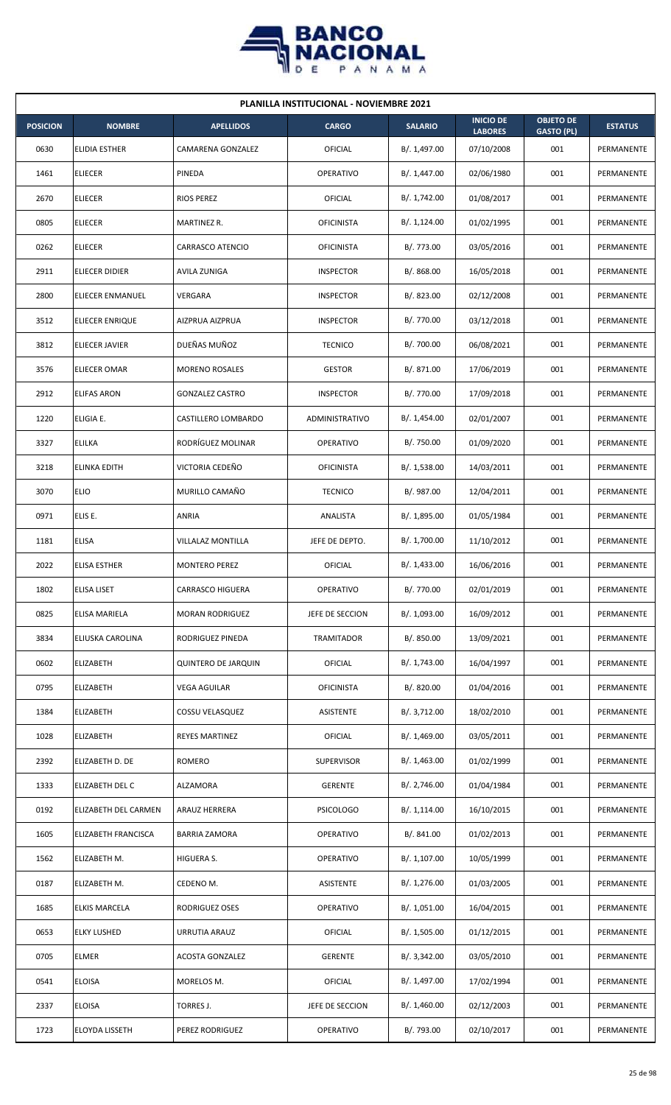

| <b>PLANILLA INSTITUCIONAL - NOVIEMBRE 2021</b> |                      |                            |                   |                |                                    |                                       |                |  |  |
|------------------------------------------------|----------------------|----------------------------|-------------------|----------------|------------------------------------|---------------------------------------|----------------|--|--|
| <b>POSICION</b>                                | <b>NOMBRE</b>        | <b>APELLIDOS</b>           | <b>CARGO</b>      | <b>SALARIO</b> | <b>INICIO DE</b><br><b>LABORES</b> | <b>OBJETO DE</b><br><b>GASTO (PL)</b> | <b>ESTATUS</b> |  |  |
| 0630                                           | ELIDIA ESTHER        | CAMARENA GONZALEZ          | OFICIAL           | B/. 1,497.00   | 07/10/2008                         | 001                                   | PERMANENTE     |  |  |
| 1461                                           | <b>ELIECER</b>       | PINEDA                     | OPERATIVO         | B/. 1,447.00   | 02/06/1980                         | 001                                   | PERMANENTE     |  |  |
| 2670                                           | <b>ELIECER</b>       | <b>RIOS PEREZ</b>          | OFICIAL           | B/. 1,742.00   | 01/08/2017                         | 001                                   | PERMANENTE     |  |  |
| 0805                                           | <b>ELIECER</b>       | MARTINEZ R.                | <b>OFICINISTA</b> | B/.1,124.00    | 01/02/1995                         | 001                                   | PERMANENTE     |  |  |
| 0262                                           | <b>ELIECER</b>       | CARRASCO ATENCIO           | <b>OFICINISTA</b> | B/. 773.00     | 03/05/2016                         | 001                                   | PERMANENTE     |  |  |
| 2911                                           | ELIECER DIDIER       | AVILA ZUNIGA               | <b>INSPECTOR</b>  | B/. 868.00     | 16/05/2018                         | 001                                   | PERMANENTE     |  |  |
| 2800                                           | ELIECER ENMANUEL     | VERGARA                    | <b>INSPECTOR</b>  | B/. 823.00     | 02/12/2008                         | 001                                   | PERMANENTE     |  |  |
| 3512                                           | ELIECER ENRIQUE      | AIZPRUA AIZPRUA            | <b>INSPECTOR</b>  | B/. 770.00     | 03/12/2018                         | 001                                   | PERMANENTE     |  |  |
| 3812                                           | ELIECER JAVIER       | DUEÑAS MUÑOZ               | <b>TECNICO</b>    | B/. 700.00     | 06/08/2021                         | 001                                   | PERMANENTE     |  |  |
| 3576                                           | ELIECER OMAR         | <b>MORENO ROSALES</b>      | <b>GESTOR</b>     | B/. 871.00     | 17/06/2019                         | 001                                   | PERMANENTE     |  |  |
| 2912                                           | <b>ELIFAS ARON</b>   | <b>GONZALEZ CASTRO</b>     | <b>INSPECTOR</b>  | B/. 770.00     | 17/09/2018                         | 001                                   | PERMANENTE     |  |  |
| 1220                                           | ELIGIA E.            | CASTILLERO LOMBARDO        | ADMINISTRATIVO    | B/. 1,454.00   | 02/01/2007                         | 001                                   | PERMANENTE     |  |  |
| 3327                                           | <b>ELILKA</b>        | RODRÍGUEZ MOLINAR          | OPERATIVO         | B/. 750.00     | 01/09/2020                         | 001                                   | PERMANENTE     |  |  |
| 3218                                           | ELINKA EDITH         | VICTORIA CEDEÑO            | <b>OFICINISTA</b> | B/. 1,538.00   | 14/03/2011                         | 001                                   | PERMANENTE     |  |  |
| 3070                                           | <b>ELIO</b>          | MURILLO CAMAÑO             | <b>TECNICO</b>    | B/. 987.00     | 12/04/2011                         | 001                                   | PERMANENTE     |  |  |
| 0971                                           | ELIS E.              | ANRIA                      | ANALISTA          | B/. 1,895.00   | 01/05/1984                         | 001                                   | PERMANENTE     |  |  |
| 1181                                           | <b>ELISA</b>         | VILLALAZ MONTILLA          | JEFE DE DEPTO.    | B/. 1,700.00   | 11/10/2012                         | 001                                   | PERMANENTE     |  |  |
| 2022                                           | <b>ELISA ESTHER</b>  | <b>MONTERO PEREZ</b>       | OFICIAL           | B/. 1,433.00   | 16/06/2016                         | 001                                   | PERMANENTE     |  |  |
| 1802                                           | <b>ELISA LISET</b>   | CARRASCO HIGUERA           | OPERATIVO         | B/. 770.00     | 02/01/2019                         | 001                                   | PERMANENTE     |  |  |
| 0825                                           | ELISA MARIELA        | <b>MORAN RODRIGUEZ</b>     | JEFE DE SECCION   | B/. 1,093.00   | 16/09/2012                         | 001                                   | PERMANENTE     |  |  |
| 3834                                           | ELIUSKA CAROLINA     | RODRIGUEZ PINEDA           | TRAMITADOR        | B/. 850.00     | 13/09/2021                         | 001                                   | PERMANENTE     |  |  |
| 0602                                           | ELIZABETH            | <b>QUINTERO DE JARQUIN</b> | OFICIAL           | B/. 1,743.00   | 16/04/1997                         | 001                                   | PERMANENTE     |  |  |
| 0795                                           | <b>ELIZABETH</b>     | VEGA AGUILAR               | <b>OFICINISTA</b> | B/. 820.00     | 01/04/2016                         | 001                                   | PERMANENTE     |  |  |
| 1384                                           | ELIZABETH            | COSSU VELASQUEZ            | ASISTENTE         | B/. 3,712.00   | 18/02/2010                         | 001                                   | PERMANENTE     |  |  |
| 1028                                           | <b>ELIZABETH</b>     | <b>REYES MARTINEZ</b>      | OFICIAL           | B/. 1,469.00   | 03/05/2011                         | 001                                   | PERMANENTE     |  |  |
| 2392                                           | ELIZABETH D. DE      | <b>ROMERO</b>              | <b>SUPERVISOR</b> | B/.1,463.00    | 01/02/1999                         | 001                                   | PERMANENTE     |  |  |
| 1333                                           | ELIZABETH DEL C      | ALZAMORA                   | <b>GERENTE</b>    | B/.2,746.00    | 01/04/1984                         | 001                                   | PERMANENTE     |  |  |
| 0192                                           | ELIZABETH DEL CARMEN | ARAUZ HERRERA              | <b>PSICOLOGO</b>  | B/. 1,114.00   | 16/10/2015                         | 001                                   | PERMANENTE     |  |  |
| 1605                                           | ELIZABETH FRANCISCA  | <b>BARRIA ZAMORA</b>       | OPERATIVO         | B/. 841.00     | 01/02/2013                         | 001                                   | PERMANENTE     |  |  |
| 1562                                           | ELIZABETH M.         | HIGUERA S.                 | OPERATIVO         | B/. 1,107.00   | 10/05/1999                         | 001                                   | PERMANENTE     |  |  |
| 0187                                           | ELIZABETH M.         | CEDENO M.                  | <b>ASISTENTE</b>  | B/. 1,276.00   | 01/03/2005                         | 001                                   | PERMANENTE     |  |  |
| 1685                                           | <b>ELKIS MARCELA</b> | RODRIGUEZ OSES             | OPERATIVO         | B/. 1,051.00   | 16/04/2015                         | 001                                   | PERMANENTE     |  |  |
| 0653                                           | <b>ELKY LUSHED</b>   | URRUTIA ARAUZ              | OFICIAL           | B/. 1,505.00   | 01/12/2015                         | 001                                   | PERMANENTE     |  |  |
| 0705                                           | ELMER                | <b>ACOSTA GONZALEZ</b>     | <b>GERENTE</b>    | B/.3,342.00    | 03/05/2010                         | 001                                   | PERMANENTE     |  |  |
| 0541                                           | <b>ELOISA</b>        | MORELOS M.                 | OFICIAL           | B/. 1,497.00   | 17/02/1994                         | 001                                   | PERMANENTE     |  |  |
| 2337                                           | <b>ELOISA</b>        | TORRES J.                  | JEFE DE SECCION   | B/.1,460.00    | 02/12/2003                         | 001                                   | PERMANENTE     |  |  |
| 1723                                           | ELOYDA LISSETH       | PEREZ RODRIGUEZ            | OPERATIVO         | B/. 793.00     | 02/10/2017                         | 001                                   | PERMANENTE     |  |  |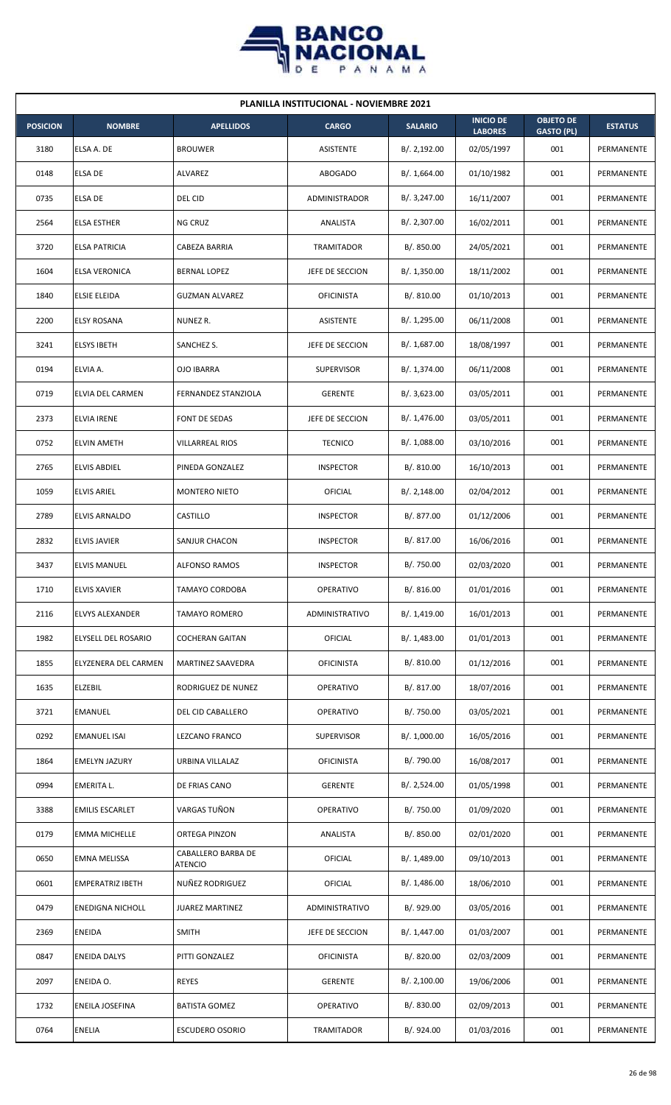

| <b>PLANILLA INSTITUCIONAL - NOVIEMBRE 2021</b> |                         |                                      |                   |                |                                    |                                       |                |  |  |
|------------------------------------------------|-------------------------|--------------------------------------|-------------------|----------------|------------------------------------|---------------------------------------|----------------|--|--|
| <b>POSICION</b>                                | <b>NOMBRE</b>           | <b>APELLIDOS</b>                     | <b>CARGO</b>      | <b>SALARIO</b> | <b>INICIO DE</b><br><b>LABORES</b> | <b>OBJETO DE</b><br><b>GASTO (PL)</b> | <b>ESTATUS</b> |  |  |
| 3180                                           | ELSA A. DE              | <b>BROUWER</b>                       | ASISTENTE         | B/.2,192.00    | 02/05/1997                         | 001                                   | PERMANENTE     |  |  |
| 0148                                           | <b>ELSA DE</b>          | ALVAREZ                              | ABOGADO           | B/. 1,664.00   | 01/10/1982                         | 001                                   | PERMANENTE     |  |  |
| 0735                                           | <b>ELSA DE</b>          | DEL CID                              | ADMINISTRADOR     | B/.3,247.00    | 16/11/2007                         | 001                                   | PERMANENTE     |  |  |
| 2564                                           | <b>ELSA ESTHER</b>      | NG CRUZ                              | ANALISTA          | B/. 2,307.00   | 16/02/2011                         | 001                                   | PERMANENTE     |  |  |
| 3720                                           | <b>ELSA PATRICIA</b>    | CABEZA BARRIA                        | TRAMITADOR        | B/. 850.00     | 24/05/2021                         | 001                                   | PERMANENTE     |  |  |
| 1604                                           | ELSA VERONICA           | <b>BERNAL LOPEZ</b>                  | JEFE DE SECCION   | B/. 1,350.00   | 18/11/2002                         | 001                                   | PERMANENTE     |  |  |
| 1840                                           | <b>ELSIE ELEIDA</b>     | <b>GUZMAN ALVAREZ</b>                | <b>OFICINISTA</b> | B/.810.00      | 01/10/2013                         | 001                                   | PERMANENTE     |  |  |
| 2200                                           | <b>ELSY ROSANA</b>      | NUNEZ R.                             | ASISTENTE         | B/. 1,295.00   | 06/11/2008                         | 001                                   | PERMANENTE     |  |  |
| 3241                                           | <b>ELSYS IBETH</b>      | SANCHEZ S.                           | JEFE DE SECCION   | B/. 1,687.00   | 18/08/1997                         | 001                                   | PERMANENTE     |  |  |
| 0194                                           | ELVIA A.                | OJO IBARRA                           | <b>SUPERVISOR</b> | B/. 1,374.00   | 06/11/2008                         | 001                                   | PERMANENTE     |  |  |
| 0719                                           | <b>ELVIA DEL CARMEN</b> | FERNANDEZ STANZIOLA                  | <b>GERENTE</b>    | B/. 3,623.00   | 03/05/2011                         | 001                                   | PERMANENTE     |  |  |
| 2373                                           | <b>ELVIA IRENE</b>      | FONT DE SEDAS                        | JEFE DE SECCION   | B/. 1,476.00   | 03/05/2011                         | 001                                   | PERMANENTE     |  |  |
| 0752                                           | <b>ELVIN AMETH</b>      | <b>VILLARREAL RIOS</b>               | <b>TECNICO</b>    | B/. 1,088.00   | 03/10/2016                         | 001                                   | PERMANENTE     |  |  |
| 2765                                           | <b>ELVIS ABDIEL</b>     | PINEDA GONZALEZ                      | <b>INSPECTOR</b>  | B/.810.00      | 16/10/2013                         | 001                                   | PERMANENTE     |  |  |
| 1059                                           | <b>ELVIS ARIEL</b>      | <b>MONTERO NIETO</b>                 | OFICIAL           | B/.2,148.00    | 02/04/2012                         | 001                                   | PERMANENTE     |  |  |
| 2789                                           | <b>ELVIS ARNALDO</b>    | CASTILLO                             | <b>INSPECTOR</b>  | B/. 877.00     | 01/12/2006                         | 001                                   | PERMANENTE     |  |  |
| 2832                                           | <b>ELVIS JAVIER</b>     | SANJUR CHACON                        | <b>INSPECTOR</b>  | B/. 817.00     | 16/06/2016                         | 001                                   | PERMANENTE     |  |  |
| 3437                                           | <b>ELVIS MANUEL</b>     | <b>ALFONSO RAMOS</b>                 | <b>INSPECTOR</b>  | B/. 750.00     | 02/03/2020                         | 001                                   | PERMANENTE     |  |  |
| 1710                                           | <b>ELVIS XAVIER</b>     | TAMAYO CORDOBA                       | <b>OPERATIVO</b>  | B/. 816.00     | 01/01/2016                         | 001                                   | PERMANENTE     |  |  |
| 2116                                           | ELVYS ALEXANDER         | <b>TAMAYO ROMERO</b>                 | ADMINISTRATIVO    | B/. 1,419.00   | 16/01/2013                         | 001                                   | PERMANENTE     |  |  |
| 1982                                           | ELYSELL DEL ROSARIO     | <b>COCHERAN GAITAN</b>               | <b>OFICIAL</b>    | B/.1,483.00    | 01/01/2013                         | 001                                   | PERMANENTE     |  |  |
| 1855                                           | ELYZENERA DEL CARMEN    | MARTINEZ SAAVEDRA                    | <b>OFICINISTA</b> | B/. 810.00     | 01/12/2016                         | 001                                   | PERMANENTE     |  |  |
| 1635                                           | ELZEBIL                 | RODRIGUEZ DE NUNEZ                   | OPERATIVO         | B/. 817.00     | 18/07/2016                         | 001                                   | PERMANENTE     |  |  |
| 3721                                           | <b>EMANUEL</b>          | DEL CID CABALLERO                    | <b>OPERATIVO</b>  | B/. 750.00     | 03/05/2021                         | 001                                   | PERMANENTE     |  |  |
| 0292                                           | <b>EMANUEL ISAI</b>     | LEZCANO FRANCO                       | SUPERVISOR        | B/. 1,000.00   | 16/05/2016                         | 001                                   | PERMANENTE     |  |  |
| 1864                                           | <b>EMELYN JAZURY</b>    | URBINA VILLALAZ                      | <b>OFICINISTA</b> | B/. 790.00     | 16/08/2017                         | 001                                   | PERMANENTE     |  |  |
| 0994                                           | EMERITA L.              | DE FRIAS CANO                        | <b>GERENTE</b>    | B/. 2,524.00   | 01/05/1998                         | 001                                   | PERMANENTE     |  |  |
| 3388                                           | <b>EMILIS ESCARLET</b>  | VARGAS TUÑON                         | <b>OPERATIVO</b>  | B/. 750.00     | 01/09/2020                         | 001                                   | PERMANENTE     |  |  |
| 0179                                           | <b>EMMA MICHELLE</b>    | ORTEGA PINZON                        | ANALISTA          | B/. 850.00     | 02/01/2020                         | 001                                   | PERMANENTE     |  |  |
| 0650                                           | EMNA MELISSA            | CABALLERO BARBA DE<br><b>ATENCIO</b> | OFICIAL           | B/. 1,489.00   | 09/10/2013                         | 001                                   | PERMANENTE     |  |  |
| 0601                                           | <b>EMPERATRIZ IBETH</b> | NUÑEZ RODRIGUEZ                      | <b>OFICIAL</b>    | B/. 1,486.00   | 18/06/2010                         | 001                                   | PERMANENTE     |  |  |
| 0479                                           | <b>ENEDIGNA NICHOLL</b> | <b>JUAREZ MARTINEZ</b>               | ADMINISTRATIVO    | B/. 929.00     | 03/05/2016                         | 001                                   | PERMANENTE     |  |  |
| 2369                                           | ENEIDA                  | <b>SMITH</b>                         | JEFE DE SECCION   | B/. 1,447.00   | 01/03/2007                         | 001                                   | PERMANENTE     |  |  |
| 0847                                           | <b>ENEIDA DALYS</b>     | PITTI GONZALEZ                       | <b>OFICINISTA</b> | B/. 820.00     | 02/03/2009                         | 001                                   | PERMANENTE     |  |  |
| 2097                                           | ENEIDA O.               | <b>REYES</b>                         | <b>GERENTE</b>    | B/.2,100.00    | 19/06/2006                         | 001                                   | PERMANENTE     |  |  |
| 1732                                           | ENEILA JOSEFINA         | <b>BATISTA GOMEZ</b>                 | OPERATIVO         | B/. 830.00     | 02/09/2013                         | 001                                   | PERMANENTE     |  |  |
| 0764                                           | <b>ENELIA</b>           | <b>ESCUDERO OSORIO</b>               | TRAMITADOR        | B/. 924.00     | 01/03/2016                         | 001                                   | PERMANENTE     |  |  |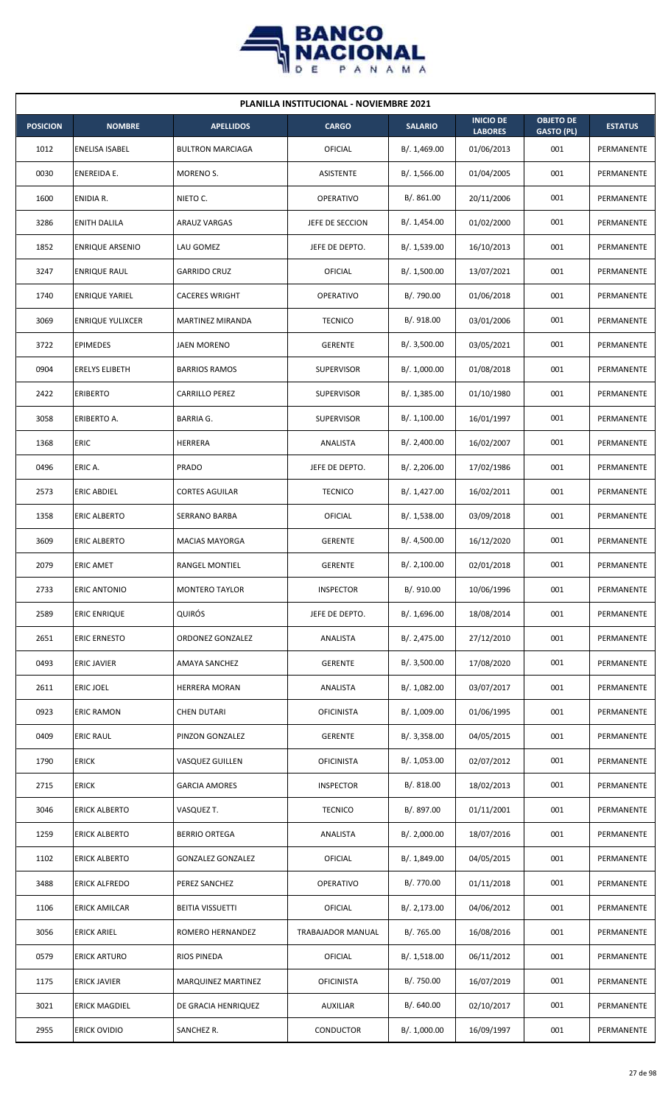

| <b>PLANILLA INSTITUCIONAL - NOVIEMBRE 2021</b> |                         |                          |                   |                |                                    |                                       |                |  |  |
|------------------------------------------------|-------------------------|--------------------------|-------------------|----------------|------------------------------------|---------------------------------------|----------------|--|--|
| <b>POSICION</b>                                | <b>NOMBRE</b>           | <b>APELLIDOS</b>         | <b>CARGO</b>      | <b>SALARIO</b> | <b>INICIO DE</b><br><b>LABORES</b> | <b>OBJETO DE</b><br><b>GASTO (PL)</b> | <b>ESTATUS</b> |  |  |
| 1012                                           | ENELISA ISABEL          | <b>BULTRON MARCIAGA</b>  | <b>OFICIAL</b>    | B/.1,469.00    | 01/06/2013                         | 001                                   | PERMANENTE     |  |  |
| 0030                                           | ENEREIDA E.             | MORENO S.                | ASISTENTE         | B/. 1,566.00   | 01/04/2005                         | 001                                   | PERMANENTE     |  |  |
| 1600                                           | ENIDIA R.               | NIETO C.                 | OPERATIVO         | B/. 861.00     | 20/11/2006                         | 001                                   | PERMANENTE     |  |  |
| 3286                                           | <b>ENITH DALILA</b>     | <b>ARAUZ VARGAS</b>      | JEFE DE SECCION   | B/. 1,454.00   | 01/02/2000                         | 001                                   | PERMANENTE     |  |  |
| 1852                                           | <b>ENRIQUE ARSENIO</b>  | LAU GOMEZ                | JEFE DE DEPTO.    | B/. 1,539.00   | 16/10/2013                         | 001                                   | PERMANENTE     |  |  |
| 3247                                           | <b>ENRIQUE RAUL</b>     | <b>GARRIDO CRUZ</b>      | OFICIAL           | B/. 1,500.00   | 13/07/2021                         | 001                                   | PERMANENTE     |  |  |
| 1740                                           | <b>ENRIQUE YARIEL</b>   | <b>CACERES WRIGHT</b>    | OPERATIVO         | B/. 790.00     | 01/06/2018                         | 001                                   | PERMANENTE     |  |  |
| 3069                                           | <b>ENRIQUE YULIXCER</b> | <b>MARTINEZ MIRANDA</b>  | <b>TECNICO</b>    | B/.918.00      | 03/01/2006                         | 001                                   | PERMANENTE     |  |  |
| 3722                                           | <b>EPIMEDES</b>         | JAEN MORENO              | <b>GERENTE</b>    | B/.3,500.00    | 03/05/2021                         | 001                                   | PERMANENTE     |  |  |
| 0904                                           | <b>ERELYS ELIBETH</b>   | <b>BARRIOS RAMOS</b>     | <b>SUPERVISOR</b> | B/. 1,000.00   | 01/08/2018                         | 001                                   | PERMANENTE     |  |  |
| 2422                                           | <b>ERIBERTO</b>         | <b>CARRILLO PEREZ</b>    | <b>SUPERVISOR</b> | B/.1,385.00    | 01/10/1980                         | 001                                   | PERMANENTE     |  |  |
| 3058                                           | ERIBERTO A.             | <b>BARRIA G.</b>         | <b>SUPERVISOR</b> | B/. 1,100.00   | 16/01/1997                         | 001                                   | PERMANENTE     |  |  |
| 1368                                           | <b>ERIC</b>             | <b>HERRERA</b>           | ANALISTA          | B/.2,400.00    | 16/02/2007                         | 001                                   | PERMANENTE     |  |  |
| 0496                                           | ERIC A.                 | PRADO                    | JEFE DE DEPTO.    | B/.2,206.00    | 17/02/1986                         | 001                                   | PERMANENTE     |  |  |
| 2573                                           | <b>ERIC ABDIEL</b>      | <b>CORTES AGUILAR</b>    | <b>TECNICO</b>    | B/.1,427.00    | 16/02/2011                         | 001                                   | PERMANENTE     |  |  |
| 1358                                           | <b>ERIC ALBERTO</b>     | SERRANO BARBA            | OFICIAL           | B/.1,538.00    | 03/09/2018                         | 001                                   | PERMANENTE     |  |  |
| 3609                                           | <b>ERIC ALBERTO</b>     | <b>MACIAS MAYORGA</b>    | <b>GERENTE</b>    | B/.4,500.00    | 16/12/2020                         | 001                                   | PERMANENTE     |  |  |
| 2079                                           | <b>ERIC AMET</b>        | RANGEL MONTIEL           | <b>GERENTE</b>    | B/. 2,100.00   | 02/01/2018                         | 001                                   | PERMANENTE     |  |  |
| 2733                                           | <b>ERIC ANTONIO</b>     | <b>MONTERO TAYLOR</b>    | <b>INSPECTOR</b>  | B/. 910.00     | 10/06/1996                         | 001                                   | PERMANENTE     |  |  |
| 2589                                           | <b>ERIC ENRIQUE</b>     | QUIRÓS                   | JEFE DE DEPTO.    | B/. 1,696.00   | 18/08/2014                         | 001                                   | PERMANENTE     |  |  |
| 2651                                           | <b>ERIC ERNESTO</b>     | ORDONEZ GONZALEZ         | ANALISTA          | B/. 2,475.00   | 27/12/2010                         | 001                                   | PERMANENTE     |  |  |
| 0493                                           | <b>ERIC JAVIER</b>      | AMAYA SANCHEZ            | <b>GERENTE</b>    | B/.3,500.00    | 17/08/2020                         | 001                                   | PERMANENTE     |  |  |
| 2611                                           | <b>ERIC JOEL</b>        | <b>HERRERA MORAN</b>     | ANALISTA          | B/. 1,082.00   | 03/07/2017                         | 001                                   | PERMANENTE     |  |  |
| 0923                                           | <b>ERIC RAMON</b>       | <b>CHEN DUTARI</b>       | <b>OFICINISTA</b> | B/. 1,009.00   | 01/06/1995                         | 001                                   | PERMANENTE     |  |  |
| 0409                                           | <b>ERIC RAUL</b>        | PINZON GONZALEZ          | <b>GERENTE</b>    | B/.3,358.00    | 04/05/2015                         | 001                                   | PERMANENTE     |  |  |
| 1790                                           | <b>ERICK</b>            | <b>VASQUEZ GUILLEN</b>   | <b>OFICINISTA</b> | B/. 1,053.00   | 02/07/2012                         | 001                                   | PERMANENTE     |  |  |
| 2715                                           | <b>ERICK</b>            | <b>GARCIA AMORES</b>     | <b>INSPECTOR</b>  | B/. 818.00     | 18/02/2013                         | 001                                   | PERMANENTE     |  |  |
| 3046                                           | <b>ERICK ALBERTO</b>    | VASQUEZ T.               | <b>TECNICO</b>    | B/. 897.00     | 01/11/2001                         | 001                                   | PERMANENTE     |  |  |
| 1259                                           | <b>ERICK ALBERTO</b>    | <b>BERRIO ORTEGA</b>     | ANALISTA          | B/.2,000.00    | 18/07/2016                         | 001                                   | PERMANENTE     |  |  |
| 1102                                           | <b>ERICK ALBERTO</b>    | <b>GONZALEZ GONZALEZ</b> | <b>OFICIAL</b>    | B/. 1,849.00   | 04/05/2015                         | 001                                   | PERMANENTE     |  |  |
| 3488                                           | <b>ERICK ALFREDO</b>    | PEREZ SANCHEZ            | <b>OPERATIVO</b>  | B/. 770.00     | 01/11/2018                         | 001                                   | PERMANENTE     |  |  |
| 1106                                           | <b>ERICK AMILCAR</b>    | <b>BEITIA VISSUETTI</b>  | <b>OFICIAL</b>    | B/. 2,173.00   | 04/06/2012                         | 001                                   | PERMANENTE     |  |  |
| 3056                                           | <b>ERICK ARIEL</b>      | ROMERO HERNANDEZ         | TRABAJADOR MANUAL | B/. 765.00     | 16/08/2016                         | 001                                   | PERMANENTE     |  |  |
| 0579                                           | <b>ERICK ARTURO</b>     | RIOS PINEDA              | OFICIAL           | B/. 1,518.00   | 06/11/2012                         | 001                                   | PERMANENTE     |  |  |
| 1175                                           | <b>ERICK JAVIER</b>     | MARQUINEZ MARTINEZ       | <b>OFICINISTA</b> | B/. 750.00     | 16/07/2019                         | 001                                   | PERMANENTE     |  |  |
| 3021                                           | ERICK MAGDIEL           | DE GRACIA HENRIQUEZ      | <b>AUXILIAR</b>   | B/0.640.00     | 02/10/2017                         | 001                                   | PERMANENTE     |  |  |
| 2955                                           | <b>ERICK OVIDIO</b>     | SANCHEZ R.               | <b>CONDUCTOR</b>  | B/. 1,000.00   | 16/09/1997                         | 001                                   | PERMANENTE     |  |  |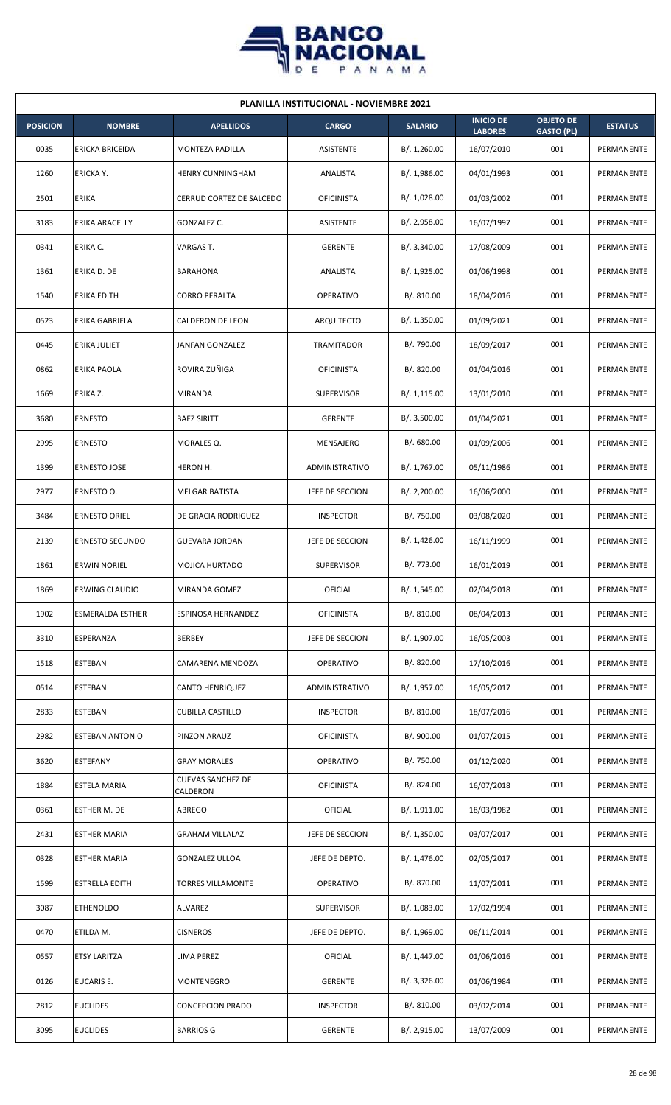

| <b>PLANILLA INSTITUCIONAL - NOVIEMBRE 2021</b> |                         |                                      |                   |                |                                    |                                       |                |  |  |  |
|------------------------------------------------|-------------------------|--------------------------------------|-------------------|----------------|------------------------------------|---------------------------------------|----------------|--|--|--|
| <b>POSICION</b>                                | <b>NOMBRE</b>           | <b>APELLIDOS</b>                     | <b>CARGO</b>      | <b>SALARIO</b> | <b>INICIO DE</b><br><b>LABORES</b> | <b>OBJETO DE</b><br><b>GASTO (PL)</b> | <b>ESTATUS</b> |  |  |  |
| 0035                                           | ERICKA BRICEIDA         | MONTEZA PADILLA                      | <b>ASISTENTE</b>  | B/. 1,260.00   | 16/07/2010                         | 001                                   | PERMANENTE     |  |  |  |
| 1260                                           | ERICKA Y.               | HENRY CUNNINGHAM                     | ANALISTA          | B/. 1,986.00   | 04/01/1993                         | 001                                   | PERMANENTE     |  |  |  |
| 2501                                           | <b>ERIKA</b>            | CERRUD CORTEZ DE SALCEDO             | <b>OFICINISTA</b> | B/. 1,028.00   | 01/03/2002                         | 001                                   | PERMANENTE     |  |  |  |
| 3183                                           | ERIKA ARACELLY          | GONZALEZ C.                          | ASISTENTE         | B/.2,958.00    | 16/07/1997                         | 001                                   | PERMANENTE     |  |  |  |
| 0341                                           | ERIKA C.                | VARGAS T.                            | <b>GERENTE</b>    | B/.3,340.00    | 17/08/2009                         | 001                                   | PERMANENTE     |  |  |  |
| 1361                                           | ERIKA D. DE             | BARAHONA                             | ANALISTA          | B/. 1,925.00   | 01/06/1998                         | 001                                   | PERMANENTE     |  |  |  |
| 1540                                           | <b>ERIKA EDITH</b>      | <b>CORRO PERALTA</b>                 | OPERATIVO         | B/.810.00      | 18/04/2016                         | 001                                   | PERMANENTE     |  |  |  |
| 0523                                           | ERIKA GABRIELA          | CALDERON DE LEON                     | <b>ARQUITECTO</b> | B/.1,350.00    | 01/09/2021                         | 001                                   | PERMANENTE     |  |  |  |
| 0445                                           | ERIKA JULIET            | <b>JANFAN GONZALEZ</b>               | TRAMITADOR        | B/. 790.00     | 18/09/2017                         | 001                                   | PERMANENTE     |  |  |  |
| 0862                                           | <b>ERIKA PAOLA</b>      | ROVIRA ZUÑIGA                        | <b>OFICINISTA</b> | B/. 820.00     | 01/04/2016                         | 001                                   | PERMANENTE     |  |  |  |
| 1669                                           | ERIKA Z.                | <b>MIRANDA</b>                       | <b>SUPERVISOR</b> | B/.1,115.00    | 13/01/2010                         | 001                                   | PERMANENTE     |  |  |  |
| 3680                                           | <b>ERNESTO</b>          | <b>BAEZ SIRITT</b>                   | <b>GERENTE</b>    | B/.3,500.00    | 01/04/2021                         | 001                                   | PERMANENTE     |  |  |  |
| 2995                                           | ERNESTO                 | MORALES Q.                           | MENSAJERO         | B/0.680.00     | 01/09/2006                         | 001                                   | PERMANENTE     |  |  |  |
| 1399                                           | <b>ERNESTO JOSE</b>     | HERON H.                             | ADMINISTRATIVO    | B/. 1,767.00   | 05/11/1986                         | 001                                   | PERMANENTE     |  |  |  |
| 2977                                           | ERNESTO O.              | MELGAR BATISTA                       | JEFE DE SECCION   | B/.2,200.00    | 16/06/2000                         | 001                                   | PERMANENTE     |  |  |  |
| 3484                                           | ERNESTO ORIEL           | DE GRACIA RODRIGUEZ                  | <b>INSPECTOR</b>  | B/. 750.00     | 03/08/2020                         | 001                                   | PERMANENTE     |  |  |  |
| 2139                                           | <b>ERNESTO SEGUNDO</b>  | <b>GUEVARA JORDAN</b>                | JEFE DE SECCION   | B/. 1,426.00   | 16/11/1999                         | 001                                   | PERMANENTE     |  |  |  |
| 1861                                           | <b>ERWIN NORIEL</b>     | MOJICA HURTADO                       | <b>SUPERVISOR</b> | B/. 773.00     | 16/01/2019                         | 001                                   | PERMANENTE     |  |  |  |
| 1869                                           | <b>ERWING CLAUDIO</b>   | MIRANDA GOMEZ                        | <b>OFICIAL</b>    | B/.1,545.00    | 02/04/2018                         | 001                                   | PERMANENTE     |  |  |  |
| 1902                                           | <b>ESMERALDA ESTHER</b> | ESPINOSA HERNANDEZ                   | <b>OFICINISTA</b> | B/. 810.00     | 08/04/2013                         | 001                                   | PERMANENTE     |  |  |  |
| 3310                                           | ESPERANZA               | <b>BERBEY</b>                        | JEFE DE SECCION   | B/. 1,907.00   | 16/05/2003                         | 001                                   | PERMANENTE     |  |  |  |
| 1518                                           | <b>ESTEBAN</b>          | CAMARENA MENDOZA                     | <b>OPERATIVO</b>  | B/. 820.00     | 17/10/2016                         | 001                                   | PERMANENTE     |  |  |  |
| 0514                                           | <b>ESTEBAN</b>          | <b>CANTO HENRIQUEZ</b>               | ADMINISTRATIVO    | B/. 1,957.00   | 16/05/2017                         | 001                                   | PERMANENTE     |  |  |  |
| 2833                                           | <b>ESTEBAN</b>          | <b>CUBILLA CASTILLO</b>              | <b>INSPECTOR</b>  | B/. 810.00     | 18/07/2016                         | 001                                   | PERMANENTE     |  |  |  |
| 2982                                           | <b>ESTEBAN ANTONIO</b>  | PINZON ARAUZ                         | <b>OFICINISTA</b> | B/. 900.00     | 01/07/2015                         | 001                                   | PERMANENTE     |  |  |  |
| 3620                                           | <b>ESTEFANY</b>         | <b>GRAY MORALES</b>                  | <b>OPERATIVO</b>  | B/. 750.00     | 01/12/2020                         | 001                                   | PERMANENTE     |  |  |  |
| 1884                                           | ESTELA MARIA            | <b>CUEVAS SANCHEZ DE</b><br>CALDERON | <b>OFICINISTA</b> | B/. 824.00     | 16/07/2018                         | 001                                   | PERMANENTE     |  |  |  |
| 0361                                           | ESTHER M. DE            | ABREGO                               | <b>OFICIAL</b>    | B/. 1,911.00   | 18/03/1982                         | 001                                   | PERMANENTE     |  |  |  |
| 2431                                           | <b>ESTHER MARIA</b>     | <b>GRAHAM VILLALAZ</b>               | JEFE DE SECCION   | B/.1,350.00    | 03/07/2017                         | 001                                   | PERMANENTE     |  |  |  |
| 0328                                           | <b>ESTHER MARIA</b>     | <b>GONZALEZ ULLOA</b>                | JEFE DE DEPTO.    | B/. 1,476.00   | 02/05/2017                         | 001                                   | PERMANENTE     |  |  |  |
| 1599                                           | ESTRELLA EDITH          | TORRES VILLAMONTE                    | OPERATIVO         | B/. 870.00     | 11/07/2011                         | 001                                   | PERMANENTE     |  |  |  |
| 3087                                           | <b>ETHENOLDO</b>        | ALVAREZ                              | <b>SUPERVISOR</b> | B/. 1,083.00   | 17/02/1994                         | 001                                   | PERMANENTE     |  |  |  |
| 0470                                           | ETILDA M.               | <b>CISNEROS</b>                      | JEFE DE DEPTO.    | B/.1,969.00    | 06/11/2014                         | 001                                   | PERMANENTE     |  |  |  |
| 0557                                           | ETSY LARITZA            | LIMA PEREZ                           | <b>OFICIAL</b>    | B/. 1,447.00   | 01/06/2016                         | 001                                   | PERMANENTE     |  |  |  |
| 0126                                           | EUCARIS E.              | MONTENEGRO                           | <b>GERENTE</b>    | B/.3,326.00    | 01/06/1984                         | 001                                   | PERMANENTE     |  |  |  |
| 2812                                           | <b>EUCLIDES</b>         | <b>CONCEPCION PRADO</b>              | <b>INSPECTOR</b>  | B/. 810.00     | 03/02/2014                         | 001                                   | PERMANENTE     |  |  |  |
| 3095                                           | <b>EUCLIDES</b>         | <b>BARRIOS G</b>                     | GERENTE           | B/. 2,915.00   | 13/07/2009                         | 001                                   | PERMANENTE     |  |  |  |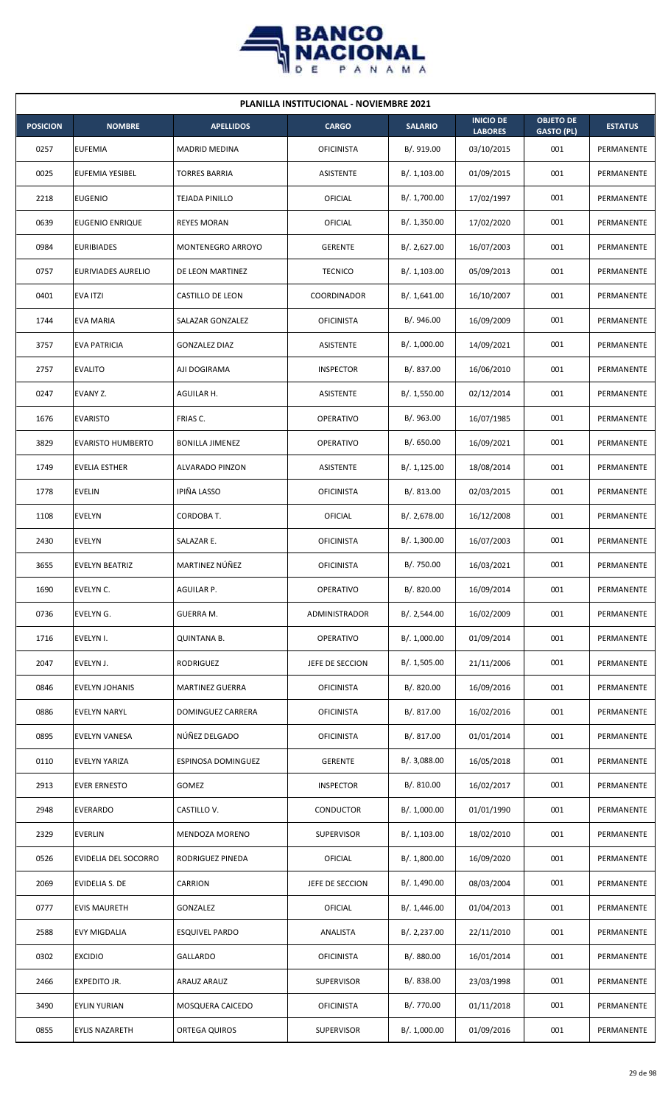

| <b>PLANILLA INSTITUCIONAL - NOVIEMBRE 2021</b> |                          |                        |                   |                |                                    |                                       |                   |  |  |  |
|------------------------------------------------|--------------------------|------------------------|-------------------|----------------|------------------------------------|---------------------------------------|-------------------|--|--|--|
| <b>POSICION</b>                                | <b>NOMBRE</b>            | <b>APELLIDOS</b>       | <b>CARGO</b>      | <b>SALARIO</b> | <b>INICIO DE</b><br><b>LABORES</b> | <b>OBJETO DE</b><br><b>GASTO (PL)</b> | <b>ESTATUS</b>    |  |  |  |
| 0257                                           | <b>EUFEMIA</b>           | <b>MADRID MEDINA</b>   | <b>OFICINISTA</b> | B/. 919.00     | 03/10/2015                         | 001                                   | PERMANENTE        |  |  |  |
| 0025                                           | <b>EUFEMIA YESIBEL</b>   | <b>TORRES BARRIA</b>   | ASISTENTE         | B/. 1,103.00   | 01/09/2015                         | 001                                   | PERMANENTE        |  |  |  |
| 2218                                           | <b>EUGENIO</b>           | <b>TEJADA PINILLO</b>  | OFICIAL           | B/. 1,700.00   | 17/02/1997                         | 001                                   | PERMANENTE        |  |  |  |
| 0639                                           | EUGENIO ENRIQUE          | <b>REYES MORAN</b>     | OFICIAL           | B/. 1,350.00   | 17/02/2020                         | 001                                   | PERMANENTE        |  |  |  |
| 0984                                           | <b>EURIBIADES</b>        | MONTENEGRO ARROYO      | <b>GERENTE</b>    | B/.2,627.00    | 16/07/2003                         | 001                                   | PERMANENTE        |  |  |  |
| 0757                                           | EURIVIADES AURELIO       | DE LEON MARTINEZ       | <b>TECNICO</b>    | B/. 1,103.00   | 05/09/2013                         | 001                                   | PERMANENTE        |  |  |  |
| 0401                                           | <b>EVA ITZI</b>          | CASTILLO DE LEON       | COORDINADOR       | B/.1,641.00    | 16/10/2007                         | 001                                   | PERMANENTE        |  |  |  |
| 1744                                           | <b>EVA MARIA</b>         | SALAZAR GONZALEZ       | <b>OFICINISTA</b> | B/. 946.00     | 16/09/2009                         | 001                                   | PERMANENTE        |  |  |  |
| 3757                                           | <b>EVA PATRICIA</b>      | <b>GONZALEZ DIAZ</b>   | ASISTENTE         | B/. 1,000.00   | 14/09/2021                         | 001                                   | PERMANENTE        |  |  |  |
| 2757                                           | <b>EVALITO</b>           | AJI DOGIRAMA           | <b>INSPECTOR</b>  | B/. 837.00     | 16/06/2010                         | 001                                   | PERMANENTE        |  |  |  |
| 0247                                           | EVANY Z.                 | AGUILAR H.             | ASISTENTE         | B/. 1,550.00   | 02/12/2014                         | 001                                   | <b>PERMANENTE</b> |  |  |  |
| 1676                                           | <b>EVARISTO</b>          | FRIAS C.               | OPERATIVO         | B/. 963.00     | 16/07/1985                         | 001                                   | PERMANENTE        |  |  |  |
| 3829                                           | <b>EVARISTO HUMBERTO</b> | <b>BONILLA JIMENEZ</b> | <b>OPERATIVO</b>  | B/0.650.00     | 16/09/2021                         | 001                                   | PERMANENTE        |  |  |  |
| 1749                                           | <b>EVELIA ESTHER</b>     | ALVARADO PINZON        | ASISTENTE         | B/.1,125.00    | 18/08/2014                         | 001                                   | PERMANENTE        |  |  |  |
| 1778                                           | <b>EVELIN</b>            | IPIÑA LASSO            | <b>OFICINISTA</b> | B/0.813.00     | 02/03/2015                         | 001                                   | PERMANENTE        |  |  |  |
| 1108                                           | <b>EVELYN</b>            | CORDOBA T.             | <b>OFICIAL</b>    | B/.2,678.00    | 16/12/2008                         | 001                                   | PERMANENTE        |  |  |  |
| 2430                                           | EVELYN                   | SALAZAR E.             | <b>OFICINISTA</b> | B/. 1,300.00   | 16/07/2003                         | 001                                   | PERMANENTE        |  |  |  |
| 3655                                           | <b>EVELYN BEATRIZ</b>    | MARTINEZ NÚÑEZ         | <b>OFICINISTA</b> | B/. 750.00     | 16/03/2021                         | 001                                   | PERMANENTE        |  |  |  |
| 1690                                           | EVELYN C.                | AGUILAR P.             | OPERATIVO         | B/. 820.00     | 16/09/2014                         | 001                                   | PERMANENTE        |  |  |  |
| 0736                                           | EVELYN G.                | GUERRA M.              | ADMINISTRADOR     | B/.2,544.00    | 16/02/2009                         | 001                                   | PERMANENTE        |  |  |  |
| 1716                                           | EVELYN I.                | <b>QUINTANA B.</b>     | OPERATIVO         | B/. 1,000.00   | 01/09/2014                         | 001                                   | PERMANENTE        |  |  |  |
| 2047                                           | EVELYN J.                | RODRIGUEZ              | JEFE DE SECCION   | B/. 1,505.00   | 21/11/2006                         | 001                                   | PERMANENTE        |  |  |  |
| 0846                                           | EVELYN JOHANIS           | MARTINEZ GUERRA        | <b>OFICINISTA</b> | B/. 820.00     | 16/09/2016                         | 001                                   | PERMANENTE        |  |  |  |
| 0886                                           | <b>EVELYN NARYL</b>      | DOMINGUEZ CARRERA      | <b>OFICINISTA</b> | B/. 817.00     | 16/02/2016                         | 001                                   | PERMANENTE        |  |  |  |
| 0895                                           | EVELYN VANESA            | NÚÑEZ DELGADO          | <b>OFICINISTA</b> | B/. 817.00     | 01/01/2014                         | 001                                   | PERMANENTE        |  |  |  |
| 0110                                           | EVELYN YARIZA            | ESPINOSA DOMINGUEZ     | <b>GERENTE</b>    | B/. 3,088.00   | 16/05/2018                         | 001                                   | PERMANENTE        |  |  |  |
| 2913                                           | <b>EVER ERNESTO</b>      | GOMEZ                  | <b>INSPECTOR</b>  | B/. 810.00     | 16/02/2017                         | 001                                   | PERMANENTE        |  |  |  |
| 2948                                           | <b>EVERARDO</b>          | CASTILLO V.            | CONDUCTOR         | B/. 1,000.00   | 01/01/1990                         | 001                                   | PERMANENTE        |  |  |  |
| 2329                                           | <b>EVERLIN</b>           | MENDOZA MORENO         | <b>SUPERVISOR</b> | B/. 1,103.00   | 18/02/2010                         | 001                                   | PERMANENTE        |  |  |  |
| 0526                                           | EVIDELIA DEL SOCORRO     | RODRIGUEZ PINEDA       | <b>OFICIAL</b>    | B/. 1,800.00   | 16/09/2020                         | 001                                   | PERMANENTE        |  |  |  |
| 2069                                           | EVIDELIA S. DE           | CARRION                | JEFE DE SECCION   | B/. 1,490.00   | 08/03/2004                         | 001                                   | PERMANENTE        |  |  |  |
| 0777                                           | <b>EVIS MAURETH</b>      | GONZALEZ               | <b>OFICIAL</b>    | B/.1,446.00    | 01/04/2013                         | 001                                   | PERMANENTE        |  |  |  |
| 2588                                           | EVY MIGDALIA             | <b>ESQUIVEL PARDO</b>  | ANALISTA          | B/.2,237.00    | 22/11/2010                         | 001                                   | PERMANENTE        |  |  |  |
| 0302                                           | <b>EXCIDIO</b>           | GALLARDO               | <b>OFICINISTA</b> | B/. 880.00     | 16/01/2014                         | 001                                   | PERMANENTE        |  |  |  |
| 2466                                           | EXPEDITO JR.             | ARAUZ ARAUZ            | SUPERVISOR        | B/. 838.00     | 23/03/1998                         | 001                                   | PERMANENTE        |  |  |  |
| 3490                                           | <b>EYLIN YURIAN</b>      | MOSQUERA CAICEDO       | <b>OFICINISTA</b> | B/. 770.00     | 01/11/2018                         | 001                                   | PERMANENTE        |  |  |  |
| 0855                                           | <b>EYLIS NAZARETH</b>    | ORTEGA QUIROS          | <b>SUPERVISOR</b> | B/. 1,000.00   | 01/09/2016                         | 001                                   | PERMANENTE        |  |  |  |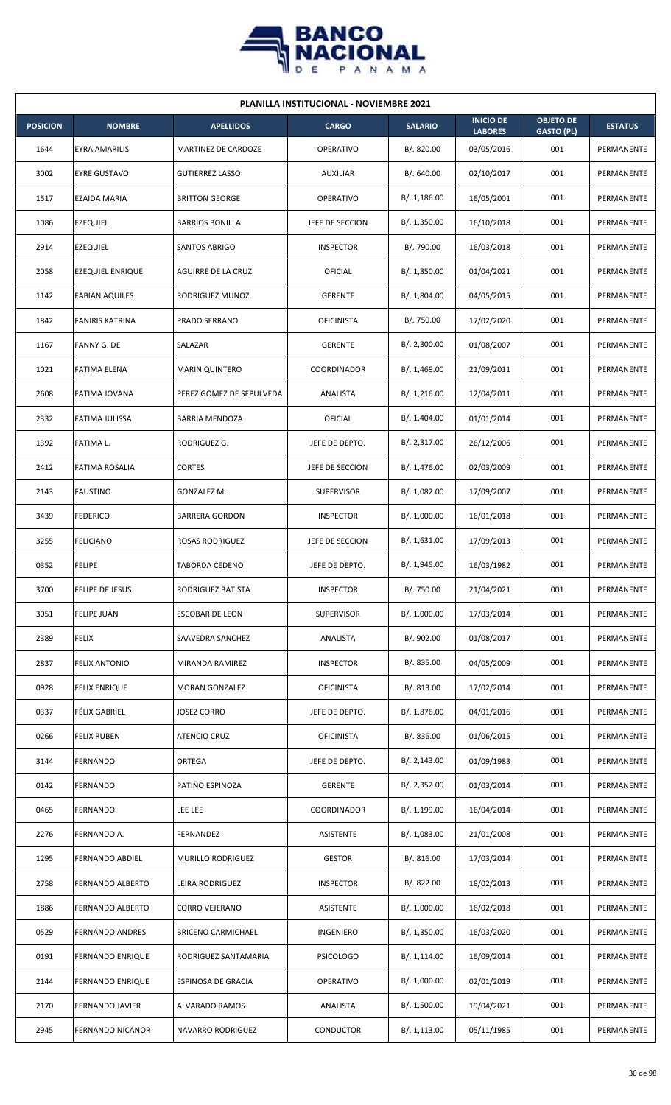

|                 | <b>PLANILLA INSTITUCIONAL - NOVIEMBRE 2021</b> |                           |                   |                |                                    |                                       |                   |  |  |  |  |
|-----------------|------------------------------------------------|---------------------------|-------------------|----------------|------------------------------------|---------------------------------------|-------------------|--|--|--|--|
| <b>POSICION</b> | <b>NOMBRE</b>                                  | <b>APELLIDOS</b>          | <b>CARGO</b>      | <b>SALARIO</b> | <b>INICIO DE</b><br><b>LABORES</b> | <b>OBJETO DE</b><br><b>GASTO (PL)</b> | <b>ESTATUS</b>    |  |  |  |  |
| 1644            | <b>EYRA AMARILIS</b>                           | MARTINEZ DE CARDOZE       | <b>OPERATIVO</b>  | B/. 820.00     | 03/05/2016                         | 001                                   | PERMANENTE        |  |  |  |  |
| 3002            | <b>EYRE GUSTAVO</b>                            | <b>GUTIERREZ LASSO</b>    | <b>AUXILIAR</b>   | B/. 640.00     | 02/10/2017                         | 001                                   | PERMANENTE        |  |  |  |  |
| 1517            | EZAIDA MARIA                                   | <b>BRITTON GEORGE</b>     | <b>OPERATIVO</b>  | B/. 1,186.00   | 16/05/2001                         | 001                                   | PERMANENTE        |  |  |  |  |
| 1086            | <b>EZEQUIEL</b>                                | <b>BARRIOS BONILLA</b>    | JEFE DE SECCION   | B/. 1,350.00   | 16/10/2018                         | 001                                   | <b>PERMANENTE</b> |  |  |  |  |
| 2914            | <b>EZEQUIEL</b>                                | <b>SANTOS ABRIGO</b>      | <b>INSPECTOR</b>  | B/. 790.00     | 16/03/2018                         | 001                                   | PERMANENTE        |  |  |  |  |
| 2058            | <b>EZEQUIEL ENRIQUE</b>                        | AGUIRRE DE LA CRUZ        | OFICIAL           | B/. 1,350.00   | 01/04/2021                         | 001                                   | PERMANENTE        |  |  |  |  |
| 1142            | <b>FABIAN AQUILES</b>                          | RODRIGUEZ MUNOZ           | <b>GERENTE</b>    | B/. 1,804.00   | 04/05/2015                         | 001                                   | PERMANENTE        |  |  |  |  |
| 1842            | <b>FANIRIS KATRINA</b>                         | PRADO SERRANO             | <b>OFICINISTA</b> | B/. 750.00     | 17/02/2020                         | 001                                   | PERMANENTE        |  |  |  |  |
| 1167            | FANNY G. DE                                    | SALAZAR                   | <b>GERENTE</b>    | B/.2,300.00    | 01/08/2007                         | 001                                   | PERMANENTE        |  |  |  |  |
| 1021            | <b>FATIMA ELENA</b>                            | <b>MARIN QUINTERO</b>     | COORDINADOR       | B/.1,469.00    | 21/09/2011                         | 001                                   | PERMANENTE        |  |  |  |  |
| 2608            | FATIMA JOVANA                                  | PEREZ GOMEZ DE SEPULVEDA  | ANALISTA          | B/. 1,216.00   | 12/04/2011                         | 001                                   | PERMANENTE        |  |  |  |  |
| 2332            | <b>FATIMA JULISSA</b>                          | <b>BARRIA MENDOZA</b>     | OFICIAL           | B/. 1,404.00   | 01/01/2014                         | 001                                   | PERMANENTE        |  |  |  |  |
| 1392            | FATIMA L.                                      | RODRIGUEZ G.              | JEFE DE DEPTO.    | B/.2,317.00    | 26/12/2006                         | 001                                   | PERMANENTE        |  |  |  |  |
| 2412            | FATIMA ROSALIA                                 | <b>CORTES</b>             | JEFE DE SECCION   | B/. 1,476.00   | 02/03/2009                         | 001                                   | PERMANENTE        |  |  |  |  |
| 2143            | <b>FAUSTINO</b>                                | GONZALEZ M.               | <b>SUPERVISOR</b> | B/.1,082.00    | 17/09/2007                         | 001                                   | PERMANENTE        |  |  |  |  |
| 3439            | <b>FEDERICO</b>                                | <b>BARRERA GORDON</b>     | <b>INSPECTOR</b>  | B/. 1,000.00   | 16/01/2018                         | 001                                   | PERMANENTE        |  |  |  |  |
| 3255            | <b>FELICIANO</b>                               | ROSAS RODRIGUEZ           | JEFE DE SECCION   | B/. 1,631.00   | 17/09/2013                         | 001                                   | PERMANENTE        |  |  |  |  |
| 0352            | <b>FELIPE</b>                                  | TABORDA CEDENO            | JEFE DE DEPTO.    | B/. 1,945.00   | 16/03/1982                         | 001                                   | PERMANENTE        |  |  |  |  |
| 3700            | FELIPE DE JESUS                                | RODRIGUEZ BATISTA         | <b>INSPECTOR</b>  | B/. 750.00     | 21/04/2021                         | 001                                   | PERMANENTE        |  |  |  |  |
| 3051            | <b>FELIPE JUAN</b>                             | ESCOBAR DE LEON           | <b>SUPERVISOR</b> | B/. 1,000.00   | 17/03/2014                         | 001                                   | PERMANENTE        |  |  |  |  |
| 2389            | <b>FELIX</b>                                   | SAAVEDRA SANCHEZ          | ANALISTA          | B/. 902.00     | 01/08/2017                         | 001                                   | PERMANENTE        |  |  |  |  |
| 2837            | <b>FELIX ANTONIO</b>                           | MIRANDA RAMIREZ           | <b>INSPECTOR</b>  | B/. 835.00     | 04/05/2009                         | 001                                   | PERMANENTE        |  |  |  |  |
| 0928            | <b>FELIX ENRIQUE</b>                           | <b>MORAN GONZALEZ</b>     | <b>OFICINISTA</b> | B/. 813.00     | 17/02/2014                         | 001                                   | PERMANENTE        |  |  |  |  |
| 0337            | FÉLIX GABRIEL                                  | <b>JOSEZ CORRO</b>        | JEFE DE DEPTO.    | B/. 1,876.00   | 04/01/2016                         | 001                                   | PERMANENTE        |  |  |  |  |
| 0266            | <b>FELIX RUBEN</b>                             | ATENCIO CRUZ              | <b>OFICINISTA</b> | B/. 836.00     | 01/06/2015                         | 001                                   | PERMANENTE        |  |  |  |  |
| 3144            | <b>FERNANDO</b>                                | ORTEGA                    | JEFE DE DEPTO.    | B/.2,143.00    | 01/09/1983                         | 001                                   | PERMANENTE        |  |  |  |  |
| 0142            | FERNANDO                                       | PATIÑO ESPINOZA           | <b>GERENTE</b>    | B/.2,352.00    | 01/03/2014                         | 001                                   | PERMANENTE        |  |  |  |  |
| 0465            | FERNANDO                                       | <b>LEE LEE</b>            | COORDINADOR       | B/. 1,199.00   | 16/04/2014                         | 001                                   | PERMANENTE        |  |  |  |  |
| 2276            | FERNANDO A.                                    | FERNANDEZ                 | ASISTENTE         | B/.1,083.00    | 21/01/2008                         | 001                                   | PERMANENTE        |  |  |  |  |
| 1295            | FERNANDO ABDIEL                                | MURILLO RODRIGUEZ         | <b>GESTOR</b>     | B/. 816.00     | 17/03/2014                         | 001                                   | PERMANENTE        |  |  |  |  |
| 2758            | FERNANDO ALBERTO                               | LEIRA RODRIGUEZ           | <b>INSPECTOR</b>  | B/.822.00      | 18/02/2013                         | 001                                   | PERMANENTE        |  |  |  |  |
| 1886            | FERNANDO ALBERTO                               | CORRO VEJERANO            | ASISTENTE         | B/. 1,000.00   | 16/02/2018                         | 001                                   | PERMANENTE        |  |  |  |  |
| 0529            | <b>FERNANDO ANDRES</b>                         | <b>BRICENO CARMICHAEL</b> | INGENIERO         | B/. 1,350.00   | 16/03/2020                         | 001                                   | PERMANENTE        |  |  |  |  |
| 0191            | <b>FERNANDO ENRIQUE</b>                        | RODRIGUEZ SANTAMARIA      | <b>PSICOLOGO</b>  | B/.1,114.00    | 16/09/2014                         | 001                                   | PERMANENTE        |  |  |  |  |
| 2144            | FERNANDO ENRIQUE                               | ESPINOSA DE GRACIA        | <b>OPERATIVO</b>  | B/. 1,000.00   | 02/01/2019                         | 001                                   | PERMANENTE        |  |  |  |  |
| 2170            | FERNANDO JAVIER                                | <b>ALVARADO RAMOS</b>     | ANALISTA          | B/. 1,500.00   | 19/04/2021                         | 001                                   | PERMANENTE        |  |  |  |  |
| 2945            | FERNANDO NICANOR                               | NAVARRO RODRIGUEZ         | <b>CONDUCTOR</b>  | B/. 1,113.00   | 05/11/1985                         | 001                                   | PERMANENTE        |  |  |  |  |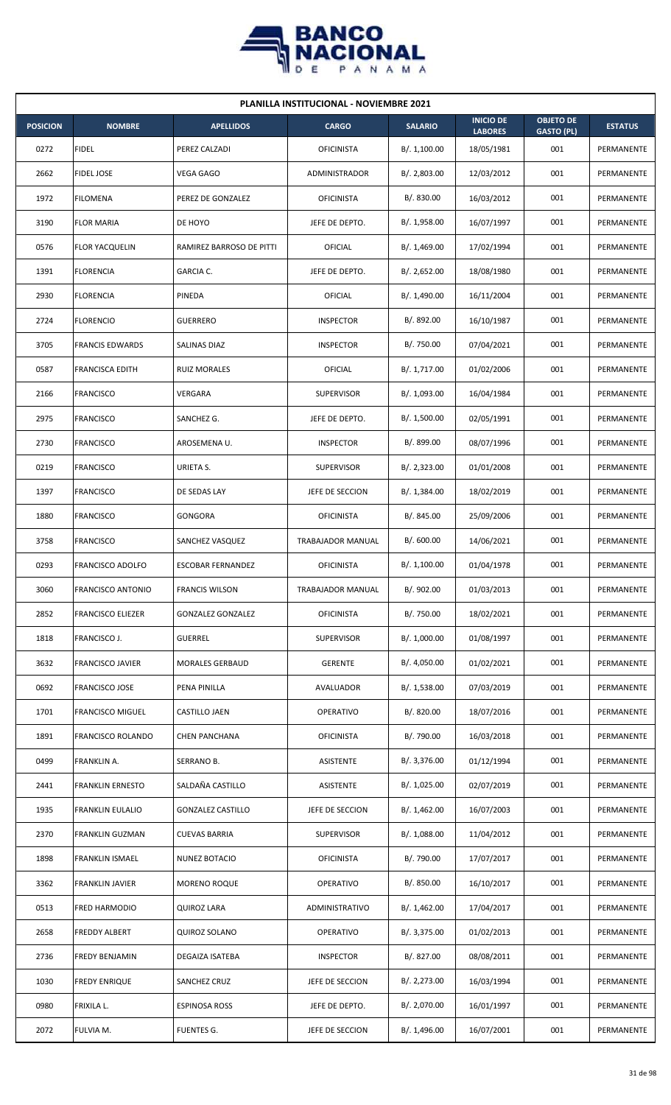

| <b>PLANILLA INSTITUCIONAL - NOVIEMBRE 2021</b> |                          |                          |                   |                |                                    |                                       |                |  |  |  |
|------------------------------------------------|--------------------------|--------------------------|-------------------|----------------|------------------------------------|---------------------------------------|----------------|--|--|--|
| <b>POSICION</b>                                | <b>NOMBRE</b>            | <b>APELLIDOS</b>         | <b>CARGO</b>      | <b>SALARIO</b> | <b>INICIO DE</b><br><b>LABORES</b> | <b>OBJETO DE</b><br><b>GASTO (PL)</b> | <b>ESTATUS</b> |  |  |  |
| 0272                                           | <b>FIDEL</b>             | PEREZ CALZADI            | <b>OFICINISTA</b> | B/. 1,100.00   | 18/05/1981                         | 001                                   | PERMANENTE     |  |  |  |
| 2662                                           | <b>FIDEL JOSE</b>        | VEGA GAGO                | ADMINISTRADOR     | B/.2,803.00    | 12/03/2012                         | 001                                   | PERMANENTE     |  |  |  |
| 1972                                           | <b>FILOMENA</b>          | PEREZ DE GONZALEZ        | <b>OFICINISTA</b> | B/. 830.00     | 16/03/2012                         | 001                                   | PERMANENTE     |  |  |  |
| 3190                                           | <b>FLOR MARIA</b>        | DE HOYO                  | JEFE DE DEPTO.    | B/. 1,958.00   | 16/07/1997                         | 001                                   | PERMANENTE     |  |  |  |
| 0576                                           | <b>FLOR YACQUELIN</b>    | RAMIREZ BARROSO DE PITTI | OFICIAL           | B/. 1,469.00   | 17/02/1994                         | 001                                   | PERMANENTE     |  |  |  |
| 1391                                           | <b>FLORENCIA</b>         | GARCIA C.                | JEFE DE DEPTO.    | B/.2,652.00    | 18/08/1980                         | 001                                   | PERMANENTE     |  |  |  |
| 2930                                           | <b>FLORENCIA</b>         | PINEDA                   | OFICIAL           | B/. 1,490.00   | 16/11/2004                         | 001                                   | PERMANENTE     |  |  |  |
| 2724                                           | <b>FLORENCIO</b>         | <b>GUERRERO</b>          | <b>INSPECTOR</b>  | B/. 892.00     | 16/10/1987                         | 001                                   | PERMANENTE     |  |  |  |
| 3705                                           | <b>FRANCIS EDWARDS</b>   | SALINAS DIAZ             | <b>INSPECTOR</b>  | B/. 750.00     | 07/04/2021                         | 001                                   | PERMANENTE     |  |  |  |
| 0587                                           | <b>FRANCISCA EDITH</b>   | <b>RUIZ MORALES</b>      | OFICIAL           | B/. 1,717.00   | 01/02/2006                         | 001                                   | PERMANENTE     |  |  |  |
| 2166                                           | <b>FRANCISCO</b>         | VERGARA                  | <b>SUPERVISOR</b> | B/. 1,093.00   | 16/04/1984                         | 001                                   | PERMANENTE     |  |  |  |
| 2975                                           | <b>FRANCISCO</b>         | SANCHEZ G.               | JEFE DE DEPTO.    | B/. 1,500.00   | 02/05/1991                         | 001                                   | PERMANENTE     |  |  |  |
| 2730                                           | <b>FRANCISCO</b>         | AROSEMENA U.             | <b>INSPECTOR</b>  | B/. 899.00     | 08/07/1996                         | 001                                   | PERMANENTE     |  |  |  |
| 0219                                           | <b>FRANCISCO</b>         | URIETA S.                | <b>SUPERVISOR</b> | B/.2,323.00    | 01/01/2008                         | 001                                   | PERMANENTE     |  |  |  |
| 1397                                           | <b>FRANCISCO</b>         | DE SEDAS LAY             | JEFE DE SECCION   | B/.1,384.00    | 18/02/2019                         | 001                                   | PERMANENTE     |  |  |  |
| 1880                                           | <b>FRANCISCO</b>         | GONGORA                  | <b>OFICINISTA</b> | B/. 845.00     | 25/09/2006                         | 001                                   | PERMANENTE     |  |  |  |
| 3758                                           | <b>FRANCISCO</b>         | SANCHEZ VASQUEZ          | TRABAJADOR MANUAL | B/0.600.00     | 14/06/2021                         | 001                                   | PERMANENTE     |  |  |  |
| 0293                                           | <b>FRANCISCO ADOLFO</b>  | <b>ESCOBAR FERNANDEZ</b> | <b>OFICINISTA</b> | B/. 1,100.00   | 01/04/1978                         | 001                                   | PERMANENTE     |  |  |  |
| 3060                                           | <b>FRANCISCO ANTONIO</b> | <b>FRANCIS WILSON</b>    | TRABAJADOR MANUAL | B/. 902.00     | 01/03/2013                         | 001                                   | PERMANENTE     |  |  |  |
| 2852                                           | <b>FRANCISCO ELIEZER</b> | <b>GONZALEZ GONZALEZ</b> | <b>OFICINISTA</b> | B/. 750.00     | 18/02/2021                         | 001                                   | PERMANENTE     |  |  |  |
| 1818                                           | FRANCISCO J.             | <b>GUERREL</b>           | <b>SUPERVISOR</b> | B/. 1,000.00   | 01/08/1997                         | 001                                   | PERMANENTE     |  |  |  |
| 3632                                           | <b>FRANCISCO JAVIER</b>  | <b>MORALES GERBAUD</b>   | <b>GERENTE</b>    | B/. 4,050.00   | 01/02/2021                         | 001                                   | PERMANENTE     |  |  |  |
| 0692                                           | <b>FRANCISCO JOSE</b>    | PENA PINILLA             | AVALUADOR         | B/. 1,538.00   | 07/03/2019                         | 001                                   | PERMANENTE     |  |  |  |
| 1701                                           | <b>FRANCISCO MIGUEL</b>  | CASTILLO JAEN            | <b>OPERATIVO</b>  | B/. 820.00     | 18/07/2016                         | 001                                   | PERMANENTE     |  |  |  |
| 1891                                           | <b>FRANCISCO ROLANDO</b> | <b>CHEN PANCHANA</b>     | <b>OFICINISTA</b> | B/. 790.00     | 16/03/2018                         | 001                                   | PERMANENTE     |  |  |  |
| 0499                                           | FRANKLIN A.              | SERRANO B.               | ASISTENTE         | B/. 3,376.00   | 01/12/1994                         | 001                                   | PERMANENTE     |  |  |  |
| 2441                                           | <b>FRANKLIN ERNESTO</b>  | SALDAÑA CASTILLO         | ASISTENTE         | B/. 1,025.00   | 02/07/2019                         | 001                                   | PERMANENTE     |  |  |  |
| 1935                                           | FRANKLIN EULALIO         | <b>GONZALEZ CASTILLO</b> | JEFE DE SECCION   | B/. 1,462.00   | 16/07/2003                         | 001                                   | PERMANENTE     |  |  |  |
| 2370                                           | FRANKLIN GUZMAN          | <b>CUEVAS BARRIA</b>     | SUPERVISOR        | B/. 1,088.00   | 11/04/2012                         | 001                                   | PERMANENTE     |  |  |  |
| 1898                                           | FRANKLIN ISMAEL          | NUNEZ BOTACIO            | <b>OFICINISTA</b> | B/. 790.00     | 17/07/2017                         | 001                                   | PERMANENTE     |  |  |  |
| 3362                                           | <b>FRANKLIN JAVIER</b>   | <b>MORENO ROQUE</b>      | OPERATIVO         | B/. 850.00     | 16/10/2017                         | 001                                   | PERMANENTE     |  |  |  |
| 0513                                           | FRED HARMODIO            | <b>QUIROZ LARA</b>       | ADMINISTRATIVO    | B/. 1,462.00   | 17/04/2017                         | 001                                   | PERMANENTE     |  |  |  |
| 2658                                           | FREDDY ALBERT            | QUIROZ SOLANO            | <b>OPERATIVO</b>  | B/.3,375.00    | 01/02/2013                         | 001                                   | PERMANENTE     |  |  |  |
| 2736                                           | <b>FREDY BENJAMIN</b>    | DEGAIZA ISATEBA          | <b>INSPECTOR</b>  | B/. 827.00     | 08/08/2011                         | 001                                   | PERMANENTE     |  |  |  |
| 1030                                           | <b>FREDY ENRIQUE</b>     | SANCHEZ CRUZ             | JEFE DE SECCION   | B/.2,273.00    | 16/03/1994                         | 001                                   | PERMANENTE     |  |  |  |
| 0980                                           | FRIXILA L.               | <b>ESPINOSA ROSS</b>     | JEFE DE DEPTO.    | B/. 2,070.00   | 16/01/1997                         | 001                                   | PERMANENTE     |  |  |  |
| 2072                                           | FULVIA M.                | <b>FUENTES G.</b>        | JEFE DE SECCION   | B/. 1,496.00   | 16/07/2001                         | 001                                   | PERMANENTE     |  |  |  |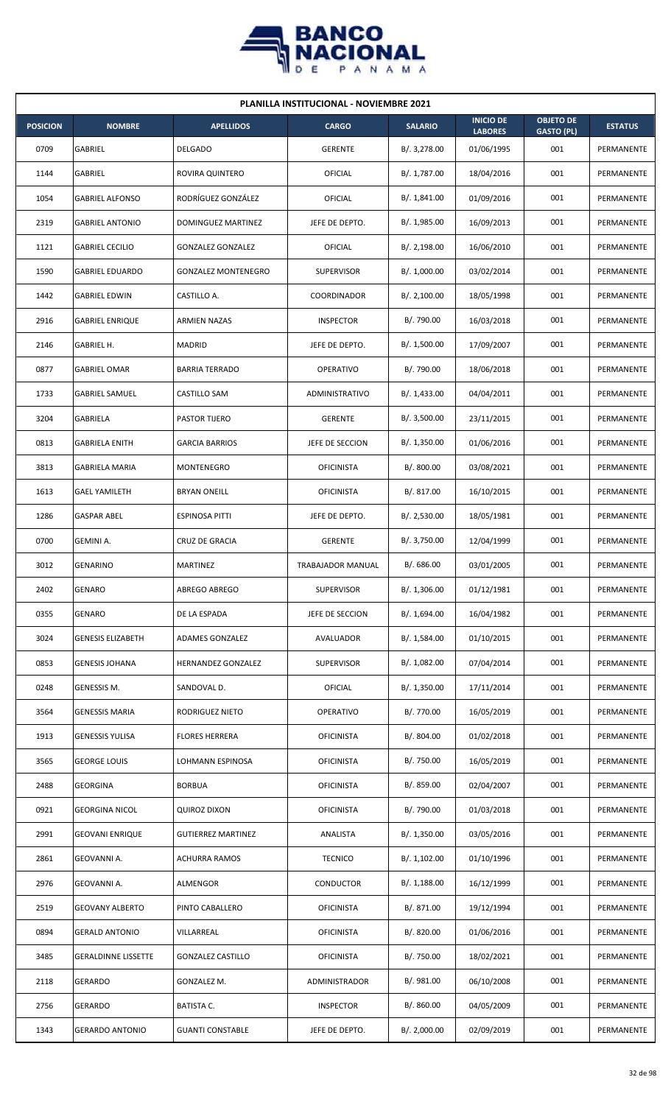

| <b>PLANILLA INSTITUCIONAL - NOVIEMBRE 2021</b> |                            |                            |                   |                |                                    |                                       |                |  |  |
|------------------------------------------------|----------------------------|----------------------------|-------------------|----------------|------------------------------------|---------------------------------------|----------------|--|--|
| <b>POSICION</b>                                | <b>NOMBRE</b>              | <b>APELLIDOS</b>           | <b>CARGO</b>      | <b>SALARIO</b> | <b>INICIO DE</b><br><b>LABORES</b> | <b>OBJETO DE</b><br><b>GASTO (PL)</b> | <b>ESTATUS</b> |  |  |
| 0709                                           | GABRIEL                    | <b>DELGADO</b>             | <b>GERENTE</b>    | B/. 3,278.00   | 01/06/1995                         | 001                                   | PERMANENTE     |  |  |
| 1144                                           | GABRIEL                    | ROVIRA QUINTERO            | OFICIAL           | B/. 1,787.00   | 18/04/2016                         | 001                                   | PERMANENTE     |  |  |
| 1054                                           | <b>GABRIEL ALFONSO</b>     | RODRÍGUEZ GONZÁLEZ         | OFICIAL           | B/.1,841.00    | 01/09/2016                         | 001                                   | PERMANENTE     |  |  |
| 2319                                           | <b>GABRIEL ANTONIO</b>     | <b>DOMINGUEZ MARTINEZ</b>  | JEFE DE DEPTO.    | B/. 1,985.00   | 16/09/2013                         | 001                                   | PERMANENTE     |  |  |
| 1121                                           | <b>GABRIEL CECILIO</b>     | <b>GONZALEZ GONZALEZ</b>   | OFICIAL           | B/. 2,198.00   | 16/06/2010                         | 001                                   | PERMANENTE     |  |  |
| 1590                                           | <b>GABRIEL EDUARDO</b>     | <b>GONZALEZ MONTENEGRO</b> | <b>SUPERVISOR</b> | B/. 1,000.00   | 03/02/2014                         | 001                                   | PERMANENTE     |  |  |
| 1442                                           | <b>GABRIEL EDWIN</b>       | CASTILLO A.                | COORDINADOR       | B/.2,100.00    | 18/05/1998                         | 001                                   | PERMANENTE     |  |  |
| 2916                                           | <b>GABRIEL ENRIQUE</b>     | <b>ARMIEN NAZAS</b>        | <b>INSPECTOR</b>  | B/. 790.00     | 16/03/2018                         | 001                                   | PERMANENTE     |  |  |
| 2146                                           | GABRIEL H.                 | MADRID                     | JEFE DE DEPTO.    | B/. 1,500.00   | 17/09/2007                         | 001                                   | PERMANENTE     |  |  |
| 0877                                           | <b>GABRIEL OMAR</b>        | <b>BARRIA TERRADO</b>      | OPERATIVO         | B/. 790.00     | 18/06/2018                         | 001                                   | PERMANENTE     |  |  |
| 1733                                           | <b>GABRIEL SAMUEL</b>      | CASTILLO SAM               | ADMINISTRATIVO    | B/. 1,433.00   | 04/04/2011                         | 001                                   | PERMANENTE     |  |  |
| 3204                                           | GABRIELA                   | PASTOR TIJERO              | <b>GERENTE</b>    | B/. 3,500.00   | 23/11/2015                         | 001                                   | PERMANENTE     |  |  |
| 0813                                           | <b>GABRIELA ENITH</b>      | <b>GARCIA BARRIOS</b>      | JEFE DE SECCION   | B/. 1,350.00   | 01/06/2016                         | 001                                   | PERMANENTE     |  |  |
| 3813                                           | <b>GABRIELA MARIA</b>      | MONTENEGRO                 | <b>OFICINISTA</b> | B/. 800.00     | 03/08/2021                         | 001                                   | PERMANENTE     |  |  |
| 1613                                           | <b>GAEL YAMILETH</b>       | <b>BRYAN ONEILL</b>        | <b>OFICINISTA</b> | B/.817.00      | 16/10/2015                         | 001                                   | PERMANENTE     |  |  |
| 1286                                           | <b>GASPAR ABEL</b>         | ESPINOSA PITTI             | JEFE DE DEPTO.    | B/. 2,530.00   | 18/05/1981                         | 001                                   | PERMANENTE     |  |  |
| 0700                                           | GEMINI A.                  | CRUZ DE GRACIA             | <b>GERENTE</b>    | B/. 3,750.00   | 12/04/1999                         | 001                                   | PERMANENTE     |  |  |
| 3012                                           | <b>GENARINO</b>            | <b>MARTINEZ</b>            | TRABAJADOR MANUAL | B/. 686.00     | 03/01/2005                         | 001                                   | PERMANENTE     |  |  |
| 2402                                           | <b>GENARO</b>              | ABREGO ABREGO              | <b>SUPERVISOR</b> | B/. 1,306.00   | 01/12/1981                         | 001                                   | PERMANENTE     |  |  |
| 0355                                           | GENARO                     | DE LA ESPADA               | JEFE DE SECCION   | B/. 1,694.00   | 16/04/1982                         | 001                                   | PERMANENTE     |  |  |
| 3024                                           | <b>GENESIS ELIZABETH</b>   | ADAMES GONZALEZ            | AVALUADOR         | B/. 1,584.00   | 01/10/2015                         | 001                                   | PERMANENTE     |  |  |
| 0853                                           | <b>GENESIS JOHANA</b>      | <b>HERNANDEZ GONZALEZ</b>  | SUPERVISOR        | B/. 1,082.00   | 07/04/2014                         | 001                                   | PERMANENTE     |  |  |
| 0248                                           | GENESSIS M.                | SANDOVAL D.                | <b>OFICIAL</b>    | B/. 1,350.00   | 17/11/2014                         | 001                                   | PERMANENTE     |  |  |
| 3564                                           | <b>GENESSIS MARIA</b>      | RODRIGUEZ NIETO            | OPERATIVO         | B/. 770.00     | 16/05/2019                         | 001                                   | PERMANENTE     |  |  |
| 1913                                           | <b>GENESSIS YULISA</b>     | <b>FLORES HERRERA</b>      | <b>OFICINISTA</b> | B/. 804.00     | 01/02/2018                         | 001                                   | PERMANENTE     |  |  |
| 3565                                           | <b>GEORGE LOUIS</b>        | LOHMANN ESPINOSA           | OFICINISTA        | B/. 750.00     | 16/05/2019                         | 001                                   | PERMANENTE     |  |  |
| 2488                                           | GEORGINA                   | <b>BORBUA</b>              | <b>OFICINISTA</b> | B/. 859.00     | 02/04/2007                         | 001                                   | PERMANENTE     |  |  |
| 0921                                           | <b>GEORGINA NICOL</b>      | <b>QUIROZ DIXON</b>        | <b>OFICINISTA</b> | B/. 790.00     | 01/03/2018                         | 001                                   | PERMANENTE     |  |  |
| 2991                                           | <b>GEOVANI ENRIQUE</b>     | <b>GUTIERREZ MARTINEZ</b>  | ANALISTA          | B/. 1,350.00   | 03/05/2016                         | 001                                   | PERMANENTE     |  |  |
| 2861                                           | GEOVANNI A.                | <b>ACHURRA RAMOS</b>       | <b>TECNICO</b>    | B/. 1,102.00   | 01/10/1996                         | 001                                   | PERMANENTE     |  |  |
| 2976                                           | GEOVANNI A.                | ALMENGOR                   | <b>CONDUCTOR</b>  | B/. 1,188.00   | 16/12/1999                         | 001                                   | PERMANENTE     |  |  |
| 2519                                           | <b>GEOVANY ALBERTO</b>     | PINTO CABALLERO            | <b>OFICINISTA</b> | B/. 871.00     | 19/12/1994                         | 001                                   | PERMANENTE     |  |  |
| 0894                                           | <b>GERALD ANTONIO</b>      | VILLARREAL                 | <b>OFICINISTA</b> | B/. 820.00     | 01/06/2016                         | 001                                   | PERMANENTE     |  |  |
| 3485                                           | <b>GERALDINNE LISSETTE</b> | <b>GONZALEZ CASTILLO</b>   | <b>OFICINISTA</b> | B/. 750.00     | 18/02/2021                         | 001                                   | PERMANENTE     |  |  |
| 2118                                           | GERARDO                    | GONZALEZ M.                | ADMINISTRADOR     | B/. 981.00     | 06/10/2008                         | 001                                   | PERMANENTE     |  |  |
| 2756                                           | GERARDO                    | <b>BATISTA C.</b>          | <b>INSPECTOR</b>  | B/.860.00      | 04/05/2009                         | 001                                   | PERMANENTE     |  |  |
| 1343                                           | <b>GERARDO ANTONIO</b>     | <b>GUANTI CONSTABLE</b>    | JEFE DE DEPTO.    | B/. 2,000.00   | 02/09/2019                         | 001                                   | PERMANENTE     |  |  |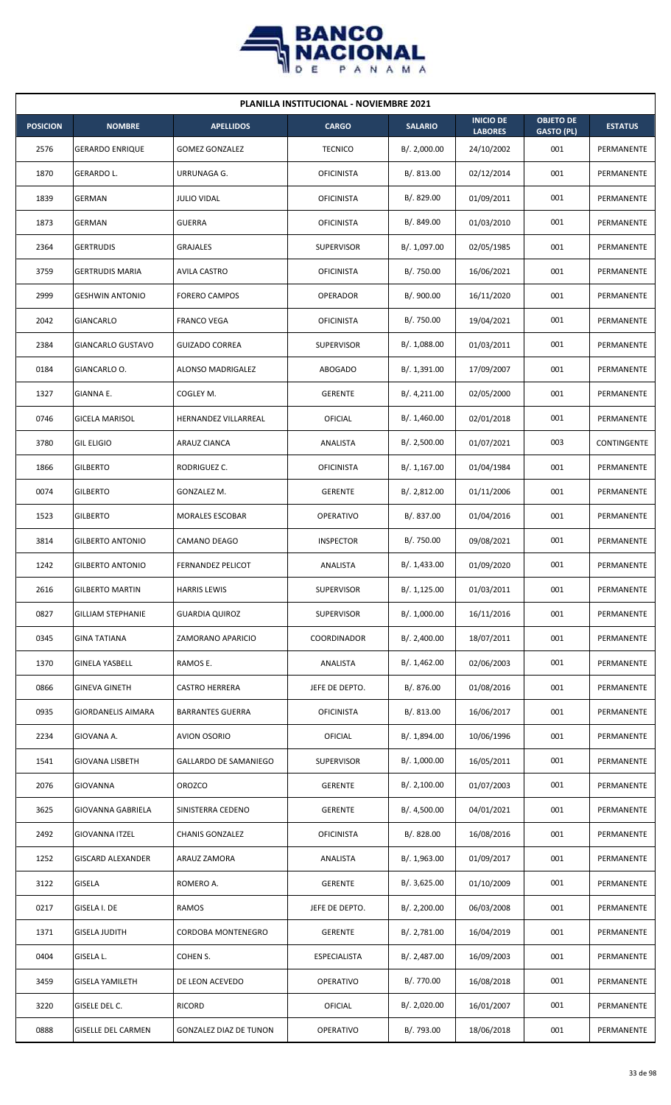

| <b>PLANILLA INSTITUCIONAL - NOVIEMBRE 2021</b> |                           |                               |                     |                |                                    |                                       |                |  |  |  |
|------------------------------------------------|---------------------------|-------------------------------|---------------------|----------------|------------------------------------|---------------------------------------|----------------|--|--|--|
| <b>POSICION</b>                                | <b>NOMBRE</b>             | <b>APELLIDOS</b>              | <b>CARGO</b>        | <b>SALARIO</b> | <b>INICIO DE</b><br><b>LABORES</b> | <b>OBJETO DE</b><br><b>GASTO (PL)</b> | <b>ESTATUS</b> |  |  |  |
| 2576                                           | <b>GERARDO ENRIQUE</b>    | <b>GOMEZ GONZALEZ</b>         | <b>TECNICO</b>      | B/.2,000.00    | 24/10/2002                         | 001                                   | PERMANENTE     |  |  |  |
| 1870                                           | GERARDO L.                | URRUNAGA G.                   | <b>OFICINISTA</b>   | B/0.813.00     | 02/12/2014                         | 001                                   | PERMANENTE     |  |  |  |
| 1839                                           | <b>GERMAN</b>             | <b>JULIO VIDAL</b>            | <b>OFICINISTA</b>   | B/. 829.00     | 01/09/2011                         | 001                                   | PERMANENTE     |  |  |  |
| 1873                                           | <b>GERMAN</b>             | <b>GUERRA</b>                 | <b>OFICINISTA</b>   | B/. 849.00     | 01/03/2010                         | 001                                   | PERMANENTE     |  |  |  |
| 2364                                           | <b>GERTRUDIS</b>          | <b>GRAJALES</b>               | <b>SUPERVISOR</b>   | B/. 1,097.00   | 02/05/1985                         | 001                                   | PERMANENTE     |  |  |  |
| 3759                                           | <b>GERTRUDIS MARIA</b>    | AVILA CASTRO                  | <b>OFICINISTA</b>   | B/. 750.00     | 16/06/2021                         | 001                                   | PERMANENTE     |  |  |  |
| 2999                                           | <b>GESHWIN ANTONIO</b>    | <b>FORERO CAMPOS</b>          | <b>OPERADOR</b>     | B/. 900.00     | 16/11/2020                         | 001                                   | PERMANENTE     |  |  |  |
| 2042                                           | GIANCARLO                 | <b>FRANCO VEGA</b>            | <b>OFICINISTA</b>   | B/. 750.00     | 19/04/2021                         | 001                                   | PERMANENTE     |  |  |  |
| 2384                                           | GIANCARLO GUSTAVO         | <b>GUIZADO CORREA</b>         | <b>SUPERVISOR</b>   | B/. 1,088.00   | 01/03/2011                         | 001                                   | PERMANENTE     |  |  |  |
| 0184                                           | GIANCARLO O.              | ALONSO MADRIGALEZ             | <b>ABOGADO</b>      | B/. 1,391.00   | 17/09/2007                         | 001                                   | PERMANENTE     |  |  |  |
| 1327                                           | GIANNA E.                 | COGLEY M.                     | <b>GERENTE</b>      | B/.4,211.00    | 02/05/2000                         | 001                                   | PERMANENTE     |  |  |  |
| 0746                                           | <b>GICELA MARISOL</b>     | HERNANDEZ VILLARREAL          | <b>OFICIAL</b>      | B/.1,460.00    | 02/01/2018                         | 001                                   | PERMANENTE     |  |  |  |
| 3780                                           | <b>GIL ELIGIO</b>         | ARAUZ CIANCA                  | ANALISTA            | B/. 2,500.00   | 01/07/2021                         | 003                                   | CONTINGENTE    |  |  |  |
| 1866                                           | <b>GILBERTO</b>           | RODRIGUEZ C.                  | <b>OFICINISTA</b>   | B/.1,167.00    | 01/04/1984                         | 001                                   | PERMANENTE     |  |  |  |
| 0074                                           | <b>GILBERTO</b>           | GONZALEZ M.                   | <b>GERENTE</b>      | B/.2,812.00    | 01/11/2006                         | 001                                   | PERMANENTE     |  |  |  |
| 1523                                           | <b>GILBERTO</b>           | MORALES ESCOBAR               | <b>OPERATIVO</b>    | B/. 837.00     | 01/04/2016                         | 001                                   | PERMANENTE     |  |  |  |
| 3814                                           | <b>GILBERTO ANTONIO</b>   | CAMANO DEAGO                  | <b>INSPECTOR</b>    | B/. 750.00     | 09/08/2021                         | 001                                   | PERMANENTE     |  |  |  |
| 1242                                           | <b>GILBERTO ANTONIO</b>   | <b>FERNANDEZ PELICOT</b>      | ANALISTA            | B/. 1,433.00   | 01/09/2020                         | 001                                   | PERMANENTE     |  |  |  |
| 2616                                           | <b>GILBERTO MARTIN</b>    | <b>HARRIS LEWIS</b>           | <b>SUPERVISOR</b>   | B/.1,125.00    | 01/03/2011                         | 001                                   | PERMANENTE     |  |  |  |
| 0827                                           | <b>GILLIAM STEPHANIE</b>  | <b>GUARDIA QUIROZ</b>         | <b>SUPERVISOR</b>   | B/. 1,000.00   | 16/11/2016                         | 001                                   | PERMANENTE     |  |  |  |
| 0345                                           | <b>GINA TATIANA</b>       | ZAMORANO APARICIO             | COORDINADOR         | B/.2,400.00    | 18/07/2011                         | 001                                   | PERMANENTE     |  |  |  |
| 1370                                           | <b>GINELA YASBELL</b>     | RAMOS E.                      | ANALISTA            | B/. 1,462.00   | 02/06/2003                         | 001                                   | PERMANENTE     |  |  |  |
| 0866                                           | <b>GINEVA GINETH</b>      | <b>CASTRO HERRERA</b>         | JEFE DE DEPTO.      | B/. 876.00     | 01/08/2016                         | 001                                   | PERMANENTE     |  |  |  |
| 0935                                           | <b>GIORDANELIS AIMARA</b> | <b>BARRANTES GUERRA</b>       | <b>OFICINISTA</b>   | B/. 813.00     | 16/06/2017                         | 001                                   | PERMANENTE     |  |  |  |
| 2234                                           | GIOVANA A.                | <b>AVION OSORIO</b>           | <b>OFICIAL</b>      | B/. 1,894.00   | 10/06/1996                         | 001                                   | PERMANENTE     |  |  |  |
| 1541                                           | <b>GIOVANA LISBETH</b>    | <b>GALLARDO DE SAMANIEGO</b>  | <b>SUPERVISOR</b>   | B/. 1,000.00   | 16/05/2011                         | 001                                   | PERMANENTE     |  |  |  |
| 2076                                           | <b>GIOVANNA</b>           | <b>OROZCO</b>                 | <b>GERENTE</b>      | B/.2,100.00    | 01/07/2003                         | 001                                   | PERMANENTE     |  |  |  |
| 3625                                           | GIOVANNA GABRIELA         | SINISTERRA CEDENO             | <b>GERENTE</b>      | B/. 4,500.00   | 04/01/2021                         | 001                                   | PERMANENTE     |  |  |  |
| 2492                                           | <b>GIOVANNA ITZEL</b>     | <b>CHANIS GONZALEZ</b>        | <b>OFICINISTA</b>   | B/. 828.00     | 16/08/2016                         | 001                                   | PERMANENTE     |  |  |  |
| 1252                                           | <b>GISCARD ALEXANDER</b>  | ARAUZ ZAMORA                  | ANALISTA            | B/. 1,963.00   | 01/09/2017                         | 001                                   | PERMANENTE     |  |  |  |
| 3122                                           | <b>GISELA</b>             | ROMERO A.                     | <b>GERENTE</b>      | B/. 3,625.00   | 01/10/2009                         | 001                                   | PERMANENTE     |  |  |  |
| 0217                                           | GISELA I. DE              | RAMOS                         | JEFE DE DEPTO.      | B/.2,200.00    | 06/03/2008                         | 001                                   | PERMANENTE     |  |  |  |
| 1371                                           | <b>GISELA JUDITH</b>      | <b>CORDOBA MONTENEGRO</b>     | <b>GERENTE</b>      | B/. 2,781.00   | 16/04/2019                         | 001                                   | PERMANENTE     |  |  |  |
| 0404                                           | GISELA L.                 | COHEN S.                      | <b>ESPECIALISTA</b> | B/. 2,487.00   | 16/09/2003                         | 001                                   | PERMANENTE     |  |  |  |
| 3459                                           | <b>GISELA YAMILETH</b>    | DE LEON ACEVEDO               | OPERATIVO           | B/. 770.00     | 16/08/2018                         | 001                                   | PERMANENTE     |  |  |  |
| 3220                                           | GISELE DEL C.             | RICORD                        | <b>OFICIAL</b>      | B/.2,020.00    | 16/01/2007                         | 001                                   | PERMANENTE     |  |  |  |
| 0888                                           | <b>GISELLE DEL CARMEN</b> | <b>GONZALEZ DIAZ DE TUNON</b> | OPERATIVO           | B/. 793.00     | 18/06/2018                         | 001                                   | PERMANENTE     |  |  |  |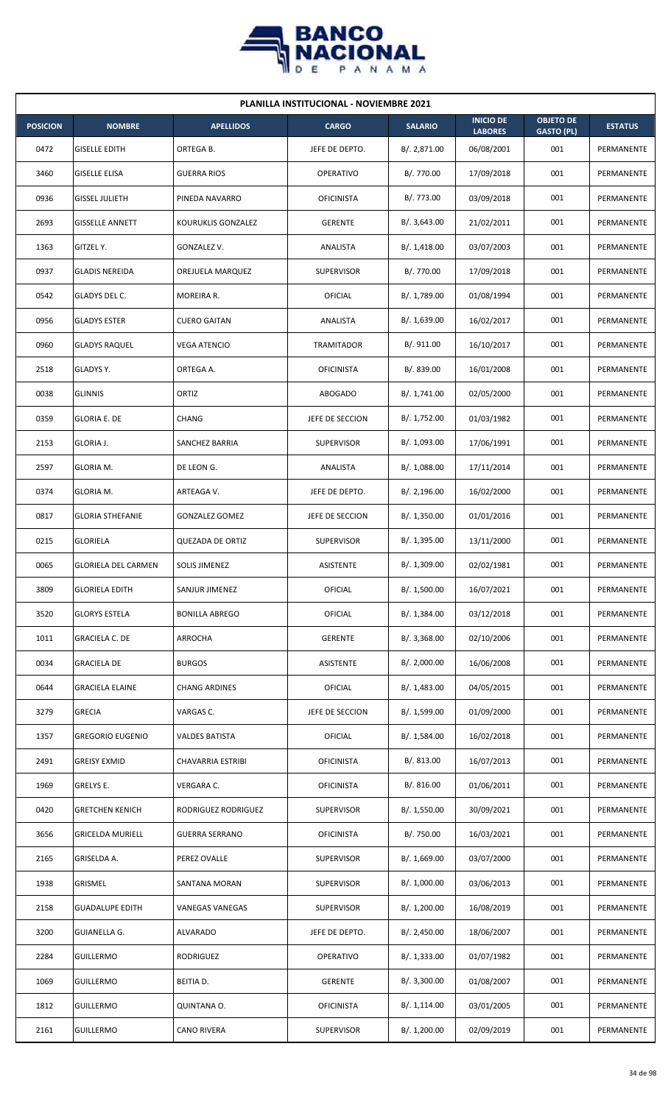

| <b>PLANILLA INSTITUCIONAL - NOVIEMBRE 2021</b> |                            |                        |                   |                |                                    |                                       |                |  |  |
|------------------------------------------------|----------------------------|------------------------|-------------------|----------------|------------------------------------|---------------------------------------|----------------|--|--|
| <b>POSICION</b>                                | <b>NOMBRE</b>              | <b>APELLIDOS</b>       | <b>CARGO</b>      | <b>SALARIO</b> | <b>INICIO DE</b><br><b>LABORES</b> | <b>OBJETO DE</b><br><b>GASTO (PL)</b> | <b>ESTATUS</b> |  |  |
| 0472                                           | <b>GISELLE EDITH</b>       | ORTEGA B.              | JEFE DE DEPTO.    | B/. 2,871.00   | 06/08/2001                         | 001                                   | PERMANENTE     |  |  |
| 3460                                           | <b>GISELLE ELISA</b>       | <b>GUERRA RIOS</b>     | <b>OPERATIVO</b>  | B/. 770.00     | 17/09/2018                         | 001                                   | PERMANENTE     |  |  |
| 0936                                           | <b>GISSEL JULIETH</b>      | PINEDA NAVARRO         | <b>OFICINISTA</b> | B/. 773.00     | 03/09/2018                         | 001                                   | PERMANENTE     |  |  |
| 2693                                           | <b>GISSELLE ANNETT</b>     | KOURUKLIS GONZALEZ     | <b>GERENTE</b>    | B/.3,643.00    | 21/02/2011                         | 001                                   | PERMANENTE     |  |  |
| 1363                                           | GITZEL Y.                  | GONZALEZ V.            | <b>ANALISTA</b>   | B/.1,418.00    | 03/07/2003                         | 001                                   | PERMANENTE     |  |  |
| 0937                                           | <b>GLADIS NEREIDA</b>      | OREJUELA MARQUEZ       | <b>SUPERVISOR</b> | B/. 770.00     | 17/09/2018                         | 001                                   | PERMANENTE     |  |  |
| 0542                                           | GLADYS DEL C.              | MOREIRA R.             | <b>OFICIAL</b>    | B/. 1,789.00   | 01/08/1994                         | 001                                   | PERMANENTE     |  |  |
| 0956                                           | <b>GLADYS ESTER</b>        | <b>CUERO GAITAN</b>    | ANALISTA          | B/. 1,639.00   | 16/02/2017                         | 001                                   | PERMANENTE     |  |  |
| 0960                                           | <b>GLADYS RAQUEL</b>       | VEGA ATENCIO           | <b>TRAMITADOR</b> | B/. 911.00     | 16/10/2017                         | 001                                   | PERMANENTE     |  |  |
| 2518                                           | <b>GLADYS Y.</b>           | ORTEGA A.              | <b>OFICINISTA</b> | B/. 839.00     | 16/01/2008                         | 001                                   | PERMANENTE     |  |  |
| 0038                                           | <b>GLINNIS</b>             | ORTIZ                  | ABOGADO           | B/. 1,741.00   | 02/05/2000                         | 001                                   | PERMANENTE     |  |  |
| 0359                                           | <b>GLORIA E. DE</b>        | <b>CHANG</b>           | JEFE DE SECCION   | B/. 1,752.00   | 01/03/1982                         | 001                                   | PERMANENTE     |  |  |
| 2153                                           | <b>GLORIA J.</b>           | SANCHEZ BARRIA         | <b>SUPERVISOR</b> | B/. 1,093.00   | 17/06/1991                         | 001                                   | PERMANENTE     |  |  |
| 2597                                           | <b>GLORIA M.</b>           | DE LEON G.             | ANALISTA          | B/. 1,088.00   | 17/11/2014                         | 001                                   | PERMANENTE     |  |  |
| 0374                                           | <b>GLORIA M.</b>           | ARTEAGA V.             | JEFE DE DEPTO.    | B/.2,196.00    | 16/02/2000                         | 001                                   | PERMANENTE     |  |  |
| 0817                                           | <b>GLORIA STHEFANIE</b>    | <b>GONZALEZ GOMEZ</b>  | JEFE DE SECCION   | B/.1,350.00    | 01/01/2016                         | 001                                   | PERMANENTE     |  |  |
| 0215                                           | <b>GLORIELA</b>            | QUEZADA DE ORTIZ       | <b>SUPERVISOR</b> | B/. 1,395.00   | 13/11/2000                         | 001                                   | PERMANENTE     |  |  |
| 0065                                           | <b>GLORIELA DEL CARMEN</b> | <b>SOLIS JIMENEZ</b>   | <b>ASISTENTE</b>  | B/. 1,309.00   | 02/02/1981                         | 001                                   | PERMANENTE     |  |  |
| 3809                                           | <b>GLORIELA EDITH</b>      | SANJUR JIMENEZ         | OFICIAL           | B/. 1,500.00   | 16/07/2021                         | 001                                   | PERMANENTE     |  |  |
| 3520                                           | <b>GLORYS ESTELA</b>       | <b>BONILLA ABREGO</b>  | <b>OFICIAL</b>    | B/. 1,384.00   | 03/12/2018                         | 001                                   | PERMANENTE     |  |  |
| 1011                                           | <b>GRACIELA C. DE</b>      | ARROCHA                | <b>GERENTE</b>    | B/. 3,368.00   | 02/10/2006                         | 001                                   | PERMANENTE     |  |  |
| 0034                                           | <b>GRACIELA DE</b>         | <b>BURGOS</b>          | ASISTENTE         | B/.2,000.00    | 16/06/2008                         | 001                                   | PERMANENTE     |  |  |
| 0644                                           | <b>GRACIELA ELAINE</b>     | <b>CHANG ARDINES</b>   | <b>OFICIAL</b>    | B/. 1,483.00   | 04/05/2015                         | 001                                   | PERMANENTE     |  |  |
| 3279                                           | <b>GRECIA</b>              | VARGAS C.              | JEFE DE SECCION   | B/. 1,599.00   | 01/09/2000                         | 001                                   | PERMANENTE     |  |  |
| 1357                                           | <b>GREGORIO EUGENIO</b>    | <b>VALDES BATISTA</b>  | <b>OFICIAL</b>    | B/. 1,584.00   | 16/02/2018                         | 001                                   | PERMANENTE     |  |  |
| 2491                                           | <b>GREISY EXMID</b>        | CHAVARRIA ESTRIBI      | <b>OFICINISTA</b> | B/. 813.00     | 16/07/2013                         | 001                                   | PERMANENTE     |  |  |
| 1969                                           | GRELYS E.                  | VERGARA C.             | <b>OFICINISTA</b> | B/. 816.00     | 01/06/2011                         | 001                                   | PERMANENTE     |  |  |
| 0420                                           | <b>GRETCHEN KENICH</b>     | RODRIGUEZ RODRIGUEZ    | <b>SUPERVISOR</b> | B/. 1,550.00   | 30/09/2021                         | 001                                   | PERMANENTE     |  |  |
| 3656                                           | <b>GRICELDA MURIELL</b>    | <b>GUERRA SERRANO</b>  | <b>OFICINISTA</b> | B/. 750.00     | 16/03/2021                         | 001                                   | PERMANENTE     |  |  |
| 2165                                           | GRISELDA A.                | PEREZ OVALLE           | <b>SUPERVISOR</b> | B/. 1,669.00   | 03/07/2000                         | 001                                   | PERMANENTE     |  |  |
| 1938                                           | <b>GRISMEL</b>             | SANTANA MORAN          | <b>SUPERVISOR</b> | B/. 1,000.00   | 03/06/2013                         | 001                                   | PERMANENTE     |  |  |
| 2158                                           | <b>GUADALUPE EDITH</b>     | <b>VANEGAS VANEGAS</b> | <b>SUPERVISOR</b> | B/. 1,200.00   | 16/08/2019                         | 001                                   | PERMANENTE     |  |  |
| 3200                                           | <b>GUIANELLA G.</b>        | ALVARADO               | JEFE DE DEPTO.    | B/.2,450.00    | 18/06/2007                         | 001                                   | PERMANENTE     |  |  |
| 2284                                           | <b>GUILLERMO</b>           | <b>RODRIGUEZ</b>       | <b>OPERATIVO</b>  | B/. 1,333.00   | 01/07/1982                         | 001                                   | PERMANENTE     |  |  |
| 1069                                           | <b>GUILLERMO</b>           | BEITIA D.              | <b>GERENTE</b>    | B/. 3,300.00   | 01/08/2007                         | 001                                   | PERMANENTE     |  |  |
| 1812                                           | <b>GUILLERMO</b>           | QUINTANA O.            | <b>OFICINISTA</b> | B/.1,114.00    | 03/01/2005                         | 001                                   | PERMANENTE     |  |  |
| 2161                                           | <b>GUILLERMO</b>           | <b>CANO RIVERA</b>     | <b>SUPERVISOR</b> | B/. 1,200.00   | 02/09/2019                         | 001                                   | PERMANENTE     |  |  |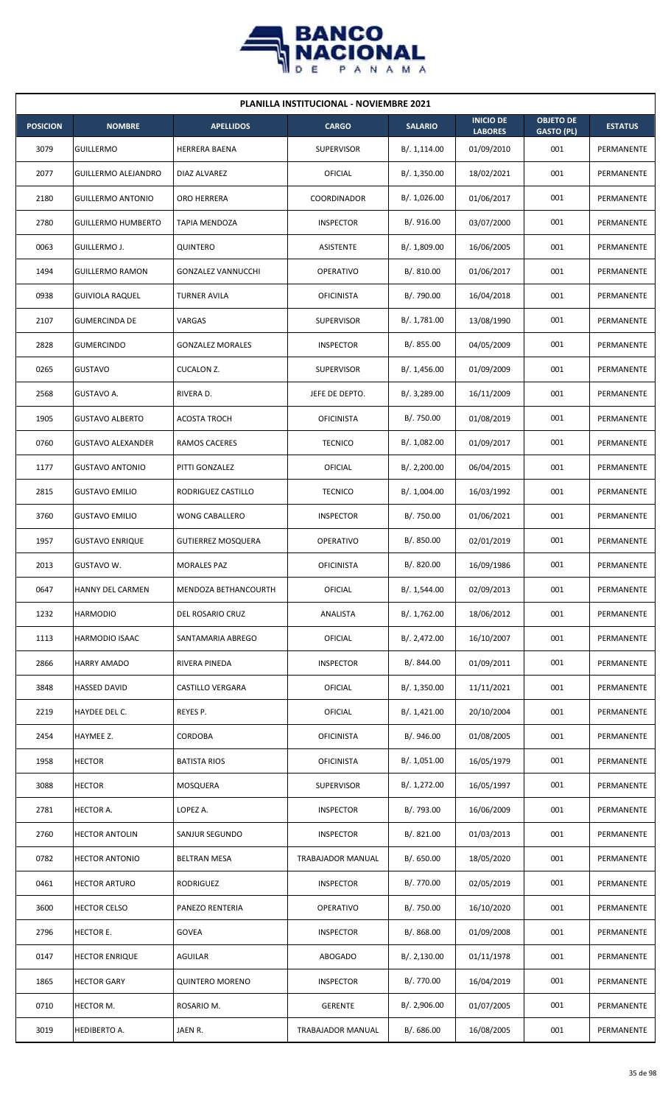

| <b>PLANILLA INSTITUCIONAL - NOVIEMBRE 2021</b> |                           |                           |                          |                |                                    |                                       |                |  |  |  |
|------------------------------------------------|---------------------------|---------------------------|--------------------------|----------------|------------------------------------|---------------------------------------|----------------|--|--|--|
| <b>POSICION</b>                                | <b>NOMBRE</b>             | <b>APELLIDOS</b>          | <b>CARGO</b>             | <b>SALARIO</b> | <b>INICIO DE</b><br><b>LABORES</b> | <b>OBJETO DE</b><br><b>GASTO (PL)</b> | <b>ESTATUS</b> |  |  |  |
| 3079                                           | <b>GUILLERMO</b>          | <b>HERRERA BAENA</b>      | <b>SUPERVISOR</b>        | B/. 1,114.00   | 01/09/2010                         | 001                                   | PERMANENTE     |  |  |  |
| 2077                                           | GUILLERMO ALEJANDRO       | DIAZ ALVAREZ              | OFICIAL                  | B/. 1,350.00   | 18/02/2021                         | 001                                   | PERMANENTE     |  |  |  |
| 2180                                           | <b>GUILLERMO ANTONIO</b>  | ORO HERRERA               | COORDINADOR              | B/. 1,026.00   | 01/06/2017                         | 001                                   | PERMANENTE     |  |  |  |
| 2780                                           | <b>GUILLERMO HUMBERTO</b> | TAPIA MENDOZA             | <b>INSPECTOR</b>         | B/. 916.00     | 03/07/2000                         | 001                                   | PERMANENTE     |  |  |  |
| 0063                                           | GUILLERMO J.              | QUINTERO                  | ASISTENTE                | B/. 1,809.00   | 16/06/2005                         | 001                                   | PERMANENTE     |  |  |  |
| 1494                                           | <b>GUILLERMO RAMON</b>    | <b>GONZALEZ VANNUCCHI</b> | OPERATIVO                | B/. 810.00     | 01/06/2017                         | 001                                   | PERMANENTE     |  |  |  |
| 0938                                           | <b>GUIVIOLA RAQUEL</b>    | <b>TURNER AVILA</b>       | <b>OFICINISTA</b>        | B/. 790.00     | 16/04/2018                         | 001                                   | PERMANENTE     |  |  |  |
| 2107                                           | <b>GUMERCINDA DE</b>      | VARGAS                    | <b>SUPERVISOR</b>        | B/. 1,781.00   | 13/08/1990                         | 001                                   | PERMANENTE     |  |  |  |
| 2828                                           | <b>GUMERCINDO</b>         | <b>GONZALEZ MORALES</b>   | <b>INSPECTOR</b>         | B/. 855.00     | 04/05/2009                         | 001                                   | PERMANENTE     |  |  |  |
| 0265                                           | <b>GUSTAVO</b>            | <b>CUCALON Z.</b>         | <b>SUPERVISOR</b>        | B/.1,456.00    | 01/09/2009                         | 001                                   | PERMANENTE     |  |  |  |
| 2568                                           | <b>GUSTAVO A.</b>         | RIVERA D.                 | JEFE DE DEPTO.           | B/.3,289.00    | 16/11/2009                         | 001                                   | PERMANENTE     |  |  |  |
| 1905                                           | <b>GUSTAVO ALBERTO</b>    | <b>ACOSTA TROCH</b>       | <b>OFICINISTA</b>        | B/. 750.00     | 01/08/2019                         | 001                                   | PERMANENTE     |  |  |  |
| 0760                                           | <b>GUSTAVO ALEXANDER</b>  | RAMOS CACERES             | <b>TECNICO</b>           | B/. 1,082.00   | 01/09/2017                         | 001                                   | PERMANENTE     |  |  |  |
| 1177                                           | <b>GUSTAVO ANTONIO</b>    | PITTI GONZALEZ            | OFICIAL                  | B/.2,200.00    | 06/04/2015                         | 001                                   | PERMANENTE     |  |  |  |
| 2815                                           | <b>GUSTAVO EMILIO</b>     | RODRIGUEZ CASTILLO        | <b>TECNICO</b>           | B/. 1,004.00   | 16/03/1992                         | 001                                   | PERMANENTE     |  |  |  |
| 3760                                           | <b>GUSTAVO EMILIO</b>     | <b>WONG CABALLERO</b>     | <b>INSPECTOR</b>         | B/. 750.00     | 01/06/2021                         | 001                                   | PERMANENTE     |  |  |  |
| 1957                                           | <b>GUSTAVO ENRIQUE</b>    | <b>GUTIERREZ MOSQUERA</b> | OPERATIVO                | B/. 850.00     | 02/01/2019                         | 001                                   | PERMANENTE     |  |  |  |
| 2013                                           | GUSTAVO W.                | <b>MORALES PAZ</b>        | <b>OFICINISTA</b>        | B/. 820.00     | 16/09/1986                         | 001                                   | PERMANENTE     |  |  |  |
| 0647                                           | HANNY DEL CARMEN          | MENDOZA BETHANCOURTH      | OFICIAL                  | B/. 1,544.00   | 02/09/2013                         | 001                                   | PERMANENTE     |  |  |  |
| 1232                                           | <b>HARMODIO</b>           | DEL ROSARIO CRUZ          | ANALISTA                 | B/. 1,762.00   | 18/06/2012                         | 001                                   | PERMANENTE     |  |  |  |
| 1113                                           | HARMODIO ISAAC            | SANTAMARIA ABREGO         | OFICIAL                  | B/. 2,472.00   | 16/10/2007                         | 001                                   | PERMANENTE     |  |  |  |
| 2866                                           | <b>HARRY AMADO</b>        | RIVERA PINEDA             | <b>INSPECTOR</b>         | B/. 844.00     | 01/09/2011                         | 001                                   | PERMANENTE     |  |  |  |
| 3848                                           | <b>HASSED DAVID</b>       | CASTILLO VERGARA          | OFICIAL                  | B/. 1,350.00   | 11/11/2021                         | 001                                   | PERMANENTE     |  |  |  |
| 2219                                           | HAYDEE DEL C.             | REYES P.                  | OFICIAL                  | B/. 1,421.00   | 20/10/2004                         | 001                                   | PERMANENTE     |  |  |  |
| 2454                                           | HAYMEE Z.                 | <b>CORDOBA</b>            | <b>OFICINISTA</b>        | B/. 946.00     | 01/08/2005                         | 001                                   | PERMANENTE     |  |  |  |
| 1958                                           | <b>HECTOR</b>             | <b>BATISTA RIOS</b>       | <b>OFICINISTA</b>        | B/. 1,051.00   | 16/05/1979                         | 001                                   | PERMANENTE     |  |  |  |
| 3088                                           | <b>HECTOR</b>             | MOSQUERA                  | <b>SUPERVISOR</b>        | B/. 1,272.00   | 16/05/1997                         | 001                                   | PERMANENTE     |  |  |  |
| 2781                                           | HECTOR A.                 | LOPEZ A.                  | <b>INSPECTOR</b>         | B/. 793.00     | 16/06/2009                         | 001                                   | PERMANENTE     |  |  |  |
| 2760                                           | <b>HECTOR ANTOLIN</b>     | SANJUR SEGUNDO            | <b>INSPECTOR</b>         | B/.821.00      | 01/03/2013                         | 001                                   | PERMANENTE     |  |  |  |
| 0782                                           | <b>HECTOR ANTONIO</b>     | <b>BELTRAN MESA</b>       | TRABAJADOR MANUAL        | B/. 650.00     | 18/05/2020                         | 001                                   | PERMANENTE     |  |  |  |
| 0461                                           | <b>HECTOR ARTURO</b>      | RODRIGUEZ                 | <b>INSPECTOR</b>         | B/. 770.00     | 02/05/2019                         | 001                                   | PERMANENTE     |  |  |  |
| 3600                                           | <b>HECTOR CELSO</b>       | PANEZO RENTERIA           | OPERATIVO                | B/. 750.00     | 16/10/2020                         | 001                                   | PERMANENTE     |  |  |  |
| 2796                                           | HECTOR E.                 | GOVEA                     | <b>INSPECTOR</b>         | B/. 868.00     | 01/09/2008                         | 001                                   | PERMANENTE     |  |  |  |
| 0147                                           | <b>HECTOR ENRIQUE</b>     | AGUILAR                   | <b>ABOGADO</b>           | B/.2,130.00    | 01/11/1978                         | 001                                   | PERMANENTE     |  |  |  |
| 1865                                           | <b>HECTOR GARY</b>        | <b>QUINTERO MORENO</b>    | <b>INSPECTOR</b>         | B/. 770.00     | 16/04/2019                         | 001                                   | PERMANENTE     |  |  |  |
| 0710                                           | HECTOR M.                 | ROSARIO M.                | <b>GERENTE</b>           | B/.2,906.00    | 01/07/2005                         | 001                                   | PERMANENTE     |  |  |  |
| 3019                                           | HEDIBERTO A.              | JAEN R.                   | <b>TRABAJADOR MANUAL</b> | B/. 686.00     | 16/08/2005                         | 001                                   | PERMANENTE     |  |  |  |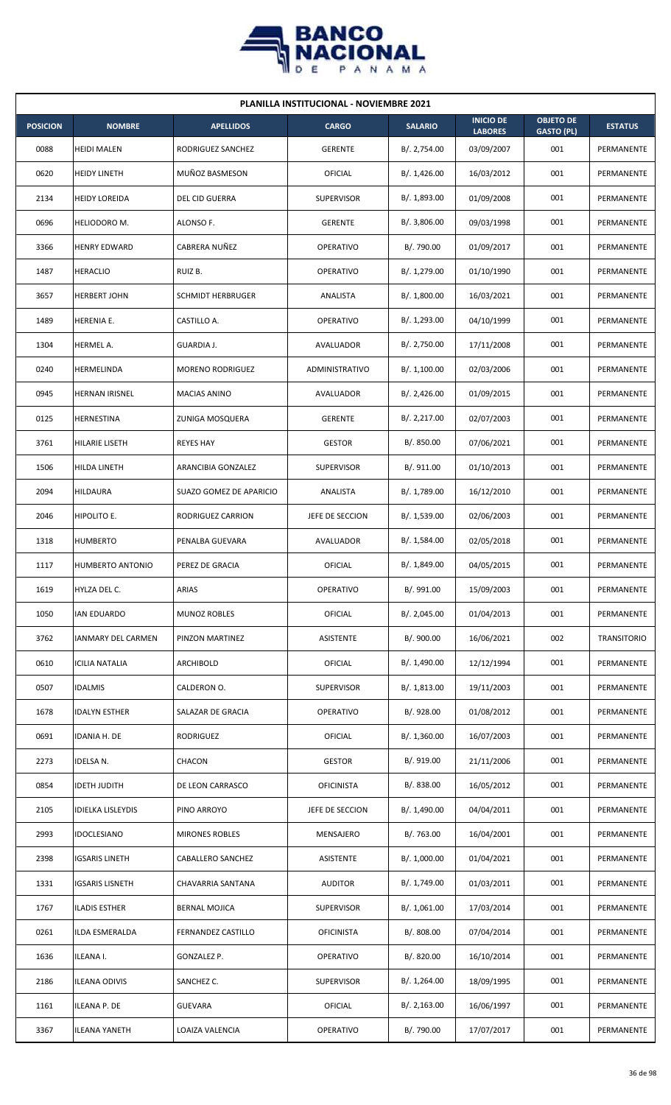

| <b>PLANILLA INSTITUCIONAL - NOVIEMBRE 2021</b> |                       |                          |                   |                |                                    |                                       |                    |  |  |
|------------------------------------------------|-----------------------|--------------------------|-------------------|----------------|------------------------------------|---------------------------------------|--------------------|--|--|
| <b>POSICION</b>                                | <b>NOMBRE</b>         | <b>APELLIDOS</b>         | <b>CARGO</b>      | <b>SALARIO</b> | <b>INICIO DE</b><br><b>LABORES</b> | <b>OBJETO DE</b><br><b>GASTO (PL)</b> | <b>ESTATUS</b>     |  |  |
| 0088                                           | <b>HEIDI MALEN</b>    | RODRIGUEZ SANCHEZ        | <b>GERENTE</b>    | B/.2,754.00    | 03/09/2007                         | 001                                   | PERMANENTE         |  |  |
| 0620                                           | <b>HEIDY LINETH</b>   | MUÑOZ BASMESON           | OFICIAL           | B/.1,426.00    | 16/03/2012                         | 001                                   | PERMANENTE         |  |  |
| 2134                                           | <b>HEIDY LOREIDA</b>  | <b>DEL CID GUERRA</b>    | <b>SUPERVISOR</b> | B/.1,893.00    | 01/09/2008                         | 001                                   | PERMANENTE         |  |  |
| 0696                                           | HELIODORO M.          | ALONSO F.                | <b>GERENTE</b>    | B/. 3,806.00   | 09/03/1998                         | 001                                   | PERMANENTE         |  |  |
| 3366                                           | <b>HENRY EDWARD</b>   | CABRERA NUÑEZ            | <b>OPERATIVO</b>  | B/. 790.00     | 01/09/2017                         | 001                                   | PERMANENTE         |  |  |
| 1487                                           | <b>HERACLIO</b>       | RUIZ B.                  | <b>OPERATIVO</b>  | B/. 1,279.00   | 01/10/1990                         | 001                                   | PERMANENTE         |  |  |
| 3657                                           | <b>HERBERT JOHN</b>   | <b>SCHMIDT HERBRUGER</b> | ANALISTA          | B/. 1,800.00   | 16/03/2021                         | 001                                   | PERMANENTE         |  |  |
| 1489                                           | HERENIA E.            | CASTILLO A.              | <b>OPERATIVO</b>  | B/. 1,293.00   | 04/10/1999                         | 001                                   | PERMANENTE         |  |  |
| 1304                                           | HERMEL A.             | GUARDIA J.               | AVALUADOR         | B/.2,750.00    | 17/11/2008                         | 001                                   | PERMANENTE         |  |  |
| 0240                                           | HERMELINDA            | <b>MORENO RODRIGUEZ</b>  | ADMINISTRATIVO    | B/. 1,100.00   | 02/03/2006                         | 001                                   | PERMANENTE         |  |  |
| 0945                                           | <b>HERNAN IRISNEL</b> | <b>MACIAS ANINO</b>      | AVALUADOR         | B/.2,426.00    | 01/09/2015                         | 001                                   | PERMANENTE         |  |  |
| 0125                                           | HERNESTINA            | ZUNIGA MOSQUERA          | <b>GERENTE</b>    | B/. 2,217.00   | 02/07/2003                         | 001                                   | PERMANENTE         |  |  |
| 3761                                           | HILARIE LISETH        | <b>REYES HAY</b>         | <b>GESTOR</b>     | B/. 850.00     | 07/06/2021                         | 001                                   | PERMANENTE         |  |  |
| 1506                                           | HILDA LINETH          | ARANCIBIA GONZALEZ       | <b>SUPERVISOR</b> | B/. 911.00     | 01/10/2013                         | 001                                   | PERMANENTE         |  |  |
| 2094                                           | <b>HILDAURA</b>       | SUAZO GOMEZ DE APARICIO  | ANALISTA          | B/. 1,789.00   | 16/12/2010                         | 001                                   | PERMANENTE         |  |  |
| 2046                                           | HIPOLITO E.           | RODRIGUEZ CARRION        | JEFE DE SECCION   | B/. 1,539.00   | 02/06/2003                         | 001                                   | PERMANENTE         |  |  |
| 1318                                           | <b>HUMBERTO</b>       | PENALBA GUEVARA          | AVALUADOR         | B/. 1,584.00   | 02/05/2018                         | 001                                   | PERMANENTE         |  |  |
| 1117                                           | HUMBERTO ANTONIO      | PEREZ DE GRACIA          | OFICIAL           | B/. 1,849.00   | 04/05/2015                         | 001                                   | PERMANENTE         |  |  |
| 1619                                           | HYLZA DEL C.          | ARIAS                    | <b>OPERATIVO</b>  | B/. 991.00     | 15/09/2003                         | 001                                   | PERMANENTE         |  |  |
| 1050                                           | IAN EDUARDO           | <b>MUNOZ ROBLES</b>      | <b>OFICIAL</b>    | B/.2,045.00    | 01/04/2013                         | 001                                   | PERMANENTE         |  |  |
| 3762                                           | IANMARY DEL CARMEN    | PINZON MARTINEZ          | ASISTENTE         | B/. 900.00     | 16/06/2021                         | 002                                   | <b>TRANSITORIO</b> |  |  |
| 0610                                           | ICILIA NATALIA        | ARCHIBOLD                | <b>OFICIAL</b>    | B/. 1,490.00   | 12/12/1994                         | 001                                   | PERMANENTE         |  |  |
| 0507                                           | <b>IDALMIS</b>        | CALDERON O.              | <b>SUPERVISOR</b> | B/. 1,813.00   | 19/11/2003                         | 001                                   | PERMANENTE         |  |  |
| 1678                                           | IDALYN ESTHER         | SALAZAR DE GRACIA        | OPERATIVO         | B/. 928.00     | 01/08/2012                         | 001                                   | PERMANENTE         |  |  |
| 0691                                           | IDANIA H. DE          | RODRIGUEZ                | OFICIAL           | B/. 1,360.00   | 16/07/2003                         | 001                                   | PERMANENTE         |  |  |
| 2273                                           | IDELSA N.             | CHACON                   | <b>GESTOR</b>     | B/. 919.00     | 21/11/2006                         | 001                                   | PERMANENTE         |  |  |
| 0854                                           | IDETH JUDITH          | DE LEON CARRASCO         | <b>OFICINISTA</b> | B/. 838.00     | 16/05/2012                         | 001                                   | PERMANENTE         |  |  |
| 2105                                           | IDIELKA LISLEYDIS     | PINO ARROYO              | JEFE DE SECCION   | B/. 1,490.00   | 04/04/2011                         | 001                                   | PERMANENTE         |  |  |
| 2993                                           | <b>IDOCLESIANO</b>    | <b>MIRONES ROBLES</b>    | MENSAJERO         | B/. 763.00     | 16/04/2001                         | 001                                   | PERMANENTE         |  |  |
| 2398                                           | IGSARIS LINETH        | CABALLERO SANCHEZ        | ASISTENTE         | B/. 1,000.00   | 01/04/2021                         | 001                                   | PERMANENTE         |  |  |
| 1331                                           | IGSARIS LISNETH       | CHAVARRIA SANTANA        | <b>AUDITOR</b>    | B/. 1,749.00   | 01/03/2011                         | 001                                   | PERMANENTE         |  |  |
| 1767                                           | ILADIS ESTHER         | <b>BERNAL MOJICA</b>     | SUPERVISOR        | B/. 1,061.00   | 17/03/2014                         | 001                                   | PERMANENTE         |  |  |
| 0261                                           | ILDA ESMERALDA        | FERNANDEZ CASTILLO       | <b>OFICINISTA</b> | B/. 808.00     | 07/04/2014                         | 001                                   | PERMANENTE         |  |  |
| 1636                                           | ILEANA I.             | GONZALEZ P.              | OPERATIVO         | B/. 820.00     | 16/10/2014                         | 001                                   | PERMANENTE         |  |  |
| 2186                                           | <b>ILEANA ODIVIS</b>  | SANCHEZ C.               | SUPERVISOR        | B/. 1,264.00   | 18/09/1995                         | 001                                   | PERMANENTE         |  |  |
| 1161                                           | ILEANA P. DE          | <b>GUEVARA</b>           | OFICIAL           | B/.2,163.00    | 16/06/1997                         | 001                                   | PERMANENTE         |  |  |
| 3367                                           | <b>ILEANA YANETH</b>  | LOAIZA VALENCIA          | OPERATIVO         | B/. 790.00     | 17/07/2017                         | 001                                   | PERMANENTE         |  |  |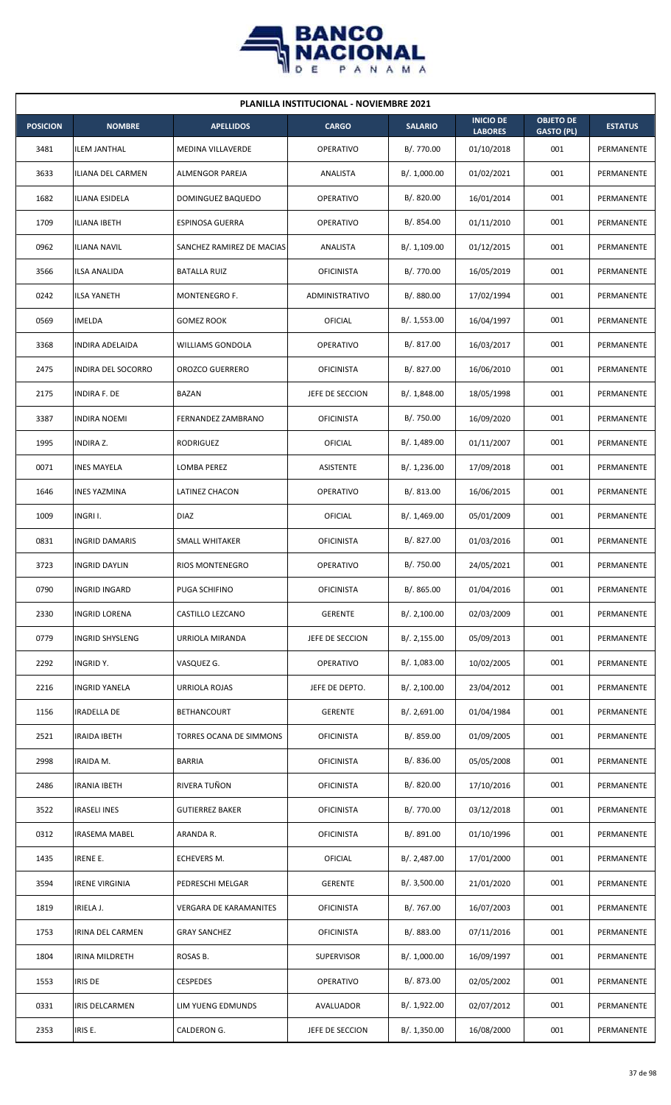

| <b>PLANILLA INSTITUCIONAL - NOVIEMBRE 2021</b> |                        |                           |                   |                |                                    |                                       |                |  |  |
|------------------------------------------------|------------------------|---------------------------|-------------------|----------------|------------------------------------|---------------------------------------|----------------|--|--|
| <b>POSICION</b>                                | <b>NOMBRE</b>          | <b>APELLIDOS</b>          | <b>CARGO</b>      | <b>SALARIO</b> | <b>INICIO DE</b><br><b>LABORES</b> | <b>OBJETO DE</b><br><b>GASTO (PL)</b> | <b>ESTATUS</b> |  |  |
| 3481                                           | <b>ILEM JANTHAL</b>    | <b>MEDINA VILLAVERDE</b>  | <b>OPERATIVO</b>  | B/. 770.00     | 01/10/2018                         | 001                                   | PERMANENTE     |  |  |
| 3633                                           | ILIANA DEL CARMEN      | <b>ALMENGOR PAREJA</b>    | ANALISTA          | B/. 1,000.00   | 01/02/2021                         | 001                                   | PERMANENTE     |  |  |
| 1682                                           | ILIANA ESIDELA         | DOMINGUEZ BAQUEDO         | OPERATIVO         | B/. 820.00     | 16/01/2014                         | 001                                   | PERMANENTE     |  |  |
| 1709                                           | <b>ILIANA IBETH</b>    | <b>ESPINOSA GUERRA</b>    | <b>OPERATIVO</b>  | B/0.854.00     | 01/11/2010                         | 001                                   | PERMANENTE     |  |  |
| 0962                                           | <b>ILIANA NAVIL</b>    | SANCHEZ RAMIREZ DE MACIAS | ANALISTA          | B/.1,109.00    | 01/12/2015                         | 001                                   | PERMANENTE     |  |  |
| 3566                                           | ILSA ANALIDA           | <b>BATALLA RUIZ</b>       | <b>OFICINISTA</b> | B/. 770.00     | 16/05/2019                         | 001                                   | PERMANENTE     |  |  |
| 0242                                           | <b>ILSA YANETH</b>     | MONTENEGRO F.             | ADMINISTRATIVO    | B/. 880.00     | 17/02/1994                         | 001                                   | PERMANENTE     |  |  |
| 0569                                           | <b>IMELDA</b>          | <b>GOMEZ ROOK</b>         | OFICIAL           | B/. 1,553.00   | 16/04/1997                         | 001                                   | PERMANENTE     |  |  |
| 3368                                           | <b>INDIRA ADELAIDA</b> | <b>WILLIAMS GONDOLA</b>   | <b>OPERATIVO</b>  | B/. 817.00     | 16/03/2017                         | 001                                   | PERMANENTE     |  |  |
| 2475                                           | INDIRA DEL SOCORRO     | <b>OROZCO GUERRERO</b>    | <b>OFICINISTA</b> | B/. 827.00     | 16/06/2010                         | 001                                   | PERMANENTE     |  |  |
| 2175                                           | <b>INDIRA F. DE</b>    | <b>BAZAN</b>              | JEFE DE SECCION   | B/. 1,848.00   | 18/05/1998                         | 001                                   | PERMANENTE     |  |  |
| 3387                                           | <b>INDIRA NOEMI</b>    | FERNANDEZ ZAMBRANO        | <b>OFICINISTA</b> | B/. 750.00     | 16/09/2020                         | 001                                   | PERMANENTE     |  |  |
| 1995                                           | <b>INDIRA Z.</b>       | RODRIGUEZ                 | OFICIAL           | B/. 1,489.00   | 01/11/2007                         | 001                                   | PERMANENTE     |  |  |
| 0071                                           | <b>INES MAYELA</b>     | LOMBA PEREZ               | ASISTENTE         | B/. 1,236.00   | 17/09/2018                         | 001                                   | PERMANENTE     |  |  |
| 1646                                           | <b>INES YAZMINA</b>    | LATINEZ CHACON            | <b>OPERATIVO</b>  | B/0.813.00     | 16/06/2015                         | 001                                   | PERMANENTE     |  |  |
| 1009                                           | INGRI I.               | <b>DIAZ</b>               | OFICIAL           | B/.1,469.00    | 05/01/2009                         | 001                                   | PERMANENTE     |  |  |
| 0831                                           | <b>INGRID DAMARIS</b>  | SMALL WHITAKER            | <b>OFICINISTA</b> | B/. 827.00     | 01/03/2016                         | 001                                   | PERMANENTE     |  |  |
| 3723                                           | <b>INGRID DAYLIN</b>   | <b>RIOS MONTENEGRO</b>    | <b>OPERATIVO</b>  | B/. 750.00     | 24/05/2021                         | 001                                   | PERMANENTE     |  |  |
| 0790                                           | <b>INGRID INGARD</b>   | PUGA SCHIFINO             | <b>OFICINISTA</b> | B/. 865.00     | 01/04/2016                         | 001                                   | PERMANENTE     |  |  |
| 2330                                           | <b>INGRID LORENA</b>   | CASTILLO LEZCANO          | <b>GERENTE</b>    | B/.2,100.00    | 02/03/2009                         | 001                                   | PERMANENTE     |  |  |
| 0779                                           | <b>INGRID SHYSLENG</b> | URRIOLA MIRANDA           | JEFE DE SECCION   | B/.2,155.00    | 05/09/2013                         | 001                                   | PERMANENTE     |  |  |
| 2292                                           | INGRID Y.              | VASQUEZ G.                | <b>OPERATIVO</b>  | B/.1,083.00    | 10/02/2005                         | 001                                   | PERMANENTE     |  |  |
| 2216                                           | <b>INGRID YANELA</b>   | URRIOLA ROJAS             | JEFE DE DEPTO.    | B/.2,100.00    | 23/04/2012                         | 001                                   | PERMANENTE     |  |  |
| 1156                                           | <b>IRADELLA DE</b>     | <b>BETHANCOURT</b>        | <b>GERENTE</b>    | B/. 2,691.00   | 01/04/1984                         | 001                                   | PERMANENTE     |  |  |
| 2521                                           | <b>IRAIDA IBETH</b>    | TORRES OCANA DE SIMMONS   | <b>OFICINISTA</b> | B/. 859.00     | 01/09/2005                         | 001                                   | PERMANENTE     |  |  |
| 2998                                           | IRAIDA M.              | <b>BARRIA</b>             | <b>OFICINISTA</b> | B/. 836.00     | 05/05/2008                         | 001                                   | PERMANENTE     |  |  |
| 2486                                           | <b>IRANIA IBETH</b>    | RIVERA TUÑON              | <b>OFICINISTA</b> | B/. 820.00     | 17/10/2016                         | 001                                   | PERMANENTE     |  |  |
| 3522                                           | <b>IRASELI INES</b>    | <b>GUTIERREZ BAKER</b>    | <b>OFICINISTA</b> | B/. 770.00     | 03/12/2018                         | 001                                   | PERMANENTE     |  |  |
| 0312                                           | <b>IRASEMA MABEL</b>   | ARANDA R.                 | <b>OFICINISTA</b> | B/. 891.00     | 01/10/1996                         | 001                                   | PERMANENTE     |  |  |
| 1435                                           | <b>IRENE E.</b>        | ECHEVERS M.               | OFICIAL           | B/. 2,487.00   | 17/01/2000                         | 001                                   | PERMANENTE     |  |  |
| 3594                                           | <b>IRENE VIRGINIA</b>  | PEDRESCHI MELGAR          | <b>GERENTE</b>    | B/. 3,500.00   | 21/01/2020                         | 001                                   | PERMANENTE     |  |  |
| 1819                                           | IRIELA J.              | VERGARA DE KARAMANITES    | <b>OFICINISTA</b> | B/. 767.00     | 16/07/2003                         | 001                                   | PERMANENTE     |  |  |
| 1753                                           | IRINA DEL CARMEN       | <b>GRAY SANCHEZ</b>       | <b>OFICINISTA</b> | B/. 883.00     | 07/11/2016                         | 001                                   | PERMANENTE     |  |  |
| 1804                                           | IRINA MILDRETH         | ROSAS B.                  | <b>SUPERVISOR</b> | B/. 1,000.00   | 16/09/1997                         | 001                                   | PERMANENTE     |  |  |
| 1553                                           | <b>IRIS DE</b>         | <b>CESPEDES</b>           | OPERATIVO         | B/. 873.00     | 02/05/2002                         | 001                                   | PERMANENTE     |  |  |
| 0331                                           | <b>IRIS DELCARMEN</b>  | LIM YUENG EDMUNDS         | AVALUADOR         | B/. 1,922.00   | 02/07/2012                         | 001                                   | PERMANENTE     |  |  |
| 2353                                           | IRIS E.                | CALDERON G.               | JEFE DE SECCION   | B/. 1,350.00   | 16/08/2000                         | 001                                   | PERMANENTE     |  |  |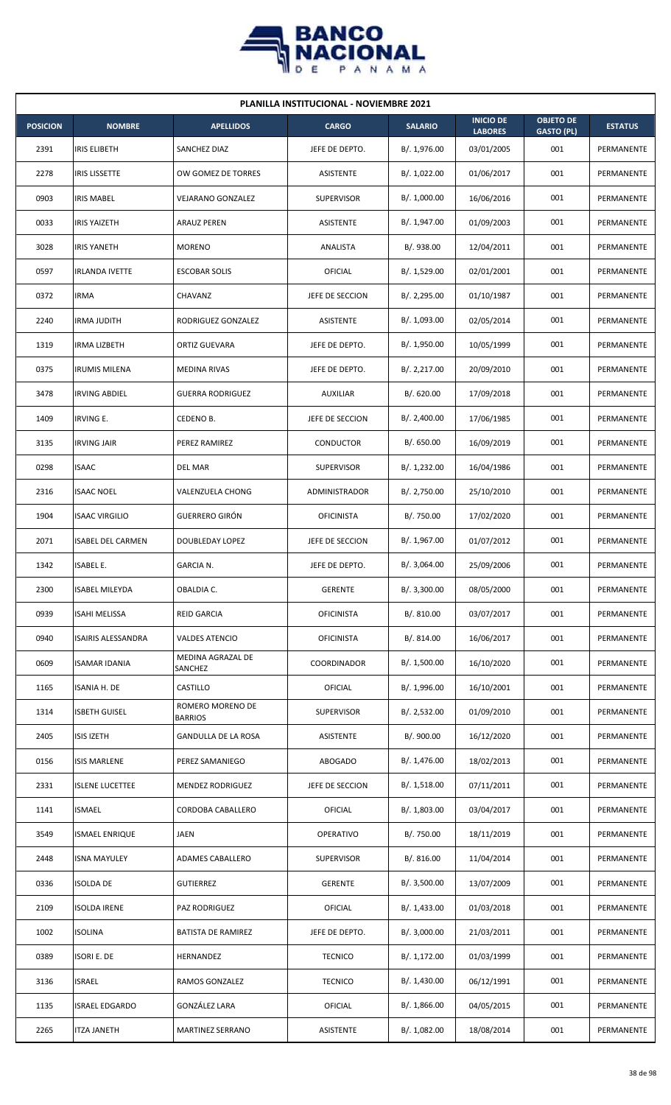

| <b>PLANILLA INSTITUCIONAL - NOVIEMBRE 2021</b> |                           |                                    |                   |                |                                    |                                       |                |  |  |
|------------------------------------------------|---------------------------|------------------------------------|-------------------|----------------|------------------------------------|---------------------------------------|----------------|--|--|
| <b>POSICION</b>                                | <b>NOMBRE</b>             | <b>APELLIDOS</b>                   | <b>CARGO</b>      | <b>SALARIO</b> | <b>INICIO DE</b><br><b>LABORES</b> | <b>OBJETO DE</b><br><b>GASTO (PL)</b> | <b>ESTATUS</b> |  |  |
| 2391                                           | <b>IRIS ELIBETH</b>       | SANCHEZ DIAZ                       | JEFE DE DEPTO.    | B/. 1,976.00   | 03/01/2005                         | 001                                   | PERMANENTE     |  |  |
| 2278                                           | <b>IRIS LISSETTE</b>      | OW GOMEZ DE TORRES                 | ASISTENTE         | B/. 1,022.00   | 01/06/2017                         | 001                                   | PERMANENTE     |  |  |
| 0903                                           | <b>IRIS MABEL</b>         | VEJARANO GONZALEZ                  | <b>SUPERVISOR</b> | B/. 1,000.00   | 16/06/2016                         | 001                                   | PERMANENTE     |  |  |
| 0033                                           | <b>IRIS YAIZETH</b>       | <b>ARAUZ PEREN</b>                 | ASISTENTE         | B/. 1,947.00   | 01/09/2003                         | 001                                   | PERMANENTE     |  |  |
| 3028                                           | <b>IRIS YANETH</b>        | <b>MORENO</b>                      | ANALISTA          | B/. 938.00     | 12/04/2011                         | 001                                   | PERMANENTE     |  |  |
| 0597                                           | <b>IRLANDA IVETTE</b>     | <b>ESCOBAR SOLIS</b>               | OFICIAL           | B/. 1,529.00   | 02/01/2001                         | 001                                   | PERMANENTE     |  |  |
| 0372                                           | <b>IRMA</b>               | CHAVANZ                            | JEFE DE SECCION   | B/.2,295.00    | 01/10/1987                         | 001                                   | PERMANENTE     |  |  |
| 2240                                           | <b>IRMA JUDITH</b>        | RODRIGUEZ GONZALEZ                 | <b>ASISTENTE</b>  | B/. 1,093.00   | 02/05/2014                         | 001                                   | PERMANENTE     |  |  |
| 1319                                           | <b>IRMA LIZBETH</b>       | ORTIZ GUEVARA                      | JEFE DE DEPTO.    | B/. 1,950.00   | 10/05/1999                         | 001                                   | PERMANENTE     |  |  |
| 0375                                           | <b>IRUMIS MILENA</b>      | <b>MEDINA RIVAS</b>                | JEFE DE DEPTO.    | B/.2,217.00    | 20/09/2010                         | 001                                   | PERMANENTE     |  |  |
| 3478                                           | <b>IRVING ABDIEL</b>      | <b>GUERRA RODRIGUEZ</b>            | <b>AUXILIAR</b>   | B/. 620.00     | 17/09/2018                         | 001                                   | PERMANENTE     |  |  |
| 1409                                           | <b>IRVING E.</b>          | CEDENO B.                          | JEFE DE SECCION   | B/.2,400.00    | 17/06/1985                         | 001                                   | PERMANENTE     |  |  |
| 3135                                           | <b>IRVING JAIR</b>        | PEREZ RAMIREZ                      | CONDUCTOR         | B/. 650.00     | 16/09/2019                         | 001                                   | PERMANENTE     |  |  |
| 0298                                           | <b>ISAAC</b>              | <b>DEL MAR</b>                     | <b>SUPERVISOR</b> | B/. 1,232.00   | 16/04/1986                         | 001                                   | PERMANENTE     |  |  |
| 2316                                           | <b>ISAAC NOEL</b>         | <b>VALENZUELA CHONG</b>            | ADMINISTRADOR     | B/.2,750.00    | 25/10/2010                         | 001                                   | PERMANENTE     |  |  |
| 1904                                           | <b>ISAAC VIRGILIO</b>     | <b>GUERRERO GIRÓN</b>              | <b>OFICINISTA</b> | B/. 750.00     | 17/02/2020                         | 001                                   | PERMANENTE     |  |  |
| 2071                                           | <b>ISABEL DEL CARMEN</b>  | DOUBLEDAY LOPEZ                    | JEFE DE SECCION   | B/. 1,967.00   | 01/07/2012                         | 001                                   | PERMANENTE     |  |  |
| 1342                                           | <b>ISABEL E.</b>          | <b>GARCIA N.</b>                   | JEFE DE DEPTO.    | B/.3,064.00    | 25/09/2006                         | 001                                   | PERMANENTE     |  |  |
| 2300                                           | <b>ISABEL MILEYDA</b>     | OBALDIA C.                         | <b>GERENTE</b>    | B/. 3,300.00   | 08/05/2000                         | 001                                   | PERMANENTE     |  |  |
| 0939                                           | ISAHI MELISSA             | <b>REID GARCIA</b>                 | <b>OFICINISTA</b> | B/. 810.00     | 03/07/2017                         | 001                                   | PERMANENTE     |  |  |
| 0940                                           | <b>ISAIRIS ALESSANDRA</b> | VALDES ATENCIO                     | <b>OFICINISTA</b> | B/. 814.00     | 16/06/2017                         | 001                                   | PERMANENTE     |  |  |
| 0609                                           | <b>ISAMAR IDANIA</b>      | MEDINA AGRAZAL DE<br>SANCHEZ       | COORDINADOR       | B/. 1,500.00   | 16/10/2020                         | 001                                   | PERMANENTE     |  |  |
| 1165                                           | ISANIA H. DE              | CASTILLO                           | OFICIAL           | B/. 1,996.00   | 16/10/2001                         | 001                                   | PERMANENTE     |  |  |
| 1314                                           | <b>ISBETH GUISEL</b>      | ROMERO MORENO DE<br><b>BARRIOS</b> | SUPERVISOR        | B/.2,532.00    | 01/09/2010                         | 001                                   | PERMANENTE     |  |  |
| 2405                                           | <b>ISIS IZETH</b>         | GANDULLA DE LA ROSA                | ASISTENTE         | B/. 900.00     | 16/12/2020                         | 001                                   | PERMANENTE     |  |  |
| 0156                                           | <b>ISIS MARLENE</b>       | PEREZ SAMANIEGO                    | ABOGADO           | B/. 1,476.00   | 18/02/2013                         | 001                                   | PERMANENTE     |  |  |
| 2331                                           | <b>ISLENE LUCETTEE</b>    | MENDEZ RODRIGUEZ                   | JEFE DE SECCION   | B/.1,518.00    | 07/11/2011                         | 001                                   | PERMANENTE     |  |  |
| 1141                                           | <b>ISMAEL</b>             | CORDOBA CABALLERO                  | OFICIAL           | B/. 1,803.00   | 03/04/2017                         | 001                                   | PERMANENTE     |  |  |
| 3549                                           | <b>ISMAEL ENRIQUE</b>     | JAEN                               | OPERATIVO         | B/. 750.00     | 18/11/2019                         | 001                                   | PERMANENTE     |  |  |
| 2448                                           | <b>ISNA MAYULEY</b>       | ADAMES CABALLERO                   | <b>SUPERVISOR</b> | B/. 816.00     | 11/04/2014                         | 001                                   | PERMANENTE     |  |  |
| 0336                                           | <b>ISOLDA DE</b>          | <b>GUTIERREZ</b>                   | <b>GERENTE</b>    | B/. 3,500.00   | 13/07/2009                         | 001                                   | PERMANENTE     |  |  |
| 2109                                           | <b>ISOLDA IRENE</b>       | <b>PAZ RODRIGUEZ</b>               | <b>OFICIAL</b>    | B/. 1,433.00   | 01/03/2018                         | 001                                   | PERMANENTE     |  |  |
| 1002                                           | <b>ISOLINA</b>            | <b>BATISTA DE RAMIREZ</b>          | JEFE DE DEPTO.    | B/.3,000.00    | 21/03/2011                         | 001                                   | PERMANENTE     |  |  |
| 0389                                           | ISORI E. DE               | HERNANDEZ                          | <b>TECNICO</b>    | B/.1,172.00    | 01/03/1999                         | 001                                   | PERMANENTE     |  |  |
| 3136                                           | <b>ISRAEL</b>             | RAMOS GONZALEZ                     | <b>TECNICO</b>    | B/. 1,430.00   | 06/12/1991                         | 001                                   | PERMANENTE     |  |  |
| 1135                                           | <b>ISRAEL EDGARDO</b>     | GONZÁLEZ LARA                      | OFICIAL           | B/.1,866.00    | 04/05/2015                         | 001                                   | PERMANENTE     |  |  |
| 2265                                           | <b>ITZA JANETH</b>        | <b>MARTINEZ SERRANO</b>            | ASISTENTE         | B/. 1,082.00   | 18/08/2014                         | 001                                   | PERMANENTE     |  |  |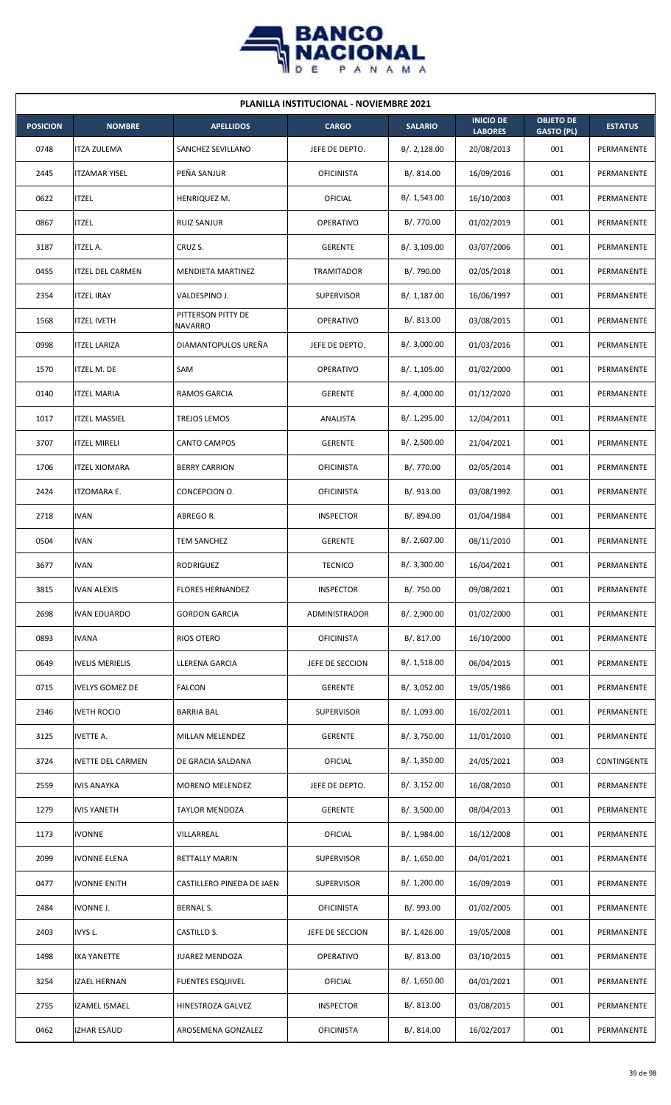

| <b>PLANILLA INSTITUCIONAL - NOVIEMBRE 2021</b> |                          |                               |                   |                |                                    |                                       |                |  |  |  |
|------------------------------------------------|--------------------------|-------------------------------|-------------------|----------------|------------------------------------|---------------------------------------|----------------|--|--|--|
| <b>POSICION</b>                                | <b>NOMBRE</b>            | <b>APELLIDOS</b>              | <b>CARGO</b>      | <b>SALARIO</b> | <b>INICIO DE</b><br><b>LABORES</b> | <b>OBJETO DE</b><br><b>GASTO (PL)</b> | <b>ESTATUS</b> |  |  |  |
| 0748                                           | <b>ITZA ZULEMA</b>       | SANCHEZ SEVILLANO             | JEFE DE DEPTO.    | B/.2,128.00    | 20/08/2013                         | 001                                   | PERMANENTE     |  |  |  |
| 2445                                           | <b>ITZAMAR YISEL</b>     | PEÑA SANJUR                   | <b>OFICINISTA</b> | B/. 814.00     | 16/09/2016                         | 001                                   | PERMANENTE     |  |  |  |
| 0622                                           | <b>ITZEL</b>             | HENRIQUEZ M.                  | OFICIAL           | B/. 1,543.00   | 16/10/2003                         | 001                                   | PERMANENTE     |  |  |  |
| 0867                                           | <b>ITZEL</b>             | <b>RUIZ SANJUR</b>            | <b>OPERATIVO</b>  | B/. 770.00     | 01/02/2019                         | 001                                   | PERMANENTE     |  |  |  |
| 3187                                           | <b>ITZEL A.</b>          | CRUZ S.                       | <b>GERENTE</b>    | B/.3,109.00    | 03/07/2006                         | 001                                   | PERMANENTE     |  |  |  |
| 0455                                           | <b>ITZEL DEL CARMEN</b>  | MENDIETA MARTINEZ             | <b>TRAMITADOR</b> | B/. 790.00     | 02/05/2018                         | 001                                   | PERMANENTE     |  |  |  |
| 2354                                           | <b>ITZEL IRAY</b>        | VALDESPINO J.                 | <b>SUPERVISOR</b> | B/. 1,187.00   | 16/06/1997                         | 001                                   | PERMANENTE     |  |  |  |
| 1568                                           | <b>ITZEL IVETH</b>       | PITTERSON PITTY DE<br>NAVARRO | <b>OPERATIVO</b>  | B/. 813.00     | 03/08/2015                         | 001                                   | PERMANENTE     |  |  |  |
| 0998                                           | <b>ITZEL LARIZA</b>      | DIAMANTOPULOS UREÑA           | JEFE DE DEPTO.    | B/. 3,000.00   | 01/03/2016                         | 001                                   | PERMANENTE     |  |  |  |
| 1570                                           | <b>ITZEL M. DE</b>       | SAM                           | OPERATIVO         | B/.1,105.00    | 01/02/2000                         | 001                                   | PERMANENTE     |  |  |  |
| 0140                                           | <b>ITZEL MARIA</b>       | RAMOS GARCIA                  | <b>GERENTE</b>    | B/. 4,000.00   | 01/12/2020                         | 001                                   | PERMANENTE     |  |  |  |
| 1017                                           | <b>ITZEL MASSIEL</b>     | TREJOS LEMOS                  | ANALISTA          | B/. 1,295.00   | 12/04/2011                         | 001                                   | PERMANENTE     |  |  |  |
| 3707                                           | <b>ITZEL MIRELI</b>      | <b>CANTO CAMPOS</b>           | <b>GERENTE</b>    | B/. 2,500.00   | 21/04/2021                         | 001                                   | PERMANENTE     |  |  |  |
| 1706                                           | <b>ITZEL XIOMARA</b>     | <b>BERRY CARRION</b>          | <b>OFICINISTA</b> | B/. 770.00     | 02/05/2014                         | 001                                   | PERMANENTE     |  |  |  |
| 2424                                           | <b>ITZOMARA E.</b>       | CONCEPCION O.                 | <b>OFICINISTA</b> | B/.913.00      | 03/08/1992                         | 001                                   | PERMANENTE     |  |  |  |
| 2718                                           | <b>IVAN</b>              | ABREGO R.                     | <b>INSPECTOR</b>  | B/. 894.00     | 01/04/1984                         | 001                                   | PERMANENTE     |  |  |  |
| 0504                                           | <b>IVAN</b>              | <b>TEM SANCHEZ</b>            | <b>GERENTE</b>    | B/. 2,607.00   | 08/11/2010                         | 001                                   | PERMANENTE     |  |  |  |
| 3677                                           | <b>IVAN</b>              | <b>RODRIGUEZ</b>              | <b>TECNICO</b>    | B/.3,300.00    | 16/04/2021                         | 001                                   | PERMANENTE     |  |  |  |
| 3815                                           | <b>IVAN ALEXIS</b>       | <b>FLORES HERNANDEZ</b>       | <b>INSPECTOR</b>  | B/. 750.00     | 09/08/2021                         | 001                                   | PERMANENTE     |  |  |  |
| 2698                                           | <b>IVAN EDUARDO</b>      | <b>GORDON GARCIA</b>          | ADMINISTRADOR     | B/. 2,900.00   | 01/02/2000                         | 001                                   | PERMANENTE     |  |  |  |
| 0893                                           | <b>IVANA</b>             | RIOS OTERO                    | <b>OFICINISTA</b> | B/. 817.00     | 16/10/2000                         | 001                                   | PERMANENTE     |  |  |  |
| 0649                                           | <b>IVELIS MERIELIS</b>   | LLERENA GARCIA                | JEFE DE SECCION   | B/. 1,518.00   | 06/04/2015                         | 001                                   | PERMANENTE     |  |  |  |
| 0715                                           | <b>IVELYS GOMEZ DE</b>   | <b>FALCON</b>                 | <b>GERENTE</b>    | B/. 3,052.00   | 19/05/1986                         | 001                                   | PERMANENTE     |  |  |  |
| 2346                                           | <b>IVETH ROCIO</b>       | <b>BARRIA BAL</b>             | <b>SUPERVISOR</b> | B/. 1,093.00   | 16/02/2011                         | 001                                   | PERMANENTE     |  |  |  |
| 3125                                           | <b>IVETTE A.</b>         | MILLAN MELENDEZ               | <b>GERENTE</b>    | B/. 3,750.00   | 11/01/2010                         | 001                                   | PERMANENTE     |  |  |  |
| 3724                                           | <b>IVETTE DEL CARMEN</b> | DE GRACIA SALDANA             | <b>OFICIAL</b>    | B/.1,350.00    | 24/05/2021                         | 003                                   | CONTINGENTE    |  |  |  |
| 2559                                           | <b>IVIS ANAYKA</b>       | MORENO MELENDEZ               | JEFE DE DEPTO.    | B/.3,152.00    | 16/08/2010                         | 001                                   | PERMANENTE     |  |  |  |
| 1279                                           | <b>IVIS YANETH</b>       | <b>TAYLOR MENDOZA</b>         | <b>GERENTE</b>    | B/.3,500.00    | 08/04/2013                         | 001                                   | PERMANENTE     |  |  |  |
| 1173                                           | <b>IVONNE</b>            | VILLARREAL                    | <b>OFICIAL</b>    | B/. 1,984.00   | 16/12/2008                         | 001                                   | PERMANENTE     |  |  |  |
| 2099                                           | <b>IVONNE ELENA</b>      | RETTALLY MARIN                | <b>SUPERVISOR</b> | B/. 1,650.00   | 04/01/2021                         | 001                                   | PERMANENTE     |  |  |  |
| 0477                                           | <b>IVONNE ENITH</b>      | CASTILLERO PINEDA DE JAEN     | <b>SUPERVISOR</b> | B/. 1,200.00   | 16/09/2019                         | 001                                   | PERMANENTE     |  |  |  |
| 2484                                           | <b>IVONNE J.</b>         | <b>BERNAL S.</b>              | <b>OFICINISTA</b> | B/. 993.00     | 01/02/2005                         | 001                                   | PERMANENTE     |  |  |  |
| 2403                                           | IVYS L.                  | CASTILLO S.                   | JEFE DE SECCION   | B/.1,426.00    | 19/05/2008                         | 001                                   | PERMANENTE     |  |  |  |
| 1498                                           | <b>IXA YANETTE</b>       | <b>JUAREZ MENDOZA</b>         | OPERATIVO         | B/. 813.00     | 03/10/2015                         | 001                                   | PERMANENTE     |  |  |  |
| 3254                                           | <b>IZAEL HERNAN</b>      | <b>FUENTES ESQUIVEL</b>       | <b>OFICIAL</b>    | B/. 1,650.00   | 04/01/2021                         | 001                                   | PERMANENTE     |  |  |  |
| 2755                                           | <b>IZAMEL ISMAEL</b>     | HINESTROZA GALVEZ             | <b>INSPECTOR</b>  | B/. 813.00     | 03/08/2015                         | 001                                   | PERMANENTE     |  |  |  |
| 0462                                           | <b>IZHAR ESAUD</b>       | AROSEMENA GONZALEZ            | <b>OFICINISTA</b> | B/. 814.00     | 16/02/2017                         | 001                                   | PERMANENTE     |  |  |  |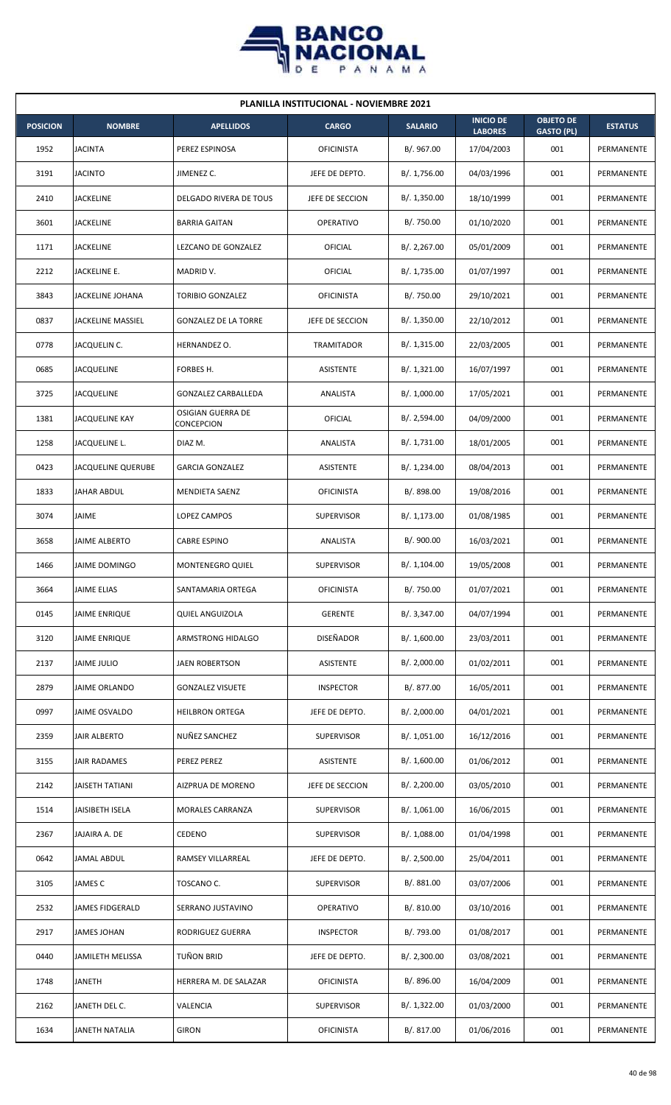

|                 | <b>PLANILLA INSTITUCIONAL - NOVIEMBRE 2021</b> |                                 |                   |                |                                    |                                       |                |  |  |  |
|-----------------|------------------------------------------------|---------------------------------|-------------------|----------------|------------------------------------|---------------------------------------|----------------|--|--|--|
| <b>POSICION</b> | <b>NOMBRE</b>                                  | <b>APELLIDOS</b>                | <b>CARGO</b>      | <b>SALARIO</b> | <b>INICIO DE</b><br><b>LABORES</b> | <b>OBJETO DE</b><br><b>GASTO (PL)</b> | <b>ESTATUS</b> |  |  |  |
| 1952            | <b>JACINTA</b>                                 | PEREZ ESPINOSA                  | <b>OFICINISTA</b> | B/. 967.00     | 17/04/2003                         | 001                                   | PERMANENTE     |  |  |  |
| 3191            | <b>JACINTO</b>                                 | JIMENEZ C.                      | JEFE DE DEPTO.    | B/. 1,756.00   | 04/03/1996                         | 001                                   | PERMANENTE     |  |  |  |
| 2410            | JACKELINE                                      | DELGADO RIVERA DE TOUS          | JEFE DE SECCION   | B/.1,350.00    | 18/10/1999                         | 001                                   | PERMANENTE     |  |  |  |
| 3601            | <b>JACKELINE</b>                               | <b>BARRIA GAITAN</b>            | <b>OPERATIVO</b>  | B/. 750.00     | 01/10/2020                         | 001                                   | PERMANENTE     |  |  |  |
| 1171            | JACKELINE                                      | LEZCANO DE GONZALEZ             | OFICIAL           | B/.2,267.00    | 05/01/2009                         | 001                                   | PERMANENTE     |  |  |  |
| 2212            | JACKELINE E.                                   | MADRID V.                       | OFICIAL           | B/. 1,735.00   | 01/07/1997                         | 001                                   | PERMANENTE     |  |  |  |
| 3843            | JACKELINE JOHANA                               | TORIBIO GONZALEZ                | <b>OFICINISTA</b> | B/. 750.00     | 29/10/2021                         | 001                                   | PERMANENTE     |  |  |  |
| 0837            | <b>JACKELINE MASSIEL</b>                       | <b>GONZALEZ DE LA TORRE</b>     | JEFE DE SECCION   | B/. 1,350.00   | 22/10/2012                         | 001                                   | PERMANENTE     |  |  |  |
| 0778            | JACQUELIN C.                                   | HERNANDEZ O.                    | <b>TRAMITADOR</b> | B/. 1,315.00   | 22/03/2005                         | 001                                   | PERMANENTE     |  |  |  |
| 0685            | <b>JACQUELINE</b>                              | FORBES H.                       | <b>ASISTENTE</b>  | B/.1,321.00    | 16/07/1997                         | 001                                   | PERMANENTE     |  |  |  |
| 3725            | <b>JACQUELINE</b>                              | <b>GONZALEZ CARBALLEDA</b>      | ANALISTA          | B/. 1,000.00   | 17/05/2021                         | 001                                   | PERMANENTE     |  |  |  |
| 1381            | JACQUELINE KAY                                 | OSIGIAN GUERRA DE<br>CONCEPCION | OFICIAL           | B/. 2,594.00   | 04/09/2000                         | 001                                   | PERMANENTE     |  |  |  |
| 1258            | JACQUELINE L.                                  | DIAZ M.                         | ANALISTA          | B/. 1,731.00   | 18/01/2005                         | 001                                   | PERMANENTE     |  |  |  |
| 0423            | JACQUELINE QUERUBE                             | <b>GARCIA GONZALEZ</b>          | ASISTENTE         | B/. 1,234.00   | 08/04/2013                         | 001                                   | PERMANENTE     |  |  |  |
| 1833            | JAHAR ABDUL                                    | MENDIETA SAENZ                  | <b>OFICINISTA</b> | B/. 898.00     | 19/08/2016                         | 001                                   | PERMANENTE     |  |  |  |
| 3074            | JAIME                                          | LOPEZ CAMPOS                    | <b>SUPERVISOR</b> | B/. 1,173.00   | 01/08/1985                         | 001                                   | PERMANENTE     |  |  |  |
| 3658            | JAIME ALBERTO                                  | <b>CABRE ESPINO</b>             | ANALISTA          | B/. 900.00     | 16/03/2021                         | 001                                   | PERMANENTE     |  |  |  |
| 1466            | JAIME DOMINGO                                  | <b>MONTENEGRO QUIEL</b>         | <b>SUPERVISOR</b> | B/. 1,104.00   | 19/05/2008                         | 001                                   | PERMANENTE     |  |  |  |
| 3664            | <b>JAIME ELIAS</b>                             | SANTAMARIA ORTEGA               | <b>OFICINISTA</b> | B/. 750.00     | 01/07/2021                         | 001                                   | PERMANENTE     |  |  |  |
| 0145            | JAIME ENRIQUE                                  | <b>QUIEL ANGUIZOLA</b>          | <b>GERENTE</b>    | B/. 3,347.00   | 04/07/1994                         | 001                                   | PERMANENTE     |  |  |  |
| 3120            | JAIME ENRIQUE                                  | ARMSTRONG HIDALGO               | <b>DISEÑADOR</b>  | B/. 1,600.00   | 23/03/2011                         | 001                                   | PERMANENTE     |  |  |  |
| 2137            | <b>JAIME JULIO</b>                             | JAEN ROBERTSON                  | ASISTENTE         | B/.2,000.00    | 01/02/2011                         | 001                                   | PERMANENTE     |  |  |  |
| 2879            | JAIME ORLANDO                                  | <b>GONZALEZ VISUETE</b>         | <b>INSPECTOR</b>  | B/. 877.00     | 16/05/2011                         | 001                                   | PERMANENTE     |  |  |  |
| 0997            | <b>JAIME OSVALDO</b>                           | <b>HEILBRON ORTEGA</b>          | JEFE DE DEPTO.    | B/. 2,000.00   | 04/01/2021                         | 001                                   | PERMANENTE     |  |  |  |
| 2359            | <b>JAIR ALBERTO</b>                            | NUÑEZ SANCHEZ                   | <b>SUPERVISOR</b> | B/. 1,051.00   | 16/12/2016                         | 001                                   | PERMANENTE     |  |  |  |
| 3155            | JAIR RADAMES                                   | PEREZ PEREZ                     | ASISTENTE         | B/. 1,600.00   | 01/06/2012                         | 001                                   | PERMANENTE     |  |  |  |
| 2142            | JAISETH TATIANI                                | AIZPRUA DE MORENO               | JEFE DE SECCION   | B/. 2,200.00   | 03/05/2010                         | 001                                   | PERMANENTE     |  |  |  |
| 1514            | JAISIBETH ISELA                                | MORALES CARRANZA                | <b>SUPERVISOR</b> | B/.1,061.00    | 16/06/2015                         | 001                                   | PERMANENTE     |  |  |  |
| 2367            | JAJAIRA A. DE                                  | CEDENO                          | <b>SUPERVISOR</b> | B/.1,088.00    | 01/04/1998                         | 001                                   | PERMANENTE     |  |  |  |
| 0642            | JAMAL ABDUL                                    | RAMSEY VILLARREAL               | JEFE DE DEPTO.    | B/.2,500.00    | 25/04/2011                         | 001                                   | PERMANENTE     |  |  |  |
| 3105            | JAMES C                                        | TOSCANO C.                      | <b>SUPERVISOR</b> | B/. 881.00     | 03/07/2006                         | 001                                   | PERMANENTE     |  |  |  |
| 2532            | JAMES FIDGERALD                                | SERRANO JUSTAVINO               | OPERATIVO         | B/. 810.00     | 03/10/2016                         | 001                                   | PERMANENTE     |  |  |  |
| 2917            | <b>JAMES JOHAN</b>                             | RODRIGUEZ GUERRA                | <b>INSPECTOR</b>  | B/. 793.00     | 01/08/2017                         | 001                                   | PERMANENTE     |  |  |  |
| 0440            | JAMILETH MELISSA                               | TUÑON BRID                      | JEFE DE DEPTO.    | B/. 2,300.00   | 03/08/2021                         | 001                                   | PERMANENTE     |  |  |  |
| 1748            | <b>JANETH</b>                                  | HERRERA M. DE SALAZAR           | <b>OFICINISTA</b> | B/. 896.00     | 16/04/2009                         | 001                                   | PERMANENTE     |  |  |  |
| 2162            | JANETH DEL C.                                  | VALENCIA                        | <b>SUPERVISOR</b> | B/. 1,322.00   | 01/03/2000                         | 001                                   | PERMANENTE     |  |  |  |
| 1634            | JANETH NATALIA                                 | <b>GIRON</b>                    | <b>OFICINISTA</b> | B/. 817.00     | 01/06/2016                         | 001                                   | PERMANENTE     |  |  |  |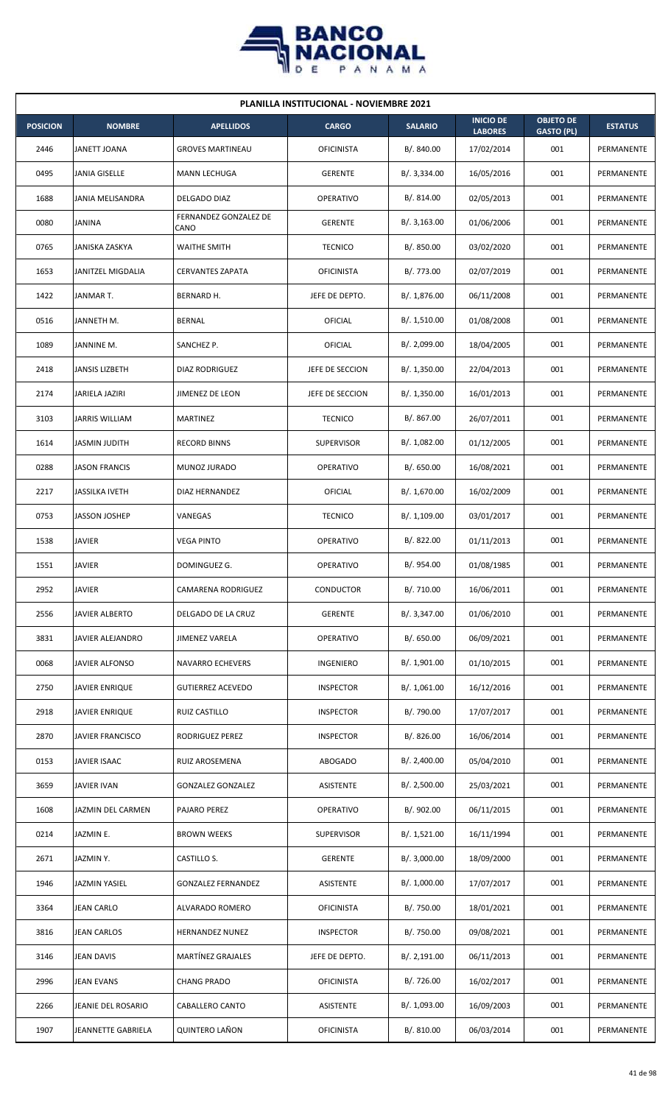

| <b>PLANILLA INSTITUCIONAL - NOVIEMBRE 2021</b> |                         |                               |                   |                |                                    |                                       |                |  |  |
|------------------------------------------------|-------------------------|-------------------------------|-------------------|----------------|------------------------------------|---------------------------------------|----------------|--|--|
| <b>POSICION</b>                                | <b>NOMBRE</b>           | <b>APELLIDOS</b>              | <b>CARGO</b>      | <b>SALARIO</b> | <b>INICIO DE</b><br><b>LABORES</b> | <b>OBJETO DE</b><br><b>GASTO (PL)</b> | <b>ESTATUS</b> |  |  |
| 2446                                           | JANETT JOANA            | <b>GROVES MARTINEAU</b>       | <b>OFICINISTA</b> | B/. 840.00     | 17/02/2014                         | 001                                   | PERMANENTE     |  |  |
| 0495                                           | JANIA GISELLE           | MANN LECHUGA                  | <b>GERENTE</b>    | B/. 3,334.00   | 16/05/2016                         | 001                                   | PERMANENTE     |  |  |
| 1688                                           | JANIA MELISANDRA        | DELGADO DIAZ                  | OPERATIVO         | B/. 814.00     | 02/05/2013                         | 001                                   | PERMANENTE     |  |  |
| 0080                                           | <b>JANINA</b>           | FERNANDEZ GONZALEZ DE<br>CANO | <b>GERENTE</b>    | B/. 3,163.00   | 01/06/2006                         | 001                                   | PERMANENTE     |  |  |
| 0765                                           | JANISKA ZASKYA          | <b>WAITHE SMITH</b>           | <b>TECNICO</b>    | B/. 850.00     | 03/02/2020                         | 001                                   | PERMANENTE     |  |  |
| 1653                                           | JANITZEL MIGDALIA       | <b>CERVANTES ZAPATA</b>       | <b>OFICINISTA</b> | B/. 773.00     | 02/07/2019                         | 001                                   | PERMANENTE     |  |  |
| 1422                                           | JANMAR T.               | BERNARD H.                    | JEFE DE DEPTO.    | B/. 1,876.00   | 06/11/2008                         | 001                                   | PERMANENTE     |  |  |
| 0516                                           | JANNETH M.              | <b>BERNAL</b>                 | <b>OFICIAL</b>    | B/.1,510.00    | 01/08/2008                         | 001                                   | PERMANENTE     |  |  |
| 1089                                           | JANNINE M.              | SANCHEZ P.                    | OFICIAL           | B/. 2,099.00   | 18/04/2005                         | 001                                   | PERMANENTE     |  |  |
| 2418                                           | JANSIS LIZBETH          | DIAZ RODRIGUEZ                | JEFE DE SECCION   | B/. 1,350.00   | 22/04/2013                         | 001                                   | PERMANENTE     |  |  |
| 2174                                           | JARIELA JAZIRI          | JIMENEZ DE LEON               | JEFE DE SECCION   | B/.1,350.00    | 16/01/2013                         | 001                                   | PERMANENTE     |  |  |
| 3103                                           | JARRIS WILLIAM          | MARTINEZ                      | <b>TECNICO</b>    | B/. 867.00     | 26/07/2011                         | 001                                   | PERMANENTE     |  |  |
| 1614                                           | JASMIN JUDITH           | <b>RECORD BINNS</b>           | <b>SUPERVISOR</b> | B/. 1,082.00   | 01/12/2005                         | 001                                   | PERMANENTE     |  |  |
| 0288                                           | <b>JASON FRANCIS</b>    | MUNOZ JURADO                  | <b>OPERATIVO</b>  | B/. 650.00     | 16/08/2021                         | 001                                   | PERMANENTE     |  |  |
| 2217                                           | <b>JASSILKA IVETH</b>   | DIAZ HERNANDEZ                | OFICIAL           | B/. 1,670.00   | 16/02/2009                         | 001                                   | PERMANENTE     |  |  |
| 0753                                           | JASSON JOSHEP           | VANEGAS                       | <b>TECNICO</b>    | B/.1,109.00    | 03/01/2017                         | 001                                   | PERMANENTE     |  |  |
| 1538                                           | <b>JAVIER</b>           | <b>VEGA PINTO</b>             | OPERATIVO         | B/0.822.00     | 01/11/2013                         | 001                                   | PERMANENTE     |  |  |
| 1551                                           | <b>JAVIER</b>           | DOMINGUEZ G.                  | OPERATIVO         | B/. 954.00     | 01/08/1985                         | 001                                   | PERMANENTE     |  |  |
| 2952                                           | <b>JAVIER</b>           | CAMARENA RODRIGUEZ            | CONDUCTOR         | B/. 710.00     | 16/06/2011                         | 001                                   | PERMANENTE     |  |  |
| 2556                                           | JAVIER ALBERTO          | DELGADO DE LA CRUZ            | <b>GERENTE</b>    | B/. 3,347.00   | 01/06/2010                         | 001                                   | PERMANENTE     |  |  |
| 3831                                           | JAVIER ALEJANDRO        | JIMENEZ VARELA                | OPERATIVO         | B/. 650.00     | 06/09/2021                         | 001                                   | PERMANENTE     |  |  |
| 0068                                           | JAVIER ALFONSO          | <b>NAVARRO ECHEVERS</b>       | INGENIERO         | B/. 1,901.00   | 01/10/2015                         | 001                                   | PERMANENTE     |  |  |
| 2750                                           | JAVIER ENRIQUE          | <b>GUTIERREZ ACEVEDO</b>      | <b>INSPECTOR</b>  | B/. 1,061.00   | 16/12/2016                         | 001                                   | PERMANENTE     |  |  |
| 2918                                           | <b>JAVIER ENRIQUE</b>   | RUIZ CASTILLO                 | <b>INSPECTOR</b>  | B/. 790.00     | 17/07/2017                         | 001                                   | PERMANENTE     |  |  |
| 2870                                           | <b>JAVIER FRANCISCO</b> | RODRIGUEZ PEREZ               | <b>INSPECTOR</b>  | B/. 826.00     | 16/06/2014                         | 001                                   | PERMANENTE     |  |  |
| 0153                                           | JAVIER ISAAC            | RUIZ AROSEMENA                | ABOGADO           | B/.2,400.00    | 05/04/2010                         | 001                                   | PERMANENTE     |  |  |
| 3659                                           | JAVIER IVAN             | <b>GONZALEZ GONZALEZ</b>      | ASISTENTE         | B/.2,500.00    | 25/03/2021                         | 001                                   | PERMANENTE     |  |  |
| 1608                                           | JAZMIN DEL CARMEN       | PAJARO PEREZ                  | OPERATIVO         | B/. 902.00     | 06/11/2015                         | 001                                   | PERMANENTE     |  |  |
| 0214                                           | JAZMIN E.               | <b>BROWN WEEKS</b>            | <b>SUPERVISOR</b> | B/. 1,521.00   | 16/11/1994                         | 001                                   | PERMANENTE     |  |  |
| 2671                                           | JAZMINY.                | CASTILLO S.                   | <b>GERENTE</b>    | B/.3,000.00    | 18/09/2000                         | 001                                   | PERMANENTE     |  |  |
| 1946                                           | JAZMIN YASIEL           | <b>GONZALEZ FERNANDEZ</b>     | ASISTENTE         | B/. 1,000.00   | 17/07/2017                         | 001                                   | PERMANENTE     |  |  |
| 3364                                           | <b>JEAN CARLO</b>       | ALVARADO ROMERO               | <b>OFICINISTA</b> | B/. 750.00     | 18/01/2021                         | 001                                   | PERMANENTE     |  |  |
| 3816                                           | <b>JEAN CARLOS</b>      | <b>HERNANDEZ NUNEZ</b>        | <b>INSPECTOR</b>  | B/. 750.00     | 09/08/2021                         | 001                                   | PERMANENTE     |  |  |
| 3146                                           | <b>JEAN DAVIS</b>       | MARTÍNEZ GRAJALES             | JEFE DE DEPTO.    | B/. 2,191.00   | 06/11/2013                         | 001                                   | PERMANENTE     |  |  |
| 2996                                           | <b>JEAN EVANS</b>       | <b>CHANG PRADO</b>            | <b>OFICINISTA</b> | B/. 726.00     | 16/02/2017                         | 001                                   | PERMANENTE     |  |  |
| 2266                                           | JEANIE DEL ROSARIO      | CABALLERO CANTO               | ASISTENTE         | B/. 1,093.00   | 16/09/2003                         | 001                                   | PERMANENTE     |  |  |
| 1907                                           | JEANNETTE GABRIELA      | <b>QUINTERO LAÑON</b>         | <b>OFICINISTA</b> | B/. 810.00     | 06/03/2014                         | 001                                   | PERMANENTE     |  |  |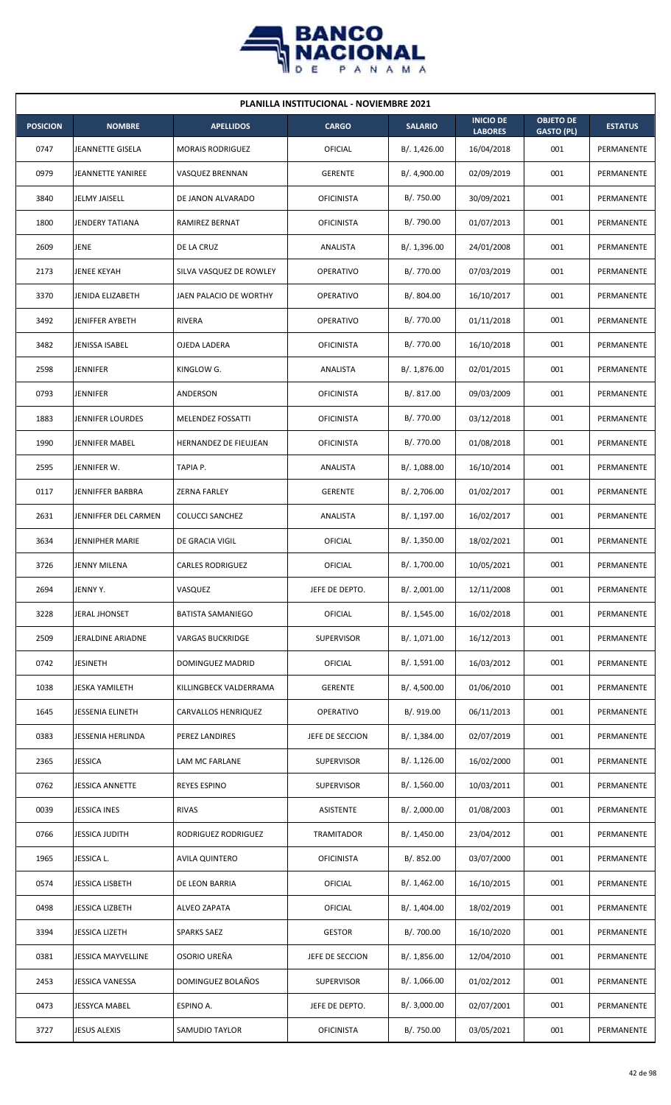

| <b>PLANILLA INSTITUCIONAL - NOVIEMBRE 2021</b> |                           |                          |                   |                |                                    |                                       |                |  |  |
|------------------------------------------------|---------------------------|--------------------------|-------------------|----------------|------------------------------------|---------------------------------------|----------------|--|--|
| <b>POSICION</b>                                | <b>NOMBRE</b>             | <b>APELLIDOS</b>         | <b>CARGO</b>      | <b>SALARIO</b> | <b>INICIO DE</b><br><b>LABORES</b> | <b>OBJETO DE</b><br><b>GASTO (PL)</b> | <b>ESTATUS</b> |  |  |
| 0747                                           | <b>JEANNETTE GISELA</b>   | <b>MORAIS RODRIGUEZ</b>  | OFICIAL           | B/. 1,426.00   | 16/04/2018                         | 001                                   | PERMANENTE     |  |  |
| 0979                                           | <b>JEANNETTE YANIREE</b>  | VASQUEZ BRENNAN          | <b>GERENTE</b>    | B/. 4,900.00   | 02/09/2019                         | 001                                   | PERMANENTE     |  |  |
| 3840                                           | JELMY JAISELL             | DE JANON ALVARADO        | <b>OFICINISTA</b> | B/. 750.00     | 30/09/2021                         | 001                                   | PERMANENTE     |  |  |
| 1800                                           | <b>JENDERY TATIANA</b>    | RAMIREZ BERNAT           | <b>OFICINISTA</b> | B/. 790.00     | 01/07/2013                         | 001                                   | PERMANENTE     |  |  |
| 2609                                           | <b>JENE</b>               | DE LA CRUZ               | ANALISTA          | B/.1,396.00    | 24/01/2008                         | 001                                   | PERMANENTE     |  |  |
| 2173                                           | JENEE KEYAH               | SILVA VASQUEZ DE ROWLEY  | OPERATIVO         | B/. 770.00     | 07/03/2019                         | 001                                   | PERMANENTE     |  |  |
| 3370                                           | JENIDA ELIZABETH          | JAEN PALACIO DE WORTHY   | <b>OPERATIVO</b>  | B/. 804.00     | 16/10/2017                         | 001                                   | PERMANENTE     |  |  |
| 3492                                           | <b>JENIFFER AYBETH</b>    | RIVERA                   | <b>OPERATIVO</b>  | B/. 770.00     | 01/11/2018                         | 001                                   | PERMANENTE     |  |  |
| 3482                                           | JENISSA ISABEL            | <b>OJEDA LADERA</b>      | <b>OFICINISTA</b> | B/. 770.00     | 16/10/2018                         | 001                                   | PERMANENTE     |  |  |
| 2598                                           | <b>JENNIFER</b>           | KINGLOW G.               | ANALISTA          | B/. 1,876.00   | 02/01/2015                         | 001                                   | PERMANENTE     |  |  |
| 0793                                           | <b>JENNIFER</b>           | ANDERSON                 | <b>OFICINISTA</b> | B/. 817.00     | 09/03/2009                         | 001                                   | PERMANENTE     |  |  |
| 1883                                           | <b>JENNIFER LOURDES</b>   | MELENDEZ FOSSATTI        | <b>OFICINISTA</b> | B/. 770.00     | 03/12/2018                         | 001                                   | PERMANENTE     |  |  |
| 1990                                           | JENNIFER MABEL            | HERNANDEZ DE FIEUJEAN    | <b>OFICINISTA</b> | B/. 770.00     | 01/08/2018                         | 001                                   | PERMANENTE     |  |  |
| 2595                                           | JENNIFER W.               | TAPIA P.                 | ANALISTA          | B/. 1,088.00   | 16/10/2014                         | 001                                   | PERMANENTE     |  |  |
| 0117                                           | JENNIFFER BARBRA          | <b>ZERNA FARLEY</b>      | <b>GERENTE</b>    | B/.2,706.00    | 01/02/2017                         | 001                                   | PERMANENTE     |  |  |
| 2631                                           | JENNIFFER DEL CARMEN      | <b>COLUCCI SANCHEZ</b>   | ANALISTA          | B/. 1,197.00   | 16/02/2017                         | 001                                   | PERMANENTE     |  |  |
| 3634                                           | JENNIPHER MARIE           | DE GRACIA VIGIL          | OFICIAL           | B/. 1,350.00   | 18/02/2021                         | 001                                   | PERMANENTE     |  |  |
| 3726                                           | <b>JENNY MILENA</b>       | <b>CARLES RODRIGUEZ</b>  | OFICIAL           | B/. 1,700.00   | 10/05/2021                         | 001                                   | PERMANENTE     |  |  |
| 2694                                           | JENNY Y.                  | VASQUEZ                  | JEFE DE DEPTO.    | B/. 2,001.00   | 12/11/2008                         | 001                                   | PERMANENTE     |  |  |
| 3228                                           | <b>JERAL JHONSET</b>      | <b>BATISTA SAMANIEGO</b> | OFICIAL           | B/.1,545.00    | 16/02/2018                         | 001                                   | PERMANENTE     |  |  |
| 2509                                           | JERALDINE ARIADNE         | VARGAS BUCKRIDGE         | <b>SUPERVISOR</b> | B/. 1,071.00   | 16/12/2013                         | 001                                   | PERMANENTE     |  |  |
| 0742                                           | <b>JESINETH</b>           | DOMINGUEZ MADRID         | OFICIAL           | B/. 1,591.00   | 16/03/2012                         | 001                                   | PERMANENTE     |  |  |
| 1038                                           | JESKA YAMILETH            | KILLINGBECK VALDERRAMA   | <b>GERENTE</b>    | B/. 4,500.00   | 01/06/2010                         | 001                                   | PERMANENTE     |  |  |
| 1645                                           | <b>JESSENIA ELINETH</b>   | CARVALLOS HENRIQUEZ      | <b>OPERATIVO</b>  | B/. 919.00     | 06/11/2013                         | 001                                   | PERMANENTE     |  |  |
| 0383                                           | <b>JESSENIA HERLINDA</b>  | PEREZ LANDIRES           | JEFE DE SECCION   | B/. 1,384.00   | 02/07/2019                         | 001                                   | PERMANENTE     |  |  |
| 2365                                           | <b>JESSICA</b>            | LAM MC FARLANE           | <b>SUPERVISOR</b> | B/.1,126.00    | 16/02/2000                         | 001                                   | PERMANENTE     |  |  |
| 0762                                           | <b>JESSICA ANNETTE</b>    | <b>REYES ESPINO</b>      | <b>SUPERVISOR</b> | B/. 1,560.00   | 10/03/2011                         | 001                                   | PERMANENTE     |  |  |
| 0039                                           | <b>JESSICA INES</b>       | <b>RIVAS</b>             | <b>ASISTENTE</b>  | B/.2,000.00    | 01/08/2003                         | 001                                   | PERMANENTE     |  |  |
| 0766                                           | JESSICA JUDITH            | RODRIGUEZ RODRIGUEZ      | TRAMITADOR        | B/.1,450.00    | 23/04/2012                         | 001                                   | PERMANENTE     |  |  |
| 1965                                           | JESSICA L.                | <b>AVILA QUINTERO</b>    | <b>OFICINISTA</b> | B/. 852.00     | 03/07/2000                         | 001                                   | PERMANENTE     |  |  |
| 0574                                           | JESSICA LISBETH           | DE LEON BARRIA           | OFICIAL           | B/. 1,462.00   | 16/10/2015                         | 001                                   | PERMANENTE     |  |  |
| 0498                                           | <b>JESSICA LIZBETH</b>    | <b>ALVEO ZAPATA</b>      | <b>OFICIAL</b>    | B/. 1,404.00   | 18/02/2019                         | 001                                   | PERMANENTE     |  |  |
| 3394                                           | <b>JESSICA LIZETH</b>     | <b>SPARKS SAEZ</b>       | <b>GESTOR</b>     | B/. 700.00     | 16/10/2020                         | 001                                   | PERMANENTE     |  |  |
| 0381                                           | <b>JESSICA MAYVELLINE</b> | OSORIO UREÑA             | JEFE DE SECCION   | B/.1,856.00    | 12/04/2010                         | 001                                   | PERMANENTE     |  |  |
| 2453                                           | JESSICA VANESSA           | DOMINGUEZ BOLAÑOS        | <b>SUPERVISOR</b> | B/. 1,066.00   | 01/02/2012                         | 001                                   | PERMANENTE     |  |  |
| 0473                                           | JESSYCA MABEL             | ESPINO A.                | JEFE DE DEPTO.    | B/.3,000.00    | 02/07/2001                         | 001                                   | PERMANENTE     |  |  |
| 3727                                           | <b>JESUS ALEXIS</b>       | SAMUDIO TAYLOR           | <b>OFICINISTA</b> | B/. 750.00     | 03/05/2021                         | 001                                   | PERMANENTE     |  |  |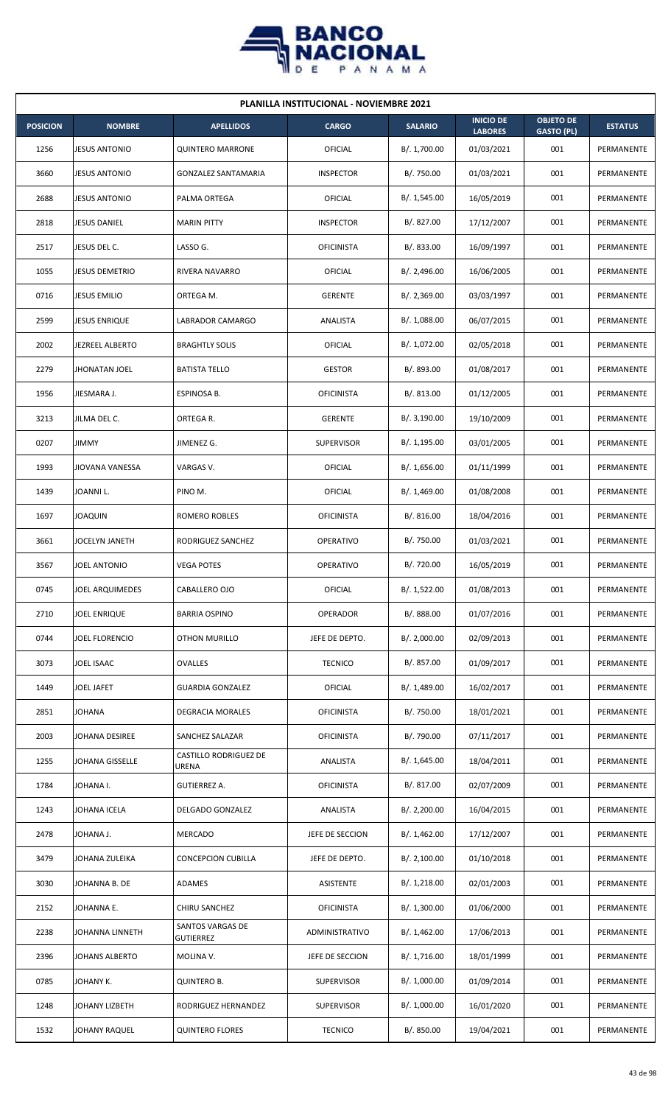

| PLANILLA INSTITUCIONAL - NOVIEMBRE 2021 |                        |                                       |                   |                |                                    |                                       |                   |  |  |
|-----------------------------------------|------------------------|---------------------------------------|-------------------|----------------|------------------------------------|---------------------------------------|-------------------|--|--|
| <b>POSICION</b>                         | <b>NOMBRE</b>          | <b>APELLIDOS</b>                      | <b>CARGO</b>      | <b>SALARIO</b> | <b>INICIO DE</b><br><b>LABORES</b> | <b>OBJETO DE</b><br><b>GASTO (PL)</b> | <b>ESTATUS</b>    |  |  |
| 1256                                    | <b>JESUS ANTONIO</b>   | <b>QUINTERO MARRONE</b>               | OFICIAL           | B/. 1,700.00   | 01/03/2021                         | 001                                   | PERMANENTE        |  |  |
| 3660                                    | <b>JESUS ANTONIO</b>   | <b>GONZALEZ SANTAMARIA</b>            | <b>INSPECTOR</b>  | B/. 750.00     | 01/03/2021                         | 001                                   | PERMANENTE        |  |  |
| 2688                                    | <b>JESUS ANTONIO</b>   | PALMA ORTEGA                          | OFICIAL           | B/. 1,545.00   | 16/05/2019                         | 001                                   | PERMANENTE        |  |  |
| 2818                                    | <b>JESUS DANIEL</b>    | <b>MARIN PITTY</b>                    | <b>INSPECTOR</b>  | B/. 827.00     | 17/12/2007                         | 001                                   | PERMANENTE        |  |  |
| 2517                                    | JESUS DEL C.           | LASSO G.                              | <b>OFICINISTA</b> | B/. 833.00     | 16/09/1997                         | 001                                   | PERMANENTE        |  |  |
| 1055                                    | JESUS DEMETRIO         | RIVERA NAVARRO                        | <b>OFICIAL</b>    | B/.2,496.00    | 16/06/2005                         | 001                                   | PERMANENTE        |  |  |
| 0716                                    | <b>JESUS EMILIO</b>    | ORTEGA M.                             | <b>GERENTE</b>    | B/.2,369.00    | 03/03/1997                         | 001                                   | PERMANENTE        |  |  |
| 2599                                    | <b>JESUS ENRIQUE</b>   | LABRADOR CAMARGO                      | ANALISTA          | B/.1,088.00    | 06/07/2015                         | 001                                   | PERMANENTE        |  |  |
| 2002                                    | <b>JEZREEL ALBERTO</b> | <b>BRAGHTLY SOLIS</b>                 | <b>OFICIAL</b>    | B/. 1,072.00   | 02/05/2018                         | 001                                   | PERMANENTE        |  |  |
| 2279                                    | <b>JHONATAN JOEL</b>   | <b>BATISTA TELLO</b>                  | <b>GESTOR</b>     | B/. 893.00     | 01/08/2017                         | 001                                   | PERMANENTE        |  |  |
| 1956                                    | JIESMARA J.            | ESPINOSA B.                           | <b>OFICINISTA</b> | B/. 813.00     | 01/12/2005                         | 001                                   | PERMANENTE        |  |  |
| 3213                                    | JILMA DEL C.           | ORTEGA R.                             | <b>GERENTE</b>    | B/.3,190.00    | 19/10/2009                         | 001                                   | PERMANENTE        |  |  |
| 0207                                    | <b>JIMMY</b>           | JIMENEZ G.                            | <b>SUPERVISOR</b> | B/. 1,195.00   | 03/01/2005                         | 001                                   | PERMANENTE        |  |  |
| 1993                                    | JIOVANA VANESSA        | VARGAS V.                             | OFICIAL           | B/. 1,656.00   | 01/11/1999                         | 001                                   | PERMANENTE        |  |  |
| 1439                                    | JOANNI L.              | PINO M.                               | OFICIAL           | B/.1,469.00    | 01/08/2008                         | 001                                   | PERMANENTE        |  |  |
| 1697                                    | <b>JOAQUIN</b>         | ROMERO ROBLES                         | <b>OFICINISTA</b> | B/. 816.00     | 18/04/2016                         | 001                                   | PERMANENTE        |  |  |
| 3661                                    | JOCELYN JANETH         | RODRIGUEZ SANCHEZ                     | OPERATIVO         | B/. 750.00     | 01/03/2021                         | 001                                   | PERMANENTE        |  |  |
| 3567                                    | JOEL ANTONIO           | <b>VEGA POTES</b>                     | OPERATIVO         | B/. 720.00     | 16/05/2019                         | 001                                   | PERMANENTE        |  |  |
| 0745                                    | <b>JOEL ARQUIMEDES</b> | CABALLERO OJO                         | <b>OFICIAL</b>    | B/. 1,522.00   | 01/08/2013                         | 001                                   | PERMANENTE        |  |  |
| 2710                                    | JOEL ENRIQUE           | <b>BARRIA OSPINO</b>                  | <b>OPERADOR</b>   | B/. 888.00     | 01/07/2016                         | 001                                   | <b>PERMANENTE</b> |  |  |
| 0744                                    | JOEL FLORENCIO         | OTHON MURILLO                         | JEFE DE DEPTO.    | B/. 2,000.00   | 02/09/2013                         | 001                                   | PERMANENTE        |  |  |
| 3073                                    | JOEL ISAAC             | <b>OVALLES</b>                        | <b>TECNICO</b>    | B/. 857.00     | 01/09/2017                         | 001                                   | PERMANENTE        |  |  |
| 1449                                    | JOEL JAFET             | <b>GUARDIA GONZALEZ</b>               | OFICIAL           | B/. 1,489.00   | 16/02/2017                         | 001                                   | PERMANENTE        |  |  |
| 2851                                    | JOHANA                 | DEGRACIA MORALES                      | <b>OFICINISTA</b> | B/. 750.00     | 18/01/2021                         | 001                                   | PERMANENTE        |  |  |
| 2003                                    | JOHANA DESIREE         | SANCHEZ SALAZAR                       | <b>OFICINISTA</b> | B/. 790.00     | 07/11/2017                         | 001                                   | PERMANENTE        |  |  |
| 1255                                    | JOHANA GISSELLE        | <b>CASTILLO RODRIGUEZ DE</b><br>URENA | ANALISTA          | B/. 1,645.00   | 18/04/2011                         | 001                                   | PERMANENTE        |  |  |
| 1784                                    | JOHANA I.              | GUTIERREZ A.                          | <b>OFICINISTA</b> | B/. 817.00     | 02/07/2009                         | 001                                   | PERMANENTE        |  |  |
| 1243                                    | JOHANA ICELA           | DELGADO GONZALEZ                      | ANALISTA          | B/.2,200.00    | 16/04/2015                         | 001                                   | PERMANENTE        |  |  |
| 2478                                    | JOHANA J.              | <b>MERCADO</b>                        | JEFE DE SECCION   | B/. 1,462.00   | 17/12/2007                         | 001                                   | PERMANENTE        |  |  |
| 3479                                    | JOHANA ZULEIKA         | <b>CONCEPCION CUBILLA</b>             | JEFE DE DEPTO.    | B/.2,100.00    | 01/10/2018                         | 001                                   | PERMANENTE        |  |  |
| 3030                                    | JOHANNA B. DE          | ADAMES                                | <b>ASISTENTE</b>  | B/. 1,218.00   | 02/01/2003                         | 001                                   | PERMANENTE        |  |  |
| 2152                                    | JOHANNA E.             | CHIRU SANCHEZ                         | <b>OFICINISTA</b> | B/. 1,300.00   | 01/06/2000                         | 001                                   | PERMANENTE        |  |  |
| 2238                                    | JOHANNA LINNETH        | SANTOS VARGAS DE<br><b>GUTIERREZ</b>  | ADMINISTRATIVO    | B/. 1,462.00   | 17/06/2013                         | 001                                   | PERMANENTE        |  |  |
| 2396                                    | JOHANS ALBERTO         | MOLINA V.                             | JEFE DE SECCION   | B/.1,716.00    | 18/01/1999                         | 001                                   | PERMANENTE        |  |  |
| 0785                                    | JOHANY K.              | <b>QUINTERO B.</b>                    | <b>SUPERVISOR</b> | B/. 1,000.00   | 01/09/2014                         | 001                                   | PERMANENTE        |  |  |
| 1248                                    | JOHANY LIZBETH         | RODRIGUEZ HERNANDEZ                   | <b>SUPERVISOR</b> | B/. 1,000.00   | 16/01/2020                         | 001                                   | PERMANENTE        |  |  |
| 1532                                    | <b>JOHANY RAQUEL</b>   | <b>QUINTERO FLORES</b>                | <b>TECNICO</b>    | B/. 850.00     | 19/04/2021                         | 001                                   | PERMANENTE        |  |  |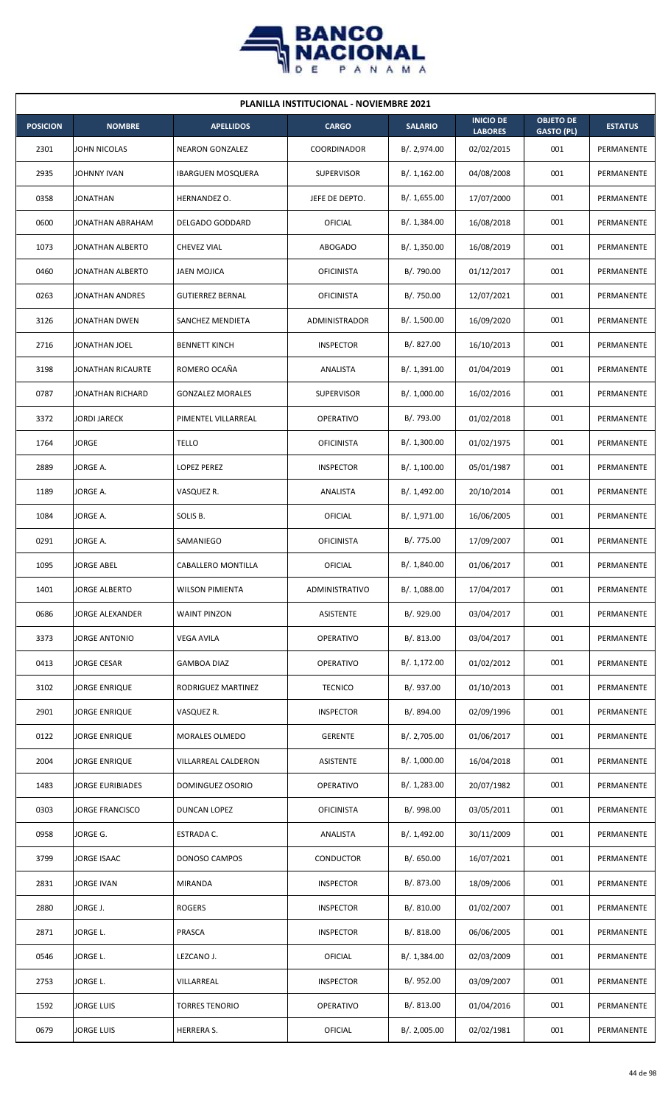

| <b>PLANILLA INSTITUCIONAL - NOVIEMBRE 2021</b> |                         |                          |                      |                |                                    |                                       |                |  |  |  |
|------------------------------------------------|-------------------------|--------------------------|----------------------|----------------|------------------------------------|---------------------------------------|----------------|--|--|--|
| <b>POSICION</b>                                | <b>NOMBRE</b>           | <b>APELLIDOS</b>         | <b>CARGO</b>         | <b>SALARIO</b> | <b>INICIO DE</b><br><b>LABORES</b> | <b>OBJETO DE</b><br><b>GASTO (PL)</b> | <b>ESTATUS</b> |  |  |  |
| 2301                                           | JOHN NICOLAS            | <b>NEARON GONZALEZ</b>   | COORDINADOR          | B/. 2,974.00   | 02/02/2015                         | 001                                   | PERMANENTE     |  |  |  |
| 2935                                           | JOHNNY IVAN             | <b>IBARGUEN MOSQUERA</b> | <b>SUPERVISOR</b>    | B/.1,162.00    | 04/08/2008                         | 001                                   | PERMANENTE     |  |  |  |
| 0358                                           | <b>JONATHAN</b>         | HERNANDEZ O.             | JEFE DE DEPTO.       | B/. 1,655.00   | 17/07/2000                         | 001                                   | PERMANENTE     |  |  |  |
| 0600                                           | JONATHAN ABRAHAM        | <b>DELGADO GODDARD</b>   | OFICIAL              | B/. 1,384.00   | 16/08/2018                         | 001                                   | PERMANENTE     |  |  |  |
| 1073                                           | <b>JONATHAN ALBERTO</b> | <b>CHEVEZ VIAL</b>       | <b>ABOGADO</b>       | B/. 1,350.00   | 16/08/2019                         | 001                                   | PERMANENTE     |  |  |  |
| 0460                                           | JONATHAN ALBERTO        | <b>JAEN MOJICA</b>       | <b>OFICINISTA</b>    | B/. 790.00     | 01/12/2017                         | 001                                   | PERMANENTE     |  |  |  |
| 0263                                           | JONATHAN ANDRES         | <b>GUTIERREZ BERNAL</b>  | <b>OFICINISTA</b>    | B/. 750.00     | 12/07/2021                         | 001                                   | PERMANENTE     |  |  |  |
| 3126                                           | JONATHAN DWEN           | SANCHEZ MENDIETA         | <b>ADMINISTRADOR</b> | B/. 1,500.00   | 16/09/2020                         | 001                                   | PERMANENTE     |  |  |  |
| 2716                                           | JONATHAN JOEL           | <b>BENNETT KINCH</b>     | <b>INSPECTOR</b>     | B/. 827.00     | 16/10/2013                         | 001                                   | PERMANENTE     |  |  |  |
| 3198                                           | JONATHAN RICAURTE       | ROMERO OCAÑA             | ANALISTA             | B/. 1,391.00   | 01/04/2019                         | 001                                   | PERMANENTE     |  |  |  |
| 0787                                           | JONATHAN RICHARD        | <b>GONZALEZ MORALES</b>  | <b>SUPERVISOR</b>    | B/. 1,000.00   | 16/02/2016                         | 001                                   | PERMANENTE     |  |  |  |
| 3372                                           | <b>JORDI JARECK</b>     | PIMENTEL VILLARREAL      | <b>OPERATIVO</b>     | B/. 793.00     | 01/02/2018                         | 001                                   | PERMANENTE     |  |  |  |
| 1764                                           | <b>JORGE</b>            | TELLO                    | <b>OFICINISTA</b>    | B/. 1,300.00   | 01/02/1975                         | 001                                   | PERMANENTE     |  |  |  |
| 2889                                           | JORGE A.                | <b>LOPEZ PEREZ</b>       | <b>INSPECTOR</b>     | B/. 1,100.00   | 05/01/1987                         | 001                                   | PERMANENTE     |  |  |  |
| 1189                                           | JORGE A.                | VASQUEZ R.               | ANALISTA             | B/.1,492.00    | 20/10/2014                         | 001                                   | PERMANENTE     |  |  |  |
| 1084                                           | JORGE A.                | SOLIS B.                 | OFICIAL              | B/. 1,971.00   | 16/06/2005                         | 001                                   | PERMANENTE     |  |  |  |
| 0291                                           | JORGE A.                | SAMANIEGO                | <b>OFICINISTA</b>    | B/. 775.00     | 17/09/2007                         | 001                                   | PERMANENTE     |  |  |  |
| 1095                                           | <b>JORGE ABEL</b>       | CABALLERO MONTILLA       | OFICIAL              | B/. 1,840.00   | 01/06/2017                         | 001                                   | PERMANENTE     |  |  |  |
| 1401                                           | <b>JORGE ALBERTO</b>    | <b>WILSON PIMIENTA</b>   | ADMINISTRATIVO       | B/. 1,088.00   | 17/04/2017                         | 001                                   | PERMANENTE     |  |  |  |
| 0686                                           | <b>JORGE ALEXANDER</b>  | <b>WAINT PINZON</b>      | <b>ASISTENTE</b>     | B/. 929.00     | 03/04/2017                         | 001                                   | PERMANENTE     |  |  |  |
| 3373                                           | JORGE ANTONIO           | <b>VEGA AVILA</b>        | <b>OPERATIVO</b>     | B/. 813.00     | 03/04/2017                         | 001                                   | PERMANENTE     |  |  |  |
| 0413                                           | <b>JORGE CESAR</b>      | GAMBOA DIAZ              | OPERATIVO            | B/. 1,172.00   | 01/02/2012                         | 001                                   | PERMANENTE     |  |  |  |
| 3102                                           | <b>JORGE ENRIQUE</b>    | RODRIGUEZ MARTINEZ       | <b>TECNICO</b>       | B/. 937.00     | 01/10/2013                         | 001                                   | PERMANENTE     |  |  |  |
| 2901                                           | JORGE ENRIQUE           | VASQUEZ R.               | <b>INSPECTOR</b>     | B/. 894.00     | 02/09/1996                         | 001                                   | PERMANENTE     |  |  |  |
| 0122                                           | JORGE ENRIQUE           | MORALES OLMEDO           | <b>GERENTE</b>       | B/. 2,705.00   | 01/06/2017                         | 001                                   | PERMANENTE     |  |  |  |
| 2004                                           | JORGE ENRIQUE           | VILLARREAL CALDERON      | ASISTENTE            | B/. 1,000.00   | 16/04/2018                         | 001                                   | PERMANENTE     |  |  |  |
| 1483                                           | <b>JORGE EURIBIADES</b> | DOMINGUEZ OSORIO         | <b>OPERATIVO</b>     | B/. 1,283.00   | 20/07/1982                         | 001                                   | PERMANENTE     |  |  |  |
| 0303                                           | <b>JORGE FRANCISCO</b>  | DUNCAN LOPEZ             | <b>OFICINISTA</b>    | B/. 998.00     | 03/05/2011                         | 001                                   | PERMANENTE     |  |  |  |
| 0958                                           | JORGE G.                | ESTRADA C.               | ANALISTA             | B/. 1,492.00   | 30/11/2009                         | 001                                   | PERMANENTE     |  |  |  |
| 3799                                           | JORGE ISAAC             | DONOSO CAMPOS            | <b>CONDUCTOR</b>     | B/. 650.00     | 16/07/2021                         | 001                                   | PERMANENTE     |  |  |  |
| 2831                                           | JORGE IVAN              | <b>MIRANDA</b>           | <b>INSPECTOR</b>     | B/. 873.00     | 18/09/2006                         | 001                                   | PERMANENTE     |  |  |  |
| 2880                                           | JORGE J.                | <b>ROGERS</b>            | <b>INSPECTOR</b>     | B/. 810.00     | 01/02/2007                         | 001                                   | PERMANENTE     |  |  |  |
| 2871                                           | JORGE L.                | PRASCA                   | <b>INSPECTOR</b>     | B/0.818.00     | 06/06/2005                         | 001                                   | PERMANENTE     |  |  |  |
| 0546                                           | JORGE L.                | LEZCANO J.               | OFICIAL              | B/.1,384.00    | 02/03/2009                         | 001                                   | PERMANENTE     |  |  |  |
| 2753                                           | JORGE L.                | VILLARREAL               | <b>INSPECTOR</b>     | B/. 952.00     | 03/09/2007                         | 001                                   | PERMANENTE     |  |  |  |
| 1592                                           | <b>JORGE LUIS</b>       | <b>TORRES TENORIO</b>    | OPERATIVO            | B/. 813.00     | 01/04/2016                         | 001                                   | PERMANENTE     |  |  |  |
| 0679                                           | <b>JORGE LUIS</b>       | HERRERA S.               | <b>OFICIAL</b>       | B/. 2,005.00   | 02/02/1981                         | 001                                   | PERMANENTE     |  |  |  |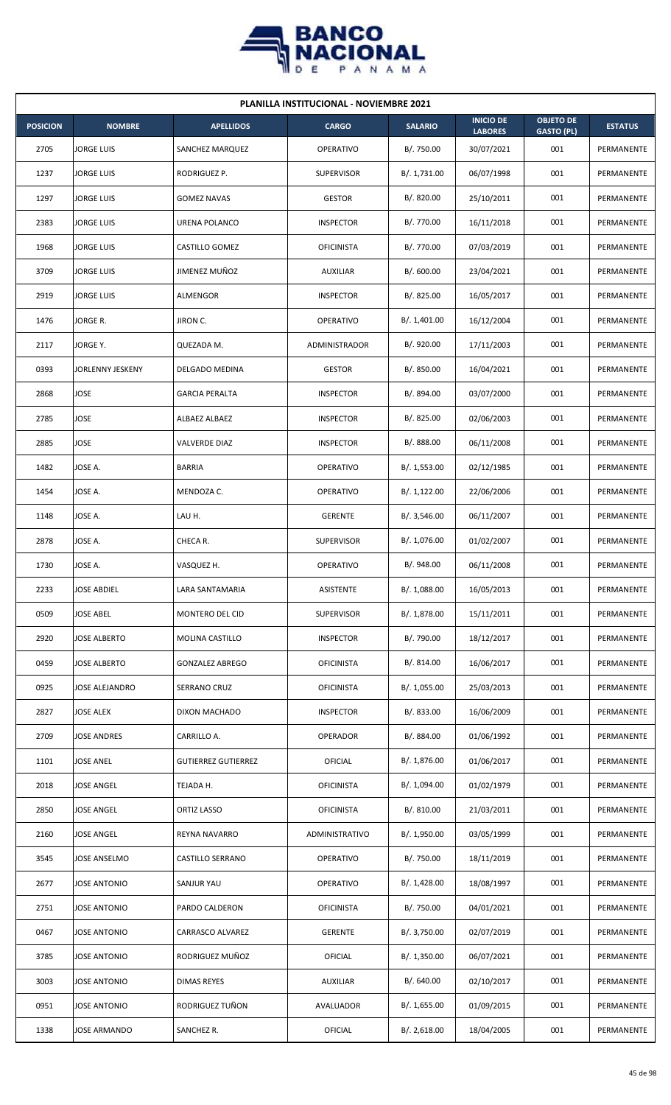

| <b>PLANILLA INSTITUCIONAL - NOVIEMBRE 2021</b> |                     |                            |                      |                |                                    |                                       |                |  |  |  |
|------------------------------------------------|---------------------|----------------------------|----------------------|----------------|------------------------------------|---------------------------------------|----------------|--|--|--|
| <b>POSICION</b>                                | <b>NOMBRE</b>       | <b>APELLIDOS</b>           | <b>CARGO</b>         | <b>SALARIO</b> | <b>INICIO DE</b><br><b>LABORES</b> | <b>OBJETO DE</b><br><b>GASTO (PL)</b> | <b>ESTATUS</b> |  |  |  |
| 2705                                           | <b>JORGE LUIS</b>   | SANCHEZ MARQUEZ            | <b>OPERATIVO</b>     | B/. 750.00     | 30/07/2021                         | 001                                   | PERMANENTE     |  |  |  |
| 1237                                           | <b>JORGE LUIS</b>   | RODRIGUEZ P.               | <b>SUPERVISOR</b>    | B/. 1,731.00   | 06/07/1998                         | 001                                   | PERMANENTE     |  |  |  |
| 1297                                           | JORGE LUIS          | <b>GOMEZ NAVAS</b>         | <b>GESTOR</b>        | B/. 820.00     | 25/10/2011                         | 001                                   | PERMANENTE     |  |  |  |
| 2383                                           | JORGE LUIS          | URENA POLANCO              | <b>INSPECTOR</b>     | B/. 770.00     | 16/11/2018                         | 001                                   | PERMANENTE     |  |  |  |
| 1968                                           | JORGE LUIS          | CASTILLO GOMEZ             | <b>OFICINISTA</b>    | B/. 770.00     | 07/03/2019                         | 001                                   | PERMANENTE     |  |  |  |
| 3709                                           | JORGE LUIS          | JIMENEZ MUÑOZ              | <b>AUXILIAR</b>      | B/. 600.00     | 23/04/2021                         | 001                                   | PERMANENTE     |  |  |  |
| 2919                                           | <b>JORGE LUIS</b>   | ALMENGOR                   | <b>INSPECTOR</b>     | B/.825.00      | 16/05/2017                         | 001                                   | PERMANENTE     |  |  |  |
| 1476                                           | JORGE R.            | JIRON C.                   | <b>OPERATIVO</b>     | B/. 1,401.00   | 16/12/2004                         | 001                                   | PERMANENTE     |  |  |  |
| 2117                                           | JORGE Y.            | QUEZADA M.                 | <b>ADMINISTRADOR</b> | B/. 920.00     | 17/11/2003                         | 001                                   | PERMANENTE     |  |  |  |
| 0393                                           | JORLENNY JESKENY    | DELGADO MEDINA             | <b>GESTOR</b>        | B/. 850.00     | 16/04/2021                         | 001                                   | PERMANENTE     |  |  |  |
| 2868                                           | JOSE                | <b>GARCIA PERALTA</b>      | <b>INSPECTOR</b>     | B/. 894.00     | 03/07/2000                         | 001                                   | PERMANENTE     |  |  |  |
| 2785                                           | JOSE                | ALBAEZ ALBAEZ              | <b>INSPECTOR</b>     | B/.825.00      | 02/06/2003                         | 001                                   | PERMANENTE     |  |  |  |
| 2885                                           | JOSE                | VALVERDE DIAZ              | <b>INSPECTOR</b>     | B/. 888.00     | 06/11/2008                         | 001                                   | PERMANENTE     |  |  |  |
| 1482                                           | JOSE A.             | <b>BARRIA</b>              | OPERATIVO            | B/. 1,553.00   | 02/12/1985                         | 001                                   | PERMANENTE     |  |  |  |
| 1454                                           | JOSE A.             | MENDOZA C.                 | OPERATIVO            | B/. 1,122.00   | 22/06/2006                         | 001                                   | PERMANENTE     |  |  |  |
| 1148                                           | JOSE A.             | LAU H.                     | <b>GERENTE</b>       | B/.3,546.00    | 06/11/2007                         | 001                                   | PERMANENTE     |  |  |  |
| 2878                                           | JOSE A.             | CHECA R.                   | <b>SUPERVISOR</b>    | B/. 1,076.00   | 01/02/2007                         | 001                                   | PERMANENTE     |  |  |  |
| 1730                                           | JOSE A.             | VASQUEZ H.                 | <b>OPERATIVO</b>     | B/. 948.00     | 06/11/2008                         | 001                                   | PERMANENTE     |  |  |  |
| 2233                                           | <b>JOSE ABDIEL</b>  | LARA SANTAMARIA            | ASISTENTE            | B/. 1,088.00   | 16/05/2013                         | 001                                   | PERMANENTE     |  |  |  |
| 0509                                           | JOSE ABEL           | MONTERO DEL CID            | <b>SUPERVISOR</b>    | B/. 1,878.00   | 15/11/2011                         | 001                                   | PERMANENTE     |  |  |  |
| 2920                                           | JOSE ALBERTO        | MOLINA CASTILLO            | <b>INSPECTOR</b>     | B/. 790.00     | 18/12/2017                         | 001                                   | PERMANENTE     |  |  |  |
| 0459                                           | JOSE ALBERTO        | <b>GONZALEZ ABREGO</b>     | <b>OFICINISTA</b>    | B/. 814.00     | 16/06/2017                         | 001                                   | PERMANENTE     |  |  |  |
| 0925                                           | JOSE ALEJANDRO      | SERRANO CRUZ               | <b>OFICINISTA</b>    | B/. 1,055.00   | 25/03/2013                         | 001                                   | PERMANENTE     |  |  |  |
| 2827                                           | <b>JOSE ALEX</b>    | DIXON MACHADO              | <b>INSPECTOR</b>     | B/. 833.00     | 16/06/2009                         | 001                                   | PERMANENTE     |  |  |  |
| 2709                                           | <b>JOSE ANDRES</b>  | CARRILLO A.                | OPERADOR             | B/. 884.00     | 01/06/1992                         | 001                                   | PERMANENTE     |  |  |  |
| 1101                                           | <b>JOSE ANEL</b>    | <b>GUTIERREZ GUTIERREZ</b> | <b>OFICIAL</b>       | B/. 1,876.00   | 01/06/2017                         | 001                                   | PERMANENTE     |  |  |  |
| 2018                                           | JOSE ANGEL          | TEJADA H.                  | <b>OFICINISTA</b>    | B/. 1,094.00   | 01/02/1979                         | 001                                   | PERMANENTE     |  |  |  |
| 2850                                           | <b>JOSE ANGEL</b>   | ORTIZ LASSO                | <b>OFICINISTA</b>    | B/. 810.00     | 21/03/2011                         | 001                                   | PERMANENTE     |  |  |  |
| 2160                                           | JOSE ANGEL          | <b>REYNA NAVARRO</b>       | ADMINISTRATIVO       | B/. 1,950.00   | 03/05/1999                         | 001                                   | PERMANENTE     |  |  |  |
| 3545                                           | JOSE ANSELMO        | CASTILLO SERRANO           | OPERATIVO            | B/. 750.00     | 18/11/2019                         | 001                                   | PERMANENTE     |  |  |  |
| 2677                                           | JOSE ANTONIO        | SANJUR YAU                 | OPERATIVO            | B/. 1,428.00   | 18/08/1997                         | 001                                   | PERMANENTE     |  |  |  |
| 2751                                           | JOSE ANTONIO        | PARDO CALDERON             | <b>OFICINISTA</b>    | B/. 750.00     | 04/01/2021                         | 001                                   | PERMANENTE     |  |  |  |
| 0467                                           | <b>JOSE ANTONIO</b> | CARRASCO ALVAREZ           | <b>GERENTE</b>       | B/. 3,750.00   | 02/07/2019                         | 001                                   | PERMANENTE     |  |  |  |
| 3785                                           | JOSE ANTONIO        | RODRIGUEZ MUÑOZ            | <b>OFICIAL</b>       | B/. 1,350.00   | 06/07/2021                         | 001                                   | PERMANENTE     |  |  |  |
| 3003                                           | <b>JOSE ANTONIO</b> | <b>DIMAS REYES</b>         | AUXILIAR             | B/. 640.00     | 02/10/2017                         | 001                                   | PERMANENTE     |  |  |  |
| 0951                                           | JOSE ANTONIO        | RODRIGUEZ TUÑON            | AVALUADOR            | B/. 1,655.00   | 01/09/2015                         | 001                                   | PERMANENTE     |  |  |  |
| 1338                                           | JOSE ARMANDO        | SANCHEZ R.                 | OFICIAL              | B/. 2,618.00   | 18/04/2005                         | 001                                   | PERMANENTE     |  |  |  |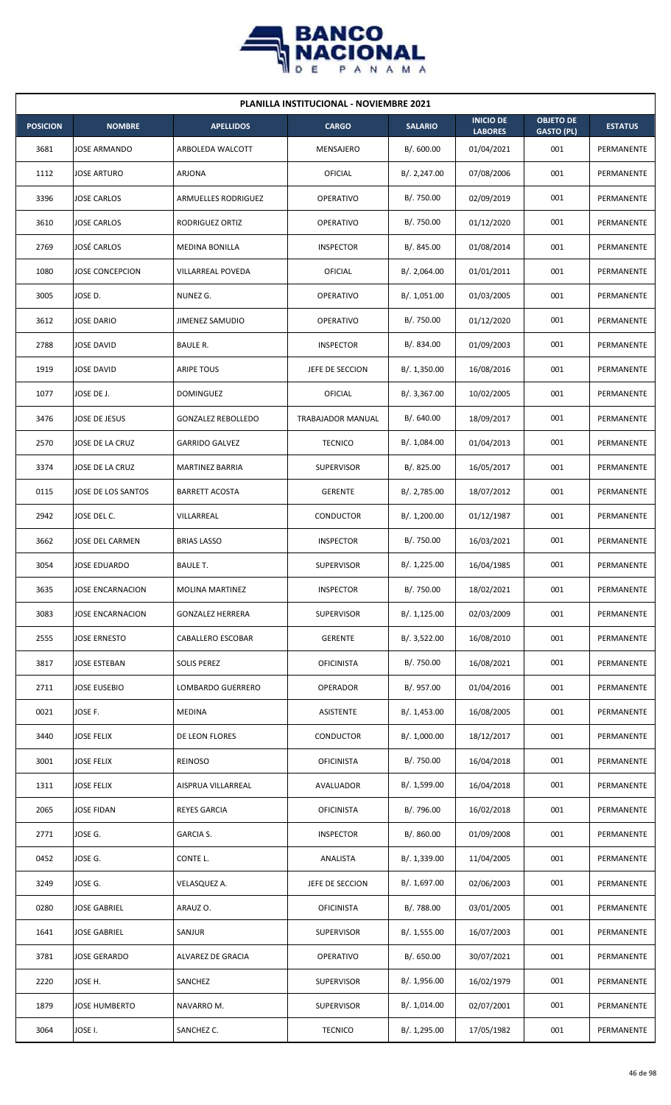

| <b>PLANILLA INSTITUCIONAL - NOVIEMBRE 2021</b> |                         |                           |                   |                |                                    |                                       |                |  |  |  |
|------------------------------------------------|-------------------------|---------------------------|-------------------|----------------|------------------------------------|---------------------------------------|----------------|--|--|--|
| <b>POSICION</b>                                | <b>NOMBRE</b>           | <b>APELLIDOS</b>          | <b>CARGO</b>      | <b>SALARIO</b> | <b>INICIO DE</b><br><b>LABORES</b> | <b>OBJETO DE</b><br><b>GASTO (PL)</b> | <b>ESTATUS</b> |  |  |  |
| 3681                                           | JOSE ARMANDO            | ARBOLEDA WALCOTT          | MENSAJERO         | B/.600.00      | 01/04/2021                         | 001                                   | PERMANENTE     |  |  |  |
| 1112                                           | JOSE ARTURO             | ARJONA                    | OFICIAL           | B/.2,247.00    | 07/08/2006                         | 001                                   | PERMANENTE     |  |  |  |
| 3396                                           | JOSE CARLOS             | ARMUELLES RODRIGUEZ       | <b>OPERATIVO</b>  | B/. 750.00     | 02/09/2019                         | 001                                   | PERMANENTE     |  |  |  |
| 3610                                           | <b>JOSE CARLOS</b>      | RODRIGUEZ ORTIZ           | <b>OPERATIVO</b>  | B/. 750.00     | 01/12/2020                         | 001                                   | PERMANENTE     |  |  |  |
| 2769                                           | JOSÉ CARLOS             | <b>MEDINA BONILLA</b>     | <b>INSPECTOR</b>  | B/. 845.00     | 01/08/2014                         | 001                                   | PERMANENTE     |  |  |  |
| 1080                                           | JOSE CONCEPCION         | VILLARREAL POVEDA         | OFICIAL           | B/. 2,064.00   | 01/01/2011                         | 001                                   | PERMANENTE     |  |  |  |
| 3005                                           | JOSE D.                 | NUNEZ G.                  | <b>OPERATIVO</b>  | B/. 1,051.00   | 01/03/2005                         | 001                                   | PERMANENTE     |  |  |  |
| 3612                                           | <b>JOSE DARIO</b>       | JIMENEZ SAMUDIO           | <b>OPERATIVO</b>  | B/. 750.00     | 01/12/2020                         | 001                                   | PERMANENTE     |  |  |  |
| 2788                                           | JOSE DAVID              | BAULE R.                  | <b>INSPECTOR</b>  | B/. 834.00     | 01/09/2003                         | 001                                   | PERMANENTE     |  |  |  |
| 1919                                           | JOSE DAVID              | <b>ARIPE TOUS</b>         | JEFE DE SECCION   | B/.1,350.00    | 16/08/2016                         | 001                                   | PERMANENTE     |  |  |  |
| 1077                                           | JOSE DE J.              | <b>DOMINGUEZ</b>          | OFICIAL           | B/. 3,367.00   | 10/02/2005                         | 001                                   | PERMANENTE     |  |  |  |
| 3476                                           | JOSE DE JESUS           | <b>GONZALEZ REBOLLEDO</b> | TRABAJADOR MANUAL | B/. 640.00     | 18/09/2017                         | 001                                   | PERMANENTE     |  |  |  |
| 2570                                           | JOSE DE LA CRUZ         | <b>GARRIDO GALVEZ</b>     | <b>TECNICO</b>    | B/. 1,084.00   | 01/04/2013                         | 001                                   | PERMANENTE     |  |  |  |
| 3374                                           | JOSE DE LA CRUZ         | <b>MARTINEZ BARRIA</b>    | <b>SUPERVISOR</b> | B/. 825.00     | 16/05/2017                         | 001                                   | PERMANENTE     |  |  |  |
| 0115                                           | JOSE DE LOS SANTOS      | <b>BARRETT ACOSTA</b>     | <b>GERENTE</b>    | B/.2,785.00    | 18/07/2012                         | 001                                   | PERMANENTE     |  |  |  |
| 2942                                           | JOSE DEL C.             | VILLARREAL                | CONDUCTOR         | B/. 1,200.00   | 01/12/1987                         | 001                                   | PERMANENTE     |  |  |  |
| 3662                                           | JOSE DEL CARMEN         | <b>BRIAS LASSO</b>        | <b>INSPECTOR</b>  | B/. 750.00     | 16/03/2021                         | 001                                   | PERMANENTE     |  |  |  |
| 3054                                           | JOSE EDUARDO            | <b>BAULE T.</b>           | <b>SUPERVISOR</b> | B/. 1,225.00   | 16/04/1985                         | 001                                   | PERMANENTE     |  |  |  |
| 3635                                           | <b>JOSE ENCARNACION</b> | <b>MOLINA MARTINEZ</b>    | <b>INSPECTOR</b>  | B/. 750.00     | 18/02/2021                         | 001                                   | PERMANENTE     |  |  |  |
| 3083                                           | JOSE ENCARNACION        | <b>GONZALEZ HERRERA</b>   | <b>SUPERVISOR</b> | B/.1,125.00    | 02/03/2009                         | 001                                   | PERMANENTE     |  |  |  |
| 2555                                           | JOSE ERNESTO            | CABALLERO ESCOBAR         | <b>GERENTE</b>    | B/. 3,522.00   | 16/08/2010                         | 001                                   | PERMANENTE     |  |  |  |
| 3817                                           | JOSE ESTEBAN            | <b>SOLIS PEREZ</b>        | <b>OFICINISTA</b> | B/. 750.00     | 16/08/2021                         | 001                                   | PERMANENTE     |  |  |  |
| 2711                                           | <b>JOSE EUSEBIO</b>     | LOMBARDO GUERRERO         | <b>OPERADOR</b>   | B/. 957.00     | 01/04/2016                         | 001                                   | PERMANENTE     |  |  |  |
| 0021                                           | JOSE F.                 | MEDINA                    | ASISTENTE         | B/. 1,453.00   | 16/08/2005                         | 001                                   | PERMANENTE     |  |  |  |
| 3440                                           | <b>JOSE FELIX</b>       | DE LEON FLORES            | CONDUCTOR         | B/. 1,000.00   | 18/12/2017                         | 001                                   | PERMANENTE     |  |  |  |
| 3001                                           | JOSE FELIX              | REINOSO                   | <b>OFICINISTA</b> | B/. 750.00     | 16/04/2018                         | 001                                   | PERMANENTE     |  |  |  |
| 1311                                           | JOSE FELIX              | AISPRUA VILLARREAL        | AVALUADOR         | B/. 1,599.00   | 16/04/2018                         | 001                                   | PERMANENTE     |  |  |  |
| 2065                                           | JOSE FIDAN              | <b>REYES GARCIA</b>       | <b>OFICINISTA</b> | B/. 796.00     | 16/02/2018                         | 001                                   | PERMANENTE     |  |  |  |
| 2771                                           | JOSE G.                 | <b>GARCIA S.</b>          | <b>INSPECTOR</b>  | B/. 860.00     | 01/09/2008                         | 001                                   | PERMANENTE     |  |  |  |
| 0452                                           | JOSE G.                 | CONTE L.                  | ANALISTA          | B/. 1,339.00   | 11/04/2005                         | 001                                   | PERMANENTE     |  |  |  |
| 3249                                           | JOSE G.                 | VELASQUEZ A.              | JEFE DE SECCION   | B/. 1,697.00   | 02/06/2003                         | 001                                   | PERMANENTE     |  |  |  |
| 0280                                           | JOSE GABRIEL            | ARAUZ O.                  | <b>OFICINISTA</b> | B/. 788.00     | 03/01/2005                         | 001                                   | PERMANENTE     |  |  |  |
| 1641                                           | <b>JOSE GABRIEL</b>     | SANJUR                    | <b>SUPERVISOR</b> | B/. 1,555.00   | 16/07/2003                         | 001                                   | PERMANENTE     |  |  |  |
| 3781                                           | JOSE GERARDO            | ALVAREZ DE GRACIA         | OPERATIVO         | B/. 650.00     | 30/07/2021                         | 001                                   | PERMANENTE     |  |  |  |
| 2220                                           | JOSE H.                 | SANCHEZ                   | <b>SUPERVISOR</b> | B/. 1,956.00   | 16/02/1979                         | 001                                   | PERMANENTE     |  |  |  |
| 1879                                           | JOSE HUMBERTO           | NAVARRO M.                | <b>SUPERVISOR</b> | B/. 1,014.00   | 02/07/2001                         | 001                                   | PERMANENTE     |  |  |  |
| 3064                                           | JOSE I.                 | SANCHEZ C.                | <b>TECNICO</b>    | B/. 1,295.00   | 17/05/1982                         | 001                                   | PERMANENTE     |  |  |  |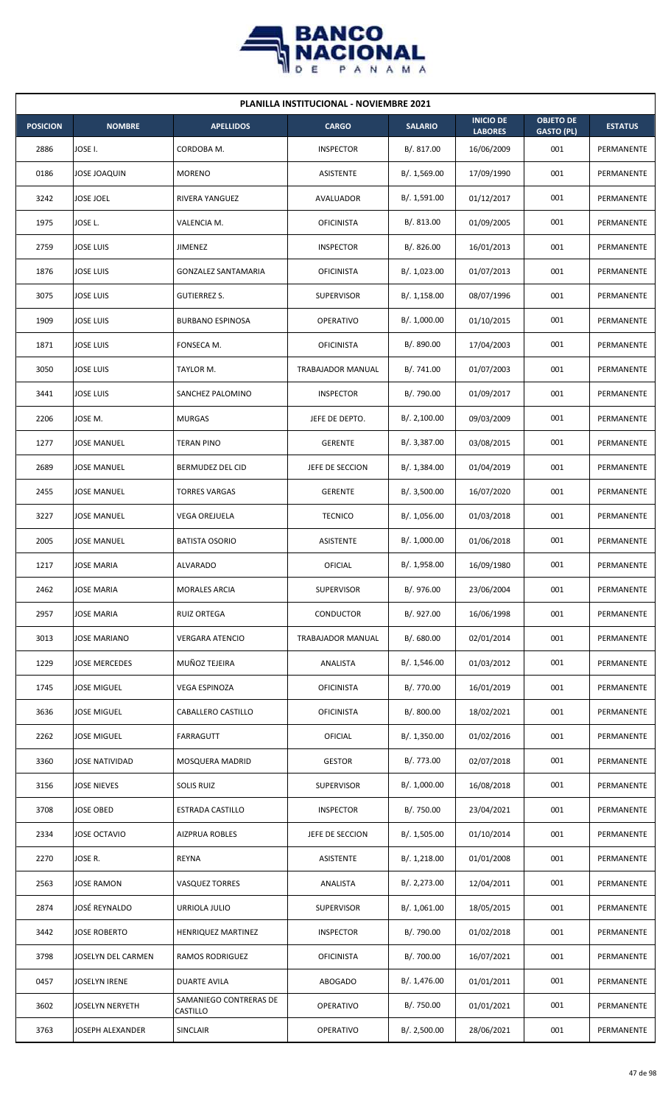

| <b>PLANILLA INSTITUCIONAL - NOVIEMBRE 2021</b> |                        |                                    |                   |                |                                    |                                       |                |  |  |  |
|------------------------------------------------|------------------------|------------------------------------|-------------------|----------------|------------------------------------|---------------------------------------|----------------|--|--|--|
| <b>POSICION</b>                                | <b>NOMBRE</b>          | <b>APELLIDOS</b>                   | <b>CARGO</b>      | <b>SALARIO</b> | <b>INICIO DE</b><br><b>LABORES</b> | <b>OBJETO DE</b><br><b>GASTO (PL)</b> | <b>ESTATUS</b> |  |  |  |
| 2886                                           | JOSE I.                | CORDOBA M.                         | <b>INSPECTOR</b>  | B/. 817.00     | 16/06/2009                         | 001                                   | PERMANENTE     |  |  |  |
| 0186                                           | <b>JOSE JOAQUIN</b>    | <b>MORENO</b>                      | ASISTENTE         | B/. 1,569.00   | 17/09/1990                         | 001                                   | PERMANENTE     |  |  |  |
| 3242                                           | JOSE JOEL              | RIVERA YANGUEZ                     | AVALUADOR         | B/. 1,591.00   | 01/12/2017                         | 001                                   | PERMANENTE     |  |  |  |
| 1975                                           | JOSE L.                | VALENCIA M.                        | <b>OFICINISTA</b> | B/. 813.00     | 01/09/2005                         | 001                                   | PERMANENTE     |  |  |  |
| 2759                                           | <b>JOSE LUIS</b>       | <b>JIMENEZ</b>                     | <b>INSPECTOR</b>  | B/. 826.00     | 16/01/2013                         | 001                                   | PERMANENTE     |  |  |  |
| 1876                                           | JOSE LUIS              | GONZALEZ SANTAMARIA                | <b>OFICINISTA</b> | B/. 1,023.00   | 01/07/2013                         | 001                                   | PERMANENTE     |  |  |  |
| 3075                                           | <b>JOSE LUIS</b>       | <b>GUTIERREZ S.</b>                | <b>SUPERVISOR</b> | B/.1,158.00    | 08/07/1996                         | 001                                   | PERMANENTE     |  |  |  |
| 1909                                           | <b>JOSE LUIS</b>       | <b>BURBANO ESPINOSA</b>            | <b>OPERATIVO</b>  | B/. 1,000.00   | 01/10/2015                         | 001                                   | PERMANENTE     |  |  |  |
| 1871                                           | JOSE LUIS              | FONSECA M.                         | <b>OFICINISTA</b> | B/. 890.00     | 17/04/2003                         | 001                                   | PERMANENTE     |  |  |  |
| 3050                                           | JOSE LUIS              | TAYLOR M.                          | TRABAJADOR MANUAL | B/. 741.00     | 01/07/2003                         | 001                                   | PERMANENTE     |  |  |  |
| 3441                                           | <b>JOSE LUIS</b>       | SANCHEZ PALOMINO                   | <b>INSPECTOR</b>  | B/. 790.00     | 01/09/2017                         | 001                                   | PERMANENTE     |  |  |  |
| 2206                                           | JOSE M.                | <b>MURGAS</b>                      | JEFE DE DEPTO.    | B/.2,100.00    | 09/03/2009                         | 001                                   | PERMANENTE     |  |  |  |
| 1277                                           | JOSE MANUEL            | <b>TERAN PINO</b>                  | <b>GERENTE</b>    | B/. 3,387.00   | 03/08/2015                         | 001                                   | PERMANENTE     |  |  |  |
| 2689                                           | JOSE MANUEL            | BERMUDEZ DEL CID                   | JEFE DE SECCION   | B/.1,384.00    | 01/04/2019                         | 001                                   | PERMANENTE     |  |  |  |
| 2455                                           | JOSE MANUEL            | <b>TORRES VARGAS</b>               | <b>GERENTE</b>    | B/.3,500.00    | 16/07/2020                         | 001                                   | PERMANENTE     |  |  |  |
| 3227                                           | <b>JOSE MANUEL</b>     | VEGA OREJUELA                      | <b>TECNICO</b>    | B/. 1,056.00   | 01/03/2018                         | 001                                   | PERMANENTE     |  |  |  |
| 2005                                           | <b>JOSE MANUEL</b>     | <b>BATISTA OSORIO</b>              | <b>ASISTENTE</b>  | B/. 1,000.00   | 01/06/2018                         | 001                                   | PERMANENTE     |  |  |  |
| 1217                                           | <b>JOSE MARIA</b>      | <b>ALVARADO</b>                    | OFICIAL           | B/. 1,958.00   | 16/09/1980                         | 001                                   | PERMANENTE     |  |  |  |
| 2462                                           | <b>JOSE MARIA</b>      | <b>MORALES ARCIA</b>               | <b>SUPERVISOR</b> | B/. 976.00     | 23/06/2004                         | 001                                   | PERMANENTE     |  |  |  |
| 2957                                           | JOSE MARIA             | <b>RUIZ ORTEGA</b>                 | CONDUCTOR         | B/. 927.00     | 16/06/1998                         | 001                                   | PERMANENTE     |  |  |  |
| 3013                                           | <b>JOSE MARIANO</b>    | <b>VERGARA ATENCIO</b>             | TRABAJADOR MANUAL | B/. 680.00     | 02/01/2014                         | 001                                   | PERMANENTE     |  |  |  |
| 1229                                           | JOSE MERCEDES          | MUÑOZ TEJEIRA                      | ANALISTA          | B/. 1,546.00   | 01/03/2012                         | 001                                   | PERMANENTE     |  |  |  |
| 1745                                           | <b>JOSE MIGUEL</b>     | VEGA ESPINOZA                      | <b>OFICINISTA</b> | B/. 770.00     | 16/01/2019                         | 001                                   | PERMANENTE     |  |  |  |
| 3636                                           | JOSE MIGUEL            | CABALLERO CASTILLO                 | <b>OFICINISTA</b> | B/. 800.00     | 18/02/2021                         | 001                                   | PERMANENTE     |  |  |  |
| 2262                                           | <b>JOSE MIGUEL</b>     | <b>FARRAGUTT</b>                   | OFICIAL           | B/. 1,350.00   | 01/02/2016                         | 001                                   | PERMANENTE     |  |  |  |
| 3360                                           | JOSE NATIVIDAD         | MOSQUERA MADRID                    | <b>GESTOR</b>     | B/. 773.00     | 02/07/2018                         | 001                                   | PERMANENTE     |  |  |  |
| 3156                                           | JOSE NIEVES            | <b>SOLIS RUIZ</b>                  | <b>SUPERVISOR</b> | B/. 1,000.00   | 16/08/2018                         | 001                                   | PERMANENTE     |  |  |  |
| 3708                                           | JOSE OBED              | <b>ESTRADA CASTILLO</b>            | <b>INSPECTOR</b>  | B/. 750.00     | 23/04/2021                         | 001                                   | PERMANENTE     |  |  |  |
| 2334                                           | JOSE OCTAVIO           | <b>AIZPRUA ROBLES</b>              | JEFE DE SECCION   | B/. 1,505.00   | 01/10/2014                         | 001                                   | PERMANENTE     |  |  |  |
| 2270                                           | JOSE R.                | <b>REYNA</b>                       | ASISTENTE         | B/. 1,218.00   | 01/01/2008                         | 001                                   | PERMANENTE     |  |  |  |
| 2563                                           | JOSE RAMON             | VASQUEZ TORRES                     | ANALISTA          | B/. 2,273.00   | 12/04/2011                         | 001                                   | PERMANENTE     |  |  |  |
| 2874                                           | <b>JOSÉ REYNALDO</b>   | URRIOLA JULIO                      | <b>SUPERVISOR</b> | B/.1,061.00    | 18/05/2015                         | 001                                   | PERMANENTE     |  |  |  |
| 3442                                           | <b>JOSE ROBERTO</b>    | HENRIQUEZ MARTINEZ                 | <b>INSPECTOR</b>  | B/. 790.00     | 01/02/2018                         | 001                                   | PERMANENTE     |  |  |  |
| 3798                                           | JOSELYN DEL CARMEN     | <b>RAMOS RODRIGUEZ</b>             | <b>OFICINISTA</b> | B/. 700.00     | 16/07/2021                         | 001                                   | PERMANENTE     |  |  |  |
| 0457                                           | JOSELYN IRENE          | <b>DUARTE AVILA</b>                | <b>ABOGADO</b>    | B/. 1,476.00   | 01/01/2011                         | 001                                   | PERMANENTE     |  |  |  |
| 3602                                           | <b>JOSELYN NERYETH</b> | SAMANIEGO CONTRERAS DE<br>CASTILLO | <b>OPERATIVO</b>  | B/. 750.00     | 01/01/2021                         | 001                                   | PERMANENTE     |  |  |  |
| 3763                                           | JOSEPH ALEXANDER       | SINCLAIR                           | OPERATIVO         | B/.2,500.00    | 28/06/2021                         | 001                                   | PERMANENTE     |  |  |  |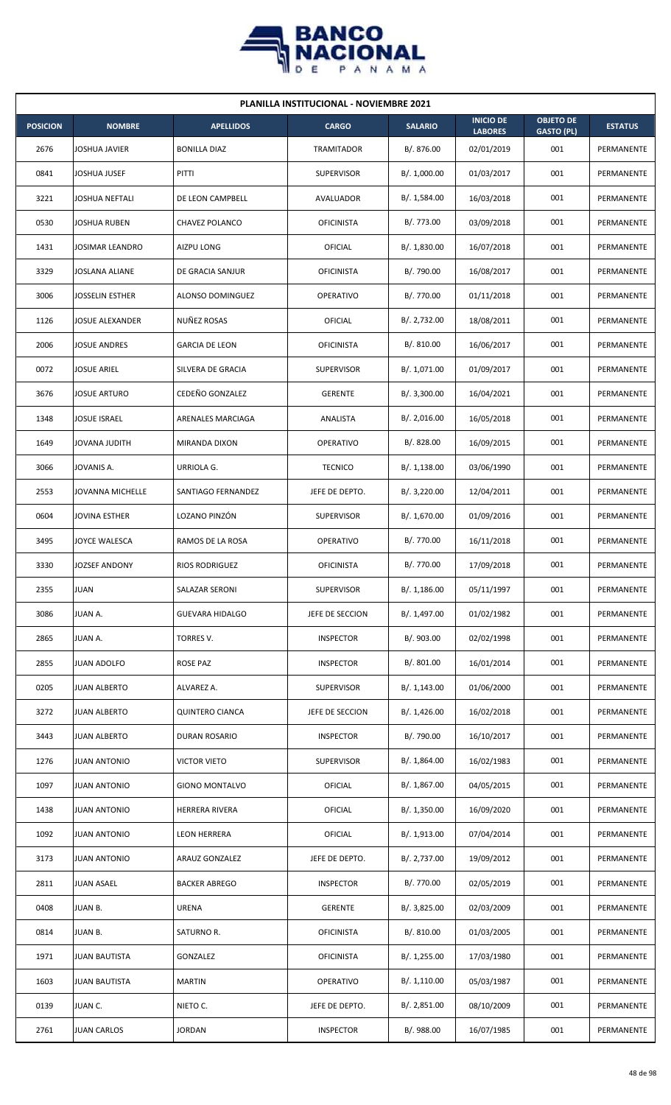

| <b>PLANILLA INSTITUCIONAL - NOVIEMBRE 2021</b> |                        |                        |                   |                |                                    |                                       |                |  |  |
|------------------------------------------------|------------------------|------------------------|-------------------|----------------|------------------------------------|---------------------------------------|----------------|--|--|
| <b>POSICION</b>                                | <b>NOMBRE</b>          | <b>APELLIDOS</b>       | <b>CARGO</b>      | <b>SALARIO</b> | <b>INICIO DE</b><br><b>LABORES</b> | <b>OBJETO DE</b><br><b>GASTO (PL)</b> | <b>ESTATUS</b> |  |  |
| 2676                                           | JOSHUA JAVIER          | <b>BONILLA DIAZ</b>    | <b>TRAMITADOR</b> | B/. 876.00     | 02/01/2019                         | 001                                   | PERMANENTE     |  |  |
| 0841                                           | JOSHUA JUSEF           | PITTI                  | <b>SUPERVISOR</b> | B/. 1,000.00   | 01/03/2017                         | 001                                   | PERMANENTE     |  |  |
| 3221                                           | JOSHUA NEFTALI         | DE LEON CAMPBELL       | AVALUADOR         | B/. 1,584.00   | 16/03/2018                         | 001                                   | PERMANENTE     |  |  |
| 0530                                           | <b>JOSHUA RUBEN</b>    | CHAVEZ POLANCO         | <b>OFICINISTA</b> | B/. 773.00     | 03/09/2018                         | 001                                   | PERMANENTE     |  |  |
| 1431                                           | <b>JOSIMAR LEANDRO</b> | AIZPU LONG             | OFICIAL           | B/. 1,830.00   | 16/07/2018                         | 001                                   | PERMANENTE     |  |  |
| 3329                                           | JOSLANA ALIANE         | DE GRACIA SANJUR       | <b>OFICINISTA</b> | B/. 790.00     | 16/08/2017                         | 001                                   | PERMANENTE     |  |  |
| 3006                                           | <b>JOSSELIN ESTHER</b> | ALONSO DOMINGUEZ       | <b>OPERATIVO</b>  | B/. 770.00     | 01/11/2018                         | 001                                   | PERMANENTE     |  |  |
| 1126                                           | <b>JOSUE ALEXANDER</b> | NUÑEZ ROSAS            | <b>OFICIAL</b>    | B/. 2,732.00   | 18/08/2011                         | 001                                   | PERMANENTE     |  |  |
| 2006                                           | JOSUE ANDRES           | <b>GARCIA DE LEON</b>  | <b>OFICINISTA</b> | B/. 810.00     | 16/06/2017                         | 001                                   | PERMANENTE     |  |  |
| 0072                                           | JOSUE ARIEL            | SILVERA DE GRACIA      | <b>SUPERVISOR</b> | B/. 1,071.00   | 01/09/2017                         | 001                                   | PERMANENTE     |  |  |
| 3676                                           | <b>JOSUE ARTURO</b>    | CEDEÑO GONZALEZ        | <b>GERENTE</b>    | B/.3,300.00    | 16/04/2021                         | 001                                   | PERMANENTE     |  |  |
| 1348                                           | <b>JOSUE ISRAEL</b>    | ARENALES MARCIAGA      | ANALISTA          | B/.2,016.00    | 16/05/2018                         | 001                                   | PERMANENTE     |  |  |
| 1649                                           | JOVANA JUDITH          | MIRANDA DIXON          | <b>OPERATIVO</b>  | B/. 828.00     | 16/09/2015                         | 001                                   | PERMANENTE     |  |  |
| 3066                                           | JOVANIS A.             | URRIOLA G.             | <b>TECNICO</b>    | B/.1,138.00    | 03/06/1990                         | 001                                   | PERMANENTE     |  |  |
| 2553                                           | JOVANNA MICHELLE       | SANTIAGO FERNANDEZ     | JEFE DE DEPTO.    | B/.3,220.00    | 12/04/2011                         | 001                                   | PERMANENTE     |  |  |
| 0604                                           | JOVINA ESTHER          | LOZANO PINZÓN          | <b>SUPERVISOR</b> | B/. 1,670.00   | 01/09/2016                         | 001                                   | PERMANENTE     |  |  |
| 3495                                           | JOYCE WALESCA          | RAMOS DE LA ROSA       | <b>OPERATIVO</b>  | B/. 770.00     | 16/11/2018                         | 001                                   | PERMANENTE     |  |  |
| 3330                                           | <b>JOZSEF ANDONY</b>   | <b>RIOS RODRIGUEZ</b>  | <b>OFICINISTA</b> | B/. 770.00     | 17/09/2018                         | 001                                   | PERMANENTE     |  |  |
| 2355                                           | <b>JUAN</b>            | SALAZAR SERONI         | <b>SUPERVISOR</b> | B/. 1,186.00   | 05/11/1997                         | 001                                   | PERMANENTE     |  |  |
| 3086                                           | JUAN A.                | <b>GUEVARA HIDALGO</b> | JEFE DE SECCION   | B/. 1,497.00   | 01/02/1982                         | 001                                   | PERMANENTE     |  |  |
| 2865                                           | JUAN A.                | TORRES V.              | <b>INSPECTOR</b>  | B/. 903.00     | 02/02/1998                         | 001                                   | PERMANENTE     |  |  |
| 2855                                           | <b>JUAN ADOLFO</b>     | <b>ROSE PAZ</b>        | <b>INSPECTOR</b>  | B/. 801.00     | 16/01/2014                         | 001                                   | PERMANENTE     |  |  |
| 0205                                           | <b>JUAN ALBERTO</b>    | ALVAREZ A.             | <b>SUPERVISOR</b> | B/. 1,143.00   | 01/06/2000                         | 001                                   | PERMANENTE     |  |  |
| 3272                                           | <b>JUAN ALBERTO</b>    | <b>QUINTERO CIANCA</b> | JEFE DE SECCION   | B/. 1,426.00   | 16/02/2018                         | 001                                   | PERMANENTE     |  |  |
| 3443                                           | <b>JUAN ALBERTO</b>    | DURAN ROSARIO          | <b>INSPECTOR</b>  | B/. 790.00     | 16/10/2017                         | 001                                   | PERMANENTE     |  |  |
| 1276                                           | <b>JUAN ANTONIO</b>    | <b>VICTOR VIETO</b>    | <b>SUPERVISOR</b> | B/.1,864.00    | 16/02/1983                         | 001                                   | PERMANENTE     |  |  |
| 1097                                           | <b>JUAN ANTONIO</b>    | <b>GIONO MONTALVO</b>  | OFICIAL           | B/. 1,867.00   | 04/05/2015                         | 001                                   | PERMANENTE     |  |  |
| 1438                                           | <b>JUAN ANTONIO</b>    | HERRERA RIVERA         | OFICIAL           | B/. 1,350.00   | 16/09/2020                         | 001                                   | PERMANENTE     |  |  |
| 1092                                           | <b>JUAN ANTONIO</b>    | <b>LEON HERRERA</b>    | <b>OFICIAL</b>    | B/. 1,913.00   | 07/04/2014                         | 001                                   | PERMANENTE     |  |  |
| 3173                                           | <b>JUAN ANTONIO</b>    | ARAUZ GONZALEZ         | JEFE DE DEPTO.    | B/. 2,737.00   | 19/09/2012                         | 001                                   | PERMANENTE     |  |  |
| 2811                                           | <b>JUAN ASAEL</b>      | <b>BACKER ABREGO</b>   | <b>INSPECTOR</b>  | B/. 770.00     | 02/05/2019                         | 001                                   | PERMANENTE     |  |  |
| 0408                                           | JUAN B.                | <b>URENA</b>           | <b>GERENTE</b>    | B/. 3,825.00   | 02/03/2009                         | 001                                   | PERMANENTE     |  |  |
| 0814                                           | <b>JUAN B.</b>         | SATURNO R.             | <b>OFICINISTA</b> | B/. 810.00     | 01/03/2005                         | 001                                   | PERMANENTE     |  |  |
| 1971                                           | <b>JUAN BAUTISTA</b>   | GONZALEZ               | <b>OFICINISTA</b> | B/.1,255.00    | 17/03/1980                         | 001                                   | PERMANENTE     |  |  |
| 1603                                           | <b>JUAN BAUTISTA</b>   | <b>MARTIN</b>          | OPERATIVO         | B/.1,110.00    | 05/03/1987                         | 001                                   | PERMANENTE     |  |  |
| 0139                                           | JUAN C.                | NIETO C.               | JEFE DE DEPTO.    | B/.2,851.00    | 08/10/2009                         | 001                                   | PERMANENTE     |  |  |
| 2761                                           | <b>JUAN CARLOS</b>     | <b>JORDAN</b>          | <b>INSPECTOR</b>  | B/. 988.00     | 16/07/1985                         | 001                                   | PERMANENTE     |  |  |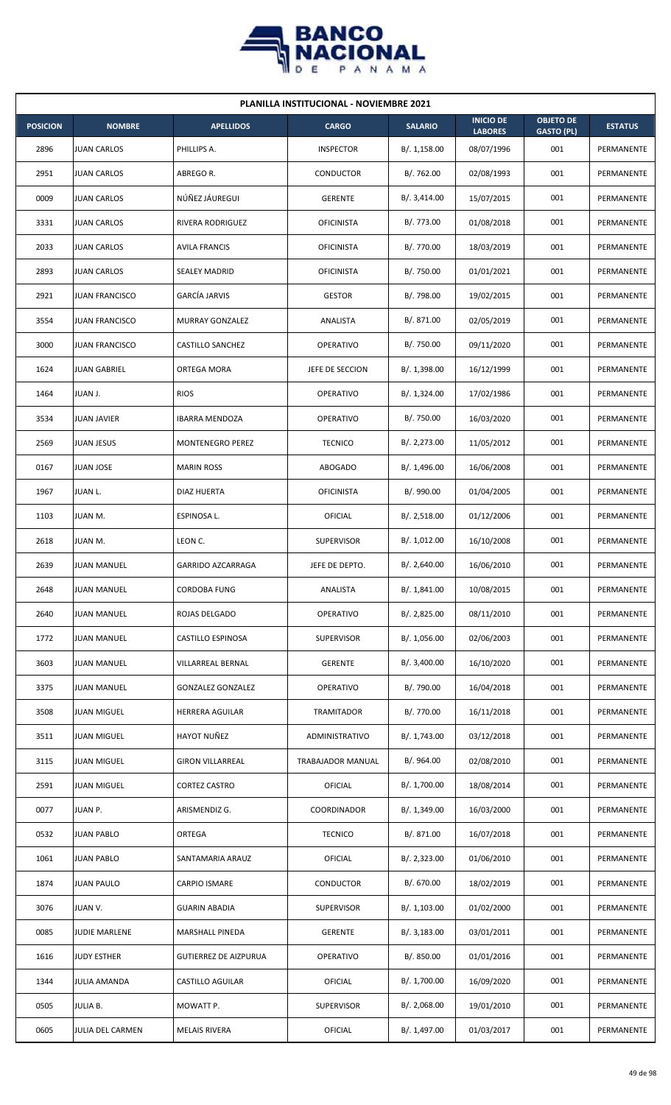

| <b>PLANILLA INSTITUCIONAL - NOVIEMBRE 2021</b> |                       |                              |                   |                |                                    |                                       |                |  |  |
|------------------------------------------------|-----------------------|------------------------------|-------------------|----------------|------------------------------------|---------------------------------------|----------------|--|--|
| <b>POSICION</b>                                | <b>NOMBRE</b>         | <b>APELLIDOS</b>             | <b>CARGO</b>      | <b>SALARIO</b> | <b>INICIO DE</b><br><b>LABORES</b> | <b>OBJETO DE</b><br><b>GASTO (PL)</b> | <b>ESTATUS</b> |  |  |
| 2896                                           | <b>JUAN CARLOS</b>    | PHILLIPS A.                  | <b>INSPECTOR</b>  | B/.1,158.00    | 08/07/1996                         | 001                                   | PERMANENTE     |  |  |
| 2951                                           | <b>JUAN CARLOS</b>    | ABREGO R.                    | CONDUCTOR         | B/. 762.00     | 02/08/1993                         | 001                                   | PERMANENTE     |  |  |
| 0009                                           | <b>JUAN CARLOS</b>    | NÚÑEZ JÁUREGUI               | <b>GERENTE</b>    | B/. 3,414.00   | 15/07/2015                         | 001                                   | PERMANENTE     |  |  |
| 3331                                           | <b>JUAN CARLOS</b>    | RIVERA RODRIGUEZ             | <b>OFICINISTA</b> | B/. 773.00     | 01/08/2018                         | 001                                   | PERMANENTE     |  |  |
| 2033                                           | <b>JUAN CARLOS</b>    | <b>AVILA FRANCIS</b>         | <b>OFICINISTA</b> | B/. 770.00     | 18/03/2019                         | 001                                   | PERMANENTE     |  |  |
| 2893                                           | <b>JUAN CARLOS</b>    | <b>SEALEY MADRID</b>         | <b>OFICINISTA</b> | B/. 750.00     | 01/01/2021                         | 001                                   | PERMANENTE     |  |  |
| 2921                                           | <b>JUAN FRANCISCO</b> | <b>GARCÍA JARVIS</b>         | <b>GESTOR</b>     | B/. 798.00     | 19/02/2015                         | 001                                   | PERMANENTE     |  |  |
| 3554                                           | <b>JUAN FRANCISCO</b> | MURRAY GONZALEZ              | <b>ANALISTA</b>   | B/. 871.00     | 02/05/2019                         | 001                                   | PERMANENTE     |  |  |
| 3000                                           | <b>JUAN FRANCISCO</b> | CASTILLO SANCHEZ             | <b>OPERATIVO</b>  | B/. 750.00     | 09/11/2020                         | 001                                   | PERMANENTE     |  |  |
| 1624                                           | <b>JUAN GABRIEL</b>   | ORTEGA MORA                  | JEFE DE SECCION   | B/. 1,398.00   | 16/12/1999                         | 001                                   | PERMANENTE     |  |  |
| 1464                                           | JUAN J.               | <b>RIOS</b>                  | <b>OPERATIVO</b>  | B/. 1,324.00   | 17/02/1986                         | 001                                   | PERMANENTE     |  |  |
| 3534                                           | <b>JUAN JAVIER</b>    | <b>IBARRA MENDOZA</b>        | <b>OPERATIVO</b>  | B/. 750.00     | 16/03/2020                         | 001                                   | PERMANENTE     |  |  |
| 2569                                           | <b>JUAN JESUS</b>     | MONTENEGRO PEREZ             | <b>TECNICO</b>    | B/. 2,273.00   | 11/05/2012                         | 001                                   | PERMANENTE     |  |  |
| 0167                                           | <b>JUAN JOSE</b>      | <b>MARIN ROSS</b>            | <b>ABOGADO</b>    | B/. 1,496.00   | 16/06/2008                         | 001                                   | PERMANENTE     |  |  |
| 1967                                           | JUAN L.               | DIAZ HUERTA                  | <b>OFICINISTA</b> | B/. 990.00     | 01/04/2005                         | 001                                   | PERMANENTE     |  |  |
| 1103                                           | JUAN M.               | ESPINOSA L.                  | <b>OFICIAL</b>    | B/.2,518.00    | 01/12/2006                         | 001                                   | PERMANENTE     |  |  |
| 2618                                           | JUAN M.               | LEON C.                      | <b>SUPERVISOR</b> | B/. 1,012.00   | 16/10/2008                         | 001                                   | PERMANENTE     |  |  |
| 2639                                           | <b>JUAN MANUEL</b>    | <b>GARRIDO AZCARRAGA</b>     | JEFE DE DEPTO.    | B/. 2,640.00   | 16/06/2010                         | 001                                   | PERMANENTE     |  |  |
| 2648                                           | <b>JUAN MANUEL</b>    | <b>CORDOBA FUNG</b>          | ANALISTA          | B/. 1,841.00   | 10/08/2015                         | 001                                   | PERMANENTE     |  |  |
| 2640                                           | <b>JUAN MANUEL</b>    | ROJAS DELGADO                | OPERATIVO         | B/. 2,825.00   | 08/11/2010                         | 001                                   | PERMANENTE     |  |  |
| 1772                                           | <b>JUAN MANUEL</b>    | CASTILLO ESPINOSA            | <b>SUPERVISOR</b> | B/. 1,056.00   | 02/06/2003                         | 001                                   | PERMANENTE     |  |  |
| 3603                                           | <b>JUAN MANUEL</b>    | VILLARREAL BERNAL            | <b>GERENTE</b>    | B/. 3,400.00   | 16/10/2020                         | 001                                   | PERMANENTE     |  |  |
| 3375                                           | <b>JUAN MANUEL</b>    | <b>GONZALEZ GONZALEZ</b>     | OPERATIVO         | B/. 790.00     | 16/04/2018                         | 001                                   | PERMANENTE     |  |  |
| 3508                                           | <b>JUAN MIGUEL</b>    | HERRERA AGUILAR              | TRAMITADOR        | B/. 770.00     | 16/11/2018                         | 001                                   | PERMANENTE     |  |  |
| 3511                                           | <b>JUAN MIGUEL</b>    | HAYOT NUÑEZ                  | ADMINISTRATIVO    | B/.1,743.00    | 03/12/2018                         | 001                                   | PERMANENTE     |  |  |
| 3115                                           | <b>JUAN MIGUEL</b>    | <b>GIRON VILLARREAL</b>      | TRABAJADOR MANUAL | B/. 964.00     | 02/08/2010                         | 001                                   | PERMANENTE     |  |  |
| 2591                                           | <b>JUAN MIGUEL</b>    | CORTEZ CASTRO                | OFICIAL           | B/. 1,700.00   | 18/08/2014                         | 001                                   | PERMANENTE     |  |  |
| 0077                                           | JUAN P.               | ARISMENDIZ G.                | COORDINADOR       | B/. 1,349.00   | 16/03/2000                         | 001                                   | PERMANENTE     |  |  |
| 0532                                           | <b>JUAN PABLO</b>     | ORTEGA                       | <b>TECNICO</b>    | B/. 871.00     | 16/07/2018                         | 001                                   | PERMANENTE     |  |  |
| 1061                                           | <b>JUAN PABLO</b>     | SANTAMARIA ARAUZ             | <b>OFICIAL</b>    | B/.2,323.00    | 01/06/2010                         | 001                                   | PERMANENTE     |  |  |
| 1874                                           | <b>JUAN PAULO</b>     | CARPIO ISMARE                | CONDUCTOR         | B/. 670.00     | 18/02/2019                         | 001                                   | PERMANENTE     |  |  |
| 3076                                           | JUAN V.               | <b>GUARIN ABADIA</b>         | <b>SUPERVISOR</b> | B/. 1,103.00   | 01/02/2000                         | 001                                   | PERMANENTE     |  |  |
| 0085                                           | <b>JUDIE MARLENE</b>  | MARSHALL PINEDA              | <b>GERENTE</b>    | B/.3,183.00    | 03/01/2011                         | 001                                   | PERMANENTE     |  |  |
| 1616                                           | <b>JUDY ESTHER</b>    | <b>GUTIERREZ DE AIZPURUA</b> | OPERATIVO         | B/. 850.00     | 01/01/2016                         | 001                                   | PERMANENTE     |  |  |
| 1344                                           | JULIA AMANDA          | CASTILLO AGUILAR             | OFICIAL           | B/. 1,700.00   | 16/09/2020                         | 001                                   | PERMANENTE     |  |  |
| 0505                                           | <b>JULIA B.</b>       | MOWATT P.                    | <b>SUPERVISOR</b> | B/.2,068.00    | 19/01/2010                         | 001                                   | PERMANENTE     |  |  |
| 0605                                           | JULIA DEL CARMEN      | <b>MELAIS RIVERA</b>         | OFICIAL           | B/. 1,497.00   | 01/03/2017                         | 001                                   | PERMANENTE     |  |  |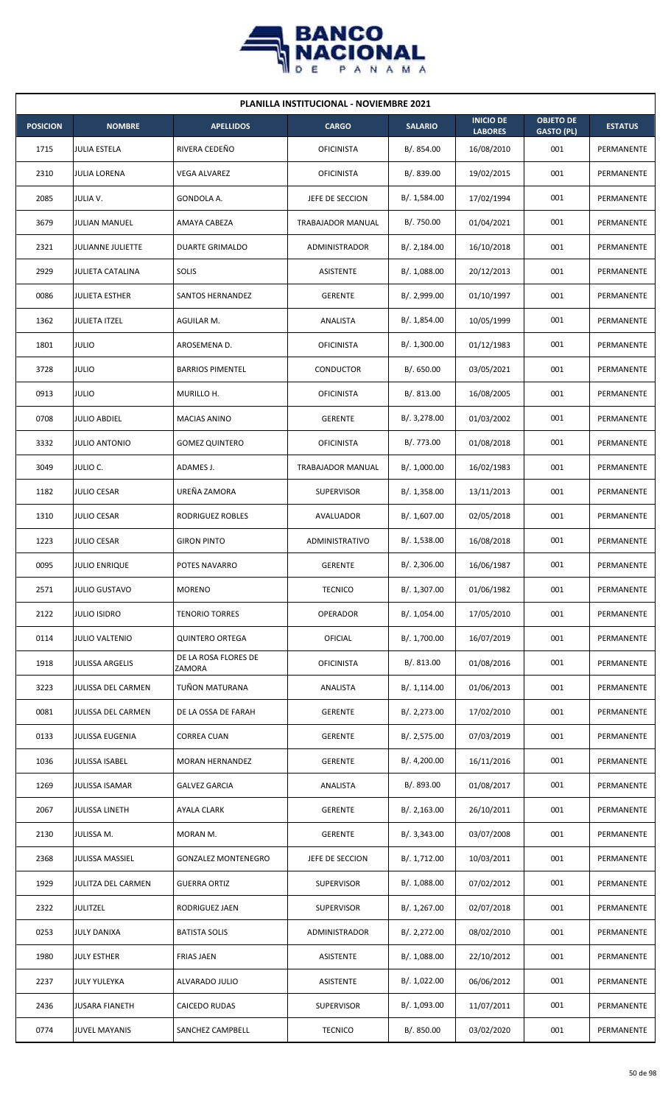

| <b>PLANILLA INSTITUCIONAL - NOVIEMBRE 2021</b> |                         |                                |                   |                |                                    |                                       |                   |  |  |
|------------------------------------------------|-------------------------|--------------------------------|-------------------|----------------|------------------------------------|---------------------------------------|-------------------|--|--|
| <b>POSICION</b>                                | <b>NOMBRE</b>           | <b>APELLIDOS</b>               | <b>CARGO</b>      | <b>SALARIO</b> | <b>INICIO DE</b><br><b>LABORES</b> | <b>OBJETO DE</b><br><b>GASTO (PL)</b> | <b>ESTATUS</b>    |  |  |
| 1715                                           | <b>JULIA ESTELA</b>     | RIVERA CEDEÑO                  | <b>OFICINISTA</b> | B/. 854.00     | 16/08/2010                         | 001                                   | PERMANENTE        |  |  |
| 2310                                           | <b>JULIA LORENA</b>     | VEGA ALVAREZ                   | <b>OFICINISTA</b> | B/. 839.00     | 19/02/2015                         | 001                                   | PERMANENTE        |  |  |
| 2085                                           | JULIA V.                | GONDOLA A.                     | JEFE DE SECCION   | B/. 1,584.00   | 17/02/1994                         | 001                                   | PERMANENTE        |  |  |
| 3679                                           | <b>JULIAN MANUEL</b>    | AMAYA CABEZA                   | TRABAJADOR MANUAL | B/. 750.00     | 01/04/2021                         | 001                                   | <b>PERMANENTE</b> |  |  |
| 2321                                           | JULIANNE JULIETTE       | DUARTE GRIMALDO                | ADMINISTRADOR     | B/.2,184.00    | 16/10/2018                         | 001                                   | PERMANENTE        |  |  |
| 2929                                           | <b>JULIETA CATALINA</b> | SOLIS                          | ASISTENTE         | B/.1,088.00    | 20/12/2013                         | 001                                   | PERMANENTE        |  |  |
| 0086                                           | <b>JULIETA ESTHER</b>   | SANTOS HERNANDEZ               | <b>GERENTE</b>    | B/. 2,999.00   | 01/10/1997                         | 001                                   | PERMANENTE        |  |  |
| 1362                                           | <b>JULIETA ITZEL</b>    | AGUILAR M.                     | ANALISTA          | B/.1,854.00    | 10/05/1999                         | 001                                   | PERMANENTE        |  |  |
| 1801                                           | <b>JULIO</b>            | AROSEMENA D.                   | <b>OFICINISTA</b> | B/. 1,300.00   | 01/12/1983                         | 001                                   | PERMANENTE        |  |  |
| 3728                                           | <b>JULIO</b>            | <b>BARRIOS PIMENTEL</b>        | CONDUCTOR         | B/. 650.00     | 03/05/2021                         | 001                                   | PERMANENTE        |  |  |
| 0913                                           | <b>JULIO</b>            | MURILLO H.                     | <b>OFICINISTA</b> | B/. 813.00     | 16/08/2005                         | 001                                   | PERMANENTE        |  |  |
| 0708                                           | <b>JULIO ABDIEL</b>     | <b>MACIAS ANINO</b>            | <b>GERENTE</b>    | B/. 3,278.00   | 01/03/2002                         | 001                                   | PERMANENTE        |  |  |
| 3332                                           | <b>JULIO ANTONIO</b>    | <b>GOMEZ QUINTERO</b>          | <b>OFICINISTA</b> | B/. 773.00     | 01/08/2018                         | 001                                   | PERMANENTE        |  |  |
| 3049                                           | JULIO C.                | ADAMES J.                      | TRABAJADOR MANUAL | B/. 1,000.00   | 16/02/1983                         | 001                                   | PERMANENTE        |  |  |
| 1182                                           | <b>JULIO CESAR</b>      | UREÑA ZAMORA                   | <b>SUPERVISOR</b> | B/.1,358.00    | 13/11/2013                         | 001                                   | PERMANENTE        |  |  |
| 1310                                           | <b>JULIO CESAR</b>      | RODRIGUEZ ROBLES               | AVALUADOR         | B/. 1,607.00   | 02/05/2018                         | 001                                   | PERMANENTE        |  |  |
| 1223                                           | <b>JULIO CESAR</b>      | <b>GIRON PINTO</b>             | ADMINISTRATIVO    | B/. 1,538.00   | 16/08/2018                         | 001                                   | PERMANENTE        |  |  |
| 0095                                           | <b>JULIO ENRIQUE</b>    | POTES NAVARRO                  | <b>GERENTE</b>    | B/.2,306.00    | 16/06/1987                         | 001                                   | PERMANENTE        |  |  |
| 2571                                           | JULIO GUSTAVO           | <b>MORENO</b>                  | <b>TECNICO</b>    | B/. 1,307.00   | 01/06/1982                         | 001                                   | PERMANENTE        |  |  |
| 2122                                           | <b>JULIO ISIDRO</b>     | <b>TENORIO TORRES</b>          | OPERADOR          | B/. 1,054.00   | 17/05/2010                         | 001                                   | PERMANENTE        |  |  |
| 0114                                           | <b>JULIO VALTENIO</b>   | <b>QUINTERO ORTEGA</b>         | <b>OFICIAL</b>    | B/. 1,700.00   | 16/07/2019                         | 001                                   | PERMANENTE        |  |  |
| 1918                                           | <b>JULISSA ARGELIS</b>  | DE LA ROSA FLORES DE<br>ZAMORA | <b>OFICINISTA</b> | B/. 813.00     | 01/08/2016                         | 001                                   | PERMANENTE        |  |  |
| 3223                                           | JULISSA DEL CARMEN      | TUÑON MATURANA                 | ANALISTA          | B/. 1,114.00   | 01/06/2013                         | 001                                   | PERMANENTE        |  |  |
| 0081                                           | JULISSA DEL CARMEN      | DE LA OSSA DE FARAH            | <b>GERENTE</b>    | B/. 2,273.00   | 17/02/2010                         | 001                                   | PERMANENTE        |  |  |
| 0133                                           | <b>JULISSA EUGENIA</b>  | <b>CORREA CUAN</b>             | <b>GERENTE</b>    | B/.2,575.00    | 07/03/2019                         | 001                                   | PERMANENTE        |  |  |
| 1036                                           | <b>JULISSA ISABEL</b>   | MORAN HERNANDEZ                | <b>GERENTE</b>    | B/.4,200.00    | 16/11/2016                         | 001                                   | PERMANENTE        |  |  |
| 1269                                           | JULISSA ISAMAR          | <b>GALVEZ GARCIA</b>           | ANALISTA          | B/. 893.00     | 01/08/2017                         | 001                                   | PERMANENTE        |  |  |
| 2067                                           | <b>JULISSA LINETH</b>   | AYALA CLARK                    | <b>GERENTE</b>    | B/.2,163.00    | 26/10/2011                         | 001                                   | PERMANENTE        |  |  |
| 2130                                           | JULISSA M.              | MORAN M.                       | <b>GERENTE</b>    | B/.3,343.00    | 03/07/2008                         | 001                                   | PERMANENTE        |  |  |
| 2368                                           | JULISSA MASSIEL         | <b>GONZALEZ MONTENEGRO</b>     | JEFE DE SECCION   | B/. 1,712.00   | 10/03/2011                         | 001                                   | PERMANENTE        |  |  |
| 1929                                           | JULITZA DEL CARMEN      | <b>GUERRA ORTIZ</b>            | <b>SUPERVISOR</b> | B/. 1,088.00   | 07/02/2012                         | 001                                   | PERMANENTE        |  |  |
| 2322                                           | <b>JULITZEL</b>         | RODRIGUEZ JAEN                 | <b>SUPERVISOR</b> | B/. 1,267.00   | 02/07/2018                         | 001                                   | PERMANENTE        |  |  |
| 0253                                           | <b>JULY DANIXA</b>      | <b>BATISTA SOLIS</b>           | ADMINISTRADOR     | B/.2,272.00    | 08/02/2010                         | 001                                   | PERMANENTE        |  |  |
| 1980                                           | <b>JULY ESTHER</b>      | <b>FRIAS JAEN</b>              | ASISTENTE         | B/. 1,088.00   | 22/10/2012                         | 001                                   | PERMANENTE        |  |  |
| 2237                                           | <b>JULY YULEYKA</b>     | ALVARADO JULIO                 | ASISTENTE         | B/. 1,022.00   | 06/06/2012                         | 001                                   | PERMANENTE        |  |  |
| 2436                                           | <b>JUSARA FIANETH</b>   | <b>CAICEDO RUDAS</b>           | <b>SUPERVISOR</b> | B/. 1,093.00   | 11/07/2011                         | 001                                   | PERMANENTE        |  |  |
| 0774                                           | <b>JUVEL MAYANIS</b>    | SANCHEZ CAMPBELL               | <b>TECNICO</b>    | B/. 850.00     | 03/02/2020                         | 001                                   | PERMANENTE        |  |  |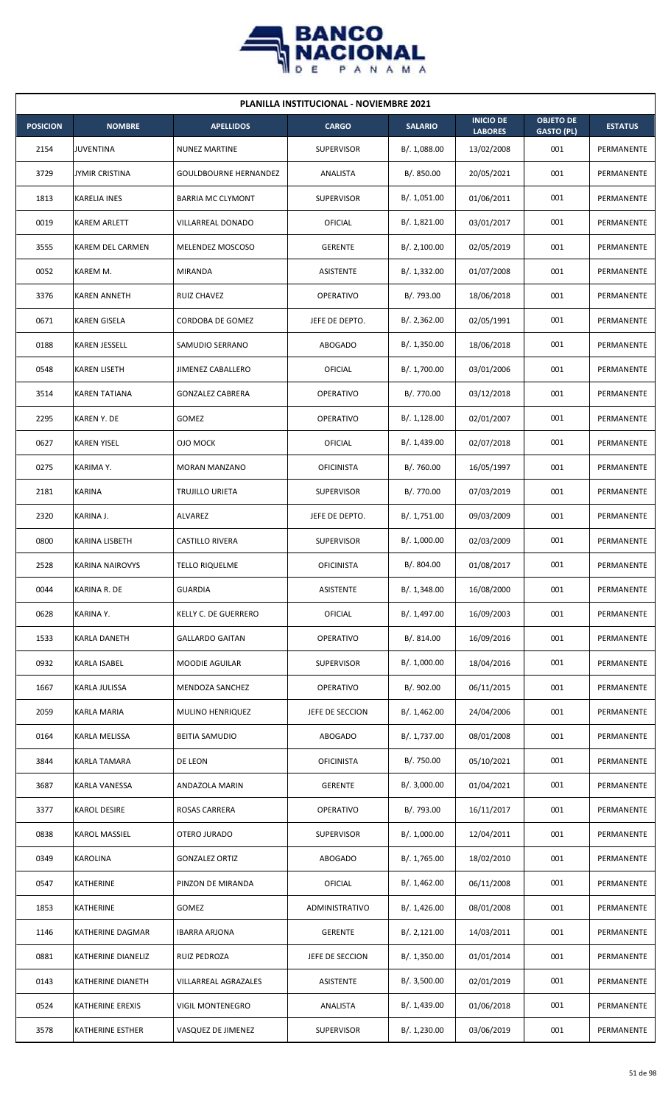

| <b>PLANILLA INSTITUCIONAL - NOVIEMBRE 2021</b> |                         |                              |                   |                |                                    |                                       |                |  |  |
|------------------------------------------------|-------------------------|------------------------------|-------------------|----------------|------------------------------------|---------------------------------------|----------------|--|--|
| <b>POSICION</b>                                | <b>NOMBRE</b>           | <b>APELLIDOS</b>             | <b>CARGO</b>      | <b>SALARIO</b> | <b>INICIO DE</b><br><b>LABORES</b> | <b>OBJETO DE</b><br><b>GASTO (PL)</b> | <b>ESTATUS</b> |  |  |
| 2154                                           | <b>JUVENTINA</b>        | <b>NUNEZ MARTINE</b>         | <b>SUPERVISOR</b> | B/. 1,088.00   | 13/02/2008                         | 001                                   | PERMANENTE     |  |  |
| 3729                                           | <b>JYMIR CRISTINA</b>   | <b>GOULDBOURNE HERNANDEZ</b> | ANALISTA          | B/. 850.00     | 20/05/2021                         | 001                                   | PERMANENTE     |  |  |
| 1813                                           | <b>KARELIA INES</b>     | <b>BARRIA MC CLYMONT</b>     | <b>SUPERVISOR</b> | B/. 1,051.00   | 01/06/2011                         | 001                                   | PERMANENTE     |  |  |
| 0019                                           | <b>KAREM ARLETT</b>     | VILLARREAL DONADO            | <b>OFICIAL</b>    | B/. 1,821.00   | 03/01/2017                         | 001                                   | PERMANENTE     |  |  |
| 3555                                           | KAREM DEL CARMEN        | MELENDEZ MOSCOSO             | <b>GERENTE</b>    | B/.2,100.00    | 02/05/2019                         | 001                                   | PERMANENTE     |  |  |
| 0052                                           | KAREM M.                | MIRANDA                      | ASISTENTE         | B/.1,332.00    | 01/07/2008                         | 001                                   | PERMANENTE     |  |  |
| 3376                                           | <b>KAREN ANNETH</b>     | <b>RUIZ CHAVEZ</b>           | <b>OPERATIVO</b>  | B/. 793.00     | 18/06/2018                         | 001                                   | PERMANENTE     |  |  |
| 0671                                           | <b>KAREN GISELA</b>     | CORDOBA DE GOMEZ             | JEFE DE DEPTO.    | B/.2,362.00    | 02/05/1991                         | 001                                   | PERMANENTE     |  |  |
| 0188                                           | KAREN JESSELL           | SAMUDIO SERRANO              | <b>ABOGADO</b>    | B/. 1,350.00   | 18/06/2018                         | 001                                   | PERMANENTE     |  |  |
| 0548                                           | <b>KAREN LISETH</b>     | JIMENEZ CABALLERO            | OFICIAL           | B/. 1,700.00   | 03/01/2006                         | 001                                   | PERMANENTE     |  |  |
| 3514                                           | <b>KAREN TATIANA</b>    | <b>GONZALEZ CABRERA</b>      | <b>OPERATIVO</b>  | B/. 770.00     | 03/12/2018                         | 001                                   | PERMANENTE     |  |  |
| 2295                                           | KAREN Y. DE             | GOMEZ                        | <b>OPERATIVO</b>  | B/.1,128.00    | 02/01/2007                         | 001                                   | PERMANENTE     |  |  |
| 0627                                           | <b>KAREN YISEL</b>      | OJO MOCK                     | OFICIAL           | B/. 1,439.00   | 02/07/2018                         | 001                                   | PERMANENTE     |  |  |
| 0275                                           | KARIMA Y.               | <b>MORAN MANZANO</b>         | <b>OFICINISTA</b> | B/. 760.00     | 16/05/1997                         | 001                                   | PERMANENTE     |  |  |
| 2181                                           | <b>KARINA</b>           | <b>TRUJILLO URIETA</b>       | <b>SUPERVISOR</b> | B/. 770.00     | 07/03/2019                         | 001                                   | PERMANENTE     |  |  |
| 2320                                           | KARINA J.               | ALVAREZ                      | JEFE DE DEPTO.    | B/.1,751.00    | 09/03/2009                         | 001                                   | PERMANENTE     |  |  |
| 0800                                           | KARINA LISBETH          | CASTILLO RIVERA              | <b>SUPERVISOR</b> | B/. 1,000.00   | 02/03/2009                         | 001                                   | PERMANENTE     |  |  |
| 2528                                           | <b>KARINA NAIROVYS</b>  | <b>TELLO RIQUELME</b>        | <b>OFICINISTA</b> | B/. 804.00     | 01/08/2017                         | 001                                   | PERMANENTE     |  |  |
| 0044                                           | KARINA R. DE            | <b>GUARDIA</b>               | <b>ASISTENTE</b>  | B/. 1,348.00   | 16/08/2000                         | 001                                   | PERMANENTE     |  |  |
| 0628                                           | KARINA Y.               | KELLY C. DE GUERRERO         | <b>OFICIAL</b>    | B/. 1,497.00   | 16/09/2003                         | 001                                   | PERMANENTE     |  |  |
| 1533                                           | KARLA DANETH            | <b>GALLARDO GAITAN</b>       | OPERATIVO         | B/. 814.00     | 16/09/2016                         | 001                                   | PERMANENTE     |  |  |
| 0932                                           | KARLA ISABEL            | MOODIE AGUILAR               | <b>SUPERVISOR</b> | B/. 1,000.00   | 18/04/2016                         | 001                                   | PERMANENTE     |  |  |
| 1667                                           | KARLA JULISSA           | MENDOZA SANCHEZ              | OPERATIVO         | B/. 902.00     | 06/11/2015                         | 001                                   | PERMANENTE     |  |  |
| 2059                                           | <b>KARLA MARIA</b>      | MULINO HENRIQUEZ             | JEFE DE SECCION   | B/.1,462.00    | 24/04/2006                         | 001                                   | PERMANENTE     |  |  |
| 0164                                           | KARLA MELISSA           | <b>BEITIA SAMUDIO</b>        | ABOGADO           | B/. 1,737.00   | 08/01/2008                         | 001                                   | PERMANENTE     |  |  |
| 3844                                           | <b>KARLA TAMARA</b>     | DE LEON                      | <b>OFICINISTA</b> | B/. 750.00     | 05/10/2021                         | 001                                   | PERMANENTE     |  |  |
| 3687                                           | KARLA VANESSA           | ANDAZOLA MARIN               | <b>GERENTE</b>    | B/.3,000.00    | 01/04/2021                         | 001                                   | PERMANENTE     |  |  |
| 3377                                           | KAROL DESIRE            | ROSAS CARRERA                | <b>OPERATIVO</b>  | B/. 793.00     | 16/11/2017                         | 001                                   | PERMANENTE     |  |  |
| 0838                                           | <b>KAROL MASSIEL</b>    | OTERO JURADO                 | SUPERVISOR        | B/. 1,000.00   | 12/04/2011                         | 001                                   | PERMANENTE     |  |  |
| 0349                                           | <b>KAROLINA</b>         | <b>GONZALEZ ORTIZ</b>        | <b>ABOGADO</b>    | B/. 1,765.00   | 18/02/2010                         | 001                                   | PERMANENTE     |  |  |
| 0547                                           | KATHERINE               | PINZON DE MIRANDA            | <b>OFICIAL</b>    | B/. 1,462.00   | 06/11/2008                         | 001                                   | PERMANENTE     |  |  |
| 1853                                           | KATHERINE               | GOMEZ                        | ADMINISTRATIVO    | B/.1,426.00    | 08/01/2008                         | 001                                   | PERMANENTE     |  |  |
| 1146                                           | KATHERINE DAGMAR        | <b>IBARRA ARJONA</b>         | <b>GERENTE</b>    | B/.2,121.00    | 14/03/2011                         | 001                                   | PERMANENTE     |  |  |
| 0881                                           | KATHERINE DIANELIZ      | <b>RUIZ PEDROZA</b>          | JEFE DE SECCION   | B/.1,350.00    | 01/01/2014                         | 001                                   | PERMANENTE     |  |  |
| 0143                                           | KATHERINE DIANETH       | VILLARREAL AGRAZALES         | ASISTENTE         | B/.3,500.00    | 02/01/2019                         | 001                                   | PERMANENTE     |  |  |
| 0524                                           | KATHERINE EREXIS        | VIGIL MONTENEGRO             | ANALISTA          | B/. 1,439.00   | 01/06/2018                         | 001                                   | PERMANENTE     |  |  |
| 3578                                           | <b>KATHERINE ESTHER</b> | VASQUEZ DE JIMENEZ           | <b>SUPERVISOR</b> | B/. 1,230.00   | 03/06/2019                         | 001                                   | PERMANENTE     |  |  |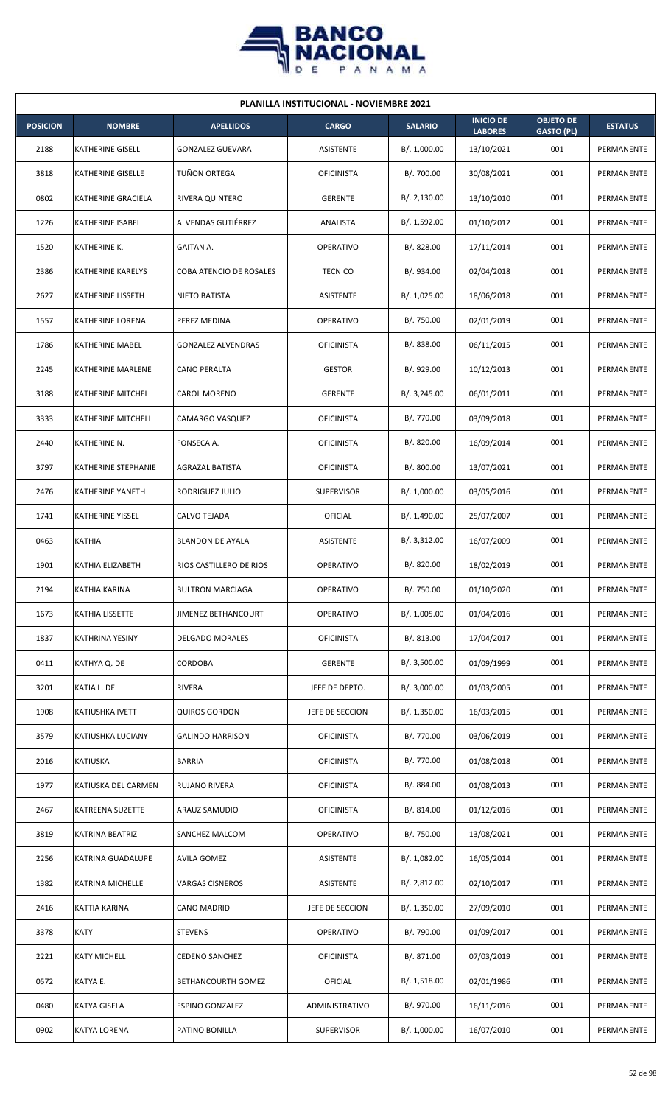

| <b>PLANILLA INSTITUCIONAL - NOVIEMBRE 2021</b> |                          |                            |                   |                |                                    |                                       |                |  |  |
|------------------------------------------------|--------------------------|----------------------------|-------------------|----------------|------------------------------------|---------------------------------------|----------------|--|--|
| <b>POSICION</b>                                | <b>NOMBRE</b>            | <b>APELLIDOS</b>           | <b>CARGO</b>      | <b>SALARIO</b> | <b>INICIO DE</b><br><b>LABORES</b> | <b>OBJETO DE</b><br><b>GASTO (PL)</b> | <b>ESTATUS</b> |  |  |
| 2188                                           | <b>KATHERINE GISELL</b>  | <b>GONZALEZ GUEVARA</b>    | <b>ASISTENTE</b>  | B/. 1,000.00   | 13/10/2021                         | 001                                   | PERMANENTE     |  |  |
| 3818                                           | <b>KATHERINE GISELLE</b> | TUÑON ORTEGA               | <b>OFICINISTA</b> | B/. 700.00     | 30/08/2021                         | 001                                   | PERMANENTE     |  |  |
| 0802                                           | KATHERINE GRACIELA       | RIVERA QUINTERO            | <b>GERENTE</b>    | B/.2,130.00    | 13/10/2010                         | 001                                   | PERMANENTE     |  |  |
| 1226                                           | KATHERINE ISABEL         | <b>ALVENDAS GUTIÉRREZ</b>  | ANALISTA          | B/. 1,592.00   | 01/10/2012                         | 001                                   | PERMANENTE     |  |  |
| 1520                                           | KATHERINE K.             | GAITAN A.                  | OPERATIVO         | B/. 828.00     | 17/11/2014                         | 001                                   | PERMANENTE     |  |  |
| 2386                                           | KATHERINE KARELYS        | COBA ATENCIO DE ROSALES    | <b>TECNICO</b>    | B/. 934.00     | 02/04/2018                         | 001                                   | PERMANENTE     |  |  |
| 2627                                           | KATHERINE LISSETH        | NIETO BATISTA              | ASISTENTE         | B/. 1,025.00   | 18/06/2018                         | 001                                   | PERMANENTE     |  |  |
| 1557                                           | KATHERINE LORENA         | PEREZ MEDINA               | <b>OPERATIVO</b>  | B/. 750.00     | 02/01/2019                         | 001                                   | PERMANENTE     |  |  |
| 1786                                           | <b>KATHERINE MABEL</b>   | <b>GONZALEZ ALVENDRAS</b>  | <b>OFICINISTA</b> | B/. 838.00     | 06/11/2015                         | 001                                   | PERMANENTE     |  |  |
| 2245                                           | KATHERINE MARLENE        | CANO PERALTA               | <b>GESTOR</b>     | B/. 929.00     | 10/12/2013                         | 001                                   | PERMANENTE     |  |  |
| 3188                                           | KATHERINE MITCHEL        | <b>CAROL MORENO</b>        | <b>GERENTE</b>    | B/.3,245.00    | 06/01/2011                         | 001                                   | PERMANENTE     |  |  |
| 3333                                           | KATHERINE MITCHELL       | CAMARGO VASQUEZ            | <b>OFICINISTA</b> | B/. 770.00     | 03/09/2018                         | 001                                   | PERMANENTE     |  |  |
| 2440                                           | KATHERINE N.             | FONSECA A.                 | <b>OFICINISTA</b> | B/. 820.00     | 16/09/2014                         | 001                                   | PERMANENTE     |  |  |
| 3797                                           | KATHERINE STEPHANIE      | AGRAZAL BATISTA            | <b>OFICINISTA</b> | B/. 800.00     | 13/07/2021                         | 001                                   | PERMANENTE     |  |  |
| 2476                                           | <b>KATHERINE YANETH</b>  | RODRIGUEZ JULIO            | <b>SUPERVISOR</b> | B/. 1,000.00   | 03/05/2016                         | 001                                   | PERMANENTE     |  |  |
| 1741                                           | KATHERINE YISSEL         | CALVO TEJADA               | OFICIAL           | B/. 1,490.00   | 25/07/2007                         | 001                                   | PERMANENTE     |  |  |
| 0463                                           | <b>KATHIA</b>            | <b>BLANDON DE AYALA</b>    | ASISTENTE         | B/.3,312.00    | 16/07/2009                         | 001                                   | PERMANENTE     |  |  |
| 1901                                           | KATHIA ELIZABETH         | RIOS CASTILLERO DE RIOS    | <b>OPERATIVO</b>  | B/. 820.00     | 18/02/2019                         | 001                                   | PERMANENTE     |  |  |
| 2194                                           | KATHIA KARINA            | <b>BULTRON MARCIAGA</b>    | OPERATIVO         | B/. 750.00     | 01/10/2020                         | 001                                   | PERMANENTE     |  |  |
| 1673                                           | KATHIA LISSETTE          | <b>JIMENEZ BETHANCOURT</b> | <b>OPERATIVO</b>  | B/. 1,005.00   | 01/04/2016                         | 001                                   | PERMANENTE     |  |  |
| 1837                                           | KATHRINA YESINY          | <b>DELGADO MORALES</b>     | <b>OFICINISTA</b> | B/0.813.00     | 17/04/2017                         | 001                                   | PERMANENTE     |  |  |
| 0411                                           | KATHYA Q. DE             | CORDOBA                    | <b>GERENTE</b>    | B/. 3,500.00   | 01/09/1999                         | 001                                   | PERMANENTE     |  |  |
| 3201                                           | KATIA L. DE              | RIVERA                     | JEFE DE DEPTO.    | B/. 3,000.00   | 01/03/2005                         | 001                                   | PERMANENTE     |  |  |
| 1908                                           | KATIUSHKA IVETT          | <b>QUIROS GORDON</b>       | JEFE DE SECCION   | B/. 1,350.00   | 16/03/2015                         | 001                                   | PERMANENTE     |  |  |
| 3579                                           | KATIUSHKA LUCIANY        | <b>GALINDO HARRISON</b>    | <b>OFICINISTA</b> | B/. 770.00     | 03/06/2019                         | 001                                   | PERMANENTE     |  |  |
| 2016                                           | <b>KATIUSKA</b>          | <b>BARRIA</b>              | <b>OFICINISTA</b> | B/. 770.00     | 01/08/2018                         | 001                                   | PERMANENTE     |  |  |
| 1977                                           | KATIUSKA DEL CARMEN      | <b>RUJANO RIVERA</b>       | <b>OFICINISTA</b> | B/. 884.00     | 01/08/2013                         | 001                                   | PERMANENTE     |  |  |
| 2467                                           | KATREENA SUZETTE         | ARAUZ SAMUDIO              | <b>OFICINISTA</b> | B/.814.00      | 01/12/2016                         | 001                                   | PERMANENTE     |  |  |
| 3819                                           | KATRINA BEATRIZ          | SANCHEZ MALCOM             | OPERATIVO         | B/. 750.00     | 13/08/2021                         | 001                                   | PERMANENTE     |  |  |
| 2256                                           | KATRINA GUADALUPE        | <b>AVILA GOMEZ</b>         | ASISTENTE         | B/. 1,082.00   | 16/05/2014                         | 001                                   | PERMANENTE     |  |  |
| 1382                                           | KATRINA MICHELLE         | VARGAS CISNEROS            | ASISTENTE         | B/. 2,812.00   | 02/10/2017                         | 001                                   | PERMANENTE     |  |  |
| 2416                                           | KATTIA KARINA            | CANO MADRID                | JEFE DE SECCION   | B/. 1,350.00   | 27/09/2010                         | 001                                   | PERMANENTE     |  |  |
| 3378                                           | <b>KATY</b>              | <b>STEVENS</b>             | <b>OPERATIVO</b>  | B/. 790.00     | 01/09/2017                         | 001                                   | PERMANENTE     |  |  |
| 2221                                           | <b>KATY MICHELL</b>      | CEDENO SANCHEZ             | <b>OFICINISTA</b> | B/. 871.00     | 07/03/2019                         | 001                                   | PERMANENTE     |  |  |
| 0572                                           | KATYA E.                 | BETHANCOURTH GOMEZ         | OFICIAL           | B/.1,518.00    | 02/01/1986                         | 001                                   | PERMANENTE     |  |  |
| 0480                                           | KATYA GISELA             | <b>ESPINO GONZALEZ</b>     | ADMINISTRATIVO    | B/. 970.00     | 16/11/2016                         | 001                                   | PERMANENTE     |  |  |
| 0902                                           | <b>KATYA LORENA</b>      | PATINO BONILLA             | <b>SUPERVISOR</b> | B/. 1,000.00   | 16/07/2010                         | 001                                   | PERMANENTE     |  |  |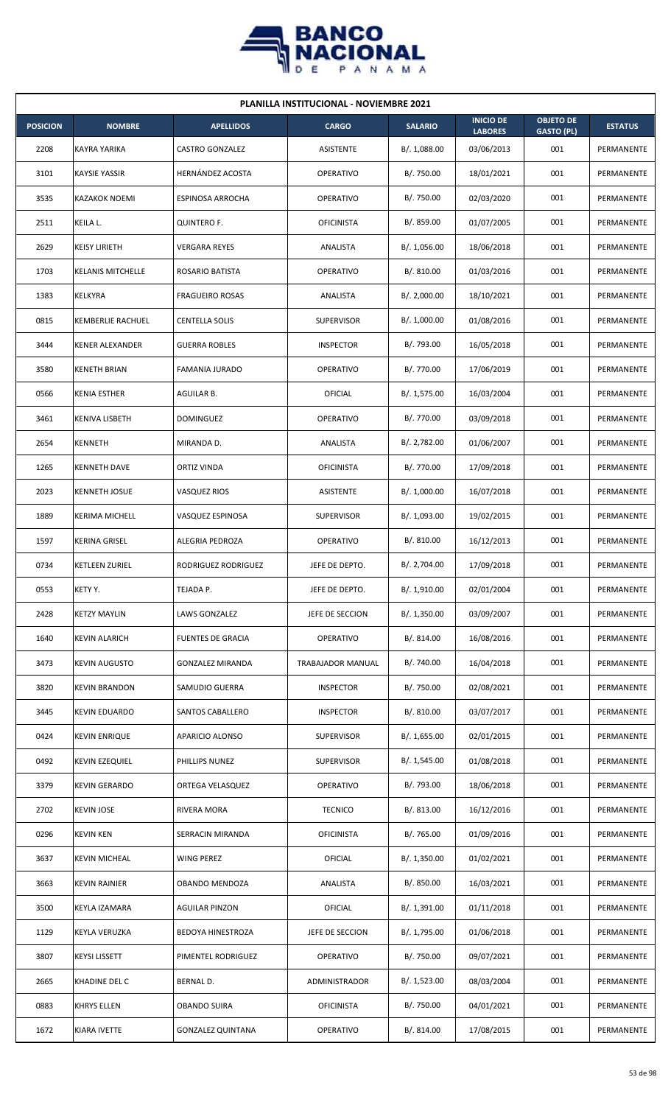

| <b>PLANILLA INSTITUCIONAL - NOVIEMBRE 2021</b> |                          |                          |                   |                |                                    |                                       |                |  |  |
|------------------------------------------------|--------------------------|--------------------------|-------------------|----------------|------------------------------------|---------------------------------------|----------------|--|--|
| <b>POSICION</b>                                | <b>NOMBRE</b>            | <b>APELLIDOS</b>         | <b>CARGO</b>      | <b>SALARIO</b> | <b>INICIO DE</b><br><b>LABORES</b> | <b>OBJETO DE</b><br><b>GASTO (PL)</b> | <b>ESTATUS</b> |  |  |
| 2208                                           | KAYRA YARIKA             | <b>CASTRO GONZALEZ</b>   | ASISTENTE         | B/.1,088.00    | 03/06/2013                         | 001                                   | PERMANENTE     |  |  |
| 3101                                           | <b>KAYSIE YASSIR</b>     | HERNÁNDEZ ACOSTA         | OPERATIVO         | B/. 750.00     | 18/01/2021                         | 001                                   | PERMANENTE     |  |  |
| 3535                                           | <b>KAZAKOK NOEMI</b>     | <b>ESPINOSA ARROCHA</b>  | <b>OPERATIVO</b>  | B/. 750.00     | 02/03/2020                         | 001                                   | PERMANENTE     |  |  |
| 2511                                           | KEILA L.                 | <b>QUINTERO F.</b>       | <b>OFICINISTA</b> | B/. 859.00     | 01/07/2005                         | 001                                   | PERMANENTE     |  |  |
| 2629                                           | <b>KEISY LIRIETH</b>     | VERGARA REYES            | ANALISTA          | B/. 1,056.00   | 18/06/2018                         | 001                                   | PERMANENTE     |  |  |
| 1703                                           | <b>KELANIS MITCHELLE</b> | ROSARIO BATISTA          | OPERATIVO         | B/.810.00      | 01/03/2016                         | 001                                   | PERMANENTE     |  |  |
| 1383                                           | KELKYRA                  | <b>FRAGUEIRO ROSAS</b>   | ANALISTA          | B/.2,000.00    | 18/10/2021                         | 001                                   | PERMANENTE     |  |  |
| 0815                                           | <b>KEMBERLIE RACHUEL</b> | <b>CENTELLA SOLIS</b>    | <b>SUPERVISOR</b> | B/. 1,000.00   | 01/08/2016                         | 001                                   | PERMANENTE     |  |  |
| 3444                                           | <b>KENER ALEXANDER</b>   | <b>GUERRA ROBLES</b>     | <b>INSPECTOR</b>  | B/. 793.00     | 16/05/2018                         | 001                                   | PERMANENTE     |  |  |
| 3580                                           | <b>KENETH BRIAN</b>      | FAMANIA JURADO           | <b>OPERATIVO</b>  | B/. 770.00     | 17/06/2019                         | 001                                   | PERMANENTE     |  |  |
| 0566                                           | <b>KENIA ESTHER</b>      | AGUILAR B.               | OFICIAL           | B/. 1,575.00   | 16/03/2004                         | 001                                   | PERMANENTE     |  |  |
| 3461                                           | KENIVA LISBETH           | <b>DOMINGUEZ</b>         | <b>OPERATIVO</b>  | B/. 770.00     | 03/09/2018                         | 001                                   | PERMANENTE     |  |  |
| 2654                                           | KENNETH                  | MIRANDA D.               | ANALISTA          | B/. 2,782.00   | 01/06/2007                         | 001                                   | PERMANENTE     |  |  |
| 1265                                           | <b>KENNETH DAVE</b>      | ORTIZ VINDA              | <b>OFICINISTA</b> | B/. 770.00     | 17/09/2018                         | 001                                   | PERMANENTE     |  |  |
| 2023                                           | <b>KENNETH JOSUE</b>     | <b>VASQUEZ RIOS</b>      | <b>ASISTENTE</b>  | B/. 1,000.00   | 16/07/2018                         | 001                                   | PERMANENTE     |  |  |
| 1889                                           | <b>KERIMA MICHELL</b>    | VASQUEZ ESPINOSA         | <b>SUPERVISOR</b> | B/. 1,093.00   | 19/02/2015                         | 001                                   | PERMANENTE     |  |  |
| 1597                                           | <b>KERINA GRISEL</b>     | ALEGRIA PEDROZA          | OPERATIVO         | B/.810.00      | 16/12/2013                         | 001                                   | PERMANENTE     |  |  |
| 0734                                           | <b>KETLEEN ZURIEL</b>    | RODRIGUEZ RODRIGUEZ      | JEFE DE DEPTO.    | B/. 2,704.00   | 17/09/2018                         | 001                                   | PERMANENTE     |  |  |
| 0553                                           | KETY Y.                  | TEJADA P.                | JEFE DE DEPTO.    | B/. 1,910.00   | 02/01/2004                         | 001                                   | PERMANENTE     |  |  |
| 2428                                           | <b>KETZY MAYLIN</b>      | <b>LAWS GONZALEZ</b>     | JEFE DE SECCION   | B/. 1,350.00   | 03/09/2007                         | 001                                   | PERMANENTE     |  |  |
| 1640                                           | <b>KEVIN ALARICH</b>     | FUENTES DE GRACIA        | OPERATIVO         | B/. 814.00     | 16/08/2016                         | 001                                   | PERMANENTE     |  |  |
| 3473                                           | <b>KEVIN AUGUSTO</b>     | <b>GONZALEZ MIRANDA</b>  | TRABAJADOR MANUAL | B/. 740.00     | 16/04/2018                         | 001                                   | PERMANENTE     |  |  |
| 3820                                           | <b>KEVIN BRANDON</b>     | SAMUDIO GUERRA           | <b>INSPECTOR</b>  | B/. 750.00     | 02/08/2021                         | 001                                   | PERMANENTE     |  |  |
| 3445                                           | <b>KEVIN EDUARDO</b>     | SANTOS CABALLERO         | <b>INSPECTOR</b>  | B/.810.00      | 03/07/2017                         | 001                                   | PERMANENTE     |  |  |
| 0424                                           | <b>KEVIN ENRIQUE</b>     | APARICIO ALONSO          | <b>SUPERVISOR</b> | B/. 1,655.00   | 02/01/2015                         | 001                                   | PERMANENTE     |  |  |
| 0492                                           | <b>KEVIN EZEQUIEL</b>    | PHILLIPS NUNEZ           | <b>SUPERVISOR</b> | B/. 1,545.00   | 01/08/2018                         | 001                                   | PERMANENTE     |  |  |
| 3379                                           | <b>KEVIN GERARDO</b>     | ORTEGA VELASQUEZ         | OPERATIVO         | B/. 793.00     | 18/06/2018                         | 001                                   | PERMANENTE     |  |  |
| 2702                                           | <b>KEVIN JOSE</b>        | RIVERA MORA              | <b>TECNICO</b>    | B/. 813.00     | 16/12/2016                         | 001                                   | PERMANENTE     |  |  |
| 0296                                           | <b>KEVIN KEN</b>         | SERRACIN MIRANDA         | <b>OFICINISTA</b> | B/. 765.00     | 01/09/2016                         | 001                                   | PERMANENTE     |  |  |
| 3637                                           | <b>KEVIN MICHEAL</b>     | WING PEREZ               | <b>OFICIAL</b>    | B/.1,350.00    | 01/02/2021                         | 001                                   | PERMANENTE     |  |  |
| 3663                                           | <b>KEVIN RAINIER</b>     | OBANDO MENDOZA           | ANALISTA          | B/.850.00      | 16/03/2021                         | 001                                   | PERMANENTE     |  |  |
| 3500                                           | KEYLA IZAMARA            | <b>AGUILAR PINZON</b>    | <b>OFICIAL</b>    | B/. 1,391.00   | 01/11/2018                         | 001                                   | PERMANENTE     |  |  |
| 1129                                           | KEYLA VERUZKA            | <b>BEDOYA HINESTROZA</b> | JEFE DE SECCION   | B/. 1,795.00   | 01/06/2018                         | 001                                   | PERMANENTE     |  |  |
| 3807                                           | <b>KEYSI LISSETT</b>     | PIMENTEL RODRIGUEZ       | OPERATIVO         | B/. 750.00     | 09/07/2021                         | 001                                   | PERMANENTE     |  |  |
| 2665                                           | KHADINE DEL C            | BERNAL D.                | ADMINISTRADOR     | B/. 1,523.00   | 08/03/2004                         | 001                                   | PERMANENTE     |  |  |
| 0883                                           | <b>KHRYS ELLEN</b>       | <b>OBANDO SUIRA</b>      | <b>OFICINISTA</b> | B/. 750.00     | 04/01/2021                         | 001                                   | PERMANENTE     |  |  |
| 1672                                           | KIARA IVETTE             | <b>GONZALEZ QUINTANA</b> | OPERATIVO         | B/. 814.00     | 17/08/2015                         | 001                                   | PERMANENTE     |  |  |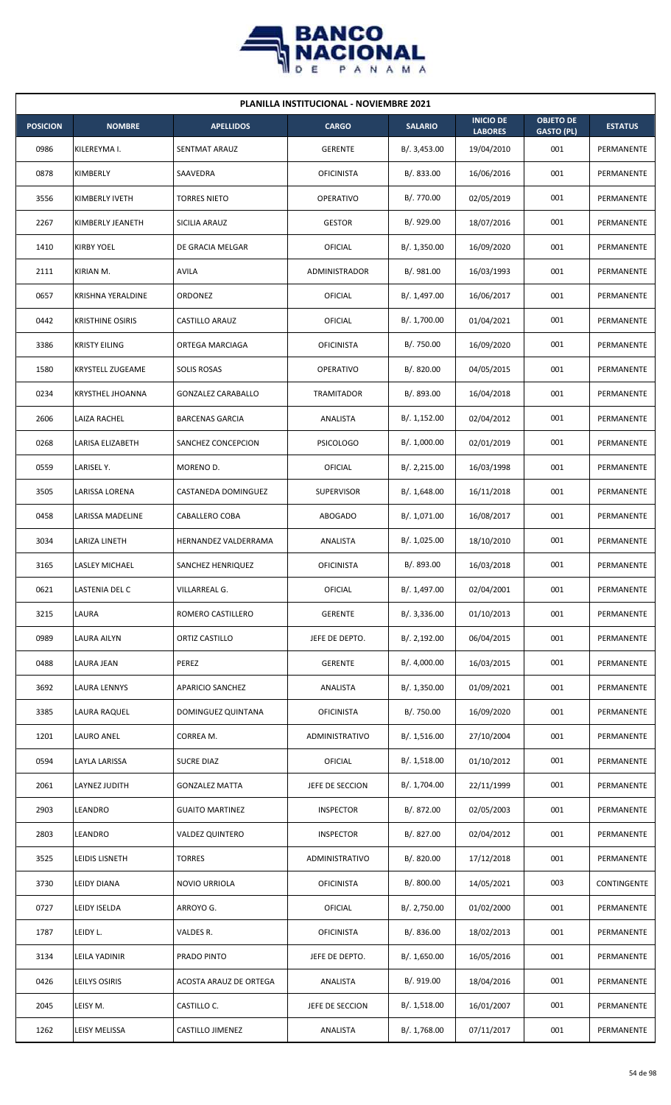

|                 | <b>PLANILLA INSTITUCIONAL - NOVIEMBRE 2021</b> |                             |                   |                |                                    |                                       |                |  |  |  |
|-----------------|------------------------------------------------|-----------------------------|-------------------|----------------|------------------------------------|---------------------------------------|----------------|--|--|--|
| <b>POSICION</b> | <b>NOMBRE</b>                                  | <b>APELLIDOS</b>            | <b>CARGO</b>      | <b>SALARIO</b> | <b>INICIO DE</b><br><b>LABORES</b> | <b>OBJETO DE</b><br><b>GASTO (PL)</b> | <b>ESTATUS</b> |  |  |  |
| 0986            | KILEREYMA I.                                   | SENTMAT ARAUZ               | <b>GERENTE</b>    | B/.3,453.00    | 19/04/2010                         | 001                                   | PERMANENTE     |  |  |  |
| 0878            | KIMBERLY                                       | SAAVEDRA                    | <b>OFICINISTA</b> | B/0.833.00     | 16/06/2016                         | 001                                   | PERMANENTE     |  |  |  |
| 3556            | KIMBERLY IVETH                                 | <b>TORRES NIETO</b>         | <b>OPERATIVO</b>  | B/. 770.00     | 02/05/2019                         | 001                                   | PERMANENTE     |  |  |  |
| 2267            | KIMBERLY JEANETH                               | SICILIA ARAUZ               | <b>GESTOR</b>     | B/. 929.00     | 18/07/2016                         | 001                                   | PERMANENTE     |  |  |  |
| 1410            | <b>KIRBY YOEL</b>                              | DE GRACIA MELGAR            | <b>OFICIAL</b>    | B/. 1,350.00   | 16/09/2020                         | 001                                   | PERMANENTE     |  |  |  |
| 2111            | KIRIAN M.                                      | <b>AVILA</b>                | ADMINISTRADOR     | B/. 981.00     | 16/03/1993                         | 001                                   | PERMANENTE     |  |  |  |
| 0657            | <b>KRISHNA YERALDINE</b>                       | <b>ORDONEZ</b>              | <b>OFICIAL</b>    | B/. 1,497.00   | 16/06/2017                         | 001                                   | PERMANENTE     |  |  |  |
| 0442            | <b>KRISTHINE OSIRIS</b>                        | <b>CASTILLO ARAUZ</b>       | OFICIAL           | B/. 1,700.00   | 01/04/2021                         | 001                                   | PERMANENTE     |  |  |  |
| 3386            | KRISTY EILING                                  | ORTEGA MARCIAGA             | <b>OFICINISTA</b> | B/. 750.00     | 16/09/2020                         | 001                                   | PERMANENTE     |  |  |  |
| 1580            | KRYSTELL ZUGEAME                               | <b>SOLIS ROSAS</b>          | <b>OPERATIVO</b>  | B/.820.00      | 04/05/2015                         | 001                                   | PERMANENTE     |  |  |  |
| 0234            | <b>KRYSTHEL JHOANNA</b>                        | <b>GONZALEZ CARABALLO</b>   | TRAMITADOR        | B/. 893.00     | 16/04/2018                         | 001                                   | PERMANENTE     |  |  |  |
| 2606            | LAIZA RACHEL                                   | <b>BARCENAS GARCIA</b>      | ANALISTA          | B/.1,152.00    | 02/04/2012                         | 001                                   | PERMANENTE     |  |  |  |
| 0268            | LARISA ELIZABETH                               | SANCHEZ CONCEPCION          | <b>PSICOLOGO</b>  | B/. 1,000.00   | 02/01/2019                         | 001                                   | PERMANENTE     |  |  |  |
| 0559            | LARISEL Y.                                     | MORENO D.                   | OFICIAL           | B/.2,215.00    | 16/03/1998                         | 001                                   | PERMANENTE     |  |  |  |
| 3505            | LARISSA LORENA                                 | CASTANEDA DOMINGUEZ         | <b>SUPERVISOR</b> | B/.1,648.00    | 16/11/2018                         | 001                                   | PERMANENTE     |  |  |  |
| 0458            | LARISSA MADELINE                               | CABALLERO COBA              | <b>ABOGADO</b>    | B/. 1,071.00   | 16/08/2017                         | 001                                   | PERMANENTE     |  |  |  |
| 3034            | LARIZA LINETH                                  | <b>HERNANDEZ VALDERRAMA</b> | ANALISTA          | B/. 1,025.00   | 18/10/2010                         | 001                                   | PERMANENTE     |  |  |  |
| 3165            | <b>LASLEY MICHAEL</b>                          | SANCHEZ HENRIQUEZ           | <b>OFICINISTA</b> | B/. 893.00     | 16/03/2018                         | 001                                   | PERMANENTE     |  |  |  |
| 0621            | LASTENIA DEL C                                 | VILLARREAL G.               | OFICIAL           | B/. 1,497.00   | 02/04/2001                         | 001                                   | PERMANENTE     |  |  |  |
| 3215            | LAURA                                          | ROMERO CASTILLERO           | <b>GERENTE</b>    | B/. 3,336.00   | 01/10/2013                         | 001                                   | PERMANENTE     |  |  |  |
| 0989            | LAURA AILYN                                    | ORTIZ CASTILLO              | JEFE DE DEPTO.    | B/.2,192.00    | 06/04/2015                         | 001                                   | PERMANENTE     |  |  |  |
| 0488            | LAURA JEAN                                     | PEREZ                       | <b>GERENTE</b>    | B/. 4,000.00   | 16/03/2015                         | 001                                   | PERMANENTE     |  |  |  |
| 3692            | LAURA LENNYS                                   | <b>APARICIO SANCHEZ</b>     | ANALISTA          | B/.1,350.00    | 01/09/2021                         | 001                                   | PERMANENTE     |  |  |  |
| 3385            | LAURA RAQUEL                                   | DOMINGUEZ QUINTANA          | <b>OFICINISTA</b> | B/. 750.00     | 16/09/2020                         | 001                                   | PERMANENTE     |  |  |  |
| 1201            | <b>LAURO ANEL</b>                              | CORREA M.                   | ADMINISTRATIVO    | B/. 1,516.00   | 27/10/2004                         | 001                                   | PERMANENTE     |  |  |  |
| 0594            | LAYLA LARISSA                                  | <b>SUCRE DIAZ</b>           | <b>OFICIAL</b>    | B/.1,518.00    | 01/10/2012                         | 001                                   | PERMANENTE     |  |  |  |
| 2061            | LAYNEZ JUDITH                                  | <b>GONZALEZ MATTA</b>       | JEFE DE SECCION   | B/. 1,704.00   | 22/11/1999                         | 001                                   | PERMANENTE     |  |  |  |
| 2903            | LEANDRO                                        | <b>GUAITO MARTINEZ</b>      | <b>INSPECTOR</b>  | B/. 872.00     | 02/05/2003                         | 001                                   | PERMANENTE     |  |  |  |
| 2803            | LEANDRO                                        | <b>VALDEZ QUINTERO</b>      | <b>INSPECTOR</b>  | B/. 827.00     | 02/04/2012                         | 001                                   | PERMANENTE     |  |  |  |
| 3525            | LEIDIS LISNETH                                 | <b>TORRES</b>               | ADMINISTRATIVO    | B/. 820.00     | 17/12/2018                         | 001                                   | PERMANENTE     |  |  |  |
| 3730            | LEIDY DIANA                                    | NOVIO URRIOLA               | <b>OFICINISTA</b> | B/. 800.00     | 14/05/2021                         | 003                                   | CONTINGENTE    |  |  |  |
| 0727            | LEIDY ISELDA                                   | ARROYO G.                   | <b>OFICIAL</b>    | B/. 2,750.00   | 01/02/2000                         | 001                                   | PERMANENTE     |  |  |  |
| 1787            | LEIDY L.                                       | VALDES R.                   | <b>OFICINISTA</b> | B/. 836.00     | 18/02/2013                         | 001                                   | PERMANENTE     |  |  |  |
| 3134            | LEILA YADINIR                                  | PRADO PINTO                 | JEFE DE DEPTO.    | B/. 1,650.00   | 16/05/2016                         | 001                                   | PERMANENTE     |  |  |  |
| 0426            | LEILYS OSIRIS                                  | ACOSTA ARAUZ DE ORTEGA      | ANALISTA          | B/. 919.00     | 18/04/2016                         | 001                                   | PERMANENTE     |  |  |  |
| 2045            | LEISY M.                                       | CASTILLO C.                 | JEFE DE SECCION   | B/.1,518.00    | 16/01/2007                         | 001                                   | PERMANENTE     |  |  |  |
| 1262            | LEISY MELISSA                                  | CASTILLO JIMENEZ            | ANALISTA          | B/. 1,768.00   | 07/11/2017                         | 001                                   | PERMANENTE     |  |  |  |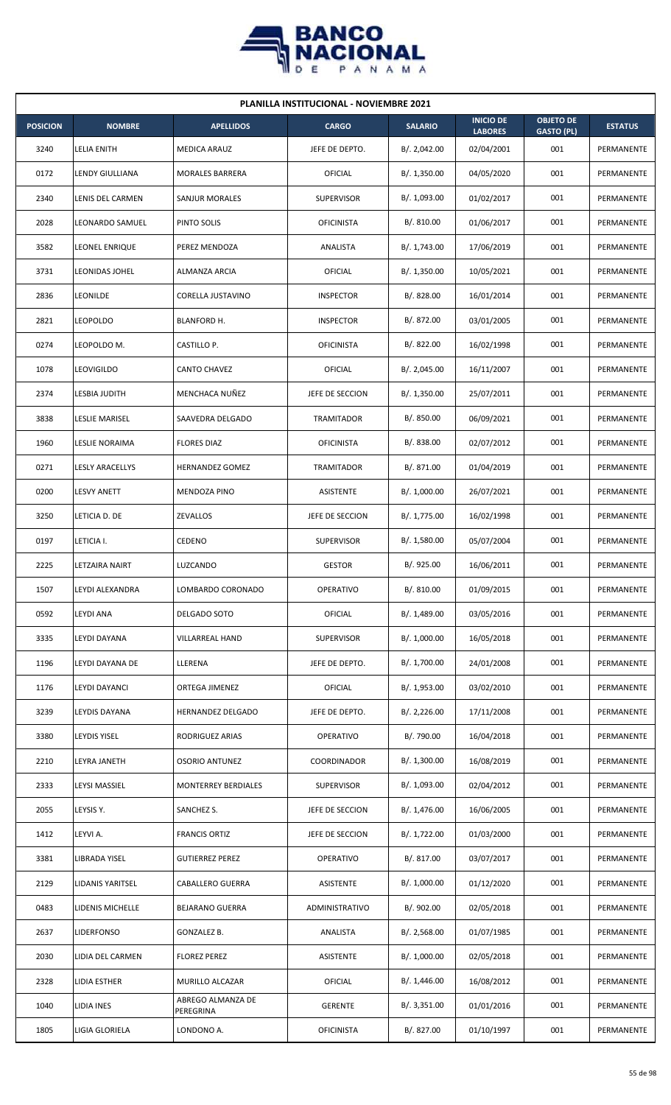

| <b>PLANILLA INSTITUCIONAL - NOVIEMBRE 2021</b> |                        |                                |                       |                |                                    |                                       |                |  |  |
|------------------------------------------------|------------------------|--------------------------------|-----------------------|----------------|------------------------------------|---------------------------------------|----------------|--|--|
| <b>POSICION</b>                                | <b>NOMBRE</b>          | <b>APELLIDOS</b>               | <b>CARGO</b>          | <b>SALARIO</b> | <b>INICIO DE</b><br><b>LABORES</b> | <b>OBJETO DE</b><br><b>GASTO (PL)</b> | <b>ESTATUS</b> |  |  |
| 3240                                           | LELIA ENITH            | <b>MEDICA ARAUZ</b>            | JEFE DE DEPTO.        | B/.2,042.00    | 02/04/2001                         | 001                                   | PERMANENTE     |  |  |
| 0172                                           | LENDY GIULLIANA        | <b>MORALES BARRERA</b>         | OFICIAL               | B/.1,350.00    | 04/05/2020                         | 001                                   | PERMANENTE     |  |  |
| 2340                                           | LENIS DEL CARMEN       | SANJUR MORALES                 | <b>SUPERVISOR</b>     | B/. 1,093.00   | 01/02/2017                         | 001                                   | PERMANENTE     |  |  |
| 2028                                           | LEONARDO SAMUEL        | PINTO SOLIS                    | <b>OFICINISTA</b>     | B/. 810.00     | 01/06/2017                         | 001                                   | PERMANENTE     |  |  |
| 3582                                           | <b>LEONEL ENRIQUE</b>  | PEREZ MENDOZA                  | ANALISTA              | B/. 1,743.00   | 17/06/2019                         | 001                                   | PERMANENTE     |  |  |
| 3731                                           | <b>LEONIDAS JOHEL</b>  | ALMANZA ARCIA                  | <b>OFICIAL</b>        | B/. 1,350.00   | 10/05/2021                         | 001                                   | PERMANENTE     |  |  |
| 2836                                           | LEONILDE               | CORELLA JUSTAVINO              | <b>INSPECTOR</b>      | B/0.828.00     | 16/01/2014                         | 001                                   | PERMANENTE     |  |  |
| 2821                                           | <b>LEOPOLDO</b>        | <b>BLANFORD H.</b>             | <b>INSPECTOR</b>      | B/. 872.00     | 03/01/2005                         | 001                                   | PERMANENTE     |  |  |
| 0274                                           | LEOPOLDO M.            | CASTILLO P.                    | <b>OFICINISTA</b>     | B/. 822.00     | 16/02/1998                         | 001                                   | PERMANENTE     |  |  |
| 1078                                           | LEOVIGILDO             | <b>CANTO CHAVEZ</b>            | OFICIAL               | B/.2,045.00    | 16/11/2007                         | 001                                   | PERMANENTE     |  |  |
| 2374                                           | LESBIA JUDITH          | MENCHACA NUÑEZ                 | JEFE DE SECCION       | B/. 1,350.00   | 25/07/2011                         | 001                                   | PERMANENTE     |  |  |
| 3838                                           | LESLIE MARISEL         | SAAVEDRA DELGADO               | TRAMITADOR            | B/. 850.00     | 06/09/2021                         | 001                                   | PERMANENTE     |  |  |
| 1960                                           | LESLIE NORAIMA         | <b>FLORES DIAZ</b>             | <b>OFICINISTA</b>     | B/. 838.00     | 02/07/2012                         | 001                                   | PERMANENTE     |  |  |
| 0271                                           | <b>LESLY ARACELLYS</b> | <b>HERNANDEZ GOMEZ</b>         | TRAMITADOR            | B/. 871.00     | 01/04/2019                         | 001                                   | PERMANENTE     |  |  |
| 0200                                           | <b>LESVY ANETT</b>     | MENDOZA PINO                   | ASISTENTE             | B/. 1,000.00   | 26/07/2021                         | 001                                   | PERMANENTE     |  |  |
| 3250                                           | LETICIA D. DE          | ZEVALLOS                       | JEFE DE SECCION       | B/.1,775.00    | 16/02/1998                         | 001                                   | PERMANENTE     |  |  |
| 0197                                           | LETICIA I.             | CEDENO                         | <b>SUPERVISOR</b>     | B/.1,580.00    | 05/07/2004                         | 001                                   | PERMANENTE     |  |  |
| 2225                                           | LETZAIRA NAIRT         | LUZCANDO                       | <b>GESTOR</b>         | B/. 925.00     | 16/06/2011                         | 001                                   | PERMANENTE     |  |  |
| 1507                                           | <b>LEYDI ALEXANDRA</b> | LOMBARDO CORONADO              | <b>OPERATIVO</b>      | B/. 810.00     | 01/09/2015                         | 001                                   | PERMANENTE     |  |  |
| 0592                                           | LEYDI ANA              | DELGADO SOTO                   | <b>OFICIAL</b>        | B/. 1,489.00   | 03/05/2016                         | 001                                   | PERMANENTE     |  |  |
| 3335                                           | LEYDI DAYANA           | VILLARREAL HAND                | <b>SUPERVISOR</b>     | B/. 1,000.00   | 16/05/2018                         | 001                                   | PERMANENTE     |  |  |
| 1196                                           | LEYDI DAYANA DE        | LLERENA                        | JEFE DE DEPTO.        | B/. 1,700.00   | 24/01/2008                         | 001                                   | PERMANENTE     |  |  |
| 1176                                           | LEYDI DAYANCI          | ORTEGA JIMENEZ                 | <b>OFICIAL</b>        | B/. 1,953.00   | 03/02/2010                         | 001                                   | PERMANENTE     |  |  |
| 3239                                           | LEYDIS DAYANA          | HERNANDEZ DELGADO              | JEFE DE DEPTO.        | B/.2,226.00    | 17/11/2008                         | 001                                   | PERMANENTE     |  |  |
| 3380                                           | <b>LEYDIS YISEL</b>    | RODRIGUEZ ARIAS                | <b>OPERATIVO</b>      | B/. 790.00     | 16/04/2018                         | 001                                   | PERMANENTE     |  |  |
| 2210                                           | LEYRA JANETH           | <b>OSORIO ANTUNEZ</b>          | COORDINADOR           | B/. 1,300.00   | 16/08/2019                         | 001                                   | PERMANENTE     |  |  |
| 2333                                           | LEYSI MASSIEL          | MONTERREY BERDIALES            | SUPERVISOR            | B/. 1,093.00   | 02/04/2012                         | 001                                   | PERMANENTE     |  |  |
| 2055                                           | LEYSIS Y.              | SANCHEZ S.                     | JEFE DE SECCION       | B/. 1,476.00   | 16/06/2005                         | 001                                   | PERMANENTE     |  |  |
| 1412                                           | LEYVI A.               | <b>FRANCIS ORTIZ</b>           | JEFE DE SECCION       | B/. 1,722.00   | 01/03/2000                         | 001                                   | PERMANENTE     |  |  |
| 3381                                           | LIBRADA YISEL          | <b>GUTIERREZ PEREZ</b>         | <b>OPERATIVO</b>      | B/. 817.00     | 03/07/2017                         | 001                                   | PERMANENTE     |  |  |
| 2129                                           | LIDANIS YARITSEL       | <b>CABALLERO GUERRA</b>        | ASISTENTE             | B/. 1,000.00   | 01/12/2020                         | 001                                   | PERMANENTE     |  |  |
| 0483                                           | LIDENIS MICHELLE       | <b>BEJARANO GUERRA</b>         | <b>ADMINISTRATIVO</b> | B/. 902.00     | 02/05/2018                         | 001                                   | PERMANENTE     |  |  |
| 2637                                           | <b>LIDERFONSO</b>      | GONZALEZ B.                    | ANALISTA              | B/.2,568.00    | 01/07/1985                         | 001                                   | PERMANENTE     |  |  |
| 2030                                           | LIDIA DEL CARMEN       | <b>FLOREZ PEREZ</b>            | ASISTENTE             | B/. 1,000.00   | 02/05/2018                         | 001                                   | PERMANENTE     |  |  |
| 2328                                           | LIDIA ESTHER           | MURILLO ALCAZAR                | <b>OFICIAL</b>        | B/.1,446.00    | 16/08/2012                         | 001                                   | PERMANENTE     |  |  |
| 1040                                           | LIDIA INES             | ABREGO ALMANZA DE<br>PEREGRINA | <b>GERENTE</b>        | B/. 3,351.00   | 01/01/2016                         | 001                                   | PERMANENTE     |  |  |
| 1805                                           | LIGIA GLORIELA         | LONDONO A.                     | <b>OFICINISTA</b>     | B/. 827.00     | 01/10/1997                         | 001                                   | PERMANENTE     |  |  |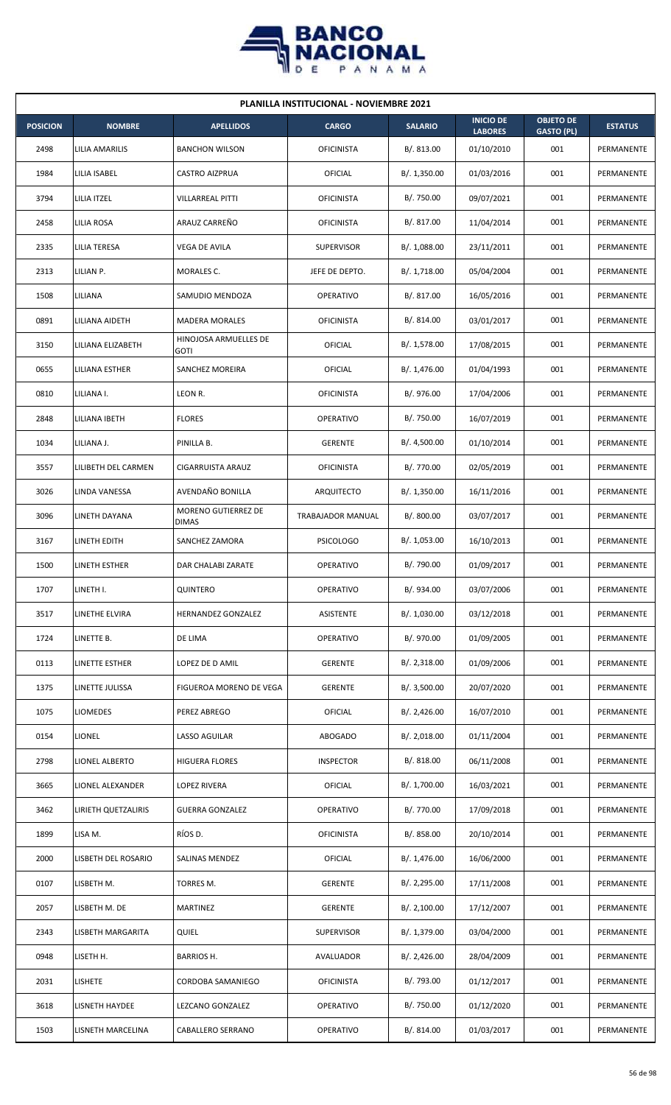

| <b>PLANILLA INSTITUCIONAL - NOVIEMBRE 2021</b> |                     |                                      |                   |                |                                    |                                       |                |  |  |
|------------------------------------------------|---------------------|--------------------------------------|-------------------|----------------|------------------------------------|---------------------------------------|----------------|--|--|
| <b>POSICION</b>                                | <b>NOMBRE</b>       | <b>APELLIDOS</b>                     | <b>CARGO</b>      | <b>SALARIO</b> | <b>INICIO DE</b><br><b>LABORES</b> | <b>OBJETO DE</b><br><b>GASTO (PL)</b> | <b>ESTATUS</b> |  |  |
| 2498                                           | LILIA AMARILIS      | <b>BANCHON WILSON</b>                | <b>OFICINISTA</b> | B/. 813.00     | 01/10/2010                         | 001                                   | PERMANENTE     |  |  |
| 1984                                           | LILIA ISABEL        | <b>CASTRO AIZPRUA</b>                | OFICIAL           | B/. 1,350.00   | 01/03/2016                         | 001                                   | PERMANENTE     |  |  |
| 3794                                           | LILIA ITZEL         | <b>VILLARREAL PITTI</b>              | <b>OFICINISTA</b> | B/. 750.00     | 09/07/2021                         | 001                                   | PERMANENTE     |  |  |
| 2458                                           | LILIA ROSA          | ARAUZ CARREÑO                        | <b>OFICINISTA</b> | B/. 817.00     | 11/04/2014                         | 001                                   | PERMANENTE     |  |  |
| 2335                                           | LILIA TERESA        | VEGA DE AVILA                        | <b>SUPERVISOR</b> | B/. 1,088.00   | 23/11/2011                         | 001                                   | PERMANENTE     |  |  |
| 2313                                           | LILIAN P.           | MORALES C.                           | JEFE DE DEPTO.    | B/. 1,718.00   | 05/04/2004                         | 001                                   | PERMANENTE     |  |  |
| 1508                                           | LILIANA             | SAMUDIO MENDOZA                      | <b>OPERATIVO</b>  | B/. 817.00     | 16/05/2016                         | 001                                   | PERMANENTE     |  |  |
| 0891                                           | LILIANA AIDETH      | <b>MADERA MORALES</b>                | <b>OFICINISTA</b> | B/.814.00      | 03/01/2017                         | 001                                   | PERMANENTE     |  |  |
| 3150                                           | LILIANA ELIZABETH   | HINOJOSA ARMUELLES DE<br><b>GOTI</b> | OFICIAL           | B/. 1,578.00   | 17/08/2015                         | 001                                   | PERMANENTE     |  |  |
| 0655                                           | LILIANA ESTHER      | SANCHEZ MOREIRA                      | OFICIAL           | B/. 1,476.00   | 01/04/1993                         | 001                                   | PERMANENTE     |  |  |
| 0810                                           | LILIANA I.          | LEON R.                              | <b>OFICINISTA</b> | B/. 976.00     | 17/04/2006                         | 001                                   | PERMANENTE     |  |  |
| 2848                                           | LILIANA IBETH       | <b>FLORES</b>                        | <b>OPERATIVO</b>  | B/. 750.00     | 16/07/2019                         | 001                                   | PERMANENTE     |  |  |
| 1034                                           | LILIANA J.          | PINILLA B.                           | <b>GERENTE</b>    | B/. 4,500.00   | 01/10/2014                         | 001                                   | PERMANENTE     |  |  |
| 3557                                           | LILIBETH DEL CARMEN | CIGARRUISTA ARAUZ                    | <b>OFICINISTA</b> | B/. 770.00     | 02/05/2019                         | 001                                   | PERMANENTE     |  |  |
| 3026                                           | LINDA VANESSA       | AVENDAÑO BONILLA                     | ARQUITECTO        | B/. 1,350.00   | 16/11/2016                         | 001                                   | PERMANENTE     |  |  |
| 3096                                           | LINETH DAYANA       | MORENO GUTIERREZ DE<br><b>DIMAS</b>  | TRABAJADOR MANUAL | B/. 800.00     | 03/07/2017                         | 001                                   | PERMANENTE     |  |  |
| 3167                                           | LINETH EDITH        | SANCHEZ ZAMORA                       | <b>PSICOLOGO</b>  | B/. 1,053.00   | 16/10/2013                         | 001                                   | PERMANENTE     |  |  |
| 1500                                           | LINETH ESTHER       | DAR CHALABI ZARATE                   | OPERATIVO         | B/.790.00      | 01/09/2017                         | 001                                   | PERMANENTE     |  |  |
| 1707                                           | LINETH I.           | QUINTERO                             | OPERATIVO         | B/. 934.00     | 03/07/2006                         | 001                                   | PERMANENTE     |  |  |
| 3517                                           | LINETHE ELVIRA      | HERNANDEZ GONZALEZ                   | ASISTENTE         | B/. 1,030.00   | 03/12/2018                         | 001                                   | PERMANENTE     |  |  |
| 1724                                           | LINETTE B.          | DE LIMA                              | <b>OPERATIVO</b>  | B/. 970.00     | 01/09/2005                         | 001                                   | PERMANENTE     |  |  |
| 0113                                           | LINETTE ESTHER      | LOPEZ DE D AMIL                      | <b>GERENTE</b>    | B/.2,318.00    | 01/09/2006                         | 001                                   | PERMANENTE     |  |  |
| 1375                                           | LINETTE JULISSA     | FIGUEROA MORENO DE VEGA              | <b>GERENTE</b>    | B/.3,500.00    | 20/07/2020                         | 001                                   | PERMANENTE     |  |  |
| 1075                                           | LIOMEDES            | PEREZ ABREGO                         | <b>OFICIAL</b>    | B/.2,426.00    | 16/07/2010                         | 001                                   | PERMANENTE     |  |  |
| 0154                                           | LIONEL              | LASSO AGUILAR                        | ABOGADO           | B/.2,018.00    | 01/11/2004                         | 001                                   | PERMANENTE     |  |  |
| 2798                                           | LIONEL ALBERTO      | <b>HIGUERA FLORES</b>                | <b>INSPECTOR</b>  | B/. 818.00     | 06/11/2008                         | 001                                   | PERMANENTE     |  |  |
| 3665                                           | LIONEL ALEXANDER    | LOPEZ RIVERA                         | OFICIAL           | B/. 1,700.00   | 16/03/2021                         | 001                                   | PERMANENTE     |  |  |
| 3462                                           | LIRIETH QUETZALIRIS | <b>GUERRA GONZALEZ</b>               | <b>OPERATIVO</b>  | B/. 770.00     | 17/09/2018                         | 001                                   | PERMANENTE     |  |  |
| 1899                                           | LISA M.             | RÍOS D.                              | <b>OFICINISTA</b> | B/. 858.00     | 20/10/2014                         | 001                                   | PERMANENTE     |  |  |
| 2000                                           | LISBETH DEL ROSARIO | SALINAS MENDEZ                       | OFICIAL           | B/.1,476.00    | 16/06/2000                         | 001                                   | PERMANENTE     |  |  |
| 0107                                           | LISBETH M.          | TORRES M.                            | <b>GERENTE</b>    | B/.2,295.00    | 17/11/2008                         | 001                                   | PERMANENTE     |  |  |
| 2057                                           | LISBETH M. DE       | <b>MARTINEZ</b>                      | <b>GERENTE</b>    | B/. 2,100.00   | 17/12/2007                         | 001                                   | PERMANENTE     |  |  |
| 2343                                           | LISBETH MARGARITA   | QUIEL                                | <b>SUPERVISOR</b> | B/. 1,379.00   | 03/04/2000                         | 001                                   | PERMANENTE     |  |  |
| 0948                                           | LISETH H.           | BARRIOS H.                           | AVALUADOR         | B/.2,426.00    | 28/04/2009                         | 001                                   | PERMANENTE     |  |  |
| 2031                                           | <b>LISHETE</b>      | CORDOBA SAMANIEGO                    | <b>OFICINISTA</b> | B/. 793.00     | 01/12/2017                         | 001                                   | PERMANENTE     |  |  |
| 3618                                           | LISNETH HAYDEE      | LEZCANO GONZALEZ                     | OPERATIVO         | B/. 750.00     | 01/12/2020                         | 001                                   | PERMANENTE     |  |  |
| 1503                                           | LISNETH MARCELINA   | CABALLERO SERRANO                    | OPERATIVO         | B/. 814.00     | 01/03/2017                         | 001                                   | PERMANENTE     |  |  |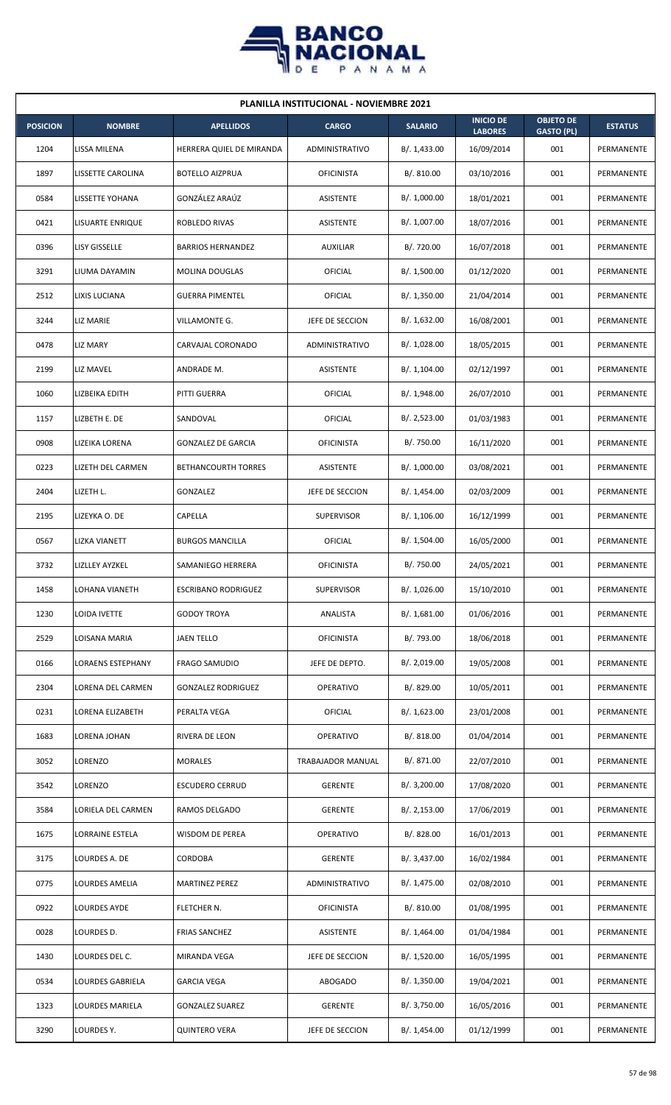

| <b>PLANILLA INSTITUCIONAL - NOVIEMBRE 2021</b> |                          |                            |                   |                |                                    |                                       |                |  |  |
|------------------------------------------------|--------------------------|----------------------------|-------------------|----------------|------------------------------------|---------------------------------------|----------------|--|--|
| <b>POSICION</b>                                | <b>NOMBRE</b>            | <b>APELLIDOS</b>           | <b>CARGO</b>      | <b>SALARIO</b> | <b>INICIO DE</b><br><b>LABORES</b> | <b>OBJETO DE</b><br><b>GASTO (PL)</b> | <b>ESTATUS</b> |  |  |
| 1204                                           | LISSA MILENA             | HERRERA QUIEL DE MIRANDA   | ADMINISTRATIVO    | B/. 1,433.00   | 16/09/2014                         | 001                                   | PERMANENTE     |  |  |
| 1897                                           | LISSETTE CAROLINA        | <b>BOTELLO AIZPRUA</b>     | <b>OFICINISTA</b> | B/. 810.00     | 03/10/2016                         | 001                                   | PERMANENTE     |  |  |
| 0584                                           | LISSETTE YOHANA          | GONZÁLEZ ARAÚZ             | <b>ASISTENTE</b>  | B/. 1,000.00   | 18/01/2021                         | 001                                   | PERMANENTE     |  |  |
| 0421                                           | LISUARTE ENRIQUE         | ROBLEDO RIVAS              | ASISTENTE         | B/. 1,007.00   | 18/07/2016                         | 001                                   | PERMANENTE     |  |  |
| 0396                                           | LISY GISSELLE            | <b>BARRIOS HERNANDEZ</b>   | <b>AUXILIAR</b>   | B/. 720.00     | 16/07/2018                         | 001                                   | PERMANENTE     |  |  |
| 3291                                           | LIUMA DAYAMIN            | MOLINA DOUGLAS             | OFICIAL           | B/. 1,500.00   | 01/12/2020                         | 001                                   | PERMANENTE     |  |  |
| 2512                                           | LIXIS LUCIANA            | <b>GUERRA PIMENTEL</b>     | OFICIAL           | B/.1,350.00    | 21/04/2014                         | 001                                   | PERMANENTE     |  |  |
| 3244                                           | LIZ MARIE                | VILLAMONTE G.              | JEFE DE SECCION   | B/.1,632.00    | 16/08/2001                         | 001                                   | PERMANENTE     |  |  |
| 0478                                           | <b>LIZ MARY</b>          | CARVAJAL CORONADO          | ADMINISTRATIVO    | B/. 1,028.00   | 18/05/2015                         | 001                                   | PERMANENTE     |  |  |
| 2199                                           | LIZ MAVEL                | ANDRADE M.                 | ASISTENTE         | B/. 1,104.00   | 02/12/1997                         | 001                                   | PERMANENTE     |  |  |
| 1060                                           | LIZBEIKA EDITH           | PITTI GUERRA               | OFICIAL           | B/. 1,948.00   | 26/07/2010                         | 001                                   | PERMANENTE     |  |  |
| 1157                                           | LIZBETH E. DE            | SANDOVAL                   | OFICIAL           | B/.2,523.00    | 01/03/1983                         | 001                                   | PERMANENTE     |  |  |
| 0908                                           | LIZEIKA LORENA           | <b>GONZALEZ DE GARCIA</b>  | <b>OFICINISTA</b> | B/. 750.00     | 16/11/2020                         | 001                                   | PERMANENTE     |  |  |
| 0223                                           | LIZETH DEL CARMEN        | <b>BETHANCOURTH TORRES</b> | ASISTENTE         | B/. 1,000.00   | 03/08/2021                         | 001                                   | PERMANENTE     |  |  |
| 2404                                           | LIZETH L.                | <b>GONZALEZ</b>            | JEFE DE SECCION   | B/. 1,454.00   | 02/03/2009                         | 001                                   | PERMANENTE     |  |  |
| 2195                                           | LIZEYKA O. DE            | CAPELLA                    | <b>SUPERVISOR</b> | B/.1,106.00    | 16/12/1999                         | 001                                   | PERMANENTE     |  |  |
| 0567                                           | LIZKA VIANETT            | <b>BURGOS MANCILLA</b>     | OFICIAL           | B/. 1,504.00   | 16/05/2000                         | 001                                   | PERMANENTE     |  |  |
| 3732                                           | <b>LIZLLEY AYZKEL</b>    | SAMANIEGO HERRERA          | <b>OFICINISTA</b> | B/. 750.00     | 24/05/2021                         | 001                                   | PERMANENTE     |  |  |
| 1458                                           | LOHANA VIANETH           | <b>ESCRIBANO RODRIGUEZ</b> | <b>SUPERVISOR</b> | B/. 1,026.00   | 15/10/2010                         | 001                                   | PERMANENTE     |  |  |
| 1230                                           | LOIDA IVETTE             | <b>GODOY TROYA</b>         | ANALISTA          | B/.1,681.00    | 01/06/2016                         | 001                                   | PERMANENTE     |  |  |
| 2529                                           | LOISANA MARIA            | <b>JAEN TELLO</b>          | <b>OFICINISTA</b> | B/.793.00      | 18/06/2018                         | 001                                   | PERMANENTE     |  |  |
| 0166                                           | <b>LORAENS ESTEPHANY</b> | <b>FRAGO SAMUDIO</b>       | JEFE DE DEPTO.    | B/. 2,019.00   | 19/05/2008                         | 001                                   | PERMANENTE     |  |  |
| 2304                                           | LORENA DEL CARMEN        | <b>GONZALEZ RODRIGUEZ</b>  | OPERATIVO         | B/. 829.00     | 10/05/2011                         | 001                                   | PERMANENTE     |  |  |
| 0231                                           | LORENA ELIZABETH         | PERALTA VEGA               | OFICIAL           | B/. 1,623.00   | 23/01/2008                         | 001                                   | PERMANENTE     |  |  |
| 1683                                           | LORENA JOHAN             | RIVERA DE LEON             | <b>OPERATIVO</b>  | B/. 818.00     | 01/04/2014                         | 001                                   | PERMANENTE     |  |  |
| 3052                                           | LORENZO                  | <b>MORALES</b>             | TRABAJADOR MANUAL | B/. 871.00     | 22/07/2010                         | 001                                   | PERMANENTE     |  |  |
| 3542                                           | LORENZO                  | <b>ESCUDERO CERRUD</b>     | <b>GERENTE</b>    | B/. 3,200.00   | 17/08/2020                         | 001                                   | PERMANENTE     |  |  |
| 3584                                           | LORIELA DEL CARMEN       | RAMOS DELGADO              | <b>GERENTE</b>    | B/.2,153.00    | 17/06/2019                         | 001                                   | PERMANENTE     |  |  |
| 1675                                           | LORRAINE ESTELA          | WISDOM DE PEREA            | OPERATIVO         | B/. 828.00     | 16/01/2013                         | 001                                   | PERMANENTE     |  |  |
| 3175                                           | LOURDES A. DE            | CORDOBA                    | <b>GERENTE</b>    | B/. 3,437.00   | 16/02/1984                         | 001                                   | PERMANENTE     |  |  |
| 0775                                           | LOURDES AMELIA           | MARTINEZ PEREZ             | ADMINISTRATIVO    | B/. 1,475.00   | 02/08/2010                         | 001                                   | PERMANENTE     |  |  |
| 0922                                           | LOURDES AYDE             | FLETCHER N.                | <b>OFICINISTA</b> | B/. 810.00     | 01/08/1995                         | 001                                   | PERMANENTE     |  |  |
| 0028                                           | LOURDES D.               | <b>FRIAS SANCHEZ</b>       | ASISTENTE         | B/.1,464.00    | 01/04/1984                         | 001                                   | PERMANENTE     |  |  |
| 1430                                           | LOURDES DEL C.           | MIRANDA VEGA               | JEFE DE SECCION   | B/.1,520.00    | 16/05/1995                         | 001                                   | PERMANENTE     |  |  |
| 0534                                           | LOURDES GABRIELA         | GARCIA VEGA                | <b>ABOGADO</b>    | B/. 1,350.00   | 19/04/2021                         | 001                                   | PERMANENTE     |  |  |
| 1323                                           | LOURDES MARIELA          | <b>GONZALEZ SUAREZ</b>     | <b>GERENTE</b>    | B/. 3,750.00   | 16/05/2016                         | 001                                   | PERMANENTE     |  |  |
| 3290                                           | LOURDES Y.               | <b>QUINTERO VERA</b>       | JEFE DE SECCION   | B/. 1,454.00   | 01/12/1999                         | 001                                   | PERMANENTE     |  |  |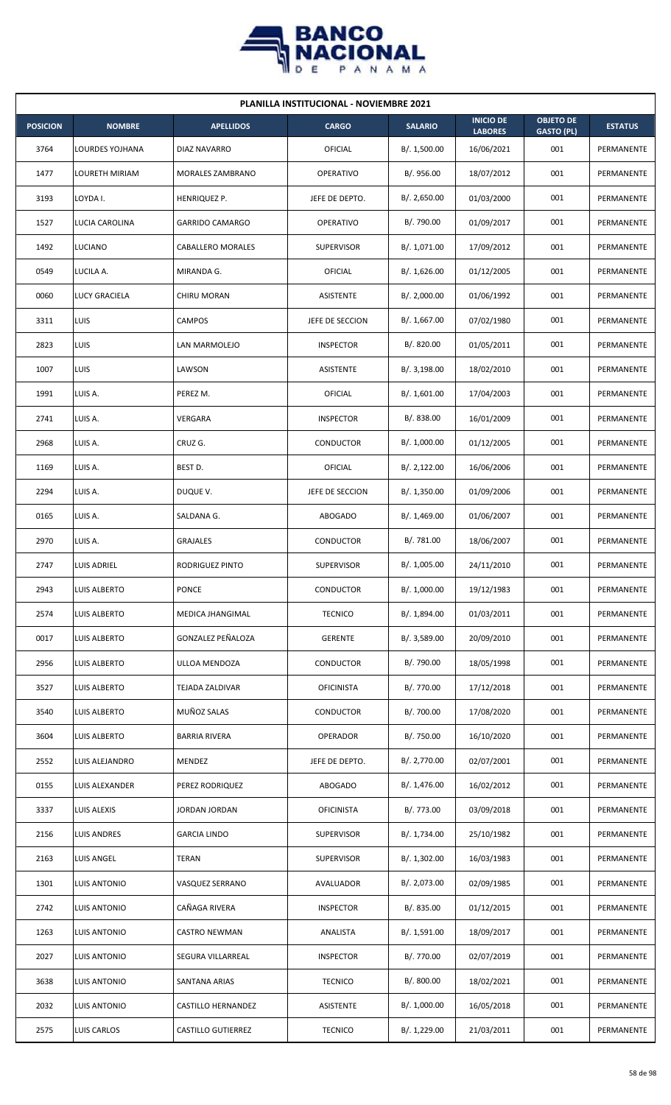

|                 | <b>PLANILLA INSTITUCIONAL - NOVIEMBRE 2021</b> |                           |                   |                |                                    |                                       |                   |  |  |  |
|-----------------|------------------------------------------------|---------------------------|-------------------|----------------|------------------------------------|---------------------------------------|-------------------|--|--|--|
| <b>POSICION</b> | <b>NOMBRE</b>                                  | <b>APELLIDOS</b>          | <b>CARGO</b>      | <b>SALARIO</b> | <b>INICIO DE</b><br><b>LABORES</b> | <b>OBJETO DE</b><br><b>GASTO (PL)</b> | <b>ESTATUS</b>    |  |  |  |
| 3764            | <b>LOURDES YOJHANA</b>                         | <b>DIAZ NAVARRO</b>       | OFICIAL           | B/. 1,500.00   | 16/06/2021                         | 001                                   | PERMANENTE        |  |  |  |
| 1477            | <b>LOURETH MIRIAM</b>                          | <b>MORALES ZAMBRANO</b>   | <b>OPERATIVO</b>  | B/. 956.00     | 18/07/2012                         | 001                                   | PERMANENTE        |  |  |  |
| 3193            | LOYDA I.                                       | HENRIQUEZ P.              | JEFE DE DEPTO.    | B/.2,650.00    | 01/03/2000                         | 001                                   | PERMANENTE        |  |  |  |
| 1527            | LUCIA CAROLINA                                 | <b>GARRIDO CAMARGO</b>    | <b>OPERATIVO</b>  | B/. 790.00     | 01/09/2017                         | 001                                   | PERMANENTE        |  |  |  |
| 1492            | LUCIANO                                        | <b>CABALLERO MORALES</b>  | <b>SUPERVISOR</b> | B/. 1,071.00   | 17/09/2012                         | 001                                   | PERMANENTE        |  |  |  |
| 0549            | LUCILA A.                                      | MIRANDA G.                | OFICIAL           | B/. 1,626.00   | 01/12/2005                         | 001                                   | PERMANENTE        |  |  |  |
| 0060            | LUCY GRACIELA                                  | CHIRU MORAN               | ASISTENTE         | B/.2,000.00    | 01/06/1992                         | 001                                   | PERMANENTE        |  |  |  |
| 3311            | LUIS                                           | <b>CAMPOS</b>             | JEFE DE SECCION   | B/. 1,667.00   | 07/02/1980                         | 001                                   | PERMANENTE        |  |  |  |
| 2823            | LUIS                                           | LAN MARMOLEJO             | <b>INSPECTOR</b>  | B/. 820.00     | 01/05/2011                         | 001                                   | <b>PERMANENTE</b> |  |  |  |
| 1007            | LUIS                                           | LAWSON                    | ASISTENTE         | B/. 3,198.00   | 18/02/2010                         | 001                                   | PERMANENTE        |  |  |  |
| 1991            | LUIS A.                                        | PEREZ M.                  | OFICIAL           | B/. 1,601.00   | 17/04/2003                         | 001                                   | <b>PERMANENTE</b> |  |  |  |
| 2741            | LUIS A.                                        | VERGARA                   | <b>INSPECTOR</b>  | B/. 838.00     | 16/01/2009                         | 001                                   | PERMANENTE        |  |  |  |
| 2968            | LUIS A.                                        | CRUZ G.                   | CONDUCTOR         | B/. 1,000.00   | 01/12/2005                         | 001                                   | PERMANENTE        |  |  |  |
| 1169            | LUIS A.                                        | BEST D.                   | OFICIAL           | B/. 2,122.00   | 16/06/2006                         | 001                                   | PERMANENTE        |  |  |  |
| 2294            | LUIS A.                                        | DUQUE V.                  | JEFE DE SECCION   | B/.1,350.00    | 01/09/2006                         | 001                                   | PERMANENTE        |  |  |  |
| 0165            | LUIS A.                                        | SALDANA G.                | <b>ABOGADO</b>    | B/. 1,469.00   | 01/06/2007                         | 001                                   | PERMANENTE        |  |  |  |
| 2970            | LUIS A.                                        | <b>GRAJALES</b>           | CONDUCTOR         | B/. 781.00     | 18/06/2007                         | 001                                   | PERMANENTE        |  |  |  |
| 2747            | <b>LUIS ADRIEL</b>                             | RODRIGUEZ PINTO           | SUPERVISOR        | B/. 1,005.00   | 24/11/2010                         | 001                                   | PERMANENTE        |  |  |  |
| 2943            | <b>LUIS ALBERTO</b>                            | <b>PONCE</b>              | CONDUCTOR         | B/. 1,000.00   | 19/12/1983                         | 001                                   | PERMANENTE        |  |  |  |
| 2574            | <b>LUIS ALBERTO</b>                            | <b>MEDICA JHANGIMAL</b>   | <b>TECNICO</b>    | B/. 1,894.00   | 01/03/2011                         | 001                                   | PERMANENTE        |  |  |  |
| 0017            | LUIS ALBERTO                                   | <b>GONZALEZ PEÑALOZA</b>  | <b>GERENTE</b>    | B/. 3,589.00   | 20/09/2010                         | 001                                   | PERMANENTE        |  |  |  |
| 2956            | LUIS ALBERTO                                   | ULLOA MENDOZA             | CONDUCTOR         | B/. 790.00     | 18/05/1998                         | 001                                   | PERMANENTE        |  |  |  |
| 3527            | <b>LUIS ALBERTO</b>                            | TEJADA ZALDIVAR           | <b>OFICINISTA</b> | B/. 770.00     | 17/12/2018                         | 001                                   | PERMANENTE        |  |  |  |
| 3540            | LUIS ALBERTO                                   | MUÑOZ SALAS               | CONDUCTOR         | B/. 700.00     | 17/08/2020                         | 001                                   | PERMANENTE        |  |  |  |
| 3604            | LUIS ALBERTO                                   | <b>BARRIA RIVERA</b>      | OPERADOR          | B/. 750.00     | 16/10/2020                         | 001                                   | PERMANENTE        |  |  |  |
| 2552            | LUIS ALEJANDRO                                 | MENDEZ                    | JEFE DE DEPTO.    | B/. 2,770.00   | 02/07/2001                         | 001                                   | PERMANENTE        |  |  |  |
| 0155            | LUIS ALEXANDER                                 | PEREZ RODRIQUEZ           | ABOGADO           | B/. 1,476.00   | 16/02/2012                         | 001                                   | PERMANENTE        |  |  |  |
| 3337            | LUIS ALEXIS                                    | <b>JORDAN JORDAN</b>      | <b>OFICINISTA</b> | B/. 773.00     | 03/09/2018                         | 001                                   | PERMANENTE        |  |  |  |
| 2156            | LUIS ANDRES                                    | <b>GARCIA LINDO</b>       | <b>SUPERVISOR</b> | B/. 1,734.00   | 25/10/1982                         | 001                                   | PERMANENTE        |  |  |  |
| 2163            | LUIS ANGEL                                     | <b>TERAN</b>              | <b>SUPERVISOR</b> | B/.1,302.00    | 16/03/1983                         | 001                                   | PERMANENTE        |  |  |  |
| 1301            | LUIS ANTONIO                                   | VASQUEZ SERRANO           | AVALUADOR         | B/. 2,073.00   | 02/09/1985                         | 001                                   | PERMANENTE        |  |  |  |
| 2742            | LUIS ANTONIO                                   | CAÑAGA RIVERA             | <b>INSPECTOR</b>  | B/. 835.00     | 01/12/2015                         | 001                                   | PERMANENTE        |  |  |  |
| 1263            | LUIS ANTONIO                                   | <b>CASTRO NEWMAN</b>      | ANALISTA          | B/. 1,591.00   | 18/09/2017                         | 001                                   | PERMANENTE        |  |  |  |
| 2027            | <b>LUIS ANTONIO</b>                            | SEGURA VILLARREAL         | <b>INSPECTOR</b>  | B/. 770.00     | 02/07/2019                         | 001                                   | PERMANENTE        |  |  |  |
| 3638            | LUIS ANTONIO                                   | SANTANA ARIAS             | <b>TECNICO</b>    | B/. 800.00     | 18/02/2021                         | 001                                   | PERMANENTE        |  |  |  |
| 2032            | <b>LUIS ANTONIO</b>                            | CASTILLO HERNANDEZ        | ASISTENTE         | B/. 1,000.00   | 16/05/2018                         | 001                                   | PERMANENTE        |  |  |  |
| 2575            | LUIS CARLOS                                    | <b>CASTILLO GUTIERREZ</b> | <b>TECNICO</b>    | B/. 1,229.00   | 21/03/2011                         | 001                                   | PERMANENTE        |  |  |  |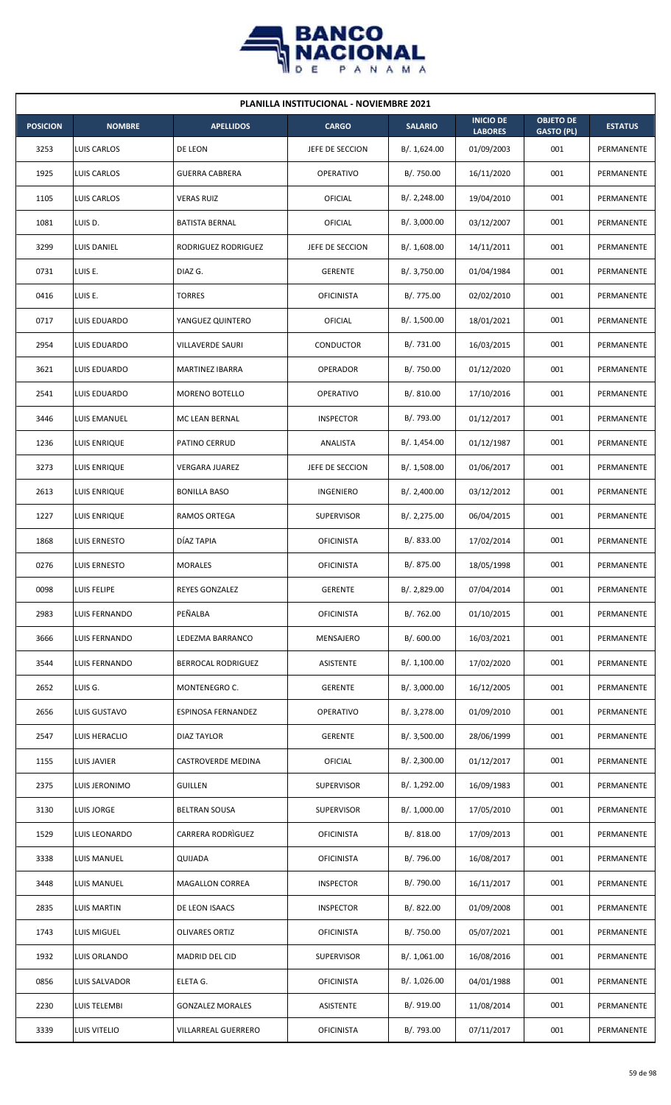

| <b>PLANILLA INSTITUCIONAL - NOVIEMBRE 2021</b> |                     |                           |                   |                |                                    |                                       |                |  |  |
|------------------------------------------------|---------------------|---------------------------|-------------------|----------------|------------------------------------|---------------------------------------|----------------|--|--|
| <b>POSICION</b>                                | <b>NOMBRE</b>       | <b>APELLIDOS</b>          | <b>CARGO</b>      | <b>SALARIO</b> | <b>INICIO DE</b><br><b>LABORES</b> | <b>OBJETO DE</b><br><b>GASTO (PL)</b> | <b>ESTATUS</b> |  |  |
| 3253                                           | LUIS CARLOS         | DE LEON                   | JEFE DE SECCION   | B/. 1,624.00   | 01/09/2003                         | 001                                   | PERMANENTE     |  |  |
| 1925                                           | LUIS CARLOS         | <b>GUERRA CABRERA</b>     | <b>OPERATIVO</b>  | B/. 750.00     | 16/11/2020                         | 001                                   | PERMANENTE     |  |  |
| 1105                                           | LUIS CARLOS         | <b>VERAS RUIZ</b>         | OFICIAL           | B/.2,248.00    | 19/04/2010                         | 001                                   | PERMANENTE     |  |  |
| 1081                                           | LUIS D.             | <b>BATISTA BERNAL</b>     | OFICIAL           | B/.3,000.00    | 03/12/2007                         | 001                                   | PERMANENTE     |  |  |
| 3299                                           | <b>LUIS DANIEL</b>  | RODRIGUEZ RODRIGUEZ       | JEFE DE SECCION   | B/.1,608.00    | 14/11/2011                         | 001                                   | PERMANENTE     |  |  |
| 0731                                           | LUIS E.             | DIAZ G.                   | <b>GERENTE</b>    | B/. 3,750.00   | 01/04/1984                         | 001                                   | PERMANENTE     |  |  |
| 0416                                           | LUIS E.             | <b>TORRES</b>             | <b>OFICINISTA</b> | B/. 775.00     | 02/02/2010                         | 001                                   | PERMANENTE     |  |  |
| 0717                                           | LUIS EDUARDO        | YANGUEZ QUINTERO          | OFICIAL           | B/. 1,500.00   | 18/01/2021                         | 001                                   | PERMANENTE     |  |  |
| 2954                                           | LUIS EDUARDO        | VILLAVERDE SAURI          | CONDUCTOR         | B/. 731.00     | 16/03/2015                         | 001                                   | PERMANENTE     |  |  |
| 3621                                           | LUIS EDUARDO        | MARTINEZ IBARRA           | OPERADOR          | B/. 750.00     | 01/12/2020                         | 001                                   | PERMANENTE     |  |  |
| 2541                                           | LUIS EDUARDO        | <b>MORENO BOTELLO</b>     | <b>OPERATIVO</b>  | B/. 810.00     | 17/10/2016                         | 001                                   | PERMANENTE     |  |  |
| 3446                                           | LUIS EMANUEL        | MC LEAN BERNAL            | <b>INSPECTOR</b>  | B/. 793.00     | 01/12/2017                         | 001                                   | PERMANENTE     |  |  |
| 1236                                           | LUIS ENRIQUE        | PATINO CERRUD             | ANALISTA          | B/. 1,454.00   | 01/12/1987                         | 001                                   | PERMANENTE     |  |  |
| 3273                                           | <b>LUIS ENRIQUE</b> | <b>VERGARA JUAREZ</b>     | JEFE DE SECCION   | B/.1,508.00    | 01/06/2017                         | 001                                   | PERMANENTE     |  |  |
| 2613                                           | LUIS ENRIQUE        | <b>BONILLA BASO</b>       | <b>INGENIERO</b>  | B/.2,400.00    | 03/12/2012                         | 001                                   | PERMANENTE     |  |  |
| 1227                                           | LUIS ENRIQUE        | RAMOS ORTEGA              | <b>SUPERVISOR</b> | B/.2,275.00    | 06/04/2015                         | 001                                   | PERMANENTE     |  |  |
| 1868                                           | LUIS ERNESTO        | DÍAZ TAPIA                | <b>OFICINISTA</b> | B/0.833.00     | 17/02/2014                         | 001                                   | PERMANENTE     |  |  |
| 0276                                           | LUIS ERNESTO        | <b>MORALES</b>            | <b>OFICINISTA</b> | B/. 875.00     | 18/05/1998                         | 001                                   | PERMANENTE     |  |  |
| 0098                                           | LUIS FELIPE         | REYES GONZALEZ            | GERENTE           | B/. 2,829.00   | 07/04/2014                         | 001                                   | PERMANENTE     |  |  |
| 2983                                           | LUIS FERNANDO       | PEÑALBA                   | <b>OFICINISTA</b> | B/. 762.00     | 01/10/2015                         | 001                                   | PERMANENTE     |  |  |
| 3666                                           | LUIS FERNANDO       | LEDEZMA BARRANCO          | MENSAJERO         | B/.600.00      | 16/03/2021                         | 001                                   | PERMANENTE     |  |  |
| 3544                                           | LUIS FERNANDO       | <b>BERROCAL RODRIGUEZ</b> | ASISTENTE         | B/. 1,100.00   | 17/02/2020                         | 001                                   | PERMANENTE     |  |  |
| 2652                                           | LUIS G.             | MONTENEGRO C.             | <b>GERENTE</b>    | B/. 3,000.00   | 16/12/2005                         | 001                                   | PERMANENTE     |  |  |
| 2656                                           | LUIS GUSTAVO        | ESPINOSA FERNANDEZ        | OPERATIVO         | B/. 3,278.00   | 01/09/2010                         | 001                                   | PERMANENTE     |  |  |
| 2547                                           | LUIS HERACLIO       | DIAZ TAYLOR               | <b>GERENTE</b>    | B/.3,500.00    | 28/06/1999                         | 001                                   | PERMANENTE     |  |  |
| 1155                                           | LUIS JAVIER         | CASTROVERDE MEDINA        | <b>OFICIAL</b>    | B/.2,300.00    | 01/12/2017                         | 001                                   | PERMANENTE     |  |  |
| 2375                                           | LUIS JERONIMO       | <b>GUILLEN</b>            | <b>SUPERVISOR</b> | B/. 1,292.00   | 16/09/1983                         | 001                                   | PERMANENTE     |  |  |
| 3130                                           | LUIS JORGE          | <b>BELTRAN SOUSA</b>      | <b>SUPERVISOR</b> | B/. 1,000.00   | 17/05/2010                         | 001                                   | PERMANENTE     |  |  |
| 1529                                           | LUIS LEONARDO       | CARRERA RODRIGUEZ         | <b>OFICINISTA</b> | B/. 818.00     | 17/09/2013                         | 001                                   | PERMANENTE     |  |  |
| 3338                                           | LUIS MANUEL         | QUIJADA                   | <b>OFICINISTA</b> | B/. 796.00     | 16/08/2017                         | 001                                   | PERMANENTE     |  |  |
| 3448                                           | LUIS MANUEL         | MAGALLON CORREA           | <b>INSPECTOR</b>  | B/. 790.00     | 16/11/2017                         | 001                                   | PERMANENTE     |  |  |
| 2835                                           | <b>LUIS MARTIN</b>  | DE LEON ISAACS            | <b>INSPECTOR</b>  | B/.822.00      | 01/09/2008                         | 001                                   | PERMANENTE     |  |  |
| 1743                                           | LUIS MIGUEL         | OLIVARES ORTIZ            | <b>OFICINISTA</b> | B/. 750.00     | 05/07/2021                         | 001                                   | PERMANENTE     |  |  |
| 1932                                           | LUIS ORLANDO        | MADRID DEL CID            | <b>SUPERVISOR</b> | B/. 1,061.00   | 16/08/2016                         | 001                                   | PERMANENTE     |  |  |
| 0856                                           | LUIS SALVADOR       | ELETA G.                  | <b>OFICINISTA</b> | B/. 1,026.00   | 04/01/1988                         | 001                                   | PERMANENTE     |  |  |
| 2230                                           | LUIS TELEMBI        | <b>GONZALEZ MORALES</b>   | <b>ASISTENTE</b>  | B/. 919.00     | 11/08/2014                         | 001                                   | PERMANENTE     |  |  |
| 3339                                           | <b>LUIS VITELIO</b> | VILLARREAL GUERRERO       | <b>OFICINISTA</b> | B/. 793.00     | 07/11/2017                         | 001                                   | PERMANENTE     |  |  |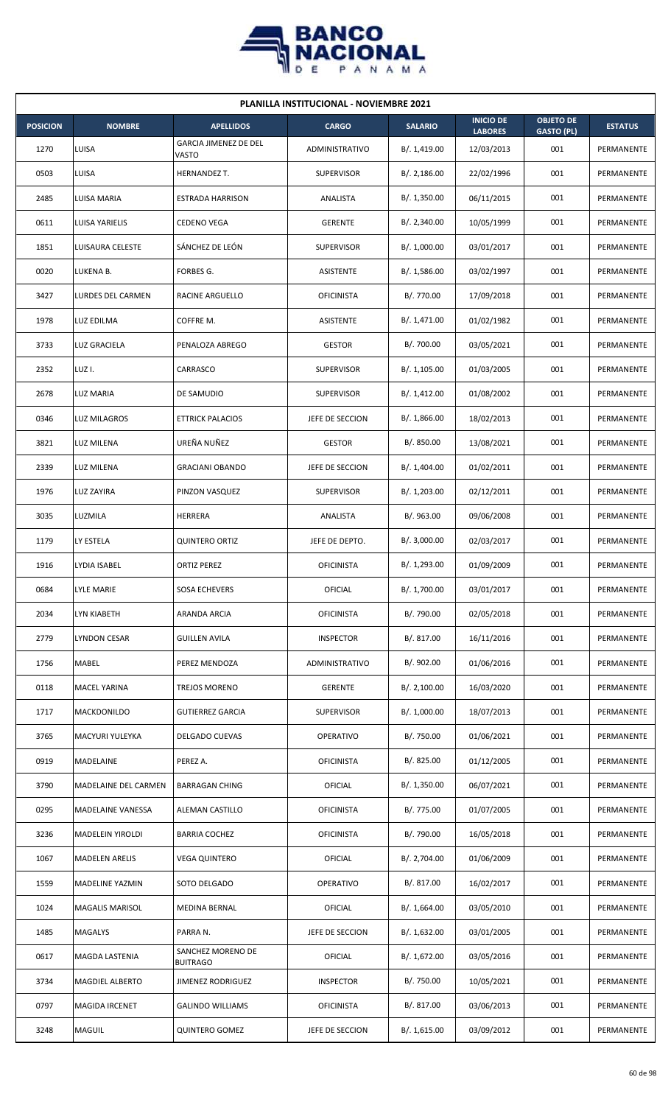

|                 | <b>PLANILLA INSTITUCIONAL - NOVIEMBRE 2021</b> |                                       |                   |                |                                    |                                       |                |  |  |  |
|-----------------|------------------------------------------------|---------------------------------------|-------------------|----------------|------------------------------------|---------------------------------------|----------------|--|--|--|
| <b>POSICION</b> | <b>NOMBRE</b>                                  | <b>APELLIDOS</b>                      | <b>CARGO</b>      | <b>SALARIO</b> | <b>INICIO DE</b><br><b>LABORES</b> | <b>OBJETO DE</b><br><b>GASTO (PL)</b> | <b>ESTATUS</b> |  |  |  |
| 1270            | LUISA                                          | <b>GARCIA JIMENEZ DE DEL</b><br>VASTO | ADMINISTRATIVO    | B/. 1,419.00   | 12/03/2013                         | 001                                   | PERMANENTE     |  |  |  |
| 0503            | LUISA                                          | HERNANDEZ T.                          | <b>SUPERVISOR</b> | B/.2,186.00    | 22/02/1996                         | 001                                   | PERMANENTE     |  |  |  |
| 2485            | LUISA MARIA                                    | ESTRADA HARRISON                      | ANALISTA          | B/. 1,350.00   | 06/11/2015                         | 001                                   | PERMANENTE     |  |  |  |
| 0611            | LUISA YARIELIS                                 | <b>CEDENO VEGA</b>                    | <b>GERENTE</b>    | B/.2,340.00    | 10/05/1999                         | 001                                   | PERMANENTE     |  |  |  |
| 1851            | <b>LUISAURA CELESTE</b>                        | SÁNCHEZ DE LEÓN                       | <b>SUPERVISOR</b> | B/. 1,000.00   | 03/01/2017                         | 001                                   | PERMANENTE     |  |  |  |
| 0020            | LUKENA B.                                      | FORBES G.                             | ASISTENTE         | B/. 1,586.00   | 03/02/1997                         | 001                                   | PERMANENTE     |  |  |  |
| 3427            | LURDES DEL CARMEN                              | RACINE ARGUELLO                       | <b>OFICINISTA</b> | B/. 770.00     | 17/09/2018                         | 001                                   | PERMANENTE     |  |  |  |
| 1978            | LUZ EDILMA                                     | COFFRE M.                             | <b>ASISTENTE</b>  | B/. 1,471.00   | 01/02/1982                         | 001                                   | PERMANENTE     |  |  |  |
| 3733            | LUZ GRACIELA                                   | PENALOZA ABREGO                       | <b>GESTOR</b>     | B/. 700.00     | 03/05/2021                         | 001                                   | PERMANENTE     |  |  |  |
| 2352            | LUZ I.                                         | CARRASCO                              | <b>SUPERVISOR</b> | B/. 1,105.00   | 01/03/2005                         | 001                                   | PERMANENTE     |  |  |  |
| 2678            | LUZ MARIA                                      | DE SAMUDIO                            | <b>SUPERVISOR</b> | B/. 1,412.00   | 01/08/2002                         | 001                                   | PERMANENTE     |  |  |  |
| 0346            | <b>LUZ MILAGROS</b>                            | <b>ETTRICK PALACIOS</b>               | JEFE DE SECCION   | B/. 1,866.00   | 18/02/2013                         | 001                                   | PERMANENTE     |  |  |  |
| 3821            | LUZ MILENA                                     | UREÑA NUÑEZ                           | <b>GESTOR</b>     | B/. 850.00     | 13/08/2021                         | 001                                   | PERMANENTE     |  |  |  |
| 2339            | LUZ MILENA                                     | <b>GRACIANI OBANDO</b>                | JEFE DE SECCION   | B/. 1,404.00   | 01/02/2011                         | 001                                   | PERMANENTE     |  |  |  |
| 1976            | <b>LUZ ZAYIRA</b>                              | PINZON VASQUEZ                        | <b>SUPERVISOR</b> | B/. 1,203.00   | 02/12/2011                         | 001                                   | PERMANENTE     |  |  |  |
| 3035            | LUZMILA                                        | <b>HERRERA</b>                        | ANALISTA          | B/. 963.00     | 09/06/2008                         | 001                                   | PERMANENTE     |  |  |  |
| 1179            | LY ESTELA                                      | <b>QUINTERO ORTIZ</b>                 | JEFE DE DEPTO.    | B/.3,000.00    | 02/03/2017                         | 001                                   | PERMANENTE     |  |  |  |
| 1916            | LYDIA ISABEL                                   | <b>ORTIZ PEREZ</b>                    | <b>OFICINISTA</b> | B/. 1,293.00   | 01/09/2009                         | 001                                   | PERMANENTE     |  |  |  |
| 0684            | <b>LYLE MARIE</b>                              | <b>SOSA ECHEVERS</b>                  | OFICIAL           | B/. 1,700.00   | 03/01/2017                         | 001                                   | PERMANENTE     |  |  |  |
| 2034            | LYN KIABETH                                    | ARANDA ARCIA                          | <b>OFICINISTA</b> | B/. 790.00     | 02/05/2018                         | 001                                   | PERMANENTE     |  |  |  |
| 2779            | LYNDON CESAR                                   | <b>GUILLEN AVILA</b>                  | <b>INSPECTOR</b>  | B/. 817.00     | 16/11/2016                         | 001                                   | PERMANENTE     |  |  |  |
| 1756            | MABEL                                          | PEREZ MENDOZA                         | ADMINISTRATIVO    | B/. 902.00     | 01/06/2016                         | 001                                   | PERMANENTE     |  |  |  |
| 0118            | MACEL YARINA                                   | TREJOS MORENO                         | <b>GERENTE</b>    | B/.2,100.00    | 16/03/2020                         | 001                                   | PERMANENTE     |  |  |  |
| 1717            | MACKDONILDO                                    | <b>GUTIERREZ GARCIA</b>               | <b>SUPERVISOR</b> | B/. 1,000.00   | 18/07/2013                         | 001                                   | PERMANENTE     |  |  |  |
| 3765            | MACYURI YULEYKA                                | DELGADO CUEVAS                        | <b>OPERATIVO</b>  | B/. 750.00     | 01/06/2021                         | 001                                   | PERMANENTE     |  |  |  |
| 0919            | MADELAINE                                      | PEREZ A.                              | <b>OFICINISTA</b> | B/. 825.00     | 01/12/2005                         | 001                                   | PERMANENTE     |  |  |  |
| 3790            | MADELAINE DEL CARMEN                           | <b>BARRAGAN CHING</b>                 | OFICIAL           | B/. 1,350.00   | 06/07/2021                         | 001                                   | PERMANENTE     |  |  |  |
| 0295            | MADELAINE VANESSA                              | ALEMAN CASTILLO                       | <b>OFICINISTA</b> | B/. 775.00     | 01/07/2005                         | 001                                   | PERMANENTE     |  |  |  |
| 3236            | MADELEIN YIROLDI                               | <b>BARRIA COCHEZ</b>                  | <b>OFICINISTA</b> | B/. 790.00     | 16/05/2018                         | 001                                   | PERMANENTE     |  |  |  |
| 1067            | <b>MADELEN ARELIS</b>                          | <b>VEGA QUINTERO</b>                  | OFICIAL           | B/. 2,704.00   | 01/06/2009                         | 001                                   | PERMANENTE     |  |  |  |
| 1559            | MADELINE YAZMIN                                | SOTO DELGADO                          | OPERATIVO         | B/. 817.00     | 16/02/2017                         | 001                                   | PERMANENTE     |  |  |  |
| 1024            | <b>MAGALIS MARISOL</b>                         | MEDINA BERNAL                         | OFICIAL           | B/.1,664.00    | 03/05/2010                         | 001                                   | PERMANENTE     |  |  |  |
| 1485            | <b>MAGALYS</b>                                 | PARRA N.                              | JEFE DE SECCION   | B/.1,632.00    | 03/01/2005                         | 001                                   | PERMANENTE     |  |  |  |
| 0617            | MAGDA LASTENIA                                 | SANCHEZ MORENO DE<br><b>BUITRAGO</b>  | OFICIAL           | B/. 1,672.00   | 03/05/2016                         | 001                                   | PERMANENTE     |  |  |  |
| 3734            | MAGDIEL ALBERTO                                | <b>JIMENEZ RODRIGUEZ</b>              | <b>INSPECTOR</b>  | B/. 750.00     | 10/05/2021                         | 001                                   | PERMANENTE     |  |  |  |
| 0797            | <b>MAGIDA IRCENET</b>                          | <b>GALINDO WILLIAMS</b>               | <b>OFICINISTA</b> | B/. 817.00     | 03/06/2013                         | 001                                   | PERMANENTE     |  |  |  |
| 3248            | MAGUIL                                         | <b>QUINTERO GOMEZ</b>                 | JEFE DE SECCION   | B/. 1,615.00   | 03/09/2012                         | 001                                   | PERMANENTE     |  |  |  |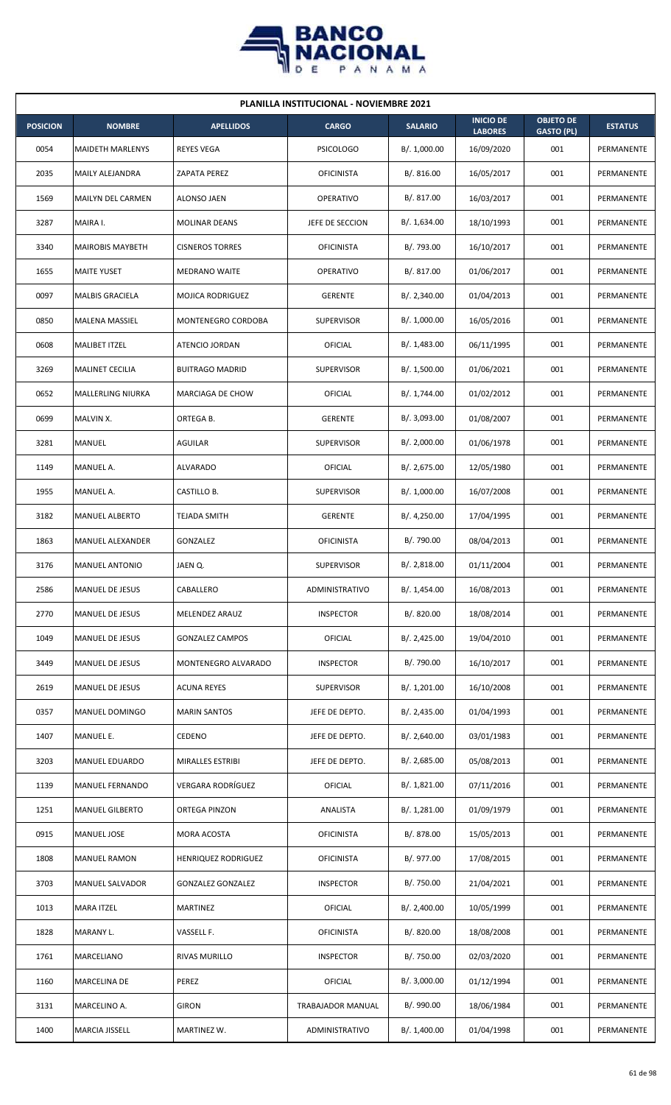

| <b>PLANILLA INSTITUCIONAL - NOVIEMBRE 2021</b> |                          |                          |                   |                |                                    |                                       |                |  |  |  |
|------------------------------------------------|--------------------------|--------------------------|-------------------|----------------|------------------------------------|---------------------------------------|----------------|--|--|--|
| <b>POSICION</b>                                | <b>NOMBRE</b>            | <b>APELLIDOS</b>         | <b>CARGO</b>      | <b>SALARIO</b> | <b>INICIO DE</b><br><b>LABORES</b> | <b>OBJETO DE</b><br><b>GASTO (PL)</b> | <b>ESTATUS</b> |  |  |  |
| 0054                                           | <b>MAIDETH MARLENYS</b>  | <b>REYES VEGA</b>        | <b>PSICOLOGO</b>  | B/. 1,000.00   | 16/09/2020                         | 001                                   | PERMANENTE     |  |  |  |
| 2035                                           | MAILY ALEJANDRA          | ZAPATA PEREZ             | <b>OFICINISTA</b> | B/. 816.00     | 16/05/2017                         | 001                                   | PERMANENTE     |  |  |  |
| 1569                                           | <b>MAILYN DEL CARMEN</b> | ALONSO JAEN              | <b>OPERATIVO</b>  | B/. 817.00     | 16/03/2017                         | 001                                   | PERMANENTE     |  |  |  |
| 3287                                           | MAIRA I.                 | <b>MOLINAR DEANS</b>     | JEFE DE SECCION   | B/. 1,634.00   | 18/10/1993                         | 001                                   | PERMANENTE     |  |  |  |
| 3340                                           | <b>MAIROBIS MAYBETH</b>  | <b>CISNEROS TORRES</b>   | <b>OFICINISTA</b> | B/. 793.00     | 16/10/2017                         | 001                                   | PERMANENTE     |  |  |  |
| 1655                                           | <b>MAITE YUSET</b>       | <b>MEDRANO WAITE</b>     | <b>OPERATIVO</b>  | B/. 817.00     | 01/06/2017                         | 001                                   | PERMANENTE     |  |  |  |
| 0097                                           | <b>MALBIS GRACIELA</b>   | <b>MOJICA RODRIGUEZ</b>  | <b>GERENTE</b>    | B/.2,340.00    | 01/04/2013                         | 001                                   | PERMANENTE     |  |  |  |
| 0850                                           | MALENA MASSIEL           | MONTENEGRO CORDOBA       | <b>SUPERVISOR</b> | B/. 1,000.00   | 16/05/2016                         | 001                                   | PERMANENTE     |  |  |  |
| 0608                                           | <b>MALIBET ITZEL</b>     | ATENCIO JORDAN           | OFICIAL           | B/. 1,483.00   | 06/11/1995                         | 001                                   | PERMANENTE     |  |  |  |
| 3269                                           | MALINET CECILIA          | <b>BUITRAGO MADRID</b>   | <b>SUPERVISOR</b> | B/. 1,500.00   | 01/06/2021                         | 001                                   | PERMANENTE     |  |  |  |
| 0652                                           | <b>MALLERLING NIURKA</b> | MARCIAGA DE CHOW         | OFICIAL           | B/. 1,744.00   | 01/02/2012                         | 001                                   | PERMANENTE     |  |  |  |
| 0699                                           | MALVIN X.                | ORTEGA B.                | <b>GERENTE</b>    | B/. 3,093.00   | 01/08/2007                         | 001                                   | PERMANENTE     |  |  |  |
| 3281                                           | MANUEL                   | AGUILAR                  | <b>SUPERVISOR</b> | B/.2,000.00    | 01/06/1978                         | 001                                   | PERMANENTE     |  |  |  |
| 1149                                           | MANUEL A.                | ALVARADO                 | OFICIAL           | B/.2,675.00    | 12/05/1980                         | 001                                   | PERMANENTE     |  |  |  |
| 1955                                           | MANUEL A.                | CASTILLO B.              | <b>SUPERVISOR</b> | B/. 1,000.00   | 16/07/2008                         | 001                                   | PERMANENTE     |  |  |  |
| 3182                                           | <b>MANUEL ALBERTO</b>    | <b>TEJADA SMITH</b>      | <b>GERENTE</b>    | B/.4,250.00    | 17/04/1995                         | 001                                   | PERMANENTE     |  |  |  |
| 1863                                           | MANUEL ALEXANDER         | GONZALEZ                 | <b>OFICINISTA</b> | B/. 790.00     | 08/04/2013                         | 001                                   | PERMANENTE     |  |  |  |
| 3176                                           | <b>MANUEL ANTONIO</b>    | JAEN Q.                  | <b>SUPERVISOR</b> | B/. 2,818.00   | 01/11/2004                         | 001                                   | PERMANENTE     |  |  |  |
| 2586                                           | <b>MANUEL DE JESUS</b>   | CABALLERO                | ADMINISTRATIVO    | B/. 1,454.00   | 16/08/2013                         | 001                                   | PERMANENTE     |  |  |  |
| 2770                                           | MANUEL DE JESUS          | MELENDEZ ARAUZ           | <b>INSPECTOR</b>  | B/. 820.00     | 18/08/2014                         | 001                                   | PERMANENTE     |  |  |  |
| 1049                                           | <b>MANUEL DE JESUS</b>   | <b>GONZALEZ CAMPOS</b>   | OFICIAL           | B/. 2,425.00   | 19/04/2010                         | 001                                   | PERMANENTE     |  |  |  |
| 3449                                           | MANUEL DE JESUS          | MONTENEGRO ALVARADO      | <b>INSPECTOR</b>  | B/. 790.00     | 16/10/2017                         | 001                                   | PERMANENTE     |  |  |  |
| 2619                                           | MANUEL DE JESUS          | <b>ACUNA REYES</b>       | <b>SUPERVISOR</b> | B/. 1,201.00   | 16/10/2008                         | 001                                   | PERMANENTE     |  |  |  |
| 0357                                           | MANUEL DOMINGO           | <b>MARIN SANTOS</b>      | JEFE DE DEPTO.    | B/. 2,435.00   | 01/04/1993                         | 001                                   | PERMANENTE     |  |  |  |
| 1407                                           | MANUEL E.                | CEDENO                   | JEFE DE DEPTO.    | B/.2,640.00    | 03/01/1983                         | 001                                   | PERMANENTE     |  |  |  |
| 3203                                           | <b>MANUEL EDUARDO</b>    | MIRALLES ESTRIBI         | JEFE DE DEPTO.    | B/.2,685.00    | 05/08/2013                         | 001                                   | PERMANENTE     |  |  |  |
| 1139                                           | MANUEL FERNANDO          | VERGARA RODRÍGUEZ        | OFICIAL           | B/.1,821.00    | 07/11/2016                         | 001                                   | PERMANENTE     |  |  |  |
| 1251                                           | <b>MANUEL GILBERTO</b>   | ORTEGA PINZON            | ANALISTA          | B/. 1,281.00   | 01/09/1979                         | 001                                   | PERMANENTE     |  |  |  |
| 0915                                           | MANUEL JOSE              | MORA ACOSTA              | <b>OFICINISTA</b> | B/. 878.00     | 15/05/2013                         | 001                                   | PERMANENTE     |  |  |  |
| 1808                                           | <b>MANUEL RAMON</b>      | HENRIQUEZ RODRIGUEZ      | <b>OFICINISTA</b> | B/. 977.00     | 17/08/2015                         | 001                                   | PERMANENTE     |  |  |  |
| 3703                                           | MANUEL SALVADOR          | <b>GONZALEZ GONZALEZ</b> | <b>INSPECTOR</b>  | B/. 750.00     | 21/04/2021                         | 001                                   | PERMANENTE     |  |  |  |
| 1013                                           | <b>MARA ITZEL</b>        | MARTINEZ                 | OFICIAL           | B/.2,400.00    | 10/05/1999                         | 001                                   | PERMANENTE     |  |  |  |
| 1828                                           | MARANY L.                | VASSELL F.               | <b>OFICINISTA</b> | B/. 820.00     | 18/08/2008                         | 001                                   | PERMANENTE     |  |  |  |
| 1761                                           | MARCELIANO               | RIVAS MURILLO            | <b>INSPECTOR</b>  | B/. 750.00     | 02/03/2020                         | 001                                   | PERMANENTE     |  |  |  |
| 1160                                           | MARCELINA DE             | PEREZ                    | OFICIAL           | B/. 3,000.00   | 01/12/1994                         | 001                                   | PERMANENTE     |  |  |  |
| 3131                                           | MARCELINO A.             | <b>GIRON</b>             | TRABAJADOR MANUAL | B/. 990.00     | 18/06/1984                         | 001                                   | PERMANENTE     |  |  |  |
| 1400                                           | <b>MARCIA JISSELL</b>    | MARTINEZ W.              | ADMINISTRATIVO    | B/. 1,400.00   | 01/04/1998                         | 001                                   | PERMANENTE     |  |  |  |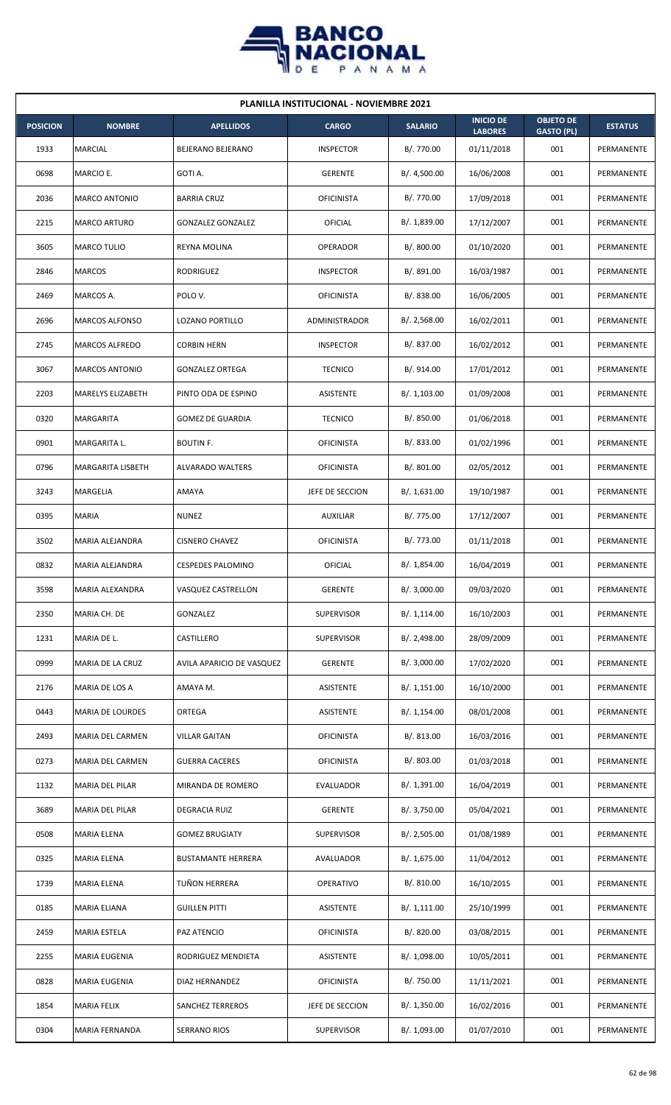

| <b>PLANILLA INSTITUCIONAL - NOVIEMBRE 2021</b> |                         |                           |                      |                |                                    |                                       |                |  |  |  |
|------------------------------------------------|-------------------------|---------------------------|----------------------|----------------|------------------------------------|---------------------------------------|----------------|--|--|--|
| <b>POSICION</b>                                | <b>NOMBRE</b>           | <b>APELLIDOS</b>          | <b>CARGO</b>         | <b>SALARIO</b> | <b>INICIO DE</b><br><b>LABORES</b> | <b>OBJETO DE</b><br><b>GASTO (PL)</b> | <b>ESTATUS</b> |  |  |  |
| 1933                                           | <b>MARCIAL</b>          | BEJERANO BEJERANO         | <b>INSPECTOR</b>     | B/. 770.00     | 01/11/2018                         | 001                                   | PERMANENTE     |  |  |  |
| 0698                                           | MARCIO E.               | GOTI A.                   | <b>GERENTE</b>       | B/. 4,500.00   | 16/06/2008                         | 001                                   | PERMANENTE     |  |  |  |
| 2036                                           | <b>MARCO ANTONIO</b>    | <b>BARRIA CRUZ</b>        | <b>OFICINISTA</b>    | B/. 770.00     | 17/09/2018                         | 001                                   | PERMANENTE     |  |  |  |
| 2215                                           | <b>MARCO ARTURO</b>     | <b>GONZALEZ GONZALEZ</b>  | OFICIAL              | B/. 1,839.00   | 17/12/2007                         | 001                                   | PERMANENTE     |  |  |  |
| 3605                                           | MARCO TULIO             | REYNA MOLINA              | OPERADOR             | B/.800.00      | 01/10/2020                         | 001                                   | PERMANENTE     |  |  |  |
| 2846                                           | <b>MARCOS</b>           | RODRIGUEZ                 | <b>INSPECTOR</b>     | B/. 891.00     | 16/03/1987                         | 001                                   | PERMANENTE     |  |  |  |
| 2469                                           | MARCOS A.               | POLO V.                   | <b>OFICINISTA</b>    | B/0.838.00     | 16/06/2005                         | 001                                   | PERMANENTE     |  |  |  |
| 2696                                           | <b>MARCOS ALFONSO</b>   | LOZANO PORTILLO           | <b>ADMINISTRADOR</b> | B/.2,568.00    | 16/02/2011                         | 001                                   | PERMANENTE     |  |  |  |
| 2745                                           | <b>MARCOS ALFREDO</b>   | <b>CORBIN HERN</b>        | <b>INSPECTOR</b>     | B/. 837.00     | 16/02/2012                         | 001                                   | PERMANENTE     |  |  |  |
| 3067                                           | <b>MARCOS ANTONIO</b>   | <b>GONZALEZ ORTEGA</b>    | <b>TECNICO</b>       | B/. 914.00     | 17/01/2012                         | 001                                   | PERMANENTE     |  |  |  |
| 2203                                           | MARELYS ELIZABETH       | PINTO ODA DE ESPINO       | ASISTENTE            | B/. 1,103.00   | 01/09/2008                         | 001                                   | PERMANENTE     |  |  |  |
| 0320                                           | MARGARITA               | <b>GOMEZ DE GUARDIA</b>   | <b>TECNICO</b>       | B/.850.00      | 01/06/2018                         | 001                                   | PERMANENTE     |  |  |  |
| 0901                                           | MARGARITA L.            | <b>BOUTIN F.</b>          | <b>OFICINISTA</b>    | B/0.833.00     | 01/02/1996                         | 001                                   | PERMANENTE     |  |  |  |
| 0796                                           | MARGARITA LISBETH       | <b>ALVARADO WALTERS</b>   | <b>OFICINISTA</b>    | B/. 801.00     | 02/05/2012                         | 001                                   | PERMANENTE     |  |  |  |
| 3243                                           | MARGELIA                | AMAYA                     | JEFE DE SECCION      | B/.1,631.00    | 19/10/1987                         | 001                                   | PERMANENTE     |  |  |  |
| 0395                                           | MARIA                   | <b>NUNEZ</b>              | <b>AUXILIAR</b>      | B/. 775.00     | 17/12/2007                         | 001                                   | PERMANENTE     |  |  |  |
| 3502                                           | MARIA ALEJANDRA         | <b>CISNERO CHAVEZ</b>     | <b>OFICINISTA</b>    | B/. 773.00     | 01/11/2018                         | 001                                   | PERMANENTE     |  |  |  |
| 0832                                           | MARIA ALEJANDRA         | <b>CESPEDES PALOMINO</b>  | OFICIAL              | B/. 1,854.00   | 16/04/2019                         | 001                                   | PERMANENTE     |  |  |  |
| 3598                                           | MARIA ALEXANDRA         | VASQUEZ CASTRELLON        | <b>GERENTE</b>       | B/.3,000.00    | 09/03/2020                         | 001                                   | PERMANENTE     |  |  |  |
| 2350                                           | MARIA CH. DE            | GONZALEZ                  | <b>SUPERVISOR</b>    | B/.1,114.00    | 16/10/2003                         | 001                                   | PERMANENTE     |  |  |  |
| 1231                                           | MARIA DE L.             | CASTILLERO                | <b>SUPERVISOR</b>    | B/. 2,498.00   | 28/09/2009                         | 001                                   | PERMANENTE     |  |  |  |
| 0999                                           | MARIA DE LA CRUZ        | AVILA APARICIO DE VASQUEZ | <b>GERENTE</b>       | B/.3,000.00    | 17/02/2020                         | 001                                   | PERMANENTE     |  |  |  |
| 2176                                           | MARIA DE LOS A          | AMAYA M.                  | <b>ASISTENTE</b>     | B/.1,151.00    | 16/10/2000                         | 001                                   | PERMANENTE     |  |  |  |
| 0443                                           | MARIA DE LOURDES        | ORTEGA                    | <b>ASISTENTE</b>     | B/. 1,154.00   | 08/01/2008                         | 001                                   | PERMANENTE     |  |  |  |
| 2493                                           | MARIA DEL CARMEN        | <b>VILLAR GAITAN</b>      | <b>OFICINISTA</b>    | B/. 813.00     | 16/03/2016                         | 001                                   | PERMANENTE     |  |  |  |
| 0273                                           | <b>MARIA DEL CARMEN</b> | <b>GUERRA CACERES</b>     | <b>OFICINISTA</b>    | B/. 803.00     | 01/03/2018                         | 001                                   | PERMANENTE     |  |  |  |
| 1132                                           | MARIA DEL PILAR         | MIRANDA DE ROMERO         | EVALUADOR            | B/. 1,391.00   | 16/04/2019                         | 001                                   | PERMANENTE     |  |  |  |
| 3689                                           | <b>MARIA DEL PILAR</b>  | DEGRACIA RUIZ             | <b>GERENTE</b>       | B/. 3,750.00   | 05/04/2021                         | 001                                   | PERMANENTE     |  |  |  |
| 0508                                           | MARIA ELENA             | <b>GOMEZ BRUGIATY</b>     | <b>SUPERVISOR</b>    | B/.2,505.00    | 01/08/1989                         | 001                                   | PERMANENTE     |  |  |  |
| 0325                                           | <b>MARIA ELENA</b>      | <b>BUSTAMANTE HERRERA</b> | AVALUADOR            | B/. 1,675.00   | 11/04/2012                         | 001                                   | PERMANENTE     |  |  |  |
| 1739                                           | MARIA ELENA             | TUÑON HERRERA             | OPERATIVO            | B/. 810.00     | 16/10/2015                         | 001                                   | PERMANENTE     |  |  |  |
| 0185                                           | MARIA ELIANA            | <b>GUILLEN PITTI</b>      | ASISTENTE            | B/.1,111.00    | 25/10/1999                         | 001                                   | PERMANENTE     |  |  |  |
| 2459                                           | MARIA ESTELA            | PAZ ATENCIO               | <b>OFICINISTA</b>    | B/. 820.00     | 03/08/2015                         | 001                                   | PERMANENTE     |  |  |  |
| 2255                                           | MARIA EUGENIA           | RODRIGUEZ MENDIETA        | ASISTENTE            | B/. 1,098.00   | 10/05/2011                         | 001                                   | PERMANENTE     |  |  |  |
| 0828                                           | MARIA EUGENIA           | DIAZ HERNANDEZ            | <b>OFICINISTA</b>    | B/. 750.00     | 11/11/2021                         | 001                                   | PERMANENTE     |  |  |  |
| 1854                                           | <b>MARIA FELIX</b>      | <b>SANCHEZ TERREROS</b>   | JEFE DE SECCION      | B/.1,350.00    | 16/02/2016                         | 001                                   | PERMANENTE     |  |  |  |
| 0304                                           | MARIA FERNANDA          | SERRANO RIOS              | <b>SUPERVISOR</b>    | B/. 1,093.00   | 01/07/2010                         | 001                                   | PERMANENTE     |  |  |  |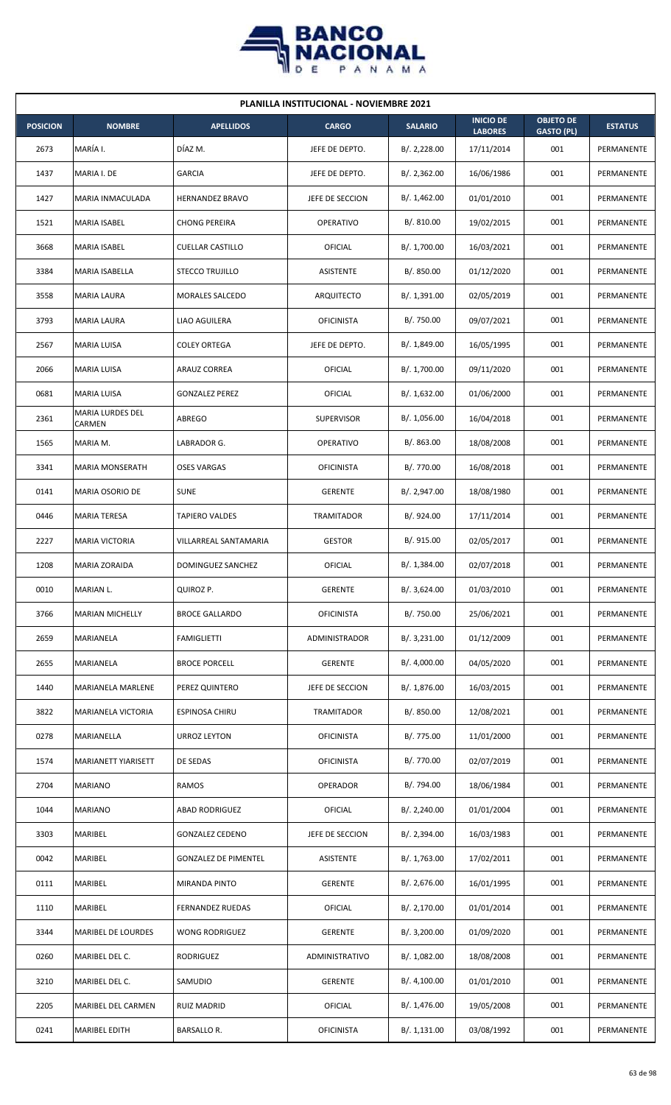

| <b>PLANILLA INSTITUCIONAL - NOVIEMBRE 2021</b> |                            |                             |                   |                |                                    |                                       |                |  |  |  |
|------------------------------------------------|----------------------------|-----------------------------|-------------------|----------------|------------------------------------|---------------------------------------|----------------|--|--|--|
| <b>POSICION</b>                                | <b>NOMBRE</b>              | <b>APELLIDOS</b>            | <b>CARGO</b>      | <b>SALARIO</b> | <b>INICIO DE</b><br><b>LABORES</b> | <b>OBJETO DE</b><br><b>GASTO (PL)</b> | <b>ESTATUS</b> |  |  |  |
| 2673                                           | MARÍA I.                   | DÍAZ M.                     | JEFE DE DEPTO.    | B/.2,228.00    | 17/11/2014                         | 001                                   | PERMANENTE     |  |  |  |
| 1437                                           | MARIA I. DE                | <b>GARCIA</b>               | JEFE DE DEPTO.    | B/.2,362.00    | 16/06/1986                         | 001                                   | PERMANENTE     |  |  |  |
| 1427                                           | MARIA INMACULADA           | <b>HERNANDEZ BRAVO</b>      | JEFE DE SECCION   | B/. 1,462.00   | 01/01/2010                         | 001                                   | PERMANENTE     |  |  |  |
| 1521                                           | <b>MARIA ISABEL</b>        | <b>CHONG PEREIRA</b>        | OPERATIVO         | B/. 810.00     | 19/02/2015                         | 001                                   | PERMANENTE     |  |  |  |
| 3668                                           | <b>MARIA ISABEL</b>        | <b>CUELLAR CASTILLO</b>     | <b>OFICIAL</b>    | B/. 1,700.00   | 16/03/2021                         | 001                                   | PERMANENTE     |  |  |  |
| 3384                                           | <b>MARIA ISABELLA</b>      | <b>STECCO TRUJILLO</b>      | <b>ASISTENTE</b>  | B/.850.00      | 01/12/2020                         | 001                                   | PERMANENTE     |  |  |  |
| 3558                                           | <b>MARIA LAURA</b>         | MORALES SALCEDO             | ARQUITECTO        | B/.1,391.00    | 02/05/2019                         | 001                                   | PERMANENTE     |  |  |  |
| 3793                                           | <b>MARIA LAURA</b>         | <b>LIAO AGUILERA</b>        | <b>OFICINISTA</b> | B/. 750.00     | 09/07/2021                         | 001                                   | PERMANENTE     |  |  |  |
| 2567                                           | <b>MARIA LUISA</b>         | COLEY ORTEGA                | JEFE DE DEPTO.    | B/. 1,849.00   | 16/05/1995                         | 001                                   | PERMANENTE     |  |  |  |
| 2066                                           | <b>MARIA LUISA</b>         | ARAUZ CORREA                | OFICIAL           | B/. 1,700.00   | 09/11/2020                         | 001                                   | PERMANENTE     |  |  |  |
| 0681                                           | <b>MARIA LUISA</b>         | <b>GONZALEZ PEREZ</b>       | OFICIAL           | B/.1,632.00    | 01/06/2000                         | 001                                   | PERMANENTE     |  |  |  |
| 2361                                           | MARIA LURDES DEL<br>CARMEN | ABREGO                      | <b>SUPERVISOR</b> | B/. 1,056.00   | 16/04/2018                         | 001                                   | PERMANENTE     |  |  |  |
| 1565                                           | MARIA M.                   | LABRADOR G.                 | <b>OPERATIVO</b>  | B/. 863.00     | 18/08/2008                         | 001                                   | PERMANENTE     |  |  |  |
| 3341                                           | <b>MARIA MONSERATH</b>     | <b>OSES VARGAS</b>          | <b>OFICINISTA</b> | B/. 770.00     | 16/08/2018                         | 001                                   | PERMANENTE     |  |  |  |
| 0141                                           | <b>MARIA OSORIO DE</b>     | <b>SUNE</b>                 | <b>GERENTE</b>    | B/.2,947.00    | 18/08/1980                         | 001                                   | PERMANENTE     |  |  |  |
| 0446                                           | <b>MARIA TERESA</b>        | <b>TAPIERO VALDES</b>       | TRAMITADOR        | B/. 924.00     | 17/11/2014                         | 001                                   | PERMANENTE     |  |  |  |
| 2227                                           | <b>MARIA VICTORIA</b>      | VILLARREAL SANTAMARIA       | <b>GESTOR</b>     | B/. 915.00     | 02/05/2017                         | 001                                   | PERMANENTE     |  |  |  |
| 1208                                           | <b>MARIA ZORAIDA</b>       | DOMINGUEZ SANCHEZ           | OFICIAL           | B/. 1,384.00   | 02/07/2018                         | 001                                   | PERMANENTE     |  |  |  |
| 0010                                           | MARIAN L.                  | QUIROZ P.                   | <b>GERENTE</b>    | B/. 3,624.00   | 01/03/2010                         | 001                                   | PERMANENTE     |  |  |  |
| 3766                                           | <b>MARIAN MICHELLY</b>     | <b>BROCE GALLARDO</b>       | <b>OFICINISTA</b> | B/. 750.00     | 25/06/2021                         | 001                                   | PERMANENTE     |  |  |  |
| 2659                                           | MARIANELA                  | <b>FAMIGLIETTI</b>          | ADMINISTRADOR     | B/. 3,231.00   | 01/12/2009                         | 001                                   | PERMANENTE     |  |  |  |
| 2655                                           | <b>MARIANELA</b>           | <b>BROCE PORCELL</b>        | <b>GERENTE</b>    | B/. 4,000.00   | 04/05/2020                         | 001                                   | PERMANENTE     |  |  |  |
| 1440                                           | <b>MARIANELA MARLENE</b>   | PEREZ QUINTERO              | JEFE DE SECCION   | B/. 1,876.00   | 16/03/2015                         | 001                                   | PERMANENTE     |  |  |  |
| 3822                                           | MARIANELA VICTORIA         | ESPINOSA CHIRU              | TRAMITADOR        | B/. 850.00     | 12/08/2021                         | 001                                   | PERMANENTE     |  |  |  |
| 0278                                           | MARIANELLA                 | URROZ LEYTON                | <b>OFICINISTA</b> | B/. 775.00     | 11/01/2000                         | 001                                   | PERMANENTE     |  |  |  |
| 1574                                           | MARIANETT YIARISETT        | DE SEDAS                    | <b>OFICINISTA</b> | B/. 770.00     | 02/07/2019                         | 001                                   | PERMANENTE     |  |  |  |
| 2704                                           | <b>MARIANO</b>             | RAMOS                       | <b>OPERADOR</b>   | B/. 794.00     | 18/06/1984                         | 001                                   | PERMANENTE     |  |  |  |
| 1044                                           | <b>MARIANO</b>             | <b>ABAD RODRIGUEZ</b>       | OFICIAL           | B/. 2,240.00   | 01/01/2004                         | 001                                   | PERMANENTE     |  |  |  |
| 3303                                           | MARIBEL                    | <b>GONZALEZ CEDENO</b>      | JEFE DE SECCION   | B/.2,394.00    | 16/03/1983                         | 001                                   | PERMANENTE     |  |  |  |
| 0042                                           | MARIBEL                    | <b>GONZALEZ DE PIMENTEL</b> | ASISTENTE         | B/. 1,763.00   | 17/02/2011                         | 001                                   | PERMANENTE     |  |  |  |
| 0111                                           | MARIBEL                    | MIRANDA PINTO               | <b>GERENTE</b>    | B/. 2,676.00   | 16/01/1995                         | 001                                   | PERMANENTE     |  |  |  |
| 1110                                           | <b>MARIBEL</b>             | <b>FERNANDEZ RUEDAS</b>     | OFICIAL           | B/. 2,170.00   | 01/01/2014                         | 001                                   | PERMANENTE     |  |  |  |
| 3344                                           | MARIBEL DE LOURDES         | <b>WONG RODRIGUEZ</b>       | <b>GERENTE</b>    | B/. 3,200.00   | 01/09/2020                         | 001                                   | PERMANENTE     |  |  |  |
| 0260                                           | MARIBEL DEL C.             | RODRIGUEZ                   | ADMINISTRATIVO    | B/. 1,082.00   | 18/08/2008                         | 001                                   | PERMANENTE     |  |  |  |
| 3210                                           | MARIBEL DEL C.             | SAMUDIO                     | <b>GERENTE</b>    | B/.4,100.00    | 01/01/2010                         | 001                                   | PERMANENTE     |  |  |  |
| 2205                                           | MARIBEL DEL CARMEN         | <b>RUIZ MADRID</b>          | OFICIAL           | B/. 1,476.00   | 19/05/2008                         | 001                                   | PERMANENTE     |  |  |  |
| 0241                                           | <b>MARIBEL EDITH</b>       | BARSALLO R.                 | <b>OFICINISTA</b> | B/.1,131.00    | 03/08/1992                         | 001                                   | PERMANENTE     |  |  |  |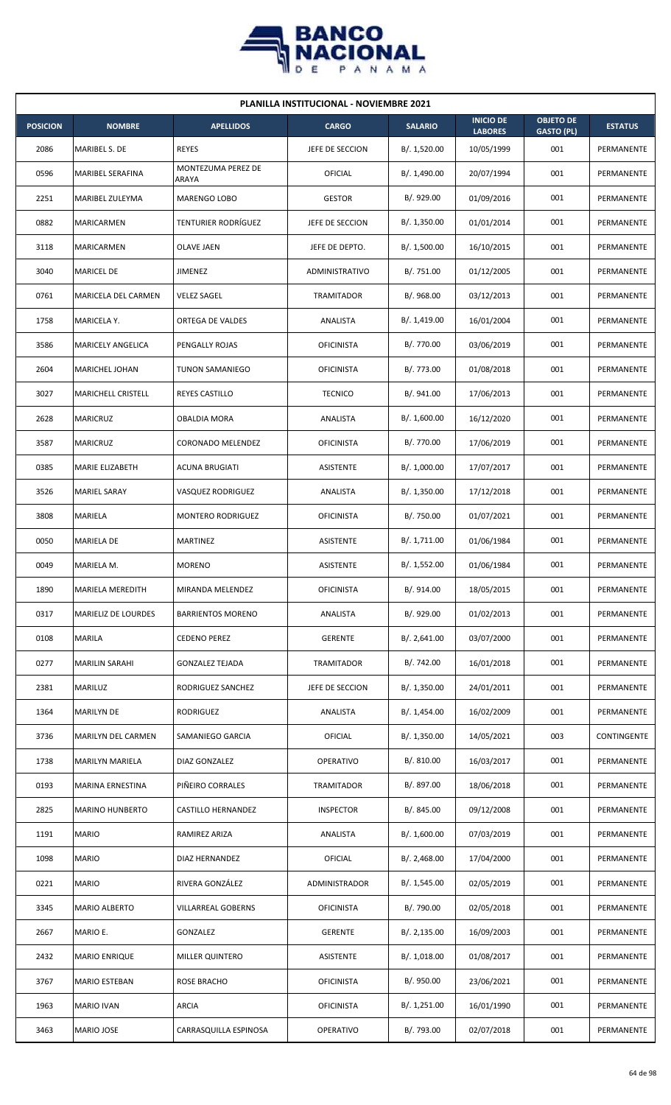

| <b>PLANILLA INSTITUCIONAL - NOVIEMBRE 2021</b> |                            |                             |                   |                |                                    |                                       |                |  |  |
|------------------------------------------------|----------------------------|-----------------------------|-------------------|----------------|------------------------------------|---------------------------------------|----------------|--|--|
| <b>POSICION</b>                                | <b>NOMBRE</b>              | <b>APELLIDOS</b>            | <b>CARGO</b>      | <b>SALARIO</b> | <b>INICIO DE</b><br><b>LABORES</b> | <b>OBJETO DE</b><br><b>GASTO (PL)</b> | <b>ESTATUS</b> |  |  |
| 2086                                           | MARIBEL S. DE              | <b>REYES</b>                | JEFE DE SECCION   | B/. 1,520.00   | 10/05/1999                         | 001                                   | PERMANENTE     |  |  |
| 0596                                           | MARIBEL SERAFINA           | MONTEZUMA PEREZ DE<br>ARAYA | OFICIAL           | B/. 1,490.00   | 20/07/1994                         | 001                                   | PERMANENTE     |  |  |
| 2251                                           | MARIBEL ZULEYMA            | <b>MARENGO LOBO</b>         | <b>GESTOR</b>     | B/. 929.00     | 01/09/2016                         | 001                                   | PERMANENTE     |  |  |
| 0882                                           | <b>MARICARMEN</b>          | <b>TENTURIER RODRÍGUEZ</b>  | JEFE DE SECCION   | B/. 1,350.00   | 01/01/2014                         | 001                                   | PERMANENTE     |  |  |
| 3118                                           | MARICARMEN                 | <b>OLAVE JAEN</b>           | JEFE DE DEPTO.    | B/. 1,500.00   | 16/10/2015                         | 001                                   | PERMANENTE     |  |  |
| 3040                                           | <b>MARICEL DE</b>          | <b>JIMENEZ</b>              | ADMINISTRATIVO    | B/. 751.00     | 01/12/2005                         | 001                                   | PERMANENTE     |  |  |
| 0761                                           | MARICELA DEL CARMEN        | <b>VELEZ SAGEL</b>          | TRAMITADOR        | B/. 968.00     | 03/12/2013                         | 001                                   | PERMANENTE     |  |  |
| 1758                                           | MARICELA Y.                | ORTEGA DE VALDES            | ANALISTA          | B/.1,419.00    | 16/01/2004                         | 001                                   | PERMANENTE     |  |  |
| 3586                                           | MARICELY ANGELICA          | PENGALLY ROJAS              | <b>OFICINISTA</b> | B/. 770.00     | 03/06/2019                         | 001                                   | PERMANENTE     |  |  |
| 2604                                           | MARICHEL JOHAN             | <b>TUNON SAMANIEGO</b>      | <b>OFICINISTA</b> | B/. 773.00     | 01/08/2018                         | 001                                   | PERMANENTE     |  |  |
| 3027                                           | <b>MARICHELL CRISTELL</b>  | <b>REYES CASTILLO</b>       | <b>TECNICO</b>    | B/. 941.00     | 17/06/2013                         | 001                                   | PERMANENTE     |  |  |
| 2628                                           | <b>MARICRUZ</b>            | <b>OBALDIA MORA</b>         | ANALISTA          | B/. 1,600.00   | 16/12/2020                         | 001                                   | PERMANENTE     |  |  |
| 3587                                           | <b>MARICRUZ</b>            | CORONADO MELENDEZ           | <b>OFICINISTA</b> | B/. 770.00     | 17/06/2019                         | 001                                   | PERMANENTE     |  |  |
| 0385                                           | MARIE ELIZABETH            | <b>ACUNA BRUGIATI</b>       | <b>ASISTENTE</b>  | B/. 1,000.00   | 17/07/2017                         | 001                                   | PERMANENTE     |  |  |
| 3526                                           | <b>MARIEL SARAY</b>        | <b>VASQUEZ RODRIGUEZ</b>    | ANALISTA          | B/.1,350.00    | 17/12/2018                         | 001                                   | PERMANENTE     |  |  |
| 3808                                           | MARIELA                    | MONTERO RODRIGUEZ           | <b>OFICINISTA</b> | B/. 750.00     | 01/07/2021                         | 001                                   | PERMANENTE     |  |  |
| 0050                                           | MARIELA DE                 | <b>MARTINEZ</b>             | <b>ASISTENTE</b>  | B/. 1,711.00   | 01/06/1984                         | 001                                   | PERMANENTE     |  |  |
| 0049                                           | MARIELA M.                 | <b>MORENO</b>               | ASISTENTE         | B/. 1,552.00   | 01/06/1984                         | 001                                   | PERMANENTE     |  |  |
| 1890                                           | <b>MARIELA MEREDITH</b>    | MIRANDA MELENDEZ            | <b>OFICINISTA</b> | B/. 914.00     | 18/05/2015                         | 001                                   | PERMANENTE     |  |  |
| 0317                                           | <b>MARIELIZ DE LOURDES</b> | <b>BARRIENTOS MORENO</b>    | ANALISTA          | B/. 929.00     | 01/02/2013                         | 001                                   | PERMANENTE     |  |  |
| 0108                                           | MARILA                     | <b>CEDENO PEREZ</b>         | <b>GERENTE</b>    | B/.2,641.00    | 03/07/2000                         | 001                                   | PERMANENTE     |  |  |
| 0277                                           | <b>MARILIN SARAHI</b>      | <b>GONZALEZ TEJADA</b>      | <b>TRAMITADOR</b> | B/. 742.00     | 16/01/2018                         | 001                                   | PERMANENTE     |  |  |
| 2381                                           | MARILUZ                    | RODRIGUEZ SANCHEZ           | JEFE DE SECCION   | B/. 1,350.00   | 24/01/2011                         | 001                                   | PERMANENTE     |  |  |
| 1364                                           | <b>MARILYN DE</b>          | RODRIGUEZ                   | ANALISTA          | B/. 1,454.00   | 16/02/2009                         | 001                                   | PERMANENTE     |  |  |
| 3736                                           | MARILYN DEL CARMEN         | SAMANIEGO GARCIA            | OFICIAL           | B/.1,350.00    | 14/05/2021                         | 003                                   | CONTINGENTE    |  |  |
| 1738                                           | MARILYN MARIELA            | DIAZ GONZALEZ               | OPERATIVO         | B/. 810.00     | 16/03/2017                         | 001                                   | PERMANENTE     |  |  |
| 0193                                           | MARINA ERNESTINA           | PIÑEIRO CORRALES            | TRAMITADOR        | B/. 897.00     | 18/06/2018                         | 001                                   | PERMANENTE     |  |  |
| 2825                                           | <b>MARINO HUNBERTO</b>     | CASTILLO HERNANDEZ          | <b>INSPECTOR</b>  | B/. 845.00     | 09/12/2008                         | 001                                   | PERMANENTE     |  |  |
| 1191                                           | <b>MARIO</b>               | RAMIREZ ARIZA               | ANALISTA          | B/. 1,600.00   | 07/03/2019                         | 001                                   | PERMANENTE     |  |  |
| 1098                                           | <b>MARIO</b>               | DIAZ HERNANDEZ              | <b>OFICIAL</b>    | B/.2,468.00    | 17/04/2000                         | 001                                   | PERMANENTE     |  |  |
| 0221                                           | <b>MARIO</b>               | RIVERA GONZÁLEZ             | ADMINISTRADOR     | B/. 1,545.00   | 02/05/2019                         | 001                                   | PERMANENTE     |  |  |
| 3345                                           | MARIO ALBERTO              | <b>VILLARREAL GOBERNS</b>   | <b>OFICINISTA</b> | B/. 790.00     | 02/05/2018                         | 001                                   | PERMANENTE     |  |  |
| 2667                                           | MARIO E.                   | GONZALEZ                    | <b>GERENTE</b>    | B/.2,135.00    | 16/09/2003                         | 001                                   | PERMANENTE     |  |  |
| 2432                                           | <b>MARIO ENRIQUE</b>       | MILLER QUINTERO             | ASISTENTE         | B/. 1,018.00   | 01/08/2017                         | 001                                   | PERMANENTE     |  |  |
| 3767                                           | <b>MARIO ESTEBAN</b>       | ROSE BRACHO                 | <b>OFICINISTA</b> | B/. 950.00     | 23/06/2021                         | 001                                   | PERMANENTE     |  |  |
| 1963                                           | <b>MARIO IVAN</b>          | <b>ARCIA</b>                | <b>OFICINISTA</b> | B/. 1,251.00   | 16/01/1990                         | 001                                   | PERMANENTE     |  |  |
| 3463                                           | MARIO JOSE                 | CARRASQUILLA ESPINOSA       | OPERATIVO         | B/. 793.00     | 02/07/2018                         | 001                                   | PERMANENTE     |  |  |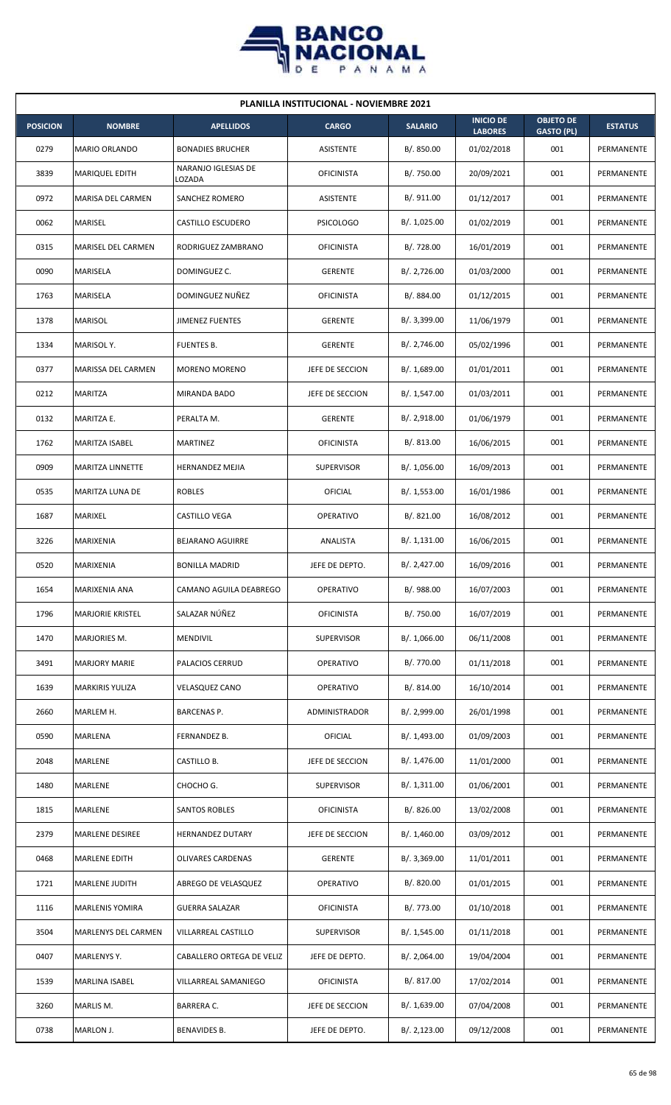

| <b>PLANILLA INSTITUCIONAL - NOVIEMBRE 2021</b> |                            |                               |                   |                |                                    |                                       |                |  |  |
|------------------------------------------------|----------------------------|-------------------------------|-------------------|----------------|------------------------------------|---------------------------------------|----------------|--|--|
| <b>POSICION</b>                                | <b>NOMBRE</b>              | <b>APELLIDOS</b>              | <b>CARGO</b>      | <b>SALARIO</b> | <b>INICIO DE</b><br><b>LABORES</b> | <b>OBJETO DE</b><br><b>GASTO (PL)</b> | <b>ESTATUS</b> |  |  |
| 0279                                           | <b>MARIO ORLANDO</b>       | <b>BONADIES BRUCHER</b>       | <b>ASISTENTE</b>  | B/. 850.00     | 01/02/2018                         | 001                                   | PERMANENTE     |  |  |
| 3839                                           | <b>MARIQUEL EDITH</b>      | NARANJO IGLESIAS DE<br>LOZADA | <b>OFICINISTA</b> | B/. 750.00     | 20/09/2021                         | 001                                   | PERMANENTE     |  |  |
| 0972                                           | MARISA DEL CARMEN          | SANCHEZ ROMERO                | ASISTENTE         | B/. 911.00     | 01/12/2017                         | 001                                   | PERMANENTE     |  |  |
| 0062                                           | MARISEL                    | <b>CASTILLO ESCUDERO</b>      | <b>PSICOLOGO</b>  | B/. 1,025.00   | 01/02/2019                         | 001                                   | PERMANENTE     |  |  |
| 0315                                           | MARISEL DEL CARMEN         | RODRIGUEZ ZAMBRANO            | <b>OFICINISTA</b> | B/. 728.00     | 16/01/2019                         | 001                                   | PERMANENTE     |  |  |
| 0090                                           | MARISELA                   | DOMINGUEZ C.                  | <b>GERENTE</b>    | B/. 2,726.00   | 01/03/2000                         | 001                                   | PERMANENTE     |  |  |
| 1763                                           | MARISELA                   | DOMINGUEZ NUÑEZ               | <b>OFICINISTA</b> | B/. 884.00     | 01/12/2015                         | 001                                   | PERMANENTE     |  |  |
| 1378                                           | <b>MARISOL</b>             | <b>JIMENEZ FUENTES</b>        | <b>GERENTE</b>    | B/. 3,399.00   | 11/06/1979                         | 001                                   | PERMANENTE     |  |  |
| 1334                                           | MARISOL Y.                 | <b>FUENTES B.</b>             | <b>GERENTE</b>    | B/. 2,746.00   | 05/02/1996                         | 001                                   | PERMANENTE     |  |  |
| 0377                                           | MARISSA DEL CARMEN         | <b>MORENO MORENO</b>          | JEFE DE SECCION   | B/. 1,689.00   | 01/01/2011                         | 001                                   | PERMANENTE     |  |  |
| 0212                                           | <b>MARITZA</b>             | MIRANDA BADO                  | JEFE DE SECCION   | B/. 1,547.00   | 01/03/2011                         | 001                                   | PERMANENTE     |  |  |
| 0132                                           | MARITZA E.                 | PERALTA M.                    | <b>GERENTE</b>    | B/.2,918.00    | 01/06/1979                         | 001                                   | PERMANENTE     |  |  |
| 1762                                           | MARITZA ISABEL             | MARTINEZ                      | <b>OFICINISTA</b> | B/0.813.00     | 16/06/2015                         | 001                                   | PERMANENTE     |  |  |
| 0909                                           | MARITZA LINNETTE           | HERNANDEZ MEJIA               | <b>SUPERVISOR</b> | B/. 1,056.00   | 16/09/2013                         | 001                                   | PERMANENTE     |  |  |
| 0535                                           | MARITZA LUNA DE            | <b>ROBLES</b>                 | OFICIAL           | B/. 1,553.00   | 16/01/1986                         | 001                                   | PERMANENTE     |  |  |
| 1687                                           | MARIXEL                    | CASTILLO VEGA                 | <b>OPERATIVO</b>  | B/. 821.00     | 16/08/2012                         | 001                                   | PERMANENTE     |  |  |
| 3226                                           | MARIXENIA                  | <b>BEJARANO AGUIRRE</b>       | ANALISTA          | B/. 1,131.00   | 16/06/2015                         | 001                                   | PERMANENTE     |  |  |
| 0520                                           | <b>MARIXENIA</b>           | <b>BONILLA MADRID</b>         | JEFE DE DEPTO.    | B/.2,427.00    | 16/09/2016                         | 001                                   | PERMANENTE     |  |  |
| 1654                                           | MARIXENIA ANA              | CAMANO AGUILA DEABREGO        | <b>OPERATIVO</b>  | B/. 988.00     | 16/07/2003                         | 001                                   | PERMANENTE     |  |  |
| 1796                                           | <b>MARJORIE KRISTEL</b>    | SALAZAR NÚÑEZ                 | <b>OFICINISTA</b> | B/. 750.00     | 16/07/2019                         | 001                                   | PERMANENTE     |  |  |
| 1470                                           | MARJORIES M.               | <b>MENDIVIL</b>               | <b>SUPERVISOR</b> | B/. 1,066.00   | 06/11/2008                         | 001                                   | PERMANENTE     |  |  |
| 3491                                           | <b>MARJORY MARIE</b>       | PALACIOS CERRUD               | <b>OPERATIVO</b>  | B/. 770.00     | 01/11/2018                         | 001                                   | PERMANENTE     |  |  |
| 1639                                           | <b>MARKIRIS YULIZA</b>     | <b>VELASQUEZ CANO</b>         | <b>OPERATIVO</b>  | B/. 814.00     | 16/10/2014                         | 001                                   | PERMANENTE     |  |  |
| 2660                                           | MARLEM H.                  | BARCENAS P.                   | ADMINISTRADOR     | B/. 2,999.00   | 26/01/1998                         | 001                                   | PERMANENTE     |  |  |
| 0590                                           | MARLENA                    | FERNANDEZ B.                  | <b>OFICIAL</b>    | B/. 1,493.00   | 01/09/2003                         | 001                                   | PERMANENTE     |  |  |
| 2048                                           | MARLENE                    | CASTILLO B.                   | JEFE DE SECCION   | B/. 1,476.00   | 11/01/2000                         | 001                                   | PERMANENTE     |  |  |
| 1480                                           | MARLENE                    | CHOCHO G.                     | <b>SUPERVISOR</b> | B/.1,311.00    | 01/06/2001                         | 001                                   | PERMANENTE     |  |  |
| 1815                                           | MARLENE                    | SANTOS ROBLES                 | <b>OFICINISTA</b> | B/.826.00      | 13/02/2008                         | 001                                   | PERMANENTE     |  |  |
| 2379                                           | <b>MARLENE DESIREE</b>     | <b>HERNANDEZ DUTARY</b>       | JEFE DE SECCION   | B/.1,460.00    | 03/09/2012                         | 001                                   | PERMANENTE     |  |  |
| 0468                                           | <b>MARLENE EDITH</b>       | OLIVARES CARDENAS             | <b>GERENTE</b>    | B/.3,369.00    | 11/01/2011                         | 001                                   | PERMANENTE     |  |  |
| 1721                                           | MARLENE JUDITH             | ABREGO DE VELASQUEZ           | <b>OPERATIVO</b>  | B/. 820.00     | 01/01/2015                         | 001                                   | PERMANENTE     |  |  |
| 1116                                           | <b>MARLENIS YOMIRA</b>     | <b>GUERRA SALAZAR</b>         | <b>OFICINISTA</b> | B/. 773.00     | 01/10/2018                         | 001                                   | PERMANENTE     |  |  |
| 3504                                           | <b>MARLENYS DEL CARMEN</b> | VILLARREAL CASTILLO           | <b>SUPERVISOR</b> | B/. 1,545.00   | 01/11/2018                         | 001                                   | PERMANENTE     |  |  |
| 0407                                           | MARLENYS Y.                | CABALLERO ORTEGA DE VELIZ     | JEFE DE DEPTO.    | B/.2,064.00    | 19/04/2004                         | 001                                   | PERMANENTE     |  |  |
| 1539                                           | MARLINA ISABEL             | VILLARREAL SAMANIEGO          | <b>OFICINISTA</b> | B/. 817.00     | 17/02/2014                         | 001                                   | PERMANENTE     |  |  |
| 3260                                           | MARLIS M.                  | BARRERA C.                    | JEFE DE SECCION   | B/. 1,639.00   | 07/04/2008                         | 001                                   | PERMANENTE     |  |  |
| 0738                                           | MARLON J.                  | BENAVIDES B.                  | JEFE DE DEPTO.    | B/.2,123.00    | 09/12/2008                         | 001                                   | PERMANENTE     |  |  |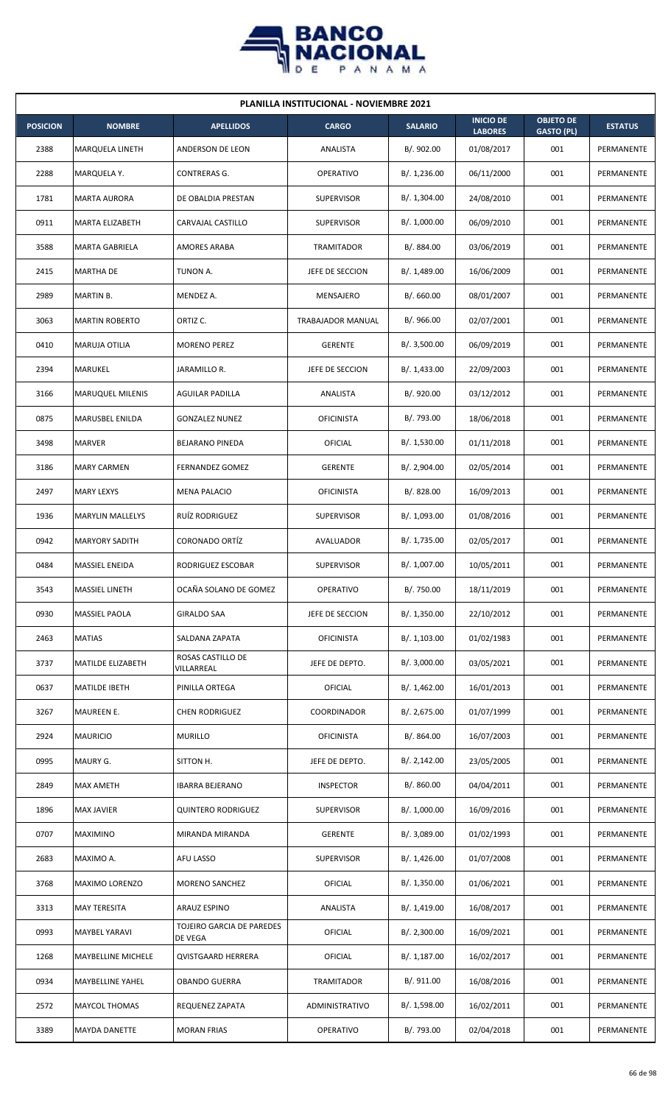

| <b>PLANILLA INSTITUCIONAL - NOVIEMBRE 2021</b> |                         |                                      |                   |                |                                    |                                       |                |  |  |
|------------------------------------------------|-------------------------|--------------------------------------|-------------------|----------------|------------------------------------|---------------------------------------|----------------|--|--|
| <b>POSICION</b>                                | <b>NOMBRE</b>           | <b>APELLIDOS</b>                     | <b>CARGO</b>      | <b>SALARIO</b> | <b>INICIO DE</b><br><b>LABORES</b> | <b>OBJETO DE</b><br><b>GASTO (PL)</b> | <b>ESTATUS</b> |  |  |
| 2388                                           | MARQUELA LINETH         | ANDERSON DE LEON                     | ANALISTA          | B/. 902.00     | 01/08/2017                         | 001                                   | PERMANENTE     |  |  |
| 2288                                           | MARQUELA Y.             | CONTRERAS G.                         | <b>OPERATIVO</b>  | B/. 1,236.00   | 06/11/2000                         | 001                                   | PERMANENTE     |  |  |
| 1781                                           | <b>MARTA AURORA</b>     | DE OBALDIA PRESTAN                   | <b>SUPERVISOR</b> | B/. 1,304.00   | 24/08/2010                         | 001                                   | PERMANENTE     |  |  |
| 0911                                           | <b>MARTA ELIZABETH</b>  | CARVAJAL CASTILLO                    | <b>SUPERVISOR</b> | B/. 1,000.00   | 06/09/2010                         | 001                                   | PERMANENTE     |  |  |
| 3588                                           | <b>MARTA GABRIELA</b>   | <b>AMORES ARABA</b>                  | <b>TRAMITADOR</b> | B/. 884.00     | 03/06/2019                         | 001                                   | PERMANENTE     |  |  |
| 2415                                           | <b>MARTHA DE</b>        | TUNON A.                             | JEFE DE SECCION   | B/. 1,489.00   | 16/06/2009                         | 001                                   | PERMANENTE     |  |  |
| 2989                                           | <b>MARTIN B.</b>        | MENDEZ A.                            | MENSAJERO         | B/0.660.00     | 08/01/2007                         | 001                                   | PERMANENTE     |  |  |
| 3063                                           | <b>MARTIN ROBERTO</b>   | ORTIZ C.                             | TRABAJADOR MANUAL | B/. 966.00     | 02/07/2001                         | 001                                   | PERMANENTE     |  |  |
| 0410                                           | <b>MARUJA OTILIA</b>    | <b>MORENO PEREZ</b>                  | <b>GERENTE</b>    | B/.3,500.00    | 06/09/2019                         | 001                                   | PERMANENTE     |  |  |
| 2394                                           | MARUKEL                 | JARAMILLO R.                         | JEFE DE SECCION   | B/.1,433.00    | 22/09/2003                         | 001                                   | PERMANENTE     |  |  |
| 3166                                           | <b>MARUQUEL MILENIS</b> | <b>AGUILAR PADILLA</b>               | ANALISTA          | B/. 920.00     | 03/12/2012                         | 001                                   | PERMANENTE     |  |  |
| 0875                                           | MARUSBEL ENILDA         | <b>GONZALEZ NUNEZ</b>                | OFICINISTA        | B/. 793.00     | 18/06/2018                         | 001                                   | PERMANENTE     |  |  |
| 3498                                           | MARVER                  | <b>BEJARANO PINEDA</b>               | OFICIAL           | B/. 1,530.00   | 01/11/2018                         | 001                                   | PERMANENTE     |  |  |
| 3186                                           | <b>MARY CARMEN</b>      | FERNANDEZ GOMEZ                      | <b>GERENTE</b>    | B/. 2,904.00   | 02/05/2014                         | 001                                   | PERMANENTE     |  |  |
| 2497                                           | <b>MARY LEXYS</b>       | <b>MENA PALACIO</b>                  | <b>OFICINISTA</b> | B/0.828.00     | 16/09/2013                         | 001                                   | PERMANENTE     |  |  |
| 1936                                           | <b>MARYLIN MALLELYS</b> | RUÍZ RODRIGUEZ                       | <b>SUPERVISOR</b> | B/. 1,093.00   | 01/08/2016                         | 001                                   | PERMANENTE     |  |  |
| 0942                                           | <b>MARYORY SADITH</b>   | <b>CORONADO ORTÍZ</b>                | AVALUADOR         | B/. 1,735.00   | 02/05/2017                         | 001                                   | PERMANENTE     |  |  |
| 0484                                           | <b>MASSIEL ENEIDA</b>   | RODRIGUEZ ESCOBAR                    | <b>SUPERVISOR</b> | B/. 1,007.00   | 10/05/2011                         | 001                                   | PERMANENTE     |  |  |
| 3543                                           | <b>MASSIEL LINETH</b>   | OCAÑA SOLANO DE GOMEZ                | OPERATIVO         | B/. 750.00     | 18/11/2019                         | 001                                   | PERMANENTE     |  |  |
| 0930                                           | MASSIEL PAOLA           | GIRALDO SAA                          | JEFE DE SECCION   | B/.1,350.00    | 22/10/2012                         | 001                                   | PERMANENTE     |  |  |
| 2463                                           | <b>MATIAS</b>           | SALDANA ZAPATA                       | <b>OFICINISTA</b> | B/. 1,103.00   | 01/02/1983                         | 001                                   | PERMANENTE     |  |  |
| 3737                                           | MATILDE ELIZABETH       | ROSAS CASTILLO DE<br>VILLARREAL      | JEFE DE DEPTO.    | B/.3,000.00    | 03/05/2021                         | 001                                   | PERMANENTE     |  |  |
| 0637                                           | <b>MATILDE IBETH</b>    | PINILLA ORTEGA                       | <b>OFICIAL</b>    | B/. 1,462.00   | 16/01/2013                         | 001                                   | PERMANENTE     |  |  |
| 3267                                           | MAUREEN E.              | <b>CHEN RODRIGUEZ</b>                | COORDINADOR       | B/. 2,675.00   | 01/07/1999                         | 001                                   | PERMANENTE     |  |  |
| 2924                                           | <b>MAURICIO</b>         | <b>MURILLO</b>                       | <b>OFICINISTA</b> | B/0.864.00     | 16/07/2003                         | 001                                   | PERMANENTE     |  |  |
| 0995                                           | MAURY G.                | SITTON H.                            | JEFE DE DEPTO.    | B/.2,142.00    | 23/05/2005                         | 001                                   | PERMANENTE     |  |  |
| 2849                                           | <b>MAX AMETH</b>        | <b>IBARRA BEJERANO</b>               | <b>INSPECTOR</b>  | B/. 860.00     | 04/04/2011                         | 001                                   | PERMANENTE     |  |  |
| 1896                                           | <b>MAX JAVIER</b>       | <b>QUINTERO RODRIGUEZ</b>            | <b>SUPERVISOR</b> | B/. 1,000.00   | 16/09/2016                         | 001                                   | PERMANENTE     |  |  |
| 0707                                           | <b>MAXIMINO</b>         | MIRANDA MIRANDA                      | <b>GERENTE</b>    | B/. 3,089.00   | 01/02/1993                         | 001                                   | PERMANENTE     |  |  |
| 2683                                           | MAXIMO A.               | AFU LASSO                            | <b>SUPERVISOR</b> | B/.1,426.00    | 01/07/2008                         | 001                                   | PERMANENTE     |  |  |
| 3768                                           | MAXIMO LORENZO          | MORENO SANCHEZ                       | <b>OFICIAL</b>    | B/. 1,350.00   | 01/06/2021                         | 001                                   | PERMANENTE     |  |  |
| 3313                                           | <b>MAY TERESITA</b>     | ARAUZ ESPINO                         | ANALISTA          | B/. 1,419.00   | 16/08/2017                         | 001                                   | PERMANENTE     |  |  |
| 0993                                           | MAYBEL YARAVI           | TOJEIRO GARCIA DE PAREDES<br>DE VEGA | <b>OFICIAL</b>    | B/.2,300.00    | 16/09/2021                         | 001                                   | PERMANENTE     |  |  |
| 1268                                           | MAYBELLINE MICHELE      | <b>QVISTGAARD HERRERA</b>            | <b>OFICIAL</b>    | B/.1,187.00    | 16/02/2017                         | 001                                   | PERMANENTE     |  |  |
| 0934                                           | MAYBELLINE YAHEL        | <b>OBANDO GUERRA</b>                 | <b>TRAMITADOR</b> | B/. 911.00     | 16/08/2016                         | 001                                   | PERMANENTE     |  |  |
| 2572                                           | <b>MAYCOL THOMAS</b>    | REQUENEZ ZAPATA                      | ADMINISTRATIVO    | B/. 1,598.00   | 16/02/2011                         | 001                                   | PERMANENTE     |  |  |
| 3389                                           | <b>MAYDA DANETTE</b>    | <b>MORAN FRIAS</b>                   | OPERATIVO         | B/. 793.00     | 02/04/2018                         | 001                                   | PERMANENTE     |  |  |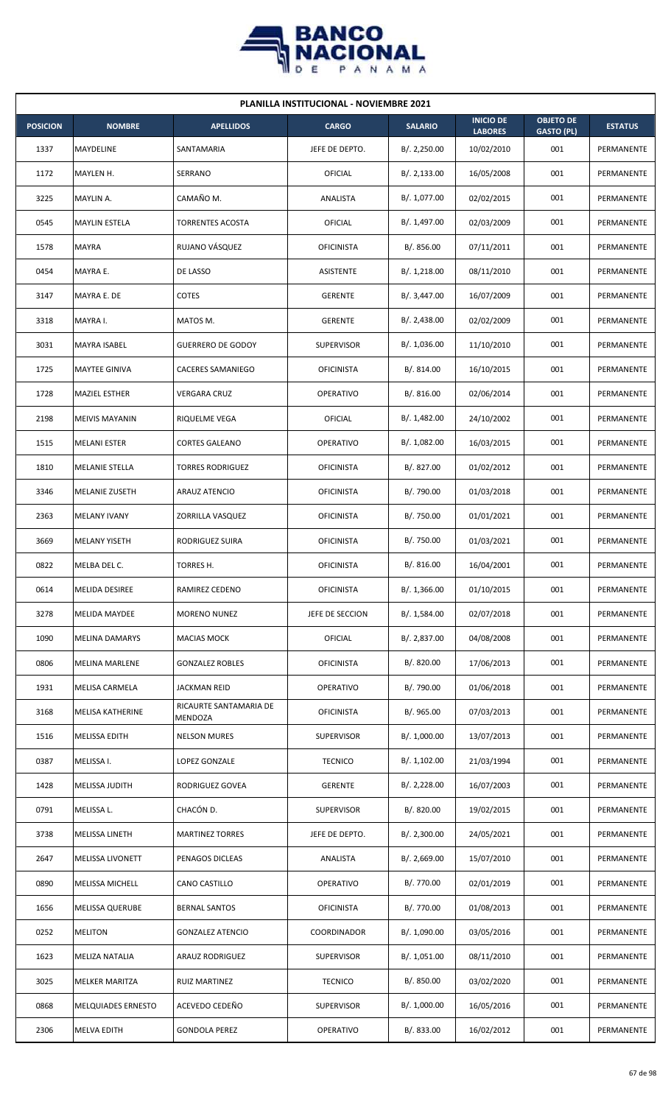

| <b>PLANILLA INSTITUCIONAL - NOVIEMBRE 2021</b> |                           |                                   |                   |                |                                    |                                       |                |  |  |
|------------------------------------------------|---------------------------|-----------------------------------|-------------------|----------------|------------------------------------|---------------------------------------|----------------|--|--|
| <b>POSICION</b>                                | <b>NOMBRE</b>             | <b>APELLIDOS</b>                  | <b>CARGO</b>      | <b>SALARIO</b> | <b>INICIO DE</b><br><b>LABORES</b> | <b>OBJETO DE</b><br><b>GASTO (PL)</b> | <b>ESTATUS</b> |  |  |
| 1337                                           | MAYDELINE                 | SANTAMARIA                        | JEFE DE DEPTO.    | B/.2,250.00    | 10/02/2010                         | 001                                   | PERMANENTE     |  |  |
| 1172                                           | MAYLEN H.                 | SERRANO                           | OFICIAL           | B/.2,133.00    | 16/05/2008                         | 001                                   | PERMANENTE     |  |  |
| 3225                                           | MAYLIN A.                 | CAMAÑO M.                         | ANALISTA          | B/. 1,077.00   | 02/02/2015                         | 001                                   | PERMANENTE     |  |  |
| 0545                                           | <b>MAYLIN ESTELA</b>      | <b>TORRENTES ACOSTA</b>           | OFICIAL           | B/. 1,497.00   | 02/03/2009                         | 001                                   | PERMANENTE     |  |  |
| 1578                                           | MAYRA                     | RUJANO VÁSQUEZ                    | <b>OFICINISTA</b> | B/. 856.00     | 07/11/2011                         | 001                                   | PERMANENTE     |  |  |
| 0454                                           | MAYRA E.                  | DE LASSO                          | ASISTENTE         | B/. 1,218.00   | 08/11/2010                         | 001                                   | PERMANENTE     |  |  |
| 3147                                           | MAYRA E. DE               | <b>COTES</b>                      | <b>GERENTE</b>    | B/. 3,447.00   | 16/07/2009                         | 001                                   | PERMANENTE     |  |  |
| 3318                                           | MAYRA I.                  | MATOS M.                          | <b>GERENTE</b>    | B/. 2,438.00   | 02/02/2009                         | 001                                   | PERMANENTE     |  |  |
| 3031                                           | MAYRA ISABEL              | <b>GUERRERO DE GODOY</b>          | <b>SUPERVISOR</b> | B/. 1,036.00   | 11/10/2010                         | 001                                   | PERMANENTE     |  |  |
| 1725                                           | MAYTEE GINIVA             | <b>CACERES SAMANIEGO</b>          | <b>OFICINISTA</b> | B/. 814.00     | 16/10/2015                         | 001                                   | PERMANENTE     |  |  |
| 1728                                           | <b>MAZIEL ESTHER</b>      | <b>VERGARA CRUZ</b>               | <b>OPERATIVO</b>  | B/. 816.00     | 02/06/2014                         | 001                                   | PERMANENTE     |  |  |
| 2198                                           | <b>MEIVIS MAYANIN</b>     | RIQUELME VEGA                     | OFICIAL           | B/. 1,482.00   | 24/10/2002                         | 001                                   | PERMANENTE     |  |  |
| 1515                                           | <b>MELANI ESTER</b>       | <b>CORTES GALEANO</b>             | OPERATIVO         | B/. 1,082.00   | 16/03/2015                         | 001                                   | PERMANENTE     |  |  |
| 1810                                           | <b>MELANIE STELLA</b>     | <b>TORRES RODRIGUEZ</b>           | <b>OFICINISTA</b> | B/. 827.00     | 01/02/2012                         | 001                                   | PERMANENTE     |  |  |
| 3346                                           | <b>MELANIE ZUSETH</b>     | <b>ARAUZ ATENCIO</b>              | <b>OFICINISTA</b> | B/. 790.00     | 01/03/2018                         | 001                                   | PERMANENTE     |  |  |
| 2363                                           | <b>MELANY IVANY</b>       | ZORRILLA VASQUEZ                  | <b>OFICINISTA</b> | B/. 750.00     | 01/01/2021                         | 001                                   | PERMANENTE     |  |  |
| 3669                                           | <b>MELANY YISETH</b>      | RODRIGUEZ SUIRA                   | <b>OFICINISTA</b> | B/. 750.00     | 01/03/2021                         | 001                                   | PERMANENTE     |  |  |
| 0822                                           | MELBA DEL C.              | <b>TORRES H.</b>                  | <b>OFICINISTA</b> | B/. 816.00     | 16/04/2001                         | 001                                   | PERMANENTE     |  |  |
| 0614                                           | <b>MELIDA DESIREE</b>     | RAMIREZ CEDENO                    | <b>OFICINISTA</b> | B/. 1,366.00   | 01/10/2015                         | 001                                   | PERMANENTE     |  |  |
| 3278                                           | <b>MELIDA MAYDEE</b>      | <b>MORENO NUNEZ</b>               | JEFE DE SECCION   | B/. 1,584.00   | 02/07/2018                         | 001                                   | PERMANENTE     |  |  |
| 1090                                           | <b>MELINA DAMARYS</b>     | <b>MACIAS MOCK</b>                | OFICIAL           | B/. 2,837.00   | 04/08/2008                         | 001                                   | PERMANENTE     |  |  |
| 0806                                           | <b>MELINA MARLENE</b>     | <b>GONZALEZ ROBLES</b>            | <b>OFICINISTA</b> | B/. 820.00     | 17/06/2013                         | 001                                   | PERMANENTE     |  |  |
| 1931                                           | MELISA CARMELA            | JACKMAN REID                      | OPERATIVO         | B/. 790.00     | 01/06/2018                         | 001                                   | PERMANENTE     |  |  |
| 3168                                           | MELISA KATHERINE          | RICAURTE SANTAMARIA DE<br>MENDOZA | <b>OFICINISTA</b> | B/. 965.00     | 07/03/2013                         | 001                                   | PERMANENTE     |  |  |
| 1516                                           | <b>MELISSA EDITH</b>      | <b>NELSON MURES</b>               | SUPERVISOR        | B/. 1,000.00   | 13/07/2013                         | 001                                   | PERMANENTE     |  |  |
| 0387                                           | MELISSA I.                | LOPEZ GONZALE                     | <b>TECNICO</b>    | B/. 1,102.00   | 21/03/1994                         | 001                                   | PERMANENTE     |  |  |
| 1428                                           | <b>MELISSA JUDITH</b>     | RODRIGUEZ GOVEA                   | <b>GERENTE</b>    | B/. 2,228.00   | 16/07/2003                         | 001                                   | PERMANENTE     |  |  |
| 0791                                           | MELISSA L.                | CHACÓN D.                         | <b>SUPERVISOR</b> | B/0.820.00     | 19/02/2015                         | 001                                   | PERMANENTE     |  |  |
| 3738                                           | <b>MELISSA LINETH</b>     | <b>MARTINEZ TORRES</b>            | JEFE DE DEPTO.    | B/.2,300.00    | 24/05/2021                         | 001                                   | PERMANENTE     |  |  |
| 2647                                           | <b>MELISSA LIVONETT</b>   | PENAGOS DICLEAS                   | ANALISTA          | B/.2,669.00    | 15/07/2010                         | 001                                   | PERMANENTE     |  |  |
| 0890                                           | MELISSA MICHELL           | CANO CASTILLO                     | OPERATIVO         | B/. 770.00     | 02/01/2019                         | 001                                   | PERMANENTE     |  |  |
| 1656                                           | <b>MELISSA QUERUBE</b>    | <b>BERNAL SANTOS</b>              | <b>OFICINISTA</b> | B/. 770.00     | 01/08/2013                         | 001                                   | PERMANENTE     |  |  |
| 0252                                           | <b>MELITON</b>            | <b>GONZALEZ ATENCIO</b>           | COORDINADOR       | B/. 1,090.00   | 03/05/2016                         | 001                                   | PERMANENTE     |  |  |
| 1623                                           | MELIZA NATALIA            | ARAUZ RODRIGUEZ                   | <b>SUPERVISOR</b> | B/.1,051.00    | 08/11/2010                         | 001                                   | PERMANENTE     |  |  |
| 3025                                           | MELKER MARITZA            | RUIZ MARTINEZ                     | <b>TECNICO</b>    | B/. 850.00     | 03/02/2020                         | 001                                   | PERMANENTE     |  |  |
| 0868                                           | <b>MELQUIADES ERNESTO</b> | ACEVEDO CEDEÑO                    | <b>SUPERVISOR</b> | B/. 1,000.00   | 16/05/2016                         | 001                                   | PERMANENTE     |  |  |
| 2306                                           | <b>MELVA EDITH</b>        | <b>GONDOLA PEREZ</b>              | <b>OPERATIVO</b>  | B/. 833.00     | 16/02/2012                         | 001                                   | PERMANENTE     |  |  |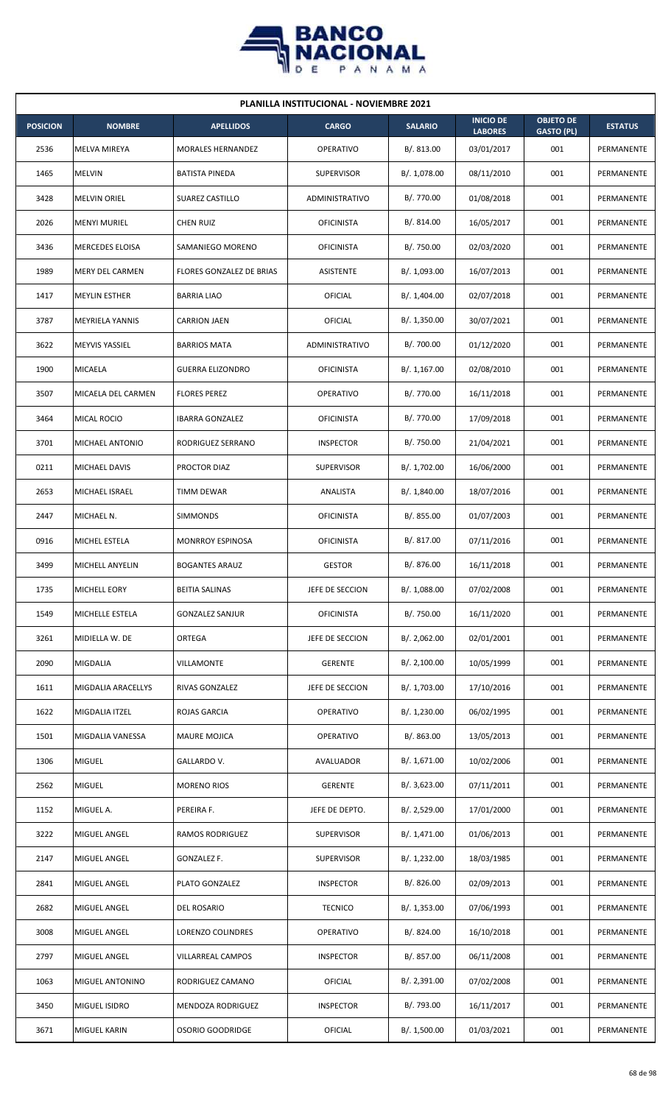

| <b>PLANILLA INSTITUCIONAL - NOVIEMBRE 2021</b> |                        |                          |                   |                |                                    |                                       |                |  |  |
|------------------------------------------------|------------------------|--------------------------|-------------------|----------------|------------------------------------|---------------------------------------|----------------|--|--|
| <b>POSICION</b>                                | <b>NOMBRE</b>          | <b>APELLIDOS</b>         | <b>CARGO</b>      | <b>SALARIO</b> | <b>INICIO DE</b><br><b>LABORES</b> | <b>OBJETO DE</b><br><b>GASTO (PL)</b> | <b>ESTATUS</b> |  |  |
| 2536                                           | <b>MELVA MIREYA</b>    | MORALES HERNANDEZ        | <b>OPERATIVO</b>  | B/. 813.00     | 03/01/2017                         | 001                                   | PERMANENTE     |  |  |
| 1465                                           | <b>MELVIN</b>          | <b>BATISTA PINEDA</b>    | <b>SUPERVISOR</b> | B/. 1,078.00   | 08/11/2010                         | 001                                   | PERMANENTE     |  |  |
| 3428                                           | <b>MELVIN ORIEL</b>    | SUAREZ CASTILLO          | ADMINISTRATIVO    | B/. 770.00     | 01/08/2018                         | 001                                   | PERMANENTE     |  |  |
| 2026                                           | <b>MENYI MURIEL</b>    | <b>CHEN RUIZ</b>         | <b>OFICINISTA</b> | B/. 814.00     | 16/05/2017                         | 001                                   | PERMANENTE     |  |  |
| 3436                                           | MERCEDES ELOISA        | SAMANIEGO MORENO         | <b>OFICINISTA</b> | B/. 750.00     | 02/03/2020                         | 001                                   | PERMANENTE     |  |  |
| 1989                                           | MERY DEL CARMEN        | FLORES GONZALEZ DE BRIAS | ASISTENTE         | B/. 1,093.00   | 16/07/2013                         | 001                                   | PERMANENTE     |  |  |
| 1417                                           | <b>MEYLIN ESTHER</b>   | <b>BARRIA LIAO</b>       | OFICIAL           | B/. 1,404.00   | 02/07/2018                         | 001                                   | PERMANENTE     |  |  |
| 3787                                           | <b>MEYRIELA YANNIS</b> | <b>CARRION JAEN</b>      | OFICIAL           | B/.1,350.00    | 30/07/2021                         | 001                                   | PERMANENTE     |  |  |
| 3622                                           | MEYVIS YASSIEL         | <b>BARRIOS MATA</b>      | ADMINISTRATIVO    | B/. 700.00     | 01/12/2020                         | 001                                   | PERMANENTE     |  |  |
| 1900                                           | MICAELA                | <b>GUERRA ELIZONDRO</b>  | <b>OFICINISTA</b> | B/.1,167.00    | 02/08/2010                         | 001                                   | PERMANENTE     |  |  |
| 3507                                           | MICAELA DEL CARMEN     | <b>FLORES PEREZ</b>      | <b>OPERATIVO</b>  | B/. 770.00     | 16/11/2018                         | 001                                   | PERMANENTE     |  |  |
| 3464                                           | MICAL ROCIO            | <b>IBARRA GONZALEZ</b>   | <b>OFICINISTA</b> | B/. 770.00     | 17/09/2018                         | 001                                   | PERMANENTE     |  |  |
| 3701                                           | MICHAEL ANTONIO        | RODRIGUEZ SERRANO        | <b>INSPECTOR</b>  | B/. 750.00     | 21/04/2021                         | 001                                   | PERMANENTE     |  |  |
| 0211                                           | <b>MICHAEL DAVIS</b>   | PROCTOR DIAZ             | <b>SUPERVISOR</b> | B/. 1,702.00   | 16/06/2000                         | 001                                   | PERMANENTE     |  |  |
| 2653                                           | MICHAEL ISRAEL         | <b>TIMM DEWAR</b>        | ANALISTA          | B/. 1,840.00   | 18/07/2016                         | 001                                   | PERMANENTE     |  |  |
| 2447                                           | MICHAEL N.             | <b>SIMMONDS</b>          | <b>OFICINISTA</b> | B/0.855.00     | 01/07/2003                         | 001                                   | PERMANENTE     |  |  |
| 0916                                           | MICHEL ESTELA          | <b>MONRROY ESPINOSA</b>  | <b>OFICINISTA</b> | B/.817.00      | 07/11/2016                         | 001                                   | PERMANENTE     |  |  |
| 3499                                           | MICHELL ANYELIN        | <b>BOGANTES ARAUZ</b>    | <b>GESTOR</b>     | B/. 876.00     | 16/11/2018                         | 001                                   | PERMANENTE     |  |  |
| 1735                                           | MICHELL EORY           | <b>BEITIA SALINAS</b>    | JEFE DE SECCION   | B/. 1,088.00   | 07/02/2008                         | 001                                   | PERMANENTE     |  |  |
| 1549                                           | MICHELLE ESTELA        | <b>GONZALEZ SANJUR</b>   | <b>OFICINISTA</b> | B/. 750.00     | 16/11/2020                         | 001                                   | PERMANENTE     |  |  |
| 3261                                           | MIDIELLA W. DE         | ORTEGA                   | JEFE DE SECCION   | B/. 2,062.00   | 02/01/2001                         | 001                                   | PERMANENTE     |  |  |
| 2090                                           | MIGDALIA               | VILLAMONTE               | <b>GERENTE</b>    | B/.2,100.00    | 10/05/1999                         | 001                                   | PERMANENTE     |  |  |
| 1611                                           | MIGDALIA ARACELLYS     | RIVAS GONZALEZ           | JEFE DE SECCION   | B/. 1,703.00   | 17/10/2016                         | 001                                   | PERMANENTE     |  |  |
| 1622                                           | MIGDALIA ITZEL         | ROJAS GARCIA             | OPERATIVO         | B/. 1,230.00   | 06/02/1995                         | 001                                   | PERMANENTE     |  |  |
| 1501                                           | MIGDALIA VANESSA       | <b>MAURE MOJICA</b>      | OPERATIVO         | B/. 863.00     | 13/05/2013                         | 001                                   | PERMANENTE     |  |  |
| 1306                                           | <b>MIGUEL</b>          | GALLARDO V.              | AVALUADOR         | B/.1,671.00    | 10/02/2006                         | 001                                   | PERMANENTE     |  |  |
| 2562                                           | <b>MIGUEL</b>          | <b>MORENO RIOS</b>       | <b>GERENTE</b>    | B/.3,623.00    | 07/11/2011                         | 001                                   | PERMANENTE     |  |  |
| 1152                                           | MIGUEL A.              | PEREIRA F.               | JEFE DE DEPTO.    | B/.2,529.00    | 17/01/2000                         | 001                                   | PERMANENTE     |  |  |
| 3222                                           | MIGUEL ANGEL           | <b>RAMOS RODRIGUEZ</b>   | SUPERVISOR        | B/. 1,471.00   | 01/06/2013                         | 001                                   | PERMANENTE     |  |  |
| 2147                                           | MIGUEL ANGEL           | GONZALEZ F.              | <b>SUPERVISOR</b> | B/. 1,232.00   | 18/03/1985                         | 001                                   | PERMANENTE     |  |  |
| 2841                                           | MIGUEL ANGEL           | PLATO GONZALEZ           | <b>INSPECTOR</b>  | B/.826.00      | 02/09/2013                         | 001                                   | PERMANENTE     |  |  |
| 2682                                           | MIGUEL ANGEL           | DEL ROSARIO              | <b>TECNICO</b>    | B/. 1,353.00   | 07/06/1993                         | 001                                   | PERMANENTE     |  |  |
| 3008                                           | MIGUEL ANGEL           | LORENZO COLINDRES        | OPERATIVO         | B/. 824.00     | 16/10/2018                         | 001                                   | PERMANENTE     |  |  |
| 2797                                           | MIGUEL ANGEL           | VILLARREAL CAMPOS        | <b>INSPECTOR</b>  | B/. 857.00     | 06/11/2008                         | 001                                   | PERMANENTE     |  |  |
| 1063                                           | MIGUEL ANTONINO        | RODRIGUEZ CAMANO         | OFICIAL           | B/. 2,391.00   | 07/02/2008                         | 001                                   | PERMANENTE     |  |  |
| 3450                                           | MIGUEL ISIDRO          | MENDOZA RODRIGUEZ        | <b>INSPECTOR</b>  | B/. 793.00     | 16/11/2017                         | 001                                   | PERMANENTE     |  |  |
| 3671                                           | <b>MIGUEL KARIN</b>    | OSORIO GOODRIDGE         | <b>OFICIAL</b>    | B/. 1,500.00   | 01/03/2021                         | 001                                   | PERMANENTE     |  |  |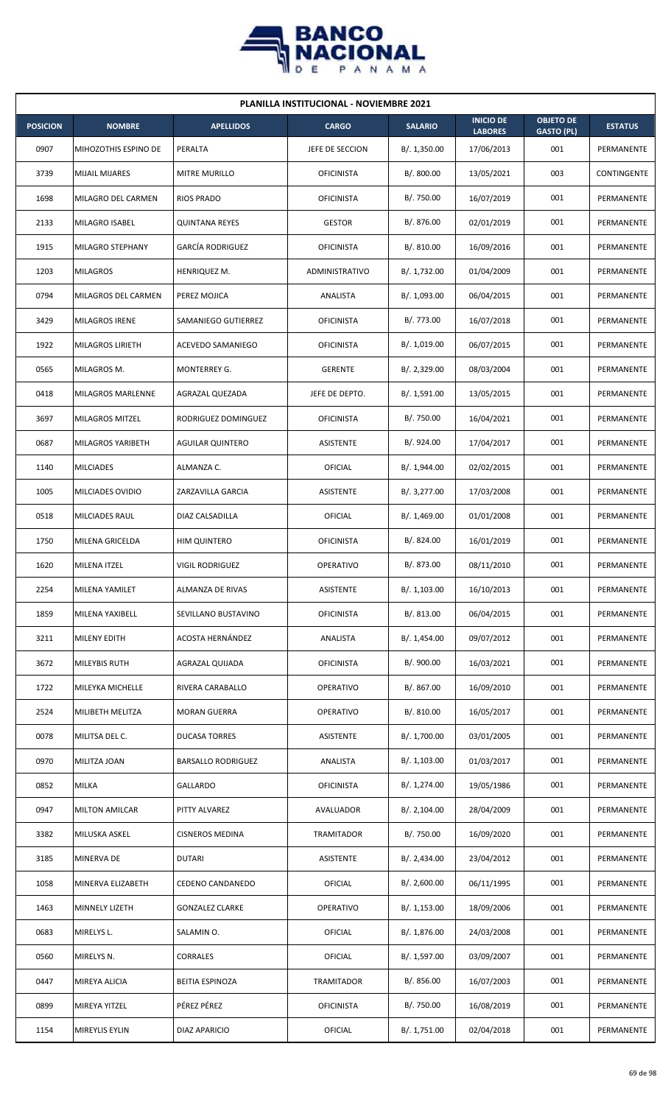

| <b>PLANILLA INSTITUCIONAL - NOVIEMBRE 2021</b> |                       |                           |                   |                |                                    |                                       |                |  |  |
|------------------------------------------------|-----------------------|---------------------------|-------------------|----------------|------------------------------------|---------------------------------------|----------------|--|--|
| <b>POSICION</b>                                | <b>NOMBRE</b>         | <b>APELLIDOS</b>          | <b>CARGO</b>      | <b>SALARIO</b> | <b>INICIO DE</b><br><b>LABORES</b> | <b>OBJETO DE</b><br><b>GASTO (PL)</b> | <b>ESTATUS</b> |  |  |
| 0907                                           | MIHOZOTHIS ESPINO DE  | PERALTA                   | JEFE DE SECCION   | B/.1,350.00    | 17/06/2013                         | 001                                   | PERMANENTE     |  |  |
| 3739                                           | <b>MIJAIL MIJARES</b> | MITRE MURILLO             | <b>OFICINISTA</b> | B/. 800.00     | 13/05/2021                         | 003                                   | CONTINGENTE    |  |  |
| 1698                                           | MILAGRO DEL CARMEN    | <b>RIOS PRADO</b>         | <b>OFICINISTA</b> | B/. 750.00     | 16/07/2019                         | 001                                   | PERMANENTE     |  |  |
| 2133                                           | MILAGRO ISABEL        | <b>QUINTANA REYES</b>     | <b>GESTOR</b>     | B/. 876.00     | 02/01/2019                         | 001                                   | PERMANENTE     |  |  |
| 1915                                           | MILAGRO STEPHANY      | <b>GARCÍA RODRIGUEZ</b>   | <b>OFICINISTA</b> | B/.810.00      | 16/09/2016                         | 001                                   | PERMANENTE     |  |  |
| 1203                                           | <b>MILAGROS</b>       | HENRIQUEZ M.              | ADMINISTRATIVO    | B/. 1,732.00   | 01/04/2009                         | 001                                   | PERMANENTE     |  |  |
| 0794                                           | MILAGROS DEL CARMEN   | PEREZ MOJICA              | ANALISTA          | B/. 1,093.00   | 06/04/2015                         | 001                                   | PERMANENTE     |  |  |
| 3429                                           | MILAGROS IRENE        | SAMANIEGO GUTIERREZ       | <b>OFICINISTA</b> | B/. 773.00     | 16/07/2018                         | 001                                   | PERMANENTE     |  |  |
| 1922                                           | MILAGROS LIRIETH      | ACEVEDO SAMANIEGO         | <b>OFICINISTA</b> | B/. 1,019.00   | 06/07/2015                         | 001                                   | PERMANENTE     |  |  |
| 0565                                           | MILAGROS M.           | MONTERREY G.              | <b>GERENTE</b>    | B/. 2,329.00   | 08/03/2004                         | 001                                   | PERMANENTE     |  |  |
| 0418                                           | MILAGROS MARLENNE     | AGRAZAL QUEZADA           | JEFE DE DEPTO.    | B/. 1,591.00   | 13/05/2015                         | 001                                   | PERMANENTE     |  |  |
| 3697                                           | MILAGROS MITZEL       | RODRIGUEZ DOMINGUEZ       | <b>OFICINISTA</b> | B/. 750.00     | 16/04/2021                         | 001                                   | PERMANENTE     |  |  |
| 0687                                           | MILAGROS YARIBETH     | <b>AGUILAR QUINTERO</b>   | ASISTENTE         | B/. 924.00     | 17/04/2017                         | 001                                   | PERMANENTE     |  |  |
| 1140                                           | <b>MILCIADES</b>      | ALMANZA C.                | OFICIAL           | B/. 1,944.00   | 02/02/2015                         | 001                                   | PERMANENTE     |  |  |
| 1005                                           | MILCIADES OVIDIO      | ZARZAVILLA GARCIA         | <b>ASISTENTE</b>  | B/. 3,277.00   | 17/03/2008                         | 001                                   | PERMANENTE     |  |  |
| 0518                                           | MILCIADES RAUL        | DIAZ CALSADILLA           | OFICIAL           | B/.1,469.00    | 01/01/2008                         | 001                                   | PERMANENTE     |  |  |
| 1750                                           | MILENA GRICELDA       | <b>HIM QUINTERO</b>       | <b>OFICINISTA</b> | B/. 824.00     | 16/01/2019                         | 001                                   | PERMANENTE     |  |  |
| 1620                                           | MILENA ITZEL          | <b>VIGIL RODRIGUEZ</b>    | <b>OPERATIVO</b>  | B/. 873.00     | 08/11/2010                         | 001                                   | PERMANENTE     |  |  |
| 2254                                           | MILENA YAMILET        | ALMANZA DE RIVAS          | ASISTENTE         | B/. 1,103.00   | 16/10/2013                         | 001                                   | PERMANENTE     |  |  |
| 1859                                           | MILENA YAXIBELL       | SEVILLANO BUSTAVINO       | <b>OFICINISTA</b> | B/. 813.00     | 06/04/2015                         | 001                                   | PERMANENTE     |  |  |
| 3211                                           | MILENY EDITH          | <b>ACOSTA HERNÁNDEZ</b>   | ANALISTA          | B/. 1,454.00   | 09/07/2012                         | 001                                   | PERMANENTE     |  |  |
| 3672                                           | MILEYBIS RUTH         | AGRAZAL QUIJADA           | <b>OFICINISTA</b> | B/. 900.00     | 16/03/2021                         | 001                                   | PERMANENTE     |  |  |
| 1722                                           | MILEYKA MICHELLE      | RIVERA CARABALLO          | OPERATIVO         | B/. 867.00     | 16/09/2010                         | 001                                   | PERMANENTE     |  |  |
| 2524                                           | MILIBETH MELITZA      | <b>MORAN GUERRA</b>       | <b>OPERATIVO</b>  | B/.810.00      | 16/05/2017                         | 001                                   | PERMANENTE     |  |  |
| 0078                                           | MILITSA DEL C.        | DUCASA TORRES             | ASISTENTE         | B/. 1,700.00   | 03/01/2005                         | 001                                   | PERMANENTE     |  |  |
| 0970                                           | MILITZA JOAN          | <b>BARSALLO RODRIGUEZ</b> | ANALISTA          | B/.1,103.00    | 01/03/2017                         | 001                                   | PERMANENTE     |  |  |
| 0852                                           | MILKA                 | GALLARDO                  | <b>OFICINISTA</b> | B/. 1,274.00   | 19/05/1986                         | 001                                   | PERMANENTE     |  |  |
| 0947                                           | <b>MILTON AMILCAR</b> | PITTY ALVAREZ             | AVALUADOR         | B/.2,104.00    | 28/04/2009                         | 001                                   | PERMANENTE     |  |  |
| 3382                                           | MILUSKA ASKEL         | <b>CISNEROS MEDINA</b>    | <b>TRAMITADOR</b> | B/. 750.00     | 16/09/2020                         | 001                                   | PERMANENTE     |  |  |
| 3185                                           | MINERVA DE            | <b>DUTARI</b>             | ASISTENTE         | B/.2,434.00    | 23/04/2012                         | 001                                   | PERMANENTE     |  |  |
| 1058                                           | MINERVA ELIZABETH     | CEDENO CANDANEDO          | OFICIAL           | B/. 2,600.00   | 06/11/1995                         | 001                                   | PERMANENTE     |  |  |
| 1463                                           | MINNELY LIZETH        | <b>GONZALEZ CLARKE</b>    | OPERATIVO         | B/. 1,153.00   | 18/09/2006                         | 001                                   | PERMANENTE     |  |  |
| 0683                                           | MIRELYS L.            | SALAMIN O.                | OFICIAL           | B/. 1,876.00   | 24/03/2008                         | 001                                   | PERMANENTE     |  |  |
| 0560                                           | MIRELYS N.            | CORRALES                  | OFICIAL           | B/. 1,597.00   | 03/09/2007                         | 001                                   | PERMANENTE     |  |  |
| 0447                                           | MIREYA ALICIA         | BEITIA ESPINOZA           | TRAMITADOR        | B/. 856.00     | 16/07/2003                         | 001                                   | PERMANENTE     |  |  |
| 0899                                           | MIREYA YITZEL         | PÉREZ PÉREZ               | <b>OFICINISTA</b> | B/. 750.00     | 16/08/2019                         | 001                                   | PERMANENTE     |  |  |
| 1154                                           | MIREYLIS EYLIN        | DIAZ APARICIO             | OFICIAL           | B/. 1,751.00   | 02/04/2018                         | 001                                   | PERMANENTE     |  |  |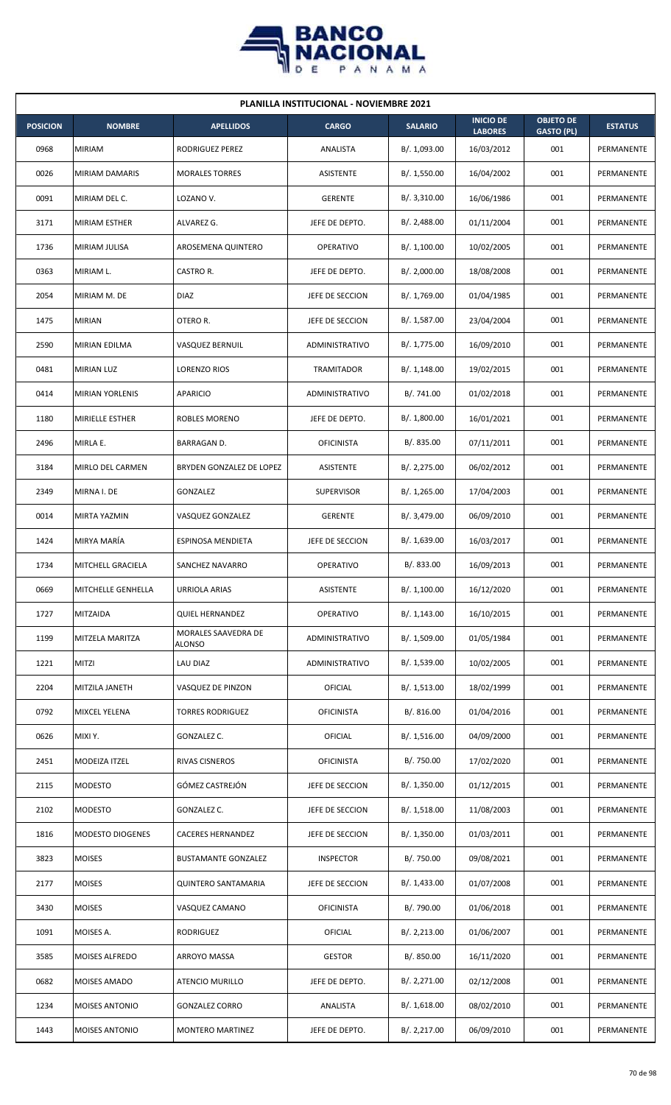

| <b>PLANILLA INSTITUCIONAL - NOVIEMBRE 2021</b> |                         |                               |                   |                |                                    |                                       |                |  |  |  |
|------------------------------------------------|-------------------------|-------------------------------|-------------------|----------------|------------------------------------|---------------------------------------|----------------|--|--|--|
| <b>POSICION</b>                                | <b>NOMBRE</b>           | <b>APELLIDOS</b>              | <b>CARGO</b>      | <b>SALARIO</b> | <b>INICIO DE</b><br><b>LABORES</b> | <b>OBJETO DE</b><br><b>GASTO (PL)</b> | <b>ESTATUS</b> |  |  |  |
| 0968                                           | <b>MIRIAM</b>           | RODRIGUEZ PEREZ               | ANALISTA          | B/. 1,093.00   | 16/03/2012                         | 001                                   | PERMANENTE     |  |  |  |
| 0026                                           | MIRIAM DAMARIS          | <b>MORALES TORRES</b>         | ASISTENTE         | B/. 1,550.00   | 16/04/2002                         | 001                                   | PERMANENTE     |  |  |  |
| 0091                                           | MIRIAM DEL C.           | LOZANO V.                     | <b>GERENTE</b>    | B/.3,310.00    | 16/06/1986                         | 001                                   | PERMANENTE     |  |  |  |
| 3171                                           | <b>MIRIAM ESTHER</b>    | ALVAREZ G.                    | JEFE DE DEPTO.    | B/.2,488.00    | 01/11/2004                         | 001                                   | PERMANENTE     |  |  |  |
| 1736                                           | MIRIAM JULISA           | AROSEMENA QUINTERO            | <b>OPERATIVO</b>  | B/.1,100.00    | 10/02/2005                         | 001                                   | PERMANENTE     |  |  |  |
| 0363                                           | MIRIAM L.               | CASTRO R.                     | JEFE DE DEPTO.    | B/.2,000.00    | 18/08/2008                         | 001                                   | PERMANENTE     |  |  |  |
| 2054                                           | MIRIAM M. DE            | <b>DIAZ</b>                   | JEFE DE SECCION   | B/. 1,769.00   | 01/04/1985                         | 001                                   | PERMANENTE     |  |  |  |
| 1475                                           | <b>MIRIAN</b>           | OTERO R.                      | JEFE DE SECCION   | B/. 1,587.00   | 23/04/2004                         | 001                                   | PERMANENTE     |  |  |  |
| 2590                                           | MIRIAN EDILMA           | VASQUEZ BERNUIL               | ADMINISTRATIVO    | B/. 1,775.00   | 16/09/2010                         | 001                                   | PERMANENTE     |  |  |  |
| 0481                                           | <b>MIRIAN LUZ</b>       | LORENZO RIOS                  | TRAMITADOR        | B/. 1,148.00   | 19/02/2015                         | 001                                   | PERMANENTE     |  |  |  |
| 0414                                           | <b>MIRIAN YORLENIS</b>  | <b>APARICIO</b>               | ADMINISTRATIVO    | B/. 741.00     | 01/02/2018                         | 001                                   | PERMANENTE     |  |  |  |
| 1180                                           | MIRIELLE ESTHER         | ROBLES MORENO                 | JEFE DE DEPTO.    | B/. 1,800.00   | 16/01/2021                         | 001                                   | PERMANENTE     |  |  |  |
| 2496                                           | MIRLA E.                | BARRAGAN D.                   | <b>OFICINISTA</b> | B/. 835.00     | 07/11/2011                         | 001                                   | PERMANENTE     |  |  |  |
| 3184                                           | MIRLO DEL CARMEN        | BRYDEN GONZALEZ DE LOPEZ      | ASISTENTE         | B/.2,275.00    | 06/02/2012                         | 001                                   | PERMANENTE     |  |  |  |
| 2349                                           | MIRNA I. DE             | GONZALEZ                      | <b>SUPERVISOR</b> | B/. 1,265.00   | 17/04/2003                         | 001                                   | PERMANENTE     |  |  |  |
| 0014                                           | MIRTA YAZMIN            | VASQUEZ GONZALEZ              | <b>GERENTE</b>    | B/. 3,479.00   | 06/09/2010                         | 001                                   | PERMANENTE     |  |  |  |
| 1424                                           | MIRYA MARÍA             | ESPINOSA MENDIETA             | JEFE DE SECCION   | B/. 1,639.00   | 16/03/2017                         | 001                                   | PERMANENTE     |  |  |  |
| 1734                                           | MITCHELL GRACIELA       | SANCHEZ NAVARRO               | <b>OPERATIVO</b>  | B/. 833.00     | 16/09/2013                         | 001                                   | PERMANENTE     |  |  |  |
| 0669                                           | MITCHELLE GENHELLA      | <b>URRIOLA ARIAS</b>          | ASISTENTE         | B/. 1,100.00   | 16/12/2020                         | 001                                   | PERMANENTE     |  |  |  |
| 1727                                           | MITZAIDA                | QUIEL HERNANDEZ               | OPERATIVO         | B/.1,143.00    | 16/10/2015                         | 001                                   | PERMANENTE     |  |  |  |
| 1199                                           | MITZELA MARITZA         | MORALES SAAVEDRA DE<br>ALONSO | ADMINISTRATIVO    | B/. 1,509.00   | 01/05/1984                         | 001                                   | PERMANENTE     |  |  |  |
| 1221                                           | <b>MITZI</b>            | LAU DIAZ                      | ADMINISTRATIVO    | B/. 1,539.00   | 10/02/2005                         | 001                                   | PERMANENTE     |  |  |  |
| 2204                                           | MITZILA JANETH          | VASQUEZ DE PINZON             | <b>OFICIAL</b>    | B/. 1,513.00   | 18/02/1999                         | 001                                   | PERMANENTE     |  |  |  |
| 0792                                           | MIXCEL YELENA           | <b>TORRES RODRIGUEZ</b>       | <b>OFICINISTA</b> | B/.816.00      | 01/04/2016                         | 001                                   | PERMANENTE     |  |  |  |
| 0626                                           | MIXI Y.                 | GONZALEZ C.                   | OFICIAL           | B/.1,516.00    | 04/09/2000                         | 001                                   | PERMANENTE     |  |  |  |
| 2451                                           | MODEIZA ITZEL           | RIVAS CISNEROS                | <b>OFICINISTA</b> | B/. 750.00     | 17/02/2020                         | 001                                   | PERMANENTE     |  |  |  |
| 2115                                           | <b>MODESTO</b>          | GÓMEZ CASTREJÓN               | JEFE DE SECCION   | B/. 1,350.00   | 01/12/2015                         | 001                                   | PERMANENTE     |  |  |  |
| 2102                                           | <b>MODESTO</b>          | GONZALEZ C.                   | JEFE DE SECCION   | B/.1,518.00    | 11/08/2003                         | 001                                   | PERMANENTE     |  |  |  |
| 1816                                           | <b>MODESTO DIOGENES</b> | <b>CACERES HERNANDEZ</b>      | JEFE DE SECCION   | B/.1,350.00    | 01/03/2011                         | 001                                   | PERMANENTE     |  |  |  |
| 3823                                           | <b>MOISES</b>           | <b>BUSTAMANTE GONZALEZ</b>    | <b>INSPECTOR</b>  | B/. 750.00     | 09/08/2021                         | 001                                   | PERMANENTE     |  |  |  |
| 2177                                           | <b>MOISES</b>           | QUINTERO SANTAMARIA           | JEFE DE SECCION   | B/. 1,433.00   | 01/07/2008                         | 001                                   | PERMANENTE     |  |  |  |
| 3430                                           | <b>MOISES</b>           | VASQUEZ CAMANO                | <b>OFICINISTA</b> | B/. 790.00     | 01/06/2018                         | 001                                   | PERMANENTE     |  |  |  |
| 1091                                           | MOISES A.               | RODRIGUEZ                     | OFICIAL           | B/.2,213.00    | 01/06/2007                         | 001                                   | PERMANENTE     |  |  |  |
| 3585                                           | MOISES ALFREDO          | ARROYO MASSA                  | <b>GESTOR</b>     | B/0.850.00     | 16/11/2020                         | 001                                   | PERMANENTE     |  |  |  |
| 0682                                           | MOISES AMADO            | <b>ATENCIO MURILLO</b>        | JEFE DE DEPTO.    | B/. 2, 271.00  | 02/12/2008                         | 001                                   | PERMANENTE     |  |  |  |
| 1234                                           | <b>MOISES ANTONIO</b>   | <b>GONZALEZ CORRO</b>         | ANALISTA          | B/. 1,618.00   | 08/02/2010                         | 001                                   | PERMANENTE     |  |  |  |
| 1443                                           | <b>MOISES ANTONIO</b>   | <b>MONTERO MARTINEZ</b>       | JEFE DE DEPTO.    | B/. 2,217.00   | 06/09/2010                         | 001                                   | PERMANENTE     |  |  |  |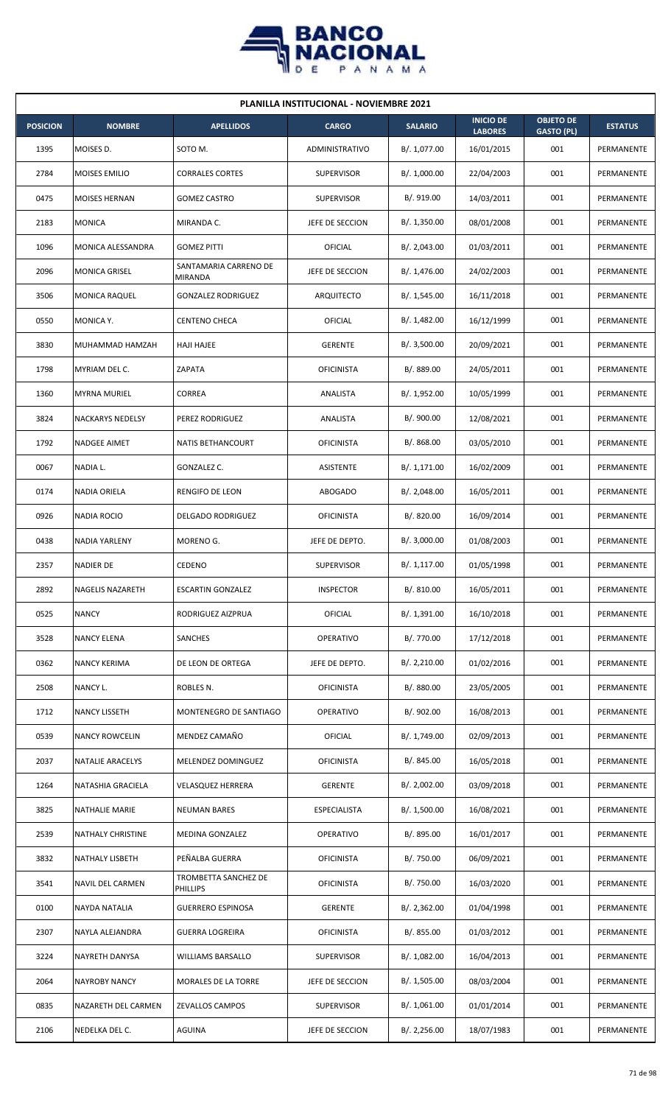

| <b>PLANILLA INSTITUCIONAL - NOVIEMBRE 2021</b> |                          |                                  |                     |                |                                    |                                       |                |  |  |
|------------------------------------------------|--------------------------|----------------------------------|---------------------|----------------|------------------------------------|---------------------------------------|----------------|--|--|
| <b>POSICION</b>                                | <b>NOMBRE</b>            | <b>APELLIDOS</b>                 | <b>CARGO</b>        | <b>SALARIO</b> | <b>INICIO DE</b><br><b>LABORES</b> | <b>OBJETO DE</b><br><b>GASTO (PL)</b> | <b>ESTATUS</b> |  |  |
| 1395                                           | MOISES D.                | SOTO M.                          | ADMINISTRATIVO      | B/. 1,077.00   | 16/01/2015                         | 001                                   | PERMANENTE     |  |  |
| 2784                                           | MOISES EMILIO            | <b>CORRALES CORTES</b>           | <b>SUPERVISOR</b>   | B/. 1,000.00   | 22/04/2003                         | 001                                   | PERMANENTE     |  |  |
| 0475                                           | MOISES HERNAN            | <b>GOMEZ CASTRO</b>              | <b>SUPERVISOR</b>   | B/. 919.00     | 14/03/2011                         | 001                                   | PERMANENTE     |  |  |
| 2183                                           | <b>MONICA</b>            | MIRANDA C.                       | JEFE DE SECCION     | B/. 1,350.00   | 08/01/2008                         | 001                                   | PERMANENTE     |  |  |
| 1096                                           | MONICA ALESSANDRA        | <b>GOMEZ PITTI</b>               | <b>OFICIAL</b>      | B/. 2,043.00   | 01/03/2011                         | 001                                   | PERMANENTE     |  |  |
| 2096                                           | MONICA GRISEL            | SANTAMARIA CARRENO DE<br>MIRANDA | JEFE DE SECCION     | B/. 1,476.00   | 24/02/2003                         | 001                                   | PERMANENTE     |  |  |
| 3506                                           | <b>MONICA RAQUEL</b>     | <b>GONZALEZ RODRIGUEZ</b>        | ARQUITECTO          | B/. 1,545.00   | 16/11/2018                         | 001                                   | PERMANENTE     |  |  |
| 0550                                           | <b>MONICA Y.</b>         | <b>CENTENO CHECA</b>             | OFICIAL             | B/.1,482.00    | 16/12/1999                         | 001                                   | PERMANENTE     |  |  |
| 3830                                           | MUHAMMAD HAMZAH          | <b>HAJI HAJEE</b>                | <b>GERENTE</b>      | B/.3,500.00    | 20/09/2021                         | 001                                   | PERMANENTE     |  |  |
| 1798                                           | MYRIAM DEL C.            | ZAPATA                           | <b>OFICINISTA</b>   | B/. 889.00     | 24/05/2011                         | 001                                   | PERMANENTE     |  |  |
| 1360                                           | <b>MYRNA MURIEL</b>      | <b>CORREA</b>                    | ANALISTA            | B/. 1,952.00   | 10/05/1999                         | 001                                   | PERMANENTE     |  |  |
| 3824                                           | <b>NACKARYS NEDELSY</b>  | PEREZ RODRIGUEZ                  | ANALISTA            | B/. 900.00     | 12/08/2021                         | 001                                   | PERMANENTE     |  |  |
| 1792                                           | NADGEE AIMET             | NATIS BETHANCOURT                | <b>OFICINISTA</b>   | B/. 868.00     | 03/05/2010                         | 001                                   | PERMANENTE     |  |  |
| 0067                                           | NADIA L.                 | GONZALEZ C.                      | ASISTENTE           | B/.1,171.00    | 16/02/2009                         | 001                                   | PERMANENTE     |  |  |
| 0174                                           | <b>NADIA ORIELA</b>      | RENGIFO DE LEON                  | <b>ABOGADO</b>      | B/.2,048.00    | 16/05/2011                         | 001                                   | PERMANENTE     |  |  |
| 0926                                           | <b>NADIA ROCIO</b>       | <b>DELGADO RODRIGUEZ</b>         | <b>OFICINISTA</b>   | B/. 820.00     | 16/09/2014                         | 001                                   | PERMANENTE     |  |  |
| 0438                                           | NADIA YARLENY            | MORENO G.                        | JEFE DE DEPTO.      | B/.3,000.00    | 01/08/2003                         | 001                                   | PERMANENTE     |  |  |
| 2357                                           | <b>NADIER DE</b>         | CEDENO                           | <b>SUPERVISOR</b>   | B/. 1,117.00   | 01/05/1998                         | 001                                   | PERMANENTE     |  |  |
| 2892                                           | <b>NAGELIS NAZARETH</b>  | <b>ESCARTIN GONZALEZ</b>         | <b>INSPECTOR</b>    | B/. 810.00     | 16/05/2011                         | 001                                   | PERMANENTE     |  |  |
| 0525                                           | <b>NANCY</b>             | RODRIGUEZ AIZPRUA                | <b>OFICIAL</b>      | B/. 1,391.00   | 16/10/2018                         | 001                                   | PERMANENTE     |  |  |
| 3528                                           | <b>NANCY ELENA</b>       | SANCHES                          | OPERATIVO           | B/. 770.00     | 17/12/2018                         | 001                                   | PERMANENTE     |  |  |
| 0362                                           | <b>NANCY KERIMA</b>      | DE LEON DE ORTEGA                | JEFE DE DEPTO.      | B/.2,210.00    | 01/02/2016                         | 001                                   | PERMANENTE     |  |  |
| 2508                                           | NANCY L.                 | ROBLES N.                        | <b>OFICINISTA</b>   | B/. 880.00     | 23/05/2005                         | 001                                   | PERMANENTE     |  |  |
| 1712                                           | <b>NANCY LISSETH</b>     | MONTENEGRO DE SANTIAGO           | OPERATIVO           | B/. 902.00     | 16/08/2013                         | 001                                   | PERMANENTE     |  |  |
| 0539                                           | <b>NANCY ROWCELIN</b>    | MENDEZ CAMAÑO                    | OFICIAL             | B/. 1,749.00   | 02/09/2013                         | 001                                   | PERMANENTE     |  |  |
| 2037                                           | NATALIE ARACELYS         | MELENDEZ DOMINGUEZ               | <b>OFICINISTA</b>   | B/. 845.00     | 16/05/2018                         | 001                                   | PERMANENTE     |  |  |
| 1264                                           | NATASHIA GRACIELA        | <b>VELASQUEZ HERRERA</b>         | <b>GERENTE</b>      | B/.2,002.00    | 03/09/2018                         | 001                                   | PERMANENTE     |  |  |
| 3825                                           | <b>NATHALIE MARIE</b>    | <b>NEUMAN BARES</b>              | <b>ESPECIALISTA</b> | B/. 1,500.00   | 16/08/2021                         | 001                                   | PERMANENTE     |  |  |
| 2539                                           | <b>NATHALY CHRISTINE</b> | MEDINA GONZALEZ                  | OPERATIVO           | B/. 895.00     | 16/01/2017                         | 001                                   | PERMANENTE     |  |  |
| 3832                                           | NATHALY LISBETH          | PEÑALBA GUERRA                   | <b>OFICINISTA</b>   | B/. 750.00     | 06/09/2021                         | 001                                   | PERMANENTE     |  |  |
| 3541                                           | NAVIL DEL CARMEN         | TROMBETTA SANCHEZ DE<br>PHILLIPS | <b>OFICINISTA</b>   | B/. 750.00     | 16/03/2020                         | 001                                   | PERMANENTE     |  |  |
| 0100                                           | NAYDA NATALIA            | <b>GUERRERO ESPINOSA</b>         | <b>GERENTE</b>      | B/.2,362.00    | 01/04/1998                         | 001                                   | PERMANENTE     |  |  |
| 2307                                           | NAYLA ALEJANDRA          | <b>GUERRA LOGREIRA</b>           | <b>OFICINISTA</b>   | B/. 855.00     | 01/03/2012                         | 001                                   | PERMANENTE     |  |  |
| 3224                                           | NAYRETH DANYSA           | WILLIAMS BARSALLO                | <b>SUPERVISOR</b>   | B/. 1,082.00   | 16/04/2013                         | 001                                   | PERMANENTE     |  |  |
| 2064                                           | <b>NAYROBY NANCY</b>     | MORALES DE LA TORRE              | JEFE DE SECCION     | B/. 1,505.00   | 08/03/2004                         | 001                                   | PERMANENTE     |  |  |
| 0835                                           | NAZARETH DEL CARMEN      | <b>ZEVALLOS CAMPOS</b>           | <b>SUPERVISOR</b>   | B/.1,061.00    | 01/01/2014                         | 001                                   | PERMANENTE     |  |  |
| 2106                                           | NEDELKA DEL C.           | AGUINA                           | JEFE DE SECCION     | B/.2,256.00    | 18/07/1983                         | 001                                   | PERMANENTE     |  |  |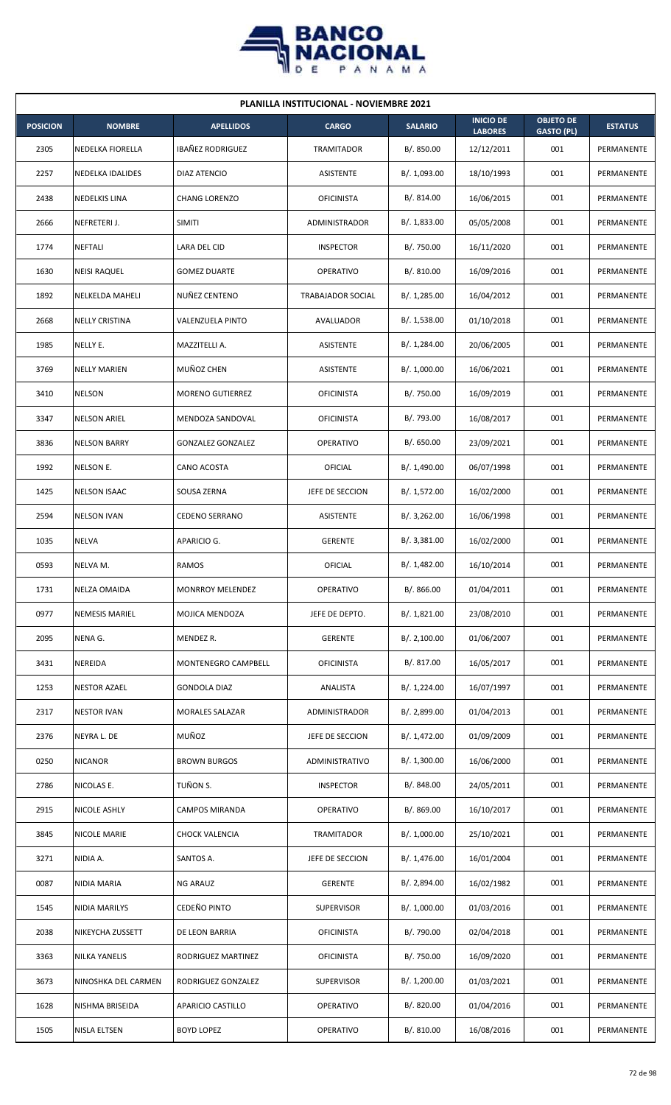

| <b>PLANILLA INSTITUCIONAL - NOVIEMBRE 2021</b> |                        |                          |                   |                |                                    |                                       |                |  |  |  |
|------------------------------------------------|------------------------|--------------------------|-------------------|----------------|------------------------------------|---------------------------------------|----------------|--|--|--|
| <b>POSICION</b>                                | <b>NOMBRE</b>          | <b>APELLIDOS</b>         | <b>CARGO</b>      | <b>SALARIO</b> | <b>INICIO DE</b><br><b>LABORES</b> | <b>OBJETO DE</b><br><b>GASTO (PL)</b> | <b>ESTATUS</b> |  |  |  |
| 2305                                           | NEDELKA FIORELLA       | IBAÑEZ RODRIGUEZ         | TRAMITADOR        | B/. 850.00     | 12/12/2011                         | 001                                   | PERMANENTE     |  |  |  |
| 2257                                           | NEDELKA IDALIDES       | <b>DIAZ ATENCIO</b>      | ASISTENTE         | B/. 1,093.00   | 18/10/1993                         | 001                                   | PERMANENTE     |  |  |  |
| 2438                                           | <b>NEDELKIS LINA</b>   | <b>CHANG LORENZO</b>     | <b>OFICINISTA</b> | B/. 814.00     | 16/06/2015                         | 001                                   | PERMANENTE     |  |  |  |
| 2666                                           | NEFRETERI J.           | <b>SIMITI</b>            | ADMINISTRADOR     | B/. 1,833.00   | 05/05/2008                         | 001                                   | PERMANENTE     |  |  |  |
| 1774                                           | <b>NEFTALI</b>         | LARA DEL CID             | <b>INSPECTOR</b>  | B/. 750.00     | 16/11/2020                         | 001                                   | PERMANENTE     |  |  |  |
| 1630                                           | <b>NEISI RAQUEL</b>    | <b>GOMEZ DUARTE</b>      | <b>OPERATIVO</b>  | B/.810.00      | 16/09/2016                         | 001                                   | PERMANENTE     |  |  |  |
| 1892                                           | <b>NELKELDA MAHELI</b> | NUÑEZ CENTENO            | TRABAJADOR SOCIAL | B/. 1,285.00   | 16/04/2012                         | 001                                   | PERMANENTE     |  |  |  |
| 2668                                           | <b>NELLY CRISTINA</b>  | VALENZUELA PINTO         | AVALUADOR         | B/. 1,538.00   | 01/10/2018                         | 001                                   | PERMANENTE     |  |  |  |
| 1985                                           | NELLY E.               | MAZZITELLI A.            | ASISTENTE         | B/. 1,284.00   | 20/06/2005                         | 001                                   | PERMANENTE     |  |  |  |
| 3769                                           | <b>NELLY MARIEN</b>    | MUÑOZ CHEN               | ASISTENTE         | B/. 1,000.00   | 16/06/2021                         | 001                                   | PERMANENTE     |  |  |  |
| 3410                                           | <b>NELSON</b>          | <b>MORENO GUTIERREZ</b>  | <b>OFICINISTA</b> | B/. 750.00     | 16/09/2019                         | 001                                   | PERMANENTE     |  |  |  |
| 3347                                           | <b>NELSON ARIEL</b>    | MENDOZA SANDOVAL         | <b>OFICINISTA</b> | B/. 793.00     | 16/08/2017                         | 001                                   | PERMANENTE     |  |  |  |
| 3836                                           | <b>NELSON BARRY</b>    | <b>GONZALEZ GONZALEZ</b> | <b>OPERATIVO</b>  | B/0.650.00     | 23/09/2021                         | 001                                   | PERMANENTE     |  |  |  |
| 1992                                           | NELSON E.              | CANO ACOSTA              | OFICIAL           | B/. 1,490.00   | 06/07/1998                         | 001                                   | PERMANENTE     |  |  |  |
| 1425                                           | <b>NELSON ISAAC</b>    | SOUSA ZERNA              | JEFE DE SECCION   | B/. 1,572.00   | 16/02/2000                         | 001                                   | PERMANENTE     |  |  |  |
| 2594                                           | <b>NELSON IVAN</b>     | <b>CEDENO SERRANO</b>    | ASISTENTE         | B/.3,262.00    | 16/06/1998                         | 001                                   | PERMANENTE     |  |  |  |
| 1035                                           | NELVA                  | APARICIO G.              | <b>GERENTE</b>    | B/.3,381.00    | 16/02/2000                         | 001                                   | PERMANENTE     |  |  |  |
| 0593                                           | NELVA M.               | <b>RAMOS</b>             | OFICIAL           | B/. 1,482.00   | 16/10/2014                         | 001                                   | PERMANENTE     |  |  |  |
| 1731                                           | <b>NELZA OMAIDA</b>    | MONRROY MELENDEZ         | OPERATIVO         | B/. 866.00     | 01/04/2011                         | 001                                   | PERMANENTE     |  |  |  |
| 0977                                           | <b>NEMESIS MARIEL</b>  | MOJICA MENDOZA           | JEFE DE DEPTO.    | B/. 1,821.00   | 23/08/2010                         | 001                                   | PERMANENTE     |  |  |  |
| 2095                                           | NENA G.                | MENDEZ R.                | <b>GERENTE</b>    | B/.2,100.00    | 01/06/2007                         | 001                                   | PERMANENTE     |  |  |  |
| 3431                                           | NEREIDA                | MONTENEGRO CAMPBELL      | <b>OFICINISTA</b> | B/. 817.00     | 16/05/2017                         | 001                                   | PERMANENTE     |  |  |  |
| 1253                                           | <b>NESTOR AZAEL</b>    | <b>GONDOLA DIAZ</b>      | ANALISTA          | B/. 1,224.00   | 16/07/1997                         | 001                                   | PERMANENTE     |  |  |  |
| 2317                                           | <b>NESTOR IVAN</b>     | <b>MORALES SALAZAR</b>   | ADMINISTRADOR     | B/. 2,899.00   | 01/04/2013                         | 001                                   | PERMANENTE     |  |  |  |
| 2376                                           | NEYRA L. DE            | MUÑOZ                    | JEFE DE SECCION   | B/. 1,472.00   | 01/09/2009                         | 001                                   | PERMANENTE     |  |  |  |
| 0250                                           | <b>NICANOR</b>         | <b>BROWN BURGOS</b>      | ADMINISTRATIVO    | B/. 1,300.00   | 16/06/2000                         | 001                                   | PERMANENTE     |  |  |  |
| 2786                                           | NICOLAS E.             | TUÑON S.                 | <b>INSPECTOR</b>  | B/. 848.00     | 24/05/2011                         | 001                                   | PERMANENTE     |  |  |  |
| 2915                                           | NICOLE ASHLY           | CAMPOS MIRANDA           | <b>OPERATIVO</b>  | B/. 869.00     | 16/10/2017                         | 001                                   | PERMANENTE     |  |  |  |
| 3845                                           | NICOLE MARIE           | CHOCK VALENCIA           | <b>TRAMITADOR</b> | B/. 1,000.00   | 25/10/2021                         | 001                                   | PERMANENTE     |  |  |  |
| 3271                                           | NIDIA A.               | SANTOS A.                | JEFE DE SECCION   | B/. 1,476.00   | 16/01/2004                         | 001                                   | PERMANENTE     |  |  |  |
| 0087                                           | NIDIA MARIA            | NG ARAUZ                 | <b>GERENTE</b>    | B/. 2,894.00   | 16/02/1982                         | 001                                   | PERMANENTE     |  |  |  |
| 1545                                           | NIDIA MARILYS          | CEDEÑO PINTO             | <b>SUPERVISOR</b> | B/. 1,000.00   | 01/03/2016                         | 001                                   | PERMANENTE     |  |  |  |
| 2038                                           | NIKEYCHA ZUSSETT       | DE LEON BARRIA           | <b>OFICINISTA</b> | B/. 790.00     | 02/04/2018                         | 001                                   | PERMANENTE     |  |  |  |
| 3363                                           | NILKA YANELIS          | RODRIGUEZ MARTINEZ       | <b>OFICINISTA</b> | B/. 750.00     | 16/09/2020                         | 001                                   | PERMANENTE     |  |  |  |
| 3673                                           | NINOSHKA DEL CARMEN    | RODRIGUEZ GONZALEZ       | <b>SUPERVISOR</b> | B/. 1,200.00   | 01/03/2021                         | 001                                   | PERMANENTE     |  |  |  |
| 1628                                           | NISHMA BRISEIDA        | APARICIO CASTILLO        | <b>OPERATIVO</b>  | B/. 820.00     | 01/04/2016                         | 001                                   | PERMANENTE     |  |  |  |
| 1505                                           | NISLA ELTSEN           | <b>BOYD LOPEZ</b>        | OPERATIVO         | B/. 810.00     | 16/08/2016                         | 001                                   | PERMANENTE     |  |  |  |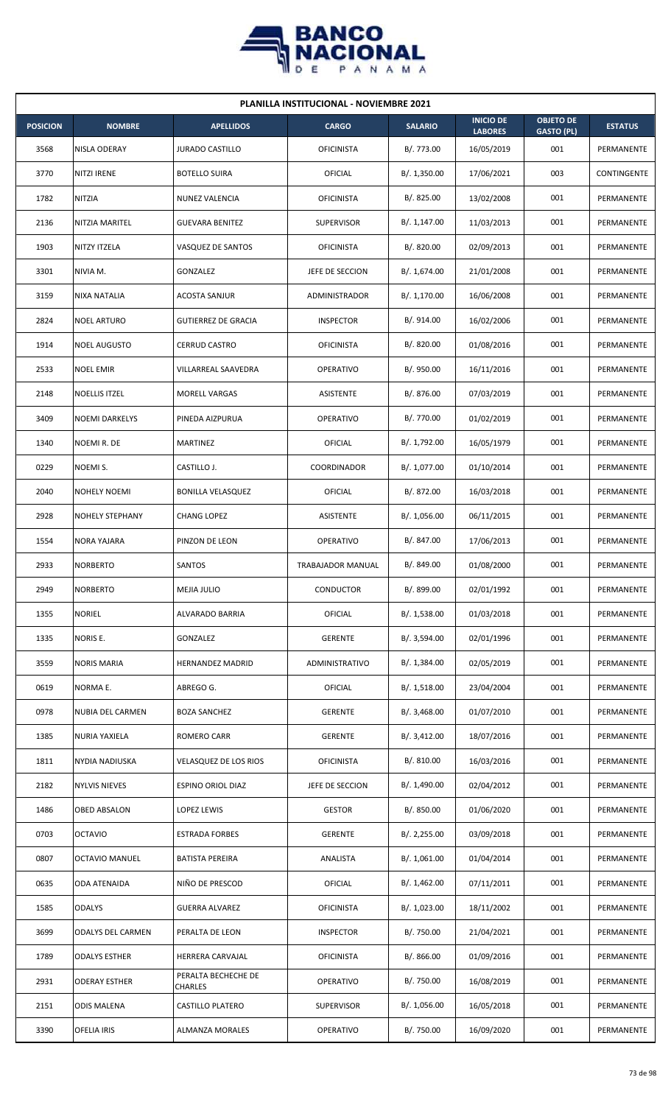

| <b>PLANILLA INSTITUCIONAL - NOVIEMBRE 2021</b> |                        |                                |                   |                |                                    |                                       |                |  |  |
|------------------------------------------------|------------------------|--------------------------------|-------------------|----------------|------------------------------------|---------------------------------------|----------------|--|--|
| <b>POSICION</b>                                | <b>NOMBRE</b>          | <b>APELLIDOS</b>               | <b>CARGO</b>      | <b>SALARIO</b> | <b>INICIO DE</b><br><b>LABORES</b> | <b>OBJETO DE</b><br><b>GASTO (PL)</b> | <b>ESTATUS</b> |  |  |
| 3568                                           | NISLA ODERAY           | <b>JURADO CASTILLO</b>         | <b>OFICINISTA</b> | B/. 773.00     | 16/05/2019                         | 001                                   | PERMANENTE     |  |  |
| 3770                                           | NITZI IRENE            | <b>BOTELLO SUIRA</b>           | OFICIAL           | B/. 1,350.00   | 17/06/2021                         | 003                                   | CONTINGENTE    |  |  |
| 1782                                           | NITZIA                 | NUNEZ VALENCIA                 | <b>OFICINISTA</b> | B/. 825.00     | 13/02/2008                         | 001                                   | PERMANENTE     |  |  |
| 2136                                           | NITZIA MARITEL         | <b>GUEVARA BENITEZ</b>         | <b>SUPERVISOR</b> | B/. 1,147.00   | 11/03/2013                         | 001                                   | PERMANENTE     |  |  |
| 1903                                           | NITZY ITZELA           | VASQUEZ DE SANTOS              | <b>OFICINISTA</b> | B/. 820.00     | 02/09/2013                         | 001                                   | PERMANENTE     |  |  |
| 3301                                           | NIVIA M.               | GONZALEZ                       | JEFE DE SECCION   | B/. 1,674.00   | 21/01/2008                         | 001                                   | PERMANENTE     |  |  |
| 3159                                           | <b>NIXA NATALIA</b>    | <b>ACOSTA SANJUR</b>           | ADMINISTRADOR     | B/.1,170.00    | 16/06/2008                         | 001                                   | PERMANENTE     |  |  |
| 2824                                           | <b>NOEL ARTURO</b>     | <b>GUTIERREZ DE GRACIA</b>     | <b>INSPECTOR</b>  | B/. 914.00     | 16/02/2006                         | 001                                   | PERMANENTE     |  |  |
| 1914                                           | <b>NOEL AUGUSTO</b>    | <b>CERRUD CASTRO</b>           | <b>OFICINISTA</b> | B/. 820.00     | 01/08/2016                         | 001                                   | PERMANENTE     |  |  |
| 2533                                           | <b>NOEL EMIR</b>       | VILLARREAL SAAVEDRA            | <b>OPERATIVO</b>  | B/. 950.00     | 16/11/2016                         | 001                                   | PERMANENTE     |  |  |
| 2148                                           | <b>NOELLIS ITZEL</b>   | <b>MORELL VARGAS</b>           | <b>ASISTENTE</b>  | B/. 876.00     | 07/03/2019                         | 001                                   | PERMANENTE     |  |  |
| 3409                                           | <b>NOEMI DARKELYS</b>  | PINEDA AIZPURUA                | <b>OPERATIVO</b>  | B/. 770.00     | 01/02/2019                         | 001                                   | PERMANENTE     |  |  |
| 1340                                           | NOEMIR. DE             | MARTINEZ                       | OFICIAL           | B/. 1,792.00   | 16/05/1979                         | 001                                   | PERMANENTE     |  |  |
| 0229                                           | NOEMI S.               | CASTILLO J.                    | COORDINADOR       | B/. 1,077.00   | 01/10/2014                         | 001                                   | PERMANENTE     |  |  |
| 2040                                           | <b>NOHELY NOEMI</b>    | <b>BONILLA VELASQUEZ</b>       | OFICIAL           | B/. 872.00     | 16/03/2018                         | 001                                   | PERMANENTE     |  |  |
| 2928                                           | <b>NOHELY STEPHANY</b> | CHANG LOPEZ                    | ASISTENTE         | B/. 1,056.00   | 06/11/2015                         | 001                                   | PERMANENTE     |  |  |
| 1554                                           | <b>NORA YAJARA</b>     | PINZON DE LEON                 | <b>OPERATIVO</b>  | B/. 847.00     | 17/06/2013                         | 001                                   | PERMANENTE     |  |  |
| 2933                                           | <b>NORBERTO</b>        | SANTOS                         | TRABAJADOR MANUAL | B/. 849.00     | 01/08/2000                         | 001                                   | PERMANENTE     |  |  |
| 2949                                           | <b>NORBERTO</b>        | MEJIA JULIO                    | CONDUCTOR         | B/. 899.00     | 02/01/1992                         | 001                                   | PERMANENTE     |  |  |
| 1355                                           | <b>NORIEL</b>          | ALVARADO BARRIA                | <b>OFICIAL</b>    | B/. 1,538.00   | 01/03/2018                         | 001                                   | PERMANENTE     |  |  |
| 1335                                           | NORIS E.               | GONZALEZ                       | <b>GERENTE</b>    | B/. 3,594.00   | 02/01/1996                         | 001                                   | PERMANENTE     |  |  |
| 3559                                           | <b>NORIS MARIA</b>     | <b>HERNANDEZ MADRID</b>        | ADMINISTRATIVO    | B/. 1,384.00   | 02/05/2019                         | 001                                   | PERMANENTE     |  |  |
| 0619                                           | NORMA E.               | ABREGO G.                      | <b>OFICIAL</b>    | B/.1,518.00    | 23/04/2004                         | 001                                   | PERMANENTE     |  |  |
| 0978                                           | NUBIA DEL CARMEN       | <b>BOZA SANCHEZ</b>            | <b>GERENTE</b>    | B/.3,468.00    | 01/07/2010                         | 001                                   | PERMANENTE     |  |  |
| 1385                                           | <b>NURIA YAXIELA</b>   | <b>ROMERO CARR</b>             | <b>GERENTE</b>    | B/. 3,412.00   | 18/07/2016                         | 001                                   | PERMANENTE     |  |  |
| 1811                                           | NYDIA NADIUSKA         | VELASQUEZ DE LOS RIOS          | <b>OFICINISTA</b> | B/. 810.00     | 16/03/2016                         | 001                                   | PERMANENTE     |  |  |
| 2182                                           | <b>NYLVIS NIEVES</b>   | ESPINO ORIOL DIAZ              | JEFE DE SECCION   | B/. 1,490.00   | 02/04/2012                         | 001                                   | PERMANENTE     |  |  |
| 1486                                           | OBED ABSALON           | LOPEZ LEWIS                    | <b>GESTOR</b>     | B/. 850.00     | 01/06/2020                         | 001                                   | PERMANENTE     |  |  |
| 0703                                           | <b>OCTAVIO</b>         | <b>ESTRADA FORBES</b>          | <b>GERENTE</b>    | B/. 2,255.00   | 03/09/2018                         | 001                                   | PERMANENTE     |  |  |
| 0807                                           | <b>OCTAVIO MANUEL</b>  | <b>BATISTA PEREIRA</b>         | ANALISTA          | B/.1,061.00    | 01/04/2014                         | 001                                   | PERMANENTE     |  |  |
| 0635                                           | ODA ATENAIDA           | NIÑO DE PRESCOD                | <b>OFICIAL</b>    | B/. 1,462.00   | 07/11/2011                         | 001                                   | PERMANENTE     |  |  |
| 1585                                           | <b>ODALYS</b>          | <b>GUERRA ALVAREZ</b>          | <b>OFICINISTA</b> | B/. 1,023.00   | 18/11/2002                         | 001                                   | PERMANENTE     |  |  |
| 3699                                           | ODALYS DEL CARMEN      | PERALTA DE LEON                | <b>INSPECTOR</b>  | B/. 750.00     | 21/04/2021                         | 001                                   | PERMANENTE     |  |  |
| 1789                                           | <b>ODALYS ESTHER</b>   | HERRERA CARVAJAL               | <b>OFICINISTA</b> | B/. 866.00     | 01/09/2016                         | 001                                   | PERMANENTE     |  |  |
| 2931                                           | <b>ODERAY ESTHER</b>   | PERALTA BECHECHE DE<br>CHARLES | OPERATIVO         | B/. 750.00     | 16/08/2019                         | 001                                   | PERMANENTE     |  |  |
| 2151                                           | <b>ODIS MALENA</b>     | <b>CASTILLO PLATERO</b>        | <b>SUPERVISOR</b> | B/. 1,056.00   | 16/05/2018                         | 001                                   | PERMANENTE     |  |  |
| 3390                                           | OFELIA IRIS            | <b>ALMANZA MORALES</b>         | OPERATIVO         | B/. 750.00     | 16/09/2020                         | 001                                   | PERMANENTE     |  |  |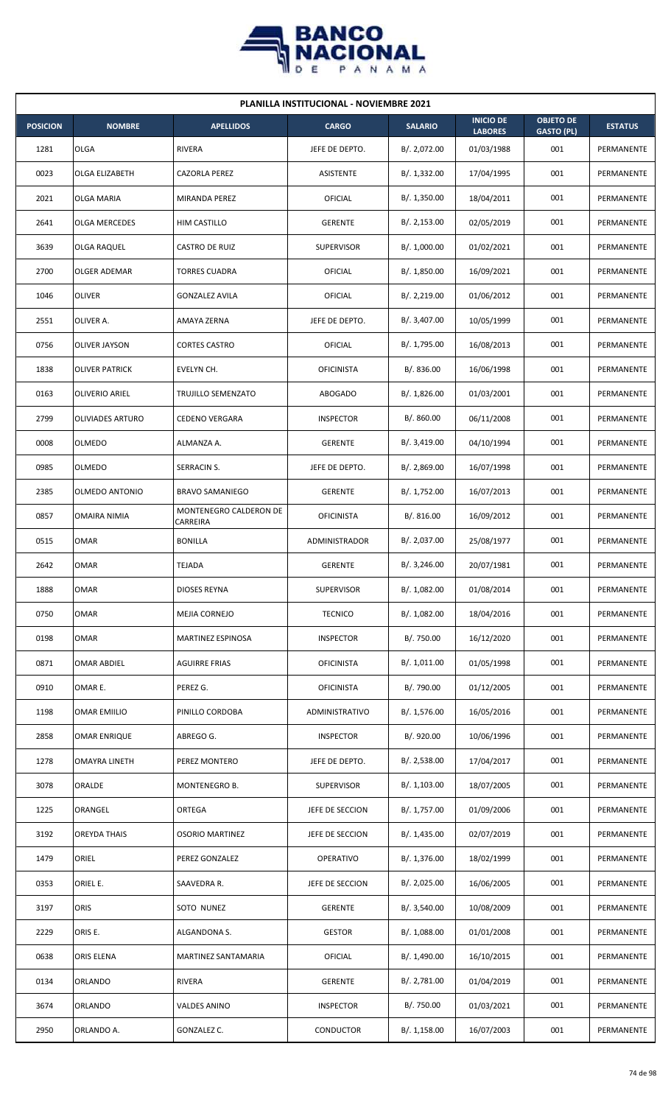

| <b>PLANILLA INSTITUCIONAL - NOVIEMBRE 2021</b> |                         |                                    |                   |                |                                    |                                       |                |  |  |
|------------------------------------------------|-------------------------|------------------------------------|-------------------|----------------|------------------------------------|---------------------------------------|----------------|--|--|
| <b>POSICION</b>                                | <b>NOMBRE</b>           | <b>APELLIDOS</b>                   | <b>CARGO</b>      | <b>SALARIO</b> | <b>INICIO DE</b><br><b>LABORES</b> | <b>OBJETO DE</b><br><b>GASTO (PL)</b> | <b>ESTATUS</b> |  |  |
| 1281                                           | <b>OLGA</b>             | <b>RIVERA</b>                      | JEFE DE DEPTO.    | B/. 2,072.00   | 01/03/1988                         | 001                                   | PERMANENTE     |  |  |
| 0023                                           | OLGA ELIZABETH          | <b>CAZORLA PEREZ</b>               | ASISTENTE         | B/. 1,332.00   | 17/04/1995                         | 001                                   | PERMANENTE     |  |  |
| 2021                                           | <b>OLGA MARIA</b>       | MIRANDA PEREZ                      | OFICIAL           | B/.1,350.00    | 18/04/2011                         | 001                                   | PERMANENTE     |  |  |
| 2641                                           | <b>OLGA MERCEDES</b>    | HIM CASTILLO                       | <b>GERENTE</b>    | B/.2,153.00    | 02/05/2019                         | 001                                   | PERMANENTE     |  |  |
| 3639                                           | OLGA RAQUEL             | CASTRO DE RUIZ                     | <b>SUPERVISOR</b> | B/. 1,000.00   | 01/02/2021                         | 001                                   | PERMANENTE     |  |  |
| 2700                                           | OLGER ADEMAR            | <b>TORRES CUADRA</b>               | OFICIAL           | B/. 1,850.00   | 16/09/2021                         | 001                                   | PERMANENTE     |  |  |
| 1046                                           | <b>OLIVER</b>           | <b>GONZALEZ AVILA</b>              | OFICIAL           | B/.2,219.00    | 01/06/2012                         | 001                                   | PERMANENTE     |  |  |
| 2551                                           | OLIVER A.               | AMAYA ZERNA                        | JEFE DE DEPTO.    | B/. 3,407.00   | 10/05/1999                         | 001                                   | PERMANENTE     |  |  |
| 0756                                           | <b>OLIVER JAYSON</b>    | <b>CORTES CASTRO</b>               | OFICIAL           | B/. 1,795.00   | 16/08/2013                         | 001                                   | PERMANENTE     |  |  |
| 1838                                           | <b>OLIVER PATRICK</b>   | EVELYN CH.                         | <b>OFICINISTA</b> | B/. 836.00     | 16/06/1998                         | 001                                   | PERMANENTE     |  |  |
| 0163                                           | OLIVERIO ARIEL          | TRUJILLO SEMENZATO                 | <b>ABOGADO</b>    | B/. 1,826.00   | 01/03/2001                         | 001                                   | PERMANENTE     |  |  |
| 2799                                           | <b>OLIVIADES ARTURO</b> | <b>CEDENO VERGARA</b>              | <b>INSPECTOR</b>  | B/. 860.00     | 06/11/2008                         | 001                                   | PERMANENTE     |  |  |
| 0008                                           | <b>OLMEDO</b>           | ALMANZA A.                         | <b>GERENTE</b>    | B/. 3,419.00   | 04/10/1994                         | 001                                   | PERMANENTE     |  |  |
| 0985                                           | OLMEDO                  | SERRACIN S.                        | JEFE DE DEPTO.    | B/.2,869.00    | 16/07/1998                         | 001                                   | PERMANENTE     |  |  |
| 2385                                           | <b>OLMEDO ANTONIO</b>   | <b>BRAVO SAMANIEGO</b>             | <b>GERENTE</b>    | B/. 1,752.00   | 16/07/2013                         | 001                                   | PERMANENTE     |  |  |
| 0857                                           | OMAIRA NIMIA            | MONTENEGRO CALDERON DE<br>CARREIRA | <b>OFICINISTA</b> | B/.816.00      | 16/09/2012                         | 001                                   | PERMANENTE     |  |  |
| 0515                                           | OMAR                    | <b>BONILLA</b>                     | ADMINISTRADOR     | B/. 2,037.00   | 25/08/1977                         | 001                                   | PERMANENTE     |  |  |
| 2642                                           | OMAR                    | <b>TEJADA</b>                      | <b>GERENTE</b>    | B/. 3,246.00   | 20/07/1981                         | 001                                   | PERMANENTE     |  |  |
| 1888                                           | <b>OMAR</b>             | <b>DIOSES REYNA</b>                | SUPERVISOR        | B/. 1,082.00   | 01/08/2014                         | 001                                   | PERMANENTE     |  |  |
| 0750                                           | <b>OMAR</b>             | MEJIA CORNEJO                      | <b>TECNICO</b>    | B/. 1,082.00   | 18/04/2016                         | 001                                   | PERMANENTE     |  |  |
| 0198                                           | <b>OMAR</b>             | MARTINEZ ESPINOSA                  | <b>INSPECTOR</b>  | B/. 750.00     | 16/12/2020                         | 001                                   | PERMANENTE     |  |  |
| 0871                                           | <b>OMAR ABDIEL</b>      | <b>AGUIRRE FRIAS</b>               | <b>OFICINISTA</b> | B/. 1,011.00   | 01/05/1998                         | 001                                   | PERMANENTE     |  |  |
| 0910                                           | OMAR E.                 | PEREZ G.                           | <b>OFICINISTA</b> | B/. 790.00     | 01/12/2005                         | 001                                   | PERMANENTE     |  |  |
| 1198                                           | <b>OMAR EMIILIO</b>     | PINILLO CORDOBA                    | ADMINISTRATIVO    | B/. 1,576.00   | 16/05/2016                         | 001                                   | PERMANENTE     |  |  |
| 2858                                           | OMAR ENRIQUE            | ABREGO G.                          | <b>INSPECTOR</b>  | B/. 920.00     | 10/06/1996                         | 001                                   | PERMANENTE     |  |  |
| 1278                                           | OMAYRA LINETH           | PEREZ MONTERO                      | JEFE DE DEPTO.    | B/.2,538.00    | 17/04/2017                         | 001                                   | PERMANENTE     |  |  |
| 3078                                           | ORALDE                  | MONTENEGRO B.                      | <b>SUPERVISOR</b> | B/. 1,103.00   | 18/07/2005                         | 001                                   | PERMANENTE     |  |  |
| 1225                                           | ORANGEL                 | ORTEGA                             | JEFE DE SECCION   | B/. 1,757.00   | 01/09/2006                         | 001                                   | PERMANENTE     |  |  |
| 3192                                           | <b>OREYDA THAIS</b>     | <b>OSORIO MARTINEZ</b>             | JEFE DE SECCION   | B/.1,435.00    | 02/07/2019                         | 001                                   | PERMANENTE     |  |  |
| 1479                                           | ORIEL                   | PEREZ GONZALEZ                     | OPERATIVO         | B/. 1,376.00   | 18/02/1999                         | 001                                   | PERMANENTE     |  |  |
| 0353                                           | ORIEL E.                | SAAVEDRA R.                        | JEFE DE SECCION   | B/. 2,025.00   | 16/06/2005                         | 001                                   | PERMANENTE     |  |  |
| 3197                                           | ORIS                    | SOTO NUNEZ                         | <b>GERENTE</b>    | B/. 3,540.00   | 10/08/2009                         | 001                                   | PERMANENTE     |  |  |
| 2229                                           | ORIS E.                 | ALGANDONA S.                       | <b>GESTOR</b>     | B/.1,088.00    | 01/01/2008                         | 001                                   | PERMANENTE     |  |  |
| 0638                                           | ORIS ELENA              | MARTINEZ SANTAMARIA                | OFICIAL           | B/. 1,490.00   | 16/10/2015                         | 001                                   | PERMANENTE     |  |  |
| 0134                                           | ORLANDO                 | <b>RIVERA</b>                      | <b>GERENTE</b>    | B/. 2,781.00   | 01/04/2019                         | 001                                   | PERMANENTE     |  |  |
| 3674                                           | ORLANDO                 | VALDES ANINO                       | <b>INSPECTOR</b>  | B/. 750.00     | 01/03/2021                         | 001                                   | PERMANENTE     |  |  |
| 2950                                           | ORLANDO A.              | GONZALEZ C.                        | <b>CONDUCTOR</b>  | B/.1,158.00    | 16/07/2003                         | 001                                   | PERMANENTE     |  |  |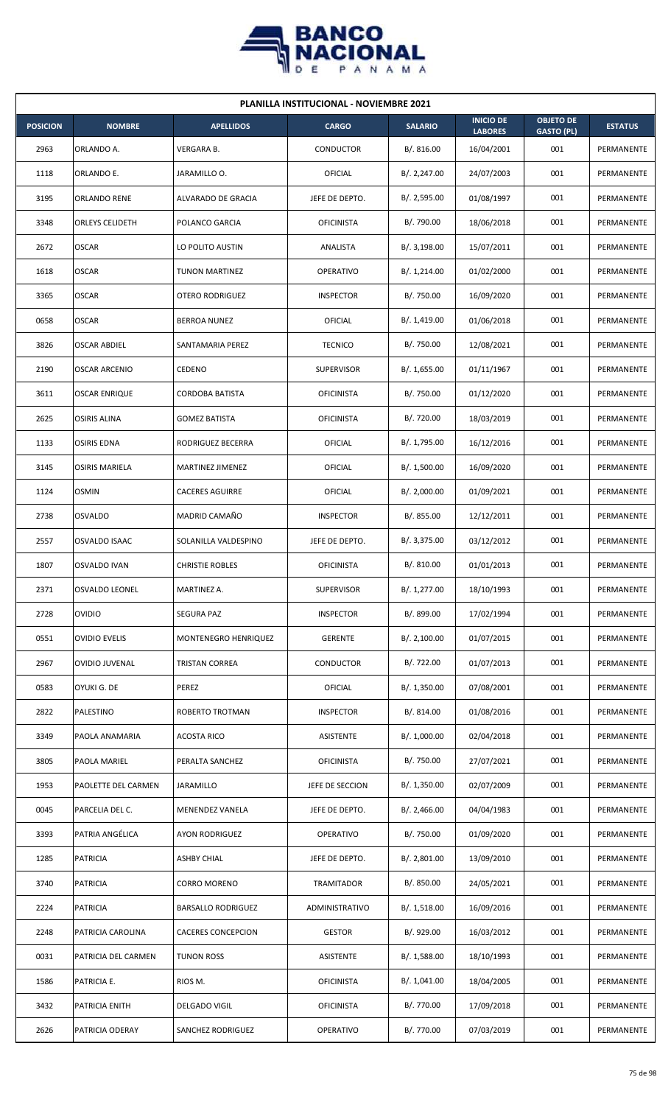

| <b>PLANILLA INSTITUCIONAL - NOVIEMBRE 2021</b> |                        |                           |                   |                |                                    |                                       |                |  |  |
|------------------------------------------------|------------------------|---------------------------|-------------------|----------------|------------------------------------|---------------------------------------|----------------|--|--|
| <b>POSICION</b>                                | <b>NOMBRE</b>          | <b>APELLIDOS</b>          | <b>CARGO</b>      | <b>SALARIO</b> | <b>INICIO DE</b><br><b>LABORES</b> | <b>OBJETO DE</b><br><b>GASTO (PL)</b> | <b>ESTATUS</b> |  |  |
| 2963                                           | ORLANDO A.             | <b>VERGARA B.</b>         | <b>CONDUCTOR</b>  | B/. 816.00     | 16/04/2001                         | 001                                   | PERMANENTE     |  |  |
| 1118                                           | ORLANDO E.             | JARAMILLO O.              | <b>OFICIAL</b>    | B/.2,247.00    | 24/07/2003                         | 001                                   | PERMANENTE     |  |  |
| 3195                                           | ORLANDO RENE           | ALVARADO DE GRACIA        | JEFE DE DEPTO.    | B/.2,595.00    | 01/08/1997                         | 001                                   | PERMANENTE     |  |  |
| 3348                                           | <b>ORLEYS CELIDETH</b> | POLANCO GARCIA            | <b>OFICINISTA</b> | B/. 790.00     | 18/06/2018                         | 001                                   | PERMANENTE     |  |  |
| 2672                                           | <b>OSCAR</b>           | LO POLITO AUSTIN          | ANALISTA          | B/.3,198.00    | 15/07/2011                         | 001                                   | PERMANENTE     |  |  |
| 1618                                           | <b>OSCAR</b>           | <b>TUNON MARTINEZ</b>     | <b>OPERATIVO</b>  | B/. 1,214.00   | 01/02/2000                         | 001                                   | PERMANENTE     |  |  |
| 3365                                           | <b>OSCAR</b>           | <b>OTERO RODRIGUEZ</b>    | <b>INSPECTOR</b>  | B/. 750.00     | 16/09/2020                         | 001                                   | PERMANENTE     |  |  |
| 0658                                           | <b>OSCAR</b>           | <b>BERROA NUNEZ</b>       | OFICIAL           | B/.1,419.00    | 01/06/2018                         | 001                                   | PERMANENTE     |  |  |
| 3826                                           | <b>OSCAR ABDIEL</b>    | SANTAMARIA PEREZ          | <b>TECNICO</b>    | B/. 750.00     | 12/08/2021                         | 001                                   | PERMANENTE     |  |  |
| 2190                                           | <b>OSCAR ARCENIO</b>   | <b>CEDENO</b>             | <b>SUPERVISOR</b> | B/. 1,655.00   | 01/11/1967                         | 001                                   | PERMANENTE     |  |  |
| 3611                                           | <b>OSCAR ENRIQUE</b>   | <b>CORDOBA BATISTA</b>    | <b>OFICINISTA</b> | B/. 750.00     | 01/12/2020                         | 001                                   | PERMANENTE     |  |  |
| 2625                                           | <b>OSIRIS ALINA</b>    | <b>GOMEZ BATISTA</b>      | <b>OFICINISTA</b> | B/. 720.00     | 18/03/2019                         | 001                                   | PERMANENTE     |  |  |
| 1133                                           | <b>OSIRIS EDNA</b>     | RODRIGUEZ BECERRA         | OFICIAL           | B/. 1,795.00   | 16/12/2016                         | 001                                   | PERMANENTE     |  |  |
| 3145                                           | <b>OSIRIS MARIELA</b>  | MARTINEZ JIMENEZ          | OFICIAL           | B/. 1,500.00   | 16/09/2020                         | 001                                   | PERMANENTE     |  |  |
| 1124                                           | <b>OSMIN</b>           | <b>CACERES AGUIRRE</b>    | OFICIAL           | B/.2,000.00    | 01/09/2021                         | 001                                   | PERMANENTE     |  |  |
| 2738                                           | <b>OSVALDO</b>         | MADRID CAMAÑO             | <b>INSPECTOR</b>  | B/. 855.00     | 12/12/2011                         | 001                                   | PERMANENTE     |  |  |
| 2557                                           | OSVALDO ISAAC          | SOLANILLA VALDESPINO      | JEFE DE DEPTO.    | B/.3,375.00    | 03/12/2012                         | 001                                   | PERMANENTE     |  |  |
| 1807                                           | <b>OSVALDO IVAN</b>    | <b>CHRISTIE ROBLES</b>    | <b>OFICINISTA</b> | B/. 810.00     | 01/01/2013                         | 001                                   | PERMANENTE     |  |  |
| 2371                                           | <b>OSVALDO LEONEL</b>  | MARTINEZ A.               | <b>SUPERVISOR</b> | B/. 1,277.00   | 18/10/1993                         | 001                                   | PERMANENTE     |  |  |
| 2728                                           | <b>OVIDIO</b>          | SEGURA PAZ                | <b>INSPECTOR</b>  | B/. 899.00     | 17/02/1994                         | 001                                   | PERMANENTE     |  |  |
| 0551                                           | <b>OVIDIO EVELIS</b>   | MONTENEGRO HENRIQUEZ      | <b>GERENTE</b>    | B/.2,100.00    | 01/07/2015                         | 001                                   | PERMANENTE     |  |  |
| 2967                                           | <b>OVIDIO JUVENAL</b>  | TRISTAN CORREA            | CONDUCTOR         | B/. 722.00     | 01/07/2013                         | 001                                   | PERMANENTE     |  |  |
| 0583                                           | OYUKI G. DE            | PEREZ                     | <b>OFICIAL</b>    | B/.1,350.00    | 07/08/2001                         | 001                                   | PERMANENTE     |  |  |
| 2822                                           | PALESTINO              | ROBERTO TROTMAN           | <b>INSPECTOR</b>  | B/. 814.00     | 01/08/2016                         | 001                                   | PERMANENTE     |  |  |
| 3349                                           | PAOLA ANAMARIA         | <b>ACOSTA RICO</b>        | ASISTENTE         | B/. 1,000.00   | 02/04/2018                         | 001                                   | PERMANENTE     |  |  |
| 3805                                           | <b>PAOLA MARIEL</b>    | PERALTA SANCHEZ           | <b>OFICINISTA</b> | B/. 750.00     | 27/07/2021                         | 001                                   | PERMANENTE     |  |  |
| 1953                                           | PAOLETTE DEL CARMEN    | <b>JARAMILLO</b>          | JEFE DE SECCION   | B/.1,350.00    | 02/07/2009                         | 001                                   | PERMANENTE     |  |  |
| 0045                                           | PARCELIA DEL C.        | MENENDEZ VANELA           | JEFE DE DEPTO.    | B/.2,466.00    | 04/04/1983                         | 001                                   | PERMANENTE     |  |  |
| 3393                                           | PATRIA ANGÉLICA        | AYON RODRIGUEZ            | <b>OPERATIVO</b>  | B/. 750.00     | 01/09/2020                         | 001                                   | PERMANENTE     |  |  |
| 1285                                           | <b>PATRICIA</b>        | ASHBY CHIAL               | JEFE DE DEPTO.    | B/. 2,801.00   | 13/09/2010                         | 001                                   | PERMANENTE     |  |  |
| 3740                                           | <b>PATRICIA</b>        | CORRO MORENO              | TRAMITADOR        | B/. 850.00     | 24/05/2021                         | 001                                   | PERMANENTE     |  |  |
| 2224                                           | <b>PATRICIA</b>        | <b>BARSALLO RODRIGUEZ</b> | ADMINISTRATIVO    | B/. 1,518.00   | 16/09/2016                         | 001                                   | PERMANENTE     |  |  |
| 2248                                           | PATRICIA CAROLINA      | <b>CACERES CONCEPCION</b> | <b>GESTOR</b>     | B/. 929.00     | 16/03/2012                         | 001                                   | PERMANENTE     |  |  |
| 0031                                           | PATRICIA DEL CARMEN    | <b>TUNON ROSS</b>         | ASISTENTE         | B/.1,588.00    | 18/10/1993                         | 001                                   | PERMANENTE     |  |  |
| 1586                                           | PATRICIA E.            | RIOS M.                   | <b>OFICINISTA</b> | B/.1,041.00    | 18/04/2005                         | 001                                   | PERMANENTE     |  |  |
| 3432                                           | PATRICIA ENITH         | DELGADO VIGIL             | <b>OFICINISTA</b> | B/. 770.00     | 17/09/2018                         | 001                                   | PERMANENTE     |  |  |
| 2626                                           | PATRICIA ODERAY        | SANCHEZ RODRIGUEZ         | <b>OPERATIVO</b>  | B/. 770.00     | 07/03/2019                         | 001                                   | PERMANENTE     |  |  |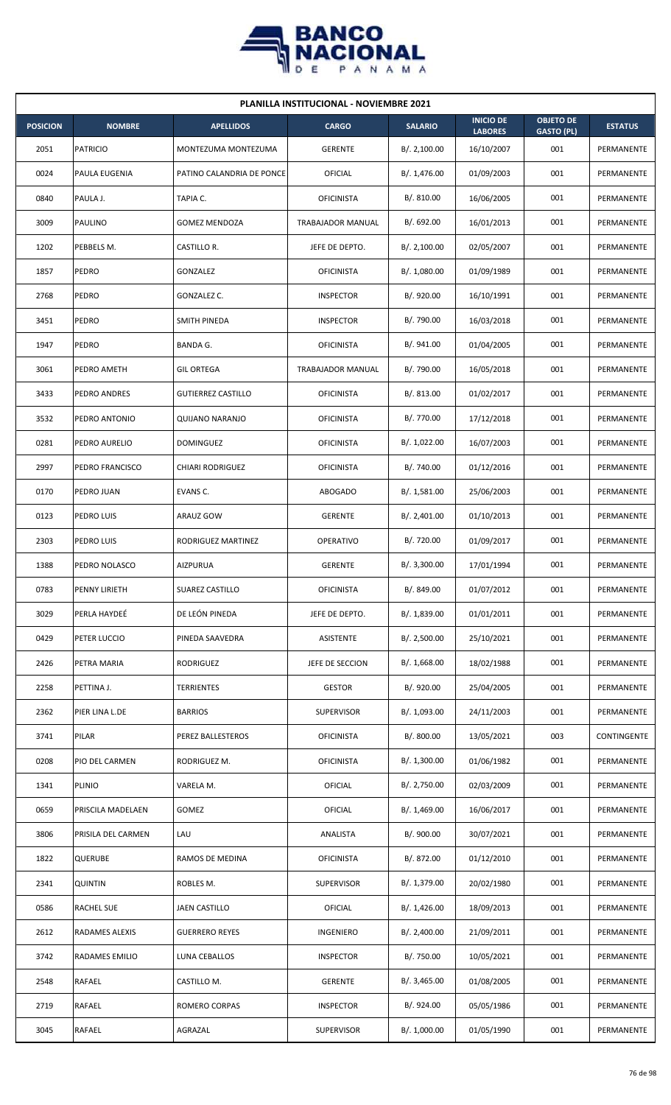

| <b>PLANILLA INSTITUCIONAL - NOVIEMBRE 2021</b> |                       |                           |                   |                |                                    |                                       |                |  |  |  |
|------------------------------------------------|-----------------------|---------------------------|-------------------|----------------|------------------------------------|---------------------------------------|----------------|--|--|--|
| <b>POSICION</b>                                | <b>NOMBRE</b>         | <b>APELLIDOS</b>          | <b>CARGO</b>      | <b>SALARIO</b> | <b>INICIO DE</b><br><b>LABORES</b> | <b>OBJETO DE</b><br><b>GASTO (PL)</b> | <b>ESTATUS</b> |  |  |  |
| 2051                                           | <b>PATRICIO</b>       | MONTEZUMA MONTEZUMA       | <b>GERENTE</b>    | B/.2,100.00    | 16/10/2007                         | 001                                   | PERMANENTE     |  |  |  |
| 0024                                           | PAULA EUGENIA         | PATINO CALANDRIA DE PONCE | OFICIAL           | B/. 1,476.00   | 01/09/2003                         | 001                                   | PERMANENTE     |  |  |  |
| 0840                                           | PAULA J.              | TAPIA C.                  | <b>OFICINISTA</b> | B/. 810.00     | 16/06/2005                         | 001                                   | PERMANENTE     |  |  |  |
| 3009                                           | <b>PAULINO</b>        | <b>GOMEZ MENDOZA</b>      | TRABAJADOR MANUAL | B/. 692.00     | 16/01/2013                         | 001                                   | PERMANENTE     |  |  |  |
| 1202                                           | PEBBELS M.            | CASTILLO R.               | JEFE DE DEPTO.    | B/.2,100.00    | 02/05/2007                         | 001                                   | PERMANENTE     |  |  |  |
| 1857                                           | PEDRO                 | GONZALEZ                  | <b>OFICINISTA</b> | B/. 1,080.00   | 01/09/1989                         | 001                                   | PERMANENTE     |  |  |  |
| 2768                                           | PEDRO                 | GONZALEZ C.               | <b>INSPECTOR</b>  | B/. 920.00     | 16/10/1991                         | 001                                   | PERMANENTE     |  |  |  |
| 3451                                           | PEDRO                 | SMITH PINEDA              | <b>INSPECTOR</b>  | B/. 790.00     | 16/03/2018                         | 001                                   | PERMANENTE     |  |  |  |
| 1947                                           | PEDRO                 | BANDA G.                  | <b>OFICINISTA</b> | B/.941.00      | 01/04/2005                         | 001                                   | PERMANENTE     |  |  |  |
| 3061                                           | PEDRO AMETH           | <b>GIL ORTEGA</b>         | TRABAJADOR MANUAL | B/. 790.00     | 16/05/2018                         | 001                                   | PERMANENTE     |  |  |  |
| 3433                                           | PEDRO ANDRES          | <b>GUTIERREZ CASTILLO</b> | <b>OFICINISTA</b> | B/. 813.00     | 01/02/2017                         | 001                                   | PERMANENTE     |  |  |  |
| 3532                                           | PEDRO ANTONIO         | QUIJANO NARANJO           | <b>OFICINISTA</b> | B/. 770.00     | 17/12/2018                         | 001                                   | PERMANENTE     |  |  |  |
| 0281                                           | PEDRO AURELIO         | <b>DOMINGUEZ</b>          | <b>OFICINISTA</b> | B/. 1,022.00   | 16/07/2003                         | 001                                   | PERMANENTE     |  |  |  |
| 2997                                           | PEDRO FRANCISCO       | <b>CHIARI RODRIGUEZ</b>   | <b>OFICINISTA</b> | B/. 740.00     | 01/12/2016                         | 001                                   | PERMANENTE     |  |  |  |
| 0170                                           | PEDRO JUAN            | EVANS C.                  | <b>ABOGADO</b>    | B/.1,581.00    | 25/06/2003                         | 001                                   | PERMANENTE     |  |  |  |
| 0123                                           | PEDRO LUIS            | ARAUZ GOW                 | <b>GERENTE</b>    | B/.2,401.00    | 01/10/2013                         | 001                                   | PERMANENTE     |  |  |  |
| 2303                                           | PEDRO LUIS            | RODRIGUEZ MARTINEZ        | OPERATIVO         | B/. 720.00     | 01/09/2017                         | 001                                   | PERMANENTE     |  |  |  |
| 1388                                           | PEDRO NOLASCO         | AIZPURUA                  | <b>GERENTE</b>    | B/. 3,300.00   | 17/01/1994                         | 001                                   | PERMANENTE     |  |  |  |
| 0783                                           | PENNY LIRIETH         | SUAREZ CASTILLO           | <b>OFICINISTA</b> | B/. 849.00     | 01/07/2012                         | 001                                   | PERMANENTE     |  |  |  |
| 3029                                           | PERLA HAYDEÉ          | DE LEÓN PINEDA            | JEFE DE DEPTO.    | B/. 1,839.00   | 01/01/2011                         | 001                                   | PERMANENTE     |  |  |  |
| 0429                                           | PETER LUCCIO          | PINEDA SAAVEDRA           | ASISTENTE         | B/. 2,500.00   | 25/10/2021                         | 001                                   | PERMANENTE     |  |  |  |
| 2426                                           | PETRA MARIA           | RODRIGUEZ                 | JEFE DE SECCION   | B/. 1,668.00   | 18/02/1988                         | 001                                   | PERMANENTE     |  |  |  |
| 2258                                           | PETTINA J.            | TERRIENTES                | <b>GESTOR</b>     | B/. 920.00     | 25/04/2005                         | 001                                   | PERMANENTE     |  |  |  |
| 2362                                           | PIER LINA L.DE        | <b>BARRIOS</b>            | <b>SUPERVISOR</b> | B/. 1,093.00   | 24/11/2003                         | 001                                   | PERMANENTE     |  |  |  |
| 3741                                           | PILAR                 | PEREZ BALLESTEROS         | <b>OFICINISTA</b> | B/. 800.00     | 13/05/2021                         | 003                                   | CONTINGENTE    |  |  |  |
| 0208                                           | PIO DEL CARMEN        | RODRIGUEZ M.              | <b>OFICINISTA</b> | B/. 1,300.00   | 01/06/1982                         | 001                                   | PERMANENTE     |  |  |  |
| 1341                                           | <b>PLINIO</b>         | VARELA M.                 | OFICIAL           | B/. 2,750.00   | 02/03/2009                         | 001                                   | PERMANENTE     |  |  |  |
| 0659                                           | PRISCILA MADELAEN     | GOMEZ                     | OFICIAL           | B/.1,469.00    | 16/06/2017                         | 001                                   | PERMANENTE     |  |  |  |
| 3806                                           | PRISILA DEL CARMEN    | LAU                       | ANALISTA          | B/. 900.00     | 30/07/2021                         | 001                                   | PERMANENTE     |  |  |  |
| 1822                                           | <b>QUERUBE</b>        | RAMOS DE MEDINA           | <b>OFICINISTA</b> | B/. 872.00     | 01/12/2010                         | 001                                   | PERMANENTE     |  |  |  |
| 2341                                           | <b>QUINTIN</b>        | ROBLES M.                 | <b>SUPERVISOR</b> | B/. 1,379.00   | 20/02/1980                         | 001                                   | PERMANENTE     |  |  |  |
| 0586                                           | <b>RACHEL SUE</b>     | JAEN CASTILLO             | OFICIAL           | B/.1,426.00    | 18/09/2013                         | 001                                   | PERMANENTE     |  |  |  |
| 2612                                           | RADAMES ALEXIS        | <b>GUERRERO REYES</b>     | INGENIERO         | B/.2,400.00    | 21/09/2011                         | 001                                   | PERMANENTE     |  |  |  |
| 3742                                           | <b>RADAMES EMILIO</b> | LUNA CEBALLOS             | <b>INSPECTOR</b>  | B/. 750.00     | 10/05/2021                         | 001                                   | PERMANENTE     |  |  |  |
| 2548                                           | RAFAEL                | CASTILLO M.               | <b>GERENTE</b>    | B/. 3,465.00   | 01/08/2005                         | 001                                   | PERMANENTE     |  |  |  |
| 2719                                           | RAFAEL                | ROMERO CORPAS             | <b>INSPECTOR</b>  | B/. 924.00     | 05/05/1986                         | 001                                   | PERMANENTE     |  |  |  |
| 3045                                           | <b>RAFAEL</b>         | AGRAZAL                   | <b>SUPERVISOR</b> | B/. 1,000.00   | 01/05/1990                         | 001                                   | PERMANENTE     |  |  |  |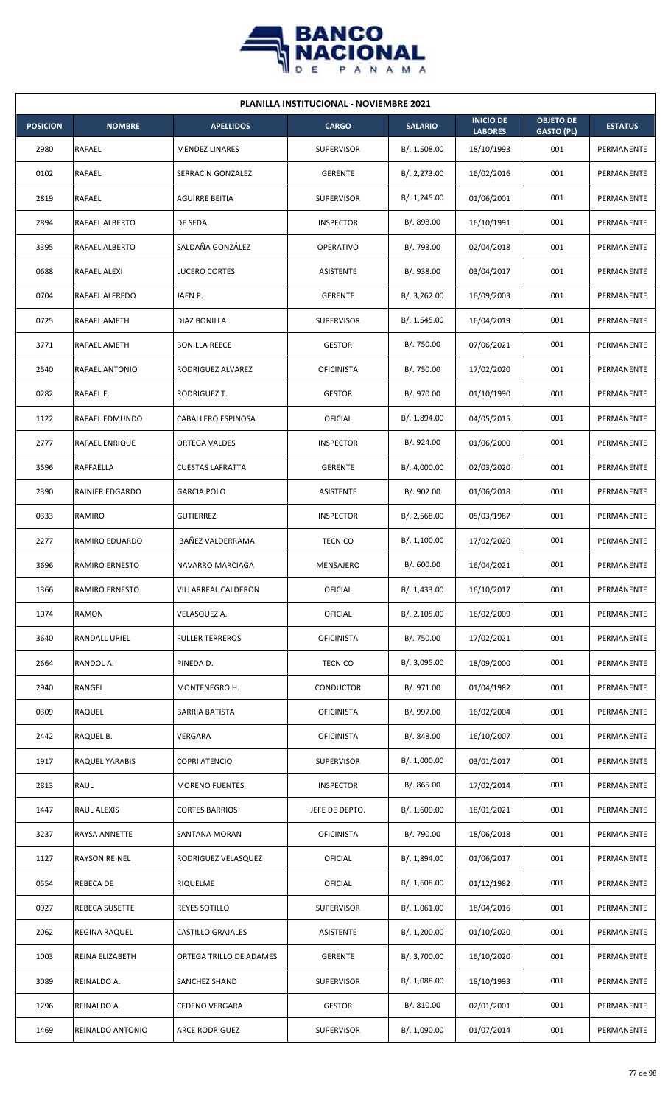

| <b>PLANILLA INSTITUCIONAL - NOVIEMBRE 2021</b> |                       |                          |                   |                |                                    |                                       |                |  |  |  |
|------------------------------------------------|-----------------------|--------------------------|-------------------|----------------|------------------------------------|---------------------------------------|----------------|--|--|--|
| <b>POSICION</b>                                | <b>NOMBRE</b>         | <b>APELLIDOS</b>         | <b>CARGO</b>      | <b>SALARIO</b> | <b>INICIO DE</b><br><b>LABORES</b> | <b>OBJETO DE</b><br><b>GASTO (PL)</b> | <b>ESTATUS</b> |  |  |  |
| 2980                                           | RAFAEL                | <b>MENDEZ LINARES</b>    | <b>SUPERVISOR</b> | B/. 1,508.00   | 18/10/1993                         | 001                                   | PERMANENTE     |  |  |  |
| 0102                                           | RAFAEL                | SERRACIN GONZALEZ        | <b>GERENTE</b>    | B/.2,273.00    | 16/02/2016                         | 001                                   | PERMANENTE     |  |  |  |
| 2819                                           | RAFAEL                | AGUIRRE BEITIA           | <b>SUPERVISOR</b> | B/. 1,245.00   | 01/06/2001                         | 001                                   | PERMANENTE     |  |  |  |
| 2894                                           | RAFAEL ALBERTO        | DE SEDA                  | <b>INSPECTOR</b>  | B/. 898.00     | 16/10/1991                         | 001                                   | PERMANENTE     |  |  |  |
| 3395                                           | RAFAEL ALBERTO        | SALDAÑA GONZÁLEZ         | <b>OPERATIVO</b>  | B/. 793.00     | 02/04/2018                         | 001                                   | PERMANENTE     |  |  |  |
| 0688                                           | <b>RAFAEL ALEXI</b>   | LUCERO CORTES            | <b>ASISTENTE</b>  | B/. 938.00     | 03/04/2017                         | 001                                   | PERMANENTE     |  |  |  |
| 0704                                           | RAFAEL ALFREDO        | JAEN P.                  | <b>GERENTE</b>    | B/.3,262.00    | 16/09/2003                         | 001                                   | PERMANENTE     |  |  |  |
| 0725                                           | RAFAEL AMETH          | DIAZ BONILLA             | <b>SUPERVISOR</b> | B/.1,545.00    | 16/04/2019                         | 001                                   | PERMANENTE     |  |  |  |
| 3771                                           | RAFAEL AMETH          | <b>BONILLA REECE</b>     | <b>GESTOR</b>     | B/. 750.00     | 07/06/2021                         | 001                                   | PERMANENTE     |  |  |  |
| 2540                                           | RAFAEL ANTONIO        | RODRIGUEZ ALVAREZ        | <b>OFICINISTA</b> | B/. 750.00     | 17/02/2020                         | 001                                   | PERMANENTE     |  |  |  |
| 0282                                           | RAFAEL E.             | RODRIGUEZ T.             | <b>GESTOR</b>     | B/. 970.00     | 01/10/1990                         | 001                                   | PERMANENTE     |  |  |  |
| 1122                                           | RAFAEL EDMUNDO        | CABALLERO ESPINOSA       | <b>OFICIAL</b>    | B/. 1,894.00   | 04/05/2015                         | 001                                   | PERMANENTE     |  |  |  |
| 2777                                           | RAFAEL ENRIQUE        | <b>ORTEGA VALDES</b>     | <b>INSPECTOR</b>  | B/. 924.00     | 01/06/2000                         | 001                                   | PERMANENTE     |  |  |  |
| 3596                                           | RAFFAELLA             | <b>CUESTAS LAFRATTA</b>  | <b>GERENTE</b>    | B/. 4,000.00   | 02/03/2020                         | 001                                   | PERMANENTE     |  |  |  |
| 2390                                           | RAINIER EDGARDO       | <b>GARCIA POLO</b>       | <b>ASISTENTE</b>  | B/. 902.00     | 01/06/2018                         | 001                                   | PERMANENTE     |  |  |  |
| 0333                                           | RAMIRO                | <b>GUTIERREZ</b>         | <b>INSPECTOR</b>  | B/.2,568.00    | 05/03/1987                         | 001                                   | PERMANENTE     |  |  |  |
| 2277                                           | RAMIRO EDUARDO        | IBAÑEZ VALDERRAMA        | <b>TECNICO</b>    | B/.1,100.00    | 17/02/2020                         | 001                                   | PERMANENTE     |  |  |  |
| 3696                                           | <b>RAMIRO ERNESTO</b> | NAVARRO MARCIAGA         | MENSAJERO         | B/.600.00      | 16/04/2021                         | 001                                   | PERMANENTE     |  |  |  |
| 1366                                           | RAMIRO ERNESTO        | VILLARREAL CALDERON      | OFICIAL           | B/. 1,433.00   | 16/10/2017                         | 001                                   | PERMANENTE     |  |  |  |
| 1074                                           | RAMON                 | VELASQUEZ A.             | <b>OFICIAL</b>    | B/.2,105.00    | 16/02/2009                         | 001                                   | PERMANENTE     |  |  |  |
| 3640                                           | RANDALL URIEL         | <b>FULLER TERREROS</b>   | <b>OFICINISTA</b> | B/. 750.00     | 17/02/2021                         | 001                                   | PERMANENTE     |  |  |  |
| 2664                                           | RANDOL A.             | PINEDA D.                | <b>TECNICO</b>    | B/. 3,095.00   | 18/09/2000                         | 001                                   | PERMANENTE     |  |  |  |
| 2940                                           | RANGEL                | MONTENEGRO H.            | CONDUCTOR         | B/. 971.00     | 01/04/1982                         | 001                                   | PERMANENTE     |  |  |  |
| 0309                                           | RAQUEL                | <b>BARRIA BATISTA</b>    | <b>OFICINISTA</b> | B/. 997.00     | 16/02/2004                         | 001                                   | PERMANENTE     |  |  |  |
| 2442                                           | RAQUEL B.             | VERGARA                  | <b>OFICINISTA</b> | B/. 848.00     | 16/10/2007                         | 001                                   | PERMANENTE     |  |  |  |
| 1917                                           | RAQUEL YARABIS        | <b>COPRI ATENCIO</b>     | <b>SUPERVISOR</b> | B/. 1,000.00   | 03/01/2017                         | 001                                   | PERMANENTE     |  |  |  |
| 2813                                           | RAUL                  | <b>MORENO FUENTES</b>    | <b>INSPECTOR</b>  | B/0.865.00     | 17/02/2014                         | 001                                   | PERMANENTE     |  |  |  |
| 1447                                           | RAUL ALEXIS           | <b>CORTES BARRIOS</b>    | JEFE DE DEPTO.    | B/. 1,600.00   | 18/01/2021                         | 001                                   | PERMANENTE     |  |  |  |
| 3237                                           | RAYSA ANNETTE         | SANTANA MORAN            | <b>OFICINISTA</b> | B/. 790.00     | 18/06/2018                         | 001                                   | PERMANENTE     |  |  |  |
| 1127                                           | RAYSON REINEL         | RODRIGUEZ VELASQUEZ      | <b>OFICIAL</b>    | B/. 1,894.00   | 01/06/2017                         | 001                                   | PERMANENTE     |  |  |  |
| 0554                                           | REBECA DE             | RIQUELME                 | <b>OFICIAL</b>    | B/. 1,608.00   | 01/12/1982                         | 001                                   | PERMANENTE     |  |  |  |
| 0927                                           | REBECA SUSETTE        | REYES SOTILLO            | <b>SUPERVISOR</b> | B/. 1,061.00   | 18/04/2016                         | 001                                   | PERMANENTE     |  |  |  |
| 2062                                           | REGINA RAQUEL         | <b>CASTILLO GRAJALES</b> | ASISTENTE         | B/. 1,200.00   | 01/10/2020                         | 001                                   | PERMANENTE     |  |  |  |
| 1003                                           | REINA ELIZABETH       | ORTEGA TRILLO DE ADAMES  | <b>GERENTE</b>    | B/. 3,700.00   | 16/10/2020                         | 001                                   | PERMANENTE     |  |  |  |
| 3089                                           | REINALDO A.           | SANCHEZ SHAND            | <b>SUPERVISOR</b> | B/.1,088.00    | 18/10/1993                         | 001                                   | PERMANENTE     |  |  |  |
| 1296                                           | REINALDO A.           | <b>CEDENO VERGARA</b>    | <b>GESTOR</b>     | B/. 810.00     | 02/01/2001                         | 001                                   | PERMANENTE     |  |  |  |
| 1469                                           | REINALDO ANTONIO      | ARCE RODRIGUEZ           | <b>SUPERVISOR</b> | B/. 1,090.00   | 01/07/2014                         | 001                                   | PERMANENTE     |  |  |  |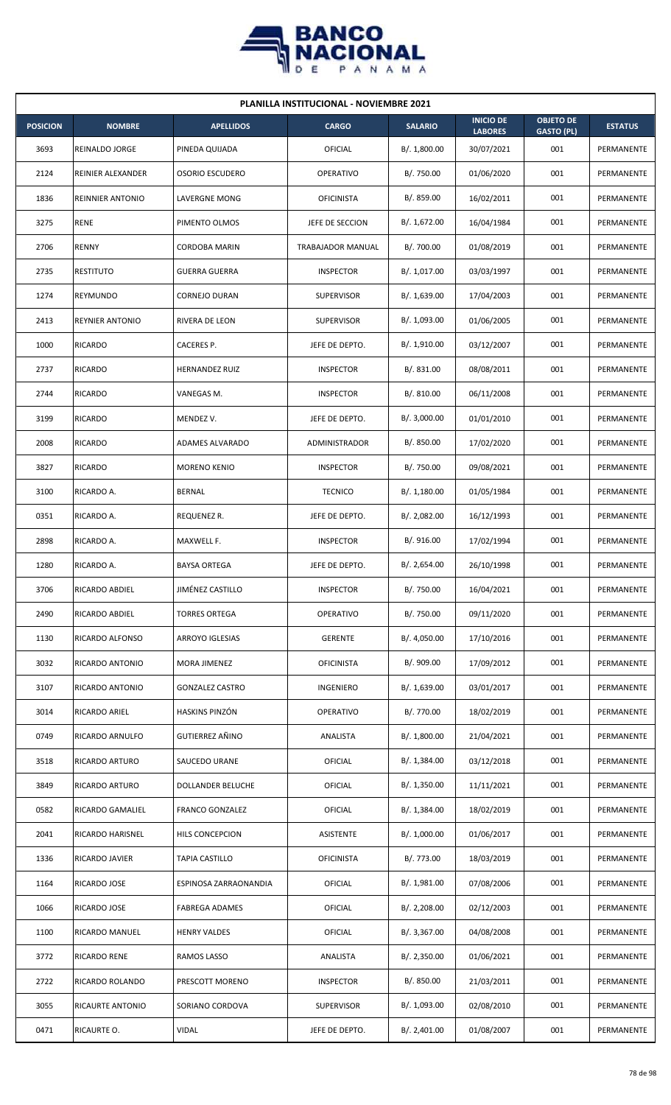

|                 | <b>PLANILLA INSTITUCIONAL - NOVIEMBRE 2021</b> |                        |                   |                |                                    |                                       |                |  |  |  |
|-----------------|------------------------------------------------|------------------------|-------------------|----------------|------------------------------------|---------------------------------------|----------------|--|--|--|
| <b>POSICION</b> | <b>NOMBRE</b>                                  | <b>APELLIDOS</b>       | <b>CARGO</b>      | <b>SALARIO</b> | <b>INICIO DE</b><br><b>LABORES</b> | <b>OBJETO DE</b><br><b>GASTO (PL)</b> | <b>ESTATUS</b> |  |  |  |
| 3693            | <b>REINALDO JORGE</b>                          | PINEDA QUIJADA         | OFICIAL           | B/. 1,800.00   | 30/07/2021                         | 001                                   | PERMANENTE     |  |  |  |
| 2124            | REINIER ALEXANDER                              | <b>OSORIO ESCUDERO</b> | <b>OPERATIVO</b>  | B/. 750.00     | 01/06/2020                         | 001                                   | PERMANENTE     |  |  |  |
| 1836            | <b>REINNIER ANTONIO</b>                        | LAVERGNE MONG          | <b>OFICINISTA</b> | B/. 859.00     | 16/02/2011                         | 001                                   | PERMANENTE     |  |  |  |
| 3275            | <b>RENE</b>                                    | PIMENTO OLMOS          | JEFE DE SECCION   | B/. 1,672.00   | 16/04/1984                         | 001                                   | PERMANENTE     |  |  |  |
| 2706            | <b>RENNY</b>                                   | <b>CORDOBA MARIN</b>   | TRABAJADOR MANUAL | B/. 700.00     | 01/08/2019                         | 001                                   | PERMANENTE     |  |  |  |
| 2735            | <b>RESTITUTO</b>                               | <b>GUERRA GUERRA</b>   | <b>INSPECTOR</b>  | B/. 1,017.00   | 03/03/1997                         | 001                                   | PERMANENTE     |  |  |  |
| 1274            | REYMUNDO                                       | <b>CORNEJO DURAN</b>   | <b>SUPERVISOR</b> | B/. 1,639.00   | 17/04/2003                         | 001                                   | PERMANENTE     |  |  |  |
| 2413            | <b>REYNIER ANTONIO</b>                         | <b>RIVERA DE LEON</b>  | <b>SUPERVISOR</b> | B/. 1,093.00   | 01/06/2005                         | 001                                   | PERMANENTE     |  |  |  |
| 1000            | <b>RICARDO</b>                                 | CACERES P.             | JEFE DE DEPTO.    | B/. 1,910.00   | 03/12/2007                         | 001                                   | PERMANENTE     |  |  |  |
| 2737            | <b>RICARDO</b>                                 | <b>HERNANDEZ RUIZ</b>  | <b>INSPECTOR</b>  | B/. 831.00     | 08/08/2011                         | 001                                   | PERMANENTE     |  |  |  |
| 2744            | <b>RICARDO</b>                                 | VANEGAS M.             | <b>INSPECTOR</b>  | B/. 810.00     | 06/11/2008                         | 001                                   | PERMANENTE     |  |  |  |
| 3199            | <b>RICARDO</b>                                 | MENDEZ V.              | JEFE DE DEPTO.    | B/. 3,000.00   | 01/01/2010                         | 001                                   | PERMANENTE     |  |  |  |
| 2008            | <b>RICARDO</b>                                 | ADAMES ALVARADO        | ADMINISTRADOR     | B/. 850.00     | 17/02/2020                         | 001                                   | PERMANENTE     |  |  |  |
| 3827            | RICARDO                                        | <b>MORENO KENIO</b>    | <b>INSPECTOR</b>  | B/. 750.00     | 09/08/2021                         | 001                                   | PERMANENTE     |  |  |  |
| 3100            | RICARDO A.                                     | <b>BERNAL</b>          | <b>TECNICO</b>    | B/.1,180.00    | 01/05/1984                         | 001                                   | PERMANENTE     |  |  |  |
| 0351            | RICARDO A.                                     | REQUENEZ R.            | JEFE DE DEPTO.    | B/. 2,082.00   | 16/12/1993                         | 001                                   | PERMANENTE     |  |  |  |
| 2898            | RICARDO A.                                     | MAXWELL F.             | <b>INSPECTOR</b>  | B/. 916.00     | 17/02/1994                         | 001                                   | PERMANENTE     |  |  |  |
| 1280            | RICARDO A.                                     | <b>BAYSA ORTEGA</b>    | JEFE DE DEPTO.    | B/.2,654.00    | 26/10/1998                         | 001                                   | PERMANENTE     |  |  |  |
| 3706            | RICARDO ABDIEL                                 | JIMÉNEZ CASTILLO       | <b>INSPECTOR</b>  | B/. 750.00     | 16/04/2021                         | 001                                   | PERMANENTE     |  |  |  |
| 2490            | RICARDO ABDIEL                                 | <b>TORRES ORTEGA</b>   | <b>OPERATIVO</b>  | B/. 750.00     | 09/11/2020                         | 001                                   | PERMANENTE     |  |  |  |
| 1130            | RICARDO ALFONSO                                | ARROYO IGLESIAS        | <b>GERENTE</b>    | B/. 4,050.00   | 17/10/2016                         | 001                                   | PERMANENTE     |  |  |  |
| 3032            | RICARDO ANTONIO                                | MORA JIMENEZ           | <b>OFICINISTA</b> | B/. 909.00     | 17/09/2012                         | 001                                   | PERMANENTE     |  |  |  |
| 3107            | RICARDO ANTONIO                                | <b>GONZALEZ CASTRO</b> | INGENIERO         | B/. 1,639.00   | 03/01/2017                         | 001                                   | PERMANENTE     |  |  |  |
| 3014            | RICARDO ARIEL                                  | HASKINS PINZÓN         | OPERATIVO         | B/. 770.00     | 18/02/2019                         | 001                                   | PERMANENTE     |  |  |  |
| 0749            | RICARDO ARNULFO                                | GUTIERREZ AÑINO        | ANALISTA          | B/. 1,800.00   | 21/04/2021                         | 001                                   | PERMANENTE     |  |  |  |
| 3518            | RICARDO ARTURO                                 | SAUCEDO URANE          | <b>OFICIAL</b>    | B/. 1,384.00   | 03/12/2018                         | 001                                   | PERMANENTE     |  |  |  |
| 3849            | RICARDO ARTURO                                 | DOLLANDER BELUCHE      | <b>OFICIAL</b>    | B/.1,350.00    | 11/11/2021                         | 001                                   | PERMANENTE     |  |  |  |
| 0582            | RICARDO GAMALIEL                               | <b>FRANCO GONZALEZ</b> | <b>OFICIAL</b>    | B/.1,384.00    | 18/02/2019                         | 001                                   | PERMANENTE     |  |  |  |
| 2041            | RICARDO HARISNEL                               | HILS CONCEPCION        | ASISTENTE         | B/. 1,000.00   | 01/06/2017                         | 001                                   | PERMANENTE     |  |  |  |
| 1336            | RICARDO JAVIER                                 | <b>TAPIA CASTILLO</b>  | <b>OFICINISTA</b> | B/. 773.00     | 18/03/2019                         | 001                                   | PERMANENTE     |  |  |  |
| 1164            | RICARDO JOSE                                   | ESPINOSA ZARRAONANDIA  | OFICIAL           | B/. 1,981.00   | 07/08/2006                         | 001                                   | PERMANENTE     |  |  |  |
| 1066            | RICARDO JOSE                                   | <b>FABREGA ADAMES</b>  | OFICIAL           | B/. 2,208.00   | 02/12/2003                         | 001                                   | PERMANENTE     |  |  |  |
| 1100            | RICARDO MANUEL                                 | <b>HENRY VALDES</b>    | <b>OFICIAL</b>    | B/. 3,367.00   | 04/08/2008                         | 001                                   | PERMANENTE     |  |  |  |
| 3772            | <b>RICARDO RENE</b>                            | RAMOS LASSO            | ANALISTA          | B/.2,350.00    | 01/06/2021                         | 001                                   | PERMANENTE     |  |  |  |
| 2722            | RICARDO ROLANDO                                | PRESCOTT MORENO        | <b>INSPECTOR</b>  | B/. 850.00     | 21/03/2011                         | 001                                   | PERMANENTE     |  |  |  |
| 3055            | RICAURTE ANTONIO                               | SORIANO CORDOVA        | SUPERVISOR        | B/. 1,093.00   | 02/08/2010                         | 001                                   | PERMANENTE     |  |  |  |
| 0471            | RICAURTE O.                                    | <b>VIDAL</b>           | JEFE DE DEPTO.    | B/. 2,401.00   | 01/08/2007                         | 001                                   | PERMANENTE     |  |  |  |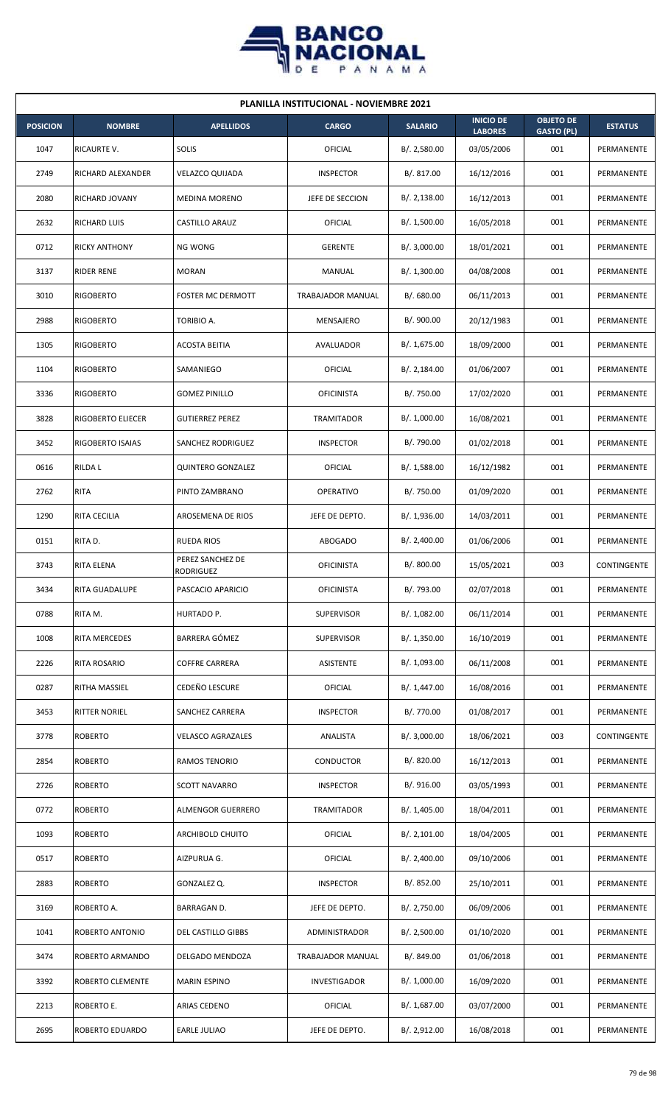

| <b>PLANILLA INSTITUCIONAL - NOVIEMBRE 2021</b> |                      |                                      |                     |                |                                    |                                       |                |  |  |
|------------------------------------------------|----------------------|--------------------------------------|---------------------|----------------|------------------------------------|---------------------------------------|----------------|--|--|
| <b>POSICION</b>                                | <b>NOMBRE</b>        | <b>APELLIDOS</b>                     | <b>CARGO</b>        | <b>SALARIO</b> | <b>INICIO DE</b><br><b>LABORES</b> | <b>OBJETO DE</b><br><b>GASTO (PL)</b> | <b>ESTATUS</b> |  |  |
| 1047                                           | RICAURTE V.          | SOLIS                                | OFICIAL             | B/.2,580.00    | 03/05/2006                         | 001                                   | PERMANENTE     |  |  |
| 2749                                           | RICHARD ALEXANDER    | <b>VELAZCO QUIJADA</b>               | <b>INSPECTOR</b>    | B/.817.00      | 16/12/2016                         | 001                                   | PERMANENTE     |  |  |
| 2080                                           | RICHARD JOVANY       | <b>MEDINA MORENO</b>                 | JEFE DE SECCION     | B/.2,138.00    | 16/12/2013                         | 001                                   | PERMANENTE     |  |  |
| 2632                                           | RICHARD LUIS         | <b>CASTILLO ARAUZ</b>                | OFICIAL             | B/. 1,500.00   | 16/05/2018                         | 001                                   | PERMANENTE     |  |  |
| 0712                                           | <b>RICKY ANTHONY</b> | <b>NG WONG</b>                       | <b>GERENTE</b>      | B/. 3,000.00   | 18/01/2021                         | 001                                   | PERMANENTE     |  |  |
| 3137                                           | <b>RIDER RENE</b>    | <b>MORAN</b>                         | MANUAL              | B/. 1,300.00   | 04/08/2008                         | 001                                   | PERMANENTE     |  |  |
| 3010                                           | <b>RIGOBERTO</b>     | <b>FOSTER MC DERMOTT</b>             | TRABAJADOR MANUAL   | B/0.680.00     | 06/11/2013                         | 001                                   | PERMANENTE     |  |  |
| 2988                                           | <b>RIGOBERTO</b>     | TORIBIO A.                           | MENSAJERO           | B/. 900.00     | 20/12/1983                         | 001                                   | PERMANENTE     |  |  |
| 1305                                           | <b>RIGOBERTO</b>     | <b>ACOSTA BEITIA</b>                 | AVALUADOR           | B/. 1,675.00   | 18/09/2000                         | 001                                   | PERMANENTE     |  |  |
| 1104                                           | <b>RIGOBERTO</b>     | SAMANIEGO                            | OFICIAL             | B/.2,184.00    | 01/06/2007                         | 001                                   | PERMANENTE     |  |  |
| 3336                                           | <b>RIGOBERTO</b>     | <b>GOMEZ PINILLO</b>                 | <b>OFICINISTA</b>   | B/. 750.00     | 17/02/2020                         | 001                                   | PERMANENTE     |  |  |
| 3828                                           | RIGOBERTO ELIECER    | <b>GUTIERREZ PEREZ</b>               | <b>TRAMITADOR</b>   | B/. 1,000.00   | 16/08/2021                         | 001                                   | PERMANENTE     |  |  |
| 3452                                           | RIGOBERTO ISAIAS     | SANCHEZ RODRIGUEZ                    | <b>INSPECTOR</b>    | B/. 790.00     | 01/02/2018                         | 001                                   | PERMANENTE     |  |  |
| 0616                                           | <b>RILDAL</b>        | <b>QUINTERO GONZALEZ</b>             | OFICIAL             | B/. 1,588.00   | 16/12/1982                         | 001                                   | PERMANENTE     |  |  |
| 2762                                           | <b>RITA</b>          | PINTO ZAMBRANO                       | <b>OPERATIVO</b>    | B/. 750.00     | 01/09/2020                         | 001                                   | PERMANENTE     |  |  |
| 1290                                           | RITA CECILIA         | AROSEMENA DE RIOS                    | JEFE DE DEPTO.      | B/.1,936.00    | 14/03/2011                         | 001                                   | PERMANENTE     |  |  |
| 0151                                           | RITA D.              | <b>RUEDA RIOS</b>                    | ABOGADO             | B/. 2,400.00   | 01/06/2006                         | 001                                   | PERMANENTE     |  |  |
| 3743                                           | RITA ELENA           | PEREZ SANCHEZ DE<br><b>RODRIGUEZ</b> | <b>OFICINISTA</b>   | B/. 800.00     | 15/05/2021                         | 003                                   | CONTINGENTE    |  |  |
| 3434                                           | RITA GUADALUPE       | PASCACIO APARICIO                    | <b>OFICINISTA</b>   | B/. 793.00     | 02/07/2018                         | 001                                   | PERMANENTE     |  |  |
| 0788                                           | RITA M.              | HURTADO P.                           | <b>SUPERVISOR</b>   | B/. 1,082.00   | 06/11/2014                         | 001                                   | PERMANENTE     |  |  |
| 1008                                           | RITA MERCEDES        | BARRERA GÓMEZ                        | <b>SUPERVISOR</b>   | B/. 1,350.00   | 16/10/2019                         | 001                                   | PERMANENTE     |  |  |
| 2226                                           | RITA ROSARIO         | <b>COFFRE CARRERA</b>                | ASISTENTE           | B/. 1,093.00   | 06/11/2008                         | 001                                   | PERMANENTE     |  |  |
| 0287                                           | RITHA MASSIEL        | CEDEÑO LESCURE                       | <b>OFICIAL</b>      | B/. 1,447.00   | 16/08/2016                         | 001                                   | PERMANENTE     |  |  |
| 3453                                           | <b>RITTER NORIEL</b> | SANCHEZ CARRERA                      | <b>INSPECTOR</b>    | B/. 770.00     | 01/08/2017                         | 001                                   | PERMANENTE     |  |  |
| 3778                                           | <b>ROBERTO</b>       | <b>VELASCO AGRAZALES</b>             | ANALISTA            | B/.3,000.00    | 18/06/2021                         | 003                                   | CONTINGENTE    |  |  |
| 2854                                           | <b>ROBERTO</b>       | RAMOS TENORIO                        | CONDUCTOR           | B/. 820.00     | 16/12/2013                         | 001                                   | PERMANENTE     |  |  |
| 2726                                           | <b>ROBERTO</b>       | <b>SCOTT NAVARRO</b>                 | <b>INSPECTOR</b>    | B/. 916.00     | 03/05/1993                         | 001                                   | PERMANENTE     |  |  |
| 0772                                           | <b>ROBERTO</b>       | ALMENGOR GUERRERO                    | TRAMITADOR          | B/. 1,405.00   | 18/04/2011                         | 001                                   | PERMANENTE     |  |  |
| 1093                                           | <b>ROBERTO</b>       | ARCHIBOLD CHUITO                     | <b>OFICIAL</b>      | B/.2,101.00    | 18/04/2005                         | 001                                   | PERMANENTE     |  |  |
| 0517                                           | <b>ROBERTO</b>       | AIZPURUA G.                          | <b>OFICIAL</b>      | B/.2,400.00    | 09/10/2006                         | 001                                   | PERMANENTE     |  |  |
| 2883                                           | <b>ROBERTO</b>       | GONZALEZ Q.                          | <b>INSPECTOR</b>    | B/. 852.00     | 25/10/2011                         | 001                                   | PERMANENTE     |  |  |
| 3169                                           | ROBERTO A.           | BARRAGAN D.                          | JEFE DE DEPTO.      | B/. 2,750.00   | 06/09/2006                         | 001                                   | PERMANENTE     |  |  |
| 1041                                           | ROBERTO ANTONIO      | DEL CASTILLO GIBBS                   | ADMINISTRADOR       | B/.2,500.00    | 01/10/2020                         | 001                                   | PERMANENTE     |  |  |
| 3474                                           | ROBERTO ARMANDO      | DELGADO MENDOZA                      | TRABAJADOR MANUAL   | B/. 849.00     | 01/06/2018                         | 001                                   | PERMANENTE     |  |  |
| 3392                                           | ROBERTO CLEMENTE     | <b>MARIN ESPINO</b>                  | <b>INVESTIGADOR</b> | B/. 1,000.00   | 16/09/2020                         | 001                                   | PERMANENTE     |  |  |
| 2213                                           | ROBERTO E.           | ARIAS CEDENO                         | OFICIAL             | B/. 1,687.00   | 03/07/2000                         | 001                                   | PERMANENTE     |  |  |
| 2695                                           | ROBERTO EDUARDO      | EARLE JULIAO                         | JEFE DE DEPTO.      | B/. 2,912.00   | 16/08/2018                         | 001                                   | PERMANENTE     |  |  |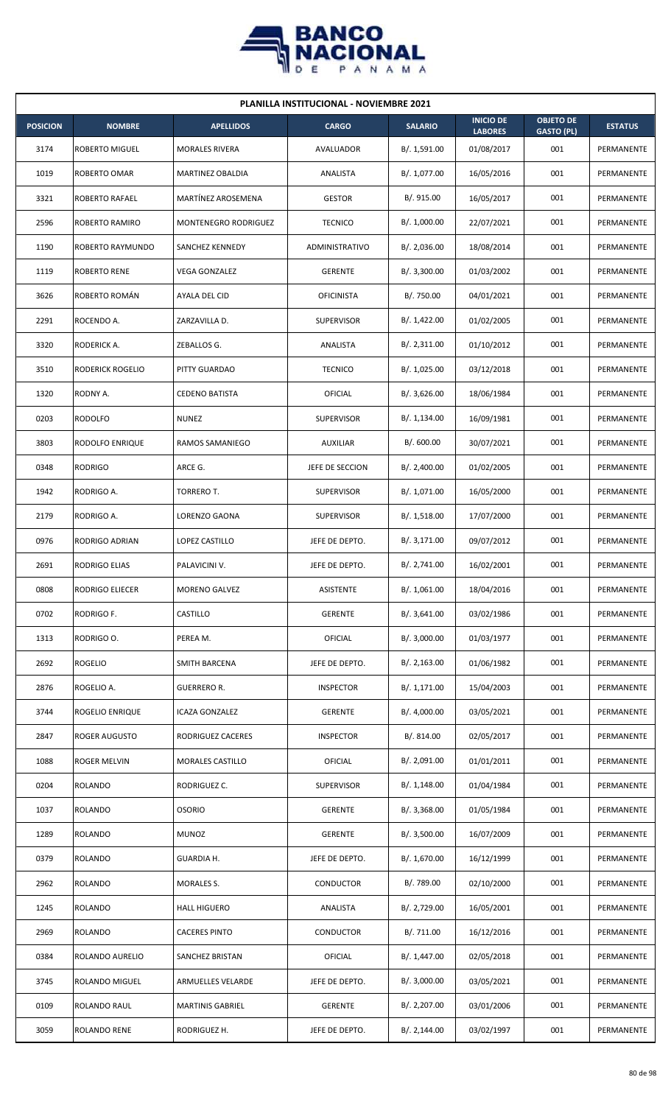

| <b>PLANILLA INSTITUCIONAL - NOVIEMBRE 2021</b> |                         |                         |                   |                |                                    |                                       |                   |  |  |  |
|------------------------------------------------|-------------------------|-------------------------|-------------------|----------------|------------------------------------|---------------------------------------|-------------------|--|--|--|
| <b>POSICION</b>                                | <b>NOMBRE</b>           | <b>APELLIDOS</b>        | <b>CARGO</b>      | <b>SALARIO</b> | <b>INICIO DE</b><br><b>LABORES</b> | <b>OBJETO DE</b><br><b>GASTO (PL)</b> | <b>ESTATUS</b>    |  |  |  |
| 3174                                           | ROBERTO MIGUEL          | <b>MORALES RIVERA</b>   | AVALUADOR         | B/. 1,591.00   | 01/08/2017                         | 001                                   | PERMANENTE        |  |  |  |
| 1019                                           | ROBERTO OMAR            | MARTINEZ OBALDIA        | ANALISTA          | B/. 1,077.00   | 16/05/2016                         | 001                                   | PERMANENTE        |  |  |  |
| 3321                                           | <b>ROBERTO RAFAEL</b>   | MARTÍNEZ AROSEMENA      | <b>GESTOR</b>     | B/. 915.00     | 16/05/2017                         | 001                                   | PERMANENTE        |  |  |  |
| 2596                                           | ROBERTO RAMIRO          | MONTENEGRO RODRIGUEZ    | <b>TECNICO</b>    | B/. 1,000.00   | 22/07/2021                         | 001                                   | PERMANENTE        |  |  |  |
| 1190                                           | ROBERTO RAYMUNDO        | SANCHEZ KENNEDY         | ADMINISTRATIVO    | B/.2,036.00    | 18/08/2014                         | 001                                   | PERMANENTE        |  |  |  |
| 1119                                           | ROBERTO RENE            | VEGA GONZALEZ           | <b>GERENTE</b>    | B/. 3,300.00   | 01/03/2002                         | 001                                   | PERMANENTE        |  |  |  |
| 3626                                           | ROBERTO ROMÁN           | AYALA DEL CID           | <b>OFICINISTA</b> | B/. 750.00     | 04/01/2021                         | 001                                   | PERMANENTE        |  |  |  |
| 2291                                           | ROCENDO A.              | ZARZAVILLA D.           | <b>SUPERVISOR</b> | B/. 1,422.00   | 01/02/2005                         | 001                                   | PERMANENTE        |  |  |  |
| 3320                                           | RODERICK A.             | ZEBALLOS G.             | <b>ANALISTA</b>   | B/. 2,311.00   | 01/10/2012                         | 001                                   | PERMANENTE        |  |  |  |
| 3510                                           | <b>RODERICK ROGELIO</b> | PITTY GUARDAO           | <b>TECNICO</b>    | B/. 1,025.00   | 03/12/2018                         | 001                                   | PERMANENTE        |  |  |  |
| 1320                                           | RODNY A.                | <b>CEDENO BATISTA</b>   | OFICIAL           | B/.3,626.00    | 18/06/1984                         | 001                                   | <b>PERMANENTE</b> |  |  |  |
| 0203                                           | <b>RODOLFO</b>          | <b>NUNEZ</b>            | <b>SUPERVISOR</b> | B/. 1,134.00   | 16/09/1981                         | 001                                   | PERMANENTE        |  |  |  |
| 3803                                           | RODOLFO ENRIQUE         | RAMOS SAMANIEGO         | <b>AUXILIAR</b>   | B/.600.00      | 30/07/2021                         | 001                                   | PERMANENTE        |  |  |  |
| 0348                                           | <b>RODRIGO</b>          | ARCE G.                 | JEFE DE SECCION   | B/.2,400.00    | 01/02/2005                         | 001                                   | PERMANENTE        |  |  |  |
| 1942                                           | RODRIGO A.              | TORRERO T.              | <b>SUPERVISOR</b> | B/. 1,071.00   | 16/05/2000                         | 001                                   | PERMANENTE        |  |  |  |
| 2179                                           | RODRIGO A.              | LORENZO GAONA           | <b>SUPERVISOR</b> | B/. 1,518.00   | 17/07/2000                         | 001                                   | PERMANENTE        |  |  |  |
| 0976                                           | RODRIGO ADRIAN          | LOPEZ CASTILLO          | JEFE DE DEPTO.    | B/. 3,171.00   | 09/07/2012                         | 001                                   | PERMANENTE        |  |  |  |
| 2691                                           | <b>RODRIGO ELIAS</b>    | PALAVICINI V.           | JEFE DE DEPTO.    | B/. 2,741.00   | 16/02/2001                         | 001                                   | PERMANENTE        |  |  |  |
| 0808                                           | RODRIGO ELIECER         | MORENO GALVEZ           | ASISTENTE         | B/. 1,061.00   | 18/04/2016                         | 001                                   | PERMANENTE        |  |  |  |
| 0702                                           | RODRIGO F.              | CASTILLO                | <b>GERENTE</b>    | B/.3,641.00    | 03/02/1986                         | 001                                   | PERMANENTE        |  |  |  |
| 1313                                           | RODRIGO O.              | PEREA M.                | OFICIAL           | B/. 3,000.00   | 01/03/1977                         | 001                                   | PERMANENTE        |  |  |  |
| 2692                                           | <b>ROGELIO</b>          | <b>SMITH BARCENA</b>    | JEFE DE DEPTO.    | B/.2,163.00    | 01/06/1982                         | 001                                   | PERMANENTE        |  |  |  |
| 2876                                           | ROGELIO A.              | GUERRERO R.             | <b>INSPECTOR</b>  | B/. 1,171.00   | 15/04/2003                         | 001                                   | PERMANENTE        |  |  |  |
| 3744                                           | ROGELIO ENRIQUE         | ICAZA GONZALEZ          | <b>GERENTE</b>    | B/. 4,000.00   | 03/05/2021                         | 001                                   | PERMANENTE        |  |  |  |
| 2847                                           | ROGER AUGUSTO           | RODRIGUEZ CACERES       | <b>INSPECTOR</b>  | B/. 814.00     | 02/05/2017                         | 001                                   | PERMANENTE        |  |  |  |
| 1088                                           | ROGER MELVIN            | <b>MORALES CASTILLO</b> | OFICIAL           | B/. 2,091.00   | 01/01/2011                         | 001                                   | PERMANENTE        |  |  |  |
| 0204                                           | <b>ROLANDO</b>          | RODRIGUEZ C.            | <b>SUPERVISOR</b> | B/.1,148.00    | 01/04/1984                         | 001                                   | PERMANENTE        |  |  |  |
| 1037                                           | <b>ROLANDO</b>          | <b>OSORIO</b>           | <b>GERENTE</b>    | B/.3,368.00    | 01/05/1984                         | 001                                   | PERMANENTE        |  |  |  |
| 1289                                           | ROLANDO                 | <b>MUNOZ</b>            | <b>GERENTE</b>    | B/.3,500.00    | 16/07/2009                         | 001                                   | PERMANENTE        |  |  |  |
| 0379                                           | <b>ROLANDO</b>          | GUARDIA H.              | JEFE DE DEPTO.    | B/. 1,670.00   | 16/12/1999                         | 001                                   | PERMANENTE        |  |  |  |
| 2962                                           | ROLANDO                 | MORALES S.              | CONDUCTOR         | B/. 789.00     | 02/10/2000                         | 001                                   | PERMANENTE        |  |  |  |
| 1245                                           | ROLANDO                 | <b>HALL HIGUERO</b>     | ANALISTA          | B/. 2,729.00   | 16/05/2001                         | 001                                   | PERMANENTE        |  |  |  |
| 2969                                           | <b>ROLANDO</b>          | <b>CACERES PINTO</b>    | CONDUCTOR         | B/. 711.00     | 16/12/2016                         | 001                                   | PERMANENTE        |  |  |  |
| 0384                                           | ROLANDO AURELIO         | SANCHEZ BRISTAN         | OFICIAL           | B/. 1,447.00   | 02/05/2018                         | 001                                   | PERMANENTE        |  |  |  |
| 3745                                           | <b>ROLANDO MIGUEL</b>   | ARMUELLES VELARDE       | JEFE DE DEPTO.    | B/.3,000.00    | 03/05/2021                         | 001                                   | PERMANENTE        |  |  |  |
| 0109                                           | ROLANDO RAUL            | <b>MARTINIS GABRIEL</b> | <b>GERENTE</b>    | B/. 2,207.00   | 03/01/2006                         | 001                                   | PERMANENTE        |  |  |  |
| 3059                                           | <b>ROLANDO RENE</b>     | RODRIGUEZ H.            | JEFE DE DEPTO.    | B/. 2,144.00   | 03/02/1997                         | 001                                   | PERMANENTE        |  |  |  |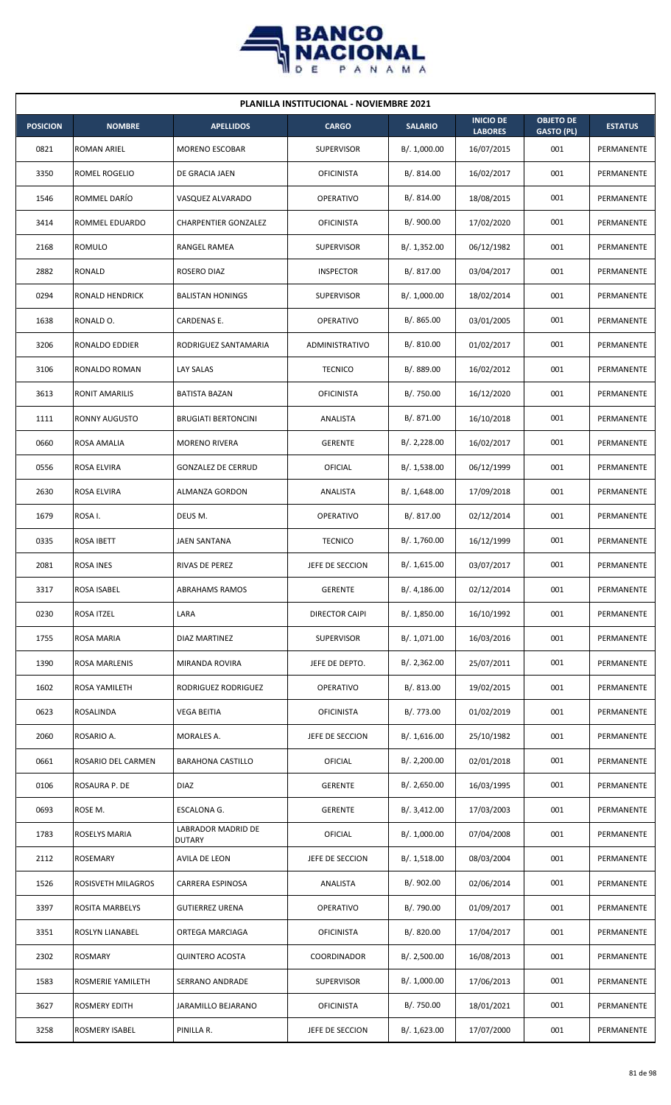

|                 | <b>PLANILLA INSTITUCIONAL - NOVIEMBRE 2021</b> |                                     |                       |                |                                    |                                       |                |  |  |  |
|-----------------|------------------------------------------------|-------------------------------------|-----------------------|----------------|------------------------------------|---------------------------------------|----------------|--|--|--|
| <b>POSICION</b> | <b>NOMBRE</b>                                  | <b>APELLIDOS</b>                    | <b>CARGO</b>          | <b>SALARIO</b> | <b>INICIO DE</b><br><b>LABORES</b> | <b>OBJETO DE</b><br><b>GASTO (PL)</b> | <b>ESTATUS</b> |  |  |  |
| 0821            | ROMAN ARIEL                                    | <b>MORENO ESCOBAR</b>               | <b>SUPERVISOR</b>     | B/. 1,000.00   | 16/07/2015                         | 001                                   | PERMANENTE     |  |  |  |
| 3350            | ROMEL ROGELIO                                  | DE GRACIA JAEN                      | <b>OFICINISTA</b>     | B/. 814.00     | 16/02/2017                         | 001                                   | PERMANENTE     |  |  |  |
| 1546            | ROMMEL DARÍO                                   | VASQUEZ ALVARADO                    | OPERATIVO             | B/. 814.00     | 18/08/2015                         | 001                                   | PERMANENTE     |  |  |  |
| 3414            | ROMMEL EDUARDO                                 | <b>CHARPENTIER GONZALEZ</b>         | <b>OFICINISTA</b>     | B/. 900.00     | 17/02/2020                         | 001                                   | PERMANENTE     |  |  |  |
| 2168            | <b>ROMULO</b>                                  | RANGEL RAMEA                        | <b>SUPERVISOR</b>     | B/. 1,352.00   | 06/12/1982                         | 001                                   | PERMANENTE     |  |  |  |
| 2882            | RONALD                                         | ROSERO DIAZ                         | <b>INSPECTOR</b>      | B/. 817.00     | 03/04/2017                         | 001                                   | PERMANENTE     |  |  |  |
| 0294            | RONALD HENDRICK                                | <b>BALISTAN HONINGS</b>             | <b>SUPERVISOR</b>     | B/. 1,000.00   | 18/02/2014                         | 001                                   | PERMANENTE     |  |  |  |
| 1638            | RONALD O.                                      | CARDENAS E.                         | <b>OPERATIVO</b>      | B/. 865.00     | 03/01/2005                         | 001                                   | PERMANENTE     |  |  |  |
| 3206            | RONALDO EDDIER                                 | RODRIGUEZ SANTAMARIA                | ADMINISTRATIVO        | B/. 810.00     | 01/02/2017                         | 001                                   | PERMANENTE     |  |  |  |
| 3106            | RONALDO ROMAN                                  | LAY SALAS                           | <b>TECNICO</b>        | B/. 889.00     | 16/02/2012                         | 001                                   | PERMANENTE     |  |  |  |
| 3613            | <b>RONIT AMARILIS</b>                          | <b>BATISTA BAZAN</b>                | <b>OFICINISTA</b>     | B/. 750.00     | 16/12/2020                         | 001                                   | PERMANENTE     |  |  |  |
| 1111            | <b>RONNY AUGUSTO</b>                           | <b>BRUGIATI BERTONCINI</b>          | ANALISTA              | B/. 871.00     | 16/10/2018                         | 001                                   | PERMANENTE     |  |  |  |
| 0660            | ROSA AMALIA                                    | <b>MORENO RIVERA</b>                | <b>GERENTE</b>        | B/.2,228.00    | 16/02/2017                         | 001                                   | PERMANENTE     |  |  |  |
| 0556            | ROSA ELVIRA                                    | <b>GONZALEZ DE CERRUD</b>           | OFICIAL               | B/. 1,538.00   | 06/12/1999                         | 001                                   | PERMANENTE     |  |  |  |
| 2630            | ROSA ELVIRA                                    | ALMANZA GORDON                      | ANALISTA              | B/.1,648.00    | 17/09/2018                         | 001                                   | PERMANENTE     |  |  |  |
| 1679            | ROSA I.                                        | DEUS M.                             | <b>OPERATIVO</b>      | B/. 817.00     | 02/12/2014                         | 001                                   | PERMANENTE     |  |  |  |
| 0335            | <b>ROSA IBETT</b>                              | <b>JAEN SANTANA</b>                 | <b>TECNICO</b>        | B/. 1,760.00   | 16/12/1999                         | 001                                   | PERMANENTE     |  |  |  |
| 2081            | <b>ROSA INES</b>                               | <b>RIVAS DE PEREZ</b>               | JEFE DE SECCION       | B/. 1,615.00   | 03/07/2017                         | 001                                   | PERMANENTE     |  |  |  |
| 3317            | ROSA ISABEL                                    | <b>ABRAHAMS RAMOS</b>               | <b>GERENTE</b>        | B/.4,186.00    | 02/12/2014                         | 001                                   | PERMANENTE     |  |  |  |
| 0230            | ROSA ITZEL                                     | LARA                                | <b>DIRECTOR CAIPI</b> | B/. 1,850.00   | 16/10/1992                         | 001                                   | PERMANENTE     |  |  |  |
| 1755            | <b>ROSA MARIA</b>                              | DIAZ MARTINEZ                       | <b>SUPERVISOR</b>     | B/. 1,071.00   | 16/03/2016                         | 001                                   | PERMANENTE     |  |  |  |
| 1390            | ROSA MARLENIS                                  | MIRANDA ROVIRA                      | JEFE DE DEPTO.        | B/.2,362.00    | 25/07/2011                         | 001                                   | PERMANENTE     |  |  |  |
| 1602            | ROSA YAMILETH                                  | RODRIGUEZ RODRIGUEZ                 | <b>OPERATIVO</b>      | B/. 813.00     | 19/02/2015                         | 001                                   | PERMANENTE     |  |  |  |
| 0623            | ROSALINDA                                      | <b>VEGA BEITIA</b>                  | <b>OFICINISTA</b>     | B/. 773.00     | 01/02/2019                         | 001                                   | PERMANENTE     |  |  |  |
| 2060            | ROSARIO A.                                     | MORALES A.                          | JEFE DE SECCION       | B/.1,616.00    | 25/10/1982                         | 001                                   | PERMANENTE     |  |  |  |
| 0661            | ROSARIO DEL CARMEN                             | <b>BARAHONA CASTILLO</b>            | OFICIAL               | B/.2,200.00    | 02/01/2018                         | 001                                   | PERMANENTE     |  |  |  |
| 0106            | ROSAURA P. DE                                  | <b>DIAZ</b>                         | <b>GERENTE</b>        | B/.2,650.00    | 16/03/1995                         | 001                                   | PERMANENTE     |  |  |  |
| 0693            | ROSE M.                                        | ESCALONA G.                         | <b>GERENTE</b>        | B/. 3,412.00   | 17/03/2003                         | 001                                   | PERMANENTE     |  |  |  |
| 1783            | ROSELYS MARIA                                  | LABRADOR MADRID DE<br><b>DUTARY</b> | OFICIAL               | B/. 1,000.00   | 07/04/2008                         | 001                                   | PERMANENTE     |  |  |  |
| 2112            | ROSEMARY                                       | AVILA DE LEON                       | JEFE DE SECCION       | B/.1,518.00    | 08/03/2004                         | 001                                   | PERMANENTE     |  |  |  |
| 1526            | ROSISVETH MILAGROS                             | CARRERA ESPINOSA                    | ANALISTA              | B/. 902.00     | 02/06/2014                         | 001                                   | PERMANENTE     |  |  |  |
| 3397            | <b>ROSITA MARBELYS</b>                         | <b>GUTIERREZ URENA</b>              | <b>OPERATIVO</b>      | B/. 790.00     | 01/09/2017                         | 001                                   | PERMANENTE     |  |  |  |
| 3351            | ROSLYN LIANABEL                                | ORTEGA MARCIAGA                     | <b>OFICINISTA</b>     | B/. 820.00     | 17/04/2017                         | 001                                   | PERMANENTE     |  |  |  |
| 2302            | ROSMARY                                        | <b>QUINTERO ACOSTA</b>              | COORDINADOR           | B/. 2,500.00   | 16/08/2013                         | 001                                   | PERMANENTE     |  |  |  |
| 1583            | ROSMERIE YAMILETH                              | SERRANO ANDRADE                     | SUPERVISOR            | B/. 1,000.00   | 17/06/2013                         | 001                                   | PERMANENTE     |  |  |  |
| 3627            | ROSMERY EDITH                                  | <b>JARAMILLO BEJARANO</b>           | <b>OFICINISTA</b>     | B/. 750.00     | 18/01/2021                         | 001                                   | PERMANENTE     |  |  |  |
| 3258            | <b>ROSMERY ISABEL</b>                          | PINILLA R.                          | JEFE DE SECCION       | B/. 1,623.00   | 17/07/2000                         | 001                                   | PERMANENTE     |  |  |  |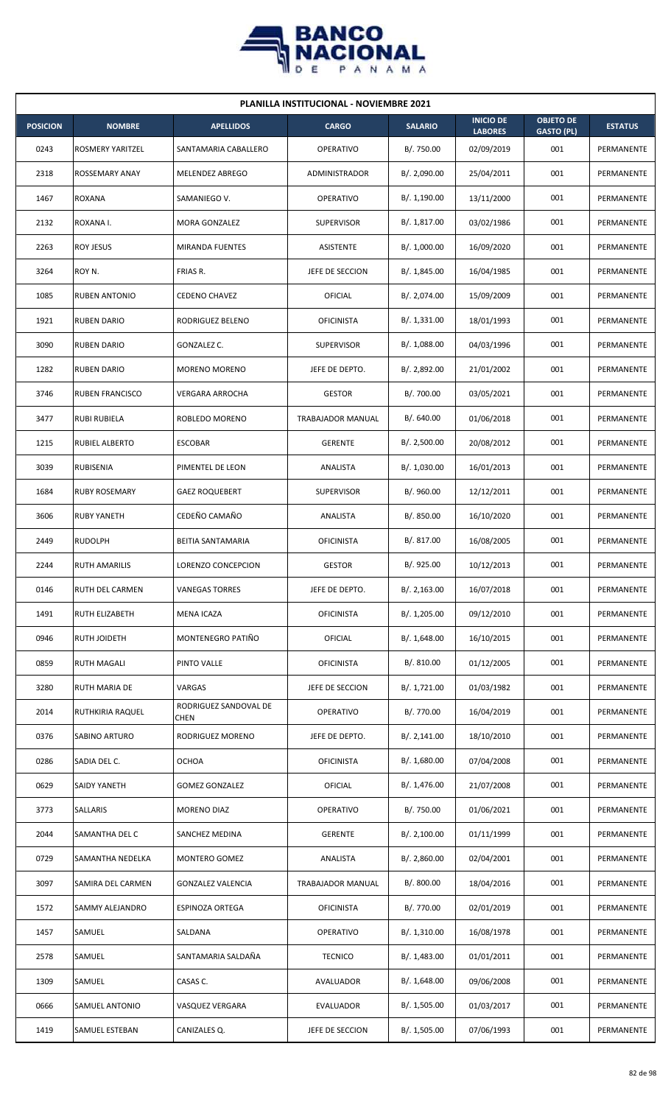

| <b>PLANILLA INSTITUCIONAL - NOVIEMBRE 2021</b> |                        |                               |                          |                |                                    |                                       |                |  |  |  |
|------------------------------------------------|------------------------|-------------------------------|--------------------------|----------------|------------------------------------|---------------------------------------|----------------|--|--|--|
| <b>POSICION</b>                                | <b>NOMBRE</b>          | <b>APELLIDOS</b>              | <b>CARGO</b>             | <b>SALARIO</b> | <b>INICIO DE</b><br><b>LABORES</b> | <b>OBJETO DE</b><br><b>GASTO (PL)</b> | <b>ESTATUS</b> |  |  |  |
| 0243                                           | ROSMERY YARITZEL       | SANTAMARIA CABALLERO          | <b>OPERATIVO</b>         | B/. 750.00     | 02/09/2019                         | 001                                   | PERMANENTE     |  |  |  |
| 2318                                           | ROSSEMARY ANAY         | MELENDEZ ABREGO               | <b>ADMINISTRADOR</b>     | B/. 2,090.00   | 25/04/2011                         | 001                                   | PERMANENTE     |  |  |  |
| 1467                                           | ROXANA                 | SAMANIEGO V.                  | <b>OPERATIVO</b>         | B/. 1,190.00   | 13/11/2000                         | 001                                   | PERMANENTE     |  |  |  |
| 2132                                           | ROXANA I.              | MORA GONZALEZ                 | <b>SUPERVISOR</b>        | B/. 1,817.00   | 03/02/1986                         | 001                                   | PERMANENTE     |  |  |  |
| 2263                                           | <b>ROY JESUS</b>       | <b>MIRANDA FUENTES</b>        | <b>ASISTENTE</b>         | B/. 1,000.00   | 16/09/2020                         | 001                                   | PERMANENTE     |  |  |  |
| 3264                                           | ROY N.                 | FRIAS R.                      | JEFE DE SECCION          | B/.1,845.00    | 16/04/1985                         | 001                                   | PERMANENTE     |  |  |  |
| 1085                                           | <b>RUBEN ANTONIO</b>   | <b>CEDENO CHAVEZ</b>          | OFICIAL                  | B/. 2,074.00   | 15/09/2009                         | 001                                   | PERMANENTE     |  |  |  |
| 1921                                           | <b>RUBEN DARIO</b>     | RODRIGUEZ BELENO              | <b>OFICINISTA</b>        | B/.1,331.00    | 18/01/1993                         | 001                                   | PERMANENTE     |  |  |  |
| 3090                                           | <b>RUBEN DARIO</b>     | <b>GONZALEZ C.</b>            | <b>SUPERVISOR</b>        | B/.1,088.00    | 04/03/1996                         | 001                                   | PERMANENTE     |  |  |  |
| 1282                                           | <b>RUBEN DARIO</b>     | MORENO MORENO                 | JEFE DE DEPTO.           | B/. 2,892.00   | 21/01/2002                         | 001                                   | PERMANENTE     |  |  |  |
| 3746                                           | <b>RUBEN FRANCISCO</b> | <b>VERGARA ARROCHA</b>        | <b>GESTOR</b>            | B/. 700.00     | 03/05/2021                         | 001                                   | PERMANENTE     |  |  |  |
| 3477                                           | <b>RUBI RUBIELA</b>    | ROBLEDO MORENO                | <b>TRABAJADOR MANUAL</b> | B/. 640.00     | 01/06/2018                         | 001                                   | PERMANENTE     |  |  |  |
| 1215                                           | <b>RUBIEL ALBERTO</b>  | <b>ESCOBAR</b>                | <b>GERENTE</b>           | B/.2,500.00    | 20/08/2012                         | 001                                   | PERMANENTE     |  |  |  |
| 3039                                           | RUBISENIA              | PIMENTEL DE LEON              | ANALISTA                 | B/. 1,030.00   | 16/01/2013                         | 001                                   | PERMANENTE     |  |  |  |
| 1684                                           | <b>RUBY ROSEMARY</b>   | <b>GAEZ ROQUEBERT</b>         | <b>SUPERVISOR</b>        | B/.960.00      | 12/12/2011                         | 001                                   | PERMANENTE     |  |  |  |
| 3606                                           | <b>RUBY YANETH</b>     | CEDEÑO CAMAÑO                 | ANALISTA                 | B/. 850.00     | 16/10/2020                         | 001                                   | PERMANENTE     |  |  |  |
| 2449                                           | <b>RUDOLPH</b>         | BEITIA SANTAMARIA             | <b>OFICINISTA</b>        | B/. 817.00     | 16/08/2005                         | 001                                   | PERMANENTE     |  |  |  |
| 2244                                           | <b>RUTH AMARILIS</b>   | LORENZO CONCEPCION            | <b>GESTOR</b>            | B/. 925.00     | 10/12/2013                         | 001                                   | PERMANENTE     |  |  |  |
| 0146                                           | <b>RUTH DEL CARMEN</b> | <b>VANEGAS TORRES</b>         | JEFE DE DEPTO.           | B/.2,163.00    | 16/07/2018                         | 001                                   | PERMANENTE     |  |  |  |
| 1491                                           | RUTH ELIZABETH         | <b>MENA ICAZA</b>             | <b>OFICINISTA</b>        | B/. 1,205.00   | 09/12/2010                         | 001                                   | PERMANENTE     |  |  |  |
| 0946                                           | RUTH JOIDETH           | MONTENEGRO PATIÑO             | OFICIAL                  | B/.1,648.00    | 16/10/2015                         | 001                                   | PERMANENTE     |  |  |  |
| 0859                                           | <b>RUTH MAGALI</b>     | PINTO VALLE                   | <b>OFICINISTA</b>        | B/. 810.00     | 01/12/2005                         | 001                                   | PERMANENTE     |  |  |  |
| 3280                                           | RUTH MARIA DE          | VARGAS                        | JEFE DE SECCION          | B/. 1,721.00   | 01/03/1982                         | 001                                   | PERMANENTE     |  |  |  |
| 2014                                           | RUTHKIRIA RAQUEL       | RODRIGUEZ SANDOVAL DE<br>CHEN | <b>OPERATIVO</b>         | B/. 770.00     | 16/04/2019                         | 001                                   | PERMANENTE     |  |  |  |
| 0376                                           | SABINO ARTURO          | RODRIGUEZ MORENO              | JEFE DE DEPTO.           | B/. 2,141.00   | 18/10/2010                         | 001                                   | PERMANENTE     |  |  |  |
| 0286                                           | SADIA DEL C.           | <b>OCHOA</b>                  | <b>OFICINISTA</b>        | B/. 1,680.00   | 07/04/2008                         | 001                                   | PERMANENTE     |  |  |  |
| 0629                                           | SAIDY YANETH           | <b>GOMEZ GONZALEZ</b>         | <b>OFICIAL</b>           | B/.1,476.00    | 21/07/2008                         | 001                                   | PERMANENTE     |  |  |  |
| 3773                                           | SALLARIS               | MORENO DIAZ                   | <b>OPERATIVO</b>         | B/. 750.00     | 01/06/2021                         | 001                                   | PERMANENTE     |  |  |  |
| 2044                                           | SAMANTHA DEL C         | SANCHEZ MEDINA                | <b>GERENTE</b>           | B/.2,100.00    | 01/11/1999                         | 001                                   | PERMANENTE     |  |  |  |
| 0729                                           | SAMANTHA NEDELKA       | MONTERO GOMEZ                 | ANALISTA                 | B/.2,860.00    | 02/04/2001                         | 001                                   | PERMANENTE     |  |  |  |
| 3097                                           | SAMIRA DEL CARMEN      | <b>GONZALEZ VALENCIA</b>      | TRABAJADOR MANUAL        | B/. 800.00     | 18/04/2016                         | 001                                   | PERMANENTE     |  |  |  |
| 1572                                           | SAMMY ALEJANDRO        | ESPINOZA ORTEGA               | <b>OFICINISTA</b>        | B/. 770.00     | 02/01/2019                         | 001                                   | PERMANENTE     |  |  |  |
| 1457                                           | SAMUEL                 | SALDANA                       | <b>OPERATIVO</b>         | B/. 1,310.00   | 16/08/1978                         | 001                                   | PERMANENTE     |  |  |  |
| 2578                                           | SAMUEL                 | SANTAMARIA SALDAÑA            | <b>TECNICO</b>           | B/. 1,483.00   | 01/01/2011                         | 001                                   | PERMANENTE     |  |  |  |
| 1309                                           | SAMUEL                 | CASAS C.                      | AVALUADOR                | B/.1,648.00    | 09/06/2008                         | 001                                   | PERMANENTE     |  |  |  |
| 0666                                           | SAMUEL ANTONIO         | VASQUEZ VERGARA               | EVALUADOR                | B/. 1,505.00   | 01/03/2017                         | 001                                   | PERMANENTE     |  |  |  |
| 1419                                           | SAMUEL ESTEBAN         | CANIZALES Q.                  | JEFE DE SECCION          | B/. 1,505.00   | 07/06/1993                         | 001                                   | PERMANENTE     |  |  |  |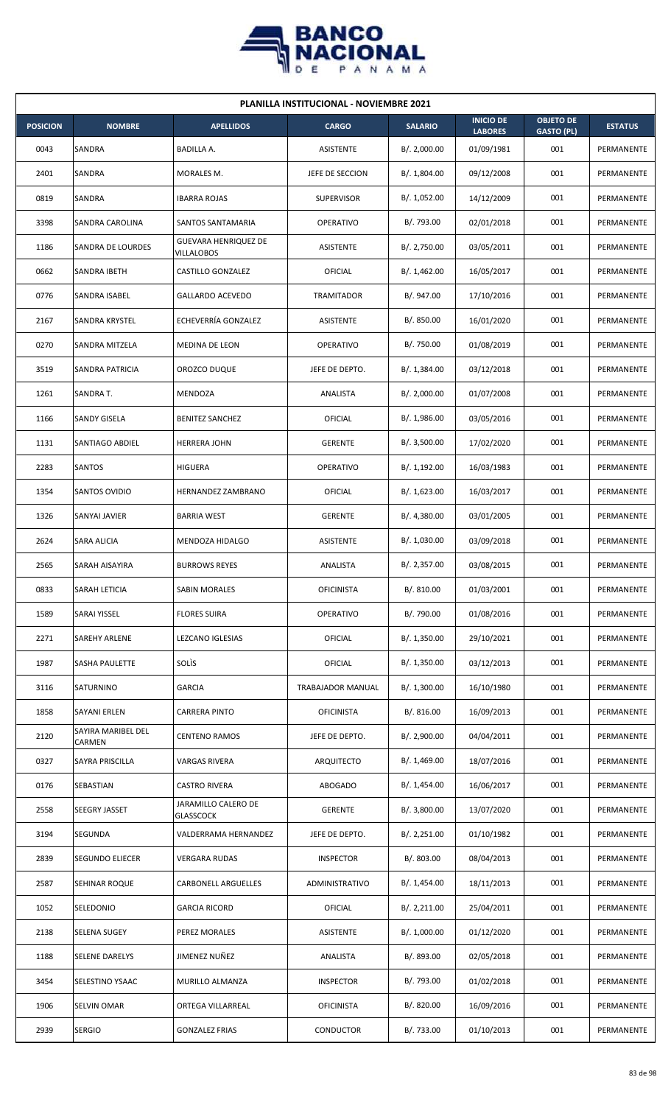

| <b>PLANILLA INSTITUCIONAL - NOVIEMBRE 2021</b> |                              |                                         |                   |                |                                    |                                       |                |  |  |  |
|------------------------------------------------|------------------------------|-----------------------------------------|-------------------|----------------|------------------------------------|---------------------------------------|----------------|--|--|--|
| <b>POSICION</b>                                | <b>NOMBRE</b>                | <b>APELLIDOS</b>                        | <b>CARGO</b>      | <b>SALARIO</b> | <b>INICIO DE</b><br><b>LABORES</b> | <b>OBJETO DE</b><br><b>GASTO (PL)</b> | <b>ESTATUS</b> |  |  |  |
| 0043                                           | SANDRA                       | BADILLA A.                              | ASISTENTE         | B/. 2,000.00   | 01/09/1981                         | 001                                   | PERMANENTE     |  |  |  |
| 2401                                           | SANDRA                       | MORALES M.                              | JEFE DE SECCION   | B/. 1,804.00   | 09/12/2008                         | 001                                   | PERMANENTE     |  |  |  |
| 0819                                           | SANDRA                       | <b>IBARRA ROJAS</b>                     | <b>SUPERVISOR</b> | B/. 1,052.00   | 14/12/2009                         | 001                                   | PERMANENTE     |  |  |  |
| 3398                                           | SANDRA CAROLINA              | SANTOS SANTAMARIA                       | <b>OPERATIVO</b>  | B/. 793.00     | 02/01/2018                         | 001                                   | PERMANENTE     |  |  |  |
| 1186                                           | SANDRA DE LOURDES            | GUEVARA HENRIQUEZ DE<br>VILLALOBOS      | <b>ASISTENTE</b>  | B/. 2,750.00   | 03/05/2011                         | 001                                   | PERMANENTE     |  |  |  |
| 0662                                           | SANDRA IBETH                 | CASTILLO GONZALEZ                       | OFICIAL           | B/.1,462.00    | 16/05/2017                         | 001                                   | PERMANENTE     |  |  |  |
| 0776                                           | SANDRA ISABEL                | <b>GALLARDO ACEVEDO</b>                 | <b>TRAMITADOR</b> | B/. 947.00     | 17/10/2016                         | 001                                   | PERMANENTE     |  |  |  |
| 2167                                           | SANDRA KRYSTEL               | ECHEVERRÍA GONZALEZ                     | ASISTENTE         | B/.850.00      | 16/01/2020                         | 001                                   | PERMANENTE     |  |  |  |
| 0270                                           | SANDRA MITZELA               | MEDINA DE LEON                          | <b>OPERATIVO</b>  | B/. 750.00     | 01/08/2019                         | 001                                   | PERMANENTE     |  |  |  |
| 3519                                           | SANDRA PATRICIA              | OROZCO DUQUE                            | JEFE DE DEPTO.    | B/.1,384.00    | 03/12/2018                         | 001                                   | PERMANENTE     |  |  |  |
| 1261                                           | SANDRA T.                    | MENDOZA                                 | ANALISTA          | B/.2,000.00    | 01/07/2008                         | 001                                   | PERMANENTE     |  |  |  |
| 1166                                           | SANDY GISELA                 | <b>BENITEZ SANCHEZ</b>                  | OFICIAL           | B/. 1,986.00   | 03/05/2016                         | 001                                   | PERMANENTE     |  |  |  |
| 1131                                           | SANTIAGO ABDIEL              | <b>HERRERA JOHN</b>                     | <b>GERENTE</b>    | B/.3,500.00    | 17/02/2020                         | 001                                   | PERMANENTE     |  |  |  |
| 2283                                           | <b>SANTOS</b>                | <b>HIGUERA</b>                          | <b>OPERATIVO</b>  | B/.1,192.00    | 16/03/1983                         | 001                                   | PERMANENTE     |  |  |  |
| 1354                                           | <b>SANTOS OVIDIO</b>         | HERNANDEZ ZAMBRANO                      | OFICIAL           | B/. 1,623.00   | 16/03/2017                         | 001                                   | PERMANENTE     |  |  |  |
| 1326                                           | SANYAI JAVIER                | <b>BARRIA WEST</b>                      | <b>GERENTE</b>    | B/. 4,380.00   | 03/01/2005                         | 001                                   | PERMANENTE     |  |  |  |
| 2624                                           | SARA ALICIA                  | MENDOZA HIDALGO                         | <b>ASISTENTE</b>  | B/. 1,030.00   | 03/09/2018                         | 001                                   | PERMANENTE     |  |  |  |
| 2565                                           | SARAH AISAYIRA               | <b>BURROWS REYES</b>                    | ANALISTA          | B/.2,357.00    | 03/08/2015                         | 001                                   | PERMANENTE     |  |  |  |
| 0833                                           | SARAH LETICIA                | <b>SABIN MORALES</b>                    | <b>OFICINISTA</b> | B/. 810.00     | 01/03/2001                         | 001                                   | PERMANENTE     |  |  |  |
| 1589                                           | SARAI YISSEL                 | <b>FLORES SUIRA</b>                     | OPERATIVO         | B/. 790.00     | 01/08/2016                         | 001                                   | PERMANENTE     |  |  |  |
| 2271                                           | SAREHY ARLENE                | LEZCANO IGLESIAS                        | OFICIAL           | B/. 1,350.00   | 29/10/2021                         | 001                                   | PERMANENTE     |  |  |  |
| 1987                                           | SASHA PAULETTE               | SOLIS                                   | OFICIAL           | B/. 1,350.00   | 03/12/2013                         | 001                                   | PERMANENTE     |  |  |  |
| 3116                                           | SATURNINO                    | <b>GARCIA</b>                           | TRABAJADOR MANUAL | B/. 1,300.00   | 16/10/1980                         | 001                                   | PERMANENTE     |  |  |  |
| 1858                                           | SAYANI ERLEN                 | CARRERA PINTO                           | <b>OFICINISTA</b> | B/. 816.00     | 16/09/2013                         | 001                                   | PERMANENTE     |  |  |  |
| 2120                                           | SAYIRA MARIBEL DEL<br>CARMEN | <b>CENTENO RAMOS</b>                    | JEFE DE DEPTO.    | B/.2,900.00    | 04/04/2011                         | 001                                   | PERMANENTE     |  |  |  |
| 0327                                           | SAYRA PRISCILLA              | VARGAS RIVERA                           | ARQUITECTO        | B/. 1,469.00   | 18/07/2016                         | 001                                   | PERMANENTE     |  |  |  |
| 0176                                           | SEBASTIAN                    | <b>CASTRO RIVERA</b>                    | <b>ABOGADO</b>    | B/.1,454.00    | 16/06/2017                         | 001                                   | PERMANENTE     |  |  |  |
| 2558                                           | SEEGRY JASSET                | JARAMILLO CALERO DE<br><b>GLASSCOCK</b> | <b>GERENTE</b>    | B/. 3,800.00   | 13/07/2020                         | 001                                   | PERMANENTE     |  |  |  |
| 3194                                           | SEGUNDA                      | VALDERRAMA HERNANDEZ                    | JEFE DE DEPTO.    | B/.2,251.00    | 01/10/1982                         | 001                                   | PERMANENTE     |  |  |  |
| 2839                                           | SEGUNDO ELIECER              | <b>VERGARA RUDAS</b>                    | <b>INSPECTOR</b>  | B/. 803.00     | 08/04/2013                         | 001                                   | PERMANENTE     |  |  |  |
| 2587                                           | SEHINAR ROQUE                | CARBONELL ARGUELLES                     | ADMINISTRATIVO    | B/. 1,454.00   | 18/11/2013                         | 001                                   | PERMANENTE     |  |  |  |
| 1052                                           | SELEDONIO                    | <b>GARCIA RICORD</b>                    | OFICIAL           | B/. 2,211.00   | 25/04/2011                         | 001                                   | PERMANENTE     |  |  |  |
| 2138                                           | SELENA SUGEY                 | PEREZ MORALES                           | ASISTENTE         | B/. 1,000.00   | 01/12/2020                         | 001                                   | PERMANENTE     |  |  |  |
| 1188                                           | <b>SELENE DARELYS</b>        | JIMENEZ NUÑEZ                           | ANALISTA          | B/. 893.00     | 02/05/2018                         | 001                                   | PERMANENTE     |  |  |  |
| 3454                                           | SELESTINO YSAAC              | MURILLO ALMANZA                         | <b>INSPECTOR</b>  | B/. 793.00     | 01/02/2018                         | 001                                   | PERMANENTE     |  |  |  |
| 1906                                           | SELVIN OMAR                  | ORTEGA VILLARREAL                       | <b>OFICINISTA</b> | B/. 820.00     | 16/09/2016                         | 001                                   | PERMANENTE     |  |  |  |
| 2939                                           | <b>SERGIO</b>                | <b>GONZALEZ FRIAS</b>                   | CONDUCTOR         | B/.733.00      | 01/10/2013                         | 001                                   | PERMANENTE     |  |  |  |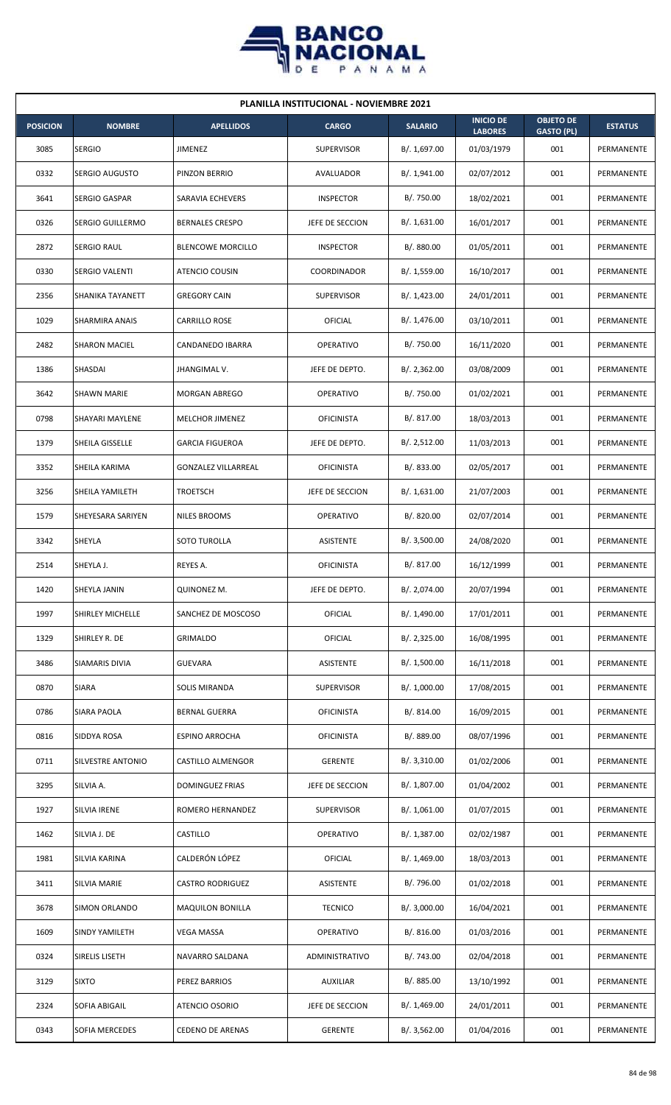

| <b>PLANILLA INSTITUCIONAL - NOVIEMBRE 2021</b> |                         |                            |                   |                |                                    |                                       |                |  |  |
|------------------------------------------------|-------------------------|----------------------------|-------------------|----------------|------------------------------------|---------------------------------------|----------------|--|--|
| <b>POSICION</b>                                | <b>NOMBRE</b>           | <b>APELLIDOS</b>           | <b>CARGO</b>      | <b>SALARIO</b> | <b>INICIO DE</b><br><b>LABORES</b> | <b>OBJETO DE</b><br><b>GASTO (PL)</b> | <b>ESTATUS</b> |  |  |
| 3085                                           | <b>SERGIO</b>           | JIMENEZ                    | <b>SUPERVISOR</b> | B/. 1,697.00   | 01/03/1979                         | 001                                   | PERMANENTE     |  |  |
| 0332                                           | SERGIO AUGUSTO          | PINZON BERRIO              | AVALUADOR         | B/. 1,941.00   | 02/07/2012                         | 001                                   | PERMANENTE     |  |  |
| 3641                                           | <b>SERGIO GASPAR</b>    | SARAVIA ECHEVERS           | <b>INSPECTOR</b>  | B/. 750.00     | 18/02/2021                         | 001                                   | PERMANENTE     |  |  |
| 0326                                           | SERGIO GUILLERMO        | <b>BERNALES CRESPO</b>     | JEFE DE SECCION   | B/.1,631.00    | 16/01/2017                         | 001                                   | PERMANENTE     |  |  |
| 2872                                           | SERGIO RAUL             | <b>BLENCOWE MORCILLO</b>   | <b>INSPECTOR</b>  | B/. 880.00     | 01/05/2011                         | 001                                   | PERMANENTE     |  |  |
| 0330                                           | SERGIO VALENTI          | ATENCIO COUSIN             | COORDINADOR       | B/. 1,559.00   | 16/10/2017                         | 001                                   | PERMANENTE     |  |  |
| 2356                                           | SHANIKA TAYANETT        | <b>GREGORY CAIN</b>        | <b>SUPERVISOR</b> | B/.1,423.00    | 24/01/2011                         | 001                                   | PERMANENTE     |  |  |
| 1029                                           | SHARMIRA ANAIS          | <b>CARRILLO ROSE</b>       | OFICIAL           | B/. 1,476.00   | 03/10/2011                         | 001                                   | PERMANENTE     |  |  |
| 2482                                           | <b>SHARON MACIEL</b>    | CANDANEDO IBARRA           | <b>OPERATIVO</b>  | B/. 750.00     | 16/11/2020                         | 001                                   | PERMANENTE     |  |  |
| 1386                                           | SHASDAI                 | JHANGIMAL V.               | JEFE DE DEPTO.    | B/.2,362.00    | 03/08/2009                         | 001                                   | PERMANENTE     |  |  |
| 3642                                           | <b>SHAWN MARIE</b>      | <b>MORGAN ABREGO</b>       | <b>OPERATIVO</b>  | B/. 750.00     | 01/02/2021                         | 001                                   | PERMANENTE     |  |  |
| 0798                                           | SHAYARI MAYLENE         | MELCHOR JIMENEZ            | <b>OFICINISTA</b> | B/. 817.00     | 18/03/2013                         | 001                                   | PERMANENTE     |  |  |
| 1379                                           | SHEILA GISSELLE         | <b>GARCIA FIGUEROA</b>     | JEFE DE DEPTO.    | B/. 2,512.00   | 11/03/2013                         | 001                                   | PERMANENTE     |  |  |
| 3352                                           | SHEILA KARIMA           | <b>GONZALEZ VILLARREAL</b> | <b>OFICINISTA</b> | B/0.833.00     | 02/05/2017                         | 001                                   | PERMANENTE     |  |  |
| 3256                                           | SHEILA YAMILETH         | <b>TROETSCH</b>            | JEFE DE SECCION   | B/.1,631.00    | 21/07/2003                         | 001                                   | PERMANENTE     |  |  |
| 1579                                           | SHEYESARA SARIYEN       | <b>NILES BROOMS</b>        | <b>OPERATIVO</b>  | B/. 820.00     | 02/07/2014                         | 001                                   | PERMANENTE     |  |  |
| 3342                                           | SHEYLA                  | SOTO TUROLLA               | ASISTENTE         | B/.3,500.00    | 24/08/2020                         | 001                                   | PERMANENTE     |  |  |
| 2514                                           | SHEYLA J.               | REYES A.                   | <b>OFICINISTA</b> | B/.817.00      | 16/12/1999                         | 001                                   | PERMANENTE     |  |  |
| 1420                                           | SHEYLA JANIN            | QUINONEZ M.                | JEFE DE DEPTO.    | B/. 2,074.00   | 20/07/1994                         | 001                                   | PERMANENTE     |  |  |
| 1997                                           | <b>SHIRLEY MICHELLE</b> | SANCHEZ DE MOSCOSO         | <b>OFICIAL</b>    | B/. 1,490.00   | 17/01/2011                         | 001                                   | PERMANENTE     |  |  |
| 1329                                           | SHIRLEY R. DE           | <b>GRIMALDO</b>            | <b>OFICIAL</b>    | B/. 2,325.00   | 16/08/1995                         | 001                                   | PERMANENTE     |  |  |
| 3486                                           | SIAMARIS DIVIA          | <b>GUEVARA</b>             | ASISTENTE         | B/. 1,500.00   | 16/11/2018                         | 001                                   | PERMANENTE     |  |  |
| 0870                                           | <b>SIARA</b>            | SOLIS MIRANDA              | <b>SUPERVISOR</b> | B/. 1,000.00   | 17/08/2015                         | 001                                   | PERMANENTE     |  |  |
| 0786                                           | SIARA PAOLA             | <b>BERNAL GUERRA</b>       | <b>OFICINISTA</b> | B/.814.00      | 16/09/2015                         | 001                                   | PERMANENTE     |  |  |
| 0816                                           | SIDDYA ROSA             | <b>ESPINO ARROCHA</b>      | <b>OFICINISTA</b> | B/. 889.00     | 08/07/1996                         | 001                                   | PERMANENTE     |  |  |
| 0711                                           | SILVESTRE ANTONIO       | CASTILLO ALMENGOR          | <b>GERENTE</b>    | B/.3,310.00    | 01/02/2006                         | 001                                   | PERMANENTE     |  |  |
| 3295                                           | SILVIA A.               | DOMINGUEZ FRIAS            | JEFE DE SECCION   | B/. 1,807.00   | 01/04/2002                         | 001                                   | PERMANENTE     |  |  |
| 1927                                           | SILVIA IRENE            | ROMERO HERNANDEZ           | <b>SUPERVISOR</b> | B/.1,061.00    | 01/07/2015                         | 001                                   | PERMANENTE     |  |  |
| 1462                                           | SILVIA J. DE            | <b>CASTILLO</b>            | <b>OPERATIVO</b>  | B/. 1,387.00   | 02/02/1987                         | 001                                   | PERMANENTE     |  |  |
| 1981                                           | SILVIA KARINA           | CALDERÓN LÓPEZ             | <b>OFICIAL</b>    | B/. 1,469.00   | 18/03/2013                         | 001                                   | PERMANENTE     |  |  |
| 3411                                           | SILVIA MARIE            | <b>CASTRO RODRIGUEZ</b>    | ASISTENTE         | B/. 796.00     | 01/02/2018                         | 001                                   | PERMANENTE     |  |  |
| 3678                                           | SIMON ORLANDO           | <b>MAQUILON BONILLA</b>    | <b>TECNICO</b>    | B/.3,000.00    | 16/04/2021                         | 001                                   | PERMANENTE     |  |  |
| 1609                                           | SINDY YAMILETH          | <b>VEGA MASSA</b>          | OPERATIVO         | B/.816.00      | 01/03/2016                         | 001                                   | PERMANENTE     |  |  |
| 0324                                           | SIRELIS LISETH          | NAVARRO SALDANA            | ADMINISTRATIVO    | B/. 743.00     | 02/04/2018                         | 001                                   | PERMANENTE     |  |  |
| 3129                                           | <b>SIXTO</b>            | PEREZ BARRIOS              | <b>AUXILIAR</b>   | B/. 885.00     | 13/10/1992                         | 001                                   | PERMANENTE     |  |  |
| 2324                                           | SOFIA ABIGAIL           | ATENCIO OSORIO             | JEFE DE SECCION   | B/. 1,469.00   | 24/01/2011                         | 001                                   | PERMANENTE     |  |  |
| 0343                                           | SOFIA MERCEDES          | <b>CEDENO DE ARENAS</b>    | <b>GERENTE</b>    | B/. 3,562.00   | 01/04/2016                         | 001                                   | PERMANENTE     |  |  |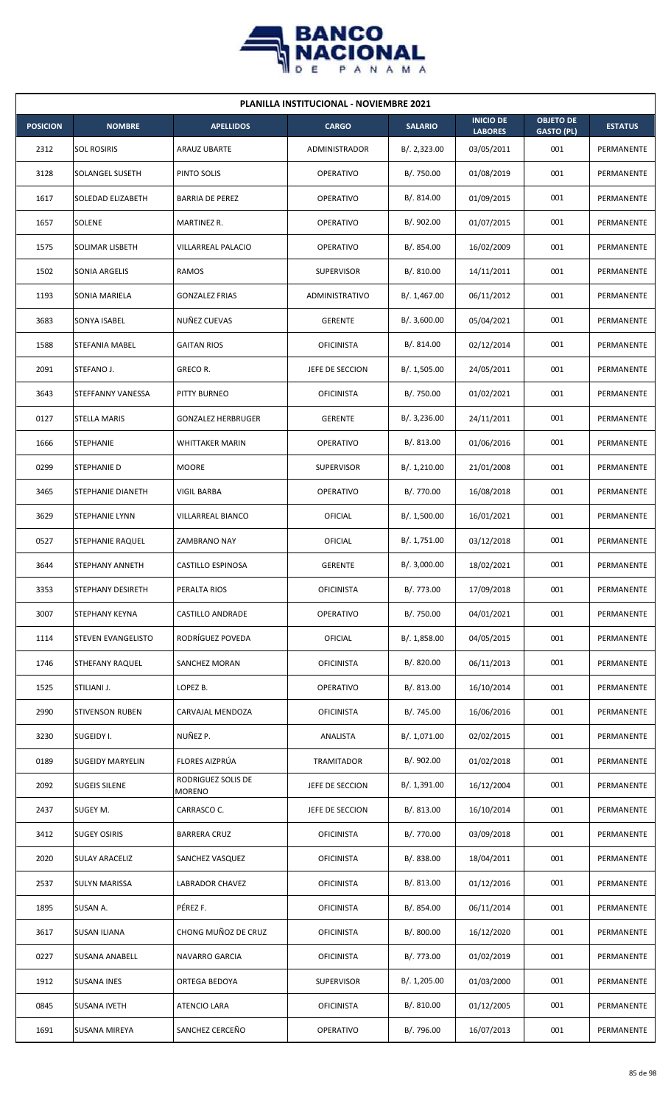

| <b>PLANILLA INSTITUCIONAL - NOVIEMBRE 2021</b> |                         |                              |                   |                |                                    |                                       |                |  |  |  |
|------------------------------------------------|-------------------------|------------------------------|-------------------|----------------|------------------------------------|---------------------------------------|----------------|--|--|--|
| <b>POSICION</b>                                | <b>NOMBRE</b>           | <b>APELLIDOS</b>             | <b>CARGO</b>      | <b>SALARIO</b> | <b>INICIO DE</b><br><b>LABORES</b> | <b>OBJETO DE</b><br><b>GASTO (PL)</b> | <b>ESTATUS</b> |  |  |  |
| 2312                                           | <b>SOL ROSIRIS</b>      | ARAUZ UBARTE                 | ADMINISTRADOR     | B/. 2,323.00   | 03/05/2011                         | 001                                   | PERMANENTE     |  |  |  |
| 3128                                           | SOLANGEL SUSETH         | PINTO SOLIS                  | <b>OPERATIVO</b>  | B/. 750.00     | 01/08/2019                         | 001                                   | PERMANENTE     |  |  |  |
| 1617                                           | SOLEDAD ELIZABETH       | <b>BARRIA DE PEREZ</b>       | OPERATIVO         | B/. 814.00     | 01/09/2015                         | 001                                   | PERMANENTE     |  |  |  |
| 1657                                           | SOLENE                  | MARTINEZ R.                  | OPERATIVO         | B/. 902.00     | 01/07/2015                         | 001                                   | PERMANENTE     |  |  |  |
| 1575                                           | SOLIMAR LISBETH         | VILLARREAL PALACIO           | <b>OPERATIVO</b>  | B/. 854.00     | 16/02/2009                         | 001                                   | PERMANENTE     |  |  |  |
| 1502                                           | SONIA ARGELIS           | RAMOS                        | <b>SUPERVISOR</b> | B/.810.00      | 14/11/2011                         | 001                                   | PERMANENTE     |  |  |  |
| 1193                                           | SONIA MARIELA           | <b>GONZALEZ FRIAS</b>        | ADMINISTRATIVO    | B/. 1,467.00   | 06/11/2012                         | 001                                   | PERMANENTE     |  |  |  |
| 3683                                           | SONYA ISABEL            | NUÑEZ CUEVAS                 | <b>GERENTE</b>    | B/.3,600.00    | 05/04/2021                         | 001                                   | PERMANENTE     |  |  |  |
| 1588                                           | STEFANIA MABEL          | <b>GAITAN RIOS</b>           | <b>OFICINISTA</b> | B/. 814.00     | 02/12/2014                         | 001                                   | PERMANENTE     |  |  |  |
| 2091                                           | STEFANO J.              | <b>GRECOR.</b>               | JEFE DE SECCION   | B/. 1,505.00   | 24/05/2011                         | 001                                   | PERMANENTE     |  |  |  |
| 3643                                           | STEFFANNY VANESSA       | PITTY BURNEO                 | <b>OFICINISTA</b> | B/. 750.00     | 01/02/2021                         | 001                                   | PERMANENTE     |  |  |  |
| 0127                                           | STELLA MARIS            | <b>GONZALEZ HERBRUGER</b>    | <b>GERENTE</b>    | B/.3,236.00    | 24/11/2011                         | 001                                   | PERMANENTE     |  |  |  |
| 1666                                           | STEPHANIE               | <b>WHITTAKER MARIN</b>       | <b>OPERATIVO</b>  | B/0.813.00     | 01/06/2016                         | 001                                   | PERMANENTE     |  |  |  |
| 0299                                           | STEPHANIE D             | <b>MOORE</b>                 | <b>SUPERVISOR</b> | B/. 1,210.00   | 21/01/2008                         | 001                                   | PERMANENTE     |  |  |  |
| 3465                                           | STEPHANIE DIANETH       | VIGIL BARBA                  | <b>OPERATIVO</b>  | B/. 770.00     | 16/08/2018                         | 001                                   | PERMANENTE     |  |  |  |
| 3629                                           | STEPHANIE LYNN          | VILLARREAL BIANCO            | OFICIAL           | B/. 1,500.00   | 16/01/2021                         | 001                                   | PERMANENTE     |  |  |  |
| 0527                                           | STEPHANIE RAQUEL        | ZAMBRANO NAY                 | OFICIAL           | B/. 1,751.00   | 03/12/2018                         | 001                                   | PERMANENTE     |  |  |  |
| 3644                                           | STEPHANY ANNETH         | CASTILLO ESPINOSA            | <b>GERENTE</b>    | B/.3,000.00    | 18/02/2021                         | 001                                   | PERMANENTE     |  |  |  |
| 3353                                           | STEPHANY DESIRETH       | PERALTA RIOS                 | <b>OFICINISTA</b> | B/. 773.00     | 17/09/2018                         | 001                                   | PERMANENTE     |  |  |  |
| 3007                                           | STEPHANY KEYNA          | CASTILLO ANDRADE             | OPERATIVO         | B/. 750.00     | 04/01/2021                         | 001                                   | PERMANENTE     |  |  |  |
| 1114                                           | STEVEN EVANGELISTO      | RODRÍGUEZ POVEDA             | <b>OFICIAL</b>    | B/. 1,858.00   | 04/05/2015                         | 001                                   | PERMANENTE     |  |  |  |
| 1746                                           | STHEFANY RAQUEL         | SANCHEZ MORAN                | <b>OFICINISTA</b> | B/. 820.00     | 06/11/2013                         | 001                                   | PERMANENTE     |  |  |  |
| 1525                                           | STILIANI J.             | LOPEZ B.                     | OPERATIVO         | B/. 813.00     | 16/10/2014                         | 001                                   | PERMANENTE     |  |  |  |
| 2990                                           | <b>STIVENSON RUBEN</b>  | CARVAJAL MENDOZA             | <b>OFICINISTA</b> | B/. 745.00     | 16/06/2016                         | 001                                   | PERMANENTE     |  |  |  |
| 3230                                           | SUGEIDY I.              | NUÑEZ P.                     | ANALISTA          | B/. 1,071.00   | 02/02/2015                         | 001                                   | PERMANENTE     |  |  |  |
| 0189                                           | <b>SUGEIDY MARYELIN</b> | FLORES AIZPRÚA               | TRAMITADOR        | B/. 902.00     | 01/02/2018                         | 001                                   | PERMANENTE     |  |  |  |
| 2092                                           | <b>SUGEIS SILENE</b>    | RODRIGUEZ SOLIS DE<br>MORENO | JEFE DE SECCION   | B/. 1,391.00   | 16/12/2004                         | 001                                   | PERMANENTE     |  |  |  |
| 2437                                           | SUGEY M.                | CARRASCO C.                  | JEFE DE SECCION   | B/. 813.00     | 16/10/2014                         | 001                                   | PERMANENTE     |  |  |  |
| 3412                                           | <b>SUGEY OSIRIS</b>     | <b>BARRERA CRUZ</b>          | <b>OFICINISTA</b> | B/. 770.00     | 03/09/2018                         | 001                                   | PERMANENTE     |  |  |  |
| 2020                                           | <b>SULAY ARACELIZ</b>   | SANCHEZ VASQUEZ              | <b>OFICINISTA</b> | B/. 838.00     | 18/04/2011                         | 001                                   | PERMANENTE     |  |  |  |
| 2537                                           | SULYN MARISSA           | LABRADOR CHAVEZ              | <b>OFICINISTA</b> | B/. 813.00     | 01/12/2016                         | 001                                   | PERMANENTE     |  |  |  |
| 1895                                           | SUSAN A.                | PÉREZ F.                     | <b>OFICINISTA</b> | B/. 854.00     | 06/11/2014                         | 001                                   | PERMANENTE     |  |  |  |
| 3617                                           | SUSAN ILIANA            | CHONG MUÑOZ DE CRUZ          | <b>OFICINISTA</b> | B/. 800.00     | 16/12/2020                         | 001                                   | PERMANENTE     |  |  |  |
| 0227                                           | SUSANA ANABELL          | NAVARRO GARCIA               | <b>OFICINISTA</b> | B/. 773.00     | 01/02/2019                         | 001                                   | PERMANENTE     |  |  |  |
| 1912                                           | <b>SUSANA INES</b>      | ORTEGA BEDOYA                | SUPERVISOR        | B/. 1,205.00   | 01/03/2000                         | 001                                   | PERMANENTE     |  |  |  |
| 0845                                           | SUSANA IVETH            | <b>ATENCIO LARA</b>          | <b>OFICINISTA</b> | B/. 810.00     | 01/12/2005                         | 001                                   | PERMANENTE     |  |  |  |
| 1691                                           | SUSANA MIREYA           | SANCHEZ CERCEÑO              | OPERATIVO         | B/. 796.00     | 16/07/2013                         | 001                                   | PERMANENTE     |  |  |  |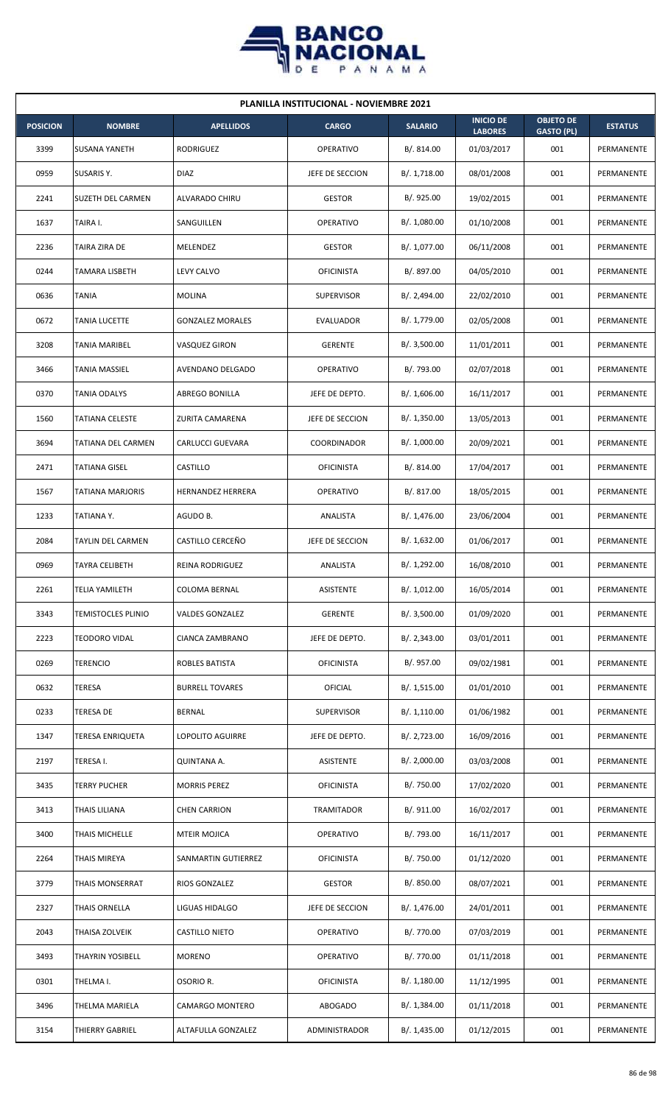

| <b>PLANILLA INSTITUCIONAL - NOVIEMBRE 2021</b> |                          |                          |                   |                |                                    |                                       |                |  |  |
|------------------------------------------------|--------------------------|--------------------------|-------------------|----------------|------------------------------------|---------------------------------------|----------------|--|--|
| <b>POSICION</b>                                | <b>NOMBRE</b>            | <b>APELLIDOS</b>         | <b>CARGO</b>      | <b>SALARIO</b> | <b>INICIO DE</b><br><b>LABORES</b> | <b>OBJETO DE</b><br><b>GASTO (PL)</b> | <b>ESTATUS</b> |  |  |
| 3399                                           | <b>SUSANA YANETH</b>     | <b>RODRIGUEZ</b>         | <b>OPERATIVO</b>  | B/. 814.00     | 01/03/2017                         | 001                                   | PERMANENTE     |  |  |
| 0959                                           | SUSARIS Y.               | <b>DIAZ</b>              | JEFE DE SECCION   | B/.1,718.00    | 08/01/2008                         | 001                                   | PERMANENTE     |  |  |
| 2241                                           | <b>SUZETH DEL CARMEN</b> | ALVARADO CHIRU           | <b>GESTOR</b>     | B/. 925.00     | 19/02/2015                         | 001                                   | PERMANENTE     |  |  |
| 1637                                           | TAIRA I.                 | SANGUILLEN               | OPERATIVO         | B/. 1,080.00   | 01/10/2008                         | 001                                   | PERMANENTE     |  |  |
| 2236                                           | TAIRA ZIRA DE            | MELENDEZ                 | <b>GESTOR</b>     | B/. 1,077.00   | 06/11/2008                         | 001                                   | PERMANENTE     |  |  |
| 0244                                           | TAMARA LISBETH           | LEVY CALVO               | <b>OFICINISTA</b> | B/. 897.00     | 04/05/2010                         | 001                                   | PERMANENTE     |  |  |
| 0636                                           | <b>TANIA</b>             | <b>MOLINA</b>            | <b>SUPERVISOR</b> | B/. 2,494.00   | 22/02/2010                         | 001                                   | PERMANENTE     |  |  |
| 0672                                           | TANIA LUCETTE            | <b>GONZALEZ MORALES</b>  | EVALUADOR         | B/. 1,779.00   | 02/05/2008                         | 001                                   | PERMANENTE     |  |  |
| 3208                                           | TANIA MARIBEL            | VASQUEZ GIRON            | <b>GERENTE</b>    | B/.3,500.00    | 11/01/2011                         | 001                                   | PERMANENTE     |  |  |
| 3466                                           | TANIA MASSIEL            | AVENDANO DELGADO         | <b>OPERATIVO</b>  | B/. 793.00     | 02/07/2018                         | 001                                   | PERMANENTE     |  |  |
| 0370                                           | TANIA ODALYS             | ABREGO BONILLA           | JEFE DE DEPTO.    | B/. 1,606.00   | 16/11/2017                         | 001                                   | PERMANENTE     |  |  |
| 1560                                           | TATIANA CELESTE          | ZURITA CAMARENA          | JEFE DE SECCION   | B/.1,350.00    | 13/05/2013                         | 001                                   | PERMANENTE     |  |  |
| 3694                                           | TATIANA DEL CARMEN       | CARLUCCI GUEVARA         | COORDINADOR       | B/. 1,000.00   | 20/09/2021                         | 001                                   | PERMANENTE     |  |  |
| 2471                                           | <b>TATIANA GISEL</b>     | CASTILLO                 | <b>OFICINISTA</b> | B/. 814.00     | 17/04/2017                         | 001                                   | PERMANENTE     |  |  |
| 1567                                           | TATIANA MARJORIS         | <b>HERNANDEZ HERRERA</b> | <b>OPERATIVO</b>  | B/. 817.00     | 18/05/2015                         | 001                                   | PERMANENTE     |  |  |
| 1233                                           | TATIANA Y.               | AGUDO B.                 | ANALISTA          | B/. 1,476.00   | 23/06/2004                         | 001                                   | PERMANENTE     |  |  |
| 2084                                           | TAYLIN DEL CARMEN        | CASTILLO CERCEÑO         | JEFE DE SECCION   | B/.1,632.00    | 01/06/2017                         | 001                                   | PERMANENTE     |  |  |
| 0969                                           | TAYRA CELIBETH           | <b>REINA RODRIGUEZ</b>   | <b>ANALISTA</b>   | B/. 1,292.00   | 16/08/2010                         | 001                                   | PERMANENTE     |  |  |
| 2261                                           | TELIA YAMILETH           | COLOMA BERNAL            | <b>ASISTENTE</b>  | B/. 1,012.00   | 16/05/2014                         | 001                                   | PERMANENTE     |  |  |
| 3343                                           | TEMISTOCLES PLINIO       | VALDES GONZALEZ          | <b>GERENTE</b>    | B/.3,500.00    | 01/09/2020                         | 001                                   | PERMANENTE     |  |  |
| 2223                                           | TEODORO VIDAL            | CIANCA ZAMBRANO          | JEFE DE DEPTO.    | B/. 2,343.00   | 03/01/2011                         | 001                                   | PERMANENTE     |  |  |
| 0269                                           | TERENCIO                 | ROBLES BATISTA           | <b>OFICINISTA</b> | B/. 957.00     | 09/02/1981                         | 001                                   | PERMANENTE     |  |  |
| 0632                                           | TERESA                   | <b>BURRELL TOVARES</b>   | <b>OFICIAL</b>    | B/.1,515.00    | 01/01/2010                         | 001                                   | PERMANENTE     |  |  |
| 0233                                           | TERESA DE                | <b>BERNAL</b>            | <b>SUPERVISOR</b> | B/. 1,110.00   | 01/06/1982                         | 001                                   | PERMANENTE     |  |  |
| 1347                                           | TERESA ENRIQUETA         | LOPOLITO AGUIRRE         | JEFE DE DEPTO.    | B/. 2,723.00   | 16/09/2016                         | 001                                   | PERMANENTE     |  |  |
| 2197                                           | TERESA I.                | QUINTANA A.              | ASISTENTE         | B/.2,000.00    | 03/03/2008                         | 001                                   | PERMANENTE     |  |  |
| 3435                                           | TERRY PUCHER             | <b>MORRIS PEREZ</b>      | <b>OFICINISTA</b> | B/. 750.00     | 17/02/2020                         | 001                                   | PERMANENTE     |  |  |
| 3413                                           | THAIS LILIANA            | <b>CHEN CARRION</b>      | TRAMITADOR        | B/. 911.00     | 16/02/2017                         | 001                                   | PERMANENTE     |  |  |
| 3400                                           | THAIS MICHELLE           | <b>MTEIR MOJICA</b>      | OPERATIVO         | B/. 793.00     | 16/11/2017                         | 001                                   | PERMANENTE     |  |  |
| 2264                                           | THAIS MIREYA             | SANMARTIN GUTIERREZ      | <b>OFICINISTA</b> | B/. 750.00     | 01/12/2020                         | 001                                   | PERMANENTE     |  |  |
| 3779                                           | THAIS MONSERRAT          | RIOS GONZALEZ            | <b>GESTOR</b>     | B/. 850.00     | 08/07/2021                         | 001                                   | PERMANENTE     |  |  |
| 2327                                           | <b>THAIS ORNELLA</b>     | LIGUAS HIDALGO           | JEFE DE SECCION   | B/.1,476.00    | 24/01/2011                         | 001                                   | PERMANENTE     |  |  |
| 2043                                           | THAISA ZOLVEIK           | CASTILLO NIETO           | <b>OPERATIVO</b>  | B/. 770.00     | 07/03/2019                         | 001                                   | PERMANENTE     |  |  |
| 3493                                           | THAYRIN YOSIBELL         | <b>MORENO</b>            | <b>OPERATIVO</b>  | B/. 770.00     | 01/11/2018                         | 001                                   | PERMANENTE     |  |  |
| 0301                                           | THELMA I.                | OSORIO R.                | <b>OFICINISTA</b> | B/.1,180.00    | 11/12/1995                         | 001                                   | PERMANENTE     |  |  |
| 3496                                           | THELMA MARIELA           | <b>CAMARGO MONTERO</b>   | <b>ABOGADO</b>    | B/. 1,384.00   | 01/11/2018                         | 001                                   | PERMANENTE     |  |  |
| 3154                                           | THIERRY GABRIEL          | ALTAFULLA GONZALEZ       | ADMINISTRADOR     | B/.1,435.00    | 01/12/2015                         | 001                                   | PERMANENTE     |  |  |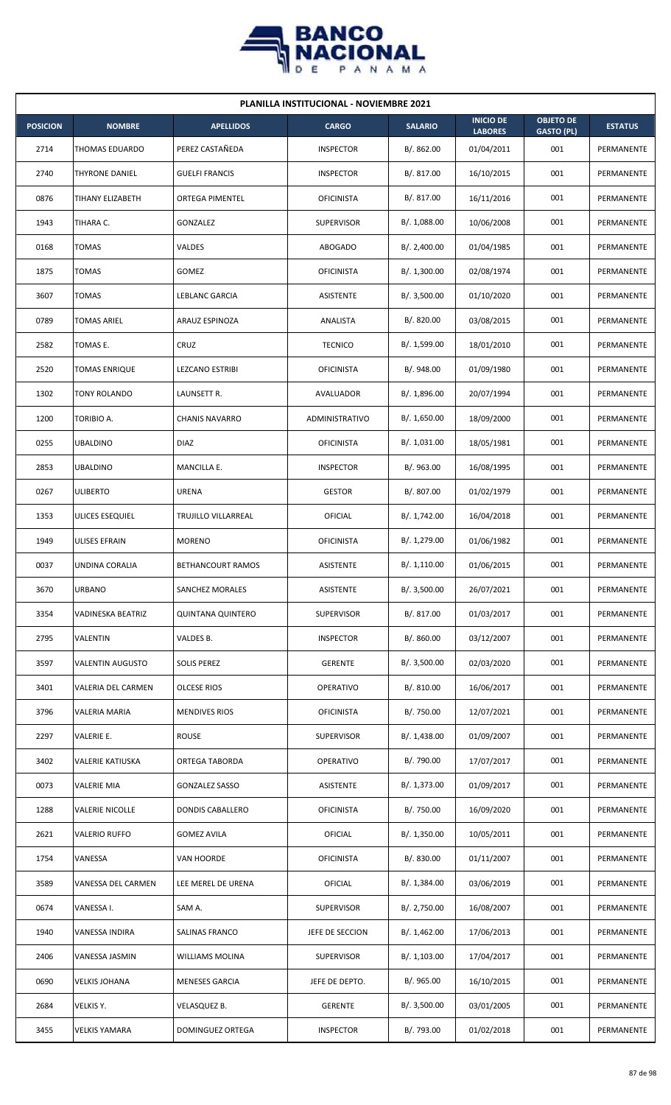

| <b>PLANILLA INSTITUCIONAL - NOVIEMBRE 2021</b> |                         |                          |                   |                |                                    |                                       |                |  |  |
|------------------------------------------------|-------------------------|--------------------------|-------------------|----------------|------------------------------------|---------------------------------------|----------------|--|--|
| <b>POSICION</b>                                | <b>NOMBRE</b>           | <b>APELLIDOS</b>         | <b>CARGO</b>      | <b>SALARIO</b> | <b>INICIO DE</b><br><b>LABORES</b> | <b>OBJETO DE</b><br><b>GASTO (PL)</b> | <b>ESTATUS</b> |  |  |
| 2714                                           | THOMAS EDUARDO          | PEREZ CASTAÑEDA          | <b>INSPECTOR</b>  | B/. 862.00     | 01/04/2011                         | 001                                   | PERMANENTE     |  |  |
| 2740                                           | THYRONE DANIEL          | <b>GUELFI FRANCIS</b>    | <b>INSPECTOR</b>  | B/.817.00      | 16/10/2015                         | 001                                   | PERMANENTE     |  |  |
| 0876                                           | TIHANY ELIZABETH        | <b>ORTEGA PIMENTEL</b>   | <b>OFICINISTA</b> | B/. 817.00     | 16/11/2016                         | 001                                   | PERMANENTE     |  |  |
| 1943                                           | TIHARA C.               | GONZALEZ                 | <b>SUPERVISOR</b> | B/. 1,088.00   | 10/06/2008                         | 001                                   | PERMANENTE     |  |  |
| 0168                                           | <b>TOMAS</b>            | VALDES                   | <b>ABOGADO</b>    | B/.2,400.00    | 01/04/1985                         | 001                                   | PERMANENTE     |  |  |
| 1875                                           | <b>TOMAS</b>            | GOMEZ                    | <b>OFICINISTA</b> | B/. 1,300.00   | 02/08/1974                         | 001                                   | PERMANENTE     |  |  |
| 3607                                           | <b>TOMAS</b>            | LEBLANC GARCIA           | ASISTENTE         | B/.3,500.00    | 01/10/2020                         | 001                                   | PERMANENTE     |  |  |
| 0789                                           | <b>TOMAS ARIEL</b>      | ARAUZ ESPINOZA           | ANALISTA          | B/. 820.00     | 03/08/2015                         | 001                                   | PERMANENTE     |  |  |
| 2582                                           | TOMAS E.                | CRUZ                     | <b>TECNICO</b>    | B/. 1,599.00   | 18/01/2010                         | 001                                   | PERMANENTE     |  |  |
| 2520                                           | <b>TOMAS ENRIQUE</b>    | LEZCANO ESTRIBI          | <b>OFICINISTA</b> | B/.948.00      | 01/09/1980                         | 001                                   | PERMANENTE     |  |  |
| 1302                                           | <b>TONY ROLANDO</b>     | LAUNSETT R.              | AVALUADOR         | B/. 1,896.00   | 20/07/1994                         | 001                                   | PERMANENTE     |  |  |
| 1200                                           | TORIBIO A.              | <b>CHANIS NAVARRO</b>    | ADMINISTRATIVO    | B/. 1,650.00   | 18/09/2000                         | 001                                   | PERMANENTE     |  |  |
| 0255                                           | UBALDINO                | <b>DIAZ</b>              | <b>OFICINISTA</b> | B/. 1,031.00   | 18/05/1981                         | 001                                   | PERMANENTE     |  |  |
| 2853                                           | <b>UBALDINO</b>         | MANCILLA E.              | <b>INSPECTOR</b>  | B/. 963.00     | 16/08/1995                         | 001                                   | PERMANENTE     |  |  |
| 0267                                           | <b>ULIBERTO</b>         | <b>URENA</b>             | <b>GESTOR</b>     | B/. 807.00     | 01/02/1979                         | 001                                   | PERMANENTE     |  |  |
| 1353                                           | ULICES ESEQUIEL         | TRUJILLO VILLARREAL      | <b>OFICIAL</b>    | B/. 1,742.00   | 16/04/2018                         | 001                                   | PERMANENTE     |  |  |
| 1949                                           | ULISES EFRAIN           | <b>MORENO</b>            | <b>OFICINISTA</b> | B/. 1,279.00   | 01/06/1982                         | 001                                   | PERMANENTE     |  |  |
| 0037                                           | UNDINA CORALIA          | BETHANCOURT RAMOS        | ASISTENTE         | B/.1,110.00    | 01/06/2015                         | 001                                   | PERMANENTE     |  |  |
| 3670                                           | <b>URBANO</b>           | SANCHEZ MORALES          | ASISTENTE         | B/. 3,500.00   | 26/07/2021                         | 001                                   | PERMANENTE     |  |  |
| 3354                                           | VADINESKA BEATRIZ       | <b>QUINTANA QUINTERO</b> | <b>SUPERVISOR</b> | B/. 817.00     | 01/03/2017                         | 001                                   | PERMANENTE     |  |  |
| 2795                                           | VALENTIN                | VALDES B.                | <b>INSPECTOR</b>  | B/. 860.00     | 03/12/2007                         | 001                                   | PERMANENTE     |  |  |
| 3597                                           | <b>VALENTIN AUGUSTO</b> | <b>SOLIS PEREZ</b>       | <b>GERENTE</b>    | B/.3,500.00    | 02/03/2020                         | 001                                   | PERMANENTE     |  |  |
| 3401                                           | VALERIA DEL CARMEN      | <b>OLCESE RIOS</b>       | OPERATIVO         | B/. 810.00     | 16/06/2017                         | 001                                   | PERMANENTE     |  |  |
| 3796                                           | VALERIA MARIA           | <b>MENDIVES RIOS</b>     | <b>OFICINISTA</b> | B/. 750.00     | 12/07/2021                         | 001                                   | PERMANENTE     |  |  |
| 2297                                           | <b>VALERIE E.</b>       | ROUSE                    | <b>SUPERVISOR</b> | B/. 1,438.00   | 01/09/2007                         | 001                                   | PERMANENTE     |  |  |
| 3402                                           | <b>VALERIE KATIUSKA</b> | ORTEGA TABORDA           | OPERATIVO         | B/. 790.00     | 17/07/2017                         | 001                                   | PERMANENTE     |  |  |
| 0073                                           | <b>VALERIE MIA</b>      | <b>GONZALEZ SASSO</b>    | ASISTENTE         | B/. 1,373.00   | 01/09/2017                         | 001                                   | PERMANENTE     |  |  |
| 1288                                           | <b>VALERIE NICOLLE</b>  | DONDIS CABALLERO         | <b>OFICINISTA</b> | B/. 750.00     | 16/09/2020                         | 001                                   | PERMANENTE     |  |  |
| 2621                                           | <b>VALERIO RUFFO</b>    | <b>GOMEZ AVILA</b>       | <b>OFICIAL</b>    | B/.1,350.00    | 10/05/2011                         | 001                                   | PERMANENTE     |  |  |
| 1754                                           | VANESSA                 | VAN HOORDE               | <b>OFICINISTA</b> | B/. 830.00     | 01/11/2007                         | 001                                   | PERMANENTE     |  |  |
| 3589                                           | VANESSA DEL CARMEN      | LEE MEREL DE URENA       | <b>OFICIAL</b>    | B/. 1,384.00   | 03/06/2019                         | 001                                   | PERMANENTE     |  |  |
| 0674                                           | VANESSA I.              | SAM A.                   | SUPERVISOR        | B/. 2,750.00   | 16/08/2007                         | 001                                   | PERMANENTE     |  |  |
| 1940                                           | VANESSA INDIRA          | <b>SALINAS FRANCO</b>    | JEFE DE SECCION   | B/.1,462.00    | 17/06/2013                         | 001                                   | PERMANENTE     |  |  |
| 2406                                           | VANESSA JASMIN          | <b>WILLIAMS MOLINA</b>   | <b>SUPERVISOR</b> | B/. 1,103.00   | 17/04/2017                         | 001                                   | PERMANENTE     |  |  |
| 0690                                           | <b>VELKIS JOHANA</b>    | <b>MENESES GARCIA</b>    | JEFE DE DEPTO.    | B/. 965.00     | 16/10/2015                         | 001                                   | PERMANENTE     |  |  |
| 2684                                           | VELKIS Y.               | VELASQUEZ B.             | <b>GERENTE</b>    | B/.3,500.00    | 03/01/2005                         | 001                                   | PERMANENTE     |  |  |
| 3455                                           | <b>VELKIS YAMARA</b>    | DOMINGUEZ ORTEGA         | <b>INSPECTOR</b>  | B/. 793.00     | 01/02/2018                         | 001                                   | PERMANENTE     |  |  |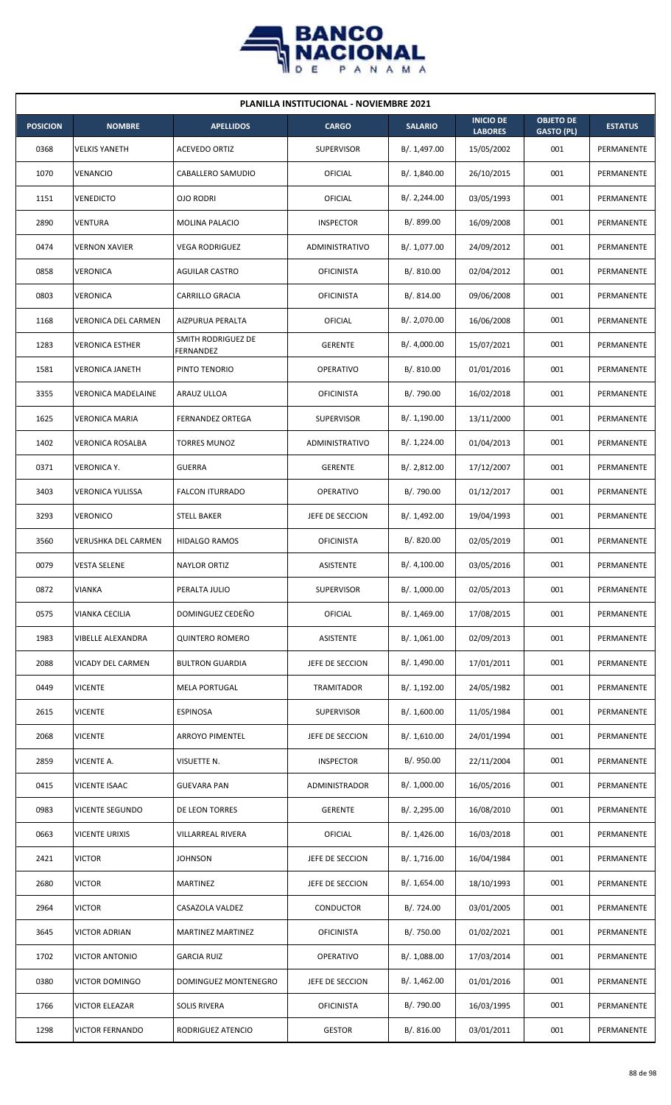

|                 | <b>PLANILLA INSTITUCIONAL - NOVIEMBRE 2021</b> |                                 |                      |                |                                    |                                       |                |  |  |  |  |
|-----------------|------------------------------------------------|---------------------------------|----------------------|----------------|------------------------------------|---------------------------------------|----------------|--|--|--|--|
| <b>POSICION</b> | <b>NOMBRE</b>                                  | <b>APELLIDOS</b>                | <b>CARGO</b>         | <b>SALARIO</b> | <b>INICIO DE</b><br><b>LABORES</b> | <b>OBJETO DE</b><br><b>GASTO (PL)</b> | <b>ESTATUS</b> |  |  |  |  |
| 0368            | <b>VELKIS YANETH</b>                           | <b>ACEVEDO ORTIZ</b>            | <b>SUPERVISOR</b>    | B/. 1,497.00   | 15/05/2002                         | 001                                   | PERMANENTE     |  |  |  |  |
| 1070            | VENANCIO                                       | CABALLERO SAMUDIO               | <b>OFICIAL</b>       | B/. 1,840.00   | 26/10/2015                         | 001                                   | PERMANENTE     |  |  |  |  |
| 1151            | <b>VENEDICTO</b>                               | <b>OJO RODRI</b>                | OFICIAL              | B/.2,244.00    | 03/05/1993                         | 001                                   | PERMANENTE     |  |  |  |  |
| 2890            | VENTURA                                        | MOLINA PALACIO                  | <b>INSPECTOR</b>     | B/. 899.00     | 16/09/2008                         | 001                                   | PERMANENTE     |  |  |  |  |
| 0474            | <b>VERNON XAVIER</b>                           | <b>VEGA RODRIGUEZ</b>           | ADMINISTRATIVO       | B/. 1,077.00   | 24/09/2012                         | 001                                   | PERMANENTE     |  |  |  |  |
| 0858            | VERONICA                                       | <b>AGUILAR CASTRO</b>           | <b>OFICINISTA</b>    | B/.810.00      | 02/04/2012                         | 001                                   | PERMANENTE     |  |  |  |  |
| 0803            | <b>VERONICA</b>                                | CARRILLO GRACIA                 | <b>OFICINISTA</b>    | B/.814.00      | 09/06/2008                         | 001                                   | PERMANENTE     |  |  |  |  |
| 1168            | <b>VERONICA DEL CARMEN</b>                     | AIZPURUA PERALTA                | <b>OFICIAL</b>       | B/. 2,070.00   | 16/06/2008                         | 001                                   | PERMANENTE     |  |  |  |  |
| 1283            | <b>VERONICA ESTHER</b>                         | SMITH RODRIGUEZ DE<br>FERNANDEZ | <b>GERENTE</b>       | B/. 4,000.00   | 15/07/2021                         | 001                                   | PERMANENTE     |  |  |  |  |
| 1581            | <b>VERONICA JANETH</b>                         | PINTO TENORIO                   | OPERATIVO            | B/. 810.00     | 01/01/2016                         | 001                                   | PERMANENTE     |  |  |  |  |
| 3355            | <b>VERONICA MADELAINE</b>                      | ARAUZ ULLOA                     | <b>OFICINISTA</b>    | B/. 790.00     | 16/02/2018                         | 001                                   | PERMANENTE     |  |  |  |  |
| 1625            | <b>VERONICA MARIA</b>                          | <b>FERNANDEZ ORTEGA</b>         | <b>SUPERVISOR</b>    | B/. 1,190.00   | 13/11/2000                         | 001                                   | PERMANENTE     |  |  |  |  |
| 1402            | VERONICA ROSALBA                               | TORRES MUNOZ                    | ADMINISTRATIVO       | B/. 1,224.00   | 01/04/2013                         | 001                                   | PERMANENTE     |  |  |  |  |
| 0371            | VERONICA Y.                                    | <b>GUERRA</b>                   | <b>GERENTE</b>       | B/.2,812.00    | 17/12/2007                         | 001                                   | PERMANENTE     |  |  |  |  |
| 3403            | VERONICA YULISSA                               | <b>FALCON ITURRADO</b>          | OPERATIVO            | B/. 790.00     | 01/12/2017                         | 001                                   | PERMANENTE     |  |  |  |  |
| 3293            | <b>VERONICO</b>                                | <b>STELL BAKER</b>              | JEFE DE SECCION      | B/. 1,492.00   | 19/04/1993                         | 001                                   | PERMANENTE     |  |  |  |  |
| 3560            | VERUSHKA DEL CARMEN                            | <b>HIDALGO RAMOS</b>            | <b>OFICINISTA</b>    | B/. 820.00     | 02/05/2019                         | 001                                   | PERMANENTE     |  |  |  |  |
| 0079            | <b>VESTA SELENE</b>                            | <b>NAYLOR ORTIZ</b>             | ASISTENTE            | B/.4,100.00    | 03/05/2016                         | 001                                   | PERMANENTE     |  |  |  |  |
| 0872            | <b>VIANKA</b>                                  | PERALTA JULIO                   | <b>SUPERVISOR</b>    | B/. 1,000.00   | 02/05/2013                         | 001                                   | PERMANENTE     |  |  |  |  |
| 0575            | VIANKA CECILIA                                 | DOMINGUEZ CEDEÑO                | <b>OFICIAL</b>       | B/. 1,469.00   | 17/08/2015                         | 001                                   | PERMANENTE     |  |  |  |  |
| 1983            | <b>VIBELLE ALEXANDRA</b>                       | <b>QUINTERO ROMERO</b>          | <b>ASISTENTE</b>     | B/. 1,061.00   | 02/09/2013                         | 001                                   | PERMANENTE     |  |  |  |  |
| 2088            | VICADY DEL CARMEN                              | <b>BULTRON GUARDIA</b>          | JEFE DE SECCION      | B/. 1,490.00   | 17/01/2011                         | 001                                   | PERMANENTE     |  |  |  |  |
| 0449            | <b>VICENTE</b>                                 | <b>MELA PORTUGAL</b>            | TRAMITADOR           | B/. 1,192.00   | 24/05/1982                         | 001                                   | PERMANENTE     |  |  |  |  |
| 2615            | <b>VICENTE</b>                                 | <b>ESPINOSA</b>                 | <b>SUPERVISOR</b>    | B/. 1,600.00   | 11/05/1984                         | 001                                   | PERMANENTE     |  |  |  |  |
| 2068            | <b>VICENTE</b>                                 | <b>ARROYO PIMENTEL</b>          | JEFE DE SECCION      | B/.1,610.00    | 24/01/1994                         | 001                                   | PERMANENTE     |  |  |  |  |
| 2859            | VICENTE A.                                     | VISUETTE N.                     | <b>INSPECTOR</b>     | B/. 950.00     | 22/11/2004                         | 001                                   | PERMANENTE     |  |  |  |  |
| 0415            | <b>VICENTE ISAAC</b>                           | <b>GUEVARA PAN</b>              | <b>ADMINISTRADOR</b> | B/. 1,000.00   | 16/05/2016                         | 001                                   | PERMANENTE     |  |  |  |  |
| 0983            | VICENTE SEGUNDO                                | DE LEON TORRES                  | <b>GERENTE</b>       | B/.2,295.00    | 16/08/2010                         | 001                                   | PERMANENTE     |  |  |  |  |
| 0663            | <b>VICENTE URIXIS</b>                          | VILLARREAL RIVERA               | <b>OFICIAL</b>       | B/.1,426.00    | 16/03/2018                         | 001                                   | PERMANENTE     |  |  |  |  |
| 2421            | <b>VICTOR</b>                                  | <b>JOHNSON</b>                  | JEFE DE SECCION      | B/. 1,716.00   | 16/04/1984                         | 001                                   | PERMANENTE     |  |  |  |  |
| 2680            | <b>VICTOR</b>                                  | MARTINEZ                        | JEFE DE SECCION      | B/. 1,654.00   | 18/10/1993                         | 001                                   | PERMANENTE     |  |  |  |  |
| 2964            | <b>VICTOR</b>                                  | CASAZOLA VALDEZ                 | CONDUCTOR            | B/. 724.00     | 03/01/2005                         | 001                                   | PERMANENTE     |  |  |  |  |
| 3645            | VICTOR ADRIAN                                  | MARTINEZ MARTINEZ               | <b>OFICINISTA</b>    | B/. 750.00     | 01/02/2021                         | 001                                   | PERMANENTE     |  |  |  |  |
| 1702            | <b>VICTOR ANTONIO</b>                          | <b>GARCIA RUIZ</b>              | OPERATIVO            | B/. 1,088.00   | 17/03/2014                         | 001                                   | PERMANENTE     |  |  |  |  |
| 0380            | <b>VICTOR DOMINGO</b>                          | <b>DOMINGUEZ MONTENEGRO</b>     | JEFE DE SECCION      | B/. 1,462.00   | 01/01/2016                         | 001                                   | PERMANENTE     |  |  |  |  |
| 1766            | <b>VICTOR ELEAZAR</b>                          | <b>SOLIS RIVERA</b>             | <b>OFICINISTA</b>    | B/. 790.00     | 16/03/1995                         | 001                                   | PERMANENTE     |  |  |  |  |
| 1298            | <b>VICTOR FERNANDO</b>                         | RODRIGUEZ ATENCIO               | <b>GESTOR</b>        | B/. 816.00     | 03/01/2011                         | 001                                   | PERMANENTE     |  |  |  |  |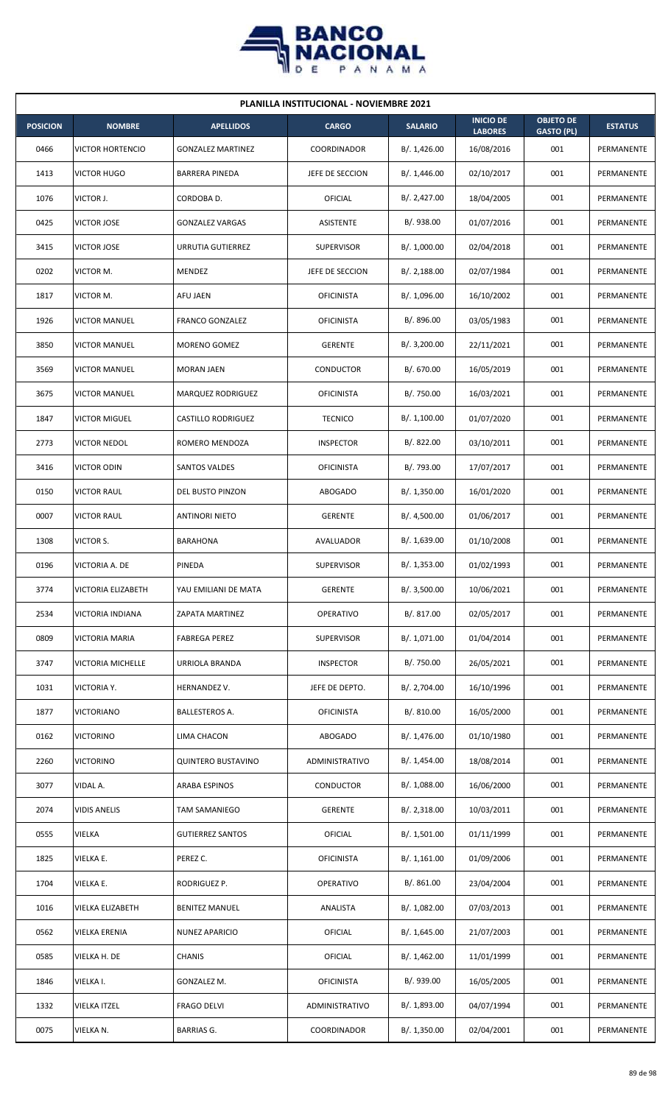

| <b>PLANILLA INSTITUCIONAL - NOVIEMBRE 2021</b> |                           |                           |                    |                |                                    |                                       |                |  |  |
|------------------------------------------------|---------------------------|---------------------------|--------------------|----------------|------------------------------------|---------------------------------------|----------------|--|--|
| <b>POSICION</b>                                | <b>NOMBRE</b>             | <b>APELLIDOS</b>          | <b>CARGO</b>       | <b>SALARIO</b> | <b>INICIO DE</b><br><b>LABORES</b> | <b>OBJETO DE</b><br><b>GASTO (PL)</b> | <b>ESTATUS</b> |  |  |
| 0466                                           | <b>VICTOR HORTENCIO</b>   | <b>GONZALEZ MARTINEZ</b>  | <b>COORDINADOR</b> | B/.1,426.00    | 16/08/2016                         | 001                                   | PERMANENTE     |  |  |
| 1413                                           | <b>VICTOR HUGO</b>        | <b>BARRERA PINEDA</b>     | JEFE DE SECCION    | B/.1,446.00    | 02/10/2017                         | 001                                   | PERMANENTE     |  |  |
| 1076                                           | VICTOR J.                 | CORDOBA D.                | OFICIAL            | B/.2,427.00    | 18/04/2005                         | 001                                   | PERMANENTE     |  |  |
| 0425                                           | <b>VICTOR JOSE</b>        | <b>GONZALEZ VARGAS</b>    | ASISTENTE          | B/. 938.00     | 01/07/2016                         | 001                                   | PERMANENTE     |  |  |
| 3415                                           | <b>VICTOR JOSE</b>        | URRUTIA GUTIERREZ         | <b>SUPERVISOR</b>  | B/. 1,000.00   | 02/04/2018                         | 001                                   | PERMANENTE     |  |  |
| 0202                                           | VICTOR M.                 | MENDEZ                    | JEFE DE SECCION    | B/.2,188.00    | 02/07/1984                         | 001                                   | PERMANENTE     |  |  |
| 1817                                           | VICTOR M.                 | AFU JAEN                  | <b>OFICINISTA</b>  | B/. 1,096.00   | 16/10/2002                         | 001                                   | PERMANENTE     |  |  |
| 1926                                           | <b>VICTOR MANUEL</b>      | <b>FRANCO GONZALEZ</b>    | <b>OFICINISTA</b>  | B/. 896.00     | 03/05/1983                         | 001                                   | PERMANENTE     |  |  |
| 3850                                           | <b>VICTOR MANUEL</b>      | MORENO GOMEZ              | <b>GERENTE</b>     | B/.3,200.00    | 22/11/2021                         | 001                                   | PERMANENTE     |  |  |
| 3569                                           | <b>VICTOR MANUEL</b>      | <b>MORAN JAEN</b>         | CONDUCTOR          | B/. 670.00     | 16/05/2019                         | 001                                   | PERMANENTE     |  |  |
| 3675                                           | <b>VICTOR MANUEL</b>      | MARQUEZ RODRIGUEZ         | <b>OFICINISTA</b>  | B/. 750.00     | 16/03/2021                         | 001                                   | PERMANENTE     |  |  |
| 1847                                           | <b>VICTOR MIGUEL</b>      | <b>CASTILLO RODRIGUEZ</b> | <b>TECNICO</b>     | B/. 1,100.00   | 01/07/2020                         | 001                                   | PERMANENTE     |  |  |
| 2773                                           | <b>VICTOR NEDOL</b>       | ROMERO MENDOZA            | <b>INSPECTOR</b>   | B/.822.00      | 03/10/2011                         | 001                                   | PERMANENTE     |  |  |
| 3416                                           | <b>VICTOR ODIN</b>        | SANTOS VALDES             | <b>OFICINISTA</b>  | B/. 793.00     | 17/07/2017                         | 001                                   | PERMANENTE     |  |  |
| 0150                                           | <b>VICTOR RAUL</b>        | DEL BUSTO PINZON          | ABOGADO            | B/.1,350.00    | 16/01/2020                         | 001                                   | PERMANENTE     |  |  |
| 0007                                           | <b>VICTOR RAUL</b>        | <b>ANTINORI NIETO</b>     | <b>GERENTE</b>     | B/. 4,500.00   | 01/06/2017                         | 001                                   | PERMANENTE     |  |  |
| 1308                                           | VICTOR S.                 | BARAHONA                  | AVALUADOR          | B/. 1,639.00   | 01/10/2008                         | 001                                   | PERMANENTE     |  |  |
| 0196                                           | VICTORIA A. DE            | PINEDA                    | <b>SUPERVISOR</b>  | B/. 1,353.00   | 01/02/1993                         | 001                                   | PERMANENTE     |  |  |
| 3774                                           | <b>VICTORIA ELIZABETH</b> | YAU EMILIANI DE MATA      | GERENTE            | B/. 3,500.00   | 10/06/2021                         | 001                                   | PERMANENTE     |  |  |
| 2534                                           | VICTORIA INDIANA          | ZAPATA MARTINEZ           | OPERATIVO          | B/. 817.00     | 02/05/2017                         | 001                                   | PERMANENTE     |  |  |
| 0809                                           | VICTORIA MARIA            | <b>FABREGA PEREZ</b>      | SUPERVISOR         | B/. 1,071.00   | 01/04/2014                         | 001                                   | PERMANENTE     |  |  |
| 3747                                           | VICTORIA MICHELLE         | URRIOLA BRANDA            | <b>INSPECTOR</b>   | B/. 750.00     | 26/05/2021                         | 001                                   | PERMANENTE     |  |  |
| 1031                                           | VICTORIA Y.               | HERNANDEZ V.              | JEFE DE DEPTO.     | B/. 2,704.00   | 16/10/1996                         | 001                                   | PERMANENTE     |  |  |
| 1877                                           | <b>VICTORIANO</b>         | <b>BALLESTEROS A.</b>     | <b>OFICINISTA</b>  | B/.810.00      | 16/05/2000                         | 001                                   | PERMANENTE     |  |  |
| 0162                                           | <b>VICTORINO</b>          | LIMA CHACON               | ABOGADO            | B/. 1,476.00   | 01/10/1980                         | 001                                   | PERMANENTE     |  |  |
| 2260                                           | <b>VICTORINO</b>          | QUINTERO BUSTAVINO        | ADMINISTRATIVO     | B/.1,454.00    | 18/08/2014                         | 001                                   | PERMANENTE     |  |  |
| 3077                                           | VIDAL A.                  | ARABA ESPINOS             | CONDUCTOR          | B/. 1,088.00   | 16/06/2000                         | 001                                   | PERMANENTE     |  |  |
| 2074                                           | <b>VIDIS ANELIS</b>       | <b>TAM SAMANIEGO</b>      | <b>GERENTE</b>     | B/.2,318.00    | 10/03/2011                         | 001                                   | PERMANENTE     |  |  |
| 0555                                           | VIELKA                    | <b>GUTIERREZ SANTOS</b>   | <b>OFICIAL</b>     | B/. 1,501.00   | 01/11/1999                         | 001                                   | PERMANENTE     |  |  |
| 1825                                           | VIELKA E.                 | PEREZ C.                  | <b>OFICINISTA</b>  | B/.1,161.00    | 01/09/2006                         | 001                                   | PERMANENTE     |  |  |
| 1704                                           | VIELKA E.                 | RODRIGUEZ P.              | OPERATIVO          | B/.861.00      | 23/04/2004                         | 001                                   | PERMANENTE     |  |  |
| 1016                                           | VIELKA ELIZABETH          | <b>BENITEZ MANUEL</b>     | ANALISTA           | B/. 1,082.00   | 07/03/2013                         | 001                                   | PERMANENTE     |  |  |
| 0562                                           | VIELKA ERENIA             | NUNEZ APARICIO            | OFICIAL            | B/. 1,645.00   | 21/07/2003                         | 001                                   | PERMANENTE     |  |  |
| 0585                                           | VIELKA H. DE              | <b>CHANIS</b>             | OFICIAL            | B/. 1,462.00   | 11/01/1999                         | 001                                   | PERMANENTE     |  |  |
| 1846                                           | VIELKA I.                 | GONZALEZ M.               | <b>OFICINISTA</b>  | B/. 939.00     | 16/05/2005                         | 001                                   | PERMANENTE     |  |  |
| 1332                                           | <b>VIELKA ITZEL</b>       | <b>FRAGO DELVI</b>        | ADMINISTRATIVO     | B/. 1,893.00   | 04/07/1994                         | 001                                   | PERMANENTE     |  |  |
| 0075                                           | VIELKA N.                 | <b>BARRIAS G.</b>         | COORDINADOR        | B/.1,350.00    | 02/04/2001                         | 001                                   | PERMANENTE     |  |  |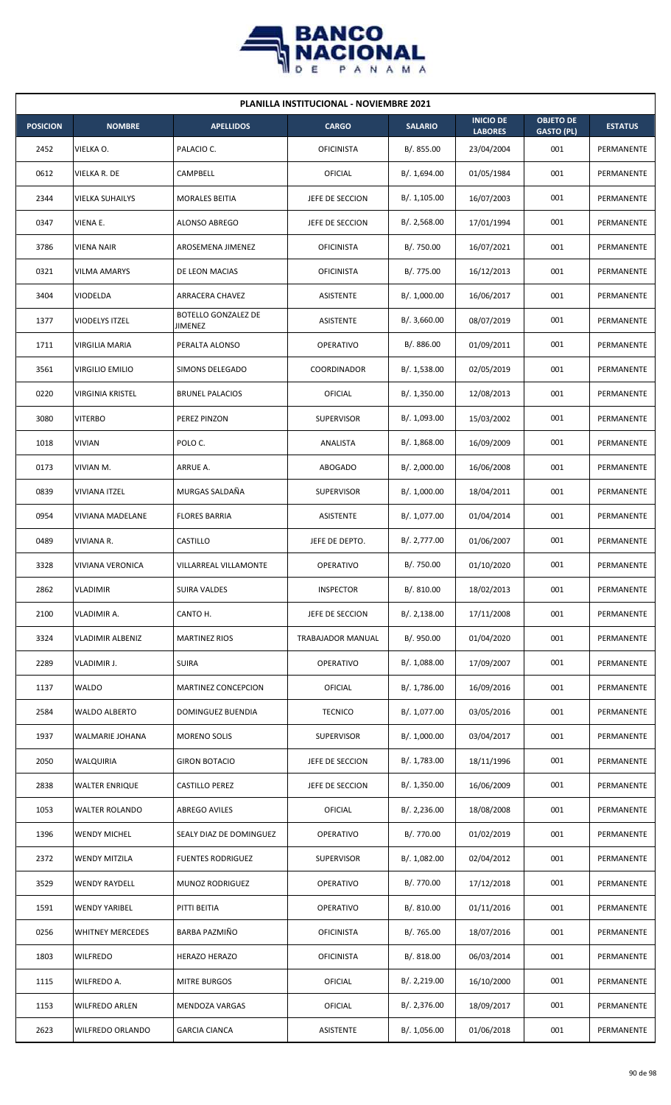

| <b>PLANILLA INSTITUCIONAL - NOVIEMBRE 2021</b> |                         |                                |                   |                |                                    |                                       |                |  |  |
|------------------------------------------------|-------------------------|--------------------------------|-------------------|----------------|------------------------------------|---------------------------------------|----------------|--|--|
| <b>POSICION</b>                                | <b>NOMBRE</b>           | <b>APELLIDOS</b>               | <b>CARGO</b>      | <b>SALARIO</b> | <b>INICIO DE</b><br><b>LABORES</b> | <b>OBJETO DE</b><br><b>GASTO (PL)</b> | <b>ESTATUS</b> |  |  |
| 2452                                           | VIELKA O.               | PALACIO C.                     | <b>OFICINISTA</b> | B/. 855.00     | 23/04/2004                         | 001                                   | PERMANENTE     |  |  |
| 0612                                           | VIELKA R. DE            | CAMPBELL                       | OFICIAL           | B/. 1,694.00   | 01/05/1984                         | 001                                   | PERMANENTE     |  |  |
| 2344                                           | VIELKA SUHAILYS         | <b>MORALES BEITIA</b>          | JEFE DE SECCION   | B/. 1,105.00   | 16/07/2003                         | 001                                   | PERMANENTE     |  |  |
| 0347                                           | VIENA E.                | ALONSO ABREGO                  | JEFE DE SECCION   | B/. 2,568.00   | 17/01/1994                         | 001                                   | PERMANENTE     |  |  |
| 3786                                           | <b>VIENA NAIR</b>       | AROSEMENA JIMENEZ              | <b>OFICINISTA</b> | B/. 750.00     | 16/07/2021                         | 001                                   | PERMANENTE     |  |  |
| 0321                                           | VILMA AMARYS            | DE LEON MACIAS                 | <b>OFICINISTA</b> | B/. 775.00     | 16/12/2013                         | 001                                   | PERMANENTE     |  |  |
| 3404                                           | <b>VIODELDA</b>         | <b>ARRACERA CHAVEZ</b>         | ASISTENTE         | B/. 1,000.00   | 16/06/2017                         | 001                                   | PERMANENTE     |  |  |
| 1377                                           | <b>VIODELYS ITZEL</b>   | BOTELLO GONZALEZ DE<br>JIMENEZ | <b>ASISTENTE</b>  | B/.3,660.00    | 08/07/2019                         | 001                                   | PERMANENTE     |  |  |
| 1711                                           | VIRGILIA MARIA          | PERALTA ALONSO                 | <b>OPERATIVO</b>  | B/0.886.00     | 01/09/2011                         | 001                                   | PERMANENTE     |  |  |
| 3561                                           | VIRGILIO EMILIO         | SIMONS DELEGADO                | COORDINADOR       | B/. 1,538.00   | 02/05/2019                         | 001                                   | PERMANENTE     |  |  |
| 0220                                           | <b>VIRGINIA KRISTEL</b> | <b>BRUNEL PALACIOS</b>         | OFICIAL           | B/. 1,350.00   | 12/08/2013                         | 001                                   | PERMANENTE     |  |  |
| 3080                                           | <b>VITERBO</b>          | PEREZ PINZON                   | <b>SUPERVISOR</b> | B/. 1,093.00   | 15/03/2002                         | 001                                   | PERMANENTE     |  |  |
| 1018                                           | <b>VIVIAN</b>           | POLO C.                        | ANALISTA          | B/. 1,868.00   | 16/09/2009                         | 001                                   | PERMANENTE     |  |  |
| 0173                                           | VIVIAN M.               | ARRUE A.                       | ABOGADO           | B/.2,000.00    | 16/06/2008                         | 001                                   | PERMANENTE     |  |  |
| 0839                                           | <b>VIVIANA ITZEL</b>    | MURGAS SALDAÑA                 | <b>SUPERVISOR</b> | B/. 1,000.00   | 18/04/2011                         | 001                                   | PERMANENTE     |  |  |
| 0954                                           | VIVIANA MADELANE        | <b>FLORES BARRIA</b>           | <b>ASISTENTE</b>  | B/. 1,077.00   | 01/04/2014                         | 001                                   | PERMANENTE     |  |  |
| 0489                                           | VIVIANA R.              | CASTILLO                       | JEFE DE DEPTO.    | B/. 2,777.00   | 01/06/2007                         | 001                                   | PERMANENTE     |  |  |
| 3328                                           | <b>VIVIANA VERONICA</b> | <b>VILLARREAL VILLAMONTE</b>   | <b>OPERATIVO</b>  | B/. 750.00     | 01/10/2020                         | 001                                   | PERMANENTE     |  |  |
| 2862                                           | <b>VLADIMIR</b>         | SUIRA VALDES                   | <b>INSPECTOR</b>  | B/. 810.00     | 18/02/2013                         | 001                                   | PERMANENTE     |  |  |
| 2100                                           | VLADIMIR A.             | CANTO H.                       | JEFE DE SECCION   | B/.2,138.00    | 17/11/2008                         | 001                                   | PERMANENTE     |  |  |
| 3324                                           | <b>VLADIMIR ALBENIZ</b> | <b>MARTINEZ RIOS</b>           | TRABAJADOR MANUAL | B/. 950.00     | 01/04/2020                         | 001                                   | PERMANENTE     |  |  |
| 2289                                           | VLADIMIR J.             | <b>SUIRA</b>                   | <b>OPERATIVO</b>  | B/. 1,088.00   | 17/09/2007                         | 001                                   | PERMANENTE     |  |  |
| 1137                                           | <b>WALDO</b>            | MARTINEZ CONCEPCION            | OFICIAL           | B/. 1,786.00   | 16/09/2016                         | 001                                   | PERMANENTE     |  |  |
| 2584                                           | <b>WALDO ALBERTO</b>    | DOMINGUEZ BUENDIA              | <b>TECNICO</b>    | B/. 1,077.00   | 03/05/2016                         | 001                                   | PERMANENTE     |  |  |
| 1937                                           | <b>WALMARIE JOHANA</b>  | <b>MORENO SOLIS</b>            | SUPERVISOR        | B/. 1,000.00   | 03/04/2017                         | 001                                   | PERMANENTE     |  |  |
| 2050                                           | WALQUIRIA               | <b>GIRON BOTACIO</b>           | JEFE DE SECCION   | B/. 1,783.00   | 18/11/1996                         | 001                                   | PERMANENTE     |  |  |
| 2838                                           | <b>WALTER ENRIQUE</b>   | <b>CASTILLO PEREZ</b>          | JEFE DE SECCION   | B/.1,350.00    | 16/06/2009                         | 001                                   | PERMANENTE     |  |  |
| 1053                                           | <b>WALTER ROLANDO</b>   | ABREGO AVILES                  | OFICIAL           | B/. 2,236.00   | 18/08/2008                         | 001                                   | PERMANENTE     |  |  |
| 1396                                           | <b>WENDY MICHEL</b>     | SEALY DIAZ DE DOMINGUEZ        | OPERATIVO         | B/. 770.00     | 01/02/2019                         | 001                                   | PERMANENTE     |  |  |
| 2372                                           | <b>WENDY MITZILA</b>    | <b>FUENTES RODRIGUEZ</b>       | <b>SUPERVISOR</b> | B/. 1,082.00   | 02/04/2012                         | 001                                   | PERMANENTE     |  |  |
| 3529                                           | <b>WENDY RAYDELL</b>    | MUNOZ RODRIGUEZ                | OPERATIVO         | B/. 770.00     | 17/12/2018                         | 001                                   | PERMANENTE     |  |  |
| 1591                                           | <b>WENDY YARIBEL</b>    | PITTI BEITIA                   | <b>OPERATIVO</b>  | B/. 810.00     | 01/11/2016                         | 001                                   | PERMANENTE     |  |  |
| 0256                                           | <b>WHITNEY MERCEDES</b> | BARBA PAZMIÑO                  | <b>OFICINISTA</b> | B/. 765.00     | 18/07/2016                         | 001                                   | PERMANENTE     |  |  |
| 1803                                           | <b>WILFREDO</b>         | <b>HERAZO HERAZO</b>           | <b>OFICINISTA</b> | B/. 818.00     | 06/03/2014                         | 001                                   | PERMANENTE     |  |  |
| 1115                                           | WILFREDO A.             | <b>MITRE BURGOS</b>            | OFICIAL           | B/.2,219.00    | 16/10/2000                         | 001                                   | PERMANENTE     |  |  |
| 1153                                           | <b>WILFREDO ARLEN</b>   | MENDOZA VARGAS                 | OFICIAL           | B/.2,376.00    | 18/09/2017                         | 001                                   | PERMANENTE     |  |  |
| 2623                                           | WILFREDO ORLANDO        | <b>GARCIA CIANCA</b>           | ASISTENTE         | B/. 1,056.00   | 01/06/2018                         | 001                                   | PERMANENTE     |  |  |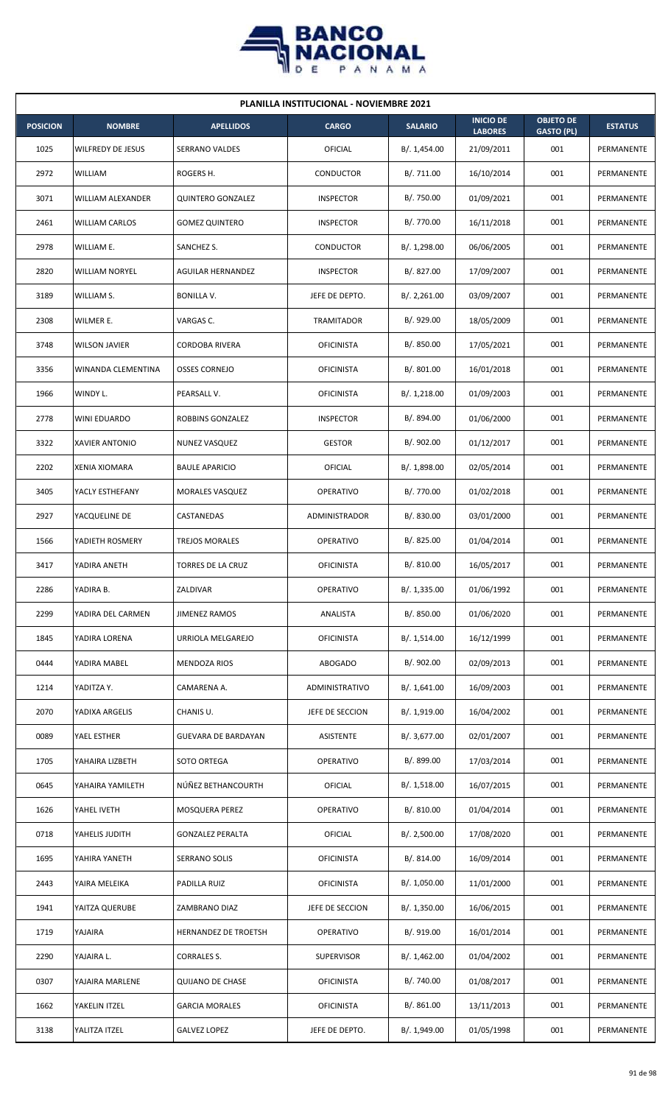

| <b>PLANILLA INSTITUCIONAL - NOVIEMBRE 2021</b> |                          |                          |                   |                |                                    |                                       |                |  |  |
|------------------------------------------------|--------------------------|--------------------------|-------------------|----------------|------------------------------------|---------------------------------------|----------------|--|--|
| <b>POSICION</b>                                | <b>NOMBRE</b>            | <b>APELLIDOS</b>         | <b>CARGO</b>      | <b>SALARIO</b> | <b>INICIO DE</b><br><b>LABORES</b> | <b>OBJETO DE</b><br><b>GASTO (PL)</b> | <b>ESTATUS</b> |  |  |
| 1025                                           | <b>WILFREDY DE JESUS</b> | SERRANO VALDES           | <b>OFICIAL</b>    | B/. 1,454.00   | 21/09/2011                         | 001                                   | PERMANENTE     |  |  |
| 2972                                           | WILLIAM                  | ROGERS H.                | CONDUCTOR         | B/. 711.00     | 16/10/2014                         | 001                                   | PERMANENTE     |  |  |
| 3071                                           | WILLIAM ALEXANDER        | <b>QUINTERO GONZALEZ</b> | <b>INSPECTOR</b>  | B/. 750.00     | 01/09/2021                         | 001                                   | PERMANENTE     |  |  |
| 2461                                           | <b>WILLIAM CARLOS</b>    | <b>GOMEZ QUINTERO</b>    | <b>INSPECTOR</b>  | B/. 770.00     | 16/11/2018                         | 001                                   | PERMANENTE     |  |  |
| 2978                                           | WILLIAM E.               | SANCHEZ S.               | CONDUCTOR         | B/. 1,298.00   | 06/06/2005                         | 001                                   | PERMANENTE     |  |  |
| 2820                                           | <b>WILLIAM NORYEL</b>    | AGUILAR HERNANDEZ        | <b>INSPECTOR</b>  | B/. 827.00     | 17/09/2007                         | 001                                   | PERMANENTE     |  |  |
| 3189                                           | WILLIAM S.               | BONILLA V.               | JEFE DE DEPTO.    | B/.2,261.00    | 03/09/2007                         | 001                                   | PERMANENTE     |  |  |
| 2308                                           | WILMER E.                | VARGAS C.                | <b>TRAMITADOR</b> | B/. 929.00     | 18/05/2009                         | 001                                   | PERMANENTE     |  |  |
| 3748                                           | <b>WILSON JAVIER</b>     | <b>CORDOBA RIVERA</b>    | <b>OFICINISTA</b> | B/. 850.00     | 17/05/2021                         | 001                                   | PERMANENTE     |  |  |
| 3356                                           | WINANDA CLEMENTINA       | <b>OSSES CORNEJO</b>     | <b>OFICINISTA</b> | B/. 801.00     | 16/01/2018                         | 001                                   | PERMANENTE     |  |  |
| 1966                                           | WINDY L.                 | PEARSALL V.              | <b>OFICINISTA</b> | B/. 1,218.00   | 01/09/2003                         | 001                                   | PERMANENTE     |  |  |
| 2778                                           | WINI EDUARDO             | ROBBINS GONZALEZ         | <b>INSPECTOR</b>  | B/. 894.00     | 01/06/2000                         | 001                                   | PERMANENTE     |  |  |
| 3322                                           | XAVIER ANTONIO           | NUNEZ VASQUEZ            | <b>GESTOR</b>     | B/. 902.00     | 01/12/2017                         | 001                                   | PERMANENTE     |  |  |
| 2202                                           | <b>XENIA XIOMARA</b>     | <b>BAULE APARICIO</b>    | <b>OFICIAL</b>    | B/. 1,898.00   | 02/05/2014                         | 001                                   | PERMANENTE     |  |  |
| 3405                                           | YACLY ESTHEFANY          | <b>MORALES VASQUEZ</b>   | <b>OPERATIVO</b>  | B/. 770.00     | 01/02/2018                         | 001                                   | PERMANENTE     |  |  |
| 2927                                           | YACQUELINE DE            | CASTANEDAS               | ADMINISTRADOR     | B/. 830.00     | 03/01/2000                         | 001                                   | PERMANENTE     |  |  |
| 1566                                           | YADIETH ROSMERY          | <b>TREJOS MORALES</b>    | <b>OPERATIVO</b>  | B/.825.00      | 01/04/2014                         | 001                                   | PERMANENTE     |  |  |
| 3417                                           | YADIRA ANETH             | TORRES DE LA CRUZ        | <b>OFICINISTA</b> | B/. 810.00     | 16/05/2017                         | 001                                   | PERMANENTE     |  |  |
| 2286                                           | YADIRA B.                | ZALDIVAR                 | OPERATIVO         | B/. 1,335.00   | 01/06/1992                         | 001                                   | PERMANENTE     |  |  |
| 2299                                           | YADIRA DEL CARMEN        | <b>JIMENEZ RAMOS</b>     | ANALISTA          | B/. 850.00     | 01/06/2020                         | 001                                   | PERMANENTE     |  |  |
| 1845                                           | YADIRA LORENA            | <b>URRIOLA MELGAREJO</b> | <b>OFICINISTA</b> | B/. 1,514.00   | 16/12/1999                         | 001                                   | PERMANENTE     |  |  |
| 0444                                           | YADIRA MABEL             | <b>MENDOZA RIOS</b>      | ABOGADO           | B/. 902.00     | 02/09/2013                         | 001                                   | PERMANENTE     |  |  |
| 1214                                           | YADITZA Y.               | CAMARENA A.              | ADMINISTRATIVO    | B/.1,641.00    | 16/09/2003                         | 001                                   | PERMANENTE     |  |  |
| 2070                                           | YADIXA ARGELIS           | CHANIS U.                | JEFE DE SECCION   | B/. 1,919.00   | 16/04/2002                         | 001                                   | PERMANENTE     |  |  |
| 0089                                           | YAEL ESTHER              | GUEVARA DE BARDAYAN      | ASISTENTE         | B/. 3,677.00   | 02/01/2007                         | 001                                   | PERMANENTE     |  |  |
| 1705                                           | YAHAIRA LIZBETH          | SOTO ORTEGA              | <b>OPERATIVO</b>  | B/. 899.00     | 17/03/2014                         | 001                                   | PERMANENTE     |  |  |
| 0645                                           | YAHAIRA YAMILETH         | NÚÑEZ BETHANCOURTH       | <b>OFICIAL</b>    | B/.1,518.00    | 16/07/2015                         | 001                                   | PERMANENTE     |  |  |
| 1626                                           | YAHEL IVETH              | MOSQUERA PEREZ           | OPERATIVO         | B/. 810.00     | 01/04/2014                         | 001                                   | PERMANENTE     |  |  |
| 0718                                           | YAHELIS JUDITH           | <b>GONZALEZ PERALTA</b>  | OFICIAL           | B/.2,500.00    | 17/08/2020                         | 001                                   | PERMANENTE     |  |  |
| 1695                                           | YAHIRA YANETH            | SERRANO SOLIS            | <b>OFICINISTA</b> | B/. 814.00     | 16/09/2014                         | 001                                   | PERMANENTE     |  |  |
| 2443                                           | YAIRA MELEIKA            | PADILLA RUIZ             | <b>OFICINISTA</b> | B/. 1,050.00   | 11/01/2000                         | 001                                   | PERMANENTE     |  |  |
| 1941                                           | YAITZA QUERUBE           | ZAMBRANO DIAZ            | JEFE DE SECCION   | B/.1,350.00    | 16/06/2015                         | 001                                   | PERMANENTE     |  |  |
| 1719                                           | YAJAIRA                  | HERNANDEZ DE TROETSH     | OPERATIVO         | B/. 919.00     | 16/01/2014                         | 001                                   | PERMANENTE     |  |  |
| 2290                                           | YAJAIRA L.               | <b>CORRALES S.</b>       | <b>SUPERVISOR</b> | B/. 1,462.00   | 01/04/2002                         | 001                                   | PERMANENTE     |  |  |
| 0307                                           | YAJAIRA MARLENE          | <b>QUIJANO DE CHASE</b>  | <b>OFICINISTA</b> | B/. 740.00     | 01/08/2017                         | 001                                   | PERMANENTE     |  |  |
| 1662                                           | YAKELIN ITZEL            | <b>GARCIA MORALES</b>    | <b>OFICINISTA</b> | B/. 861.00     | 13/11/2013                         | 001                                   | PERMANENTE     |  |  |
| 3138                                           | YALITZA ITZEL            | <b>GALVEZ LOPEZ</b>      | JEFE DE DEPTO.    | B/. 1,949.00   | 01/05/1998                         | 001                                   | PERMANENTE     |  |  |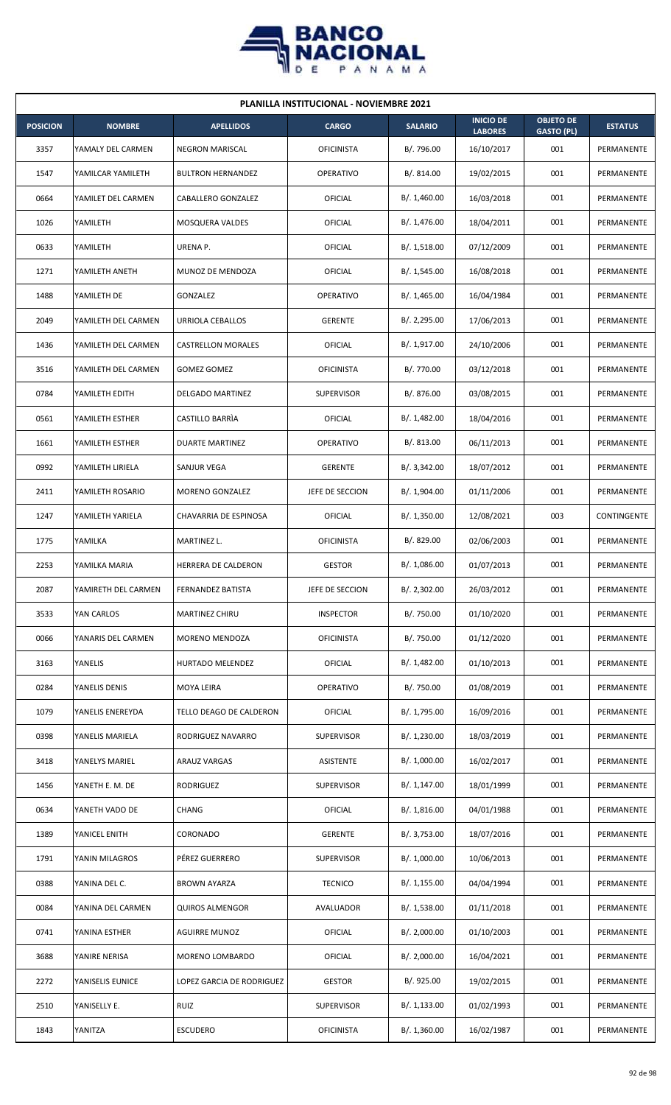

| <b>PLANILLA INSTITUCIONAL - NOVIEMBRE 2021</b> |                     |                           |                   |                |                                    |                                       |                   |  |  |
|------------------------------------------------|---------------------|---------------------------|-------------------|----------------|------------------------------------|---------------------------------------|-------------------|--|--|
| <b>POSICION</b>                                | <b>NOMBRE</b>       | <b>APELLIDOS</b>          | <b>CARGO</b>      | <b>SALARIO</b> | <b>INICIO DE</b><br><b>LABORES</b> | <b>OBJETO DE</b><br><b>GASTO (PL)</b> | <b>ESTATUS</b>    |  |  |
| 3357                                           | YAMALY DEL CARMEN   | <b>NEGRON MARISCAL</b>    | <b>OFICINISTA</b> | B/. 796.00     | 16/10/2017                         | 001                                   | PERMANENTE        |  |  |
| 1547                                           | YAMILCAR YAMILETH   | <b>BULTRON HERNANDEZ</b>  | <b>OPERATIVO</b>  | B/. 814.00     | 19/02/2015                         | 001                                   | PERMANENTE        |  |  |
| 0664                                           | YAMILET DEL CARMEN  | CABALLERO GONZALEZ        | <b>OFICIAL</b>    | B/. 1,460.00   | 16/03/2018                         | 001                                   | PERMANENTE        |  |  |
| 1026                                           | YAMILETH            | MOSQUERA VALDES           | OFICIAL           | B/.1,476.00    | 18/04/2011                         | 001                                   | PERMANENTE        |  |  |
| 0633                                           | YAMILETH            | URENA P.                  | OFICIAL           | B/.1,518.00    | 07/12/2009                         | 001                                   | PERMANENTE        |  |  |
| 1271                                           | YAMILETH ANETH      | MUNOZ DE MENDOZA          | OFICIAL           | B/. 1,545.00   | 16/08/2018                         | 001                                   | PERMANENTE        |  |  |
| 1488                                           | YAMILETH DE         | GONZALEZ                  | <b>OPERATIVO</b>  | B/.1,465.00    | 16/04/1984                         | 001                                   | PERMANENTE        |  |  |
| 2049                                           | YAMILETH DEL CARMEN | URRIOLA CEBALLOS          | <b>GERENTE</b>    | B/.2,295.00    | 17/06/2013                         | 001                                   | PERMANENTE        |  |  |
| 1436                                           | YAMILETH DEL CARMEN | <b>CASTRELLON MORALES</b> | OFICIAL           | B/. 1,917.00   | 24/10/2006                         | 001                                   | PERMANENTE        |  |  |
| 3516                                           | YAMILETH DEL CARMEN | <b>GOMEZ GOMEZ</b>        | <b>OFICINISTA</b> | B/. 770.00     | 03/12/2018                         | 001                                   | PERMANENTE        |  |  |
| 0784                                           | YAMILETH EDITH      | <b>DELGADO MARTINEZ</b>   | <b>SUPERVISOR</b> | B/. 876.00     | 03/08/2015                         | 001                                   | PERMANENTE        |  |  |
| 0561                                           | YAMILETH ESTHER     | CASTILLO BARRIA           | OFICIAL           | B/.1,482.00    | 18/04/2016                         | 001                                   | PERMANENTE        |  |  |
| 1661                                           | YAMILETH ESTHER     | <b>DUARTE MARTINEZ</b>    | <b>OPERATIVO</b>  | B/.813.00      | 06/11/2013                         | 001                                   | PERMANENTE        |  |  |
| 0992                                           | YAMILETH LIRIELA    | SANJUR VEGA               | <b>GERENTE</b>    | B/.3,342.00    | 18/07/2012                         | 001                                   | PERMANENTE        |  |  |
| 2411                                           | YAMILETH ROSARIO    | MORENO GONZALEZ           | JEFE DE SECCION   | B/. 1,904.00   | 01/11/2006                         | 001                                   | PERMANENTE        |  |  |
| 1247                                           | YAMILETH YARIELA    | CHAVARRIA DE ESPINOSA     | OFICIAL           | B/.1,350.00    | 12/08/2021                         | 003                                   | CONTINGENTE       |  |  |
| 1775                                           | YAMILKA             | MARTINEZ L.               | <b>OFICINISTA</b> | B/. 829.00     | 02/06/2003                         | 001                                   | PERMANENTE        |  |  |
| 2253                                           | YAMILKA MARIA       | HERRERA DE CALDERON       | <b>GESTOR</b>     | B/. 1,086.00   | 01/07/2013                         | 001                                   | PERMANENTE        |  |  |
| 2087                                           | YAMIRETH DEL CARMEN | FERNANDEZ BATISTA         | JEFE DE SECCION   | B/.2,302.00    | 26/03/2012                         | 001                                   | PERMANENTE        |  |  |
| 3533                                           | YAN CARLOS          | MARTINEZ CHIRU            | <b>INSPECTOR</b>  | B/. 750.00     | 01/10/2020                         | 001                                   | PERMANENTE        |  |  |
| 0066                                           | YANARIS DEL CARMEN  | MORENO MENDOZA            | <b>OFICINISTA</b> | B/. 750.00     | 01/12/2020                         | 001                                   | PERMANENTE        |  |  |
| 3163                                           | YANELIS             | HURTADO MELENDEZ          | OFICIAL           | B/. 1,482.00   | 01/10/2013                         | 001                                   | PERMANENTE        |  |  |
| 0284                                           | YANELIS DENIS       | MOYA LEIRA                | OPERATIVO         | B/. 750.00     | 01/08/2019                         | 001                                   | PERMANENTE        |  |  |
| 1079                                           | YANELIS ENEREYDA    | TELLO DEAGO DE CALDERON   | OFICIAL           | B/. 1,795.00   | 16/09/2016                         | 001                                   | PERMANENTE        |  |  |
| 0398                                           | YANELIS MARIELA     | RODRIGUEZ NAVARRO         | <b>SUPERVISOR</b> | B/. 1,230.00   | 18/03/2019                         | 001                                   | PERMANENTE        |  |  |
| 3418                                           | YANELYS MARIEL      | ARAUZ VARGAS              | ASISTENTE         | B/. 1,000.00   | 16/02/2017                         | 001                                   | PERMANENTE        |  |  |
| 1456                                           | YANETH E. M. DE     | <b>RODRIGUEZ</b>          | SUPERVISOR        | B/.1,147.00    | 18/01/1999                         | 001                                   | PERMANENTE        |  |  |
| 0634                                           | YANETH VADO DE      | CHANG                     | <b>OFICIAL</b>    | B/.1,816.00    | 04/01/1988                         | 001                                   | PERMANENTE        |  |  |
| 1389                                           | YANICEL ENITH       | CORONADO                  | <b>GERENTE</b>    | B/. 3,753.00   | 18/07/2016                         | 001                                   | PERMANENTE        |  |  |
| 1791                                           | YANIN MILAGROS      | PÉREZ GUERRERO            | <b>SUPERVISOR</b> | B/. 1,000.00   | 10/06/2013                         | 001                                   | PERMANENTE        |  |  |
| 0388                                           | YANINA DEL C.       | BROWN AYARZA              | <b>TECNICO</b>    | B/. 1,155.00   | 04/04/1994                         | 001                                   | PERMANENTE        |  |  |
| 0084                                           | YANINA DEL CARMEN   | QUIROS ALMENGOR           | AVALUADOR         | B/. 1,538.00   | 01/11/2018                         | 001                                   | PERMANENTE        |  |  |
| 0741                                           | YANINA ESTHER       | <b>AGUIRRE MUNOZ</b>      | OFICIAL           | B/.2,000.00    | 01/10/2003                         | 001                                   | PERMANENTE        |  |  |
| 3688                                           | YANIRE NERISA       | MORENO LOMBARDO           | OFICIAL           | B/.2,000.00    | 16/04/2021                         | 001                                   | <b>PERMANENTE</b> |  |  |
| 2272                                           | YANISELIS EUNICE    | LOPEZ GARCIA DE RODRIGUEZ | <b>GESTOR</b>     | B/. 925.00     | 19/02/2015                         | 001                                   | PERMANENTE        |  |  |
| 2510                                           | YANISELLY E.        | <b>RUIZ</b>               | <b>SUPERVISOR</b> | B/. 1,133.00   | 01/02/1993                         | 001                                   | PERMANENTE        |  |  |
| 1843                                           | YANITZA             | <b>ESCUDERO</b>           | <b>OFICINISTA</b> | B/.1,360.00    | 16/02/1987                         | 001                                   | <b>PERMANENTE</b> |  |  |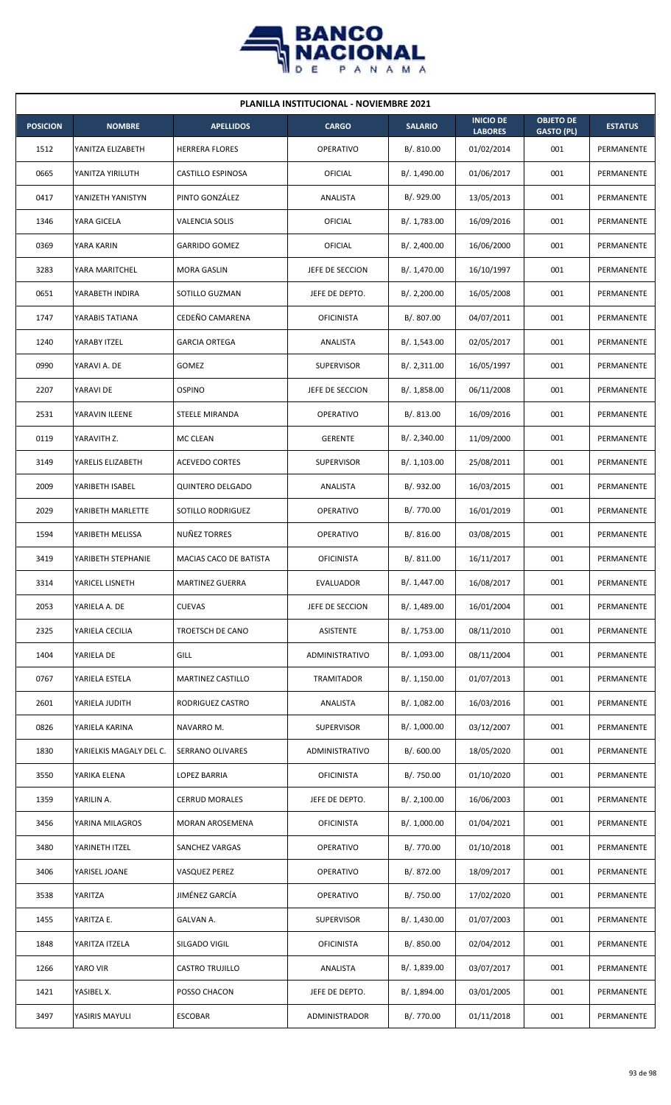

| <b>PLANILLA INSTITUCIONAL - NOVIEMBRE 2021</b> |                         |                          |                   |                |                                    |                                       |                |  |  |
|------------------------------------------------|-------------------------|--------------------------|-------------------|----------------|------------------------------------|---------------------------------------|----------------|--|--|
| <b>POSICION</b>                                | <b>NOMBRE</b>           | <b>APELLIDOS</b>         | <b>CARGO</b>      | <b>SALARIO</b> | <b>INICIO DE</b><br><b>LABORES</b> | <b>OBJETO DE</b><br><b>GASTO (PL)</b> | <b>ESTATUS</b> |  |  |
| 1512                                           | YANITZA ELIZABETH       | <b>HERRERA FLORES</b>    | <b>OPERATIVO</b>  | B/.810.00      | 01/02/2014                         | 001                                   | PERMANENTE     |  |  |
| 0665                                           | YANITZA YIRILUTH        | CASTILLO ESPINOSA        | OFICIAL           | B/. 1,490.00   | 01/06/2017                         | 001                                   | PERMANENTE     |  |  |
| 0417                                           | YANIZETH YANISTYN       | PINTO GONZÁLEZ           | ANALISTA          | B/. 929.00     | 13/05/2013                         | 001                                   | PERMANENTE     |  |  |
| 1346                                           | YARA GICELA             | <b>VALENCIA SOLIS</b>    | OFICIAL           | B/. 1,783.00   | 16/09/2016                         | 001                                   | PERMANENTE     |  |  |
| 0369                                           | YARA KARIN              | <b>GARRIDO GOMEZ</b>     | OFICIAL           | B/.2,400.00    | 16/06/2000                         | 001                                   | PERMANENTE     |  |  |
| 3283                                           | YARA MARITCHEL          | <b>MORA GASLIN</b>       | JEFE DE SECCION   | B/. 1,470.00   | 16/10/1997                         | 001                                   | PERMANENTE     |  |  |
| 0651                                           | YARABETH INDIRA         | SOTILLO GUZMAN           | JEFE DE DEPTO.    | B/. 2,200.00   | 16/05/2008                         | 001                                   | PERMANENTE     |  |  |
| 1747                                           | YARABIS TATIANA         | CEDEÑO CAMARENA          | <b>OFICINISTA</b> | B/. 807.00     | 04/07/2011                         | 001                                   | PERMANENTE     |  |  |
| 1240                                           | YARABY ITZEL            | <b>GARCIA ORTEGA</b>     | ANALISTA          | B/. 1,543.00   | 02/05/2017                         | 001                                   | PERMANENTE     |  |  |
| 0990                                           | YARAVI A. DE            | <b>GOMEZ</b>             | <b>SUPERVISOR</b> | B/. 2, 311.00  | 16/05/1997                         | 001                                   | PERMANENTE     |  |  |
| 2207                                           | YARAVI DE               | <b>OSPINO</b>            | JEFE DE SECCION   | B/. 1,858.00   | 06/11/2008                         | 001                                   | PERMANENTE     |  |  |
| 2531                                           | YARAVIN ILEENE          | STEELE MIRANDA           | <b>OPERATIVO</b>  | B/. 813.00     | 16/09/2016                         | 001                                   | PERMANENTE     |  |  |
| 0119                                           | YARAVITH Z.             | MC CLEAN                 | <b>GERENTE</b>    | B/. 2,340.00   | 11/09/2000                         | 001                                   | PERMANENTE     |  |  |
| 3149                                           | YARELIS ELIZABETH       | <b>ACEVEDO CORTES</b>    | <b>SUPERVISOR</b> | B/. 1,103.00   | 25/08/2011                         | 001                                   | PERMANENTE     |  |  |
| 2009                                           | YARIBETH ISABEL         | <b>QUINTERO DELGADO</b>  | ANALISTA          | B/. 932.00     | 16/03/2015                         | 001                                   | PERMANENTE     |  |  |
| 2029                                           | YARIBETH MARLETTE       | SOTILLO RODRIGUEZ        | <b>OPERATIVO</b>  | B/. 770.00     | 16/01/2019                         | 001                                   | PERMANENTE     |  |  |
| 1594                                           | YARIBETH MELISSA        | NUÑEZ TORRES             | OPERATIVO         | B/. 816.00     | 03/08/2015                         | 001                                   | PERMANENTE     |  |  |
| 3419                                           | YARIBETH STEPHANIE      | MACIAS CACO DE BATISTA   | <b>OFICINISTA</b> | B/. 811.00     | 16/11/2017                         | 001                                   | PERMANENTE     |  |  |
| 3314                                           | YARICEL LISNETH         | <b>MARTINEZ GUERRA</b>   | <b>EVALUADOR</b>  | B/. 1,447.00   | 16/08/2017                         | 001                                   | PERMANENTE     |  |  |
| 2053                                           | YARIELA A. DE           | <b>CUEVAS</b>            | JEFE DE SECCION   | B/. 1,489.00   | 16/01/2004                         | 001                                   | PERMANENTE     |  |  |
| 2325                                           | YARIELA CECILIA         | TROETSCH DE CANO         | <b>ASISTENTE</b>  | B/. 1,753.00   | 08/11/2010                         | 001                                   | PERMANENTE     |  |  |
| 1404                                           | YARIELA DE              | GILL                     | ADMINISTRATIVO    | B/. 1,093.00   | 08/11/2004                         | 001                                   | PERMANENTE     |  |  |
| 0767                                           | YARIELA ESTELA          | <b>MARTINEZ CASTILLO</b> | TRAMITADOR        | B/.1,150.00    | 01/07/2013                         | 001                                   | PERMANENTE     |  |  |
| 2601                                           | YARIELA JUDITH          | RODRIGUEZ CASTRO         | ANALISTA          | B/. 1,082.00   | 16/03/2016                         | 001                                   | PERMANENTE     |  |  |
| 0826                                           | YARIELA KARINA          | NAVARRO M.               | <b>SUPERVISOR</b> | B/. 1,000.00   | 03/12/2007                         | 001                                   | PERMANENTE     |  |  |
| 1830                                           | YARIELKIS MAGALY DEL C. | SERRANO OLIVARES         | ADMINISTRATIVO    | B/.600.00      | 18/05/2020                         | 001                                   | PERMANENTE     |  |  |
| 3550                                           | YARIKA ELENA            | LOPEZ BARRIA             | <b>OFICINISTA</b> | B/. 750.00     | 01/10/2020                         | 001                                   | PERMANENTE     |  |  |
| 1359                                           | YARILIN A.              | <b>CERRUD MORALES</b>    | JEFE DE DEPTO.    | B/.2,100.00    | 16/06/2003                         | 001                                   | PERMANENTE     |  |  |
| 3456                                           | YARINA MILAGROS         | MORAN AROSEMENA          | <b>OFICINISTA</b> | B/. 1,000.00   | 01/04/2021                         | 001                                   | PERMANENTE     |  |  |
| 3480                                           | YARINETH ITZEL          | SANCHEZ VARGAS           | OPERATIVO         | B/. 770.00     | 01/10/2018                         | 001                                   | PERMANENTE     |  |  |
| 3406                                           | YARISEL JOANE           | VASQUEZ PEREZ            | OPERATIVO         | B/. 872.00     | 18/09/2017                         | 001                                   | PERMANENTE     |  |  |
| 3538                                           | YARITZA                 | JIMÉNEZ GARCÍA           | <b>OPERATIVO</b>  | B/. 750.00     | 17/02/2020                         | 001                                   | PERMANENTE     |  |  |
| 1455                                           | YARITZA E.              | GALVAN A.                | <b>SUPERVISOR</b> | B/. 1,430.00   | 01/07/2003                         | 001                                   | PERMANENTE     |  |  |
| 1848                                           | YARITZA ITZELA          | SILGADO VIGIL            | <b>OFICINISTA</b> | B/. 850.00     | 02/04/2012                         | 001                                   | PERMANENTE     |  |  |
| 1266                                           | YARO VIR                | <b>CASTRO TRUJILLO</b>   | ANALISTA          | B/. 1,839.00   | 03/07/2017                         | 001                                   | PERMANENTE     |  |  |
| 1421                                           | YASIBEL X.              | POSSO CHACON             | JEFE DE DEPTO.    | B/. 1,894.00   | 03/01/2005                         | 001                                   | PERMANENTE     |  |  |
| 3497                                           | YASIRIS MAYULI          | <b>ESCOBAR</b>           | ADMINISTRADOR     | B/. 770.00     | 01/11/2018                         | 001                                   | PERMANENTE     |  |  |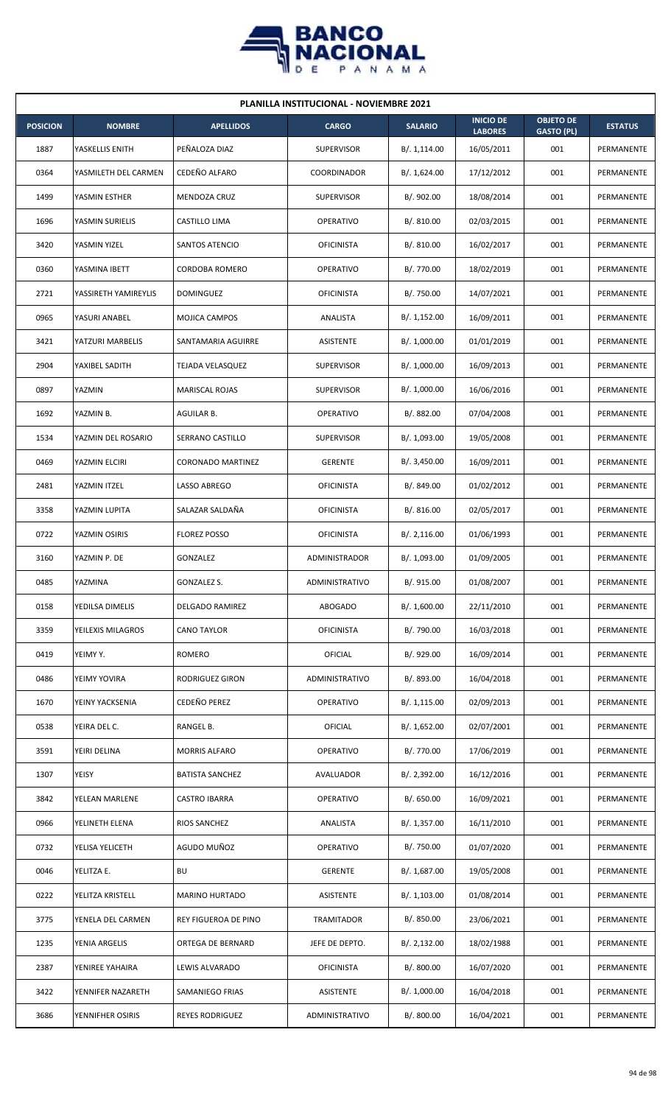

| <b>PLANILLA INSTITUCIONAL - NOVIEMBRE 2021</b> |                      |                          |                      |                |                                    |                                       |                   |  |  |
|------------------------------------------------|----------------------|--------------------------|----------------------|----------------|------------------------------------|---------------------------------------|-------------------|--|--|
| <b>POSICION</b>                                | <b>NOMBRE</b>        | <b>APELLIDOS</b>         | <b>CARGO</b>         | <b>SALARIO</b> | <b>INICIO DE</b><br><b>LABORES</b> | <b>OBJETO DE</b><br><b>GASTO (PL)</b> | <b>ESTATUS</b>    |  |  |
| 1887                                           | YASKELLIS ENITH      | PEÑALOZA DIAZ            | <b>SUPERVISOR</b>    | B/.1,114.00    | 16/05/2011                         | 001                                   | PERMANENTE        |  |  |
| 0364                                           | YASMILETH DEL CARMEN | CEDEÑO ALFARO            | <b>COORDINADOR</b>   | B/. 1,624.00   | 17/12/2012                         | 001                                   | PERMANENTE        |  |  |
| 1499                                           | YASMIN ESTHER        | MENDOZA CRUZ             | <b>SUPERVISOR</b>    | B/. 902.00     | 18/08/2014                         | 001                                   | PERMANENTE        |  |  |
| 1696                                           | YASMIN SURIELIS      | CASTILLO LIMA            | <b>OPERATIVO</b>     | B/. 810.00     | 02/03/2015                         | 001                                   | <b>PERMANENTE</b> |  |  |
| 3420                                           | YASMIN YIZEL         | SANTOS ATENCIO           | <b>OFICINISTA</b>    | B/. 810.00     | 16/02/2017                         | 001                                   | PERMANENTE        |  |  |
| 0360                                           | YASMINA IBETT        | CORDOBA ROMERO           | <b>OPERATIVO</b>     | B/. 770.00     | 18/02/2019                         | 001                                   | PERMANENTE        |  |  |
| 2721                                           | YASSIRETH YAMIREYLIS | <b>DOMINGUEZ</b>         | <b>OFICINISTA</b>    | B/. 750.00     | 14/07/2021                         | 001                                   | PERMANENTE        |  |  |
| 0965                                           | YASURI ANABEL        | MOJICA CAMPOS            | ANALISTA             | B/.1,152.00    | 16/09/2011                         | 001                                   | PERMANENTE        |  |  |
| 3421                                           | YATZURI MARBELIS     | SANTAMARIA AGUIRRE       | ASISTENTE            | B/. 1,000.00   | 01/01/2019                         | 001                                   | PERMANENTE        |  |  |
| 2904                                           | YAXIBEL SADITH       | <b>TEJADA VELASQUEZ</b>  | <b>SUPERVISOR</b>    | B/. 1,000.00   | 16/09/2013                         | 001                                   | PERMANENTE        |  |  |
| 0897                                           | YAZMIN               | MARISCAL ROJAS           | <b>SUPERVISOR</b>    | B/. 1,000.00   | 16/06/2016                         | 001                                   | PERMANENTE        |  |  |
| 1692                                           | YAZMIN B.            | AGUILAR B.               | <b>OPERATIVO</b>     | B/. 882.00     | 07/04/2008                         | 001                                   | PERMANENTE        |  |  |
| 1534                                           | YAZMIN DEL ROSARIO   | SERRANO CASTILLO         | <b>SUPERVISOR</b>    | B/. 1,093.00   | 19/05/2008                         | 001                                   | PERMANENTE        |  |  |
| 0469                                           | YAZMIN ELCIRI        | <b>CORONADO MARTINEZ</b> | <b>GERENTE</b>       | B/.3,450.00    | 16/09/2011                         | 001                                   | PERMANENTE        |  |  |
| 2481                                           | YAZMIN ITZEL         | LASSO ABREGO             | <b>OFICINISTA</b>    | B/. 849.00     | 01/02/2012                         | 001                                   | PERMANENTE        |  |  |
| 3358                                           | YAZMIN LUPITA        | SALAZAR SALDAÑA          | <b>OFICINISTA</b>    | B/. 816.00     | 02/05/2017                         | 001                                   | PERMANENTE        |  |  |
| 0722                                           | YAZMIN OSIRIS        | <b>FLOREZ POSSO</b>      | <b>OFICINISTA</b>    | B/.2,116.00    | 01/06/1993                         | 001                                   | PERMANENTE        |  |  |
| 3160                                           | YAZMIN P. DE         | <b>GONZALEZ</b>          | <b>ADMINISTRADOR</b> | B/. 1,093.00   | 01/09/2005                         | 001                                   | PERMANENTE        |  |  |
| 0485                                           | YAZMINA              | GONZALEZ S.              | ADMINISTRATIVO       | B/. 915.00     | 01/08/2007                         | 001                                   | PERMANENTE        |  |  |
| 0158                                           | YEDILSA DIMELIS      | DELGADO RAMIREZ          | <b>ABOGADO</b>       | B/. 1,600.00   | 22/11/2010                         | 001                                   | PERMANENTE        |  |  |
| 3359                                           | YEILEXIS MILAGROS    | CANO TAYLOR              | <b>OFICINISTA</b>    | B/. 790.00     | 16/03/2018                         | 001                                   | PERMANENTE        |  |  |
| 0419                                           | YEIMY Y.             | ROMERO                   | OFICIAL              | B/. 929.00     | 16/09/2014                         | 001                                   | PERMANENTE        |  |  |
| 0486                                           | YEIMY YOVIRA         | RODRIGUEZ GIRON          | ADMINISTRATIVO       | B/. 893.00     | 16/04/2018                         | 001                                   | PERMANENTE        |  |  |
| 1670                                           | YEINY YACKSENIA      | <b>CEDEÑO PEREZ</b>      | <b>OPERATIVO</b>     | B/. 1,115.00   | 02/09/2013                         | 001                                   | PERMANENTE        |  |  |
| 0538                                           | YEIRA DEL C.         | RANGEL B.                | OFICIAL              | B/. 1,652.00   | 02/07/2001                         | 001                                   | PERMANENTE        |  |  |
| 3591                                           | YEIRI DELINA         | <b>MORRIS ALFARO</b>     | <b>OPERATIVO</b>     | B/. 770.00     | 17/06/2019                         | 001                                   | PERMANENTE        |  |  |
| 1307                                           | YEISY                | <b>BATISTA SANCHEZ</b>   | AVALUADOR            | B/. 2,392.00   | 16/12/2016                         | 001                                   | PERMANENTE        |  |  |
| 3842                                           | YELEAN MARLENE       | <b>CASTRO IBARRA</b>     | OPERATIVO            | B/. 650.00     | 16/09/2021                         | 001                                   | PERMANENTE        |  |  |
| 0966                                           | YELINETH ELENA       | RIOS SANCHEZ             | ANALISTA             | B/. 1,357.00   | 16/11/2010                         | 001                                   | PERMANENTE        |  |  |
| 0732                                           | YELISA YELICETH      | AGUDO MUÑOZ              | OPERATIVO            | B/. 750.00     | 01/07/2020                         | 001                                   | PERMANENTE        |  |  |
| 0046                                           | YELITZA E.           | BU                       | <b>GERENTE</b>       | B/. 1,687.00   | 19/05/2008                         | 001                                   | PERMANENTE        |  |  |
| 0222                                           | YELITZA KRISTELL     | MARINO HURTADO           | ASISTENTE            | B/. 1,103.00   | 01/08/2014                         | 001                                   | PERMANENTE        |  |  |
| 3775                                           | YENELA DEL CARMEN    | REY FIGUEROA DE PINO     | <b>TRAMITADOR</b>    | B/. 850.00     | 23/06/2021                         | 001                                   | PERMANENTE        |  |  |
| 1235                                           | YENIA ARGELIS        | ORTEGA DE BERNARD        | JEFE DE DEPTO.       | B/. 2,132.00   | 18/02/1988                         | 001                                   | PERMANENTE        |  |  |
| 2387                                           | YENIREE YAHAIRA      | LEWIS ALVARADO           | <b>OFICINISTA</b>    | B/. 800.00     | 16/07/2020                         | 001                                   | PERMANENTE        |  |  |
| 3422                                           | YENNIFER NAZARETH    | SAMANIEGO FRIAS          | ASISTENTE            | B/. 1,000.00   | 16/04/2018                         | 001                                   | PERMANENTE        |  |  |
| 3686                                           | YENNIFHER OSIRIS     | REYES RODRIGUEZ          | ADMINISTRATIVO       | B/. 800.00     | 16/04/2021                         | 001                                   | PERMANENTE        |  |  |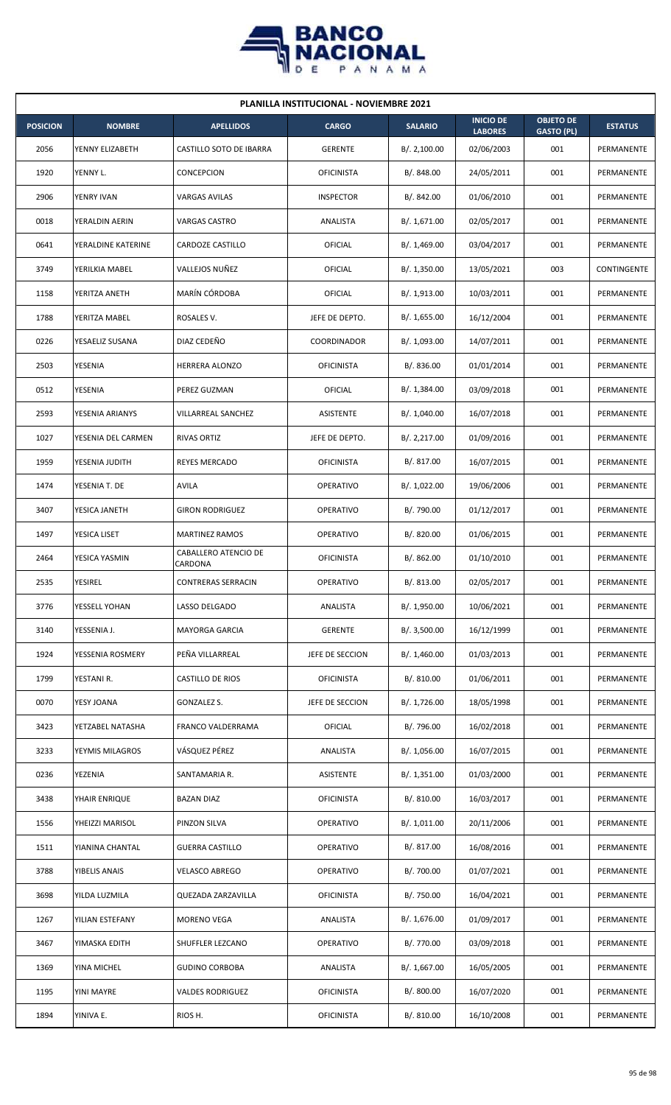

| <b>PLANILLA INSTITUCIONAL - NOVIEMBRE 2021</b> |                    |                                        |                    |                |                                    |                                       |                |  |  |
|------------------------------------------------|--------------------|----------------------------------------|--------------------|----------------|------------------------------------|---------------------------------------|----------------|--|--|
| <b>POSICION</b>                                | <b>NOMBRE</b>      | <b>APELLIDOS</b>                       | <b>CARGO</b>       | <b>SALARIO</b> | <b>INICIO DE</b><br><b>LABORES</b> | <b>OBJETO DE</b><br><b>GASTO (PL)</b> | <b>ESTATUS</b> |  |  |
| 2056                                           | YENNY ELIZABETH    | CASTILLO SOTO DE IBARRA                | <b>GERENTE</b>     | B/. 2,100.00   | 02/06/2003                         | 001                                   | PERMANENTE     |  |  |
| 1920                                           | YENNY L.           | CONCEPCION                             | <b>OFICINISTA</b>  | B/. 848.00     | 24/05/2011                         | 001                                   | PERMANENTE     |  |  |
| 2906                                           | YENRY IVAN         | <b>VARGAS AVILAS</b>                   | <b>INSPECTOR</b>   | B/. 842.00     | 01/06/2010                         | 001                                   | PERMANENTE     |  |  |
| 0018                                           | YERALDIN AERIN     | VARGAS CASTRO                          | ANALISTA           | B/. 1,671.00   | 02/05/2017                         | 001                                   | PERMANENTE     |  |  |
| 0641                                           | YERALDINE KATERINE | CARDOZE CASTILLO                       | <b>OFICIAL</b>     | B/. 1,469.00   | 03/04/2017                         | 001                                   | PERMANENTE     |  |  |
| 3749                                           | YERILKIA MABEL     | VALLEJOS NUÑEZ                         | OFICIAL            | B/. 1,350.00   | 13/05/2021                         | 003                                   | CONTINGENTE    |  |  |
| 1158                                           | YERITZA ANETH      | MARÍN CÓRDOBA                          | OFICIAL            | B/. 1,913.00   | 10/03/2011                         | 001                                   | PERMANENTE     |  |  |
| 1788                                           | YERITZA MABEL      | ROSALES V.                             | JEFE DE DEPTO.     | B/. 1,655.00   | 16/12/2004                         | 001                                   | PERMANENTE     |  |  |
| 0226                                           | YESAELIZ SUSANA    | DIAZ CEDEÑO                            | <b>COORDINADOR</b> | B/. 1,093.00   | 14/07/2011                         | 001                                   | PERMANENTE     |  |  |
| 2503                                           | YESENIA            | HERRERA ALONZO                         | <b>OFICINISTA</b>  | B/. 836.00     | 01/01/2014                         | 001                                   | PERMANENTE     |  |  |
| 0512                                           | <b>YESENIA</b>     | PEREZ GUZMAN                           | <b>OFICIAL</b>     | B/. 1,384.00   | 03/09/2018                         | 001                                   | PERMANENTE     |  |  |
| 2593                                           | YESENIA ARIANYS    | VILLARREAL SANCHEZ                     | <b>ASISTENTE</b>   | B/. 1,040.00   | 16/07/2018                         | 001                                   | PERMANENTE     |  |  |
| 1027                                           | YESENIA DEL CARMEN | <b>RIVAS ORTIZ</b>                     | JEFE DE DEPTO.     | B/. 2,217.00   | 01/09/2016                         | 001                                   | PERMANENTE     |  |  |
| 1959                                           | YESENIA JUDITH     | REYES MERCADO                          | <b>OFICINISTA</b>  | B/. 817.00     | 16/07/2015                         | 001                                   | PERMANENTE     |  |  |
| 1474                                           | YESENIA T. DE      | <b>AVILA</b>                           | <b>OPERATIVO</b>   | B/. 1,022.00   | 19/06/2006                         | 001                                   | PERMANENTE     |  |  |
| 3407                                           | YESICA JANETH      | <b>GIRON RODRIGUEZ</b>                 | <b>OPERATIVO</b>   | B/. 790.00     | 01/12/2017                         | 001                                   | PERMANENTE     |  |  |
| 1497                                           | YESICA LISET       | <b>MARTINEZ RAMOS</b>                  | <b>OPERATIVO</b>   | B/. 820.00     | 01/06/2015                         | 001                                   | PERMANENTE     |  |  |
| 2464                                           | YESICA YASMIN      | <b>CABALLERO ATENCIO DE</b><br>CARDONA | <b>OFICINISTA</b>  | B/. 862.00     | 01/10/2010                         | 001                                   | PERMANENTE     |  |  |
| 2535                                           | <b>YESIREL</b>     | CONTRERAS SERRACIN                     | <b>OPERATIVO</b>   | B/. 813.00     | 02/05/2017                         | 001                                   | PERMANENTE     |  |  |
| 3776                                           | YESSELL YOHAN      | LASSO DELGADO                          | ANALISTA           | B/. 1,950.00   | 10/06/2021                         | 001                                   | PERMANENTE     |  |  |
| 3140                                           | YESSENIA J.        | <b>MAYORGA GARCIA</b>                  | <b>GERENTE</b>     | B/. 3,500.00   | 16/12/1999                         | 001                                   | PERMANENTE     |  |  |
| 1924                                           | YESSENIA ROSMERY   | PEÑA VILLARREAL                        | JEFE DE SECCION    | B/. 1,460.00   | 01/03/2013                         | 001                                   | PERMANENTE     |  |  |
| 1799                                           | YESTANI R.         | CASTILLO DE RIOS                       | <b>OFICINISTA</b>  | B/. 810.00     | 01/06/2011                         | 001                                   | PERMANENTE     |  |  |
| 0070                                           | YESY JOANA         | GONZALEZ S.                            | JEFE DE SECCION    | B/. 1,726.00   | 18/05/1998                         | 001                                   | PERMANENTE     |  |  |
| 3423                                           | YETZABEL NATASHA   | FRANCO VALDERRAMA                      | OFICIAL            | B/. 796.00     | 16/02/2018                         | 001                                   | PERMANENTE     |  |  |
| 3233                                           | YEYMIS MILAGROS    | VÁSQUEZ PÉREZ                          | ANALISTA           | B/. 1,056.00   | 16/07/2015                         | 001                                   | PERMANENTE     |  |  |
| 0236                                           | YEZENIA            | SANTAMARIA R.                          | ASISTENTE          | B/. 1,351.00   | 01/03/2000                         | 001                                   | PERMANENTE     |  |  |
| 3438                                           | YHAIR ENRIQUE      | <b>BAZAN DIAZ</b>                      | <b>OFICINISTA</b>  | B/. 810.00     | 16/03/2017                         | 001                                   | PERMANENTE     |  |  |
| 1556                                           | YHEIZZI MARISOL    | PINZON SILVA                           | OPERATIVO          | B/. 1,011.00   | 20/11/2006                         | 001                                   | PERMANENTE     |  |  |
| 1511                                           | YIANINA CHANTAL    | <b>GUERRA CASTILLO</b>                 | OPERATIVO          | B/. 817.00     | 16/08/2016                         | 001                                   | PERMANENTE     |  |  |
| 3788                                           | YIBELIS ANAIS      | <b>VELASCO ABREGO</b>                  | OPERATIVO          | B/. 700.00     | 01/07/2021                         | 001                                   | PERMANENTE     |  |  |
| 3698                                           | YILDA LUZMILA      | QUEZADA ZARZAVILLA                     | <b>OFICINISTA</b>  | B/. 750.00     | 16/04/2021                         | 001                                   | PERMANENTE     |  |  |
| 1267                                           | YILIAN ESTEFANY    | MORENO VEGA                            | ANALISTA           | B/. 1,676.00   | 01/09/2017                         | 001                                   | PERMANENTE     |  |  |
| 3467                                           | YIMASKA EDITH      | SHUFFLER LEZCANO                       | OPERATIVO          | B/. 770.00     | 03/09/2018                         | 001                                   | PERMANENTE     |  |  |
| 1369                                           | YINA MICHEL        | <b>GUDINO CORBOBA</b>                  | ANALISTA           | B/. 1,667.00   | 16/05/2005                         | 001                                   | PERMANENTE     |  |  |
| 1195                                           | YINI MAYRE         | <b>VALDES RODRIGUEZ</b>                | <b>OFICINISTA</b>  | B/. 800.00     | 16/07/2020                         | 001                                   | PERMANENTE     |  |  |
| 1894                                           | YINIVA E.          | RIOS H.                                | <b>OFICINISTA</b>  | B/. 810.00     | 16/10/2008                         | 001                                   | PERMANENTE     |  |  |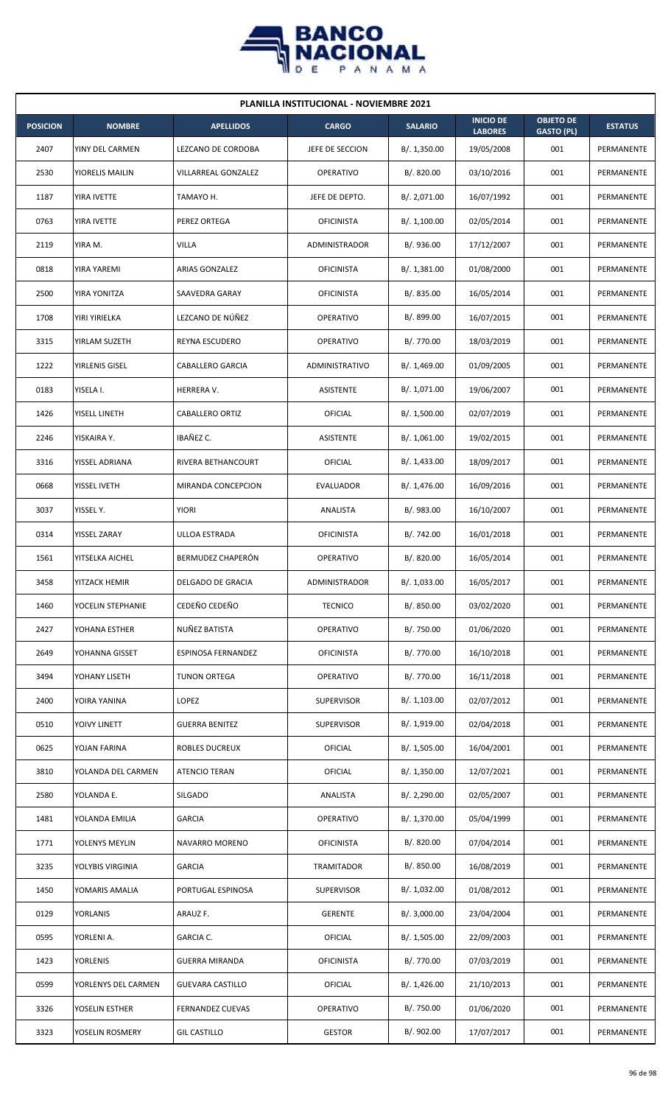

| <b>PLANILLA INSTITUCIONAL - NOVIEMBRE 2021</b> |                     |                           |                       |                |                                    |                                       |                |  |  |  |
|------------------------------------------------|---------------------|---------------------------|-----------------------|----------------|------------------------------------|---------------------------------------|----------------|--|--|--|
| <b>POSICION</b>                                | <b>NOMBRE</b>       | <b>APELLIDOS</b>          | <b>CARGO</b>          | <b>SALARIO</b> | <b>INICIO DE</b><br><b>LABORES</b> | <b>OBJETO DE</b><br><b>GASTO (PL)</b> | <b>ESTATUS</b> |  |  |  |
| 2407                                           | YINY DEL CARMEN     | <b>LEZCANO DE CORDOBA</b> | JEFE DE SECCION       | B/. 1,350.00   | 19/05/2008                         | 001                                   | PERMANENTE     |  |  |  |
| 2530                                           | YIORELIS MAILIN     | VILLARREAL GONZALEZ       | <b>OPERATIVO</b>      | B/. 820.00     | 03/10/2016                         | 001                                   | PERMANENTE     |  |  |  |
| 1187                                           | YIRA IVETTE         | TAMAYO H.                 | JEFE DE DEPTO.        | B/. 2,071.00   | 16/07/1992                         | 001                                   | PERMANENTE     |  |  |  |
| 0763                                           | YIRA IVETTE         | PEREZ ORTEGA              | <b>OFICINISTA</b>     | B/. 1,100.00   | 02/05/2014                         | 001                                   | PERMANENTE     |  |  |  |
| 2119                                           | YIRA M.             | <b>VILLA</b>              | ADMINISTRADOR         | B/. 936.00     | 17/12/2007                         | 001                                   | PERMANENTE     |  |  |  |
| 0818                                           | YIRA YAREMI         | <b>ARIAS GONZALEZ</b>     | <b>OFICINISTA</b>     | B/. 1,381.00   | 01/08/2000                         | 001                                   | PERMANENTE     |  |  |  |
| 2500                                           | YIRA YONITZA        | SAAVEDRA GARAY            | <b>OFICINISTA</b>     | B/. 835.00     | 16/05/2014                         | 001                                   | PERMANENTE     |  |  |  |
| 1708                                           | YIRI YIRIELKA       | LEZCANO DE NÚÑEZ          | <b>OPERATIVO</b>      | B/. 899.00     | 16/07/2015                         | 001                                   | PERMANENTE     |  |  |  |
| 3315                                           | YIRLAM SUZETH       | REYNA ESCUDERO            | OPERATIVO             | B/. 770.00     | 18/03/2019                         | 001                                   | PERMANENTE     |  |  |  |
| 1222                                           | YIRLENIS GISEL      | <b>CABALLERO GARCIA</b>   | <b>ADMINISTRATIVO</b> | B/. 1,469.00   | 01/09/2005                         | 001                                   | PERMANENTE     |  |  |  |
| 0183                                           | YISELA I.           | HERRERA V.                | ASISTENTE             | B/. 1,071.00   | 19/06/2007                         | 001                                   | PERMANENTE     |  |  |  |
| 1426                                           | YISELL LINETH       | <b>CABALLERO ORTIZ</b>    | OFICIAL               | B/. 1,500.00   | 02/07/2019                         | 001                                   | PERMANENTE     |  |  |  |
| 2246                                           | YISKAIRA Y.         | IBAÑEZ C.                 | <b>ASISTENTE</b>      | B/. 1,061.00   | 19/02/2015                         | 001                                   | PERMANENTE     |  |  |  |
| 3316                                           | YISSEL ADRIANA      | RIVERA BETHANCOURT        | OFICIAL               | B/.1,433.00    | 18/09/2017                         | 001                                   | PERMANENTE     |  |  |  |
| 0668                                           | YISSEL IVETH        | MIRANDA CONCEPCION        | <b>EVALUADOR</b>      | B/. 1,476.00   | 16/09/2016                         | 001                                   | PERMANENTE     |  |  |  |
| 3037                                           | YISSEL Y.           | <b>YIORI</b>              | ANALISTA              | B/. 983.00     | 16/10/2007                         | 001                                   | PERMANENTE     |  |  |  |
| 0314                                           | YISSEL ZARAY        | ULLOA ESTRADA             | <b>OFICINISTA</b>     | B/. 742.00     | 16/01/2018                         | 001                                   | PERMANENTE     |  |  |  |
| 1561                                           | YITSELKA AICHEL     | BERMUDEZ CHAPERÓN         | <b>OPERATIVO</b>      | B/. 820.00     | 16/05/2014                         | 001                                   | PERMANENTE     |  |  |  |
| 3458                                           | YITZACK HEMIR       | DELGADO DE GRACIA         | ADMINISTRADOR         | B/. 1,033.00   | 16/05/2017                         | 001                                   | PERMANENTE     |  |  |  |
| 1460                                           | YOCELIN STEPHANIE   | CEDEÑO CEDEÑO             | <b>TECNICO</b>        | B/. 850.00     | 03/02/2020                         | 001                                   | PERMANENTE     |  |  |  |
| 2427                                           | YOHANA ESTHER       | NUÑEZ BATISTA             | <b>OPERATIVO</b>      | B/. 750.00     | 01/06/2020                         | 001                                   | PERMANENTE     |  |  |  |
| 2649                                           | YOHANNA GISSET      | ESPINOSA FERNANDEZ        | <b>OFICINISTA</b>     | B/. 770.00     | 16/10/2018                         | 001                                   | PERMANENTE     |  |  |  |
| 3494                                           | YOHANY LISETH       | <b>TUNON ORTEGA</b>       | OPERATIVO             | B/. 770.00     | 16/11/2018                         | 001                                   | PERMANENTE     |  |  |  |
| 2400                                           | YOIRA YANINA        | LOPEZ                     | <b>SUPERVISOR</b>     | B/. 1,103.00   | 02/07/2012                         | 001                                   | PERMANENTE     |  |  |  |
| 0510                                           | YOIVY LINETT        | <b>GUERRA BENITEZ</b>     | <b>SUPERVISOR</b>     | B/. 1,919.00   | 02/04/2018                         | 001                                   | PERMANENTE     |  |  |  |
| 0625                                           | YOJAN FARINA        | ROBLES DUCREUX            | OFICIAL               | B/. 1,505.00   | 16/04/2001                         | 001                                   | PERMANENTE     |  |  |  |
| 3810                                           | YOLANDA DEL CARMEN  | <b>ATENCIO TERAN</b>      | <b>OFICIAL</b>        | B/. 1,350.00   | 12/07/2021                         | 001                                   | PERMANENTE     |  |  |  |
| 2580                                           | YOLANDA E.          | <b>SILGADO</b>            | ANALISTA              | B/. 2,290.00   | 02/05/2007                         | 001                                   | PERMANENTE     |  |  |  |
| 1481                                           | YOLANDA EMILIA      | <b>GARCIA</b>             | <b>OPERATIVO</b>      | B/. 1,370.00   | 05/04/1999                         | 001                                   | PERMANENTE     |  |  |  |
| 1771                                           | YOLENYS MEYLIN      | NAVARRO MORENO            | <b>OFICINISTA</b>     | B/. 820.00     | 07/04/2014                         | 001                                   | PERMANENTE     |  |  |  |
| 3235                                           | YOLYBIS VIRGINIA    | <b>GARCIA</b>             | TRAMITADOR            | B/. 850.00     | 16/08/2019                         | 001                                   | PERMANENTE     |  |  |  |
| 1450                                           | YOMARIS AMALIA      | PORTUGAL ESPINOSA         | <b>SUPERVISOR</b>     | B/. 1,032.00   | 01/08/2012                         | 001                                   | PERMANENTE     |  |  |  |
| 0129                                           | YORLANIS            | ARAUZ F.                  | <b>GERENTE</b>        | B/. 3,000.00   | 23/04/2004                         | 001                                   | PERMANENTE     |  |  |  |
| 0595                                           | YORLENI A.          | GARCIA C.                 | <b>OFICIAL</b>        | B/. 1,505.00   | 22/09/2003                         | 001                                   | PERMANENTE     |  |  |  |
| 1423                                           | YORLENIS            | GUERRA MIRANDA            | <b>OFICINISTA</b>     | B/. 770.00     | 07/03/2019                         | 001                                   | PERMANENTE     |  |  |  |
| 0599                                           | YORLENYS DEL CARMEN | <b>GUEVARA CASTILLO</b>   | OFICIAL               | B/. 1,426.00   | 21/10/2013                         | 001                                   | PERMANENTE     |  |  |  |
| 3326                                           | YOSELIN ESTHER      | <b>FERNANDEZ CUEVAS</b>   | <b>OPERATIVO</b>      | B/. 750.00     | 01/06/2020                         | 001                                   | PERMANENTE     |  |  |  |
| 3323                                           | YOSELIN ROSMERY     | <b>GIL CASTILLO</b>       | <b>GESTOR</b>         | B/. 902.00     | 17/07/2017                         | 001                                   | PERMANENTE     |  |  |  |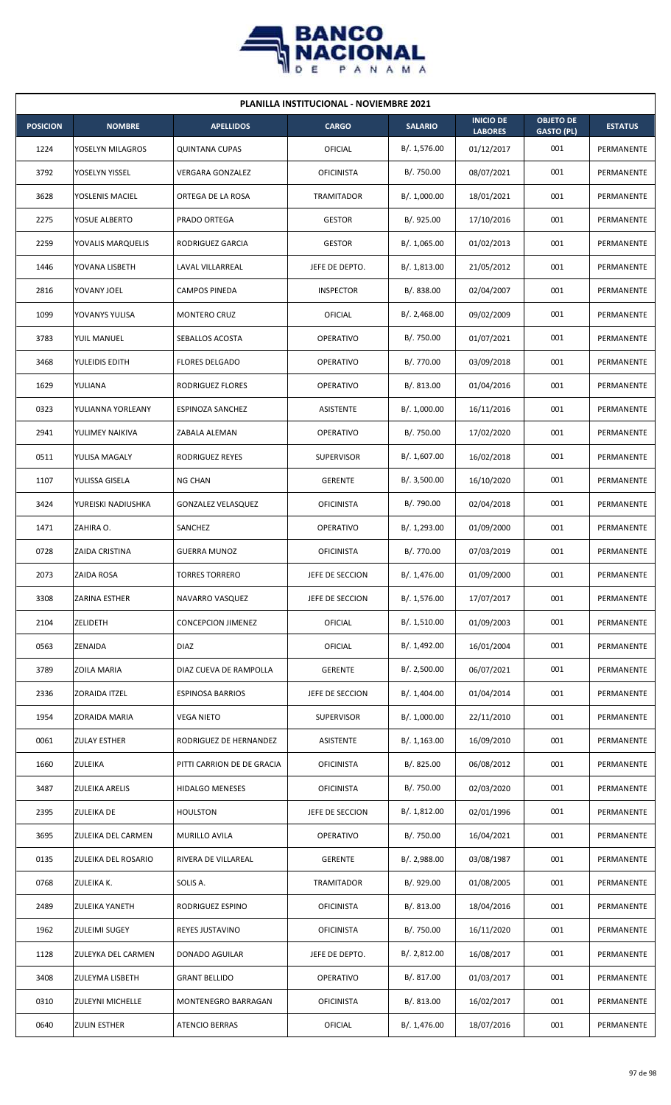

| <b>PLANILLA INSTITUCIONAL - NOVIEMBRE 2021</b> |                        |                            |                   |                |                                    |                                       |                |  |  |  |  |
|------------------------------------------------|------------------------|----------------------------|-------------------|----------------|------------------------------------|---------------------------------------|----------------|--|--|--|--|
| <b>POSICION</b>                                | <b>NOMBRE</b>          | <b>APELLIDOS</b>           | <b>CARGO</b>      | <b>SALARIO</b> | <b>INICIO DE</b><br><b>LABORES</b> | <b>OBJETO DE</b><br><b>GASTO (PL)</b> | <b>ESTATUS</b> |  |  |  |  |
| 1224                                           | YOSELYN MILAGROS       | <b>QUINTANA CUPAS</b>      | <b>OFICIAL</b>    | B/. 1,576.00   | 01/12/2017                         | 001                                   | PERMANENTE     |  |  |  |  |
| 3792                                           | YOSELYN YISSEL         | <b>VERGARA GONZALEZ</b>    | <b>OFICINISTA</b> | B/. 750.00     | 08/07/2021                         | 001                                   | PERMANENTE     |  |  |  |  |
| 3628                                           | YOSLENIS MACIEL        | ORTEGA DE LA ROSA          | <b>TRAMITADOR</b> | B/. 1,000.00   | 18/01/2021                         | 001                                   | PERMANENTE     |  |  |  |  |
| 2275                                           | YOSUE ALBERTO          | PRADO ORTEGA               | <b>GESTOR</b>     | B/. 925.00     | 17/10/2016                         | 001                                   | PERMANENTE     |  |  |  |  |
| 2259                                           | YOVALIS MARQUELIS      | RODRIGUEZ GARCIA           | <b>GESTOR</b>     | B/. 1,065.00   | 01/02/2013                         | 001                                   | PERMANENTE     |  |  |  |  |
| 1446                                           | YOVANA LISBETH         | LAVAL VILLARREAL           | JEFE DE DEPTO.    | B/. 1,813.00   | 21/05/2012                         | 001                                   | PERMANENTE     |  |  |  |  |
| 2816                                           | YOVANY JOEL            | <b>CAMPOS PINEDA</b>       | <b>INSPECTOR</b>  | B/. 838.00     | 02/04/2007                         | 001                                   | PERMANENTE     |  |  |  |  |
| 1099                                           | YOVANYS YULISA         | MONTERO CRUZ               | <b>OFICIAL</b>    | B/.2,468.00    | 09/02/2009                         | 001                                   | PERMANENTE     |  |  |  |  |
| 3783                                           | YUIL MANUEL            | SEBALLOS ACOSTA            | <b>OPERATIVO</b>  | B/. 750.00     | 01/07/2021                         | 001                                   | PERMANENTE     |  |  |  |  |
| 3468                                           | YULEIDIS EDITH         | <b>FLORES DELGADO</b>      | <b>OPERATIVO</b>  | B/. 770.00     | 03/09/2018                         | 001                                   | PERMANENTE     |  |  |  |  |
| 1629                                           | YULIANA                | RODRIGUEZ FLORES           | <b>OPERATIVO</b>  | B/. 813.00     | 01/04/2016                         | 001                                   | PERMANENTE     |  |  |  |  |
| 0323                                           | YULIANNA YORLEANY      | ESPINOZA SANCHEZ           | ASISTENTE         | B/. 1,000.00   | 16/11/2016                         | 001                                   | PERMANENTE     |  |  |  |  |
| 2941                                           | YULIMEY NAIKIVA        | ZABALA ALEMAN              | <b>OPERATIVO</b>  | B/. 750.00     | 17/02/2020                         | 001                                   | PERMANENTE     |  |  |  |  |
| 0511                                           | YULISA MAGALY          | RODRIGUEZ REYES            | <b>SUPERVISOR</b> | B/. 1,607.00   | 16/02/2018                         | 001                                   | PERMANENTE     |  |  |  |  |
| 1107                                           | YULISSA GISELA         | <b>NG CHAN</b>             | <b>GERENTE</b>    | B/.3,500.00    | 16/10/2020                         | 001                                   | PERMANENTE     |  |  |  |  |
| 3424                                           | YUREISKI NADIUSHKA     | GONZALEZ VELASQUEZ         | <b>OFICINISTA</b> | B/. 790.00     | 02/04/2018                         | 001                                   | PERMANENTE     |  |  |  |  |
| 1471                                           | ZAHIRA O.              | SANCHEZ                    | <b>OPERATIVO</b>  | B/. 1,293.00   | 01/09/2000                         | 001                                   | PERMANENTE     |  |  |  |  |
| 0728                                           | ZAIDA CRISTINA         | <b>GUERRA MUNOZ</b>        | <b>OFICINISTA</b> | B/. 770.00     | 07/03/2019                         | 001                                   | PERMANENTE     |  |  |  |  |
| 2073                                           | ZAIDA ROSA             | <b>TORRES TORRERO</b>      | JEFE DE SECCION   | B/. 1,476.00   | 01/09/2000                         | 001                                   | PERMANENTE     |  |  |  |  |
| 3308                                           | <b>ZARINA ESTHER</b>   | NAVARRO VASQUEZ            | JEFE DE SECCION   | B/. 1,576.00   | 17/07/2017                         | 001                                   | PERMANENTE     |  |  |  |  |
| 2104                                           | ZELIDETH               | <b>CONCEPCION JIMENEZ</b>  | <b>OFICIAL</b>    | B/. 1,510.00   | 01/09/2003                         | 001                                   | PERMANENTE     |  |  |  |  |
| 0563                                           | ZENAIDA                | <b>DIAZ</b>                | <b>OFICIAL</b>    | B/. 1,492.00   | 16/01/2004                         | 001                                   | PERMANENTE     |  |  |  |  |
| 3789                                           | ZOILA MARIA            | DIAZ CUEVA DE RAMPOLLA     | <b>GERENTE</b>    | B/.2,500.00    | 06/07/2021                         | 001                                   | PERMANENTE     |  |  |  |  |
| 2336                                           | ZORAIDA ITZEL          | <b>ESPINOSA BARRIOS</b>    | JEFE DE SECCION   | B/. 1,404.00   | 01/04/2014                         | 001                                   | PERMANENTE     |  |  |  |  |
| 1954                                           | ZORAIDA MARIA          | <b>VEGA NIETO</b>          | <b>SUPERVISOR</b> | B/. 1,000.00   | 22/11/2010                         | 001                                   | PERMANENTE     |  |  |  |  |
| 0061                                           | <b>ZULAY ESTHER</b>    | RODRIGUEZ DE HERNANDEZ     | ASISTENTE         | B/. 1,163.00   | 16/09/2010                         | 001                                   | PERMANENTE     |  |  |  |  |
| 1660                                           | ZULEIKA                | PITTI CARRION DE DE GRACIA | <b>OFICINISTA</b> | B/.825.00      | 06/08/2012                         | 001                                   | PERMANENTE     |  |  |  |  |
| 3487                                           | <b>ZULEIKA ARELIS</b>  | HIDALGO MENESES            | <b>OFICINISTA</b> | B/. 750.00     | 02/03/2020                         | 001                                   | PERMANENTE     |  |  |  |  |
| 2395                                           | <b>ZULEIKA DE</b>      | <b>HOULSTON</b>            | JEFE DE SECCION   | B/. 1,812.00   | 02/01/1996                         | 001                                   | PERMANENTE     |  |  |  |  |
| 3695                                           | ZULEIKA DEL CARMEN     | MURILLO AVILA              | OPERATIVO         | B/. 750.00     | 16/04/2021                         | 001                                   | PERMANENTE     |  |  |  |  |
| 0135                                           | ZULEIKA DEL ROSARIO    | RIVERA DE VILLAREAL        | <b>GERENTE</b>    | B/. 2,988.00   | 03/08/1987                         | 001                                   | PERMANENTE     |  |  |  |  |
| 0768                                           | ZULEIKA K.             | SOLIS A.                   | TRAMITADOR        | B/. 929.00     | 01/08/2005                         | 001                                   | PERMANENTE     |  |  |  |  |
| 2489                                           | <b>ZULEIKA YANETH</b>  | RODRIGUEZ ESPINO           | <b>OFICINISTA</b> | B/. 813.00     | 18/04/2016                         | 001                                   | PERMANENTE     |  |  |  |  |
| 1962                                           | <b>ZULEIMI SUGEY</b>   | REYES JUSTAVINO            | <b>OFICINISTA</b> | B/. 750.00     | 16/11/2020                         | 001                                   | PERMANENTE     |  |  |  |  |
| 1128                                           | ZULEYKA DEL CARMEN     | DONADO AGUILAR             | JEFE DE DEPTO.    | B/. 2,812.00   | 16/08/2017                         | 001                                   | PERMANENTE     |  |  |  |  |
| 3408                                           | <b>ZULEYMA LISBETH</b> | <b>GRANT BELLIDO</b>       | OPERATIVO         | B/. 817.00     | 01/03/2017                         | 001                                   | PERMANENTE     |  |  |  |  |
| 0310                                           | ZULEYNI MICHELLE       | MONTENEGRO BARRAGAN        | <b>OFICINISTA</b> | B/. 813.00     | 16/02/2017                         | 001                                   | PERMANENTE     |  |  |  |  |
| 0640                                           | <b>ZULIN ESTHER</b>    | <b>ATENCIO BERRAS</b>      | OFICIAL           | B/. 1,476.00   | 18/07/2016                         | 001                                   | PERMANENTE     |  |  |  |  |